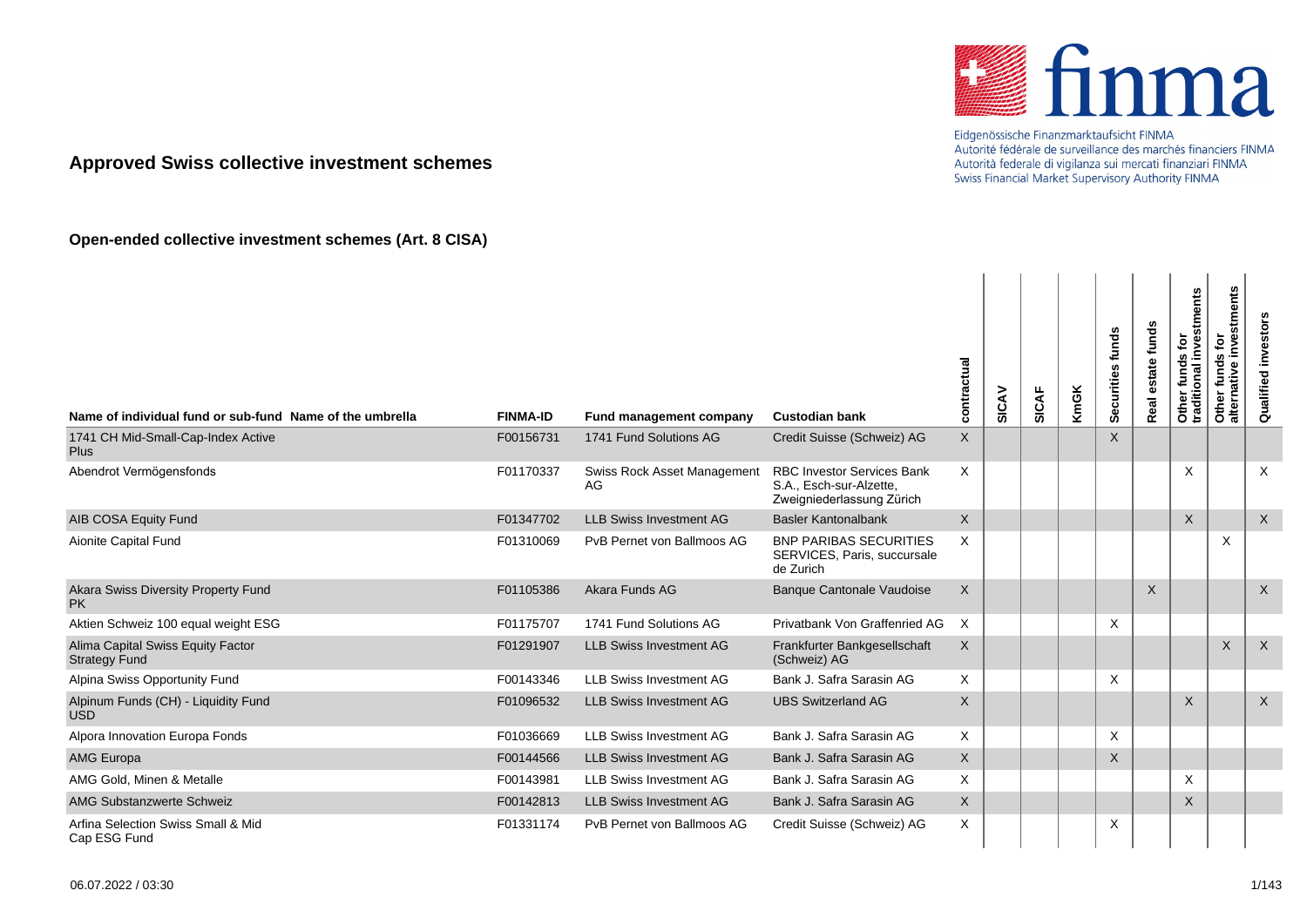

Eidgenössische Finanzmarktaufsicht FINMA Autorité fédérale de surveillance des marchés financiers FINMA Autorità federale di vigilanza sui mercati finanziari FINMA Swiss Financial Market Supervisory Authority FINMA

## **Approved Swiss collective investment schemes**

| Name of individual fund or sub-fund Name of the umbrella  | <b>FINMA-ID</b> | Fund management company           | <b>Custodian bank</b>                                                                     | contractual  | SICAV | <b>SICAF</b> | <b>KmGK</b> | Securities funds | funds<br>estate f<br>Real | Other funds for<br>traditional investments | investments<br>Other funds for<br>alternative inves | investors<br>Qualified |
|-----------------------------------------------------------|-----------------|-----------------------------------|-------------------------------------------------------------------------------------------|--------------|-------|--------------|-------------|------------------|---------------------------|--------------------------------------------|-----------------------------------------------------|------------------------|
| 1741 CH Mid-Small-Cap-Index Active<br>Plus                | F00156731       | 1741 Fund Solutions AG            | Credit Suisse (Schweiz) AG                                                                | $\mathsf{X}$ |       |              |             | $\mathsf{X}$     |                           |                                            |                                                     |                        |
| Abendrot Vermögensfonds                                   | F01170337       | Swiss Rock Asset Management<br>AG | <b>RBC Investor Services Bank</b><br>S.A., Esch-sur-Alzette,<br>Zweigniederlassung Zürich | X            |       |              |             |                  |                           | X                                          |                                                     | X                      |
| AIB COSA Equity Fund                                      | F01347702       | <b>LLB Swiss Investment AG</b>    | <b>Basler Kantonalbank</b>                                                                | X            |       |              |             |                  |                           | X                                          |                                                     | $\mathsf{X}$           |
| Aionite Capital Fund                                      | F01310069       | PvB Pernet von Ballmoos AG        | <b>BNP PARIBAS SECURITIES</b><br>SERVICES, Paris, succursale<br>de Zurich                 | X            |       |              |             |                  |                           |                                            | X                                                   |                        |
| Akara Swiss Diversity Property Fund<br><b>PK</b>          | F01105386       | Akara Funds AG                    | <b>Banque Cantonale Vaudoise</b>                                                          | X            |       |              |             |                  | $\times$                  |                                            |                                                     | $\mathsf{X}$           |
| Aktien Schweiz 100 equal weight ESG                       | F01175707       | 1741 Fund Solutions AG            | Privatbank Von Graffenried AG                                                             | X            |       |              |             | X                |                           |                                            |                                                     |                        |
| Alima Capital Swiss Equity Factor<br><b>Strategy Fund</b> | F01291907       | <b>LLB Swiss Investment AG</b>    | Frankfurter Bankgesellschaft<br>(Schweiz) AG                                              | X            |       |              |             |                  |                           |                                            | X                                                   | $\mathsf{X}$           |
| Alpina Swiss Opportunity Fund                             | F00143346       | <b>LLB Swiss Investment AG</b>    | Bank J. Safra Sarasin AG                                                                  | X            |       |              |             | X                |                           |                                            |                                                     |                        |
| Alpinum Funds (CH) - Liquidity Fund<br><b>USD</b>         | F01096532       | <b>LLB Swiss Investment AG</b>    | <b>UBS Switzerland AG</b>                                                                 | X            |       |              |             |                  |                           | $\sf X$                                    |                                                     | $\mathsf{X}$           |
| Alpora Innovation Europa Fonds                            | F01036669       | <b>LLB Swiss Investment AG</b>    | Bank J. Safra Sarasin AG                                                                  | X            |       |              |             | X                |                           |                                            |                                                     |                        |
| <b>AMG Europa</b>                                         | F00144566       | <b>LLB Swiss Investment AG</b>    | Bank J. Safra Sarasin AG                                                                  | X            |       |              |             | X                |                           |                                            |                                                     |                        |
| AMG Gold, Minen & Metalle                                 | F00143981       | <b>LLB Swiss Investment AG</b>    | Bank J. Safra Sarasin AG                                                                  | X            |       |              |             |                  |                           | X                                          |                                                     |                        |
| <b>AMG Substanzwerte Schweiz</b>                          | F00142813       | <b>LLB Swiss Investment AG</b>    | Bank J. Safra Sarasin AG                                                                  | X            |       |              |             |                  |                           | $\times$                                   |                                                     |                        |
| Arfina Selection Swiss Small & Mid<br>Cap ESG Fund        | F01331174       | PvB Pernet von Ballmoos AG        | Credit Suisse (Schweiz) AG                                                                | X            |       |              |             | х                |                           |                                            |                                                     |                        |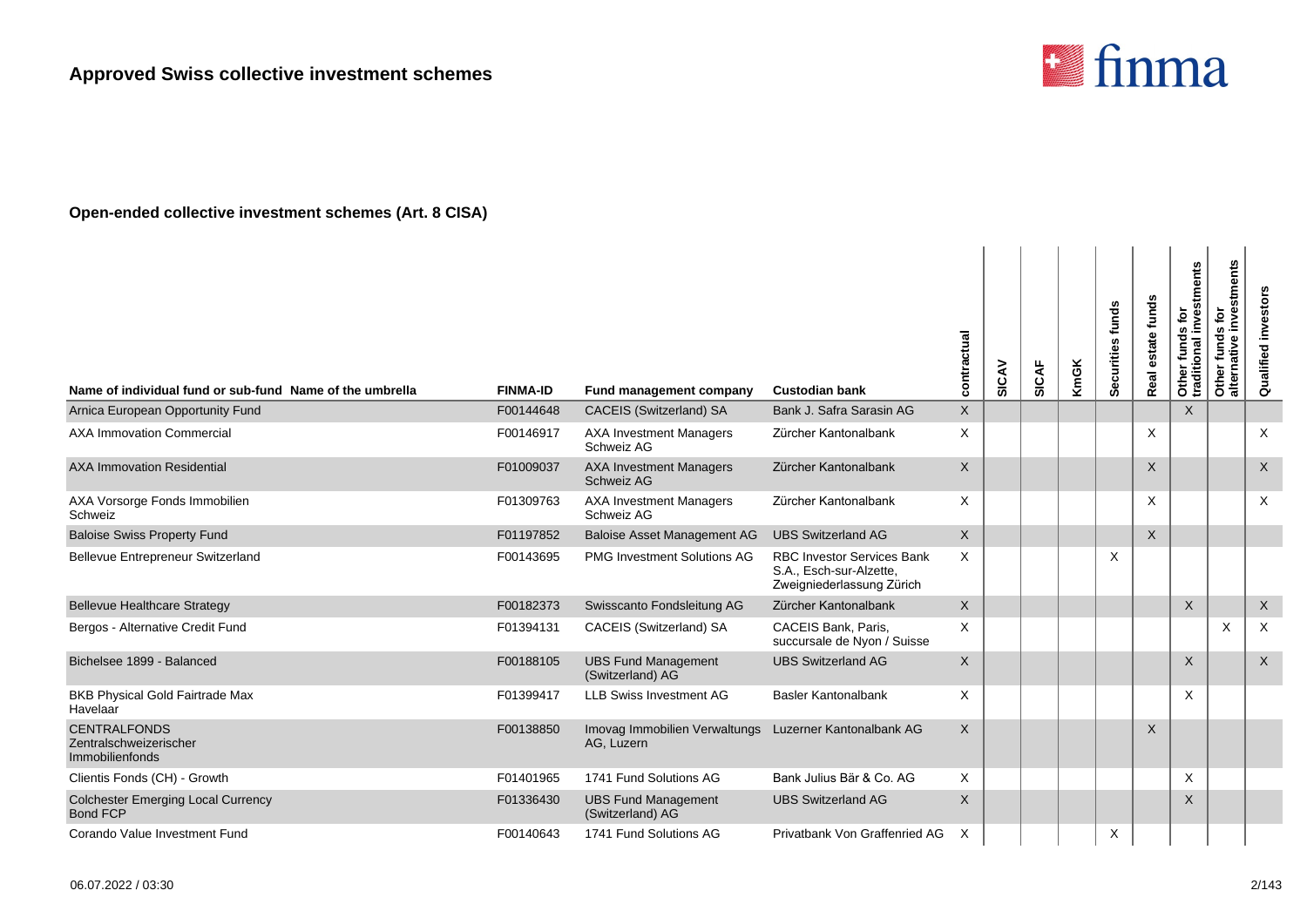

| Name of individual fund or sub-fund Name of the umbrella         | <b>FINMA-ID</b> | Fund management company                        | <b>Custodian bank</b>                                                                     | contractual | SICAV | <b>SICAF</b> | <b>KmGK</b> | Securities funds | estate funds<br><b>Real</b> | Other funds for<br>traditional investments | Other funds for<br>alternative investments | Qualified investors       |
|------------------------------------------------------------------|-----------------|------------------------------------------------|-------------------------------------------------------------------------------------------|-------------|-------|--------------|-------------|------------------|-----------------------------|--------------------------------------------|--------------------------------------------|---------------------------|
| Arnica European Opportunity Fund                                 | F00144648       | CACEIS (Switzerland) SA                        | Bank J. Safra Sarasin AG                                                                  | X           |       |              |             |                  |                             | $\times$                                   |                                            |                           |
| <b>AXA Immovation Commercial</b>                                 | F00146917       | <b>AXA Investment Managers</b><br>Schweiz AG   | Zürcher Kantonalbank                                                                      | X           |       |              |             |                  | X                           |                                            |                                            | X                         |
| <b>AXA Immovation Residential</b>                                | F01009037       | <b>AXA Investment Managers</b><br>Schweiz AG   | Zürcher Kantonalbank                                                                      | X           |       |              |             |                  | $\times$                    |                                            |                                            | $\mathsf{X}$              |
| AXA Vorsorge Fonds Immobilien<br>Schweiz                         | F01309763       | <b>AXA Investment Managers</b><br>Schweiz AG   | Zürcher Kantonalbank                                                                      | X           |       |              |             |                  | X                           |                                            |                                            | $\times$                  |
| <b>Baloise Swiss Property Fund</b>                               | F01197852       | <b>Baloise Asset Management AG</b>             | <b>UBS Switzerland AG</b>                                                                 | X           |       |              |             |                  | $\mathsf{X}$                |                                            |                                            |                           |
| Bellevue Entrepreneur Switzerland                                | F00143695       | PMG Investment Solutions AG                    | <b>RBC Investor Services Bank</b><br>S.A., Esch-sur-Alzette,<br>Zweigniederlassung Zürich | X           |       |              |             | X                |                             |                                            |                                            |                           |
| <b>Bellevue Healthcare Strategy</b>                              | F00182373       | Swisscanto Fondsleitung AG                     | Zürcher Kantonalbank                                                                      | X           |       |              |             |                  |                             | $\sf X$                                    |                                            | $\mathsf{X}$              |
| Bergos - Alternative Credit Fund                                 | F01394131       | CACEIS (Switzerland) SA                        | CACEIS Bank, Paris,<br>succursale de Nyon / Suisse                                        | X           |       |              |             |                  |                             |                                            | $\times$                                   | $\boldsymbol{\mathsf{X}}$ |
| Bichelsee 1899 - Balanced                                        | F00188105       | <b>UBS Fund Management</b><br>(Switzerland) AG | <b>UBS Switzerland AG</b>                                                                 | X           |       |              |             |                  |                             | X                                          |                                            | $\mathsf{X}$              |
| <b>BKB Physical Gold Fairtrade Max</b><br>Havelaar               | F01399417       | <b>LLB Swiss Investment AG</b>                 | <b>Basler Kantonalbank</b>                                                                | X           |       |              |             |                  |                             | X                                          |                                            |                           |
| <b>CENTRALFONDS</b><br>Zentralschweizerischer<br>Immobilienfonds | F00138850       | Imovag Immobilien Verwaltungs<br>AG, Luzern    | Luzerner Kantonalbank AG                                                                  | X           |       |              |             |                  | $\times$                    |                                            |                                            |                           |
| Clientis Fonds (CH) - Growth                                     | F01401965       | 1741 Fund Solutions AG                         | Bank Julius Bär & Co. AG                                                                  | X           |       |              |             |                  |                             | X                                          |                                            |                           |
| <b>Colchester Emerging Local Currency</b><br><b>Bond FCP</b>     | F01336430       | <b>UBS Fund Management</b><br>(Switzerland) AG | <b>UBS Switzerland AG</b>                                                                 | X           |       |              |             |                  |                             | $\times$                                   |                                            |                           |
| Corando Value Investment Fund                                    | F00140643       | 1741 Fund Solutions AG                         | Privatbank Von Graffenried AG                                                             | X           |       |              |             | X                |                             |                                            |                                            |                           |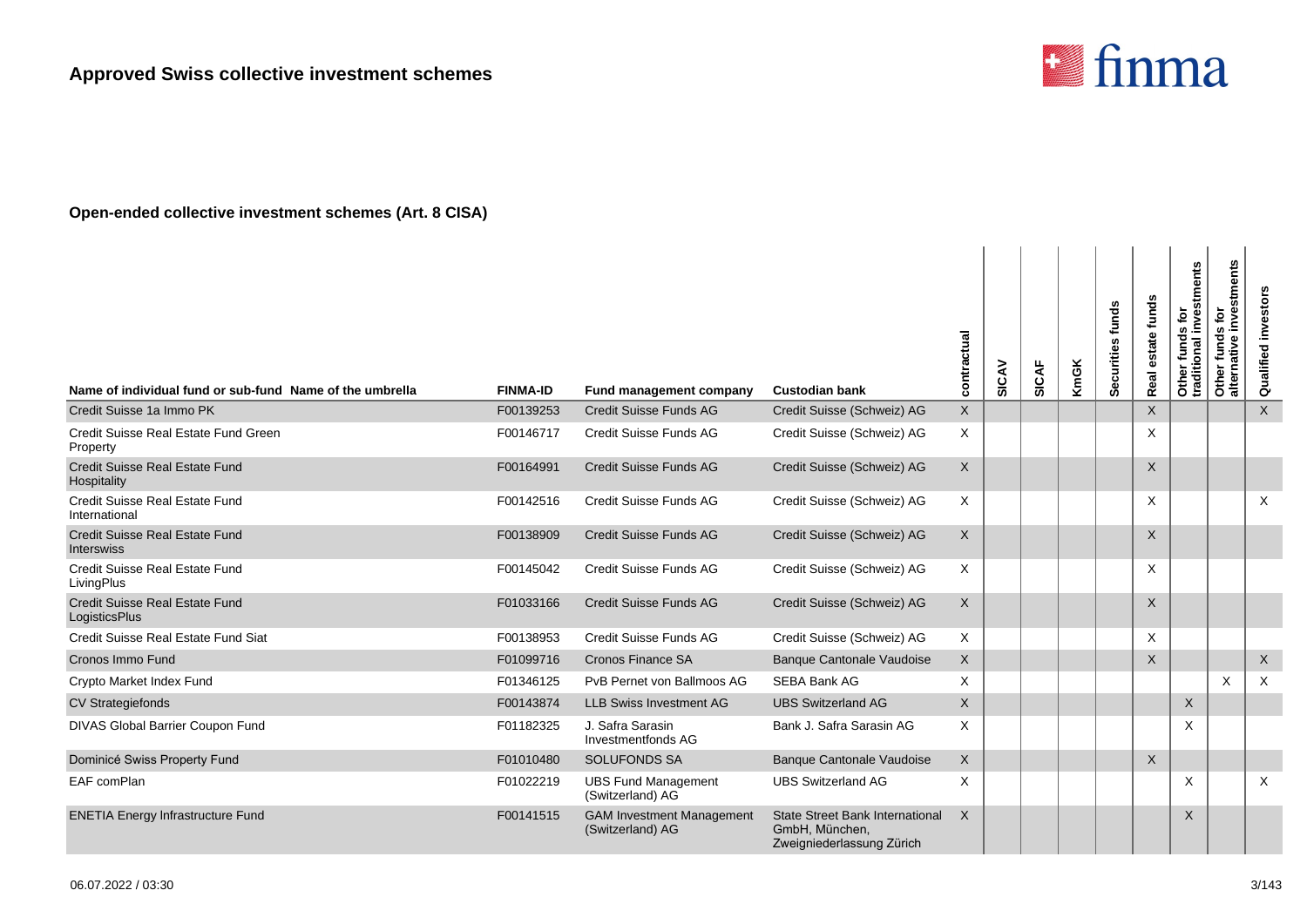

| Name of individual fund or sub-fund Name of the umbrella | <b>FINMA-ID</b> | Fund management company                              | <b>Custodian bank</b>                                                                 | contractual  | SICAV | <b>SICAF</b> | <b>KmGK</b> | Securities funds | estate funds<br>Real | Other funds for<br>traditional investments | stments<br><b>jo</b><br>funds<br>$\omega$<br>ativ<br>Other<br>alterna | Qualified investors |
|----------------------------------------------------------|-----------------|------------------------------------------------------|---------------------------------------------------------------------------------------|--------------|-------|--------------|-------------|------------------|----------------------|--------------------------------------------|-----------------------------------------------------------------------|---------------------|
| Credit Suisse 1a Immo PK                                 | F00139253       | <b>Credit Suisse Funds AG</b>                        | Credit Suisse (Schweiz) AG                                                            | $\mathsf X$  |       |              |             |                  | X                    |                                            |                                                                       | $\mathsf{X}$        |
| Credit Suisse Real Estate Fund Green<br>Property         | F00146717       | Credit Suisse Funds AG                               | Credit Suisse (Schweiz) AG                                                            | $\times$     |       |              |             |                  | X                    |                                            |                                                                       |                     |
| Credit Suisse Real Estate Fund<br>Hospitality            | F00164991       | <b>Credit Suisse Funds AG</b>                        | Credit Suisse (Schweiz) AG                                                            | $\sf X$      |       |              |             |                  | $\times$             |                                            |                                                                       |                     |
| Credit Suisse Real Estate Fund<br>International          | F00142516       | Credit Suisse Funds AG                               | Credit Suisse (Schweiz) AG                                                            | X            |       |              |             |                  | X                    |                                            |                                                                       | $\times$            |
| <b>Credit Suisse Real Estate Fund</b><br>Interswiss      | F00138909       | <b>Credit Suisse Funds AG</b>                        | Credit Suisse (Schweiz) AG                                                            | $\sf X$      |       |              |             |                  | X                    |                                            |                                                                       |                     |
| Credit Suisse Real Estate Fund<br>LivingPlus             | F00145042       | Credit Suisse Funds AG                               | Credit Suisse (Schweiz) AG                                                            | $\times$     |       |              |             |                  | X                    |                                            |                                                                       |                     |
| Credit Suisse Real Estate Fund<br><b>LogisticsPlus</b>   | F01033166       | Credit Suisse Funds AG                               | Credit Suisse (Schweiz) AG                                                            | $\times$     |       |              |             |                  | $\times$             |                                            |                                                                       |                     |
| Credit Suisse Real Estate Fund Siat                      | F00138953       | Credit Suisse Funds AG                               | Credit Suisse (Schweiz) AG                                                            | $\times$     |       |              |             |                  | X                    |                                            |                                                                       |                     |
| Cronos Immo Fund                                         | F01099716       | <b>Cronos Finance SA</b>                             | <b>Banque Cantonale Vaudoise</b>                                                      | $\times$     |       |              |             |                  | $\mathsf{X}$         |                                            |                                                                       | $\mathsf{X}$        |
| Crypto Market Index Fund                                 | F01346125       | PvB Pernet von Ballmoos AG                           | <b>SEBA Bank AG</b>                                                                   | $\times$     |       |              |             |                  |                      |                                            | $\times$                                                              | $\times$            |
| <b>CV Strategiefonds</b>                                 | F00143874       | <b>LLB Swiss Investment AG</b>                       | <b>UBS Switzerland AG</b>                                                             | $\mathsf{X}$ |       |              |             |                  |                      | $\mathsf{X}$                               |                                                                       |                     |
| DIVAS Global Barrier Coupon Fund                         | F01182325       | J. Safra Sarasin<br>Investmentfonds AG               | Bank J. Safra Sarasin AG                                                              | $\times$     |       |              |             |                  |                      | X                                          |                                                                       |                     |
| Dominicé Swiss Property Fund                             | F01010480       | <b>SOLUFONDS SA</b>                                  | <b>Banque Cantonale Vaudoise</b>                                                      | $\mathsf{X}$ |       |              |             |                  | $\times$             |                                            |                                                                       |                     |
| EAF comPlan                                              | F01022219       | <b>UBS Fund Management</b><br>(Switzerland) AG       | <b>UBS Switzerland AG</b>                                                             | X            |       |              |             |                  |                      | $\times$                                   |                                                                       | $\times$            |
| <b>ENETIA Energy Infrastructure Fund</b>                 | F00141515       | <b>GAM Investment Management</b><br>(Switzerland) AG | <b>State Street Bank International</b><br>GmbH, München,<br>Zweigniederlassung Zürich | $\times$     |       |              |             |                  |                      | X                                          |                                                                       |                     |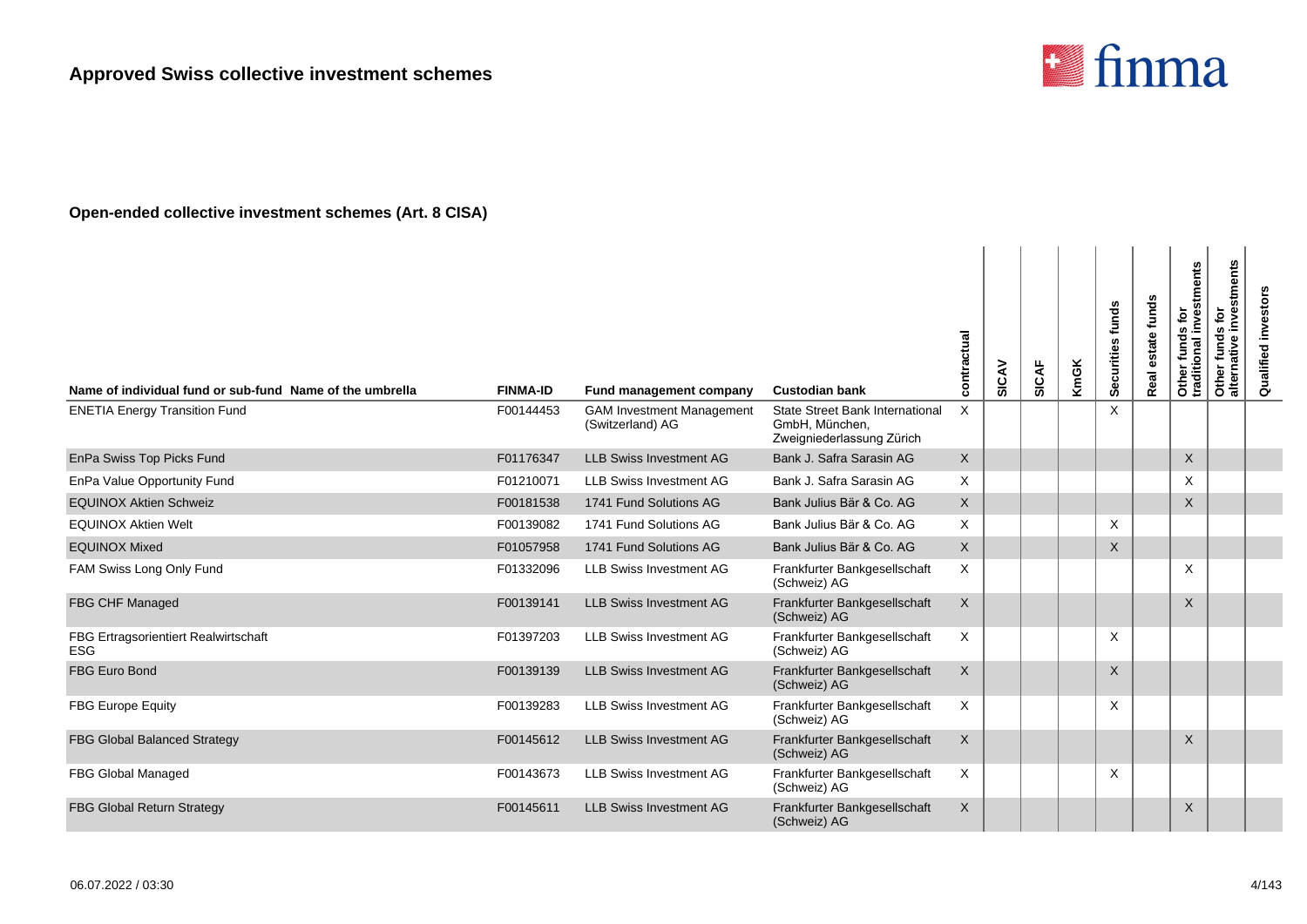

| Name of individual fund or sub-fund Name of the umbrella | <b>FINMA-ID</b> | <b>Fund management company</b>                       | <b>Custodian bank</b>                                                                 | contractual  | SICAV | <b>SICAF</b> | KmGK | Securities funds | Real estate funds | <b>1s for</b><br>investments<br>Other funds<br>traditional i | investments<br>Other funds for<br>alternative inves | investors<br>Qualified |
|----------------------------------------------------------|-----------------|------------------------------------------------------|---------------------------------------------------------------------------------------|--------------|-------|--------------|------|------------------|-------------------|--------------------------------------------------------------|-----------------------------------------------------|------------------------|
| <b>ENETIA Energy Transition Fund</b>                     | F00144453       | <b>GAM Investment Management</b><br>(Switzerland) AG | <b>State Street Bank International</b><br>GmbH, München,<br>Zweigniederlassung Zürich | X            |       |              |      | $\times$         |                   |                                                              |                                                     |                        |
| EnPa Swiss Top Picks Fund                                | F01176347       | <b>LLB Swiss Investment AG</b>                       | Bank J. Safra Sarasin AG                                                              | X            |       |              |      |                  |                   | $\times$                                                     |                                                     |                        |
| EnPa Value Opportunity Fund                              | F01210071       | <b>LLB Swiss Investment AG</b>                       | Bank J. Safra Sarasin AG                                                              | Χ            |       |              |      |                  |                   | $\times$                                                     |                                                     |                        |
| <b>EQUINOX Aktien Schweiz</b>                            | F00181538       | 1741 Fund Solutions AG                               | Bank Julius Bär & Co. AG                                                              | $\mathsf{X}$ |       |              |      |                  |                   | $\sf X$                                                      |                                                     |                        |
| <b>EQUINOX Aktien Welt</b>                               | F00139082       | 1741 Fund Solutions AG                               | Bank Julius Bär & Co. AG                                                              | X            |       |              |      | X                |                   |                                                              |                                                     |                        |
| <b>EQUINOX Mixed</b>                                     | F01057958       | 1741 Fund Solutions AG                               | Bank Julius Bär & Co. AG                                                              | X            |       |              |      | $\mathsf{X}$     |                   |                                                              |                                                     |                        |
| FAM Swiss Long Only Fund                                 | F01332096       | <b>LLB Swiss Investment AG</b>                       | Frankfurter Bankgesellschaft<br>(Schweiz) AG                                          | X            |       |              |      |                  |                   | $\times$                                                     |                                                     |                        |
| FBG CHF Managed                                          | F00139141       | <b>LLB Swiss Investment AG</b>                       | Frankfurter Bankgesellschaft<br>(Schweiz) AG                                          | X            |       |              |      |                  |                   | $\times$                                                     |                                                     |                        |
| FBG Ertragsorientiert Realwirtschaft<br><b>ESG</b>       | F01397203       | <b>LLB Swiss Investment AG</b>                       | Frankfurter Bankgesellschaft<br>(Schweiz) AG                                          | X            |       |              |      | X                |                   |                                                              |                                                     |                        |
| <b>FBG Euro Bond</b>                                     | F00139139       | <b>LLB Swiss Investment AG</b>                       | Frankfurter Bankgesellschaft<br>(Schweiz) AG                                          | X            |       |              |      | $\mathsf{X}$     |                   |                                                              |                                                     |                        |
| <b>FBG Europe Equity</b>                                 | F00139283       | <b>LLB Swiss Investment AG</b>                       | Frankfurter Bankgesellschaft<br>(Schweiz) AG                                          | X            |       |              |      | X                |                   |                                                              |                                                     |                        |
| <b>FBG Global Balanced Strategy</b>                      | F00145612       | <b>LLB Swiss Investment AG</b>                       | Frankfurter Bankgesellschaft<br>(Schweiz) AG                                          | X            |       |              |      |                  |                   | $\sf X$                                                      |                                                     |                        |
| <b>FBG Global Managed</b>                                | F00143673       | <b>LLB Swiss Investment AG</b>                       | Frankfurter Bankgesellschaft<br>(Schweiz) AG                                          | X            |       |              |      | Χ                |                   |                                                              |                                                     |                        |
| FBG Global Return Strategy                               | F00145611       | <b>LLB Swiss Investment AG</b>                       | Frankfurter Bankgesellschaft<br>(Schweiz) AG                                          | X            |       |              |      |                  |                   | X                                                            |                                                     |                        |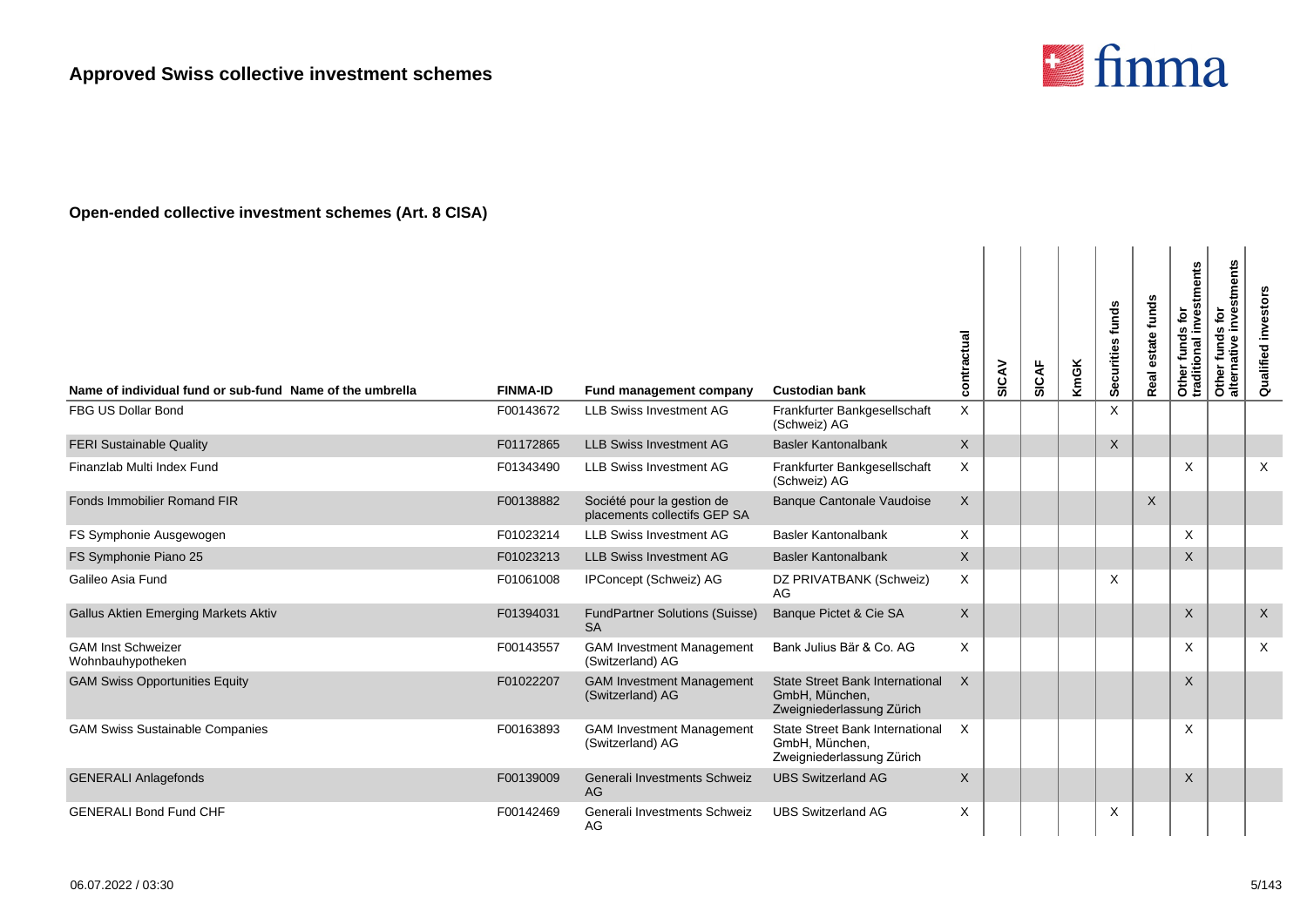

| Name of individual fund or sub-fund Name of the umbrella | <b>FINMA-ID</b> | Fund management company                                    | <b>Custodian bank</b>                                                                 | contractual | SICAV | <b>SICAF</b> | KmGK | Securities funds | estate funds<br>Real      | stments<br>is for<br>inves<br>Other funds<br>traditional i | investments<br>Other funds for<br>alternative inves | investor<br>Qualified |
|----------------------------------------------------------|-----------------|------------------------------------------------------------|---------------------------------------------------------------------------------------|-------------|-------|--------------|------|------------------|---------------------------|------------------------------------------------------------|-----------------------------------------------------|-----------------------|
| FBG US Dollar Bond                                       | F00143672       | <b>LLB Swiss Investment AG</b>                             | Frankfurter Bankgesellschaft<br>(Schweiz) AG                                          | X           |       |              |      | $\times$         |                           |                                                            |                                                     |                       |
| <b>FERI Sustainable Quality</b>                          | F01172865       | <b>LLB Swiss Investment AG</b>                             | <b>Basler Kantonalbank</b>                                                            | X           |       |              |      | $\sf X$          |                           |                                                            |                                                     |                       |
| Finanzlab Multi Index Fund                               | F01343490       | <b>LLB Swiss Investment AG</b>                             | Frankfurter Bankgesellschaft<br>(Schweiz) AG                                          | X           |       |              |      |                  |                           | X                                                          |                                                     | X                     |
| Fonds Immobilier Romand FIR                              | F00138882       | Société pour la gestion de<br>placements collectifs GEP SA | <b>Banque Cantonale Vaudoise</b>                                                      | X           |       |              |      |                  | $\boldsymbol{\mathsf{X}}$ |                                                            |                                                     |                       |
| FS Symphonie Ausgewogen                                  | F01023214       | <b>LLB Swiss Investment AG</b>                             | <b>Basler Kantonalbank</b>                                                            | X           |       |              |      |                  |                           | X                                                          |                                                     |                       |
| FS Symphonie Piano 25                                    | F01023213       | <b>LLB Swiss Investment AG</b>                             | <b>Basler Kantonalbank</b>                                                            | X           |       |              |      |                  |                           | X                                                          |                                                     |                       |
| Galileo Asia Fund                                        | F01061008       | IPConcept (Schweiz) AG                                     | DZ PRIVATBANK (Schweiz)<br>AG                                                         | X           |       |              |      | X                |                           |                                                            |                                                     |                       |
| Gallus Aktien Emerging Markets Aktiv                     | F01394031       | <b>FundPartner Solutions (Suisse)</b><br><b>SA</b>         | Banque Pictet & Cie SA                                                                | X           |       |              |      |                  |                           | $\times$                                                   |                                                     | $\mathsf{X}$          |
| <b>GAM Inst Schweizer</b><br>Wohnbauhypotheken           | F00143557       | <b>GAM Investment Management</b><br>(Switzerland) AG       | Bank Julius Bär & Co. AG                                                              | X           |       |              |      |                  |                           | X                                                          |                                                     | $\times$              |
| <b>GAM Swiss Opportunities Equity</b>                    | F01022207       | <b>GAM Investment Management</b><br>(Switzerland) AG       | <b>State Street Bank International</b><br>GmbH, München,<br>Zweigniederlassung Zürich | X           |       |              |      |                  |                           | $\times$                                                   |                                                     |                       |
| <b>GAM Swiss Sustainable Companies</b>                   | F00163893       | <b>GAM Investment Management</b><br>(Switzerland) AG       | <b>State Street Bank International</b><br>GmbH, München,<br>Zweigniederlassung Zürich | X           |       |              |      |                  |                           | X                                                          |                                                     |                       |
| <b>GENERALI Anlagefonds</b>                              | F00139009       | Generali Investments Schweiz<br>AG                         | <b>UBS Switzerland AG</b>                                                             | X           |       |              |      |                  |                           | $\sf X$                                                    |                                                     |                       |
| <b>GENERALI Bond Fund CHF</b>                            | F00142469       | Generali Investments Schweiz<br>AG                         | <b>UBS Switzerland AG</b>                                                             | X           |       |              |      | X                |                           |                                                            |                                                     |                       |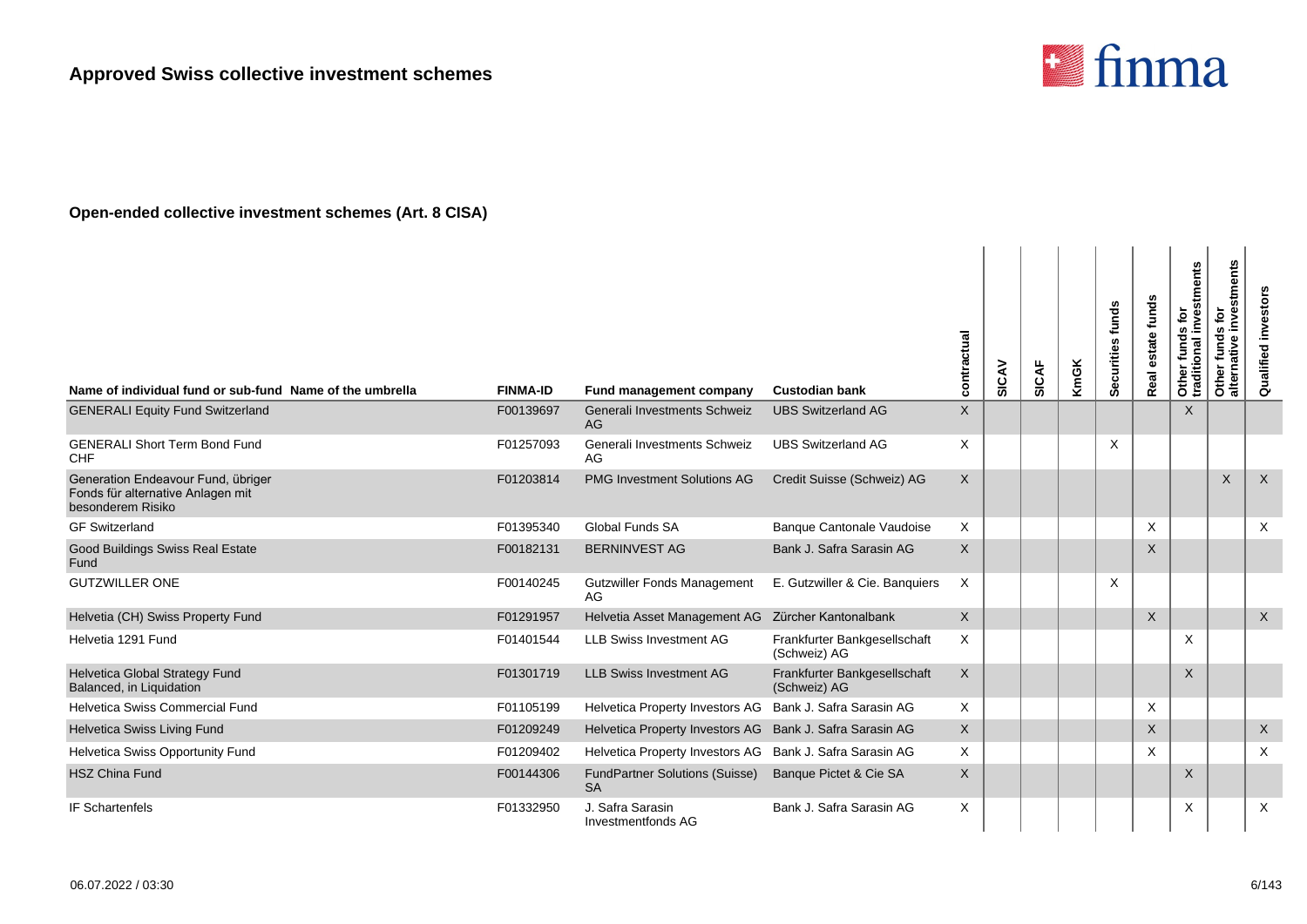

| Name of individual fund or sub-fund Name of the umbrella                                     | <b>FINMA-ID</b> | Fund management company                            | <b>Custodian bank</b>                        | contractual  | SICAV | SICAF | <b>KmGK</b> | Securities funds | estate funds<br>Real | Other funds for<br>traditional investments | investments<br>Other funds for<br>alternative inves | Qualified investors |
|----------------------------------------------------------------------------------------------|-----------------|----------------------------------------------------|----------------------------------------------|--------------|-------|-------|-------------|------------------|----------------------|--------------------------------------------|-----------------------------------------------------|---------------------|
| <b>GENERALI Equity Fund Switzerland</b>                                                      | F00139697       | Generali Investments Schweiz<br>AG                 | <b>UBS Switzerland AG</b>                    | $\mathsf{X}$ |       |       |             |                  |                      | $\sf X$                                    |                                                     |                     |
| <b>GENERALI Short Term Bond Fund</b><br><b>CHF</b>                                           | F01257093       | Generali Investments Schweiz<br>AG                 | <b>UBS Switzerland AG</b>                    | X            |       |       |             | X                |                      |                                            |                                                     |                     |
| Generation Endeavour Fund, übriger<br>Fonds für alternative Anlagen mit<br>besonderem Risiko | F01203814       | <b>PMG Investment Solutions AG</b>                 | Credit Suisse (Schweiz) AG                   | $\mathsf{X}$ |       |       |             |                  |                      |                                            | $\times$                                            | $\mathsf{X}$        |
| <b>GF Switzerland</b>                                                                        | F01395340       | <b>Global Funds SA</b>                             | <b>Banque Cantonale Vaudoise</b>             | X            |       |       |             |                  | X                    |                                            |                                                     | X                   |
| <b>Good Buildings Swiss Real Estate</b><br>Fund                                              | F00182131       | <b>BERNINVEST AG</b>                               | Bank J. Safra Sarasin AG                     | $\mathsf{X}$ |       |       |             |                  | $\times$             |                                            |                                                     |                     |
| <b>GUTZWILLER ONE</b>                                                                        | F00140245       | <b>Gutzwiller Fonds Management</b><br>AG           | E. Gutzwiller & Cie. Banquiers               | X            |       |       |             | X                |                      |                                            |                                                     |                     |
| Helvetia (CH) Swiss Property Fund                                                            | F01291957       | Helvetia Asset Management AG  Zürcher Kantonalbank |                                              | $\mathsf{X}$ |       |       |             |                  | $\sf X$              |                                            |                                                     | $\mathsf{X}$        |
| Helvetia 1291 Fund                                                                           | F01401544       | <b>LLB Swiss Investment AG</b>                     | Frankfurter Bankgesellschaft<br>(Schweiz) AG | X            |       |       |             |                  |                      | X                                          |                                                     |                     |
| Helvetica Global Strategy Fund<br>Balanced, in Liquidation                                   | F01301719       | <b>LLB Swiss Investment AG</b>                     | Frankfurter Bankgesellschaft<br>(Schweiz) AG | X            |       |       |             |                  |                      | $\sf X$                                    |                                                     |                     |
| <b>Helvetica Swiss Commercial Fund</b>                                                       | F01105199       | Helvetica Property Investors AG                    | Bank J. Safra Sarasin AG                     | X            |       |       |             |                  | $\times$             |                                            |                                                     |                     |
| Helvetica Swiss Living Fund                                                                  | F01209249       | Helvetica Property Investors AG                    | Bank J. Safra Sarasin AG                     | $\mathsf{X}$ |       |       |             |                  | X                    |                                            |                                                     | $\times$            |
| Helvetica Swiss Opportunity Fund                                                             | F01209402       | Helvetica Property Investors AG                    | Bank J. Safra Sarasin AG                     | X            |       |       |             |                  | X                    |                                            |                                                     | X                   |
| <b>HSZ China Fund</b>                                                                        | F00144306       | <b>FundPartner Solutions (Suisse)</b><br><b>SA</b> | Banque Pictet & Cie SA                       | $\mathsf{X}$ |       |       |             |                  |                      | X                                          |                                                     |                     |
| <b>IF Schartenfels</b>                                                                       | F01332950       | J. Safra Sarasin<br>Investmentfonds AG             | Bank J. Safra Sarasin AG                     | X            |       |       |             |                  |                      | X                                          |                                                     | $\times$            |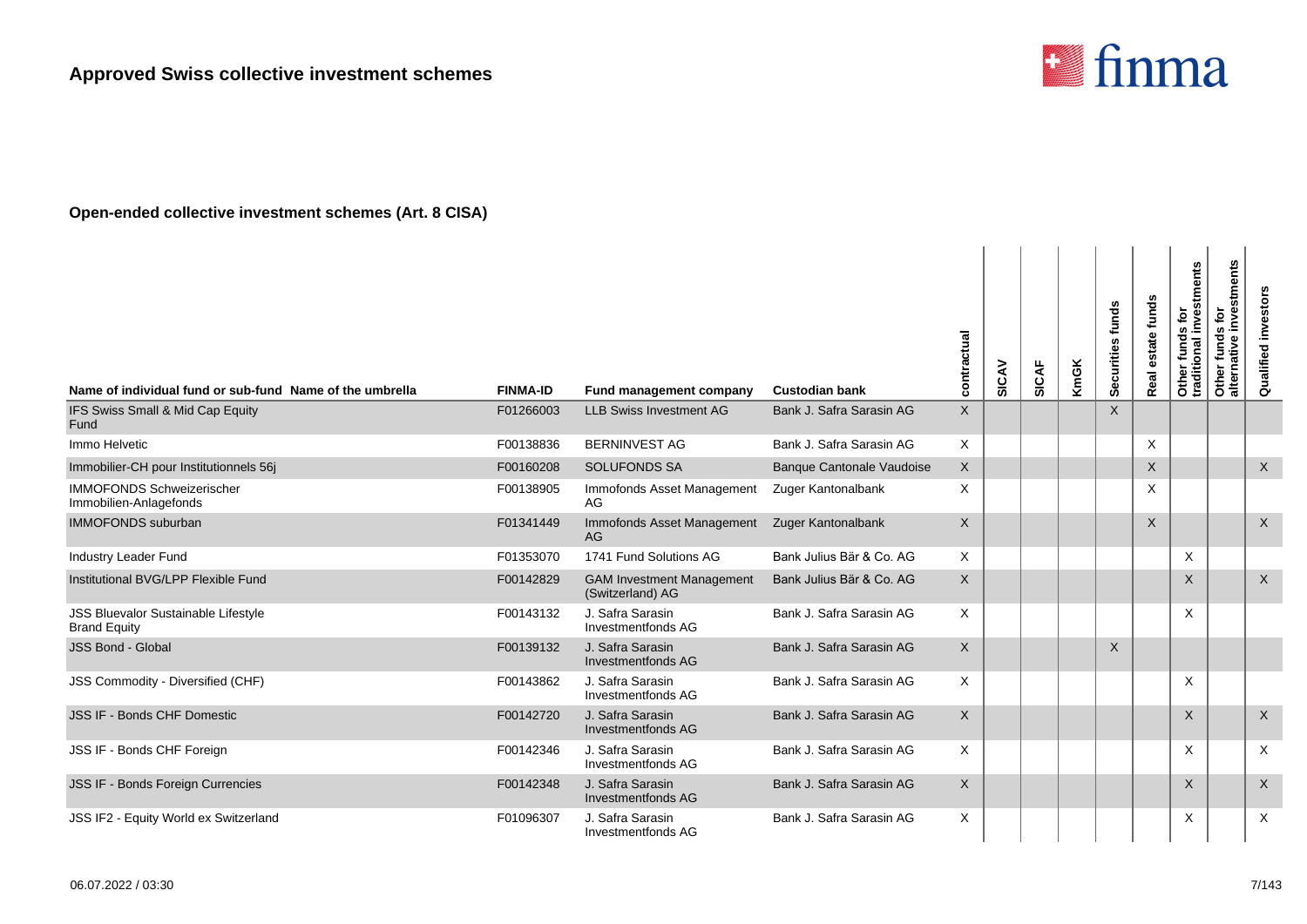

| Name of individual fund or sub-fund Name of the umbrella   | <b>FINMA-ID</b> | Fund management company                              | <b>Custodian bank</b>            | contractual  | SICAV | <b>SICAF</b> | KmGK | Securities funds | estate funds<br>Real | Other funds for<br>traditional investments | investments<br>funds for<br>$\mathbf{v}$<br>Other funo | investors<br>Qualified |
|------------------------------------------------------------|-----------------|------------------------------------------------------|----------------------------------|--------------|-------|--------------|------|------------------|----------------------|--------------------------------------------|--------------------------------------------------------|------------------------|
| IFS Swiss Small & Mid Cap Equity<br>Fund                   | F01266003       | <b>LLB Swiss Investment AG</b>                       | Bank J. Safra Sarasin AG         | $\mathsf{X}$ |       |              |      | $\times$         |                      |                                            |                                                        |                        |
| Immo Helvetic                                              | F00138836       | <b>BERNINVEST AG</b>                                 | Bank J. Safra Sarasin AG         | X            |       |              |      |                  | $\times$             |                                            |                                                        |                        |
| Immobilier-CH pour Institutionnels 56j                     | F00160208       | <b>SOLUFONDS SA</b>                                  | <b>Banque Cantonale Vaudoise</b> | X            |       |              |      |                  | X                    |                                            |                                                        | $\mathsf{X}$           |
| <b>IMMOFONDS Schweizerischer</b><br>Immobilien-Anlagefonds | F00138905       | Immofonds Asset Management<br>AG                     | Zuger Kantonalbank               | $\times$     |       |              |      |                  | X                    |                                            |                                                        |                        |
| <b>IMMOFONDS</b> suburban                                  | F01341449       | Immofonds Asset Management<br>AG                     | Zuger Kantonalbank               | $\sf X$      |       |              |      |                  | X                    |                                            |                                                        | $\sf X$                |
| Industry Leader Fund                                       | F01353070       | 1741 Fund Solutions AG                               | Bank Julius Bär & Co. AG         | X            |       |              |      |                  |                      | X                                          |                                                        |                        |
| Institutional BVG/LPP Flexible Fund                        | F00142829       | <b>GAM Investment Management</b><br>(Switzerland) AG | Bank Julius Bär & Co. AG         | $\times$     |       |              |      |                  |                      | X                                          |                                                        | $\mathsf{X}$           |
| JSS Bluevalor Sustainable Lifestyle<br><b>Brand Equity</b> | F00143132       | J. Safra Sarasin<br>Investmentfonds AG               | Bank J. Safra Sarasin AG         | $\times$     |       |              |      |                  |                      | $\times$                                   |                                                        |                        |
| <b>JSS Bond - Global</b>                                   | F00139132       | J. Safra Sarasin<br>Investmentfonds AG               | Bank J. Safra Sarasin AG         | $\times$     |       |              |      | $\mathsf{X}$     |                      |                                            |                                                        |                        |
| JSS Commodity - Diversified (CHF)                          | F00143862       | J. Safra Sarasin<br>Investmentfonds AG               | Bank J. Safra Sarasin AG         | $\times$     |       |              |      |                  |                      | X                                          |                                                        |                        |
| <b>JSS IF - Bonds CHF Domestic</b>                         | F00142720       | J. Safra Sarasin<br>Investmentfonds AG               | Bank J. Safra Sarasin AG         | $\sf X$      |       |              |      |                  |                      | X                                          |                                                        | $\mathsf{X}$           |
| JSS IF - Bonds CHF Foreign                                 | F00142346       | J. Safra Sarasin<br>Investmentfonds AG               | Bank J. Safra Sarasin AG         | $\times$     |       |              |      |                  |                      | X                                          |                                                        | $\times$               |
| JSS IF - Bonds Foreign Currencies                          | F00142348       | J. Safra Sarasin<br>Investmentfonds AG               | Bank J. Safra Sarasin AG         | $\times$     |       |              |      |                  |                      | $\sf X$                                    |                                                        | $\mathsf{X}$           |
| JSS IF2 - Equity World ex Switzerland                      | F01096307       | J. Safra Sarasin<br>Investmentfonds AG               | Bank J. Safra Sarasin AG         | X            |       |              |      |                  |                      | Χ                                          |                                                        | X                      |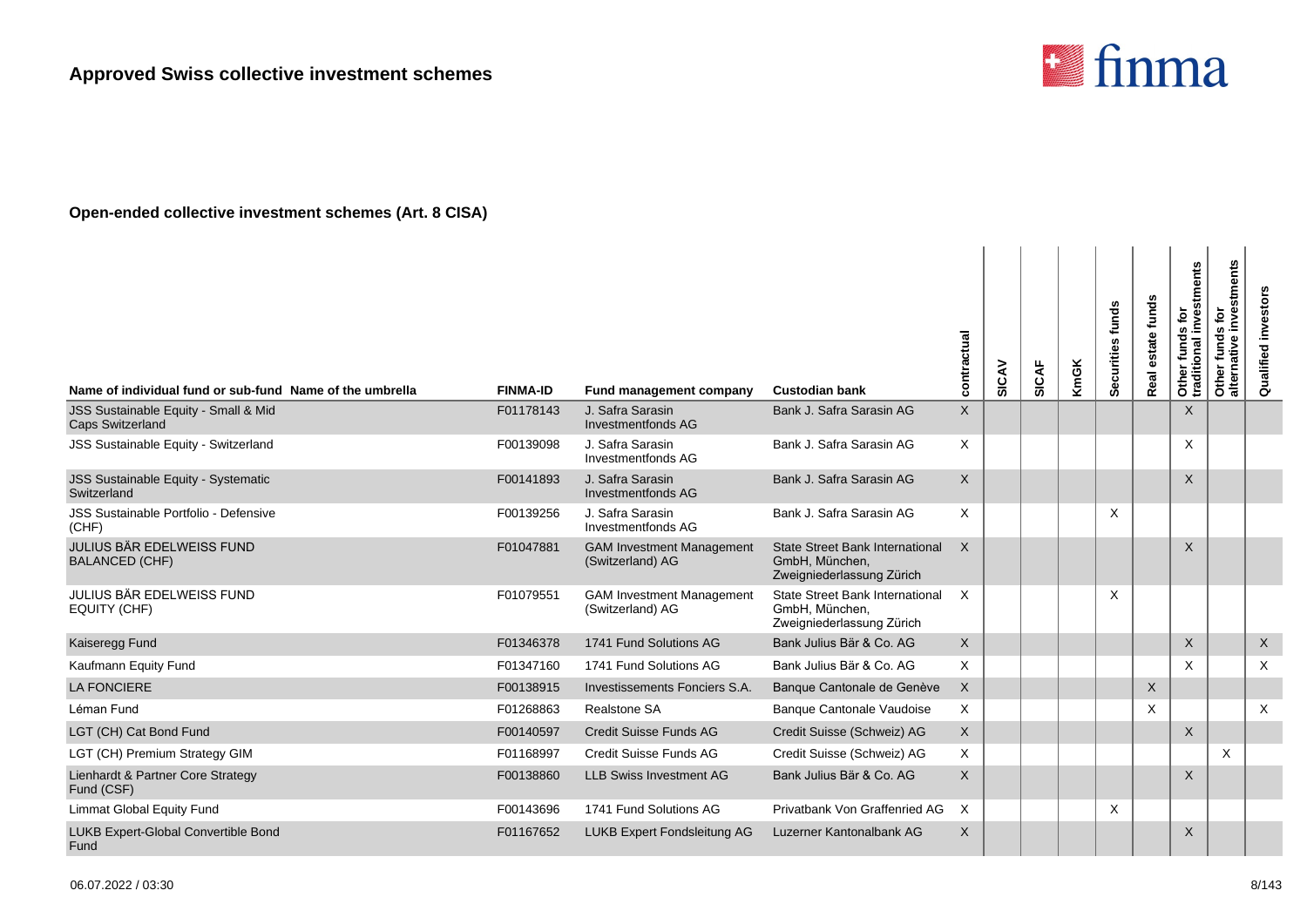

|                                                                 |                 |                                                      |                                                                                       | contractual | SICAV | <b>SICAF</b> | KmGK | Securities funds | estate funds<br>Real | Other funds for<br>traditional investments | Other funds for<br>alternative investments | Qualified investor        |
|-----------------------------------------------------------------|-----------------|------------------------------------------------------|---------------------------------------------------------------------------------------|-------------|-------|--------------|------|------------------|----------------------|--------------------------------------------|--------------------------------------------|---------------------------|
| Name of individual fund or sub-fund Name of the umbrella        | <b>FINMA-ID</b> | Fund management company                              | <b>Custodian bank</b>                                                                 |             |       |              |      |                  |                      |                                            |                                            |                           |
| JSS Sustainable Equity - Small & Mid<br><b>Caps Switzerland</b> | F01178143       | J. Safra Sarasin<br>Investmentfonds AG               | Bank J. Safra Sarasin AG                                                              | X           |       |              |      |                  |                      | $\times$                                   |                                            |                           |
| JSS Sustainable Equity - Switzerland                            | F00139098       | J. Safra Sarasin<br>Investmentfonds AG               | Bank J. Safra Sarasin AG                                                              | X           |       |              |      |                  |                      | X                                          |                                            |                           |
| JSS Sustainable Equity - Systematic<br>Switzerland              | F00141893       | J. Safra Sarasin<br>Investmentfonds AG               | Bank J. Safra Sarasin AG                                                              | X           |       |              |      |                  |                      | X                                          |                                            |                           |
| JSS Sustainable Portfolio - Defensive<br>(CHF)                  | F00139256       | J. Safra Sarasin<br>Investmentfonds AG               | Bank J. Safra Sarasin AG                                                              | X           |       |              |      | X                |                      |                                            |                                            |                           |
| <b>JULIUS BÄR EDELWEISS FUND</b><br><b>BALANCED (CHF)</b>       | F01047881       | <b>GAM Investment Management</b><br>(Switzerland) AG | <b>State Street Bank International</b><br>GmbH. München.<br>Zweigniederlassung Zürich | $\times$    |       |              |      |                  |                      | $\times$                                   |                                            |                           |
| JULIUS BÄR EDELWEISS FUND<br>EQUITY (CHF)                       | F01079551       | <b>GAM Investment Management</b><br>(Switzerland) AG | <b>State Street Bank International</b><br>GmbH, München,<br>Zweigniederlassung Zürich | $\times$    |       |              |      | X                |                      |                                            |                                            |                           |
| Kaiseregg Fund                                                  | F01346378       | 1741 Fund Solutions AG                               | Bank Julius Bär & Co. AG                                                              | X           |       |              |      |                  |                      | $\mathsf{X}$                               |                                            | $\mathsf{X}$              |
| Kaufmann Equity Fund                                            | F01347160       | 1741 Fund Solutions AG                               | Bank Julius Bär & Co. AG                                                              | X           |       |              |      |                  |                      | X                                          |                                            | $\boldsymbol{\mathsf{X}}$ |
| <b>LA FONCIERE</b>                                              | F00138915       | Investissements Fonciers S.A.                        | Banque Cantonale de Genève                                                            | X           |       |              |      |                  | X                    |                                            |                                            |                           |
| Léman Fund                                                      | F01268863       | Realstone SA                                         | <b>Banque Cantonale Vaudoise</b>                                                      | X           |       |              |      |                  | X                    |                                            |                                            | $\times$                  |
| LGT (CH) Cat Bond Fund                                          | F00140597       | <b>Credit Suisse Funds AG</b>                        | Credit Suisse (Schweiz) AG                                                            | X           |       |              |      |                  |                      | $\mathsf{X}$                               |                                            |                           |
| LGT (CH) Premium Strategy GIM                                   | F01168997       | Credit Suisse Funds AG                               | Credit Suisse (Schweiz) AG                                                            | X           |       |              |      |                  |                      |                                            | X                                          |                           |
| Lienhardt & Partner Core Strategy<br>Fund (CSF)                 | F00138860       | <b>LLB Swiss Investment AG</b>                       | Bank Julius Bär & Co. AG                                                              | X           |       |              |      |                  |                      | $\times$                                   |                                            |                           |
| Limmat Global Equity Fund                                       | F00143696       | 1741 Fund Solutions AG                               | Privatbank Von Graffenried AG                                                         | X           |       |              |      | X                |                      |                                            |                                            |                           |
| LUKB Expert-Global Convertible Bond<br>Fund                     | F01167652       | <b>LUKB Expert Fondsleitung AG</b>                   | Luzerner Kantonalbank AG                                                              | X           |       |              |      |                  |                      | $\times$                                   |                                            |                           |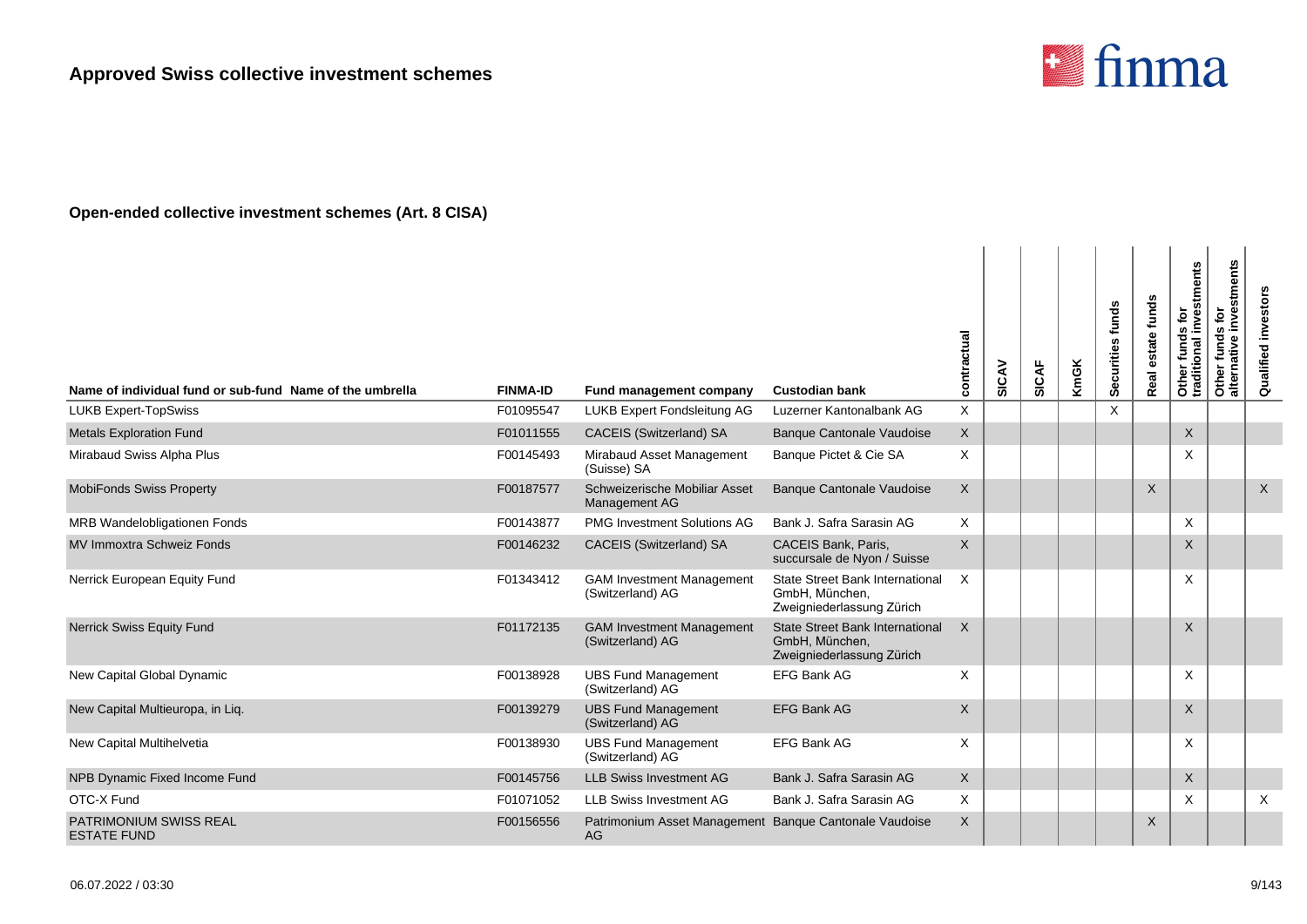

| Name of individual fund or sub-fund Name of the umbrella | <b>FINMA-ID</b> | Fund management company                              | <b>Custodian bank</b>                                                                 | contractual | SICAV | SICAF | KmGK | Securities funds | estate funds<br><b>Real</b> | Other funds for<br>traditional investments | investments<br>Other funds for<br>alternative inves | Qualified investors |
|----------------------------------------------------------|-----------------|------------------------------------------------------|---------------------------------------------------------------------------------------|-------------|-------|-------|------|------------------|-----------------------------|--------------------------------------------|-----------------------------------------------------|---------------------|
| <b>LUKB Expert-TopSwiss</b>                              | F01095547       | LUKB Expert Fondsleitung AG                          | Luzerner Kantonalbank AG                                                              | X           |       |       |      | X                |                             |                                            |                                                     |                     |
| <b>Metals Exploration Fund</b>                           | F01011555       | CACEIS (Switzerland) SA                              | <b>Banque Cantonale Vaudoise</b>                                                      | X           |       |       |      |                  |                             | $\mathsf X$                                |                                                     |                     |
| Mirabaud Swiss Alpha Plus                                | F00145493       | Mirabaud Asset Management<br>(Suisse) SA             | Banque Pictet & Cie SA                                                                | X           |       |       |      |                  |                             | X                                          |                                                     |                     |
| <b>MobiFonds Swiss Property</b>                          | F00187577       | Schweizerische Mobiliar Asset<br>Management AG       | <b>Banque Cantonale Vaudoise</b>                                                      | X           |       |       |      |                  | X                           |                                            |                                                     | $\mathsf{X}$        |
| MRB Wandelobligationen Fonds                             | F00143877       | <b>PMG Investment Solutions AG</b>                   | Bank J. Safra Sarasin AG                                                              | $\times$    |       |       |      |                  |                             | X                                          |                                                     |                     |
| <b>MV Immoxtra Schweiz Fonds</b>                         | F00146232       | CACEIS (Switzerland) SA                              | <b>CACEIS Bank, Paris,</b><br>succursale de Nyon / Suisse                             | $\sf X$     |       |       |      |                  |                             | $\sf X$                                    |                                                     |                     |
| Nerrick European Equity Fund                             | F01343412       | <b>GAM Investment Management</b><br>(Switzerland) AG | State Street Bank International<br>GmbH, München,<br>Zweigniederlassung Zürich        | $\times$    |       |       |      |                  |                             | X                                          |                                                     |                     |
| Nerrick Swiss Equity Fund                                | F01172135       | <b>GAM Investment Management</b><br>(Switzerland) AG | <b>State Street Bank International</b><br>GmbH, München,<br>Zweigniederlassung Zürich | $\times$    |       |       |      |                  |                             | X                                          |                                                     |                     |
| New Capital Global Dynamic                               | F00138928       | <b>UBS Fund Management</b><br>(Switzerland) AG       | <b>EFG Bank AG</b>                                                                    | $\times$    |       |       |      |                  |                             | X                                          |                                                     |                     |
| New Capital Multieuropa, in Liq.                         | F00139279       | <b>UBS Fund Management</b><br>(Switzerland) AG       | <b>EFG Bank AG</b>                                                                    | $\times$    |       |       |      |                  |                             | $\sf X$                                    |                                                     |                     |
| New Capital Multihelvetia                                | F00138930       | <b>UBS Fund Management</b><br>(Switzerland) AG       | <b>EFG Bank AG</b>                                                                    | X           |       |       |      |                  |                             | X                                          |                                                     |                     |
| NPB Dynamic Fixed Income Fund                            | F00145756       | <b>LLB Swiss Investment AG</b>                       | Bank J. Safra Sarasin AG                                                              | X           |       |       |      |                  |                             | X                                          |                                                     |                     |
| OTC-X Fund                                               | F01071052       | <b>LLB Swiss Investment AG</b>                       | Bank J. Safra Sarasin AG                                                              | $\times$    |       |       |      |                  |                             | X                                          |                                                     | $\sf X$             |
| <b>PATRIMONIUM SWISS REAL</b><br><b>ESTATE FUND</b>      | F00156556       | Patrimonium Asset Management<br>AG                   | <b>Banque Cantonale Vaudoise</b>                                                      | $\sf X$     |       |       |      |                  | X                           |                                            |                                                     |                     |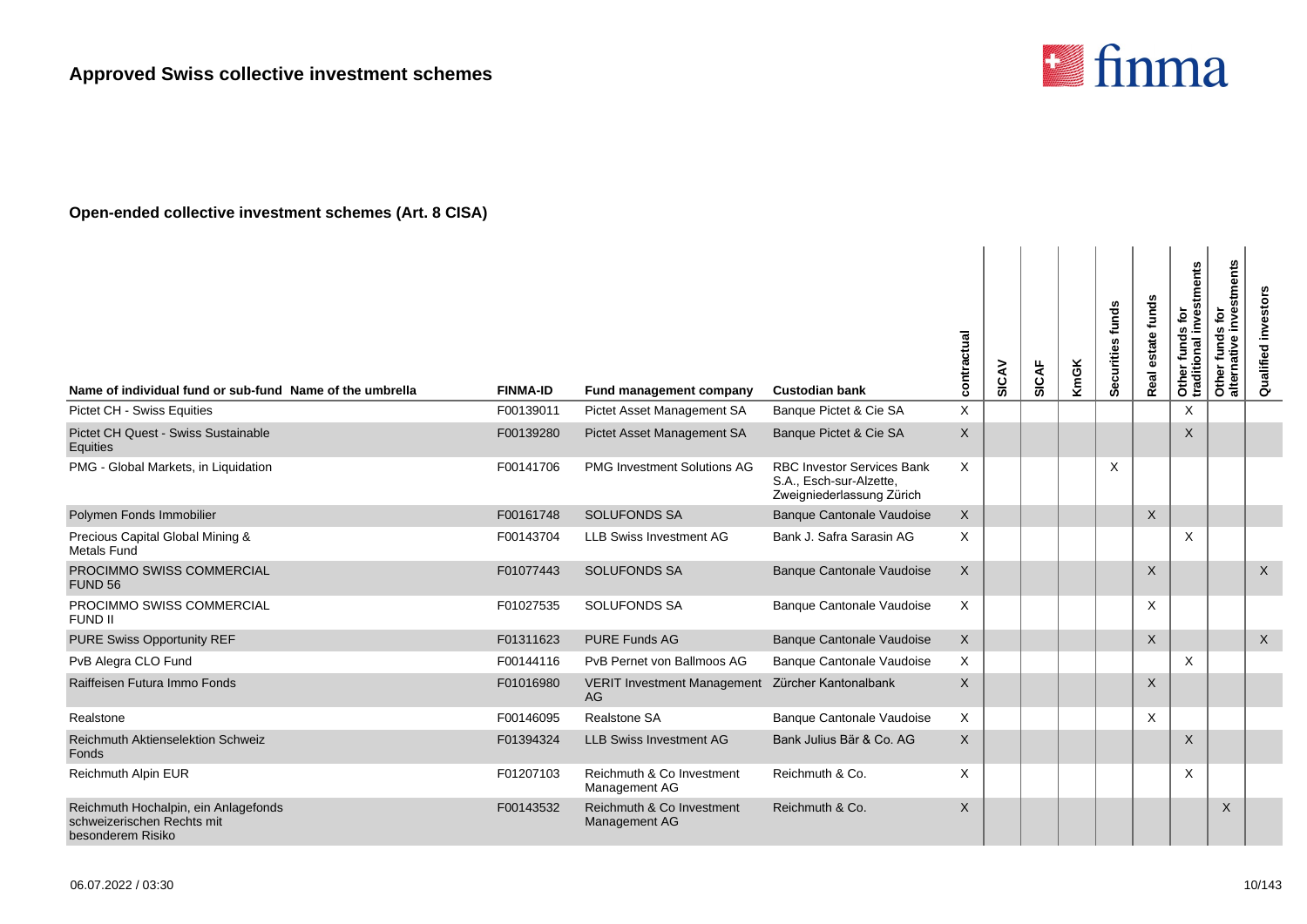

| Name of individual fund or sub-fund Name of the umbrella                                | <b>FINMA-ID</b> | Fund management company                                | <b>Custodian bank</b>                                                                     | contractual  | SICAV | <b>SICAF</b> | <b>KmGK</b> | Securities funds | Real estate funds | <b>1s for</b><br>investments<br>Other funds<br>traditional i | investments<br>Other funds for<br>alternative inves | investor<br>Qualified |
|-----------------------------------------------------------------------------------------|-----------------|--------------------------------------------------------|-------------------------------------------------------------------------------------------|--------------|-------|--------------|-------------|------------------|-------------------|--------------------------------------------------------------|-----------------------------------------------------|-----------------------|
| Pictet CH - Swiss Equities                                                              | F00139011       | Pictet Asset Management SA                             | Banque Pictet & Cie SA                                                                    | X            |       |              |             |                  |                   | X                                                            |                                                     |                       |
| Pictet CH Quest - Swiss Sustainable<br>Equities                                         | F00139280       | Pictet Asset Management SA                             | Banque Pictet & Cie SA                                                                    | $\times$     |       |              |             |                  |                   | $\sf X$                                                      |                                                     |                       |
| PMG - Global Markets, in Liquidation                                                    | F00141706       | <b>PMG Investment Solutions AG</b>                     | <b>RBC Investor Services Bank</b><br>S.A., Esch-sur-Alzette.<br>Zweigniederlassung Zürich | X            |       |              |             | X                |                   |                                                              |                                                     |                       |
| Polymen Fonds Immobilier                                                                | F00161748       | <b>SOLUFONDS SA</b>                                    | <b>Banque Cantonale Vaudoise</b>                                                          | X            |       |              |             |                  | $\mathsf{X}$      |                                                              |                                                     |                       |
| Precious Capital Global Mining &<br><b>Metals Fund</b>                                  | F00143704       | <b>LLB Swiss Investment AG</b>                         | Bank J. Safra Sarasin AG                                                                  | X            |       |              |             |                  |                   | $\times$                                                     |                                                     |                       |
| PROCIMMO SWISS COMMERCIAL<br>FUND <sub>56</sub>                                         | F01077443       | <b>SOLUFONDS SA</b>                                    | <b>Banque Cantonale Vaudoise</b>                                                          | $\mathsf{X}$ |       |              |             |                  | $\times$          |                                                              |                                                     | X                     |
| PROCIMMO SWISS COMMERCIAL<br>FUND II                                                    | F01027535       | <b>SOLUFONDS SA</b>                                    | Banque Cantonale Vaudoise                                                                 | X            |       |              |             |                  | $\times$          |                                                              |                                                     |                       |
| <b>PURE Swiss Opportunity REF</b>                                                       | F01311623       | <b>PURE Funds AG</b>                                   | <b>Banque Cantonale Vaudoise</b>                                                          | X            |       |              |             |                  | $\mathsf{X}$      |                                                              |                                                     | $\mathsf{X}$          |
| PvB Alegra CLO Fund                                                                     | F00144116       | PvB Pernet von Ballmoos AG                             | Banque Cantonale Vaudoise                                                                 | X            |       |              |             |                  |                   | $\times$                                                     |                                                     |                       |
| Raiffeisen Futura Immo Fonds                                                            | F01016980       | VERIT Investment Management Zürcher Kantonalbank<br>AG |                                                                                           | X            |       |              |             |                  | X                 |                                                              |                                                     |                       |
| Realstone                                                                               | F00146095       | <b>Realstone SA</b>                                    | Banque Cantonale Vaudoise                                                                 | X            |       |              |             |                  | $\times$          |                                                              |                                                     |                       |
| <b>Reichmuth Aktienselektion Schweiz</b><br>Fonds                                       | F01394324       | <b>LLB Swiss Investment AG</b>                         | Bank Julius Bär & Co. AG                                                                  | $\mathsf{X}$ |       |              |             |                  |                   | $\times$                                                     |                                                     |                       |
| Reichmuth Alpin EUR                                                                     | F01207103       | Reichmuth & Co Investment<br>Management AG             | Reichmuth & Co.                                                                           | X            |       |              |             |                  |                   | $\times$                                                     |                                                     |                       |
| Reichmuth Hochalpin, ein Anlagefonds<br>schweizerischen Rechts mit<br>besonderem Risiko | F00143532       | Reichmuth & Co Investment<br>Management AG             | Reichmuth & Co.                                                                           | X            |       |              |             |                  |                   |                                                              | $\times$                                            |                       |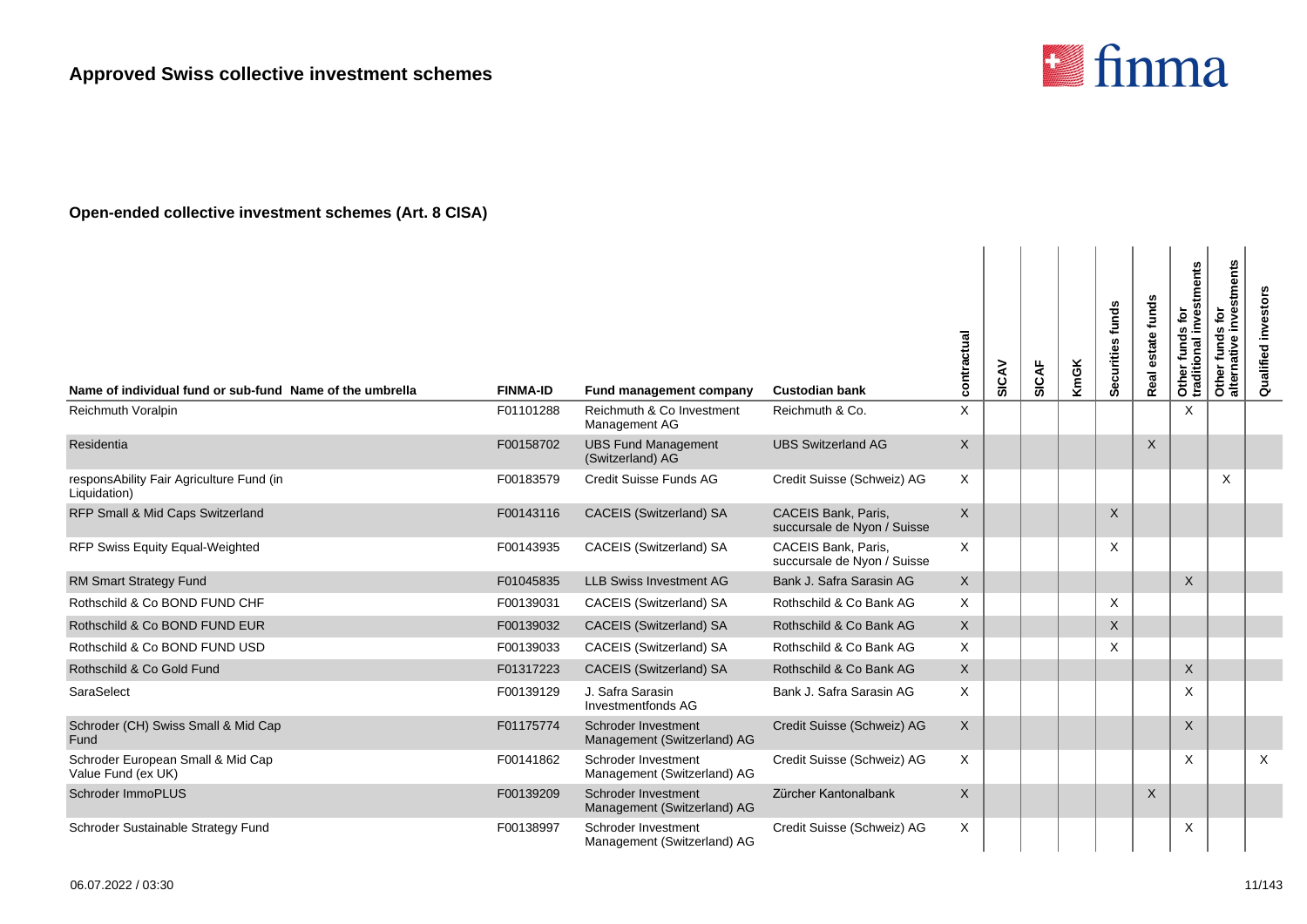

| Name of individual fund or sub-fund Name of the umbrella | <b>FINMA-ID</b> | Fund management company                            | <b>Custodian bank</b>                              | contractual  | SICAV | <b>SICAF</b> | KmGK | Securities funds | estate funds<br>Real | Other funds for<br>traditional investments | stments<br>$\tilde{\mathbf{e}}$<br>nve<br>funds<br>$\mathbf{\Phi}$<br>native<br>Other<br>alterna | investors<br>Qualified |
|----------------------------------------------------------|-----------------|----------------------------------------------------|----------------------------------------------------|--------------|-------|--------------|------|------------------|----------------------|--------------------------------------------|--------------------------------------------------------------------------------------------------|------------------------|
| Reichmuth Voralpin                                       | F01101288       | Reichmuth & Co Investment<br>Management AG         | Reichmuth & Co.                                    | X            |       |              |      |                  |                      | $\times$                                   |                                                                                                  |                        |
| Residentia                                               | F00158702       | <b>UBS Fund Management</b><br>(Switzerland) AG     | <b>UBS Switzerland AG</b>                          | $\times$     |       |              |      |                  | X                    |                                            |                                                                                                  |                        |
| responsAbility Fair Agriculture Fund (in<br>Liquidation) | F00183579       | Credit Suisse Funds AG                             | Credit Suisse (Schweiz) AG                         | $\times$     |       |              |      |                  |                      |                                            | $\times$                                                                                         |                        |
| RFP Small & Mid Caps Switzerland                         | F00143116       | CACEIS (Switzerland) SA                            | CACEIS Bank, Paris,<br>succursale de Nyon / Suisse | $\sf X$      |       |              |      | $\times$         |                      |                                            |                                                                                                  |                        |
| RFP Swiss Equity Equal-Weighted                          | F00143935       | CACEIS (Switzerland) SA                            | CACEIS Bank, Paris,<br>succursale de Nyon / Suisse | $\times$     |       |              |      | X                |                      |                                            |                                                                                                  |                        |
| RM Smart Strategy Fund                                   | F01045835       | <b>LLB Swiss Investment AG</b>                     | Bank J. Safra Sarasin AG                           | $\times$     |       |              |      |                  |                      | $\times$                                   |                                                                                                  |                        |
| Rothschild & Co BOND FUND CHF                            | F00139031       | CACEIS (Switzerland) SA                            | Rothschild & Co Bank AG                            | X            |       |              |      | X                |                      |                                            |                                                                                                  |                        |
| Rothschild & Co BOND FUND EUR                            | F00139032       | CACEIS (Switzerland) SA                            | Rothschild & Co Bank AG                            | $\times$     |       |              |      | $\mathsf{X}$     |                      |                                            |                                                                                                  |                        |
| Rothschild & Co BOND FUND USD                            | F00139033       | CACEIS (Switzerland) SA                            | Rothschild & Co Bank AG                            | X            |       |              |      | X                |                      |                                            |                                                                                                  |                        |
| Rothschild & Co Gold Fund                                | F01317223       | CACEIS (Switzerland) SA                            | Rothschild & Co Bank AG                            | $\mathsf{X}$ |       |              |      |                  |                      | X                                          |                                                                                                  |                        |
| SaraSelect                                               | F00139129       | J. Safra Sarasin<br>Investmentfonds AG             | Bank J. Safra Sarasin AG                           | $\times$     |       |              |      |                  |                      | X                                          |                                                                                                  |                        |
| Schroder (CH) Swiss Small & Mid Cap<br>Fund              | F01175774       | Schroder Investment<br>Management (Switzerland) AG | Credit Suisse (Schweiz) AG                         | $\times$     |       |              |      |                  |                      | $\mathsf{X}$                               |                                                                                                  |                        |
| Schroder European Small & Mid Cap<br>Value Fund (ex UK)  | F00141862       | Schroder Investment<br>Management (Switzerland) AG | Credit Suisse (Schweiz) AG                         | $\times$     |       |              |      |                  |                      | X                                          |                                                                                                  | $\times$               |
| Schroder ImmoPLUS                                        | F00139209       | Schroder Investment<br>Management (Switzerland) AG | Zürcher Kantonalbank                               | $\times$     |       |              |      |                  | X                    |                                            |                                                                                                  |                        |
| Schroder Sustainable Strategy Fund                       | F00138997       | Schroder Investment<br>Management (Switzerland) AG | Credit Suisse (Schweiz) AG                         | X            |       |              |      |                  |                      | Χ                                          |                                                                                                  |                        |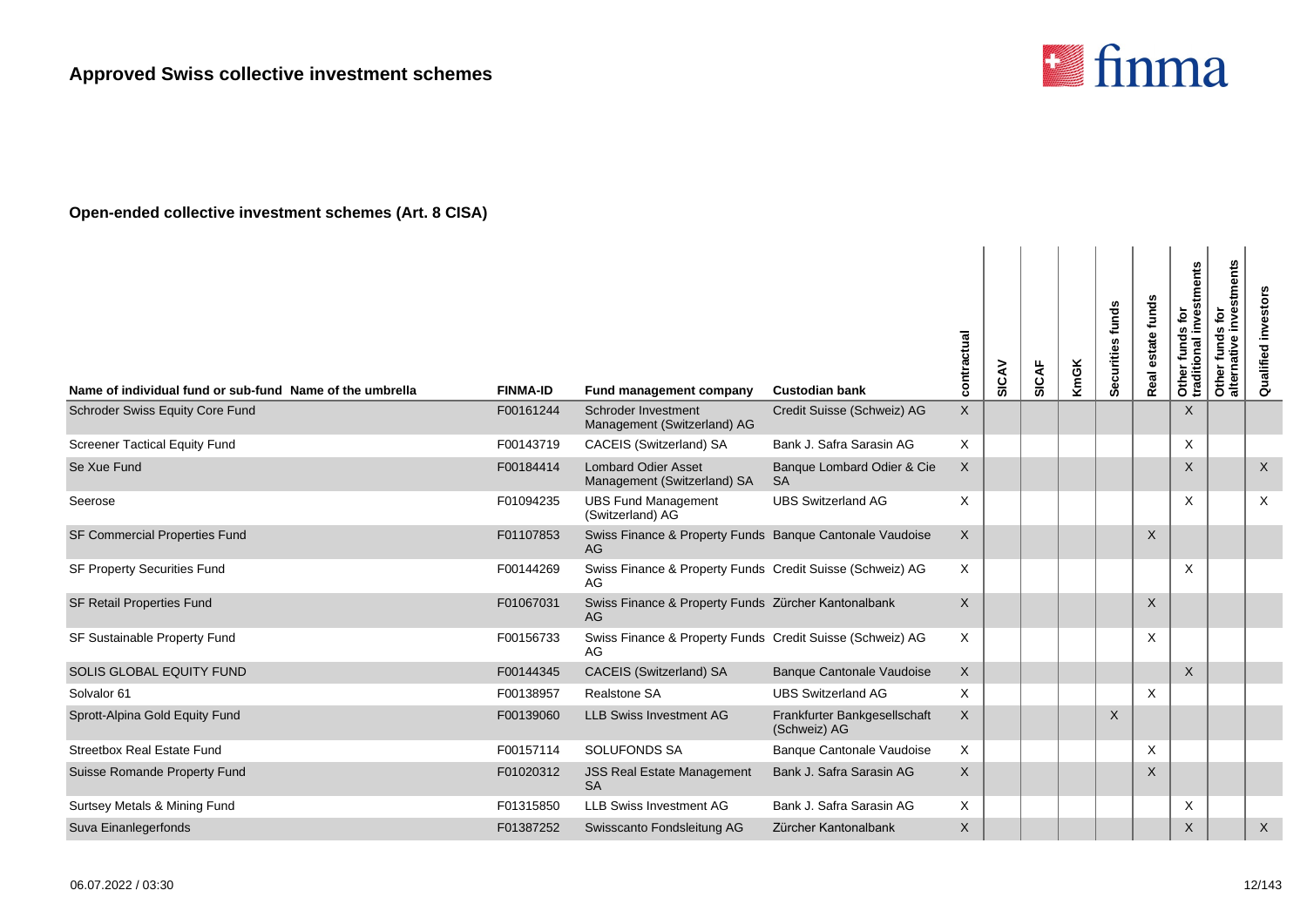

| Name of individual fund or sub-fund Name of the umbrella | <b>FINMA-ID</b> | Fund management company                                         | <b>Custodian bank</b>                        | contractual  | SICAV | SICAF | <b>KmGK</b> | Securities funds          | estate funds<br>Real | investments<br>ē<br>w<br>Other funds<br>traditional i | investments<br>Other funds for<br>native<br>alter | investors<br>Qualified |
|----------------------------------------------------------|-----------------|-----------------------------------------------------------------|----------------------------------------------|--------------|-------|-------|-------------|---------------------------|----------------------|-------------------------------------------------------|---------------------------------------------------|------------------------|
| Schroder Swiss Equity Core Fund                          | F00161244       | Schroder Investment<br>Management (Switzerland) AG              | Credit Suisse (Schweiz) AG                   | $\mathsf{X}$ |       |       |             |                           |                      | $\mathsf{X}$                                          |                                                   |                        |
| <b>Screener Tactical Equity Fund</b>                     | F00143719       | CACEIS (Switzerland) SA                                         | Bank J. Safra Sarasin AG                     | X            |       |       |             |                           |                      | X                                                     |                                                   |                        |
| Se Xue Fund                                              | F00184414       | <b>Lombard Odier Asset</b><br>Management (Switzerland) SA       | Banque Lombard Odier & Cie<br><b>SA</b>      | $\mathsf{X}$ |       |       |             |                           |                      | $\times$                                              |                                                   | $\mathsf{X}$           |
| Seerose                                                  | F01094235       | <b>UBS Fund Management</b><br>(Switzerland) AG                  | <b>UBS Switzerland AG</b>                    | X            |       |       |             |                           |                      | X                                                     |                                                   | X                      |
| SF Commercial Properties Fund                            | F01107853       | Swiss Finance & Property Funds Banque Cantonale Vaudoise<br>AG  |                                              | X            |       |       |             |                           | X                    |                                                       |                                                   |                        |
| SF Property Securities Fund                              | F00144269       | Swiss Finance & Property Funds Credit Suisse (Schweiz) AG<br>AG |                                              | X            |       |       |             |                           |                      | $\times$                                              |                                                   |                        |
| SF Retail Properties Fund                                | F01067031       | Swiss Finance & Property Funds Zürcher Kantonalbank<br>AG       |                                              | $\times$     |       |       |             |                           | $\times$             |                                                       |                                                   |                        |
| SF Sustainable Property Fund                             | F00156733       | Swiss Finance & Property Funds Credit Suisse (Schweiz) AG<br>AG |                                              | X            |       |       |             |                           | $\times$             |                                                       |                                                   |                        |
| <b>SOLIS GLOBAL EQUITY FUND</b>                          | F00144345       | <b>CACEIS (Switzerland) SA</b>                                  | <b>Banque Cantonale Vaudoise</b>             | $\mathsf{X}$ |       |       |             |                           |                      | $\mathsf{X}$                                          |                                                   |                        |
| Solvalor 61                                              | F00138957       | <b>Realstone SA</b>                                             | <b>UBS Switzerland AG</b>                    | X            |       |       |             |                           | $\times$             |                                                       |                                                   |                        |
| Sprott-Alpina Gold Equity Fund                           | F00139060       | <b>LLB Swiss Investment AG</b>                                  | Frankfurter Bankgesellschaft<br>(Schweiz) AG | $\mathsf{X}$ |       |       |             | $\boldsymbol{\mathsf{X}}$ |                      |                                                       |                                                   |                        |
| <b>Streetbox Real Estate Fund</b>                        | F00157114       | <b>SOLUFONDS SA</b>                                             | Banque Cantonale Vaudoise                    | X            |       |       |             |                           | X                    |                                                       |                                                   |                        |
| Suisse Romande Property Fund                             | F01020312       | <b>JSS Real Estate Management</b><br><b>SA</b>                  | Bank J. Safra Sarasin AG                     | X            |       |       |             |                           | X                    |                                                       |                                                   |                        |
| Surtsey Metals & Mining Fund                             | F01315850       | <b>LLB Swiss Investment AG</b>                                  | Bank J. Safra Sarasin AG                     | X            |       |       |             |                           |                      | Χ                                                     |                                                   |                        |
| Suva Einanlegerfonds                                     | F01387252       | Swisscanto Fondsleitung AG                                      | Zürcher Kantonalbank                         | $\mathsf X$  |       |       |             |                           |                      | X                                                     |                                                   | X                      |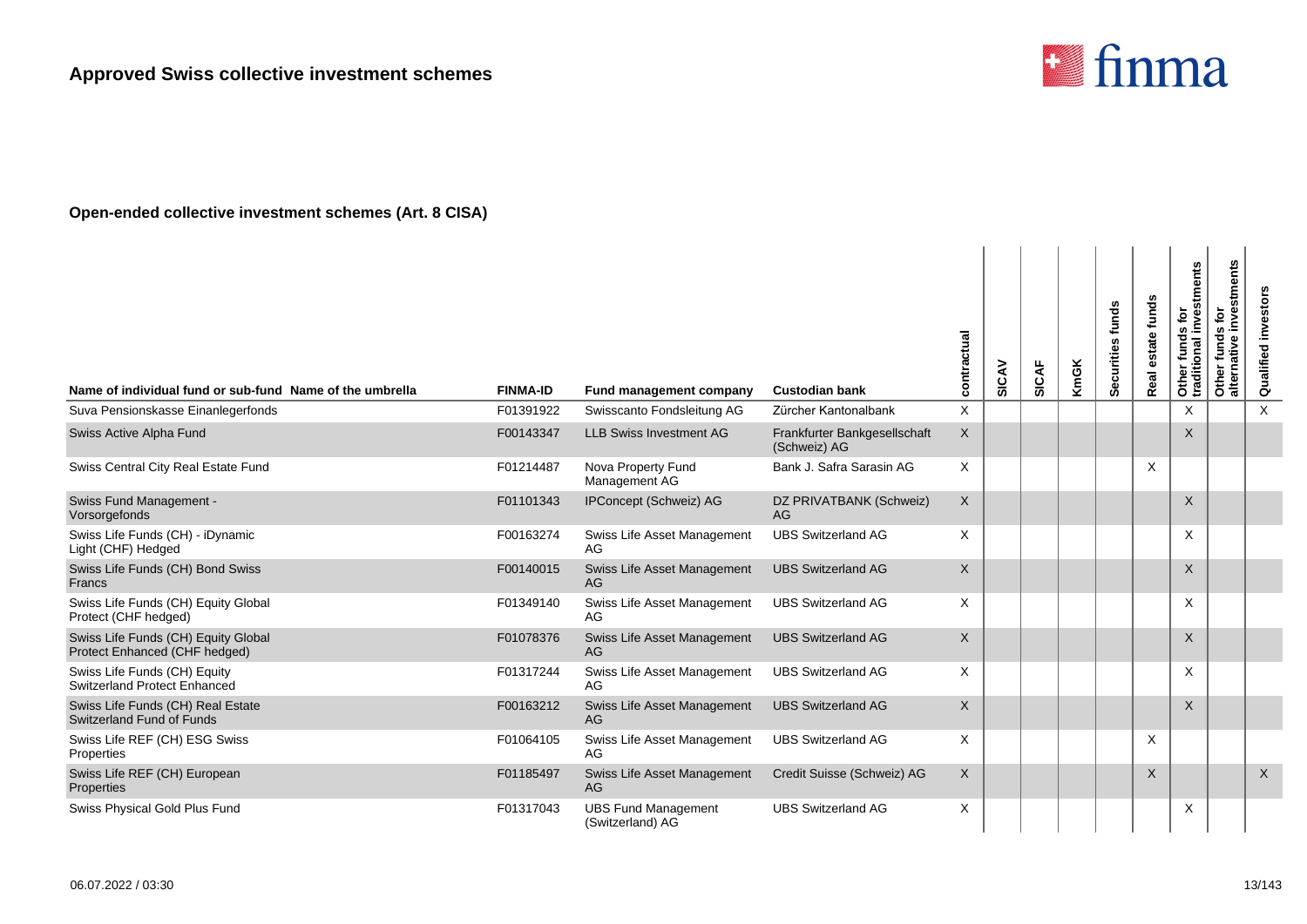

| Name of individual fund or sub-fund Name of the umbrella              | <b>FINMA-ID</b> | <b>Fund management company</b>                 | <b>Custodian bank</b>                        | contractual | SICAV | SICAF | <b>KmGK</b> | Securities funds | estate funds<br>Real | stments<br>inver<br>inver<br>Other funds<br>traditional i | investments<br>Other funds for<br>alternative inves | investors<br>Qualified |
|-----------------------------------------------------------------------|-----------------|------------------------------------------------|----------------------------------------------|-------------|-------|-------|-------------|------------------|----------------------|-----------------------------------------------------------|-----------------------------------------------------|------------------------|
| Suva Pensionskasse Einanlegerfonds                                    | F01391922       | Swisscanto Fondsleitung AG                     | Zürcher Kantonalbank                         | X.          |       |       |             |                  |                      | $\times$                                                  |                                                     | $\times$               |
| Swiss Active Alpha Fund                                               | F00143347       | <b>LLB Swiss Investment AG</b>                 | Frankfurter Bankgesellschaft<br>(Schweiz) AG | X           |       |       |             |                  |                      | X                                                         |                                                     |                        |
| Swiss Central City Real Estate Fund                                   | F01214487       | Nova Property Fund<br>Management AG            | Bank J. Safra Sarasin AG                     | X           |       |       |             |                  | $\times$             |                                                           |                                                     |                        |
| Swiss Fund Management -<br>Vorsorgefonds                              | F01101343       | IPConcept (Schweiz) AG                         | DZ PRIVATBANK (Schweiz)<br>AG                | X           |       |       |             |                  |                      | X                                                         |                                                     |                        |
| Swiss Life Funds (CH) - iDynamic<br>Light (CHF) Hedged                | F00163274       | Swiss Life Asset Management<br>AG              | <b>UBS Switzerland AG</b>                    | X           |       |       |             |                  |                      | X                                                         |                                                     |                        |
| Swiss Life Funds (CH) Bond Swiss<br>Francs                            | F00140015       | Swiss Life Asset Management<br>AG              | <b>UBS Switzerland AG</b>                    | X           |       |       |             |                  |                      | $\sf X$                                                   |                                                     |                        |
| Swiss Life Funds (CH) Equity Global<br>Protect (CHF hedged)           | F01349140       | Swiss Life Asset Management<br>AG              | <b>UBS Switzerland AG</b>                    | X           |       |       |             |                  |                      | X                                                         |                                                     |                        |
| Swiss Life Funds (CH) Equity Global<br>Protect Enhanced (CHF hedged)  | F01078376       | Swiss Life Asset Management<br>AG              | <b>UBS Switzerland AG</b>                    | X           |       |       |             |                  |                      | X                                                         |                                                     |                        |
| Swiss Life Funds (CH) Equity<br>Switzerland Protect Enhanced          | F01317244       | Swiss Life Asset Management<br>AG              | <b>UBS Switzerland AG</b>                    | X           |       |       |             |                  |                      | X                                                         |                                                     |                        |
| Swiss Life Funds (CH) Real Estate<br><b>Switzerland Fund of Funds</b> | F00163212       | Swiss Life Asset Management<br>AG              | <b>UBS Switzerland AG</b>                    | X           |       |       |             |                  |                      | $\times$                                                  |                                                     |                        |
| Swiss Life REF (CH) ESG Swiss<br>Properties                           | F01064105       | Swiss Life Asset Management<br>AG              | <b>UBS Switzerland AG</b>                    | X           |       |       |             |                  | $\times$             |                                                           |                                                     |                        |
| Swiss Life REF (CH) European<br>Properties                            | F01185497       | Swiss Life Asset Management<br>AG              | Credit Suisse (Schweiz) AG                   | X           |       |       |             |                  | $\times$             |                                                           |                                                     | $\mathsf{X}$           |
| Swiss Physical Gold Plus Fund                                         | F01317043       | <b>UBS Fund Management</b><br>(Switzerland) AG | <b>UBS Switzerland AG</b>                    | X           |       |       |             |                  |                      | X                                                         |                                                     |                        |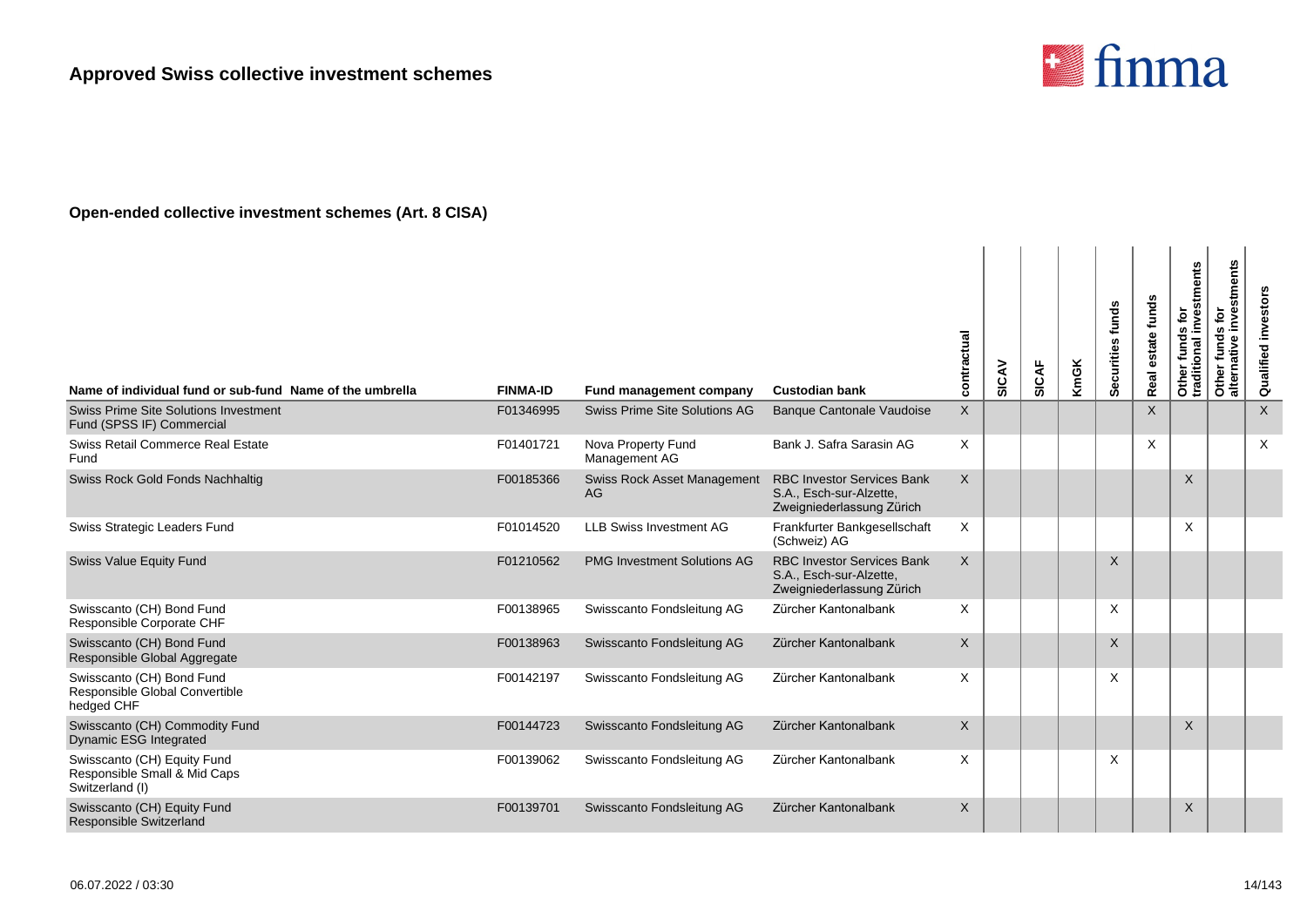

| Name of individual fund or sub-fund Name of the umbrella                       | <b>FINMA-ID</b> | Fund management company             | <b>Custodian bank</b>                                                                     | contractual  | SICAV | <b>SICAF</b> | KmGK | Securities funds | estate funds<br>Real | ds for<br>linvestments<br>tōr<br>Other funds<br>traditional i | investments<br>Other funds for<br>alternative inves | investors<br>Qualified |
|--------------------------------------------------------------------------------|-----------------|-------------------------------------|-------------------------------------------------------------------------------------------|--------------|-------|--------------|------|------------------|----------------------|---------------------------------------------------------------|-----------------------------------------------------|------------------------|
| <b>Swiss Prime Site Solutions Investment</b><br>Fund (SPSS IF) Commercial      | F01346995       | Swiss Prime Site Solutions AG       | <b>Banque Cantonale Vaudoise</b>                                                          | $\mathsf{X}$ |       |              |      |                  | $\times$             |                                                               |                                                     | $\mathsf{X}$           |
| Swiss Retail Commerce Real Estate<br>Fund                                      | F01401721       | Nova Property Fund<br>Management AG | Bank J. Safra Sarasin AG                                                                  | X            |       |              |      |                  | $\times$             |                                                               |                                                     | X                      |
| Swiss Rock Gold Fonds Nachhaltig                                               | F00185366       | Swiss Rock Asset Management<br>AG   | <b>RBC Investor Services Bank</b><br>S.A., Esch-sur-Alzette,<br>Zweigniederlassung Zürich | X            |       |              |      |                  |                      | $\times$                                                      |                                                     |                        |
| Swiss Strategic Leaders Fund                                                   | F01014520       | <b>LLB Swiss Investment AG</b>      | Frankfurter Bankgesellschaft<br>(Schweiz) AG                                              | X            |       |              |      |                  |                      | $\times$                                                      |                                                     |                        |
| <b>Swiss Value Equity Fund</b>                                                 | F01210562       | <b>PMG Investment Solutions AG</b>  | <b>RBC Investor Services Bank</b><br>S.A., Esch-sur-Alzette,<br>Zweigniederlassung Zürich | X            |       |              |      | $\times$         |                      |                                                               |                                                     |                        |
| Swisscanto (CH) Bond Fund<br>Responsible Corporate CHF                         | F00138965       | Swisscanto Fondsleitung AG          | Zürcher Kantonalbank                                                                      | X            |       |              |      | X                |                      |                                                               |                                                     |                        |
| Swisscanto (CH) Bond Fund<br>Responsible Global Aggregate                      | F00138963       | Swisscanto Fondsleitung AG          | Zürcher Kantonalbank                                                                      | X            |       |              |      | $\times$         |                      |                                                               |                                                     |                        |
| Swisscanto (CH) Bond Fund<br>Responsible Global Convertible<br>hedged CHF      | F00142197       | Swisscanto Fondsleitung AG          | Zürcher Kantonalbank                                                                      | X            |       |              |      | X                |                      |                                                               |                                                     |                        |
| Swisscanto (CH) Commodity Fund<br>Dynamic ESG Integrated                       | F00144723       | Swisscanto Fondsleitung AG          | Zürcher Kantonalbank                                                                      | $\sf X$      |       |              |      |                  |                      | $\times$                                                      |                                                     |                        |
| Swisscanto (CH) Equity Fund<br>Responsible Small & Mid Caps<br>Switzerland (I) | F00139062       | Swisscanto Fondsleitung AG          | Zürcher Kantonalbank                                                                      | X            |       |              |      | X                |                      |                                                               |                                                     |                        |
| Swisscanto (CH) Equity Fund<br><b>Responsible Switzerland</b>                  | F00139701       | Swisscanto Fondsleitung AG          | Zürcher Kantonalbank                                                                      | X            |       |              |      |                  |                      | X                                                             |                                                     |                        |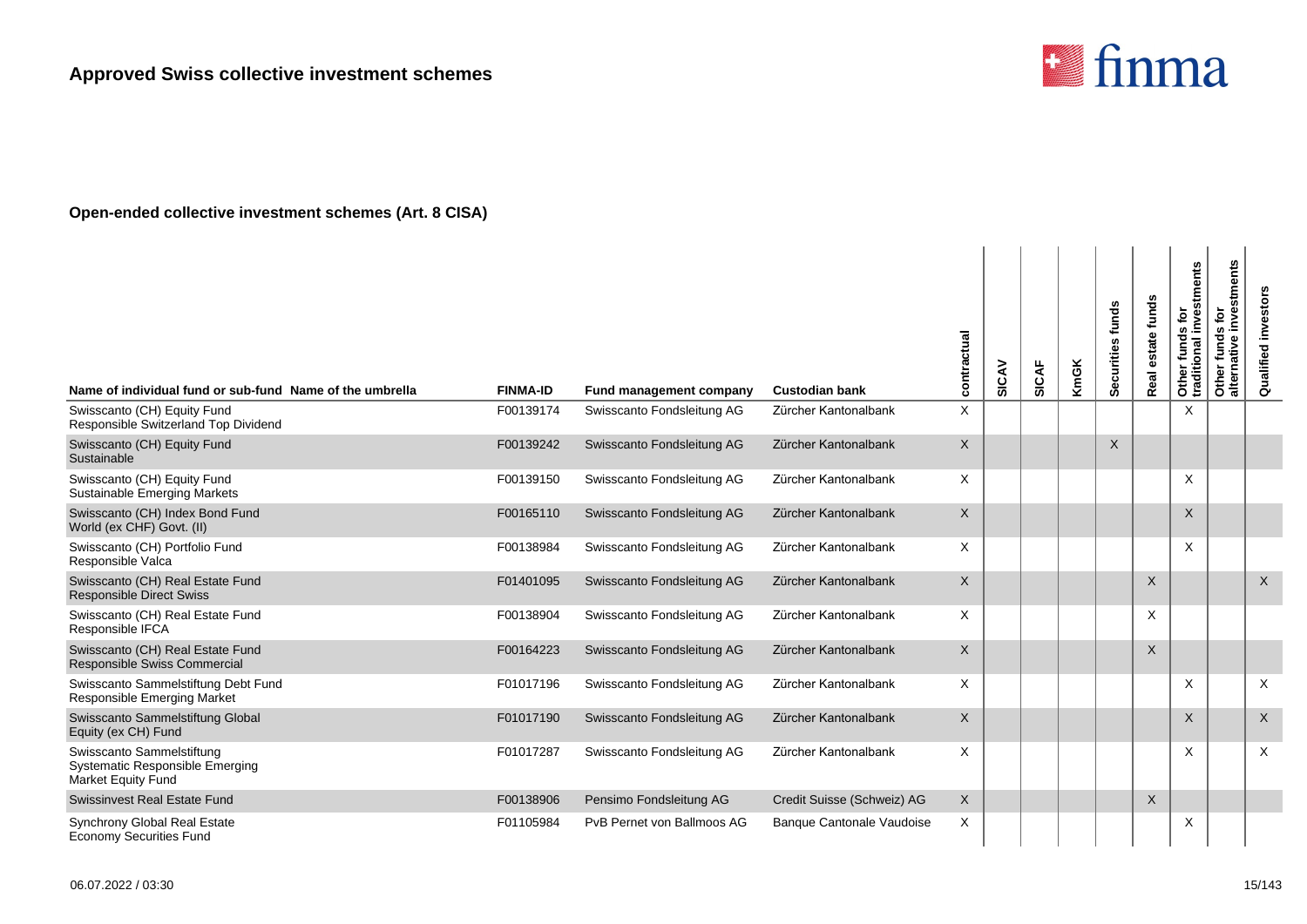

| Name of individual fund or sub-fund Name of the umbrella                                  | <b>FINMA-ID</b> | Fund management company    | <b>Custodian bank</b>            | contractual  | SICAV | SICAF | <b>KmGK</b> | Securities funds | estate funds<br>Real | Other funds for<br>traditional investments | investments<br>Other funds for<br>alternative inves | Qualified investors |
|-------------------------------------------------------------------------------------------|-----------------|----------------------------|----------------------------------|--------------|-------|-------|-------------|------------------|----------------------|--------------------------------------------|-----------------------------------------------------|---------------------|
| Swisscanto (CH) Equity Fund<br>Responsible Switzerland Top Dividend                       | F00139174       | Swisscanto Fondsleitung AG | Zürcher Kantonalbank             | X            |       |       |             |                  |                      | $\times$                                   |                                                     |                     |
| Swisscanto (CH) Equity Fund<br>Sustainable                                                | F00139242       | Swisscanto Fondsleitung AG | Zürcher Kantonalbank             | X            |       |       |             | X                |                      |                                            |                                                     |                     |
| Swisscanto (CH) Equity Fund<br><b>Sustainable Emerging Markets</b>                        | F00139150       | Swisscanto Fondsleitung AG | Zürcher Kantonalbank             | X            |       |       |             |                  |                      | $\times$                                   |                                                     |                     |
| Swisscanto (CH) Index Bond Fund<br>World (ex CHF) Govt. (II)                              | F00165110       | Swisscanto Fondsleitung AG | Zürcher Kantonalbank             | X            |       |       |             |                  |                      | $\times$                                   |                                                     |                     |
| Swisscanto (CH) Portfolio Fund<br>Responsible Valca                                       | F00138984       | Swisscanto Fondsleitung AG | Zürcher Kantonalbank             | X            |       |       |             |                  |                      | X                                          |                                                     |                     |
| Swisscanto (CH) Real Estate Fund<br><b>Responsible Direct Swiss</b>                       | F01401095       | Swisscanto Fondsleitung AG | Zürcher Kantonalbank             | $\mathsf{X}$ |       |       |             |                  | $\times$             |                                            |                                                     | $\mathsf{X}$        |
| Swisscanto (CH) Real Estate Fund<br>Responsible IFCA                                      | F00138904       | Swisscanto Fondsleitung AG | Zürcher Kantonalbank             | X            |       |       |             |                  | X                    |                                            |                                                     |                     |
| Swisscanto (CH) Real Estate Fund<br>Responsible Swiss Commercial                          | F00164223       | Swisscanto Fondsleitung AG | Zürcher Kantonalbank             | X            |       |       |             |                  | X                    |                                            |                                                     |                     |
| Swisscanto Sammelstiftung Debt Fund<br><b>Responsible Emerging Market</b>                 | F01017196       | Swisscanto Fondsleitung AG | Zürcher Kantonalbank             | X            |       |       |             |                  |                      | X                                          |                                                     | X                   |
| Swisscanto Sammelstiftung Global<br>Equity (ex CH) Fund                                   | F01017190       | Swisscanto Fondsleitung AG | Zürcher Kantonalbank             | X            |       |       |             |                  |                      | X                                          |                                                     | $\mathsf{X}$        |
| Swisscanto Sammelstiftung<br>Systematic Responsible Emerging<br><b>Market Equity Fund</b> | F01017287       | Swisscanto Fondsleitung AG | Zürcher Kantonalbank             | X            |       |       |             |                  |                      | X                                          |                                                     | X                   |
| <b>Swissinvest Real Estate Fund</b>                                                       | F00138906       | Pensimo Fondsleitung AG    | Credit Suisse (Schweiz) AG       | X            |       |       |             |                  | $\times$             |                                            |                                                     |                     |
| <b>Synchrony Global Real Estate</b><br><b>Economy Securities Fund</b>                     | F01105984       | PvB Pernet von Ballmoos AG | <b>Banque Cantonale Vaudoise</b> | X            |       |       |             |                  |                      | X                                          |                                                     |                     |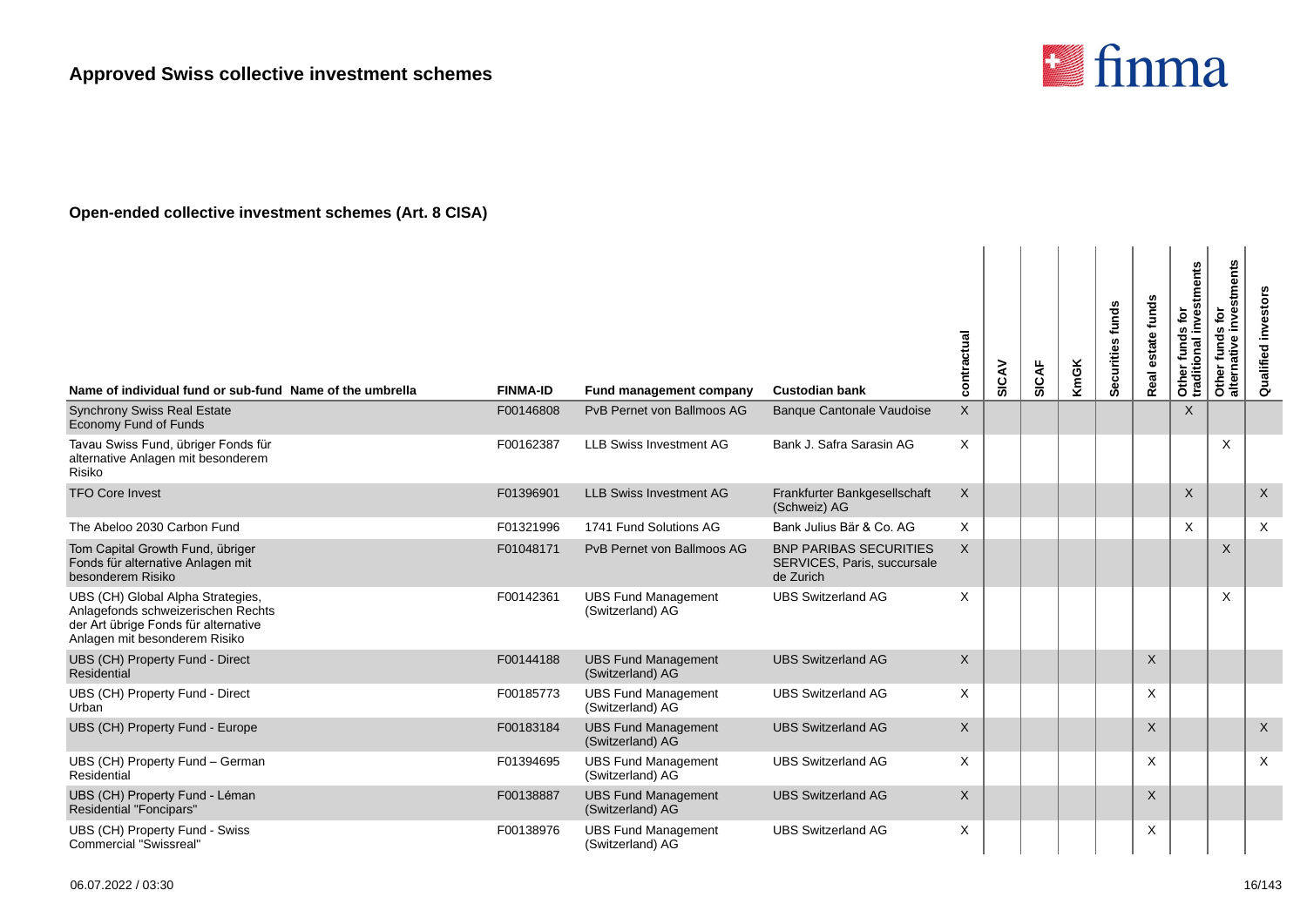

| Name of individual fund or sub-fund Name of the umbrella                                                                                         | <b>FINMA-ID</b> | Fund management company                        | <b>Custodian bank</b>                                                     | contractual  | SICAV | SICAF | <b>KmGK</b> | Securities funds | estate funds<br>Real | Other funds for<br>traditional investments | investments<br>Other funds for<br>alternative inves | <b>Qualified investors</b> |
|--------------------------------------------------------------------------------------------------------------------------------------------------|-----------------|------------------------------------------------|---------------------------------------------------------------------------|--------------|-------|-------|-------------|------------------|----------------------|--------------------------------------------|-----------------------------------------------------|----------------------------|
| <b>Synchrony Swiss Real Estate</b><br>Economy Fund of Funds                                                                                      | F00146808       | PvB Pernet von Ballmoos AG                     | <b>Banque Cantonale Vaudoise</b>                                          | $\mathsf{X}$ |       |       |             |                  |                      | $\mathsf{X}$                               |                                                     |                            |
| Tavau Swiss Fund, übriger Fonds für<br>alternative Anlagen mit besonderem<br>Risiko                                                              | F00162387       | <b>LLB Swiss Investment AG</b>                 | Bank J. Safra Sarasin AG                                                  | X            |       |       |             |                  |                      |                                            | X                                                   |                            |
| <b>TFO Core Invest</b>                                                                                                                           | F01396901       | <b>LLB Swiss Investment AG</b>                 | Frankfurter Bankgesellschaft<br>(Schweiz) AG                              | $\mathsf{X}$ |       |       |             |                  |                      | $\times$                                   |                                                     | $\mathsf{X}$               |
| The Abeloo 2030 Carbon Fund                                                                                                                      | F01321996       | 1741 Fund Solutions AG                         | Bank Julius Bär & Co. AG                                                  | X            |       |       |             |                  |                      | X                                          |                                                     | $\times$                   |
| Tom Capital Growth Fund, übriger<br>Fonds für alternative Anlagen mit<br>besonderem Risiko                                                       | F01048171       | PvB Pernet von Ballmoos AG                     | <b>BNP PARIBAS SECURITIES</b><br>SERVICES, Paris, succursale<br>de Zurich | $\mathsf{X}$ |       |       |             |                  |                      |                                            | X                                                   |                            |
| UBS (CH) Global Alpha Strategies,<br>Anlagefonds schweizerischen Rechts<br>der Art übrige Fonds für alternative<br>Anlagen mit besonderem Risiko | F00142361       | <b>UBS Fund Management</b><br>(Switzerland) AG | <b>UBS Switzerland AG</b>                                                 | X            |       |       |             |                  |                      |                                            | X                                                   |                            |
| UBS (CH) Property Fund - Direct<br>Residential                                                                                                   | F00144188       | <b>UBS Fund Management</b><br>(Switzerland) AG | <b>UBS Switzerland AG</b>                                                 | $\mathsf{X}$ |       |       |             |                  | $\times$             |                                            |                                                     |                            |
| UBS (CH) Property Fund - Direct<br>Urban                                                                                                         | F00185773       | <b>UBS Fund Management</b><br>(Switzerland) AG | <b>UBS Switzerland AG</b>                                                 | $\times$     |       |       |             |                  | X                    |                                            |                                                     |                            |
| UBS (CH) Property Fund - Europe                                                                                                                  | F00183184       | <b>UBS Fund Management</b><br>(Switzerland) AG | <b>UBS Switzerland AG</b>                                                 | X            |       |       |             |                  | $\mathsf{X}$         |                                            |                                                     | $\mathsf X$                |
| UBS (CH) Property Fund - German<br>Residential                                                                                                   | F01394695       | <b>UBS Fund Management</b><br>(Switzerland) AG | <b>UBS Switzerland AG</b>                                                 | X            |       |       |             |                  | X                    |                                            |                                                     | $\times$                   |
| UBS (CH) Property Fund - Léman<br><b>Residential "Foncipars"</b>                                                                                 | F00138887       | <b>UBS Fund Management</b><br>(Switzerland) AG | <b>UBS Switzerland AG</b>                                                 | $\mathsf{X}$ |       |       |             |                  | $\times$             |                                            |                                                     |                            |
| UBS (CH) Property Fund - Swiss<br><b>Commercial "Swissreal"</b>                                                                                  | F00138976       | <b>UBS Fund Management</b><br>(Switzerland) AG | <b>UBS Switzerland AG</b>                                                 | X            |       |       |             |                  | X                    |                                            |                                                     |                            |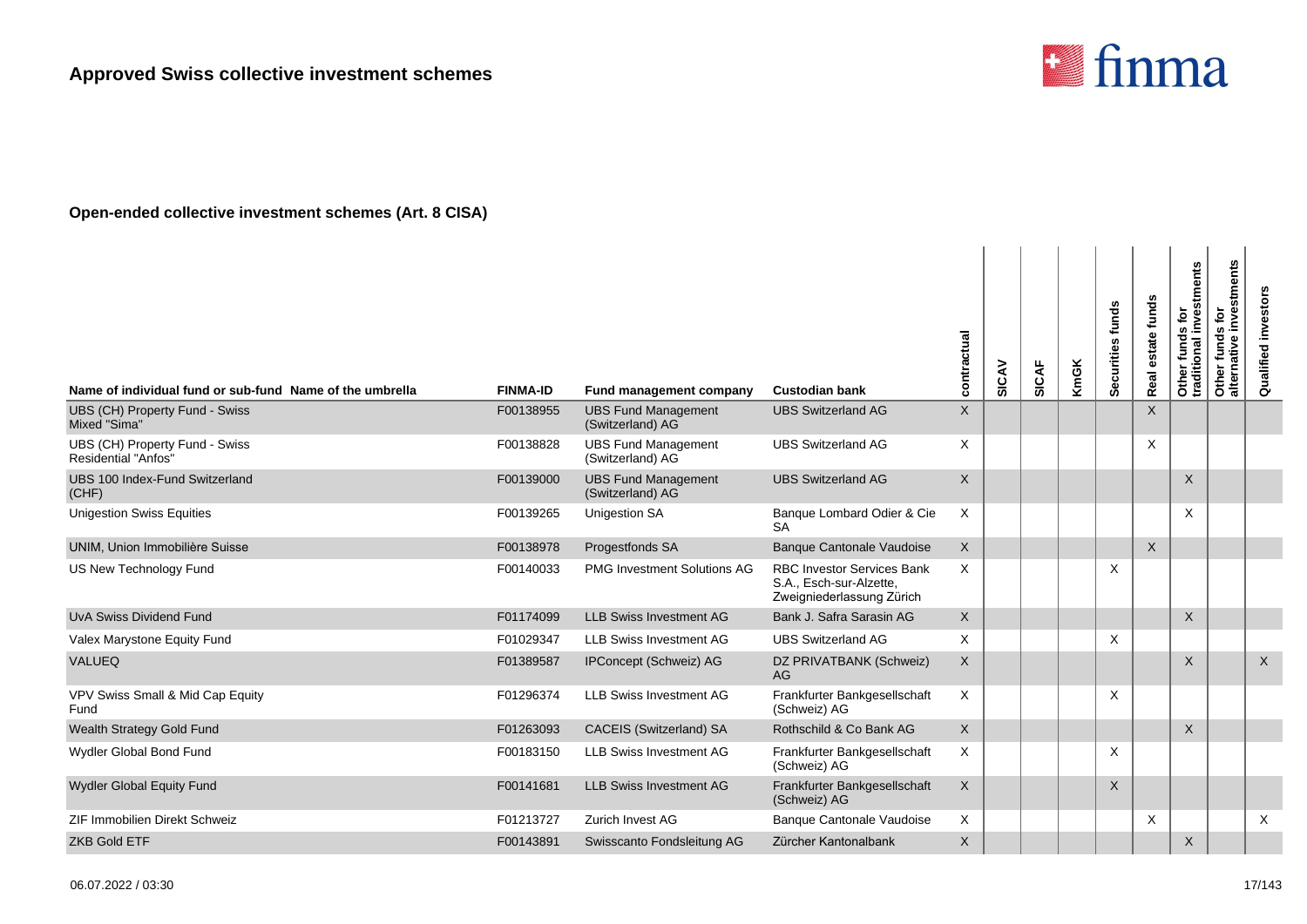

| Name of individual fund or sub-fund Name of the umbrella | <b>FINMA-ID</b> | Fund management company                        | <b>Custodian bank</b>                                                                     | contractual | SICAV | <b>SICAF</b> | <b>KmGK</b> | Securities funds | estate funds<br>Real | Other funds for<br>traditional investments | Other funds for<br>alternative investments | Qualified investors |
|----------------------------------------------------------|-----------------|------------------------------------------------|-------------------------------------------------------------------------------------------|-------------|-------|--------------|-------------|------------------|----------------------|--------------------------------------------|--------------------------------------------|---------------------|
| UBS (CH) Property Fund - Swiss<br>Mixed "Sima"           | F00138955       | <b>UBS Fund Management</b><br>(Switzerland) AG | <b>UBS Switzerland AG</b>                                                                 | $\mathsf X$ |       |              |             |                  | $\times$             |                                            |                                            |                     |
| UBS (CH) Property Fund - Swiss<br>Residential "Anfos"    | F00138828       | <b>UBS Fund Management</b><br>(Switzerland) AG | <b>UBS Switzerland AG</b>                                                                 | X           |       |              |             |                  | $\times$             |                                            |                                            |                     |
| UBS 100 Index-Fund Switzerland<br>(CHF)                  | F00139000       | <b>UBS Fund Management</b><br>(Switzerland) AG | <b>UBS Switzerland AG</b>                                                                 | X           |       |              |             |                  |                      | X                                          |                                            |                     |
| <b>Unigestion Swiss Equities</b>                         | F00139265       | <b>Unigestion SA</b>                           | Banque Lombard Odier & Cie<br>SA                                                          | X           |       |              |             |                  |                      | X                                          |                                            |                     |
| UNIM, Union Immobilière Suisse                           | F00138978       | Progestfonds SA                                | <b>Banque Cantonale Vaudoise</b>                                                          | X           |       |              |             |                  | $\sf X$              |                                            |                                            |                     |
| US New Technology Fund                                   | F00140033       | <b>PMG Investment Solutions AG</b>             | <b>RBC Investor Services Bank</b><br>S.A., Esch-sur-Alzette,<br>Zweigniederlassung Zürich | X           |       |              |             | X                |                      |                                            |                                            |                     |
| <b>UvA Swiss Dividend Fund</b>                           | F01174099       | <b>LLB Swiss Investment AG</b>                 | Bank J. Safra Sarasin AG                                                                  | X           |       |              |             |                  |                      | $\mathsf{X}$                               |                                            |                     |
| Valex Marystone Equity Fund                              | F01029347       | <b>LLB Swiss Investment AG</b>                 | <b>UBS Switzerland AG</b>                                                                 | X           |       |              |             | X                |                      |                                            |                                            |                     |
| <b>VALUEQ</b>                                            | F01389587       | IPConcept (Schweiz) AG                         | DZ PRIVATBANK (Schweiz)<br>AG                                                             | X           |       |              |             |                  |                      | $\mathsf{X}$                               |                                            | $\mathsf{X}$        |
| VPV Swiss Small & Mid Cap Equity<br>Fund                 | F01296374       | <b>LLB Swiss Investment AG</b>                 | Frankfurter Bankgesellschaft<br>(Schweiz) AG                                              | X           |       |              |             | X                |                      |                                            |                                            |                     |
| Wealth Strategy Gold Fund                                | F01263093       | <b>CACEIS (Switzerland) SA</b>                 | Rothschild & Co Bank AG                                                                   | $\times$    |       |              |             |                  |                      | $\times$                                   |                                            |                     |
| Wydler Global Bond Fund                                  | F00183150       | <b>LLB Swiss Investment AG</b>                 | Frankfurter Bankgesellschaft<br>(Schweiz) AG                                              | X           |       |              |             | X                |                      |                                            |                                            |                     |
| Wydler Global Equity Fund                                | F00141681       | <b>LLB Swiss Investment AG</b>                 | Frankfurter Bankgesellschaft<br>(Schweiz) AG                                              | $\mathsf X$ |       |              |             | $\mathsf X$      |                      |                                            |                                            |                     |
| ZIF Immobilien Direkt Schweiz                            | F01213727       | Zurich Invest AG                               | Banque Cantonale Vaudoise                                                                 | Χ           |       |              |             |                  | $\times$             |                                            |                                            | X                   |
| <b>ZKB Gold ETF</b>                                      | F00143891       | Swisscanto Fondsleitung AG                     | Zürcher Kantonalbank                                                                      | X           |       |              |             |                  |                      | X                                          |                                            |                     |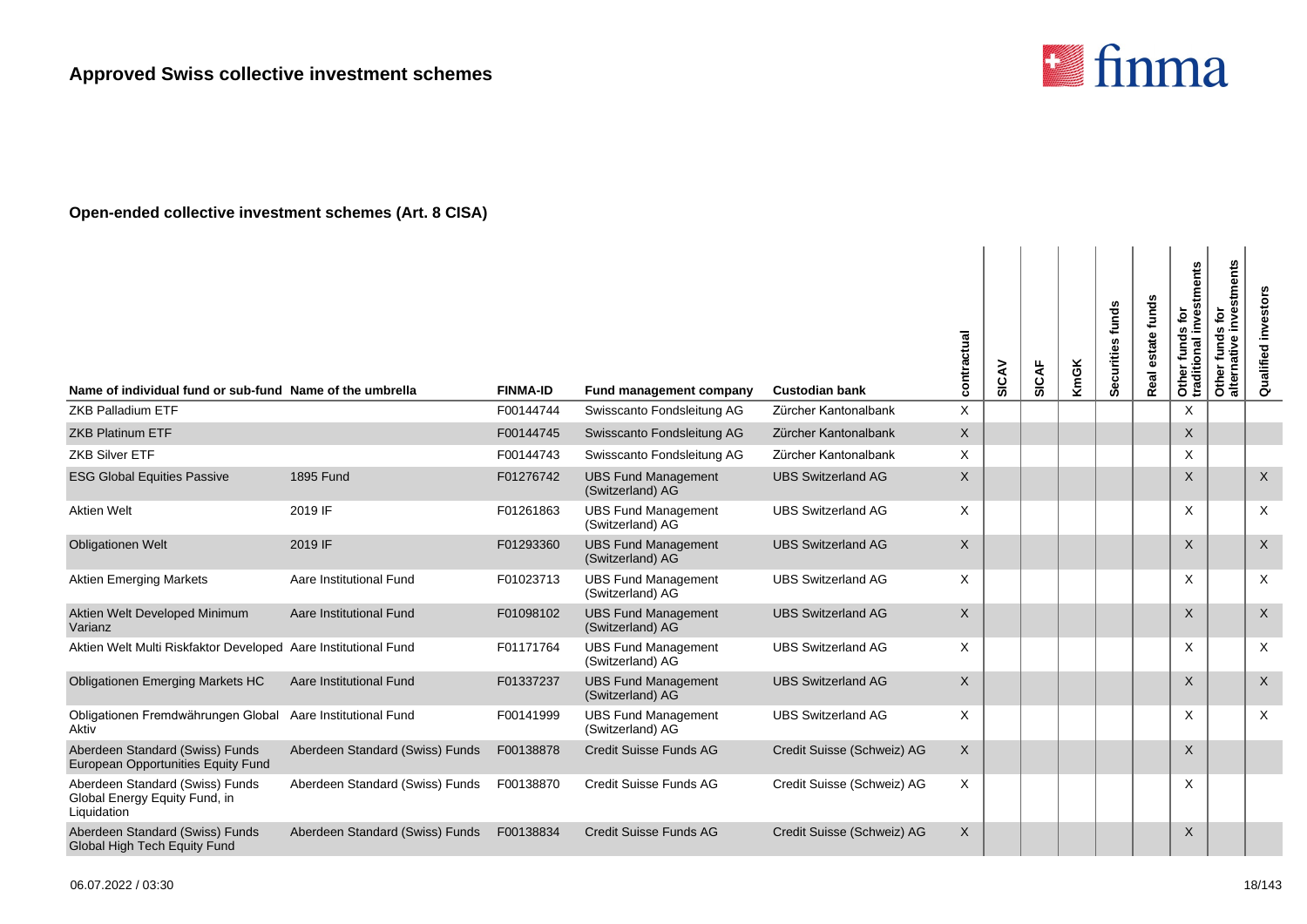

| Name of individual fund or sub-fund Name of the umbrella                        |                                 | <b>FINMA-ID</b> | Fund management company                        | <b>Custodian bank</b>      | contractual  | SICAV | SICAF | <b>KmGK</b> | Securities funds | estate funds<br>Real | Other funds for<br>traditional investments | investments<br>Other funds for<br>alternative inves | Qualified investors |
|---------------------------------------------------------------------------------|---------------------------------|-----------------|------------------------------------------------|----------------------------|--------------|-------|-------|-------------|------------------|----------------------|--------------------------------------------|-----------------------------------------------------|---------------------|
| <b>ZKB Palladium ETF</b>                                                        |                                 | F00144744       | Swisscanto Fondsleitung AG                     | Zürcher Kantonalbank       | X            |       |       |             |                  |                      | X                                          |                                                     |                     |
| <b>ZKB Platinum ETF</b>                                                         |                                 | F00144745       | Swisscanto Fondsleitung AG                     | Zürcher Kantonalbank       | X            |       |       |             |                  |                      | X                                          |                                                     |                     |
| <b>ZKB Silver ETF</b>                                                           |                                 | F00144743       | Swisscanto Fondsleitung AG                     | Zürcher Kantonalbank       | X            |       |       |             |                  |                      | X                                          |                                                     |                     |
| <b>ESG Global Equities Passive</b>                                              | <b>1895 Fund</b>                | F01276742       | <b>UBS Fund Management</b><br>(Switzerland) AG | <b>UBS Switzerland AG</b>  | $\mathsf{X}$ |       |       |             |                  |                      | X                                          |                                                     | $\mathsf{X}$        |
| <b>Aktien Welt</b>                                                              | 2019 IF                         | F01261863       | <b>UBS Fund Management</b><br>(Switzerland) AG | <b>UBS Switzerland AG</b>  | X            |       |       |             |                  |                      | X                                          |                                                     | X                   |
| <b>Obligationen Welt</b>                                                        | 2019 IF                         | F01293360       | <b>UBS Fund Management</b><br>(Switzerland) AG | <b>UBS Switzerland AG</b>  | X            |       |       |             |                  |                      | $\times$                                   |                                                     | $\mathsf{X}$        |
| <b>Aktien Emerging Markets</b>                                                  | Aare Institutional Fund         | F01023713       | <b>UBS Fund Management</b><br>(Switzerland) AG | <b>UBS Switzerland AG</b>  | X            |       |       |             |                  |                      | X                                          |                                                     | X                   |
| Aktien Welt Developed Minimum<br>Varianz                                        | Aare Institutional Fund         | F01098102       | <b>UBS Fund Management</b><br>(Switzerland) AG | <b>UBS Switzerland AG</b>  | $\mathsf{X}$ |       |       |             |                  |                      | X                                          |                                                     | $\times$            |
| Aktien Welt Multi Riskfaktor Developed Aare Institutional Fund                  |                                 | F01171764       | <b>UBS Fund Management</b><br>(Switzerland) AG | <b>UBS Switzerland AG</b>  | X            |       |       |             |                  |                      | X                                          |                                                     | X                   |
| <b>Obligationen Emerging Markets HC</b>                                         | Aare Institutional Fund         | F01337237       | <b>UBS Fund Management</b><br>(Switzerland) AG | <b>UBS Switzerland AG</b>  | $\mathsf{X}$ |       |       |             |                  |                      | X                                          |                                                     | $\times$            |
| Obligationen Fremdwährungen Global Aare Institutional Fund<br>Aktiv             |                                 | F00141999       | <b>UBS Fund Management</b><br>(Switzerland) AG | <b>UBS Switzerland AG</b>  | X            |       |       |             |                  |                      | X                                          |                                                     | X                   |
| Aberdeen Standard (Swiss) Funds<br>European Opportunities Equity Fund           | Aberdeen Standard (Swiss) Funds | F00138878       | <b>Credit Suisse Funds AG</b>                  | Credit Suisse (Schweiz) AG | X            |       |       |             |                  |                      | X                                          |                                                     |                     |
| Aberdeen Standard (Swiss) Funds<br>Global Energy Equity Fund, in<br>Liquidation | Aberdeen Standard (Swiss) Funds | F00138870       | Credit Suisse Funds AG                         | Credit Suisse (Schweiz) AG | X            |       |       |             |                  |                      | X                                          |                                                     |                     |
| Aberdeen Standard (Swiss) Funds<br>Global High Tech Equity Fund                 | Aberdeen Standard (Swiss) Funds | F00138834       | <b>Credit Suisse Funds AG</b>                  | Credit Suisse (Schweiz) AG | X            |       |       |             |                  |                      | X                                          |                                                     |                     |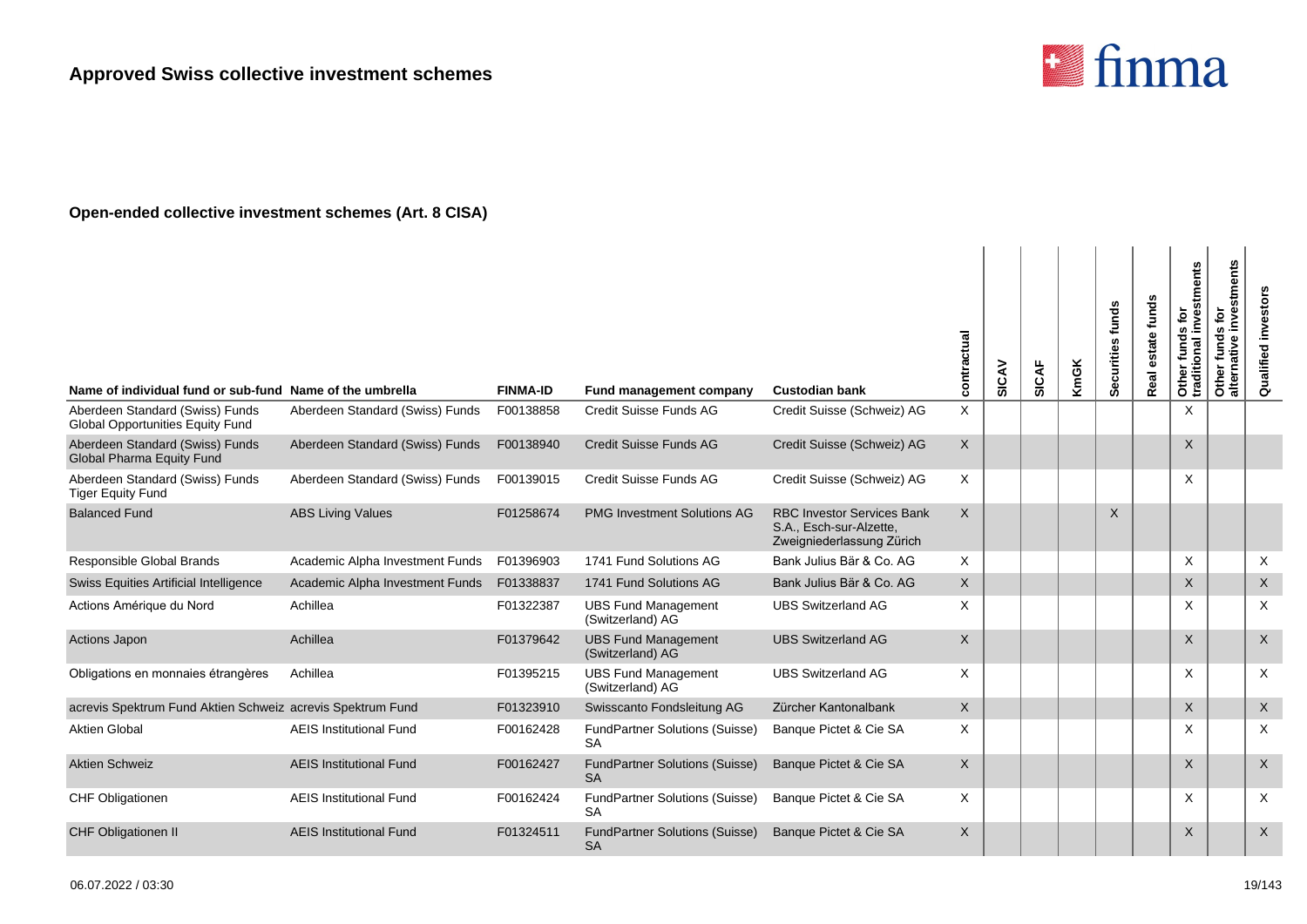

| Name of individual fund or sub-fund Name of the umbrella                   |                                 | <b>FINMA-ID</b> | Fund management company                            | <b>Custodian bank</b>                                                                     | actual<br>contr | SICAV | <b>SICAF</b> | <b>KmGK</b> | Securities funds | estate funds<br>Real | Other funds for<br>traditional investments | investments<br>$\mathbf{\tilde{e}}$<br>funds<br>native<br>Other<br>alterna | investors<br>Qualified    |
|----------------------------------------------------------------------------|---------------------------------|-----------------|----------------------------------------------------|-------------------------------------------------------------------------------------------|-----------------|-------|--------------|-------------|------------------|----------------------|--------------------------------------------|----------------------------------------------------------------------------|---------------------------|
| Aberdeen Standard (Swiss) Funds<br><b>Global Opportunities Equity Fund</b> | Aberdeen Standard (Swiss) Funds | F00138858       | Credit Suisse Funds AG                             | Credit Suisse (Schweiz) AG                                                                | X               |       |              |             |                  |                      | X                                          |                                                                            |                           |
| Aberdeen Standard (Swiss) Funds<br>Global Pharma Equity Fund               | Aberdeen Standard (Swiss) Funds | F00138940       | Credit Suisse Funds AG                             | Credit Suisse (Schweiz) AG                                                                | $\times$        |       |              |             |                  |                      | X                                          |                                                                            |                           |
| Aberdeen Standard (Swiss) Funds<br><b>Tiger Equity Fund</b>                | Aberdeen Standard (Swiss) Funds | F00139015       | Credit Suisse Funds AG                             | Credit Suisse (Schweiz) AG                                                                | $\times$        |       |              |             |                  |                      | X                                          |                                                                            |                           |
| <b>Balanced Fund</b>                                                       | <b>ABS Living Values</b>        | F01258674       | <b>PMG Investment Solutions AG</b>                 | <b>RBC Investor Services Bank</b><br>S.A., Esch-sur-Alzette,<br>Zweigniederlassung Zürich | $\mathsf{X}$    |       |              |             | $\times$         |                      |                                            |                                                                            |                           |
| Responsible Global Brands                                                  | Academic Alpha Investment Funds | F01396903       | 1741 Fund Solutions AG                             | Bank Julius Bär & Co. AG                                                                  | $\times$        |       |              |             |                  |                      | X                                          |                                                                            | $\times$                  |
| Swiss Equities Artificial Intelligence                                     | Academic Alpha Investment Funds | F01338837       | 1741 Fund Solutions AG                             | Bank Julius Bär & Co. AG                                                                  | $\times$        |       |              |             |                  |                      | X                                          |                                                                            | $\mathsf{X}$              |
| Actions Amérique du Nord                                                   | Achillea                        | F01322387       | <b>UBS Fund Management</b><br>(Switzerland) AG     | <b>UBS Switzerland AG</b>                                                                 | X               |       |              |             |                  |                      | X                                          |                                                                            | $\times$                  |
| Actions Japon                                                              | Achillea                        | F01379642       | <b>UBS Fund Management</b><br>(Switzerland) AG     | <b>UBS Switzerland AG</b>                                                                 | $\mathsf{X}$    |       |              |             |                  |                      | X                                          |                                                                            | $\sf X$                   |
| Obligations en monnaies étrangères                                         | Achillea                        | F01395215       | <b>UBS Fund Management</b><br>(Switzerland) AG     | <b>UBS Switzerland AG</b>                                                                 | $\times$        |       |              |             |                  |                      | X                                          |                                                                            | $\times$                  |
| acrevis Spektrum Fund Aktien Schweiz acrevis Spektrum Fund                 |                                 | F01323910       | Swisscanto Fondsleitung AG                         | Zürcher Kantonalbank                                                                      | $\mathsf{X}$    |       |              |             |                  |                      | $\times$                                   |                                                                            | $\boldsymbol{\mathsf{X}}$ |
| <b>Aktien Global</b>                                                       | <b>AEIS Institutional Fund</b>  | F00162428       | <b>FundPartner Solutions (Suisse)</b><br><b>SA</b> | Banque Pictet & Cie SA                                                                    | $\times$        |       |              |             |                  |                      | X                                          |                                                                            | $\times$                  |
| <b>Aktien Schweiz</b>                                                      | <b>AEIS Institutional Fund</b>  | F00162427       | <b>FundPartner Solutions (Suisse)</b><br><b>SA</b> | Banque Pictet & Cie SA                                                                    | $\sf X$         |       |              |             |                  |                      | X                                          |                                                                            | $\times$                  |
| CHF Obligationen                                                           | <b>AEIS Institutional Fund</b>  | F00162424       | <b>FundPartner Solutions (Suisse)</b><br><b>SA</b> | Banque Pictet & Cie SA                                                                    | $\times$        |       |              |             |                  |                      | X                                          |                                                                            | $\times$                  |
| CHF Obligationen II                                                        | <b>AEIS Institutional Fund</b>  | F01324511       | <b>FundPartner Solutions (Suisse)</b><br><b>SA</b> | Banque Pictet & Cie SA                                                                    | $\mathsf{X}$    |       |              |             |                  |                      | X                                          |                                                                            | $\mathsf X$               |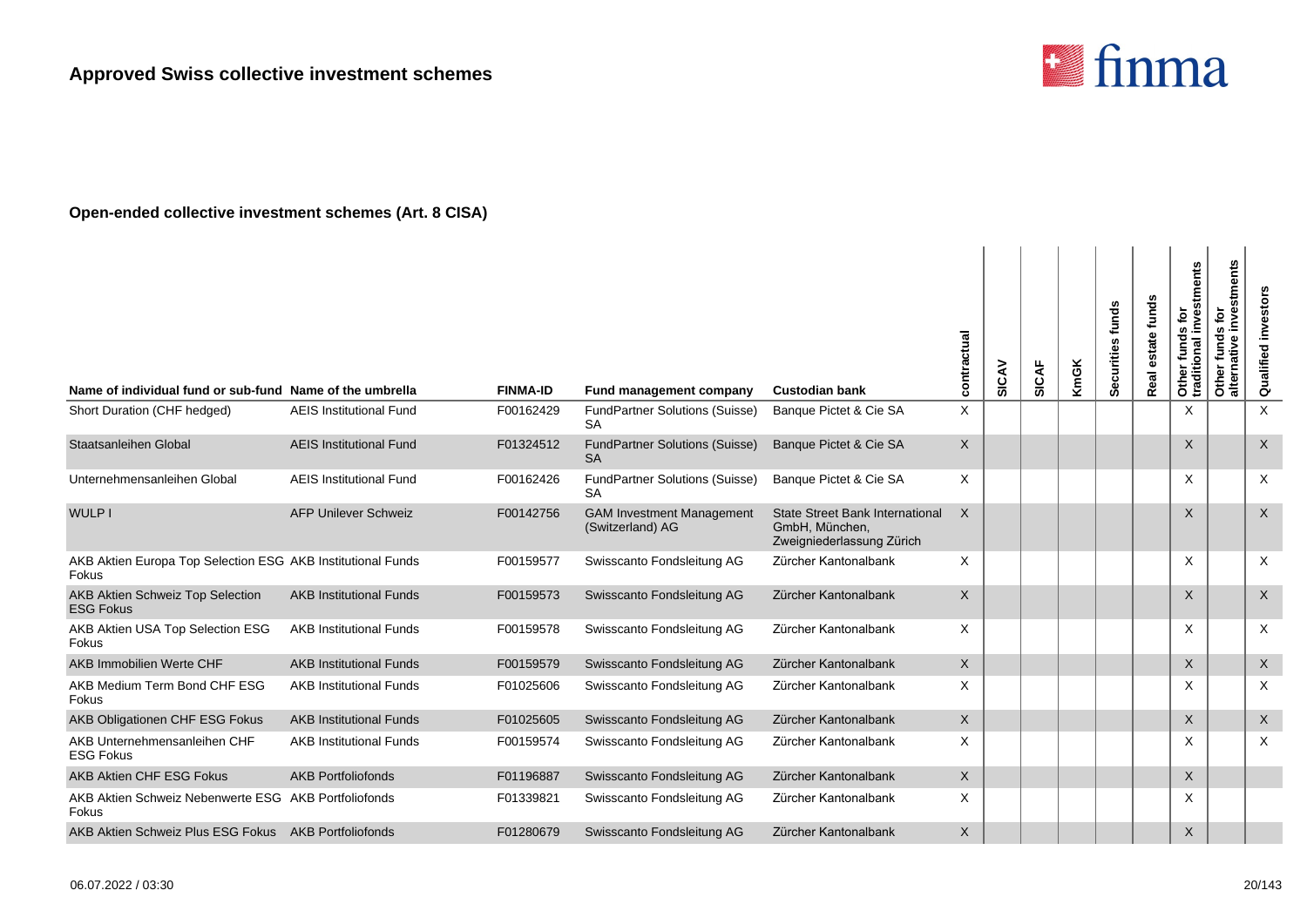

| Name of individual fund or sub-fund Name of the umbrella             |                                | <b>FINMA-ID</b> | Fund management company                              | <b>Custodian bank</b>                                                                 | contractual  | SICAV | SICAF | KmGK | Securities funds | estate funds<br>Real | Other funds for<br>traditional investments | investments<br>funds for<br>Other funds<br>alternative | Qualified investors |
|----------------------------------------------------------------------|--------------------------------|-----------------|------------------------------------------------------|---------------------------------------------------------------------------------------|--------------|-------|-------|------|------------------|----------------------|--------------------------------------------|--------------------------------------------------------|---------------------|
| Short Duration (CHF hedged)                                          | <b>AEIS Institutional Fund</b> | F00162429       | <b>FundPartner Solutions (Suisse)</b><br><b>SA</b>   | Banque Pictet & Cie SA                                                                | X            |       |       |      |                  |                      | X                                          |                                                        | $\times$            |
| Staatsanleihen Global                                                | <b>AEIS Institutional Fund</b> | F01324512       | <b>FundPartner Solutions (Suisse)</b><br>SA          | Banque Pictet & Cie SA                                                                | $\mathsf{X}$ |       |       |      |                  |                      | $\sf X$                                    |                                                        | $\mathsf X$         |
| Unternehmensanleihen Global                                          | <b>AEIS Institutional Fund</b> | F00162426       | <b>FundPartner Solutions (Suisse)</b><br>SA          | Banque Pictet & Cie SA                                                                | $\times$     |       |       |      |                  |                      | X                                          |                                                        | X                   |
| WULP I                                                               | <b>AFP Unilever Schweiz</b>    | F00142756       | <b>GAM Investment Management</b><br>(Switzerland) AG | <b>State Street Bank International</b><br>GmbH, München,<br>Zweigniederlassung Zürich | $\times$     |       |       |      |                  |                      | $\sf X$                                    |                                                        | $\times$            |
| AKB Aktien Europa Top Selection ESG AKB Institutional Funds<br>Fokus |                                | F00159577       | Swisscanto Fondsleitung AG                           | Zürcher Kantonalbank                                                                  | $\times$     |       |       |      |                  |                      | X                                          |                                                        | $\times$            |
| AKB Aktien Schweiz Top Selection<br><b>ESG Fokus</b>                 | <b>AKB Institutional Funds</b> | F00159573       | Swisscanto Fondsleitung AG                           | Zürcher Kantonalbank                                                                  | $\mathsf{X}$ |       |       |      |                  |                      | X                                          |                                                        | $\times$            |
| AKB Aktien USA Top Selection ESG<br>Fokus                            | <b>AKB Institutional Funds</b> | F00159578       | Swisscanto Fondsleitung AG                           | Zürcher Kantonalbank                                                                  | $\times$     |       |       |      |                  |                      | X                                          |                                                        | $\times$            |
| AKB Immobilien Werte CHF                                             | <b>AKB Institutional Funds</b> | F00159579       | Swisscanto Fondsleitung AG                           | Zürcher Kantonalbank                                                                  | $\mathsf{X}$ |       |       |      |                  |                      | X                                          |                                                        | $\mathsf{X}$        |
| AKB Medium Term Bond CHF ESG<br>Fokus                                | <b>AKB Institutional Funds</b> | F01025606       | Swisscanto Fondsleitung AG                           | Zürcher Kantonalbank                                                                  | $\mathsf{X}$ |       |       |      |                  |                      | X                                          |                                                        | $\times$            |
| AKB Obligationen CHF ESG Fokus                                       | <b>AKB Institutional Funds</b> | F01025605       | Swisscanto Fondsleitung AG                           | Zürcher Kantonalbank                                                                  | $\times$     |       |       |      |                  |                      | $\times$                                   |                                                        | $\mathsf{X}$        |
| AKB Unternehmensanleihen CHF<br><b>ESG Fokus</b>                     | <b>AKB Institutional Funds</b> | F00159574       | Swisscanto Fondsleitung AG                           | Zürcher Kantonalbank                                                                  | $\times$     |       |       |      |                  |                      | X                                          |                                                        | $\times$            |
| AKB Aktien CHF ESG Fokus                                             | <b>AKB Portfoliofonds</b>      | F01196887       | Swisscanto Fondsleitung AG                           | Zürcher Kantonalbank                                                                  | $\times$     |       |       |      |                  |                      | X                                          |                                                        |                     |
| AKB Aktien Schweiz Nebenwerte ESG AKB Portfoliofonds<br>Fokus        |                                | F01339821       | Swisscanto Fondsleitung AG                           | Zürcher Kantonalbank                                                                  | $\times$     |       |       |      |                  |                      | X                                          |                                                        |                     |
| AKB Aktien Schweiz Plus ESG Fokus AKB Portfoliofonds                 |                                | F01280679       | Swisscanto Fondsleitung AG                           | Zürcher Kantonalbank                                                                  | X            |       |       |      |                  |                      | X                                          |                                                        |                     |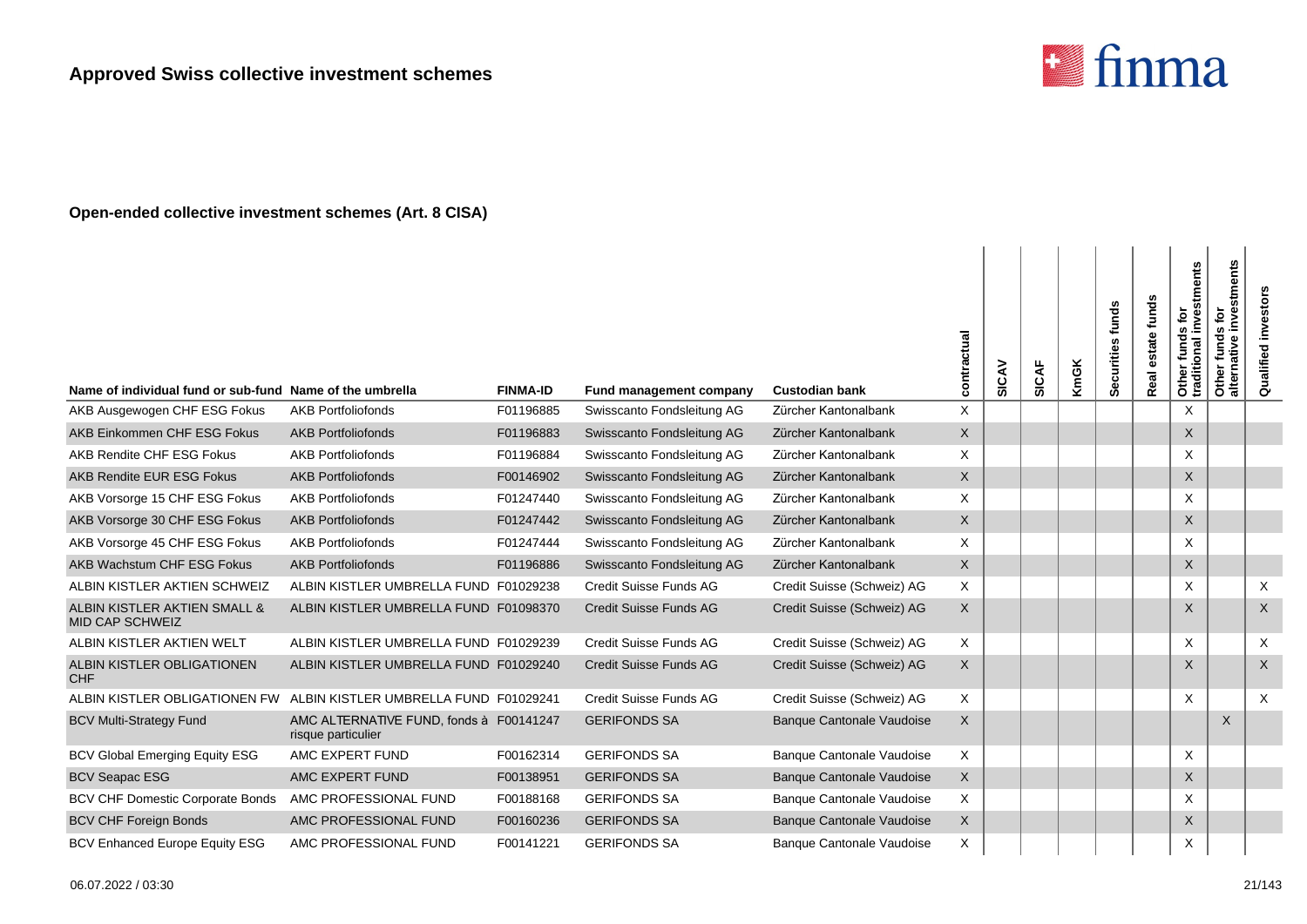

| Name of individual fund or sub-fund Name of the umbrella            |                                                               | <b>FINMA-ID</b> | Fund management company    | <b>Custodian bank</b>            | contractual  | SICAV | <b>SICAF</b> | KmGK | Securities funds | funds<br>state<br>Real | investments<br>흐<br>funds <sup>1</sup><br>Other funds<br>traditional i | stments<br>tor<br>inve<br>funds<br>$\mathbf{v}$<br>ā<br>Other<br>alterna | investors<br>Qualified |
|---------------------------------------------------------------------|---------------------------------------------------------------|-----------------|----------------------------|----------------------------------|--------------|-------|--------------|------|------------------|------------------------|------------------------------------------------------------------------|--------------------------------------------------------------------------|------------------------|
| AKB Ausgewogen CHF ESG Fokus                                        | <b>AKB Portfoliofonds</b>                                     | F01196885       | Swisscanto Fondsleitung AG | Zürcher Kantonalbank             | X            |       |              |      |                  |                        | X                                                                      |                                                                          |                        |
| AKB Einkommen CHF ESG Fokus                                         | <b>AKB Portfoliofonds</b>                                     | F01196883       | Swisscanto Fondsleitung AG | Zürcher Kantonalbank             | $\mathsf X$  |       |              |      |                  |                        | $\sf X$                                                                |                                                                          |                        |
| AKB Rendite CHF ESG Fokus                                           | <b>AKB Portfoliofonds</b>                                     | F01196884       | Swisscanto Fondsleitung AG | Zürcher Kantonalbank             | X            |       |              |      |                  |                        | X                                                                      |                                                                          |                        |
| AKB Rendite EUR ESG Fokus                                           | <b>AKB Portfoliofonds</b>                                     | F00146902       | Swisscanto Fondsleitung AG | Zürcher Kantonalbank             | $\mathsf{X}$ |       |              |      |                  |                        | X                                                                      |                                                                          |                        |
| AKB Vorsorge 15 CHF ESG Fokus                                       | <b>AKB Portfoliofonds</b>                                     | F01247440       | Swisscanto Fondsleitung AG | Zürcher Kantonalbank             | X            |       |              |      |                  |                        | $\times$                                                               |                                                                          |                        |
| AKB Vorsorge 30 CHF ESG Fokus                                       | <b>AKB Portfoliofonds</b>                                     | F01247442       | Swisscanto Fondsleitung AG | Zürcher Kantonalbank             | $\mathsf X$  |       |              |      |                  |                        | X                                                                      |                                                                          |                        |
| AKB Vorsorge 45 CHF ESG Fokus                                       | <b>AKB Portfoliofonds</b>                                     | F01247444       | Swisscanto Fondsleitung AG | Zürcher Kantonalbank             | X            |       |              |      |                  |                        | $\mathsf X$                                                            |                                                                          |                        |
| AKB Wachstum CHF ESG Fokus                                          | <b>AKB Portfoliofonds</b>                                     | F01196886       | Swisscanto Fondsleitung AG | Zürcher Kantonalbank             | X            |       |              |      |                  |                        | X                                                                      |                                                                          |                        |
| ALBIN KISTLER AKTIEN SCHWEIZ                                        | ALBIN KISTLER UMBRELLA FUND F01029238                         |                 | Credit Suisse Funds AG     | Credit Suisse (Schweiz) AG       | X            |       |              |      |                  |                        | X                                                                      |                                                                          | X                      |
| ALBIN KISTLER AKTIEN SMALL &<br><b>MID CAP SCHWEIZ</b>              | ALBIN KISTLER UMBRELLA FUND F01098370                         |                 | Credit Suisse Funds AG     | Credit Suisse (Schweiz) AG       | $\mathsf{X}$ |       |              |      |                  |                        | X                                                                      |                                                                          | $\mathsf{X}$           |
| ALBIN KISTLER AKTIEN WELT                                           | ALBIN KISTLER UMBRELLA FUND F01029239                         |                 | Credit Suisse Funds AG     | Credit Suisse (Schweiz) AG       | X            |       |              |      |                  |                        | X                                                                      |                                                                          | X                      |
| ALBIN KISTLER OBLIGATIONEN<br><b>CHF</b>                            | ALBIN KISTLER UMBRELLA FUND F01029240                         |                 | Credit Suisse Funds AG     | Credit Suisse (Schweiz) AG       | $\mathsf{X}$ |       |              |      |                  |                        | $\times$                                                               |                                                                          | $\mathsf{X}$           |
| ALBIN KISTLER OBLIGATIONEN FW ALBIN KISTLER UMBRELLA FUND F01029241 |                                                               |                 | Credit Suisse Funds AG     | Credit Suisse (Schweiz) AG       | $\times$     |       |              |      |                  |                        | X                                                                      |                                                                          | X                      |
| <b>BCV Multi-Strategy Fund</b>                                      | AMC ALTERNATIVE FUND, fonds à F00141247<br>risque particulier |                 | <b>GERIFONDS SA</b>        | <b>Banque Cantonale Vaudoise</b> | $\mathsf{X}$ |       |              |      |                  |                        |                                                                        | X                                                                        |                        |
| <b>BCV Global Emerging Equity ESG</b>                               | AMC EXPERT FUND                                               | F00162314       | <b>GERIFONDS SA</b>        | Banque Cantonale Vaudoise        | X            |       |              |      |                  |                        | X                                                                      |                                                                          |                        |
| <b>BCV Seapac ESG</b>                                               | AMC EXPERT FUND                                               | F00138951       | <b>GERIFONDS SA</b>        | <b>Banque Cantonale Vaudoise</b> | X            |       |              |      |                  |                        | X                                                                      |                                                                          |                        |
| <b>BCV CHF Domestic Corporate Bonds</b>                             | AMC PROFESSIONAL FUND                                         | F00188168       | <b>GERIFONDS SA</b>        | Banque Cantonale Vaudoise        | X            |       |              |      |                  |                        | X                                                                      |                                                                          |                        |
| <b>BCV CHF Foreign Bonds</b>                                        | AMC PROFESSIONAL FUND                                         | F00160236       | <b>GERIFONDS SA</b>        | <b>Banque Cantonale Vaudoise</b> | X            |       |              |      |                  |                        | X                                                                      |                                                                          |                        |
| <b>BCV Enhanced Europe Equity ESG</b>                               | AMC PROFESSIONAL FUND                                         | F00141221       | <b>GERIFONDS SA</b>        | <b>Banque Cantonale Vaudoise</b> | X            |       |              |      |                  |                        | X                                                                      |                                                                          |                        |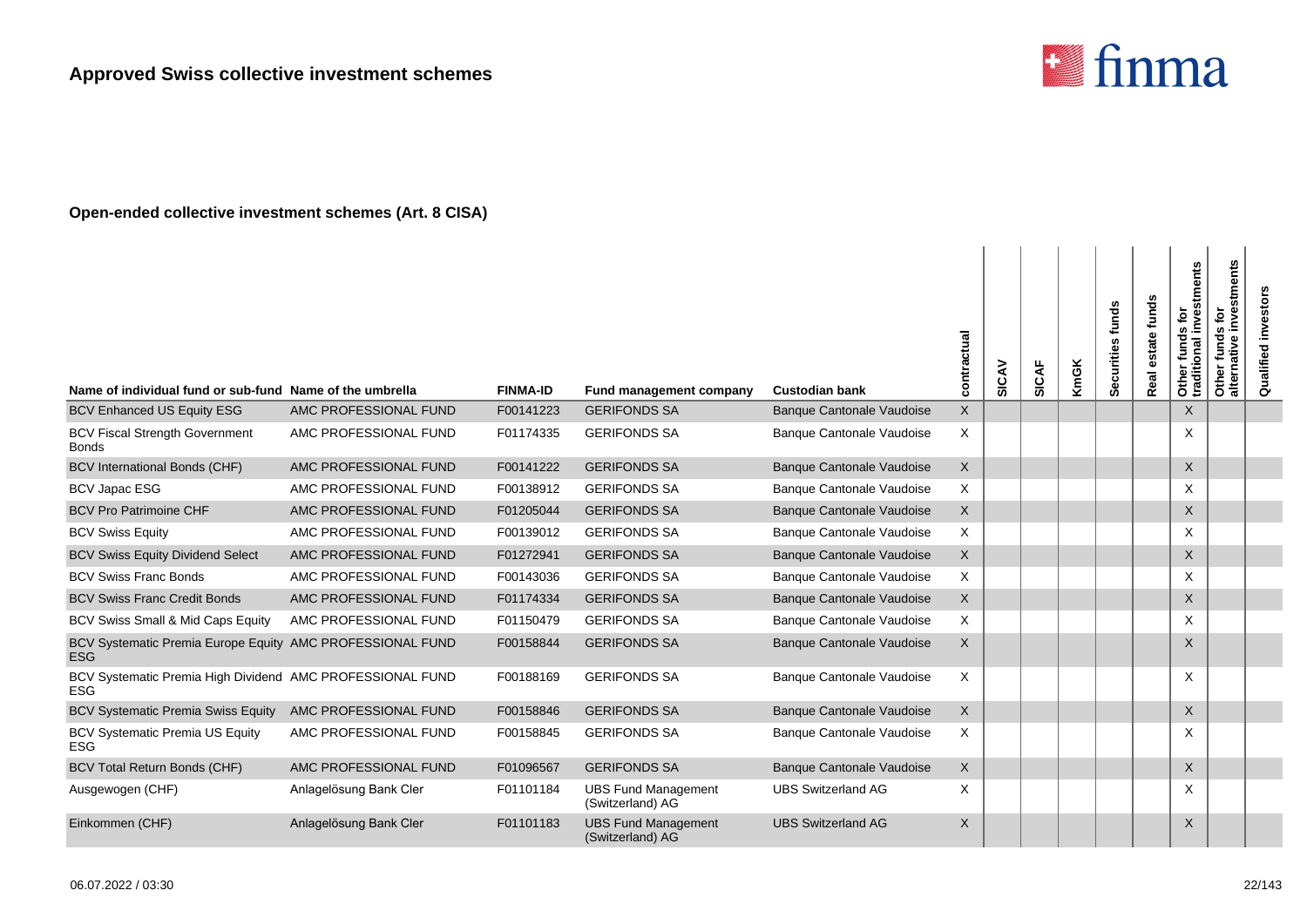

| Name of individual fund or sub-fund Name of the umbrella                |                        | <b>FINMA-ID</b> | Fund management company                        | <b>Custodian bank</b>            | contractual  | SICAV | SICAF | <b>KmGK</b> | Securities funds | funds<br>state<br>Real | Other funds for<br>traditional investments | estments<br>funds for<br>Š<br>ative<br>Other 1<br>alterna | investors<br>Qualified |
|-------------------------------------------------------------------------|------------------------|-----------------|------------------------------------------------|----------------------------------|--------------|-------|-------|-------------|------------------|------------------------|--------------------------------------------|-----------------------------------------------------------|------------------------|
| <b>BCV Enhanced US Equity ESG</b>                                       | AMC PROFESSIONAL FUND  | F00141223       | <b>GERIFONDS SA</b>                            | <b>Banque Cantonale Vaudoise</b> | X            |       |       |             |                  |                        | X                                          |                                                           |                        |
| <b>BCV Fiscal Strength Government</b><br><b>Bonds</b>                   | AMC PROFESSIONAL FUND  | F01174335       | <b>GERIFONDS SA</b>                            | Banque Cantonale Vaudoise        | X            |       |       |             |                  |                        | X                                          |                                                           |                        |
| <b>BCV International Bonds (CHF)</b>                                    | AMC PROFESSIONAL FUND  | F00141222       | <b>GERIFONDS SA</b>                            | <b>Banque Cantonale Vaudoise</b> | X            |       |       |             |                  |                        | $\mathsf{X}$                               |                                                           |                        |
| <b>BCV Japac ESG</b>                                                    | AMC PROFESSIONAL FUND  | F00138912       | <b>GERIFONDS SA</b>                            | Banque Cantonale Vaudoise        | X            |       |       |             |                  |                        | X                                          |                                                           |                        |
| <b>BCV Pro Patrimoine CHF</b>                                           | AMC PROFESSIONAL FUND  | F01205044       | <b>GERIFONDS SA</b>                            | <b>Banque Cantonale Vaudoise</b> | $\mathsf{X}$ |       |       |             |                  |                        | X                                          |                                                           |                        |
| <b>BCV Swiss Equity</b>                                                 | AMC PROFESSIONAL FUND  | F00139012       | <b>GERIFONDS SA</b>                            | <b>Banque Cantonale Vaudoise</b> | X            |       |       |             |                  |                        | X                                          |                                                           |                        |
| <b>BCV Swiss Equity Dividend Select</b>                                 | AMC PROFESSIONAL FUND  | F01272941       | <b>GERIFONDS SA</b>                            | <b>Banque Cantonale Vaudoise</b> | X            |       |       |             |                  |                        | X                                          |                                                           |                        |
| <b>BCV Swiss Franc Bonds</b>                                            | AMC PROFESSIONAL FUND  | F00143036       | <b>GERIFONDS SA</b>                            | Banque Cantonale Vaudoise        | X            |       |       |             |                  |                        | X                                          |                                                           |                        |
| <b>BCV Swiss Franc Credit Bonds</b>                                     | AMC PROFESSIONAL FUND  | F01174334       | <b>GERIFONDS SA</b>                            | <b>Banque Cantonale Vaudoise</b> | $\mathsf{X}$ |       |       |             |                  |                        | X                                          |                                                           |                        |
| BCV Swiss Small & Mid Caps Equity                                       | AMC PROFESSIONAL FUND  | F01150479       | <b>GERIFONDS SA</b>                            | <b>Banque Cantonale Vaudoise</b> | X            |       |       |             |                  |                        | X                                          |                                                           |                        |
| BCV Systematic Premia Europe Equity AMC PROFESSIONAL FUND<br><b>ESG</b> |                        | F00158844       | <b>GERIFONDS SA</b>                            | <b>Banque Cantonale Vaudoise</b> | X            |       |       |             |                  |                        | $\times$                                   |                                                           |                        |
| BCV Systematic Premia High Dividend AMC PROFESSIONAL FUND<br><b>ESG</b> |                        | F00188169       | <b>GERIFONDS SA</b>                            | Banque Cantonale Vaudoise        | X            |       |       |             |                  |                        | X                                          |                                                           |                        |
| <b>BCV Systematic Premia Swiss Equity</b>                               | AMC PROFESSIONAL FUND  | F00158846       | <b>GERIFONDS SA</b>                            | <b>Banque Cantonale Vaudoise</b> | $\mathsf{X}$ |       |       |             |                  |                        | X                                          |                                                           |                        |
| <b>BCV Systematic Premia US Equity</b><br><b>FSG</b>                    | AMC PROFESSIONAL FUND  | F00158845       | <b>GERIFONDS SA</b>                            | <b>Banque Cantonale Vaudoise</b> | X            |       |       |             |                  |                        | X                                          |                                                           |                        |
| <b>BCV Total Return Bonds (CHF)</b>                                     | AMC PROFESSIONAL FUND  | F01096567       | <b>GERIFONDS SA</b>                            | <b>Banque Cantonale Vaudoise</b> | X            |       |       |             |                  |                        | X                                          |                                                           |                        |
| Ausgewogen (CHF)                                                        | Anlagelösung Bank Cler | F01101184       | <b>UBS Fund Management</b><br>(Switzerland) AG | <b>UBS Switzerland AG</b>        | X            |       |       |             |                  |                        | X                                          |                                                           |                        |
| Einkommen (CHF)                                                         | Anlagelösung Bank Cler | F01101183       | <b>UBS Fund Management</b><br>(Switzerland) AG | <b>UBS Switzerland AG</b>        | X            |       |       |             |                  |                        | X                                          |                                                           |                        |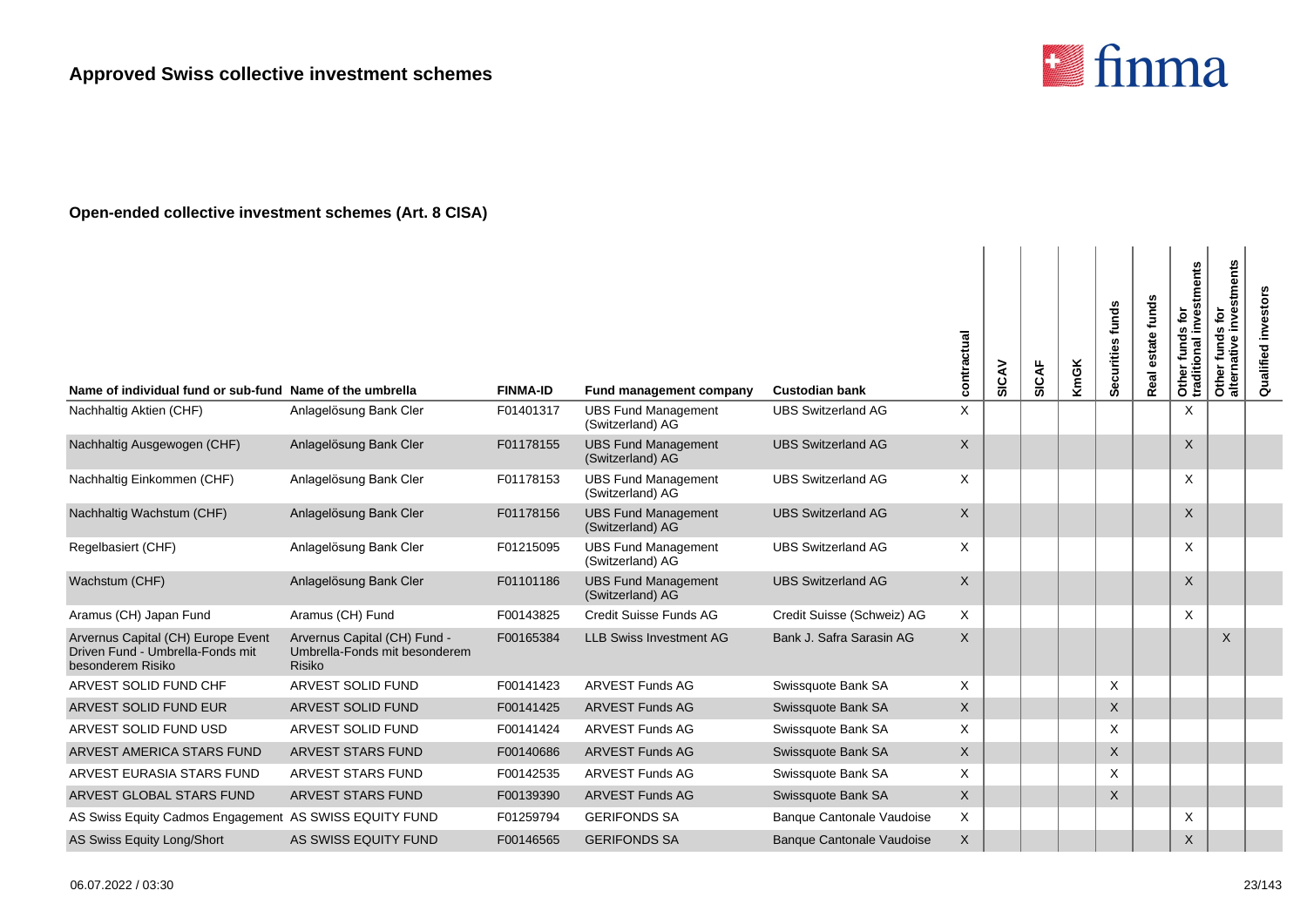

| Name of individual fund or sub-fund Name of the umbrella                                    |                                                                                | <b>FINMA-ID</b> | Fund management company                        | <b>Custodian bank</b>            | contractual | SICAV | <b>SICAF</b> | <b>KmGK</b> | Securities funds | Real estate funds | investments<br>$\tilde{\mathbf{e}}$<br>Other funds<br>traditional | Other funds for<br>alternative investments | investor<br>Qualified |
|---------------------------------------------------------------------------------------------|--------------------------------------------------------------------------------|-----------------|------------------------------------------------|----------------------------------|-------------|-------|--------------|-------------|------------------|-------------------|-------------------------------------------------------------------|--------------------------------------------|-----------------------|
| Nachhaltig Aktien (CHF)                                                                     | Anlagelösung Bank Cler                                                         | F01401317       | <b>UBS Fund Management</b><br>(Switzerland) AG | <b>UBS Switzerland AG</b>        | X.          |       |              |             |                  |                   | X                                                                 |                                            |                       |
| Nachhaltig Ausgewogen (CHF)                                                                 | Anlagelösung Bank Cler                                                         | F01178155       | <b>UBS Fund Management</b><br>(Switzerland) AG | <b>UBS Switzerland AG</b>        | X           |       |              |             |                  |                   | X                                                                 |                                            |                       |
| Nachhaltig Einkommen (CHF)                                                                  | Anlagelösung Bank Cler                                                         | F01178153       | <b>UBS Fund Management</b><br>(Switzerland) AG | <b>UBS Switzerland AG</b>        | X           |       |              |             |                  |                   | X                                                                 |                                            |                       |
| Nachhaltig Wachstum (CHF)                                                                   | Anlagelösung Bank Cler                                                         | F01178156       | <b>UBS Fund Management</b><br>(Switzerland) AG | <b>UBS Switzerland AG</b>        | X           |       |              |             |                  |                   | X                                                                 |                                            |                       |
| Regelbasiert (CHF)                                                                          | Anlagelösung Bank Cler                                                         | F01215095       | <b>UBS Fund Management</b><br>(Switzerland) AG | <b>UBS Switzerland AG</b>        | X           |       |              |             |                  |                   | X                                                                 |                                            |                       |
| Wachstum (CHF)                                                                              | Anlagelösung Bank Cler                                                         | F01101186       | <b>UBS Fund Management</b><br>(Switzerland) AG | <b>UBS Switzerland AG</b>        | X           |       |              |             |                  |                   | X                                                                 |                                            |                       |
| Aramus (CH) Japan Fund                                                                      | Aramus (CH) Fund                                                               | F00143825       | Credit Suisse Funds AG                         | Credit Suisse (Schweiz) AG       | X           |       |              |             |                  |                   | $\sf X$                                                           |                                            |                       |
| Arvernus Capital (CH) Europe Event<br>Driven Fund - Umbrella-Fonds mit<br>besonderem Risiko | Arvernus Capital (CH) Fund -<br>Umbrella-Fonds mit besonderem<br><b>Risiko</b> | F00165384       | <b>LLB Swiss Investment AG</b>                 | Bank J. Safra Sarasin AG         | X           |       |              |             |                  |                   |                                                                   | X                                          |                       |
| ARVEST SOLID FUND CHF                                                                       | ARVEST SOLID FUND                                                              | F00141423       | <b>ARVEST Funds AG</b>                         | Swissquote Bank SA               | X           |       |              |             | X                |                   |                                                                   |                                            |                       |
| ARVEST SOLID FUND EUR                                                                       | <b>ARVEST SOLID FUND</b>                                                       | F00141425       | <b>ARVEST Funds AG</b>                         | Swissquote Bank SA               | X           |       |              |             | X                |                   |                                                                   |                                            |                       |
| ARVEST SOLID FUND USD                                                                       | ARVEST SOLID FUND                                                              | F00141424       | <b>ARVEST Funds AG</b>                         | Swissquote Bank SA               | X.          |       |              |             | X                |                   |                                                                   |                                            |                       |
| ARVEST AMERICA STARS FUND                                                                   | <b>ARVEST STARS FUND</b>                                                       | F00140686       | <b>ARVEST Funds AG</b>                         | Swissquote Bank SA               | X           |       |              |             | $\sf X$          |                   |                                                                   |                                            |                       |
| ARVEST EURASIA STARS FUND                                                                   | ARVEST STARS FUND                                                              | F00142535       | <b>ARVEST Funds AG</b>                         | Swissquote Bank SA               | X           |       |              |             | X                |                   |                                                                   |                                            |                       |
| ARVEST GLOBAL STARS FUND                                                                    | <b>ARVEST STARS FUND</b>                                                       | F00139390       | <b>ARVEST Funds AG</b>                         | Swissquote Bank SA               | X           |       |              |             | X                |                   |                                                                   |                                            |                       |
| AS Swiss Equity Cadmos Engagement AS SWISS EQUITY FUND                                      |                                                                                | F01259794       | <b>GERIFONDS SA</b>                            | <b>Banque Cantonale Vaudoise</b> | X.          |       |              |             |                  |                   | $\times$                                                          |                                            |                       |
| AS Swiss Equity Long/Short                                                                  | AS SWISS EQUITY FUND                                                           | F00146565       | <b>GERIFONDS SA</b>                            | <b>Banque Cantonale Vaudoise</b> | X           |       |              |             |                  |                   | X                                                                 |                                            |                       |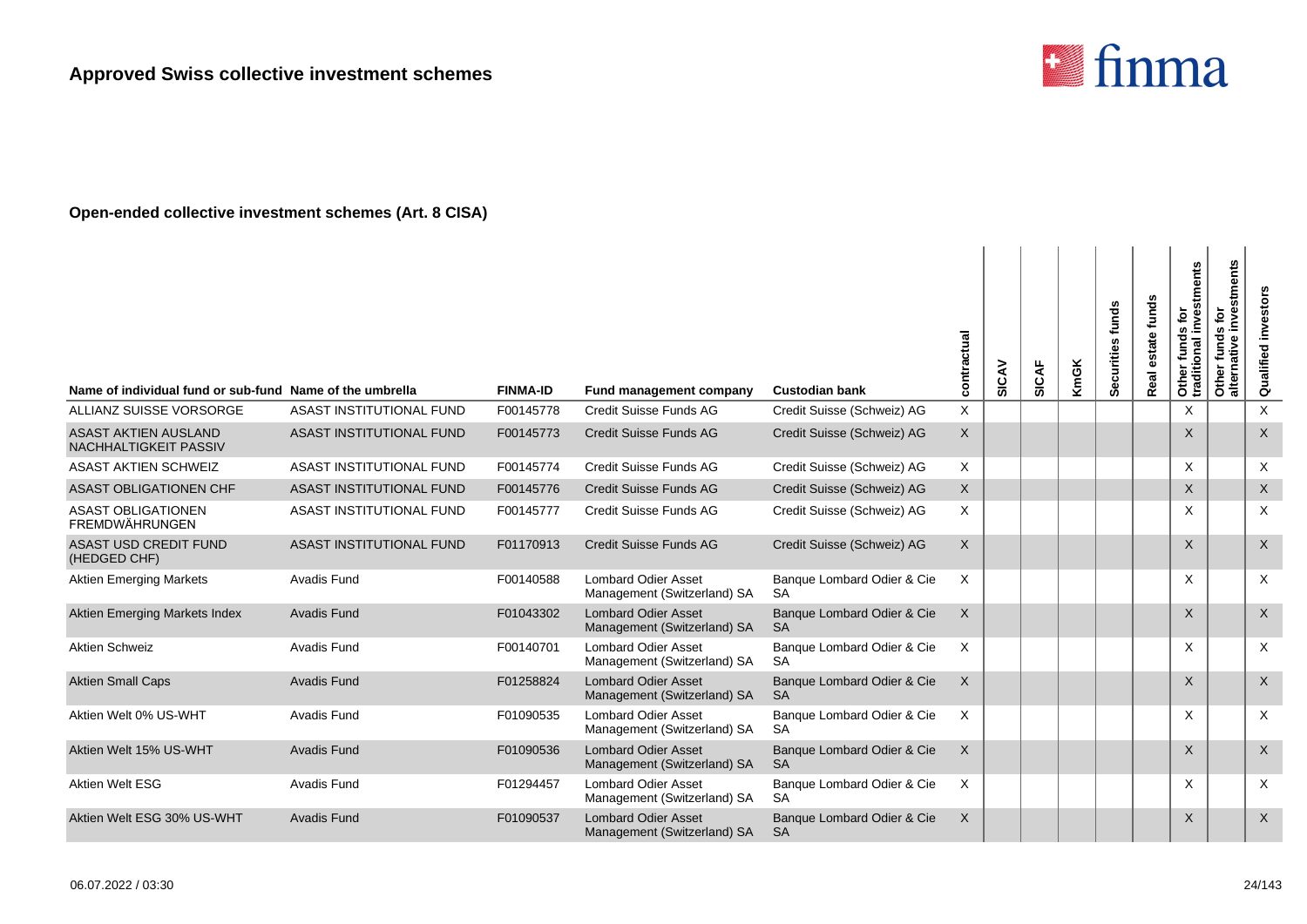

| Name of individual fund or sub-fund Name of the umbrella |                          | <b>FINMA-ID</b> | Fund management company                                   | <b>Custodian bank</b>                   | contractual  | SICAV | SICAF | <b>KmGK</b> | Securities funds | funds<br>Real | Other funds for<br>traditional investments<br>$\mathbf{\tilde{e}}$ | investments<br>ē<br>w<br>fund:<br>ative<br>Other<br>alterna | Qualified investors |
|----------------------------------------------------------|--------------------------|-----------------|-----------------------------------------------------------|-----------------------------------------|--------------|-------|-------|-------------|------------------|---------------|--------------------------------------------------------------------|-------------------------------------------------------------|---------------------|
| ALLIANZ SUISSE VORSORGE                                  | ASAST INSTITUTIONAL FUND | F00145778       | Credit Suisse Funds AG                                    | Credit Suisse (Schweiz) AG              | X            |       |       |             |                  |               | X                                                                  |                                                             | X                   |
| <b>ASAST AKTIEN AUSLAND</b><br>NACHHALTIGKEIT PASSIV     | ASAST INSTITUTIONAL FUND | F00145773       | <b>Credit Suisse Funds AG</b>                             | Credit Suisse (Schweiz) AG              | X            |       |       |             |                  |               | X                                                                  |                                                             | X                   |
| <b>ASAST AKTIEN SCHWEIZ</b>                              | ASAST INSTITUTIONAL FUND | F00145774       | Credit Suisse Funds AG                                    | Credit Suisse (Schweiz) AG              | X            |       |       |             |                  |               | X                                                                  |                                                             | $\times$            |
| <b>ASAST OBLIGATIONEN CHF</b>                            | ASAST INSTITUTIONAL FUND | F00145776       | Credit Suisse Funds AG                                    | Credit Suisse (Schweiz) AG              | X            |       |       |             |                  |               | X                                                                  |                                                             | X                   |
| <b>ASAST OBLIGATIONEN</b><br><b>FREMDWÄHRUNGEN</b>       | ASAST INSTITUTIONAL FUND | F00145777       | Credit Suisse Funds AG                                    | Credit Suisse (Schweiz) AG              | X            |       |       |             |                  |               | X                                                                  |                                                             | $\times$            |
| <b>ASAST USD CREDIT FUND</b><br>(HEDGED CHF)             | ASAST INSTITUTIONAL FUND | F01170913       | <b>Credit Suisse Funds AG</b>                             | Credit Suisse (Schweiz) AG              | X            |       |       |             |                  |               | X                                                                  |                                                             | X                   |
| <b>Aktien Emerging Markets</b>                           | Avadis Fund              | F00140588       | <b>Lombard Odier Asset</b><br>Management (Switzerland) SA | Banque Lombard Odier & Cie<br><b>SA</b> | Χ            |       |       |             |                  |               | X                                                                  |                                                             | X                   |
| Aktien Emerging Markets Index                            | <b>Avadis Fund</b>       | F01043302       | <b>Lombard Odier Asset</b><br>Management (Switzerland) SA | Banque Lombard Odier & Cie<br><b>SA</b> | $\mathsf{X}$ |       |       |             |                  |               | X                                                                  |                                                             | $\times$            |
| <b>Aktien Schweiz</b>                                    | Avadis Fund              | F00140701       | <b>Lombard Odier Asset</b><br>Management (Switzerland) SA | Banque Lombard Odier & Cie<br><b>SA</b> | X            |       |       |             |                  |               | X                                                                  |                                                             | X                   |
| <b>Aktien Small Caps</b>                                 | <b>Avadis Fund</b>       | F01258824       | <b>Lombard Odier Asset</b><br>Management (Switzerland) SA | Banque Lombard Odier & Cie<br><b>SA</b> | $\times$     |       |       |             |                  |               | X                                                                  |                                                             | $\times$            |
| Aktien Welt 0% US-WHT                                    | <b>Avadis Fund</b>       | F01090535       | <b>Lombard Odier Asset</b><br>Management (Switzerland) SA | Banque Lombard Odier & Cie<br>SA        | X            |       |       |             |                  |               | X                                                                  |                                                             | $\times$            |
| Aktien Welt 15% US-WHT                                   | <b>Avadis Fund</b>       | F01090536       | <b>Lombard Odier Asset</b><br>Management (Switzerland) SA | Banque Lombard Odier & Cie<br><b>SA</b> | X            |       |       |             |                  |               | $\mathsf X$                                                        |                                                             | $\times$            |
| <b>Aktien Welt ESG</b>                                   | Avadis Fund              | F01294457       | <b>Lombard Odier Asset</b><br>Management (Switzerland) SA | Banque Lombard Odier & Cie<br><b>SA</b> | Χ            |       |       |             |                  |               | X                                                                  |                                                             | $\times$            |
| Aktien Welt ESG 30% US-WHT                               | <b>Avadis Fund</b>       | F01090537       | <b>Lombard Odier Asset</b><br>Management (Switzerland) SA | Banque Lombard Odier & Cie<br><b>SA</b> | X            |       |       |             |                  |               | X                                                                  |                                                             | X                   |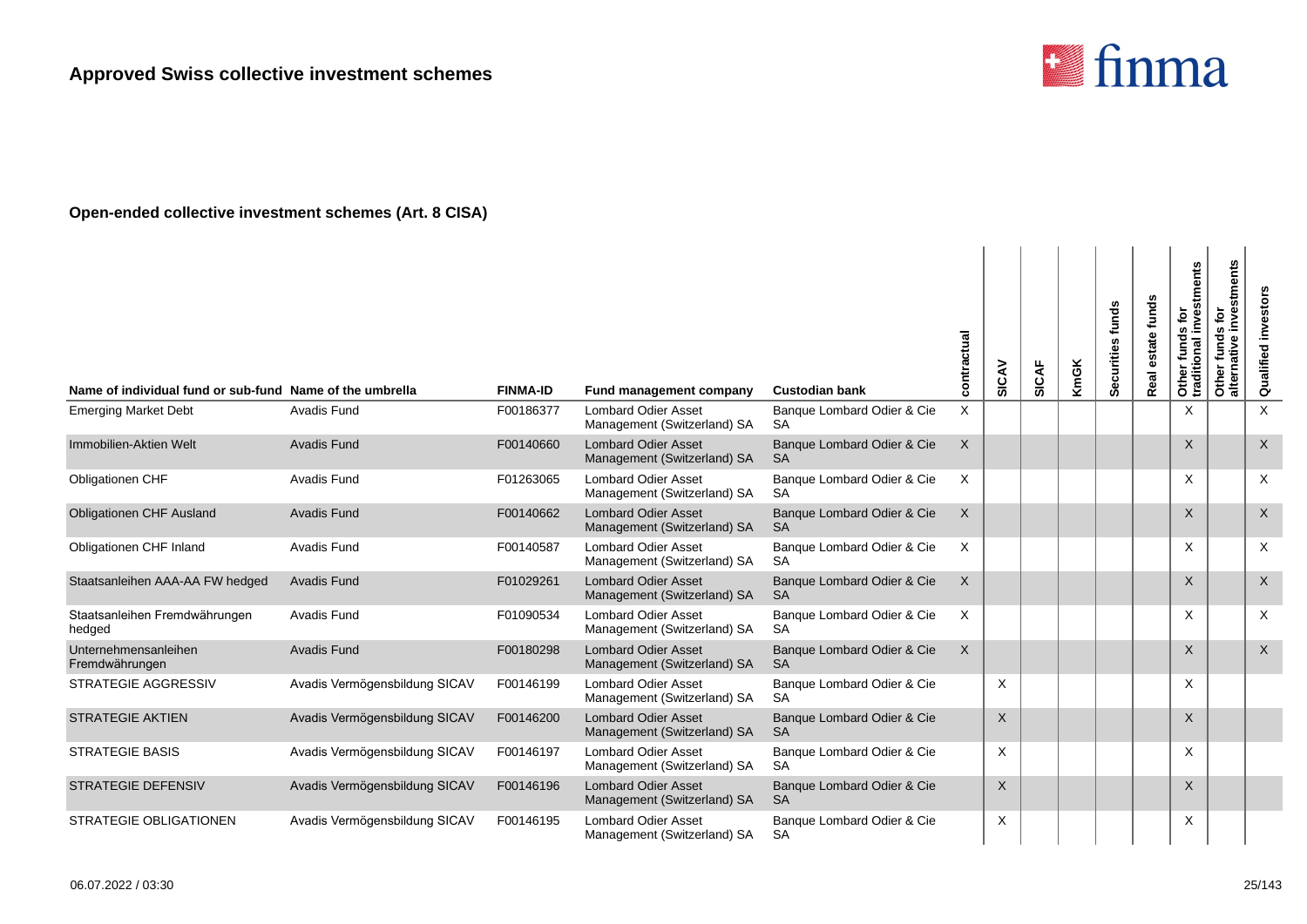

| Name of individual fund or sub-fund Name of the umbrella |                               | <b>FINMA-ID</b> | Fund management company                                   | <b>Custodian bank</b>                   | contractual | SICAV        | <b>SICAF</b> | <b>KmGK</b> | Securities funds | estate funds<br><b>Real</b> | investments<br>ē<br><b>SC</b><br>fund<br>onal<br>Other 1<br>traditic | investments<br>funds for<br>$\mathbf{v}$<br>ati×<br>Other 1<br>alterna | investors<br>Qualified    |
|----------------------------------------------------------|-------------------------------|-----------------|-----------------------------------------------------------|-----------------------------------------|-------------|--------------|--------------|-------------|------------------|-----------------------------|----------------------------------------------------------------------|------------------------------------------------------------------------|---------------------------|
| <b>Emerging Market Debt</b>                              | Avadis Fund                   | F00186377       | <b>Lombard Odier Asset</b><br>Management (Switzerland) SA | Banque Lombard Odier & Cie<br><b>SA</b> | X           |              |              |             |                  |                             | X                                                                    |                                                                        | X                         |
| Immobilien-Aktien Welt                                   | Avadis Fund                   | F00140660       | <b>Lombard Odier Asset</b><br>Management (Switzerland) SA | Banque Lombard Odier & Cie<br><b>SA</b> | X           |              |              |             |                  |                             | X                                                                    |                                                                        | X                         |
| Obligationen CHF                                         | Avadis Fund                   | F01263065       | <b>Lombard Odier Asset</b><br>Management (Switzerland) SA | Banque Lombard Odier & Cie<br><b>SA</b> | X           |              |              |             |                  |                             | X                                                                    |                                                                        | X                         |
| <b>Obligationen CHF Ausland</b>                          | <b>Avadis Fund</b>            | F00140662       | <b>Lombard Odier Asset</b><br>Management (Switzerland) SA | Banque Lombard Odier & Cie<br><b>SA</b> | X           |              |              |             |                  |                             | $\mathsf{X}$                                                         |                                                                        | $\mathsf X$               |
| Obligationen CHF Inland                                  | Avadis Fund                   | F00140587       | <b>Lombard Odier Asset</b><br>Management (Switzerland) SA | Banque Lombard Odier & Cie<br><b>SA</b> | X           |              |              |             |                  |                             | X                                                                    |                                                                        | $\boldsymbol{\mathsf{X}}$ |
| Staatsanleihen AAA-AA FW hedged                          | <b>Avadis Fund</b>            | F01029261       | <b>Lombard Odier Asset</b><br>Management (Switzerland) SA | Banque Lombard Odier & Cie<br><b>SA</b> | X           |              |              |             |                  |                             | X                                                                    |                                                                        | $\mathsf{X}$              |
| Staatsanleihen Fremdwährungen<br>hedged                  | Avadis Fund                   | F01090534       | <b>Lombard Odier Asset</b><br>Management (Switzerland) SA | Banque Lombard Odier & Cie<br><b>SA</b> | X           |              |              |             |                  |                             | X                                                                    |                                                                        | X                         |
| Unternehmensanleihen<br>Fremdwährungen                   | <b>Avadis Fund</b>            | F00180298       | <b>Lombard Odier Asset</b><br>Management (Switzerland) SA | Banque Lombard Odier & Cie<br><b>SA</b> | X           |              |              |             |                  |                             | $\mathsf{x}$                                                         |                                                                        | $\mathsf{X}$              |
| <b>STRATEGIE AGGRESSIV</b>                               | Avadis Vermögensbildung SICAV | F00146199       | <b>Lombard Odier Asset</b><br>Management (Switzerland) SA | Banque Lombard Odier & Cie<br><b>SA</b> |             | X            |              |             |                  |                             | X                                                                    |                                                                        |                           |
| <b>STRATEGIE AKTIEN</b>                                  | Avadis Vermögensbildung SICAV | F00146200       | <b>Lombard Odier Asset</b><br>Management (Switzerland) SA | Banque Lombard Odier & Cie<br><b>SA</b> |             | $\mathsf{X}$ |              |             |                  |                             | $\times$                                                             |                                                                        |                           |
| <b>STRATEGIE BASIS</b>                                   | Avadis Vermögensbildung SICAV | F00146197       | <b>Lombard Odier Asset</b><br>Management (Switzerland) SA | Banque Lombard Odier & Cie<br><b>SA</b> |             | X            |              |             |                  |                             | X                                                                    |                                                                        |                           |
| <b>STRATEGIE DEFENSIV</b>                                | Avadis Vermögensbildung SICAV | F00146196       | <b>Lombard Odier Asset</b><br>Management (Switzerland) SA | Banque Lombard Odier & Cie<br><b>SA</b> |             | $\mathsf{X}$ |              |             |                  |                             | $\times$                                                             |                                                                        |                           |
| <b>STRATEGIE OBLIGATIONEN</b>                            | Avadis Vermögensbildung SICAV | F00146195       | <b>Lombard Odier Asset</b><br>Management (Switzerland) SA | Banque Lombard Odier & Cie<br><b>SA</b> |             | Χ            |              |             |                  |                             | Х                                                                    |                                                                        |                           |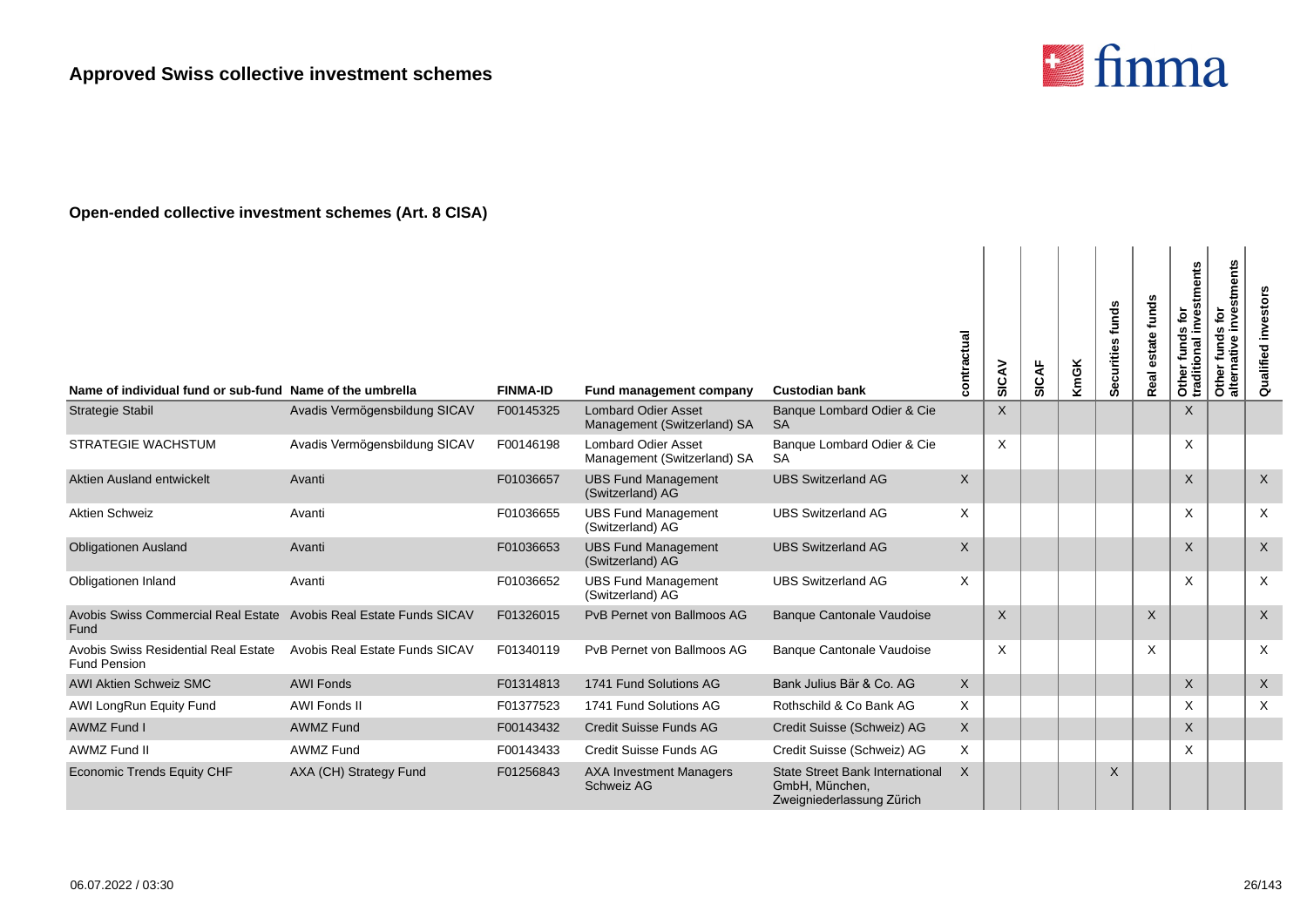

| Name of individual fund or sub-fund Name of the umbrella                   |                                | <b>FINMA-ID</b> | Fund management company                                   | <b>Custodian bank</b>                                                                 | actual<br>ontr<br>6 | SICAV    | <b>SICAF</b> | <b>KmGK</b> | Securities funds | estate funds<br>Real | Other funds for<br>traditional investments | stments<br>$\mathbf{\tilde{e}}$<br>Φ<br>Š<br>funds<br>$\omega$<br>native<br>Other 1<br>alterna | investors<br>Qualified    |
|----------------------------------------------------------------------------|--------------------------------|-----------------|-----------------------------------------------------------|---------------------------------------------------------------------------------------|---------------------|----------|--------------|-------------|------------------|----------------------|--------------------------------------------|------------------------------------------------------------------------------------------------|---------------------------|
| Strategie Stabil                                                           | Avadis Vermögensbildung SICAV  | F00145325       | <b>Lombard Odier Asset</b><br>Management (Switzerland) SA | Banque Lombard Odier & Cie<br><b>SA</b>                                               |                     | $\times$ |              |             |                  |                      | X                                          |                                                                                                |                           |
| <b>STRATEGIE WACHSTUM</b>                                                  | Avadis Vermögensbildung SICAV  | F00146198       | <b>Lombard Odier Asset</b><br>Management (Switzerland) SA | Banque Lombard Odier & Cie<br><b>SA</b>                                               |                     | $\times$ |              |             |                  |                      | X                                          |                                                                                                |                           |
| <b>Aktien Ausland entwickelt</b>                                           | Avanti                         | F01036657       | <b>UBS Fund Management</b><br>(Switzerland) AG            | <b>UBS Switzerland AG</b>                                                             | X                   |          |              |             |                  |                      | X                                          |                                                                                                | $\times$                  |
| <b>Aktien Schweiz</b>                                                      | Avanti                         | F01036655       | <b>UBS Fund Management</b><br>(Switzerland) AG            | <b>UBS Switzerland AG</b>                                                             | X                   |          |              |             |                  |                      | X                                          |                                                                                                | $\times$                  |
| <b>Obligationen Ausland</b>                                                | Avanti                         | F01036653       | <b>UBS Fund Management</b><br>(Switzerland) AG            | <b>UBS Switzerland AG</b>                                                             | $\mathsf X$         |          |              |             |                  |                      | X                                          |                                                                                                | $\times$                  |
| Obligationen Inland                                                        | Avanti                         | F01036652       | <b>UBS Fund Management</b><br>(Switzerland) AG            | <b>UBS Switzerland AG</b>                                                             | $\times$            |          |              |             |                  |                      | X                                          |                                                                                                | $\times$                  |
| Avobis Swiss Commercial Real Estate Avobis Real Estate Funds SICAV<br>Fund |                                | F01326015       | PvB Pernet von Ballmoos AG                                | <b>Banque Cantonale Vaudoise</b>                                                      |                     | $\times$ |              |             |                  | $\times$             |                                            |                                                                                                | $\sf X$                   |
| Avobis Swiss Residential Real Estate<br><b>Fund Pension</b>                | Avobis Real Estate Funds SICAV | F01340119       | PvB Pernet von Ballmoos AG                                | Banque Cantonale Vaudoise                                                             |                     | X        |              |             |                  | X                    |                                            |                                                                                                | $\times$                  |
| <b>AWI Aktien Schweiz SMC</b>                                              | <b>AWI Fonds</b>               | F01314813       | 1741 Fund Solutions AG                                    | Bank Julius Bär & Co. AG                                                              | $\mathsf{X}$        |          |              |             |                  |                      | X                                          |                                                                                                | $\boldsymbol{\mathsf{X}}$ |
| AWI LongRun Equity Fund                                                    | AWI Fonds II                   | F01377523       | 1741 Fund Solutions AG                                    | Rothschild & Co Bank AG                                                               | $\times$            |          |              |             |                  |                      | X                                          |                                                                                                | $\times$                  |
| <b>AWMZ Fund I</b>                                                         | <b>AWMZ Fund</b>               | F00143432       | Credit Suisse Funds AG                                    | Credit Suisse (Schweiz) AG                                                            | $\times$            |          |              |             |                  |                      | $\times$                                   |                                                                                                |                           |
| <b>AWMZ Fund II</b>                                                        | <b>AWMZ Fund</b>               | F00143433       | Credit Suisse Funds AG                                    | Credit Suisse (Schweiz) AG                                                            | $\times$            |          |              |             |                  |                      | $\times$                                   |                                                                                                |                           |
| <b>Economic Trends Equity CHF</b>                                          | AXA (CH) Strategy Fund         | F01256843       | <b>AXA Investment Managers</b><br>Schweiz AG              | <b>State Street Bank International</b><br>GmbH, München,<br>Zweigniederlassung Zürich | $\times$            |          |              |             | X                |                      |                                            |                                                                                                |                           |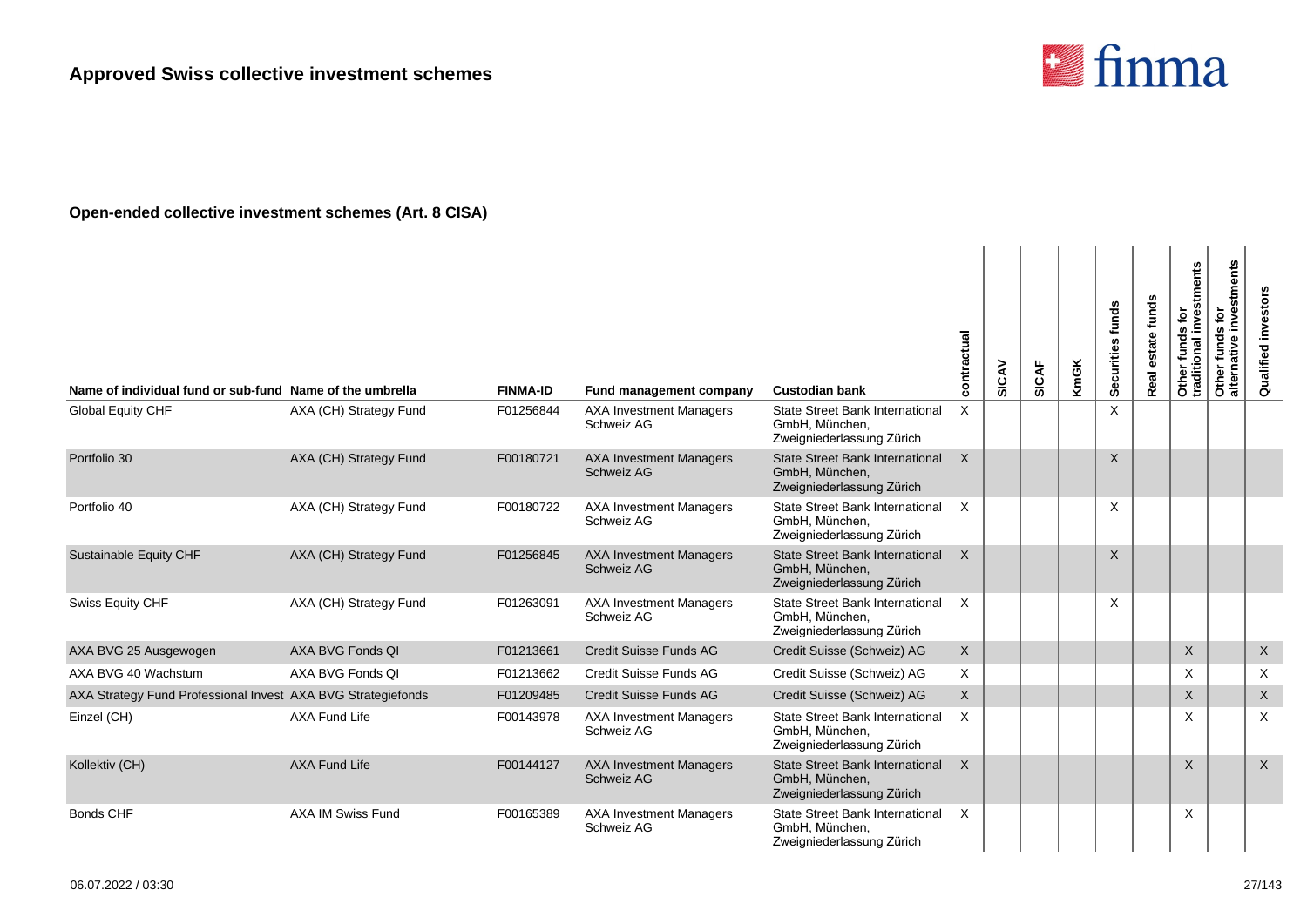

| Name of individual fund or sub-fund Name of the umbrella     |                        | <b>FINMA-ID</b> | Fund management company                      | <b>Custodian bank</b>                                                                 | contractual  | SICAV | SICAF | <b>KmGK</b> | Securities funds | estate funds<br>Real | Other funds for<br>traditional investments | investments<br>Other funds for<br>alternative inves | Qualified investors       |
|--------------------------------------------------------------|------------------------|-----------------|----------------------------------------------|---------------------------------------------------------------------------------------|--------------|-------|-------|-------------|------------------|----------------------|--------------------------------------------|-----------------------------------------------------|---------------------------|
| <b>Global Equity CHF</b>                                     | AXA (CH) Strategy Fund | F01256844       | <b>AXA Investment Managers</b><br>Schweiz AG | <b>State Street Bank International</b><br>GmbH, München,<br>Zweigniederlassung Zürich | $\times$     |       |       |             | X                |                      |                                            |                                                     |                           |
| Portfolio 30                                                 | AXA (CH) Strategy Fund | F00180721       | <b>AXA Investment Managers</b><br>Schweiz AG | <b>State Street Bank International</b><br>GmbH, München,<br>Zweigniederlassung Zürich | $\times$     |       |       |             | $\times$         |                      |                                            |                                                     |                           |
| Portfolio 40                                                 | AXA (CH) Strategy Fund | F00180722       | <b>AXA Investment Managers</b><br>Schweiz AG | <b>State Street Bank International</b><br>GmbH, München,<br>Zweigniederlassung Zürich | X            |       |       |             | X                |                      |                                            |                                                     |                           |
| Sustainable Equity CHF                                       | AXA (CH) Strategy Fund | F01256845       | <b>AXA Investment Managers</b><br>Schweiz AG | State Street Bank International<br>GmbH, München,<br>Zweigniederlassung Zürich        | $\times$     |       |       |             | X                |                      |                                            |                                                     |                           |
| <b>Swiss Equity CHF</b>                                      | AXA (CH) Strategy Fund | F01263091       | <b>AXA Investment Managers</b><br>Schweiz AG | <b>State Street Bank International</b><br>GmbH, München,<br>Zweigniederlassung Zürich | $\times$     |       |       |             | X                |                      |                                            |                                                     |                           |
| AXA BVG 25 Ausgewogen                                        | AXA BVG Fonds QI       | F01213661       | <b>Credit Suisse Funds AG</b>                | Credit Suisse (Schweiz) AG                                                            | $\times$     |       |       |             |                  |                      | $\times$                                   |                                                     | $\boldsymbol{\mathsf{X}}$ |
| AXA BVG 40 Wachstum                                          | AXA BVG Fonds QI       | F01213662       | Credit Suisse Funds AG                       | Credit Suisse (Schweiz) AG                                                            | X            |       |       |             |                  |                      | X                                          |                                                     | $\times$                  |
| AXA Strategy Fund Professional Invest AXA BVG Strategiefonds |                        | F01209485       | <b>Credit Suisse Funds AG</b>                | Credit Suisse (Schweiz) AG                                                            | $\mathsf{X}$ |       |       |             |                  |                      | $\mathsf{X}$                               |                                                     | $\sf X$                   |
| Einzel (CH)                                                  | AXA Fund Life          | F00143978       | <b>AXA Investment Managers</b><br>Schweiz AG | <b>State Street Bank International</b><br>GmbH, München,<br>Zweigniederlassung Zürich | $\times$     |       |       |             |                  |                      | X                                          |                                                     | $\times$                  |
| Kollektiv (CH)                                               | <b>AXA Fund Life</b>   | F00144127       | <b>AXA Investment Managers</b><br>Schweiz AG | State Street Bank International<br>GmbH. München.<br>Zweigniederlassung Zürich        | $\times$     |       |       |             |                  |                      | $\times$                                   |                                                     | $\times$                  |
| <b>Bonds CHF</b>                                             | AXA IM Swiss Fund      | F00165389       | <b>AXA Investment Managers</b><br>Schweiz AG | State Street Bank International<br>GmbH. München.<br>Zweigniederlassung Zürich        | $\times$     |       |       |             |                  |                      | X                                          |                                                     |                           |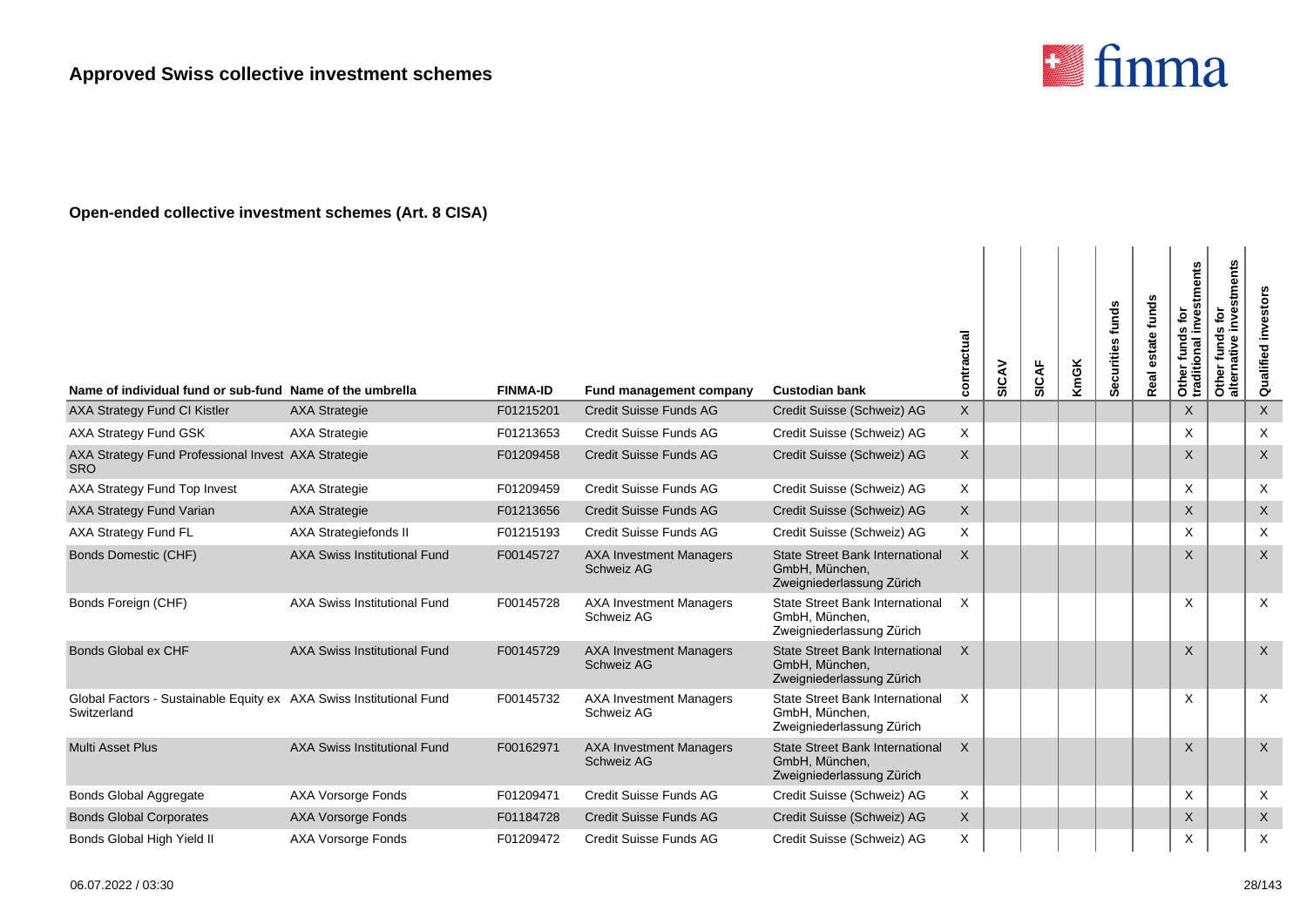

| Name of individual fund or sub-fund Name of the umbrella                           |                              | <b>FINMA-ID</b> | <b>Fund management company</b>               | <b>Custodian bank</b>                                                                 | contractual  | SICAV | <b>SICAF</b> | <b>KmGK</b> | Securities funds | funds<br>ate<br>Real | Other funds for<br>traditional investments | ents<br>ë<br><b>SC</b><br>fund<br>āti<br>Other<br>alterna | investors<br>Qualified |
|------------------------------------------------------------------------------------|------------------------------|-----------------|----------------------------------------------|---------------------------------------------------------------------------------------|--------------|-------|--------------|-------------|------------------|----------------------|--------------------------------------------|-----------------------------------------------------------|------------------------|
| AXA Strategy Fund CI Kistler                                                       | <b>AXA Strategie</b>         | F01215201       | Credit Suisse Funds AG                       | Credit Suisse (Schweiz) AG                                                            | X            |       |              |             |                  |                      | X                                          |                                                           | $\sf X$                |
| AXA Strategy Fund GSK                                                              | <b>AXA Strategie</b>         | F01213653       | Credit Suisse Funds AG                       | Credit Suisse (Schweiz) AG                                                            | X            |       |              |             |                  |                      | X                                          |                                                           | $\times$               |
| AXA Strategy Fund Professional Invest AXA Strategie<br><b>SRO</b>                  |                              | F01209458       | Credit Suisse Funds AG                       | Credit Suisse (Schweiz) AG                                                            | $\mathsf{X}$ |       |              |             |                  |                      | $\times$                                   |                                                           | $\times$               |
| AXA Strategy Fund Top Invest                                                       | <b>AXA Strategie</b>         | F01209459       | Credit Suisse Funds AG                       | Credit Suisse (Schweiz) AG                                                            | X            |       |              |             |                  |                      | X                                          |                                                           | $\times$               |
| <b>AXA Strategy Fund Varian</b>                                                    | <b>AXA Strategie</b>         | F01213656       | Credit Suisse Funds AG                       | Credit Suisse (Schweiz) AG                                                            | X            |       |              |             |                  |                      | X                                          |                                                           | $\sf X$                |
| AXA Strategy Fund FL                                                               | <b>AXA Strategiefonds II</b> | F01215193       | Credit Suisse Funds AG                       | Credit Suisse (Schweiz) AG                                                            | X            |       |              |             |                  |                      | X                                          |                                                           | $\times$               |
| <b>Bonds Domestic (CHF)</b>                                                        | AXA Swiss Institutional Fund | F00145727       | <b>AXA Investment Managers</b><br>Schweiz AG | <b>State Street Bank International</b><br>GmbH, München,<br>Zweigniederlassung Zürich | $\times$     |       |              |             |                  |                      | X                                          |                                                           | $\times$               |
| Bonds Foreign (CHF)                                                                | AXA Swiss Institutional Fund | F00145728       | <b>AXA Investment Managers</b><br>Schweiz AG | <b>State Street Bank International</b><br>GmbH, München,<br>Zweigniederlassung Zürich | $\times$     |       |              |             |                  |                      | X                                          |                                                           | $\times$               |
| Bonds Global ex CHF                                                                | AXA Swiss Institutional Fund | F00145729       | <b>AXA Investment Managers</b><br>Schweiz AG | <b>State Street Bank International</b><br>GmbH, München,<br>Zweigniederlassung Zürich | $\times$     |       |              |             |                  |                      | $\times$                                   |                                                           | $\times$               |
| Global Factors - Sustainable Equity ex AXA Swiss Institutional Fund<br>Switzerland |                              | F00145732       | <b>AXA Investment Managers</b><br>Schweiz AG | <b>State Street Bank International</b><br>GmbH, München,<br>Zweigniederlassung Zürich | $\times$     |       |              |             |                  |                      | X                                          |                                                           | $\times$               |
| <b>Multi Asset Plus</b>                                                            | AXA Swiss Institutional Fund | F00162971       | <b>AXA Investment Managers</b><br>Schweiz AG | <b>State Street Bank International</b><br>GmbH, München,<br>Zweigniederlassung Zürich | $\times$     |       |              |             |                  |                      | $\times$                                   |                                                           | $\times$               |
| <b>Bonds Global Aggregate</b>                                                      | AXA Vorsorge Fonds           | F01209471       | Credit Suisse Funds AG                       | Credit Suisse (Schweiz) AG                                                            | Χ            |       |              |             |                  |                      | X                                          |                                                           | $\times$               |
| <b>Bonds Global Corporates</b>                                                     | <b>AXA Vorsorge Fonds</b>    | F01184728       | Credit Suisse Funds AG                       | Credit Suisse (Schweiz) AG                                                            | X            |       |              |             |                  |                      | X                                          |                                                           | $\times$               |
| Bonds Global High Yield II                                                         | <b>AXA Vorsorge Fonds</b>    | F01209472       | Credit Suisse Funds AG                       | Credit Suisse (Schweiz) AG                                                            | X            |       |              |             |                  |                      | X                                          |                                                           | $\times$               |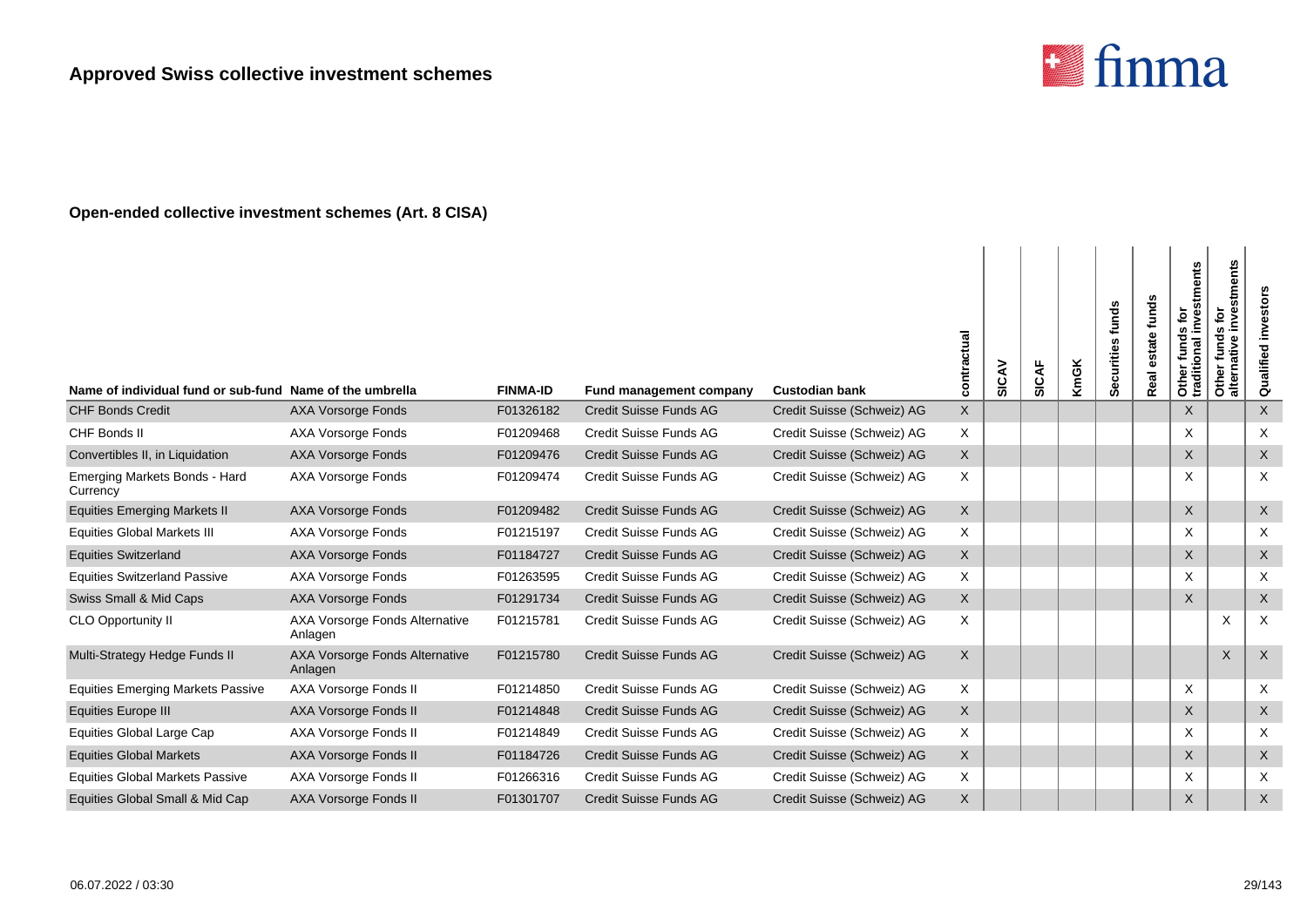

| Name of individual fund or sub-fund Name of the umbrella |                                           | <b>FINMA-ID</b> | Fund management company       | <b>Custodian bank</b>      | contractual | ⋧<br><u>င်</u> | <b>SICAF</b> | <b>KmGK</b> | funds<br>Securities | funds<br>estate<br>Real | stments<br>ē<br>Other funds for<br>traditional inves | investments<br>$\tilde{\mathbf{e}}$<br>funds<br>alternative<br>Other | investor<br>Qualified |
|----------------------------------------------------------|-------------------------------------------|-----------------|-------------------------------|----------------------------|-------------|----------------|--------------|-------------|---------------------|-------------------------|------------------------------------------------------|----------------------------------------------------------------------|-----------------------|
| <b>CHF Bonds Credit</b>                                  | AXA Vorsorge Fonds                        | F01326182       | Credit Suisse Funds AG        | Credit Suisse (Schweiz) AG | X           |                |              |             |                     |                         | $\sf X$                                              |                                                                      | $\sf X$               |
| CHF Bonds II                                             | AXA Vorsorge Fonds                        | F01209468       | Credit Suisse Funds AG        | Credit Suisse (Schweiz) AG | X           |                |              |             |                     |                         | X                                                    |                                                                      | X                     |
| Convertibles II, in Liquidation                          | <b>AXA Vorsorge Fonds</b>                 | F01209476       | Credit Suisse Funds AG        | Credit Suisse (Schweiz) AG | X           |                |              |             |                     |                         | $\sf X$                                              |                                                                      | X                     |
| Emerging Markets Bonds - Hard<br>Currency                | AXA Vorsorge Fonds                        | F01209474       | Credit Suisse Funds AG        | Credit Suisse (Schweiz) AG | X           |                |              |             |                     |                         | X                                                    |                                                                      | X                     |
| <b>Equities Emerging Markets II</b>                      | <b>AXA Vorsorge Fonds</b>                 | F01209482       | Credit Suisse Funds AG        | Credit Suisse (Schweiz) AG | X           |                |              |             |                     |                         | $\mathsf X$                                          |                                                                      | X                     |
| <b>Equities Global Markets III</b>                       | <b>AXA Vorsorge Fonds</b>                 | F01215197       | Credit Suisse Funds AG        | Credit Suisse (Schweiz) AG | X           |                |              |             |                     |                         | X                                                    |                                                                      | X                     |
| <b>Equities Switzerland</b>                              | <b>AXA Vorsorge Fonds</b>                 | F01184727       | Credit Suisse Funds AG        | Credit Suisse (Schweiz) AG | X           |                |              |             |                     |                         | X                                                    |                                                                      | X                     |
| <b>Equities Switzerland Passive</b>                      | AXA Vorsorge Fonds                        | F01263595       | Credit Suisse Funds AG        | Credit Suisse (Schweiz) AG | X           |                |              |             |                     |                         | X                                                    |                                                                      | X                     |
| Swiss Small & Mid Caps                                   | <b>AXA Vorsorge Fonds</b>                 | F01291734       | Credit Suisse Funds AG        | Credit Suisse (Schweiz) AG | X           |                |              |             |                     |                         | $\sf X$                                              |                                                                      | X                     |
| CLO Opportunity II                                       | AXA Vorsorge Fonds Alternative<br>Anlagen | F01215781       | Credit Suisse Funds AG        | Credit Suisse (Schweiz) AG | Χ           |                |              |             |                     |                         |                                                      | X                                                                    | Χ                     |
| Multi-Strategy Hedge Funds II                            | AXA Vorsorge Fonds Alternative<br>Anlagen | F01215780       | Credit Suisse Funds AG        | Credit Suisse (Schweiz) AG | X           |                |              |             |                     |                         |                                                      | $\times$                                                             | $\boldsymbol{X}$      |
| <b>Equities Emerging Markets Passive</b>                 | AXA Vorsorge Fonds II                     | F01214850       | Credit Suisse Funds AG        | Credit Suisse (Schweiz) AG | X           |                |              |             |                     |                         | X                                                    |                                                                      | X                     |
| <b>Equities Europe III</b>                               | AXA Vorsorge Fonds II                     | F01214848       | <b>Credit Suisse Funds AG</b> | Credit Suisse (Schweiz) AG | X           |                |              |             |                     |                         | $\times$                                             |                                                                      | X                     |
| Equities Global Large Cap                                | <b>AXA Vorsorge Fonds II</b>              | F01214849       | Credit Suisse Funds AG        | Credit Suisse (Schweiz) AG | X           |                |              |             |                     |                         | X                                                    |                                                                      | X                     |
| <b>Equities Global Markets</b>                           | <b>AXA Vorsorge Fonds II</b>              | F01184726       | Credit Suisse Funds AG        | Credit Suisse (Schweiz) AG | X           |                |              |             |                     |                         | $\sf X$                                              |                                                                      | X                     |
| <b>Equities Global Markets Passive</b>                   | AXA Vorsorge Fonds II                     | F01266316       | Credit Suisse Funds AG        | Credit Suisse (Schweiz) AG | X           |                |              |             |                     |                         | $\mathsf X$                                          |                                                                      | X                     |
| Equities Global Small & Mid Cap                          | AXA Vorsorge Fonds II                     | F01301707       | <b>Credit Suisse Funds AG</b> | Credit Suisse (Schweiz) AG | X           |                |              |             |                     |                         | $\mathsf X$                                          |                                                                      | X                     |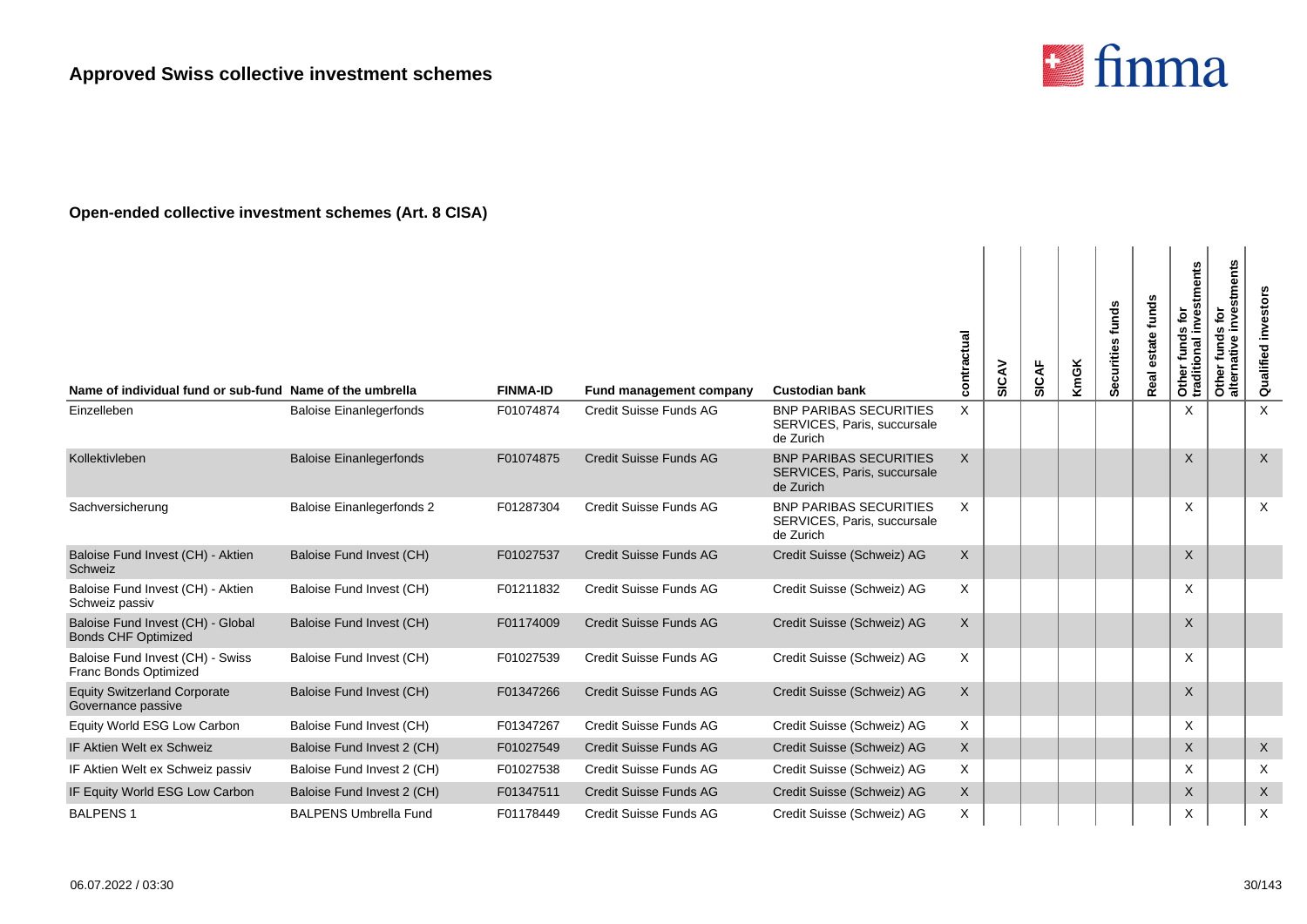

| Name of individual fund or sub-fund Name of the umbrella        |                                  | <b>FINMA-ID</b> | <b>Fund management company</b> | <b>Custodian bank</b>                                                     | actual<br>ā<br>ō | SICAV | SICAF | <b>KmGK</b> | Securities funds | funds<br>Real | Other funds for<br>traditional investments | stments<br>inve<br>$\tilde{\mathbf{p}}$<br>S<br>ω<br>fund<br>nativ<br>Other<br>alterna | investors<br>Qualified    |
|-----------------------------------------------------------------|----------------------------------|-----------------|--------------------------------|---------------------------------------------------------------------------|------------------|-------|-------|-------------|------------------|---------------|--------------------------------------------|----------------------------------------------------------------------------------------|---------------------------|
| Einzelleben                                                     | <b>Baloise Einanlegerfonds</b>   | F01074874       | Credit Suisse Funds AG         | <b>BNP PARIBAS SECURITIES</b><br>SERVICES, Paris, succursale<br>de Zurich | X                |       |       |             |                  |               | X                                          |                                                                                        | $\times$                  |
| Kollektivleben                                                  | <b>Baloise Einanlegerfonds</b>   | F01074875       | Credit Suisse Funds AG         | <b>BNP PARIBAS SECURITIES</b><br>SERVICES, Paris, succursale<br>de Zurich | $\mathsf{X}$     |       |       |             |                  |               | X                                          |                                                                                        | $\times$                  |
| Sachversicherung                                                | <b>Baloise Einanlegerfonds 2</b> | F01287304       | Credit Suisse Funds AG         | <b>BNP PARIBAS SECURITIES</b><br>SERVICES, Paris, succursale<br>de Zurich | $\times$         |       |       |             |                  |               | X                                          |                                                                                        | $\times$                  |
| Baloise Fund Invest (CH) - Aktien<br>Schweiz                    | Baloise Fund Invest (CH)         | F01027537       | <b>Credit Suisse Funds AG</b>  | Credit Suisse (Schweiz) AG                                                | $\sf X$          |       |       |             |                  |               | X                                          |                                                                                        |                           |
| Baloise Fund Invest (CH) - Aktien<br>Schweiz passiv             | Baloise Fund Invest (CH)         | F01211832       | Credit Suisse Funds AG         | Credit Suisse (Schweiz) AG                                                | X                |       |       |             |                  |               | X                                          |                                                                                        |                           |
| Baloise Fund Invest (CH) - Global<br><b>Bonds CHF Optimized</b> | Baloise Fund Invest (CH)         | F01174009       | Credit Suisse Funds AG         | Credit Suisse (Schweiz) AG                                                | $\mathsf{X}$     |       |       |             |                  |               | X                                          |                                                                                        |                           |
| Baloise Fund Invest (CH) - Swiss<br>Franc Bonds Optimized       | Baloise Fund Invest (CH)         | F01027539       | Credit Suisse Funds AG         | Credit Suisse (Schweiz) AG                                                | $\times$         |       |       |             |                  |               | X                                          |                                                                                        |                           |
| <b>Equity Switzerland Corporate</b><br>Governance passive       | Baloise Fund Invest (CH)         | F01347266       | Credit Suisse Funds AG         | Credit Suisse (Schweiz) AG                                                | X                |       |       |             |                  |               | $\sf X$                                    |                                                                                        |                           |
| Equity World ESG Low Carbon                                     | Baloise Fund Invest (CH)         | F01347267       | Credit Suisse Funds AG         | Credit Suisse (Schweiz) AG                                                | X                |       |       |             |                  |               | X                                          |                                                                                        |                           |
| <b>IF Aktien Welt ex Schweiz</b>                                | Baloise Fund Invest 2 (CH)       | F01027549       | Credit Suisse Funds AG         | Credit Suisse (Schweiz) AG                                                | $\times$         |       |       |             |                  |               | $\times$                                   |                                                                                        | $\boldsymbol{\mathsf{X}}$ |
| IF Aktien Welt ex Schweiz passiv                                | Baloise Fund Invest 2 (CH)       | F01027538       | Credit Suisse Funds AG         | Credit Suisse (Schweiz) AG                                                | $\times$         |       |       |             |                  |               | X                                          |                                                                                        | $\times$                  |
| IF Equity World ESG Low Carbon                                  | Baloise Fund Invest 2 (CH)       | F01347511       | <b>Credit Suisse Funds AG</b>  | Credit Suisse (Schweiz) AG                                                | X                |       |       |             |                  |               | X                                          |                                                                                        | $\sf X$                   |
| <b>BALPENS1</b>                                                 | <b>BALPENS Umbrella Fund</b>     | F01178449       | Credit Suisse Funds AG         | Credit Suisse (Schweiz) AG                                                | Χ                |       |       |             |                  |               | X                                          |                                                                                        | $\times$                  |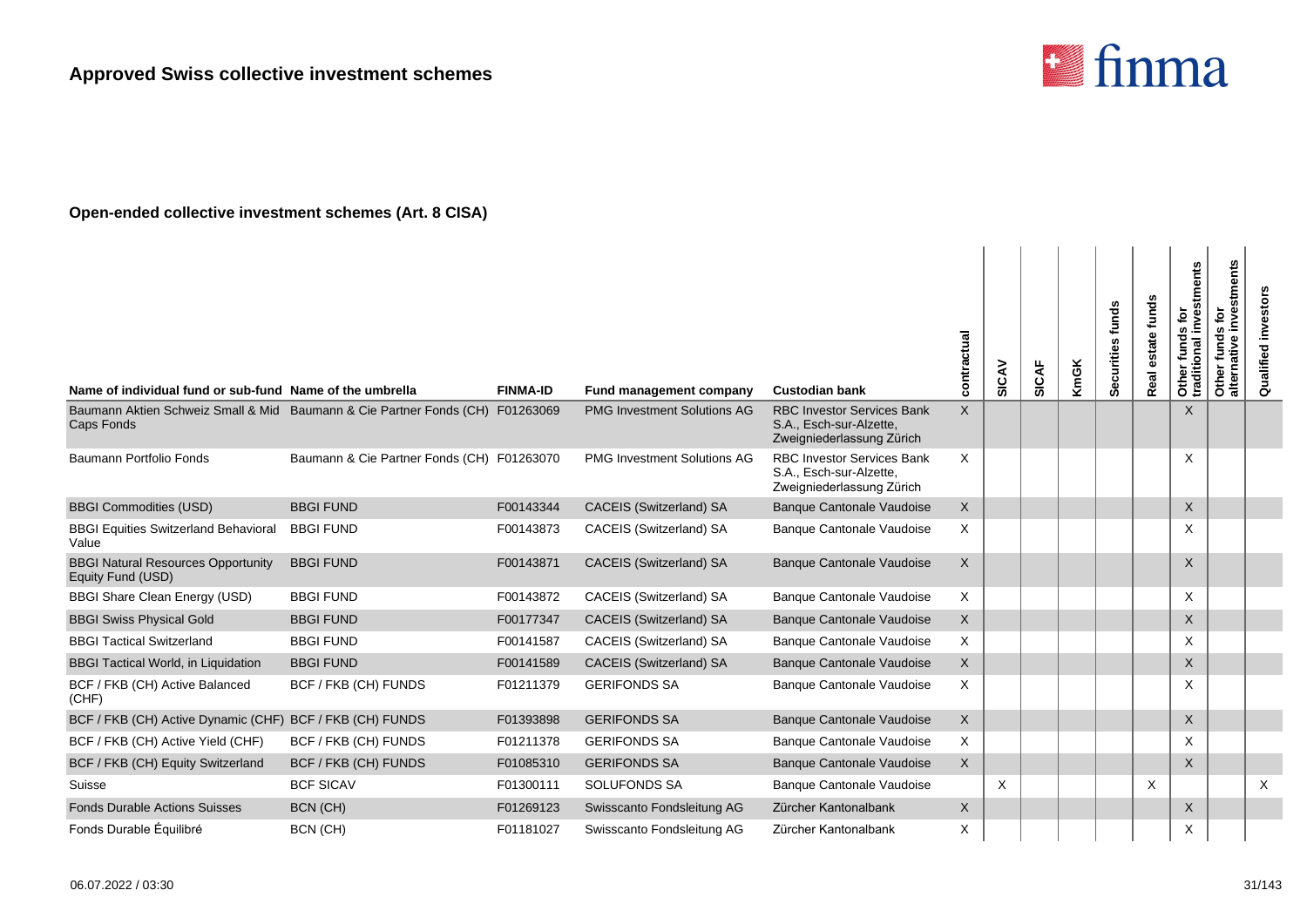

| Name of individual fund or sub-fund Name of the umbrella                          |                                            | <b>FINMA-ID</b> | Fund management company            | <b>Custodian bank</b>                                                                     | contractual  | SICAV | <b>SICAF</b> | <b>KmGK</b> | Securities funds | funds<br>Real | Other funds for<br>traditional investments | stments<br>Other funds for<br>alternative inves | Qualified investors |
|-----------------------------------------------------------------------------------|--------------------------------------------|-----------------|------------------------------------|-------------------------------------------------------------------------------------------|--------------|-------|--------------|-------------|------------------|---------------|--------------------------------------------|-------------------------------------------------|---------------------|
| Baumann Aktien Schweiz Small & Mid Baumann & Cie Partner Fonds (CH)<br>Caps Fonds |                                            | F01263069       | <b>PMG Investment Solutions AG</b> | <b>RBC Investor Services Bank</b><br>S.A., Esch-sur-Alzette,<br>Zweigniederlassung Zürich | $\mathsf{X}$ |       |              |             |                  |               | $\times$                                   |                                                 |                     |
| Baumann Portfolio Fonds                                                           | Baumann & Cie Partner Fonds (CH) F01263070 |                 | <b>PMG Investment Solutions AG</b> | <b>RBC Investor Services Bank</b><br>S.A., Esch-sur-Alzette,<br>Zweigniederlassung Zürich | X            |       |              |             |                  |               | X                                          |                                                 |                     |
| <b>BBGI Commodities (USD)</b>                                                     | <b>BBGI FUND</b>                           | F00143344       | CACEIS (Switzerland) SA            | <b>Banque Cantonale Vaudoise</b>                                                          | X            |       |              |             |                  |               | $\times$                                   |                                                 |                     |
| <b>BBGI Equities Switzerland Behavioral</b><br>Value                              | <b>BBGI FUND</b>                           | F00143873       | CACEIS (Switzerland) SA            | <b>Banque Cantonale Vaudoise</b>                                                          | Χ            |       |              |             |                  |               | X                                          |                                                 |                     |
| <b>BBGI Natural Resources Opportunity</b><br>Equity Fund (USD)                    | <b>BBGI FUND</b>                           | F00143871       | CACEIS (Switzerland) SA            | <b>Banque Cantonale Vaudoise</b>                                                          | X            |       |              |             |                  |               | $\times$                                   |                                                 |                     |
| <b>BBGI Share Clean Energy (USD)</b>                                              | <b>BBGI FUND</b>                           | F00143872       | CACEIS (Switzerland) SA            | <b>Banque Cantonale Vaudoise</b>                                                          | X            |       |              |             |                  |               | X                                          |                                                 |                     |
| <b>BBGI Swiss Physical Gold</b>                                                   | <b>BBGI FUND</b>                           | F00177347       | CACEIS (Switzerland) SA            | <b>Banque Cantonale Vaudoise</b>                                                          | X            |       |              |             |                  |               | X                                          |                                                 |                     |
| <b>BBGI Tactical Switzerland</b>                                                  | <b>BBGI FUND</b>                           | F00141587       | CACEIS (Switzerland) SA            | <b>Banque Cantonale Vaudoise</b>                                                          | X            |       |              |             |                  |               | X                                          |                                                 |                     |
| <b>BBGI Tactical World, in Liquidation</b>                                        | <b>BBGI FUND</b>                           | F00141589       | CACEIS (Switzerland) SA            | <b>Banque Cantonale Vaudoise</b>                                                          | X            |       |              |             |                  |               | X                                          |                                                 |                     |
| BCF / FKB (CH) Active Balanced<br>(CHF)                                           | BCF / FKB (CH) FUNDS                       | F01211379       | <b>GERIFONDS SA</b>                | <b>Banque Cantonale Vaudoise</b>                                                          | Χ            |       |              |             |                  |               | X                                          |                                                 |                     |
| BCF / FKB (CH) Active Dynamic (CHF) BCF / FKB (CH) FUNDS                          |                                            | F01393898       | <b>GERIFONDS SA</b>                | <b>Banque Cantonale Vaudoise</b>                                                          | X            |       |              |             |                  |               | X                                          |                                                 |                     |
| BCF / FKB (CH) Active Yield (CHF)                                                 | BCF / FKB (CH) FUNDS                       | F01211378       | <b>GERIFONDS SA</b>                | <b>Banque Cantonale Vaudoise</b>                                                          | X            |       |              |             |                  |               | X                                          |                                                 |                     |
| BCF / FKB (CH) Equity Switzerland                                                 | BCF / FKB (CH) FUNDS                       | F01085310       | <b>GERIFONDS SA</b>                | <b>Banque Cantonale Vaudoise</b>                                                          | X            |       |              |             |                  |               | X                                          |                                                 |                     |
| Suisse                                                                            | <b>BCF SICAV</b>                           | F01300111       | <b>SOLUFONDS SA</b>                | <b>Banque Cantonale Vaudoise</b>                                                          |              | X     |              |             |                  | $\times$      |                                            |                                                 | $\times$            |
| <b>Fonds Durable Actions Suisses</b>                                              | BCN (CH)                                   | F01269123       | Swisscanto Fondsleitung AG         | Zürcher Kantonalbank                                                                      | X            |       |              |             |                  |               | X                                          |                                                 |                     |
| Fonds Durable Équilibré                                                           | BCN (CH)                                   | F01181027       | Swisscanto Fondsleitung AG         | Zürcher Kantonalbank                                                                      | X            |       |              |             |                  |               | X                                          |                                                 |                     |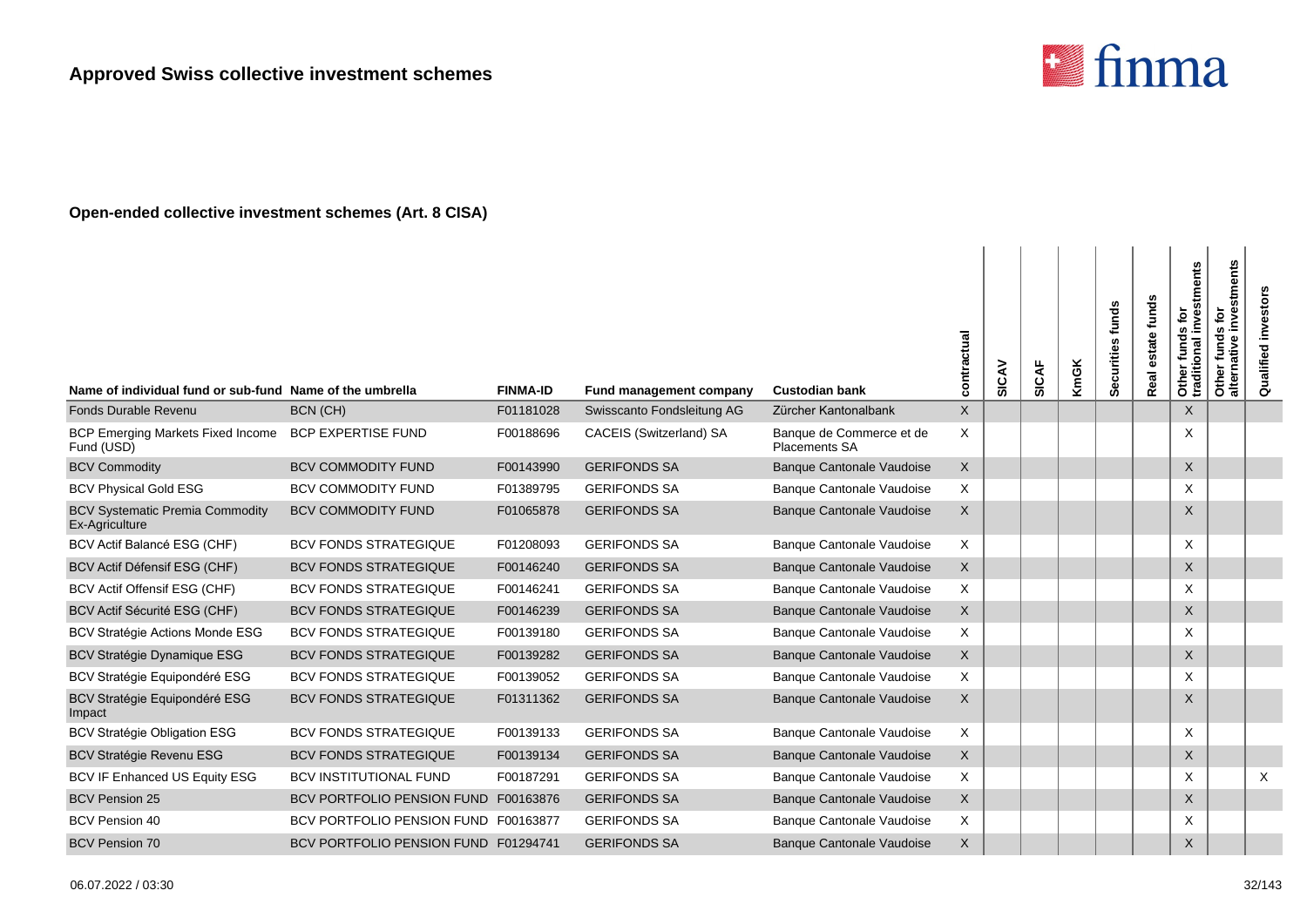

| Name of individual fund or sub-fund Name of the umbrella |                                      | <b>FINMA-ID</b> | Fund management company    | <b>Custodian bank</b>                            | contractual | SICAV | SICAF | <b>KmGK</b> | Securities funds | funds<br>state<br>Real | Other funds for<br>traditional investments | stments<br>nve<br>$\tilde{\mathbf{p}}$<br>funds<br>ative<br>৯<br>Other<br>alter | investor<br>Qualified |
|----------------------------------------------------------|--------------------------------------|-----------------|----------------------------|--------------------------------------------------|-------------|-------|-------|-------------|------------------|------------------------|--------------------------------------------|---------------------------------------------------------------------------------|-----------------------|
| Fonds Durable Revenu                                     | BCN (CH)                             | F01181028       | Swisscanto Fondsleitung AG | Zürcher Kantonalbank                             | $\mathsf X$ |       |       |             |                  |                        | X                                          |                                                                                 |                       |
| <b>BCP Emerging Markets Fixed Income</b><br>Fund (USD)   | <b>BCP EXPERTISE FUND</b>            | F00188696       | CACEIS (Switzerland) SA    | Banque de Commerce et de<br><b>Placements SA</b> | X           |       |       |             |                  |                        | X                                          |                                                                                 |                       |
| <b>BCV Commodity</b>                                     | <b>BCV COMMODITY FUND</b>            | F00143990       | <b>GERIFONDS SA</b>        | <b>Banque Cantonale Vaudoise</b>                 | $\times$    |       |       |             |                  |                        | $\times$                                   |                                                                                 |                       |
| <b>BCV Physical Gold ESG</b>                             | <b>BCV COMMODITY FUND</b>            | F01389795       | <b>GERIFONDS SA</b>        | Banque Cantonale Vaudoise                        | X           |       |       |             |                  |                        | X                                          |                                                                                 |                       |
| <b>BCV Systematic Premia Commodity</b><br>Ex-Agriculture | <b>BCV COMMODITY FUND</b>            | F01065878       | <b>GERIFONDS SA</b>        | Banque Cantonale Vaudoise                        | X           |       |       |             |                  |                        | X                                          |                                                                                 |                       |
| BCV Actif Balancé ESG (CHF)                              | BCV FONDS STRATEGIQUE                | F01208093       | <b>GERIFONDS SA</b>        | Banque Cantonale Vaudoise                        | X           |       |       |             |                  |                        | X                                          |                                                                                 |                       |
| BCV Actif Défensif ESG (CHF)                             | <b>BCV FONDS STRATEGIQUE</b>         | F00146240       | <b>GERIFONDS SA</b>        | <b>Banque Cantonale Vaudoise</b>                 | X           |       |       |             |                  |                        | X                                          |                                                                                 |                       |
| <b>BCV Actif Offensif ESG (CHF)</b>                      | <b>BCV FONDS STRATEGIQUE</b>         | F00146241       | <b>GERIFONDS SA</b>        | <b>Banque Cantonale Vaudoise</b>                 | $\times$    |       |       |             |                  |                        | X                                          |                                                                                 |                       |
| BCV Actif Sécurité ESG (CHF)                             | <b>BCV FONDS STRATEGIQUE</b>         | F00146239       | <b>GERIFONDS SA</b>        | <b>Banque Cantonale Vaudoise</b>                 | X           |       |       |             |                  |                        | X                                          |                                                                                 |                       |
| <b>BCV Stratégie Actions Monde ESG</b>                   | BCV FONDS STRATEGIQUE                | F00139180       | <b>GERIFONDS SA</b>        | Banque Cantonale Vaudoise                        | $\times$    |       |       |             |                  |                        | X                                          |                                                                                 |                       |
| <b>BCV Stratégie Dynamique ESG</b>                       | <b>BCV FONDS STRATEGIQUE</b>         | F00139282       | <b>GERIFONDS SA</b>        | <b>Banque Cantonale Vaudoise</b>                 | $\mathsf X$ |       |       |             |                  |                        | X                                          |                                                                                 |                       |
| BCV Stratégie Equipondéré ESG                            | <b>BCV FONDS STRATEGIQUE</b>         | F00139052       | <b>GERIFONDS SA</b>        | <b>Banque Cantonale Vaudoise</b>                 | $\times$    |       |       |             |                  |                        | X                                          |                                                                                 |                       |
| BCV Stratégie Equipondéré ESG<br>Impact                  | <b>BCV FONDS STRATEGIQUE</b>         | F01311362       | <b>GERIFONDS SA</b>        | <b>Banque Cantonale Vaudoise</b>                 | X           |       |       |             |                  |                        | X                                          |                                                                                 |                       |
| <b>BCV Stratégie Obligation ESG</b>                      | <b>BCV FONDS STRATEGIQUE</b>         | F00139133       | <b>GERIFONDS SA</b>        | Banque Cantonale Vaudoise                        | X           |       |       |             |                  |                        | X                                          |                                                                                 |                       |
| <b>BCV Stratégie Revenu ESG</b>                          | <b>BCV FONDS STRATEGIQUE</b>         | F00139134       | <b>GERIFONDS SA</b>        | <b>Banque Cantonale Vaudoise</b>                 | $\times$    |       |       |             |                  |                        | $\times$                                   |                                                                                 |                       |
| BCV IF Enhanced US Equity ESG                            | BCV INSTITUTIONAL FUND               | F00187291       | <b>GERIFONDS SA</b>        | Banque Cantonale Vaudoise                        | X           |       |       |             |                  |                        | X                                          |                                                                                 | X                     |
| <b>BCV Pension 25</b>                                    | BCV PORTFOLIO PENSION FUND           | F00163876       | <b>GERIFONDS SA</b>        | <b>Banque Cantonale Vaudoise</b>                 | X           |       |       |             |                  |                        | $\times$                                   |                                                                                 |                       |
| <b>BCV Pension 40</b>                                    | BCV PORTFOLIO PENSION FUND F00163877 |                 | <b>GERIFONDS SA</b>        | Banque Cantonale Vaudoise                        | X           |       |       |             |                  |                        | X                                          |                                                                                 |                       |
| <b>BCV Pension 70</b>                                    | BCV PORTFOLIO PENSION FUND F01294741 |                 | <b>GERIFONDS SA</b>        | <b>Banque Cantonale Vaudoise</b>                 | X           |       |       |             |                  |                        | X                                          |                                                                                 |                       |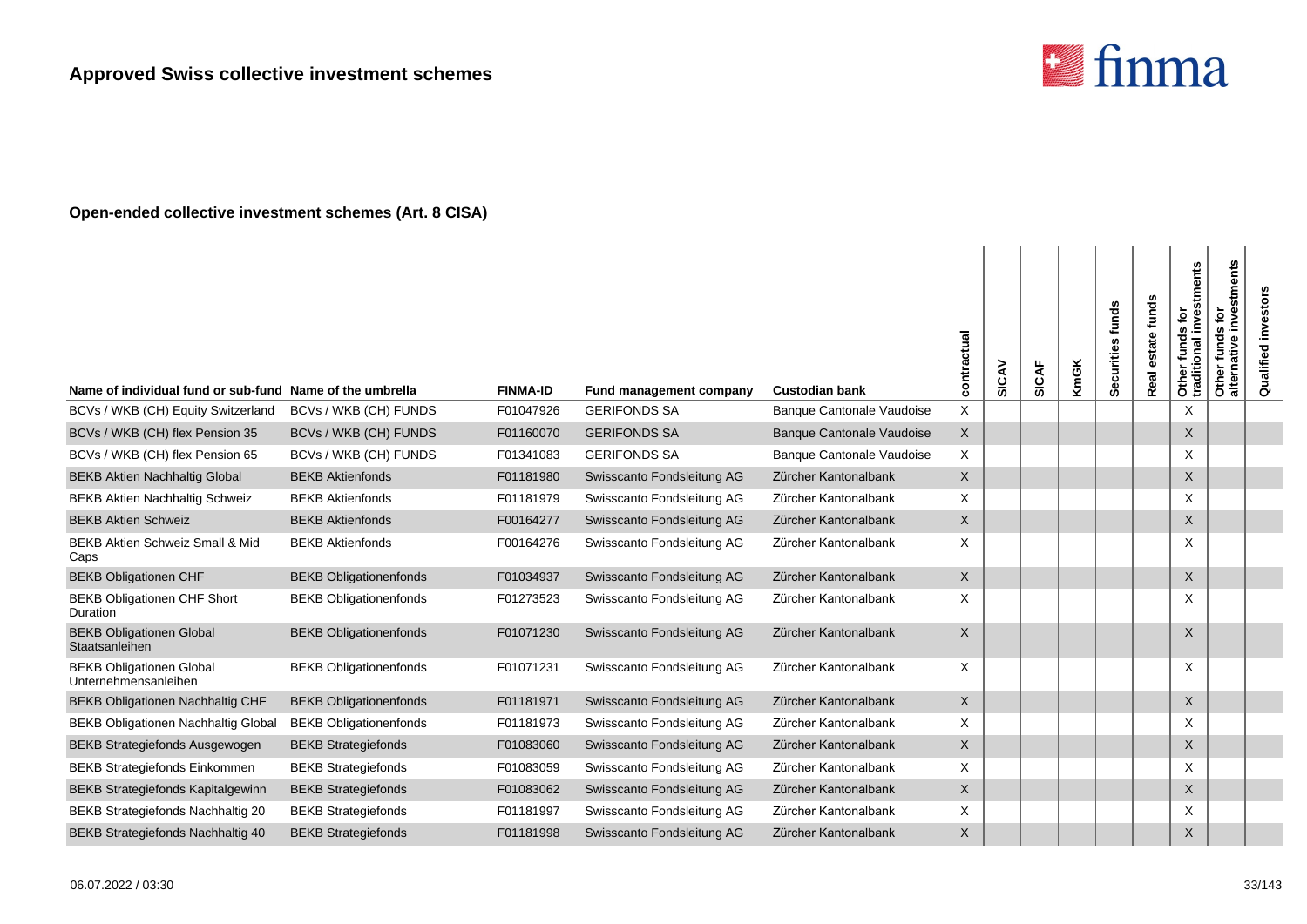

| Name of individual fund or sub-fund Name of the umbrella |                               | <b>FINMA-ID</b> | <b>Fund management company</b> | <b>Custodian bank</b>            | contractual | SICAV | SICAF | <b>KmGK</b> | Securities funds | funds<br>estate<br>Real | stments<br>흐<br>inve<br>w<br>Other funds<br>traditional i | investments<br>$\tilde{\mathbf{e}}$<br>Other funds f<br>alternative in | investors<br>Qualified |
|----------------------------------------------------------|-------------------------------|-----------------|--------------------------------|----------------------------------|-------------|-------|-------|-------------|------------------|-------------------------|-----------------------------------------------------------|------------------------------------------------------------------------|------------------------|
| BCVs / WKB (CH) Equity Switzerland                       | BCVs / WKB (CH) FUNDS         | F01047926       | <b>GERIFONDS SA</b>            | <b>Banque Cantonale Vaudoise</b> | X           |       |       |             |                  |                         | X                                                         |                                                                        |                        |
| BCVs / WKB (CH) flex Pension 35                          | BCVs / WKB (CH) FUNDS         | F01160070       | <b>GERIFONDS SA</b>            | <b>Banque Cantonale Vaudoise</b> | X           |       |       |             |                  |                         | X                                                         |                                                                        |                        |
| BCVs / WKB (CH) flex Pension 65                          | BCVs / WKB (CH) FUNDS         | F01341083       | <b>GERIFONDS SA</b>            | <b>Banque Cantonale Vaudoise</b> | X           |       |       |             |                  |                         | X                                                         |                                                                        |                        |
| <b>BEKB Aktien Nachhaltig Global</b>                     | <b>BEKB Aktienfonds</b>       | F01181980       | Swisscanto Fondsleitung AG     | Zürcher Kantonalbank             | X           |       |       |             |                  |                         | X                                                         |                                                                        |                        |
| <b>BEKB Aktien Nachhaltig Schweiz</b>                    | <b>BEKB Aktienfonds</b>       | F01181979       | Swisscanto Fondsleitung AG     | Zürcher Kantonalbank             | X           |       |       |             |                  |                         | X                                                         |                                                                        |                        |
| <b>BEKB Aktien Schweiz</b>                               | <b>BEKB Aktienfonds</b>       | F00164277       | Swisscanto Fondsleitung AG     | Zürcher Kantonalbank             | X           |       |       |             |                  |                         | X                                                         |                                                                        |                        |
| <b>BEKB Aktien Schweiz Small &amp; Mid</b><br>Caps       | <b>BEKB Aktienfonds</b>       | F00164276       | Swisscanto Fondsleitung AG     | Zürcher Kantonalbank             | X           |       |       |             |                  |                         | X                                                         |                                                                        |                        |
| <b>BEKB Obligationen CHF</b>                             | <b>BEKB Obligationenfonds</b> | F01034937       | Swisscanto Fondsleitung AG     | Zürcher Kantonalbank             | X           |       |       |             |                  |                         | X                                                         |                                                                        |                        |
| BEKB Obligationen CHF Short<br><b>Duration</b>           | <b>BEKB Obligationenfonds</b> | F01273523       | Swisscanto Fondsleitung AG     | Zürcher Kantonalbank             | X           |       |       |             |                  |                         | X                                                         |                                                                        |                        |
| <b>BEKB Obligationen Global</b><br>Staatsanleihen        | <b>BEKB Obligationenfonds</b> | F01071230       | Swisscanto Fondsleitung AG     | Zürcher Kantonalbank             | X           |       |       |             |                  |                         | X                                                         |                                                                        |                        |
| <b>BEKB Obligationen Global</b><br>Unternehmensanleihen  | <b>BEKB Obligationenfonds</b> | F01071231       | Swisscanto Fondsleitung AG     | Zürcher Kantonalbank             | X           |       |       |             |                  |                         | X                                                         |                                                                        |                        |
| BEKB Obligationen Nachhaltig CHF                         | <b>BEKB Obligationenfonds</b> | F01181971       | Swisscanto Fondsleitung AG     | Zürcher Kantonalbank             | X           |       |       |             |                  |                         | $\sf X$                                                   |                                                                        |                        |
| <b>BEKB Obligationen Nachhaltig Global</b>               | <b>BEKB Obligationenfonds</b> | F01181973       | Swisscanto Fondsleitung AG     | Zürcher Kantonalbank             | X           |       |       |             |                  |                         | X                                                         |                                                                        |                        |
| <b>BEKB Strategiefonds Ausgewogen</b>                    | <b>BEKB Strategiefonds</b>    | F01083060       | Swisscanto Fondsleitung AG     | Zürcher Kantonalbank             | X           |       |       |             |                  |                         | X                                                         |                                                                        |                        |
| <b>BEKB Strategiefonds Einkommen</b>                     | <b>BEKB Strategiefonds</b>    | F01083059       | Swisscanto Fondsleitung AG     | Zürcher Kantonalbank             | X           |       |       |             |                  |                         | X                                                         |                                                                        |                        |
| <b>BEKB Strategiefonds Kapitalgewinn</b>                 | <b>BEKB Strategiefonds</b>    | F01083062       | Swisscanto Fondsleitung AG     | Zürcher Kantonalbank             | X           |       |       |             |                  |                         | X                                                         |                                                                        |                        |
| BEKB Strategiefonds Nachhaltig 20                        | <b>BEKB Strategiefonds</b>    | F01181997       | Swisscanto Fondsleitung AG     | Zürcher Kantonalbank             | X           |       |       |             |                  |                         | X                                                         |                                                                        |                        |
| BEKB Strategiefonds Nachhaltig 40                        | <b>BEKB Strategiefonds</b>    | F01181998       | Swisscanto Fondsleitung AG     | Zürcher Kantonalbank             | X           |       |       |             |                  |                         | X                                                         |                                                                        |                        |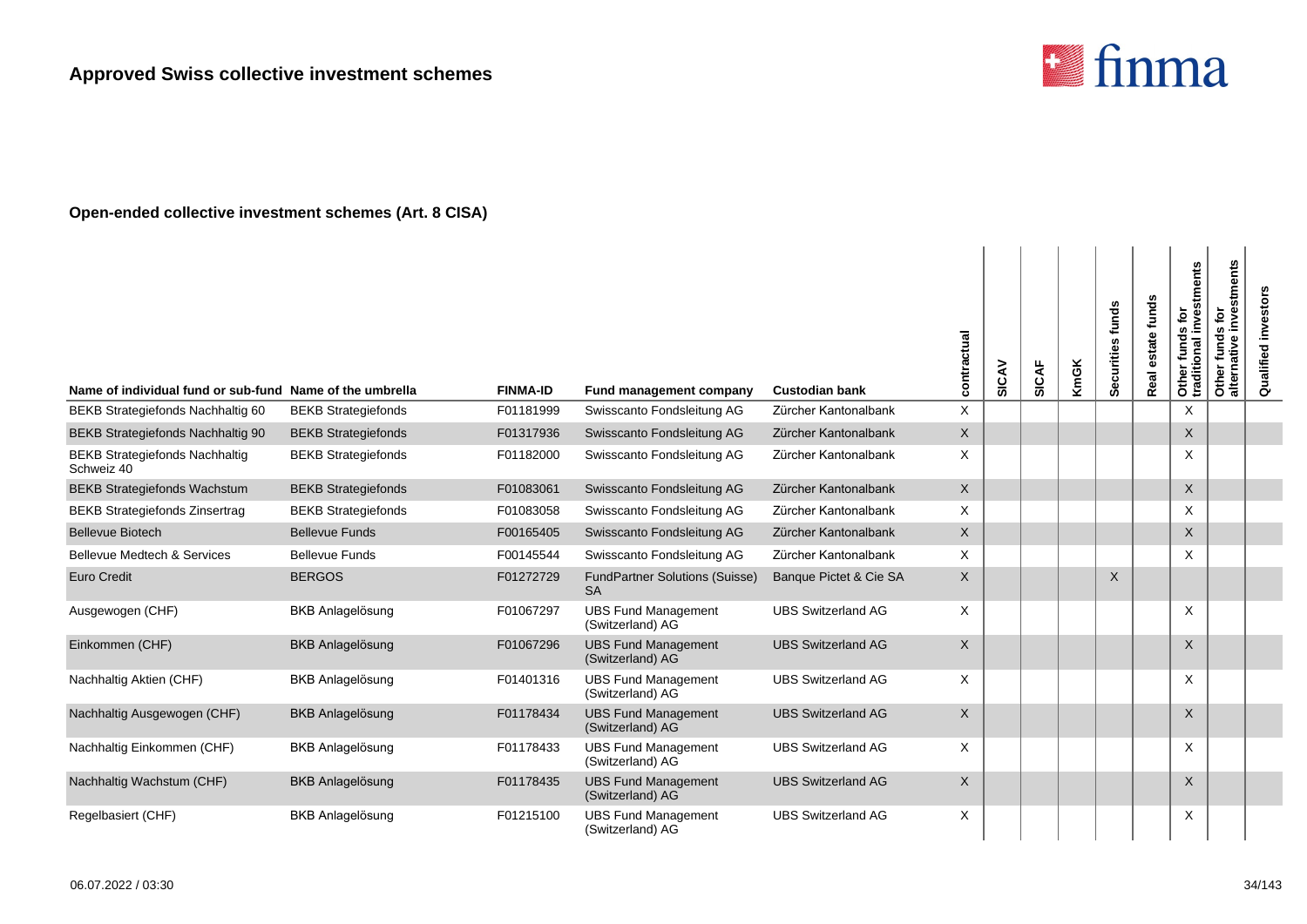

| Name of individual fund or sub-fund Name of the umbrella |                            | <b>FINMA-ID</b> | Fund management company                            | <b>Custodian bank</b>     | contractual  | SICAV | SICAF | <b>KmGK</b> | Securities funds | funds<br>estate<br>Real | Other funds for<br>traditional investments | investments<br>funds for<br>$\pmb{\omega}$<br>ā<br>Other 1<br>alterna | investors<br>Qualified |
|----------------------------------------------------------|----------------------------|-----------------|----------------------------------------------------|---------------------------|--------------|-------|-------|-------------|------------------|-------------------------|--------------------------------------------|-----------------------------------------------------------------------|------------------------|
| BEKB Strategiefonds Nachhaltig 60                        | <b>BEKB Strategiefonds</b> | F01181999       | Swisscanto Fondsleitung AG                         | Zürcher Kantonalbank      | X            |       |       |             |                  |                         | X                                          |                                                                       |                        |
| BEKB Strategiefonds Nachhaltig 90                        | <b>BEKB Strategiefonds</b> | F01317936       | Swisscanto Fondsleitung AG                         | Zürcher Kantonalbank      | $\times$     |       |       |             |                  |                         | X                                          |                                                                       |                        |
| <b>BEKB Strategiefonds Nachhaltig</b><br>Schweiz 40      | <b>BEKB Strategiefonds</b> | F01182000       | Swisscanto Fondsleitung AG                         | Zürcher Kantonalbank      | X            |       |       |             |                  |                         | $\times$                                   |                                                                       |                        |
| <b>BEKB Strategiefonds Wachstum</b>                      | <b>BEKB Strategiefonds</b> | F01083061       | Swisscanto Fondsleitung AG                         | Zürcher Kantonalbank      | $\times$     |       |       |             |                  |                         | X                                          |                                                                       |                        |
| <b>BEKB Strategiefonds Zinsertrag</b>                    | <b>BEKB Strategiefonds</b> | F01083058       | Swisscanto Fondsleitung AG                         | Zürcher Kantonalbank      | X            |       |       |             |                  |                         | $\times$                                   |                                                                       |                        |
| <b>Bellevue Biotech</b>                                  | <b>Bellevue Funds</b>      | F00165405       | Swisscanto Fondsleitung AG                         | Zürcher Kantonalbank      | X            |       |       |             |                  |                         | $\mathsf{X}$                               |                                                                       |                        |
| Bellevue Medtech & Services                              | <b>Bellevue Funds</b>      | F00145544       | Swisscanto Fondsleitung AG                         | Zürcher Kantonalbank      | X            |       |       |             |                  |                         | X                                          |                                                                       |                        |
| <b>Euro Credit</b>                                       | <b>BERGOS</b>              | F01272729       | <b>FundPartner Solutions (Suisse)</b><br><b>SA</b> | Banque Pictet & Cie SA    | $\mathsf{X}$ |       |       |             | X                |                         |                                            |                                                                       |                        |
| Ausgewogen (CHF)                                         | <b>BKB Anlagelösung</b>    | F01067297       | <b>UBS Fund Management</b><br>(Switzerland) AG     | <b>UBS Switzerland AG</b> | X            |       |       |             |                  |                         | X                                          |                                                                       |                        |
| Einkommen (CHF)                                          | <b>BKB Anlagelösung</b>    | F01067296       | <b>UBS Fund Management</b><br>(Switzerland) AG     | <b>UBS Switzerland AG</b> | X            |       |       |             |                  |                         | $\times$                                   |                                                                       |                        |
| Nachhaltig Aktien (CHF)                                  | <b>BKB Anlagelösung</b>    | F01401316       | <b>UBS Fund Management</b><br>(Switzerland) AG     | <b>UBS Switzerland AG</b> | X            |       |       |             |                  |                         | X                                          |                                                                       |                        |
| Nachhaltig Ausgewogen (CHF)                              | <b>BKB Anlagelösung</b>    | F01178434       | <b>UBS Fund Management</b><br>(Switzerland) AG     | <b>UBS Switzerland AG</b> | $\mathsf{X}$ |       |       |             |                  |                         | X                                          |                                                                       |                        |
| Nachhaltig Einkommen (CHF)                               | <b>BKB Anlagelösung</b>    | F01178433       | <b>UBS Fund Management</b><br>(Switzerland) AG     | <b>UBS Switzerland AG</b> | X            |       |       |             |                  |                         | X                                          |                                                                       |                        |
| Nachhaltig Wachstum (CHF)                                | <b>BKB Anlagelösung</b>    | F01178435       | <b>UBS Fund Management</b><br>(Switzerland) AG     | <b>UBS Switzerland AG</b> | X            |       |       |             |                  |                         | X                                          |                                                                       |                        |
| Regelbasiert (CHF)                                       | <b>BKB Anlagelösung</b>    | F01215100       | <b>UBS Fund Management</b><br>(Switzerland) AG     | <b>UBS Switzerland AG</b> | X            |       |       |             |                  |                         | X                                          |                                                                       |                        |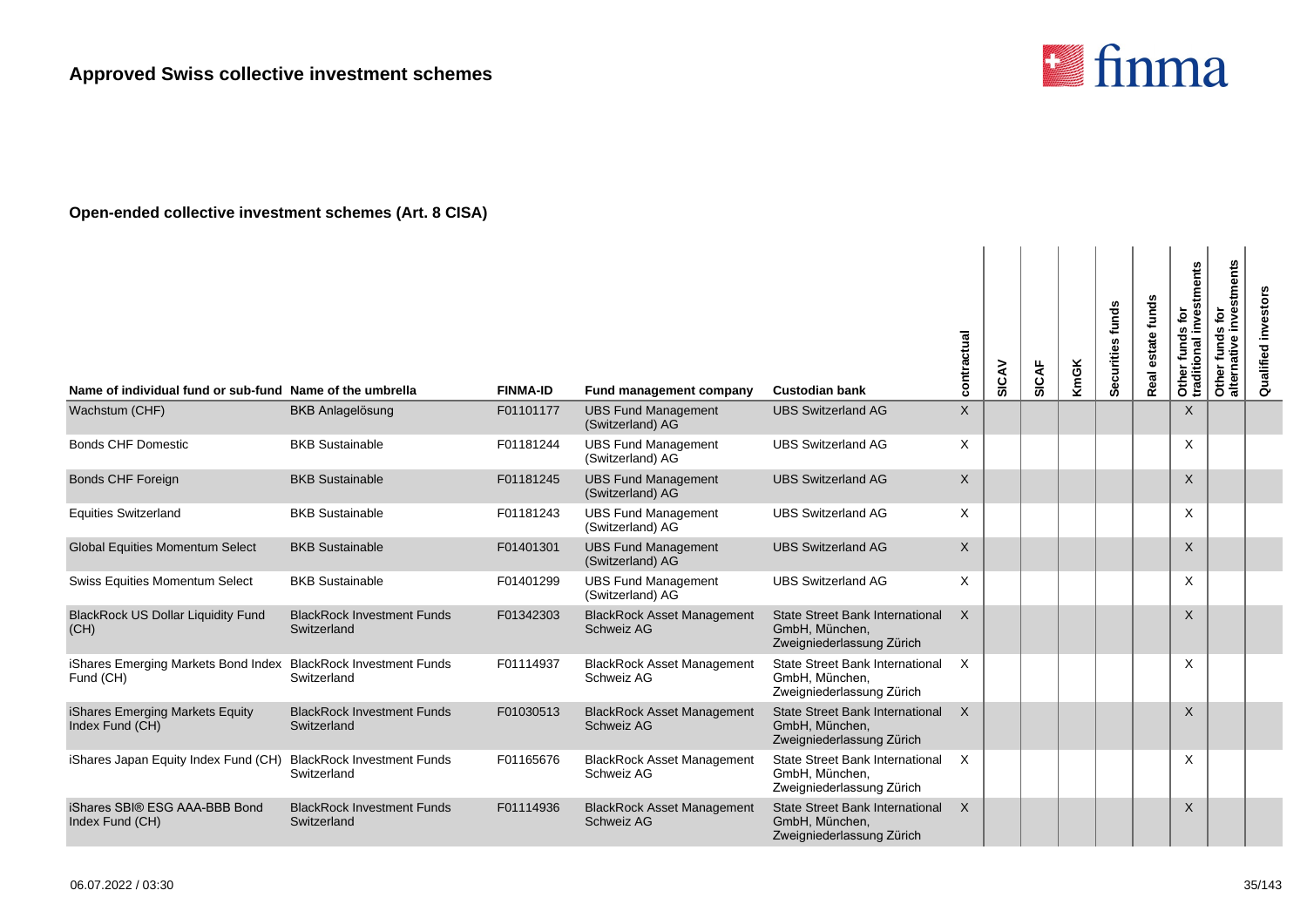

| Name of individual fund or sub-fund Name of the umbrella                    |                                                  | <b>FINMA-ID</b> | Fund management company                         | <b>Custodian bank</b>                                                                 | contractual  | SICAV | <b>SICAF</b> | <b>KmGK</b> | Securities funds | Real estate funds | investments<br>Other funds for<br>traditional inves | Other funds for<br>alternative investments | Qualified investors |
|-----------------------------------------------------------------------------|--------------------------------------------------|-----------------|-------------------------------------------------|---------------------------------------------------------------------------------------|--------------|-------|--------------|-------------|------------------|-------------------|-----------------------------------------------------|--------------------------------------------|---------------------|
| Wachstum (CHF)                                                              | <b>BKB Anlagelösung</b>                          | F01101177       | <b>UBS Fund Management</b><br>(Switzerland) AG  | <b>UBS Switzerland AG</b>                                                             | $\mathsf{X}$ |       |              |             |                  |                   | X                                                   |                                            |                     |
| <b>Bonds CHF Domestic</b>                                                   | <b>BKB Sustainable</b>                           | F01181244       | <b>UBS Fund Management</b><br>(Switzerland) AG  | <b>UBS Switzerland AG</b>                                                             | X            |       |              |             |                  |                   | X                                                   |                                            |                     |
| <b>Bonds CHF Foreign</b>                                                    | <b>BKB Sustainable</b>                           | F01181245       | <b>UBS Fund Management</b><br>(Switzerland) AG  | <b>UBS Switzerland AG</b>                                                             | $\mathsf{X}$ |       |              |             |                  |                   | $\times$                                            |                                            |                     |
| <b>Equities Switzerland</b>                                                 | <b>BKB Sustainable</b>                           | F01181243       | <b>UBS Fund Management</b><br>(Switzerland) AG  | <b>UBS Switzerland AG</b>                                                             | X            |       |              |             |                  |                   | X                                                   |                                            |                     |
| <b>Global Equities Momentum Select</b>                                      | <b>BKB Sustainable</b>                           | F01401301       | <b>UBS Fund Management</b><br>(Switzerland) AG  | <b>UBS Switzerland AG</b>                                                             | $\mathsf{X}$ |       |              |             |                  |                   | X                                                   |                                            |                     |
| <b>Swiss Equities Momentum Select</b>                                       | <b>BKB Sustainable</b>                           | F01401299       | <b>UBS Fund Management</b><br>(Switzerland) AG  | <b>UBS Switzerland AG</b>                                                             | X            |       |              |             |                  |                   | X                                                   |                                            |                     |
| <b>BlackRock US Dollar Liquidity Fund</b><br>(CH)                           | <b>BlackRock Investment Funds</b><br>Switzerland | F01342303       | <b>BlackRock Asset Management</b><br>Schweiz AG | <b>State Street Bank International</b><br>GmbH, München,<br>Zweigniederlassung Zürich | $\mathsf{X}$ |       |              |             |                  |                   | $\mathsf{X}$                                        |                                            |                     |
| iShares Emerging Markets Bond Index BlackRock Investment Funds<br>Fund (CH) | Switzerland                                      | F01114937       | <b>BlackRock Asset Management</b><br>Schweiz AG | State Street Bank International<br>GmbH, München,<br>Zweigniederlassung Zürich        | $\times$     |       |              |             |                  |                   | X                                                   |                                            |                     |
| iShares Emerging Markets Equity<br>Index Fund (CH)                          | <b>BlackRock Investment Funds</b><br>Switzerland | F01030513       | <b>BlackRock Asset Management</b><br>Schweiz AG | State Street Bank International<br>GmbH, München,<br>Zweigniederlassung Zürich        | X            |       |              |             |                  |                   | $\times$                                            |                                            |                     |
| iShares Japan Equity Index Fund (CH)                                        | <b>BlackRock Investment Funds</b><br>Switzerland | F01165676       | <b>BlackRock Asset Management</b><br>Schweiz AG | State Street Bank International<br>GmbH, München,<br>Zweigniederlassung Zürich        | X            |       |              |             |                  |                   | X                                                   |                                            |                     |
| iShares SBI® ESG AAA-BBB Bond<br>Index Fund (CH)                            | <b>BlackRock Investment Funds</b><br>Switzerland | F01114936       | <b>BlackRock Asset Management</b><br>Schweiz AG | <b>State Street Bank International</b><br>GmbH, München,<br>Zweigniederlassung Zürich | X            |       |              |             |                  |                   | X                                                   |                                            |                     |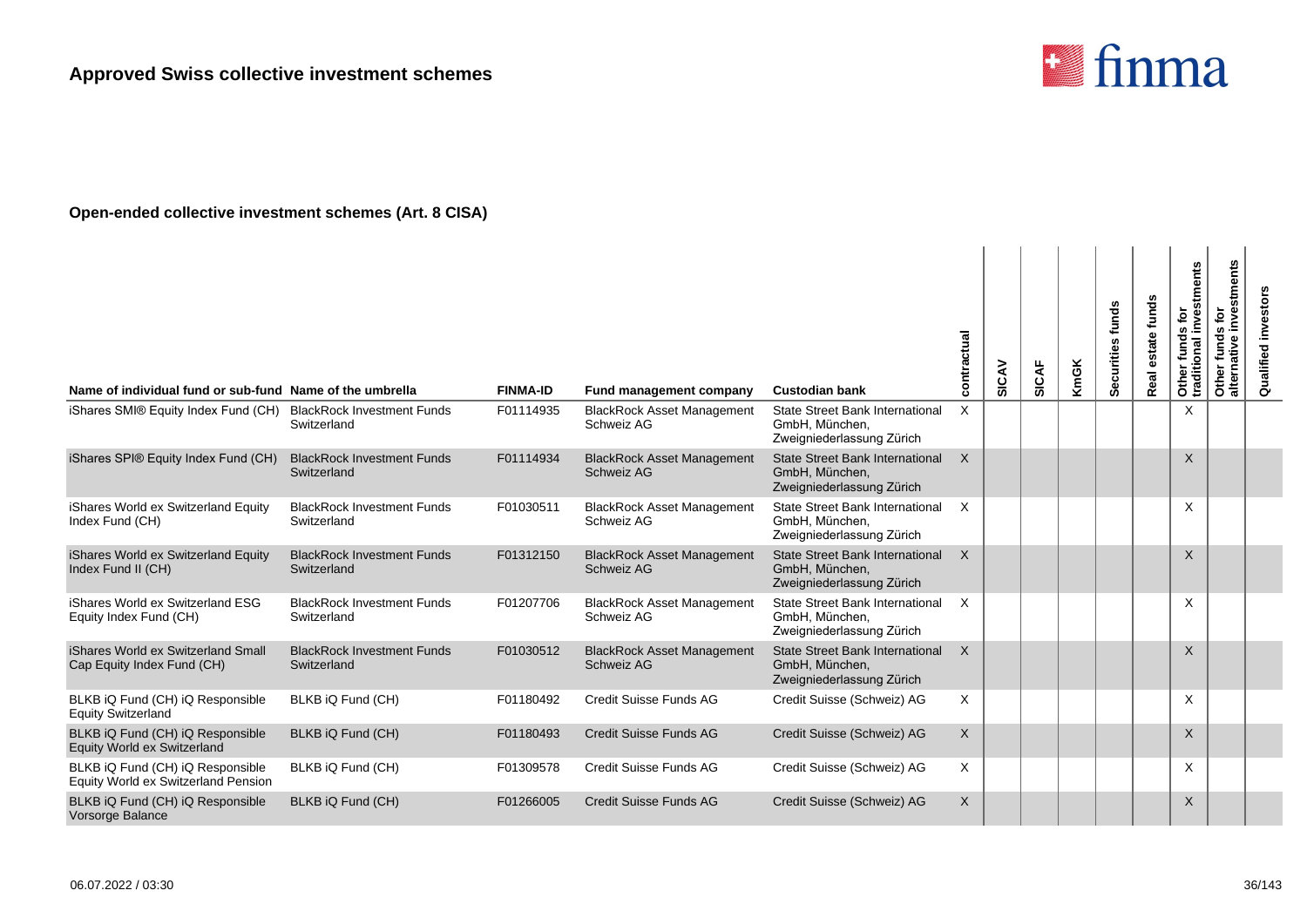

| Name of individual fund or sub-fund Name of the umbrella                |                                                  | <b>FINMA-ID</b> | Fund management company                                | <b>Custodian bank</b>                                                                 | contractual | SICAV | <b>SICAF</b> | <b>KmGK</b> | Securities funds | estate funds<br>Real | ds for<br>linvestments<br>Other funds<br>traditional i | Other funds for<br>alternative investments | investor<br>Qualified |
|-------------------------------------------------------------------------|--------------------------------------------------|-----------------|--------------------------------------------------------|---------------------------------------------------------------------------------------|-------------|-------|--------------|-------------|------------------|----------------------|--------------------------------------------------------|--------------------------------------------|-----------------------|
| iShares SMI® Equity Index Fund (CH)                                     | <b>BlackRock Investment Funds</b><br>Switzerland | F01114935       | <b>BlackRock Asset Management</b><br>Schweiz AG        | <b>State Street Bank International</b><br>GmbH, München,<br>Zweigniederlassung Zürich | X           |       |              |             |                  |                      | $\times$                                               |                                            |                       |
| iShares SPI® Equity Index Fund (CH)                                     | <b>BlackRock Investment Funds</b><br>Switzerland | F01114934       | <b>BlackRock Asset Management</b><br>Schweiz AG        | <b>State Street Bank International</b><br>GmbH. München.<br>Zweigniederlassung Zürich | $\sf X$     |       |              |             |                  |                      | $\times$                                               |                                            |                       |
| iShares World ex Switzerland Equity<br>Index Fund (CH)                  | <b>BlackRock Investment Funds</b><br>Switzerland | F01030511       | <b>BlackRock Asset Management</b><br>Schweiz AG        | State Street Bank International<br>GmbH, München,<br>Zweigniederlassung Zürich        | $\times$    |       |              |             |                  |                      | $\times$                                               |                                            |                       |
| iShares World ex Switzerland Equity<br>Index Fund II (CH)               | <b>BlackRock Investment Funds</b><br>Switzerland | F01312150       | <b>BlackRock Asset Management</b><br><b>Schweiz AG</b> | State Street Bank International<br>GmbH, München,<br>Zweigniederlassung Zürich        | $\times$    |       |              |             |                  |                      | $\times$                                               |                                            |                       |
| iShares World ex Switzerland ESG<br>Equity Index Fund (CH)              | <b>BlackRock Investment Funds</b><br>Switzerland | F01207706       | <b>BlackRock Asset Management</b><br>Schweiz AG        | State Street Bank International<br>GmbH, München,<br>Zweigniederlassung Zürich        | X           |       |              |             |                  |                      | X                                                      |                                            |                       |
| iShares World ex Switzerland Small<br>Cap Equity Index Fund (CH)        | <b>BlackRock Investment Funds</b><br>Switzerland | F01030512       | <b>BlackRock Asset Management</b><br>Schweiz AG        | <b>State Street Bank International</b><br>GmbH, München,<br>Zweigniederlassung Zürich | $\times$    |       |              |             |                  |                      | $\times$                                               |                                            |                       |
| BLKB iQ Fund (CH) iQ Responsible<br><b>Equity Switzerland</b>           | BLKB iQ Fund (CH)                                | F01180492       | Credit Suisse Funds AG                                 | Credit Suisse (Schweiz) AG                                                            | X           |       |              |             |                  |                      | X                                                      |                                            |                       |
| BLKB iQ Fund (CH) iQ Responsible<br>Equity World ex Switzerland         | BLKB iQ Fund (CH)                                | F01180493       | <b>Credit Suisse Funds AG</b>                          | Credit Suisse (Schweiz) AG                                                            | X           |       |              |             |                  |                      | $\times$                                               |                                            |                       |
| BLKB iQ Fund (CH) iQ Responsible<br>Equity World ex Switzerland Pension | BLKB iQ Fund (CH)                                | F01309578       | Credit Suisse Funds AG                                 | Credit Suisse (Schweiz) AG                                                            | X           |       |              |             |                  |                      | $\times$                                               |                                            |                       |
| BLKB iQ Fund (CH) iQ Responsible<br>Vorsorge Balance                    | BLKB iQ Fund (CH)                                | F01266005       | <b>Credit Suisse Funds AG</b>                          | Credit Suisse (Schweiz) AG                                                            | X           |       |              |             |                  |                      | X                                                      |                                            |                       |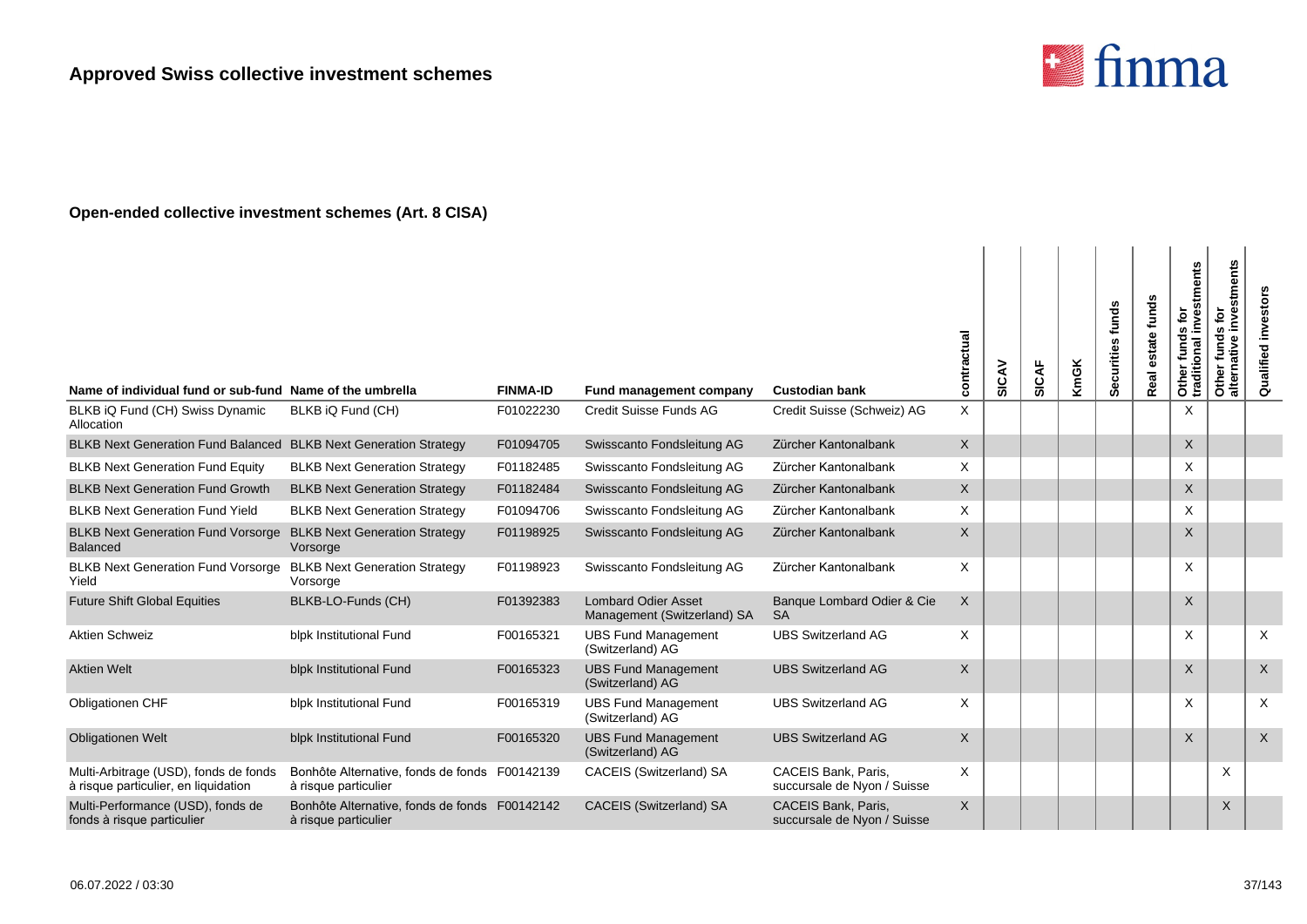

| Name of individual fund or sub-fund Name of the umbrella                      |                                                                       | <b>FINMA-ID</b> | Fund management company                                   | <b>Custodian bank</b>                              | contractual  | SICAV | <b>SICAF</b> | <b>KmGK</b> | Securities funds | estate funds<br>Real | Other funds for<br>traditional investments | investments<br>funds for<br>ative<br>Other 1<br>alterna | Qualified investors |
|-------------------------------------------------------------------------------|-----------------------------------------------------------------------|-----------------|-----------------------------------------------------------|----------------------------------------------------|--------------|-------|--------------|-------------|------------------|----------------------|--------------------------------------------|---------------------------------------------------------|---------------------|
| BLKB iQ Fund (CH) Swiss Dynamic<br>Allocation                                 | BLKB iQ Fund (CH)                                                     | F01022230       | Credit Suisse Funds AG                                    | Credit Suisse (Schweiz) AG                         | X            |       |              |             |                  |                      | X                                          |                                                         |                     |
| BLKB Next Generation Fund Balanced BLKB Next Generation Strategy              |                                                                       | F01094705       | Swisscanto Fondsleitung AG                                | Zürcher Kantonalbank                               | X            |       |              |             |                  |                      | X                                          |                                                         |                     |
| <b>BLKB Next Generation Fund Equity</b>                                       | <b>BLKB Next Generation Strategy</b>                                  | F01182485       | Swisscanto Fondsleitung AG                                | Zürcher Kantonalbank                               | $\times$     |       |              |             |                  |                      | X                                          |                                                         |                     |
| <b>BLKB Next Generation Fund Growth</b>                                       | <b>BLKB Next Generation Strategy</b>                                  | F01182484       | Swisscanto Fondsleitung AG                                | Zürcher Kantonalbank                               | $\sf X$      |       |              |             |                  |                      | $\mathsf{X}$                               |                                                         |                     |
| <b>BLKB Next Generation Fund Yield</b>                                        | <b>BLKB Next Generation Strategy</b>                                  | F01094706       | Swisscanto Fondsleitung AG                                | Zürcher Kantonalbank                               | X            |       |              |             |                  |                      | X                                          |                                                         |                     |
| <b>BLKB Next Generation Fund Vorsorge</b><br><b>Balanced</b>                  | <b>BLKB Next Generation Strategy</b><br>Vorsorge                      | F01198925       | Swisscanto Fondsleitung AG                                | Zürcher Kantonalbank                               | $\sf X$      |       |              |             |                  |                      | X                                          |                                                         |                     |
| <b>BLKB Next Generation Fund Vorsorge</b><br>Yield                            | <b>BLKB Next Generation Strategy</b><br>Vorsorge                      | F01198923       | Swisscanto Fondsleitung AG                                | Zürcher Kantonalbank                               | X            |       |              |             |                  |                      | X                                          |                                                         |                     |
| <b>Future Shift Global Equities</b>                                           | BLKB-LO-Funds (CH)                                                    | F01392383       | <b>Lombard Odier Asset</b><br>Management (Switzerland) SA | Banque Lombard Odier & Cie<br>SA                   | $\sf X$      |       |              |             |                  |                      | $\times$                                   |                                                         |                     |
| <b>Aktien Schweiz</b>                                                         | blpk Institutional Fund                                               | F00165321       | <b>UBS Fund Management</b><br>(Switzerland) AG            | <b>UBS Switzerland AG</b>                          | X            |       |              |             |                  |                      | X                                          |                                                         | $\times$            |
| <b>Aktien Welt</b>                                                            | blpk Institutional Fund                                               | F00165323       | <b>UBS Fund Management</b><br>(Switzerland) AG            | <b>UBS Switzerland AG</b>                          | X            |       |              |             |                  |                      | X                                          |                                                         | X                   |
| <b>Obligationen CHF</b>                                                       | blpk Institutional Fund                                               | F00165319       | <b>UBS Fund Management</b><br>(Switzerland) AG            | <b>UBS Switzerland AG</b>                          | $\times$     |       |              |             |                  |                      | X                                          |                                                         | X                   |
| Obligationen Welt                                                             | blpk Institutional Fund                                               | F00165320       | <b>UBS Fund Management</b><br>(Switzerland) AG            | <b>UBS Switzerland AG</b>                          | $\mathsf{X}$ |       |              |             |                  |                      | $\times$                                   |                                                         | $\times$            |
| Multi-Arbitrage (USD), fonds de fonds<br>à risque particulier, en liquidation | Bonhôte Alternative, fonds de fonds F00142139<br>à risque particulier |                 | CACEIS (Switzerland) SA                                   | CACEIS Bank, Paris,<br>succursale de Nyon / Suisse | X            |       |              |             |                  |                      |                                            | X                                                       |                     |
| Multi-Performance (USD), fonds de<br>fonds à risque particulier               | Bonhôte Alternative, fonds de fonds F00142142<br>à risque particulier |                 | CACEIS (Switzerland) SA                                   | CACEIS Bank, Paris,<br>succursale de Nyon / Suisse | $\sf X$      |       |              |             |                  |                      |                                            | X                                                       |                     |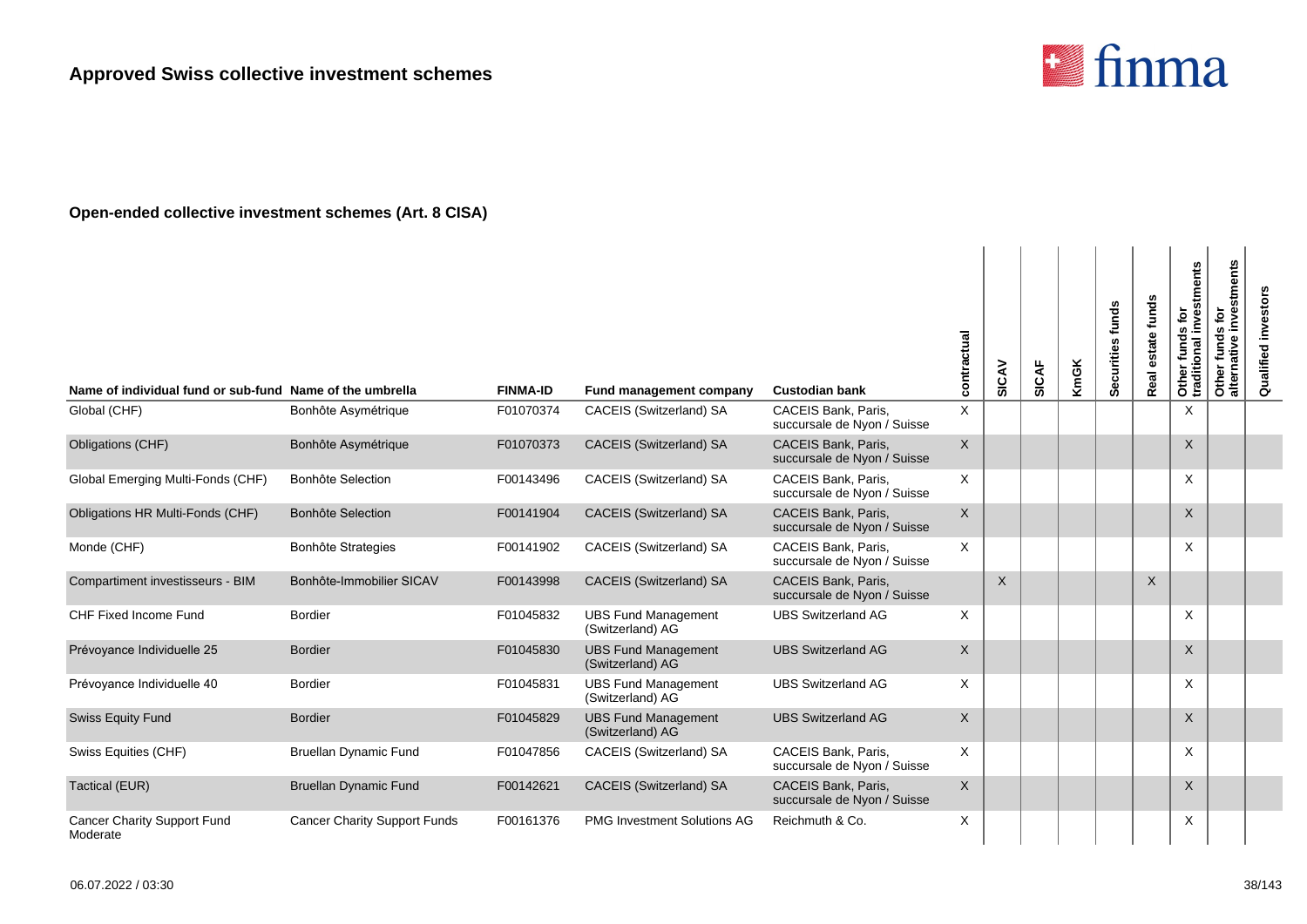

| Name of individual fund or sub-fund Name of the umbrella |                                     | <b>FINMA-ID</b> | Fund management company                        | <b>Custodian bank</b>                                     | contractual  | SICAV   | <b>SICAF</b> | <b>KmGK</b> | Securities funds | estate funds<br>Real | stments<br>흐<br>inve<br><b>SC</b><br>Other funds<br>traditional | investments<br>Other funds for<br>alternative inves | investors<br>Qualified |
|----------------------------------------------------------|-------------------------------------|-----------------|------------------------------------------------|-----------------------------------------------------------|--------------|---------|--------------|-------------|------------------|----------------------|-----------------------------------------------------------------|-----------------------------------------------------|------------------------|
| Global (CHF)                                             | Bonhôte Asymétrique                 | F01070374       | CACEIS (Switzerland) SA                        | CACEIS Bank, Paris,<br>succursale de Nyon / Suisse        | X            |         |              |             |                  |                      | X                                                               |                                                     |                        |
| Obligations (CHF)                                        | Bonhôte Asymétrique                 | F01070373       | CACEIS (Switzerland) SA                        | CACEIS Bank, Paris,<br>succursale de Nyon / Suisse        | $\mathsf{X}$ |         |              |             |                  |                      | $\times$                                                        |                                                     |                        |
| Global Emerging Multi-Fonds (CHF)                        | Bonhôte Selection                   | F00143496       | CACEIS (Switzerland) SA                        | CACEIS Bank, Paris,<br>succursale de Nyon / Suisse        | X            |         |              |             |                  |                      | X                                                               |                                                     |                        |
| Obligations HR Multi-Fonds (CHF)                         | Bonhôte Selection                   | F00141904       | <b>CACEIS (Switzerland) SA</b>                 | CACEIS Bank, Paris,<br>succursale de Nyon / Suisse        | X            |         |              |             |                  |                      | X                                                               |                                                     |                        |
| Monde (CHF)                                              | Bonhôte Strategies                  | F00141902       | CACEIS (Switzerland) SA                        | <b>CACEIS Bank, Paris.</b><br>succursale de Nyon / Suisse | X            |         |              |             |                  |                      | $\times$                                                        |                                                     |                        |
| Compartiment investisseurs - BIM                         | Bonhôte-Immobilier SICAV            | F00143998       | CACEIS (Switzerland) SA                        | CACEIS Bank, Paris,<br>succursale de Nyon / Suisse        |              | $\sf X$ |              |             |                  | X                    |                                                                 |                                                     |                        |
| CHF Fixed Income Fund                                    | <b>Bordier</b>                      | F01045832       | <b>UBS Fund Management</b><br>(Switzerland) AG | <b>UBS Switzerland AG</b>                                 | Χ            |         |              |             |                  |                      | X                                                               |                                                     |                        |
| Prévoyance Individuelle 25                               | <b>Bordier</b>                      | F01045830       | <b>UBS Fund Management</b><br>(Switzerland) AG | <b>UBS Switzerland AG</b>                                 | X            |         |              |             |                  |                      | X                                                               |                                                     |                        |
| Prévoyance Individuelle 40                               | <b>Bordier</b>                      | F01045831       | <b>UBS Fund Management</b><br>(Switzerland) AG | <b>UBS Switzerland AG</b>                                 | X            |         |              |             |                  |                      | X                                                               |                                                     |                        |
| Swiss Equity Fund                                        | <b>Bordier</b>                      | F01045829       | <b>UBS Fund Management</b><br>(Switzerland) AG | <b>UBS Switzerland AG</b>                                 | $\mathsf{X}$ |         |              |             |                  |                      | $\times$                                                        |                                                     |                        |
| Swiss Equities (CHF)                                     | <b>Bruellan Dynamic Fund</b>        | F01047856       | CACEIS (Switzerland) SA                        | CACEIS Bank, Paris,<br>succursale de Nyon / Suisse        | X            |         |              |             |                  |                      | X                                                               |                                                     |                        |
| Tactical (EUR)                                           | <b>Bruellan Dynamic Fund</b>        | F00142621       | CACEIS (Switzerland) SA                        | CACEIS Bank, Paris,<br>succursale de Nyon / Suisse        | $\mathsf{X}$ |         |              |             |                  |                      | X                                                               |                                                     |                        |
| <b>Cancer Charity Support Fund</b><br>Moderate           | <b>Cancer Charity Support Funds</b> | F00161376       | <b>PMG Investment Solutions AG</b>             | Reichmuth & Co.                                           | X            |         |              |             |                  |                      | X                                                               |                                                     |                        |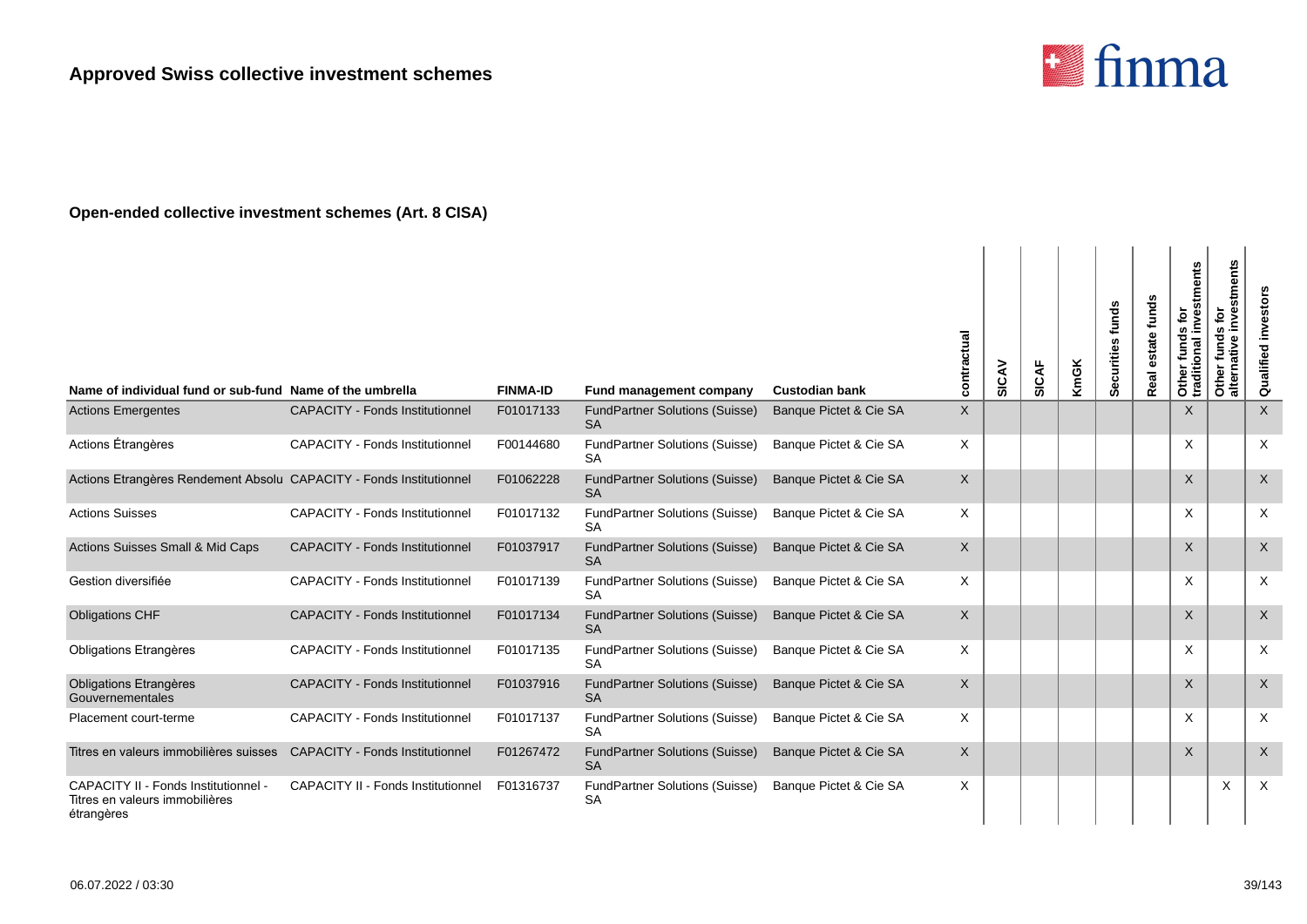

| Name of individual fund or sub-fund Name of the umbrella                             |                                           | <b>FINMA-ID</b> | Fund management company                            | <b>Custodian bank</b>  | contractual  | SICAV | SICAF | <b>KmGK</b> | Securities funds | funds<br>state<br>Real | Other funds for<br>traditional investments | investments<br>ē<br>w<br>Other funds<br>alternative | Qualified investors |
|--------------------------------------------------------------------------------------|-------------------------------------------|-----------------|----------------------------------------------------|------------------------|--------------|-------|-------|-------------|------------------|------------------------|--------------------------------------------|-----------------------------------------------------|---------------------|
| <b>Actions Emergentes</b>                                                            | <b>CAPACITY - Fonds Institutionnel</b>    | F01017133       | <b>FundPartner Solutions (Suisse)</b><br><b>SA</b> | Banque Pictet & Cie SA | $\times$     |       |       |             |                  |                        | $\mathsf{X}$                               |                                                     | X                   |
| Actions Étrangères                                                                   | <b>CAPACITY - Fonds Institutionnel</b>    | F00144680       | <b>FundPartner Solutions (Suisse)</b><br><b>SA</b> | Banque Pictet & Cie SA | Χ            |       |       |             |                  |                        | X                                          |                                                     | X                   |
| Actions Etrangères Rendement Absolu CAPACITY - Fonds Institutionnel                  |                                           | F01062228       | <b>FundPartner Solutions (Suisse)</b><br><b>SA</b> | Banque Pictet & Cie SA | X            |       |       |             |                  |                        | X                                          |                                                     | X                   |
| <b>Actions Suisses</b>                                                               | <b>CAPACITY - Fonds Institutionnel</b>    | F01017132       | FundPartner Solutions (Suisse)<br><b>SA</b>        | Banque Pictet & Cie SA | X            |       |       |             |                  |                        | X                                          |                                                     | $\times$            |
| Actions Suisses Small & Mid Caps                                                     | <b>CAPACITY - Fonds Institutionnel</b>    | F01037917       | <b>FundPartner Solutions (Suisse)</b><br><b>SA</b> | Banque Pictet & Cie SA | $\mathsf{X}$ |       |       |             |                  |                        | X                                          |                                                     | $\times$            |
| Gestion diversifiée                                                                  | <b>CAPACITY - Fonds Institutionnel</b>    | F01017139       | FundPartner Solutions (Suisse)<br><b>SA</b>        | Banque Pictet & Cie SA | X            |       |       |             |                  |                        | X                                          |                                                     | X                   |
| <b>Obligations CHF</b>                                                               | <b>CAPACITY - Fonds Institutionnel</b>    | F01017134       | <b>FundPartner Solutions (Suisse)</b><br><b>SA</b> | Banque Pictet & Cie SA | $\mathsf{X}$ |       |       |             |                  |                        | X                                          |                                                     | X                   |
| <b>Obligations Etrangères</b>                                                        | <b>CAPACITY - Fonds Institutionnel</b>    | F01017135       | <b>FundPartner Solutions (Suisse)</b><br><b>SA</b> | Banque Pictet & Cie SA | X            |       |       |             |                  |                        | X                                          |                                                     | X                   |
| <b>Obligations Etrangères</b><br>Gouvernementales                                    | <b>CAPACITY - Fonds Institutionnel</b>    | F01037916       | <b>FundPartner Solutions (Suisse)</b><br><b>SA</b> | Banque Pictet & Cie SA | $\mathsf{X}$ |       |       |             |                  |                        | X                                          |                                                     | X                   |
| Placement court-terme                                                                | <b>CAPACITY - Fonds Institutionnel</b>    | F01017137       | <b>FundPartner Solutions (Suisse)</b><br><b>SA</b> | Banque Pictet & Cie SA | X            |       |       |             |                  |                        | X                                          |                                                     | X                   |
| Titres en valeurs immobilières suisses CAPACITY - Fonds Institutionnel               |                                           | F01267472       | <b>FundPartner Solutions (Suisse)</b><br><b>SA</b> | Banque Pictet & Cie SA | X            |       |       |             |                  |                        | X                                          |                                                     | $\times$            |
| CAPACITY II - Fonds Institutionnel -<br>Titres en valeurs immobilières<br>étrangères | <b>CAPACITY II - Fonds Institutionnel</b> | F01316737       | <b>FundPartner Solutions (Suisse)</b><br><b>SA</b> | Banque Pictet & Cie SA | X            |       |       |             |                  |                        |                                            | X                                                   | $\times$            |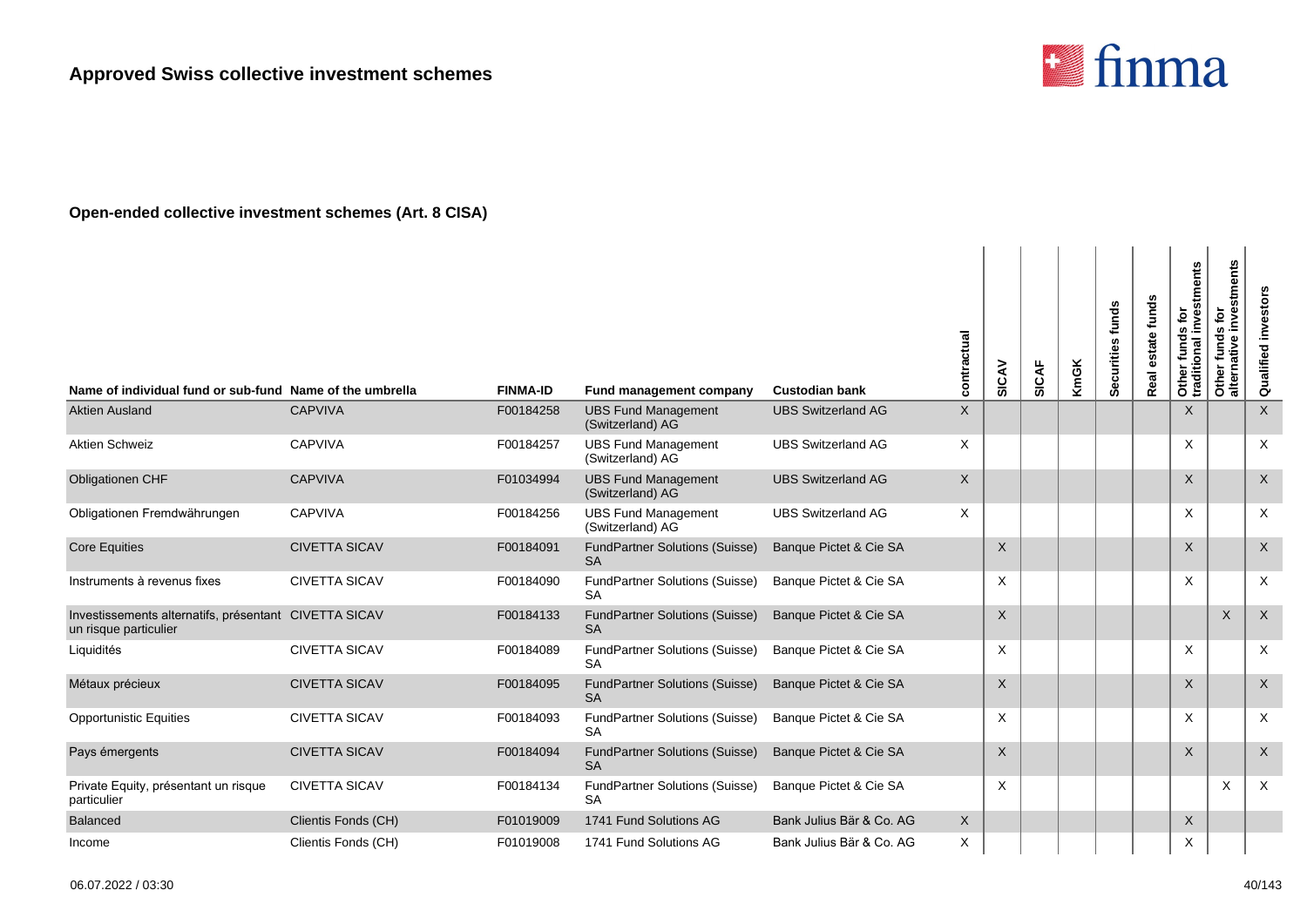

| Name of individual fund or sub-fund Name of the umbrella                       |                      | <b>FINMA-ID</b> | Fund management company                            | <b>Custodian bank</b>     | contractual               | SICAV        | <b>SICAF</b> | KmGK | Securities funds | estate funds<br>Real | Other funds for<br>traditional investments | investments<br>funds for<br>native<br>Other<br>alterna | Qualified investors |
|--------------------------------------------------------------------------------|----------------------|-----------------|----------------------------------------------------|---------------------------|---------------------------|--------------|--------------|------|------------------|----------------------|--------------------------------------------|--------------------------------------------------------|---------------------|
| <b>Aktien Ausland</b>                                                          | <b>CAPVIVA</b>       | F00184258       | <b>UBS Fund Management</b><br>(Switzerland) AG     | <b>UBS Switzerland AG</b> | $\boldsymbol{\mathsf{X}}$ |              |              |      |                  |                      | $\mathsf{X}$                               |                                                        | $\mathsf{X}$        |
| <b>Aktien Schweiz</b>                                                          | <b>CAPVIVA</b>       | F00184257       | <b>UBS Fund Management</b><br>(Switzerland) AG     | <b>UBS Switzerland AG</b> | X                         |              |              |      |                  |                      | X                                          |                                                        | X                   |
| Obligationen CHF                                                               | <b>CAPVIVA</b>       | F01034994       | <b>UBS Fund Management</b><br>(Switzerland) AG     | <b>UBS Switzerland AG</b> | $\sf X$                   |              |              |      |                  |                      | $\times$                                   |                                                        | $\mathsf X$         |
| Obligationen Fremdwährungen                                                    | CAPVIVA              | F00184256       | <b>UBS Fund Management</b><br>(Switzerland) AG     | <b>UBS Switzerland AG</b> | $\times$                  |              |              |      |                  |                      | X                                          |                                                        | X                   |
| <b>Core Equities</b>                                                           | <b>CIVETTA SICAV</b> | F00184091       | <b>FundPartner Solutions (Suisse)</b><br><b>SA</b> | Banque Pictet & Cie SA    |                           | $\sf X$      |              |      |                  |                      | X                                          |                                                        | $\mathsf X$         |
| Instruments à revenus fixes                                                    | <b>CIVETTA SICAV</b> | F00184090       | <b>FundPartner Solutions (Suisse)</b><br><b>SA</b> | Banque Pictet & Cie SA    |                           | $\times$     |              |      |                  |                      | X                                          |                                                        | X                   |
| Investissements alternatifs, présentant CIVETTA SICAV<br>un risque particulier |                      | F00184133       | <b>FundPartner Solutions (Suisse)</b><br><b>SA</b> | Banque Pictet & Cie SA    |                           | $\mathsf{X}$ |              |      |                  |                      |                                            | $\times$                                               | $\mathsf X$         |
| Liquidités                                                                     | <b>CIVETTA SICAV</b> | F00184089       | FundPartner Solutions (Suisse)<br><b>SA</b>        | Banque Pictet & Cie SA    |                           | $\times$     |              |      |                  |                      | X                                          |                                                        | X                   |
| Métaux précieux                                                                | <b>CIVETTA SICAV</b> | F00184095       | <b>FundPartner Solutions (Suisse)</b><br><b>SA</b> | Banque Pictet & Cie SA    |                           | $\times$     |              |      |                  |                      | X                                          |                                                        | $\sf X$             |
| <b>Opportunistic Equities</b>                                                  | <b>CIVETTA SICAV</b> | F00184093       | <b>FundPartner Solutions (Suisse)</b><br><b>SA</b> | Banque Pictet & Cie SA    |                           | $\times$     |              |      |                  |                      | X                                          |                                                        | $\times$            |
| Pays émergents                                                                 | <b>CIVETTA SICAV</b> | F00184094       | <b>FundPartner Solutions (Suisse)</b><br><b>SA</b> | Banque Pictet & Cie SA    |                           | $\times$     |              |      |                  |                      | X                                          |                                                        | $\mathsf{X}$        |
| Private Equity, présentant un risque<br>particulier                            | <b>CIVETTA SICAV</b> | F00184134       | <b>FundPartner Solutions (Suisse)</b><br><b>SA</b> | Banque Pictet & Cie SA    |                           | $\times$     |              |      |                  |                      |                                            | $\times$                                               | $\times$            |
| <b>Balanced</b>                                                                | Clientis Fonds (CH)  | F01019009       | 1741 Fund Solutions AG                             | Bank Julius Bär & Co. AG  | $\times$                  |              |              |      |                  |                      | $\times$                                   |                                                        |                     |
| Income                                                                         | Clientis Fonds (CH)  | F01019008       | 1741 Fund Solutions AG                             | Bank Julius Bär & Co. AG  | Χ                         |              |              |      |                  |                      | X                                          |                                                        |                     |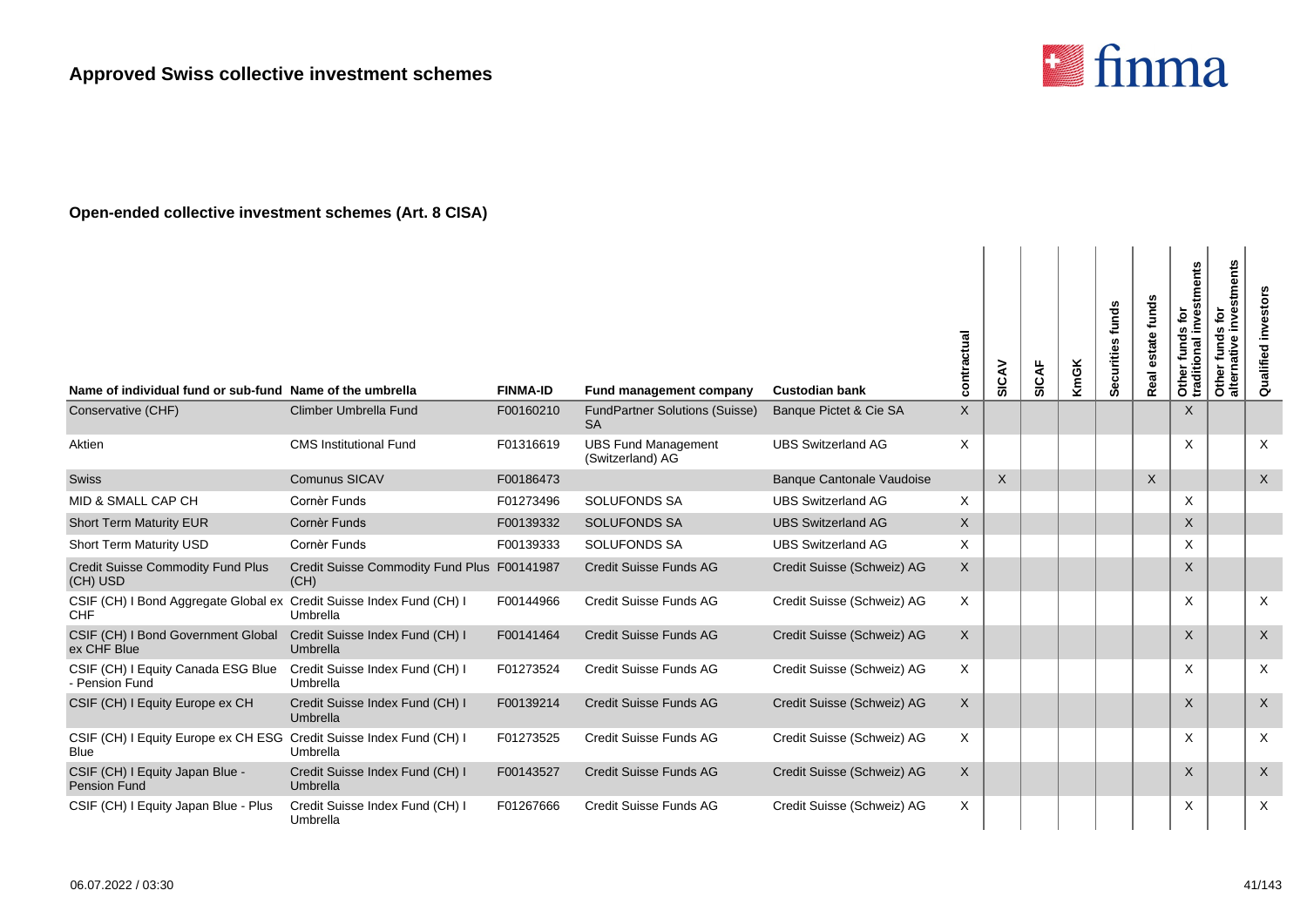

| Name of individual fund or sub-fund Name of the umbrella                           |                                                     | <b>FINMA-ID</b> | Fund management company                            | <b>Custodian bank</b>            | contractual | SICAV    | SICAF | <b>KmGK</b> | Securities funds | funds<br>state<br>Real | Other funds for<br>traditional investments | stments<br>٠ō<br>ω<br>S<br>fund<br>៍ដ<br>Other<br>alterna | investors<br>Qualified    |
|------------------------------------------------------------------------------------|-----------------------------------------------------|-----------------|----------------------------------------------------|----------------------------------|-------------|----------|-------|-------------|------------------|------------------------|--------------------------------------------|-----------------------------------------------------------|---------------------------|
| Conservative (CHF)                                                                 | Climber Umbrella Fund                               | F00160210       | <b>FundPartner Solutions (Suisse)</b><br><b>SA</b> | Banque Pictet & Cie SA           | $\times$    |          |       |             |                  |                        | $\times$                                   |                                                           |                           |
| Aktien                                                                             | <b>CMS</b> Institutional Fund                       | F01316619       | <b>UBS Fund Management</b><br>(Switzerland) AG     | <b>UBS Switzerland AG</b>        | X           |          |       |             |                  |                        | X                                          |                                                           | $\boldsymbol{\mathsf{X}}$ |
| <b>Swiss</b>                                                                       | <b>Comunus SICAV</b>                                | F00186473       |                                                    | <b>Banque Cantonale Vaudoise</b> |             | $\times$ |       |             |                  | $\times$               |                                            |                                                           | $\times$                  |
| MID & SMALL CAP CH                                                                 | Cornèr Funds                                        | F01273496       | <b>SOLUFONDS SA</b>                                | <b>UBS Switzerland AG</b>        | X           |          |       |             |                  |                        | Χ                                          |                                                           |                           |
| <b>Short Term Maturity EUR</b>                                                     | Cornèr Funds                                        | F00139332       | <b>SOLUFONDS SA</b>                                | <b>UBS Switzerland AG</b>        | X           |          |       |             |                  |                        | X                                          |                                                           |                           |
| Short Term Maturity USD                                                            | Cornèr Funds                                        | F00139333       | <b>SOLUFONDS SA</b>                                | <b>UBS Switzerland AG</b>        | $\times$    |          |       |             |                  |                        | X                                          |                                                           |                           |
| <b>Credit Suisse Commodity Fund Plus</b><br>(CH) USD                               | Credit Suisse Commodity Fund Plus F00141987<br>(CH) |                 | Credit Suisse Funds AG                             | Credit Suisse (Schweiz) AG       | $\sf X$     |          |       |             |                  |                        | $\times$                                   |                                                           |                           |
| CSIF (CH) I Bond Aggregate Global ex Credit Suisse Index Fund (CH) I<br><b>CHF</b> | Umbrella                                            | F00144966       | Credit Suisse Funds AG                             | Credit Suisse (Schweiz) AG       | X           |          |       |             |                  |                        | X                                          |                                                           | $\times$                  |
| CSIF (CH) I Bond Government Global<br>ex CHF Blue                                  | Credit Suisse Index Fund (CH) I<br>Umbrella         | F00141464       | Credit Suisse Funds AG                             | Credit Suisse (Schweiz) AG       | $\times$    |          |       |             |                  |                        | X                                          |                                                           | $\sf X$                   |
| CSIF (CH) I Equity Canada ESG Blue<br>- Pension Fund                               | Credit Suisse Index Fund (CH) I<br>Umbrella         | F01273524       | Credit Suisse Funds AG                             | Credit Suisse (Schweiz) AG       | X           |          |       |             |                  |                        | X                                          |                                                           | $\times$                  |
| CSIF (CH) I Equity Europe ex CH                                                    | Credit Suisse Index Fund (CH) I<br>Umbrella         | F00139214       | Credit Suisse Funds AG                             | Credit Suisse (Schweiz) AG       | X           |          |       |             |                  |                        | X                                          |                                                           | $\times$                  |
| CSIF (CH) I Equity Europe ex CH ESG Credit Suisse Index Fund (CH) I<br><b>Blue</b> | Umbrella                                            | F01273525       | Credit Suisse Funds AG                             | Credit Suisse (Schweiz) AG       | $\times$    |          |       |             |                  |                        | X                                          |                                                           | $\times$                  |
| CSIF (CH) I Equity Japan Blue -<br><b>Pension Fund</b>                             | Credit Suisse Index Fund (CH) I<br>Umbrella         | F00143527       | Credit Suisse Funds AG                             | Credit Suisse (Schweiz) AG       | X           |          |       |             |                  |                        | $\times$                                   |                                                           | $\sf X$                   |
| CSIF (CH) I Equity Japan Blue - Plus                                               | Credit Suisse Index Fund (CH) I<br>Umbrella         | F01267666       | Credit Suisse Funds AG                             | Credit Suisse (Schweiz) AG       | X           |          |       |             |                  |                        | X                                          |                                                           | X                         |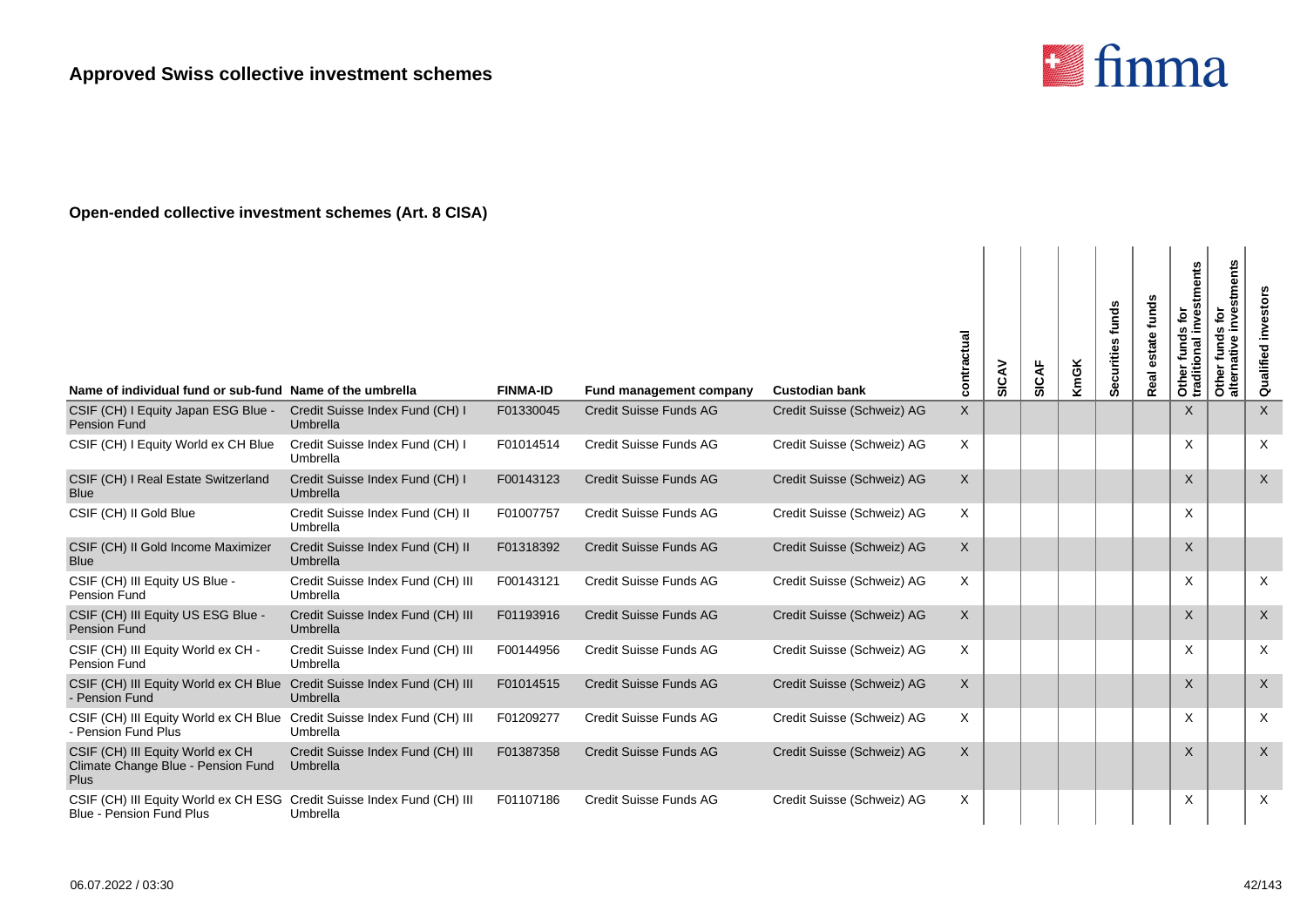

| Name of individual fund or sub-fund Name of the umbrella                                                  |                                               | <b>FINMA-ID</b> | <b>Fund management company</b> | <b>Custodian bank</b>      | contractual  | SICAV | SICAF | <b>KmGK</b> | Securities funds | funds<br>state<br>Real | Other funds for<br>traditional investments | ents<br>stm<br>ë<br><b>S</b><br>fund<br>native<br>Other<br>alterna | <b>Qualified investors</b> |
|-----------------------------------------------------------------------------------------------------------|-----------------------------------------------|-----------------|--------------------------------|----------------------------|--------------|-------|-------|-------------|------------------|------------------------|--------------------------------------------|--------------------------------------------------------------------|----------------------------|
| CSIF (CH) I Equity Japan ESG Blue -<br><b>Pension Fund</b>                                                | Credit Suisse Index Fund (CH) I<br>Umbrella   | F01330045       | Credit Suisse Funds AG         | Credit Suisse (Schweiz) AG | $\mathsf{X}$ |       |       |             |                  |                        | $\times$                                   |                                                                    | $\times$                   |
| CSIF (CH) I Equity World ex CH Blue                                                                       | Credit Suisse Index Fund (CH) I<br>Umbrella   | F01014514       | Credit Suisse Funds AG         | Credit Suisse (Schweiz) AG | X            |       |       |             |                  |                        | X                                          |                                                                    | $\times$                   |
| CSIF (CH) I Real Estate Switzerland<br><b>Blue</b>                                                        | Credit Suisse Index Fund (CH) I<br>Umbrella   | F00143123       | Credit Suisse Funds AG         | Credit Suisse (Schweiz) AG | X            |       |       |             |                  |                        | $\times$                                   |                                                                    | $\times$                   |
| CSIF (CH) II Gold Blue                                                                                    | Credit Suisse Index Fund (CH) II<br>Umbrella  | F01007757       | Credit Suisse Funds AG         | Credit Suisse (Schweiz) AG | Χ            |       |       |             |                  |                        | X                                          |                                                                    |                            |
| CSIF (CH) II Gold Income Maximizer<br><b>Blue</b>                                                         | Credit Suisse Index Fund (CH) II<br>Umbrella  | F01318392       | Credit Suisse Funds AG         | Credit Suisse (Schweiz) AG | $\mathsf{X}$ |       |       |             |                  |                        | $\times$                                   |                                                                    |                            |
| CSIF (CH) III Equity US Blue -<br>Pension Fund                                                            | Credit Suisse Index Fund (CH) III<br>Umbrella | F00143121       | Credit Suisse Funds AG         | Credit Suisse (Schweiz) AG | X            |       |       |             |                  |                        | X                                          |                                                                    | $\times$                   |
| CSIF (CH) III Equity US ESG Blue -<br><b>Pension Fund</b>                                                 | Credit Suisse Index Fund (CH) III<br>Umbrella | F01193916       | Credit Suisse Funds AG         | Credit Suisse (Schweiz) AG | $\times$     |       |       |             |                  |                        | $\times$                                   |                                                                    | $\sf X$                    |
| CSIF (CH) III Equity World ex CH -<br><b>Pension Fund</b>                                                 | Credit Suisse Index Fund (CH) III<br>Umbrella | F00144956       | Credit Suisse Funds AG         | Credit Suisse (Schweiz) AG | X            |       |       |             |                  |                        | X                                          |                                                                    | $\times$                   |
| CSIF (CH) III Equity World ex CH Blue<br>- Pension Fund                                                   | Credit Suisse Index Fund (CH) III<br>Umbrella | F01014515       | Credit Suisse Funds AG         | Credit Suisse (Schweiz) AG | X            |       |       |             |                  |                        | X                                          |                                                                    | $\sf X$                    |
| CSIF (CH) III Equity World ex CH Blue Credit Suisse Index Fund (CH) III<br>- Pension Fund Plus            | Umbrella                                      | F01209277       | Credit Suisse Funds AG         | Credit Suisse (Schweiz) AG | X            |       |       |             |                  |                        | X                                          |                                                                    | X                          |
| CSIF (CH) III Equity World ex CH<br>Climate Change Blue - Pension Fund<br><b>Plus</b>                     | Credit Suisse Index Fund (CH) III<br>Umbrella | F01387358       | Credit Suisse Funds AG         | Credit Suisse (Schweiz) AG | X            |       |       |             |                  |                        | X                                          |                                                                    | $\sf X$                    |
| CSIF (CH) III Equity World ex CH ESG Credit Suisse Index Fund (CH) III<br><b>Blue - Pension Fund Plus</b> | Umbrella                                      | F01107186       | Credit Suisse Funds AG         | Credit Suisse (Schweiz) AG | Χ            |       |       |             |                  |                        | X                                          |                                                                    | $\times$                   |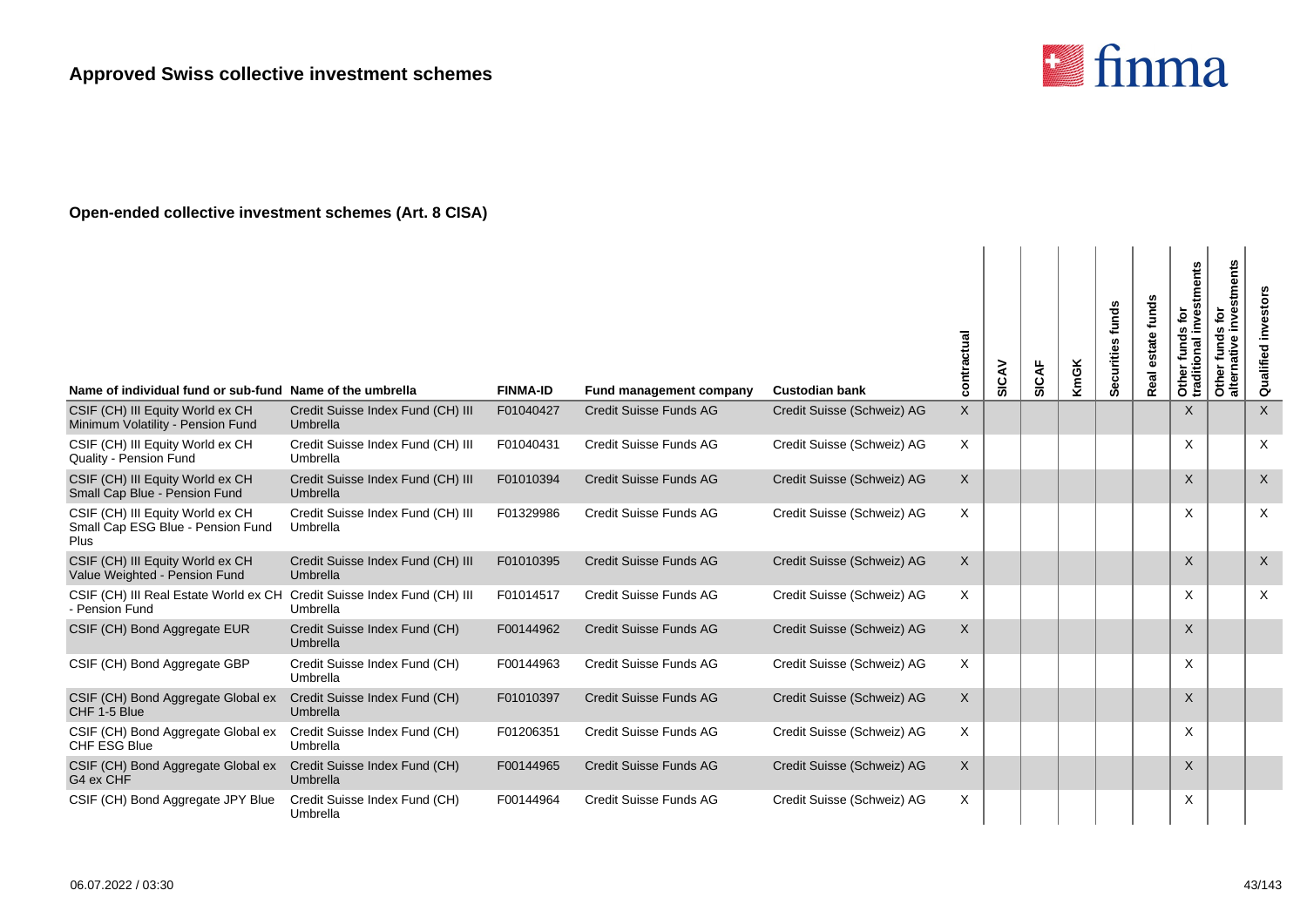

| Name of individual fund or sub-fund Name of the umbrella                                        |                                                                  | <b>FINMA-ID</b> | Fund management company       | <b>Custodian bank</b>      | contractual  | SICAV | <b>SICAF</b> | <b>KmGK</b> | funds<br>Securities | funds<br>state<br>Real | investments<br>funds for<br>Other funds<br>traditional i | stments<br>Φ<br>tōr<br>Š<br>funds<br>ative<br>Other 1<br>alterna | Qualified investors |
|-------------------------------------------------------------------------------------------------|------------------------------------------------------------------|-----------------|-------------------------------|----------------------------|--------------|-------|--------------|-------------|---------------------|------------------------|----------------------------------------------------------|------------------------------------------------------------------|---------------------|
| CSIF (CH) III Equity World ex CH                                                                | Credit Suisse Index Fund (CH) III                                | F01040427       | <b>Credit Suisse Funds AG</b> | Credit Suisse (Schweiz) AG | $\mathsf{X}$ |       |              |             |                     |                        | $\times$                                                 |                                                                  | $\mathsf X$         |
| Minimum Volatility - Pension Fund<br>CSIF (CH) III Equity World ex CH<br>Quality - Pension Fund | <b>Umbrella</b><br>Credit Suisse Index Fund (CH) III<br>Umbrella | F01040431       | Credit Suisse Funds AG        | Credit Suisse (Schweiz) AG | X            |       |              |             |                     |                        | X                                                        |                                                                  | X                   |
| CSIF (CH) III Equity World ex CH<br>Small Cap Blue - Pension Fund                               | Credit Suisse Index Fund (CH) III<br>Umbrella                    | F01010394       | <b>Credit Suisse Funds AG</b> | Credit Suisse (Schweiz) AG | X            |       |              |             |                     |                        | $\times$                                                 |                                                                  | X                   |
| CSIF (CH) III Equity World ex CH<br>Small Cap ESG Blue - Pension Fund<br>Plus                   | Credit Suisse Index Fund (CH) III<br>Umbrella                    | F01329986       | Credit Suisse Funds AG        | Credit Suisse (Schweiz) AG | Χ            |       |              |             |                     |                        | X                                                        |                                                                  | X                   |
| CSIF (CH) III Equity World ex CH<br>Value Weighted - Pension Fund                               | Credit Suisse Index Fund (CH) III<br>Umbrella                    | F01010395       | <b>Credit Suisse Funds AG</b> | Credit Suisse (Schweiz) AG | $\mathsf{X}$ |       |              |             |                     |                        | X                                                        |                                                                  | X                   |
| CSIF (CH) III Real Estate World ex CH Credit Suisse Index Fund (CH) III<br>- Pension Fund       | Umbrella                                                         | F01014517       | Credit Suisse Funds AG        | Credit Suisse (Schweiz) AG | X            |       |              |             |                     |                        | $\times$                                                 |                                                                  | X                   |
| CSIF (CH) Bond Aggregate EUR                                                                    | Credit Suisse Index Fund (CH)<br>Umbrella                        | F00144962       | <b>Credit Suisse Funds AG</b> | Credit Suisse (Schweiz) AG | $\mathsf{X}$ |       |              |             |                     |                        | X                                                        |                                                                  |                     |
| CSIF (CH) Bond Aggregate GBP                                                                    | Credit Suisse Index Fund (CH)<br>Umbrella                        | F00144963       | Credit Suisse Funds AG        | Credit Suisse (Schweiz) AG | Χ            |       |              |             |                     |                        | X                                                        |                                                                  |                     |
| CSIF (CH) Bond Aggregate Global ex<br>CHF 1-5 Blue                                              | Credit Suisse Index Fund (CH)<br><b>Umbrella</b>                 | F01010397       | <b>Credit Suisse Funds AG</b> | Credit Suisse (Schweiz) AG | X            |       |              |             |                     |                        | X                                                        |                                                                  |                     |
| CSIF (CH) Bond Aggregate Global ex<br>CHF ESG Blue                                              | Credit Suisse Index Fund (CH)<br>Umbrella                        | F01206351       | Credit Suisse Funds AG        | Credit Suisse (Schweiz) AG | X            |       |              |             |                     |                        | X                                                        |                                                                  |                     |
| CSIF (CH) Bond Aggregate Global ex<br>G4 ex CHF                                                 | Credit Suisse Index Fund (CH)<br><b>Umbrella</b>                 | F00144965       | <b>Credit Suisse Funds AG</b> | Credit Suisse (Schweiz) AG | $\mathsf{X}$ |       |              |             |                     |                        | $\mathsf{X}$                                             |                                                                  |                     |
| CSIF (CH) Bond Aggregate JPY Blue                                                               | Credit Suisse Index Fund (CH)<br>Umbrella                        | F00144964       | Credit Suisse Funds AG        | Credit Suisse (Schweiz) AG | X            |       |              |             |                     |                        | X                                                        |                                                                  |                     |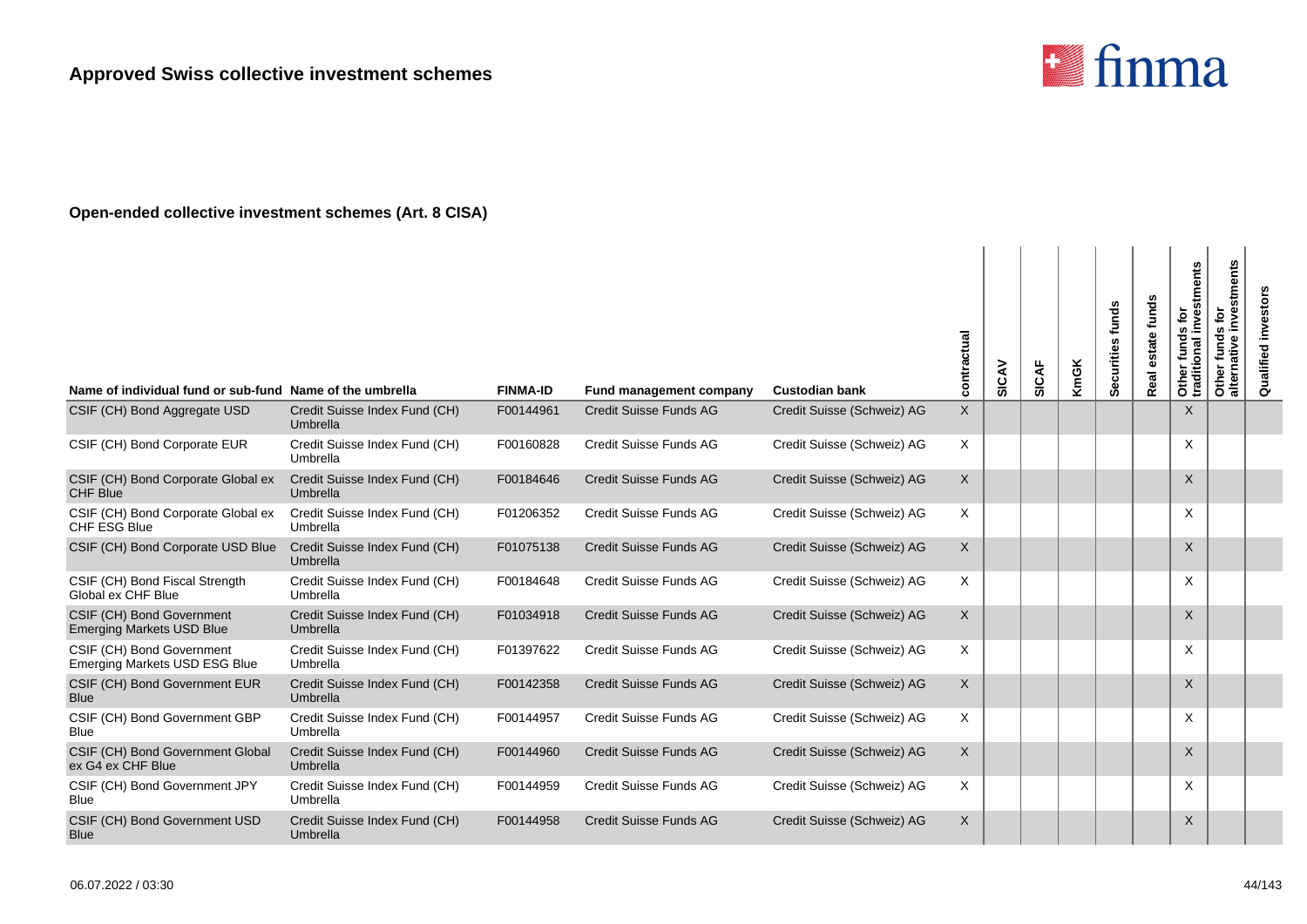

| Name of individual fund or sub-fund Name of the umbrella          |                                           | <b>FINMA-ID</b> | <b>Fund management company</b> | <b>Custodian bank</b>      | contractual | SICAV | <b>SICAF</b> | KmGK | Securities funds | funds<br>state<br>Real | stments<br>ō<br>Other funds for<br>traditional inves | investments<br>Other funds for<br>alternative inves | investors<br>Qualified |
|-------------------------------------------------------------------|-------------------------------------------|-----------------|--------------------------------|----------------------------|-------------|-------|--------------|------|------------------|------------------------|------------------------------------------------------|-----------------------------------------------------|------------------------|
| CSIF (CH) Bond Aggregate USD                                      | Credit Suisse Index Fund (CH)<br>Umbrella | F00144961       | <b>Credit Suisse Funds AG</b>  | Credit Suisse (Schweiz) AG | X           |       |              |      |                  |                        | $\times$                                             |                                                     |                        |
| CSIF (CH) Bond Corporate EUR                                      | Credit Suisse Index Fund (CH)<br>Umbrella | F00160828       | Credit Suisse Funds AG         | Credit Suisse (Schweiz) AG | X           |       |              |      |                  |                        | X                                                    |                                                     |                        |
| CSIF (CH) Bond Corporate Global ex<br><b>CHF Blue</b>             | Credit Suisse Index Fund (CH)<br>Umbrella | F00184646       | <b>Credit Suisse Funds AG</b>  | Credit Suisse (Schweiz) AG | X           |       |              |      |                  |                        | $\times$                                             |                                                     |                        |
| CSIF (CH) Bond Corporate Global ex<br>CHF ESG Blue                | Credit Suisse Index Fund (CH)<br>Umbrella | F01206352       | Credit Suisse Funds AG         | Credit Suisse (Schweiz) AG | X           |       |              |      |                  |                        | X                                                    |                                                     |                        |
| CSIF (CH) Bond Corporate USD Blue                                 | Credit Suisse Index Fund (CH)<br>Umbrella | F01075138       | <b>Credit Suisse Funds AG</b>  | Credit Suisse (Schweiz) AG | X           |       |              |      |                  |                        | $\times$                                             |                                                     |                        |
| CSIF (CH) Bond Fiscal Strength<br>Global ex CHF Blue              | Credit Suisse Index Fund (CH)<br>Umbrella | F00184648       | Credit Suisse Funds AG         | Credit Suisse (Schweiz) AG | X           |       |              |      |                  |                        | X                                                    |                                                     |                        |
| CSIF (CH) Bond Government<br><b>Emerging Markets USD Blue</b>     | Credit Suisse Index Fund (CH)<br>Umbrella | F01034918       | <b>Credit Suisse Funds AG</b>  | Credit Suisse (Schweiz) AG | X           |       |              |      |                  |                        | $\times$                                             |                                                     |                        |
| CSIF (CH) Bond Government<br><b>Emerging Markets USD ESG Blue</b> | Credit Suisse Index Fund (CH)<br>Umbrella | F01397622       | Credit Suisse Funds AG         | Credit Suisse (Schweiz) AG | X           |       |              |      |                  |                        | X                                                    |                                                     |                        |
| CSIF (CH) Bond Government EUR<br><b>Blue</b>                      | Credit Suisse Index Fund (CH)<br>Umbrella | F00142358       | <b>Credit Suisse Funds AG</b>  | Credit Suisse (Schweiz) AG | X           |       |              |      |                  |                        | X                                                    |                                                     |                        |
| CSIF (CH) Bond Government GBP<br><b>Blue</b>                      | Credit Suisse Index Fund (CH)<br>Umbrella | F00144957       | Credit Suisse Funds AG         | Credit Suisse (Schweiz) AG | X           |       |              |      |                  |                        | X                                                    |                                                     |                        |
| CSIF (CH) Bond Government Global<br>ex G4 ex CHF Blue             | Credit Suisse Index Fund (CH)<br>Umbrella | F00144960       | <b>Credit Suisse Funds AG</b>  | Credit Suisse (Schweiz) AG | X           |       |              |      |                  |                        | $\times$                                             |                                                     |                        |
| CSIF (CH) Bond Government JPY<br><b>Blue</b>                      | Credit Suisse Index Fund (CH)<br>Umbrella | F00144959       | Credit Suisse Funds AG         | Credit Suisse (Schweiz) AG | Χ           |       |              |      |                  |                        | X                                                    |                                                     |                        |
| CSIF (CH) Bond Government USD<br><b>Blue</b>                      | Credit Suisse Index Fund (CH)<br>Umbrella | F00144958       | <b>Credit Suisse Funds AG</b>  | Credit Suisse (Schweiz) AG | X           |       |              |      |                  |                        | $\times$                                             |                                                     |                        |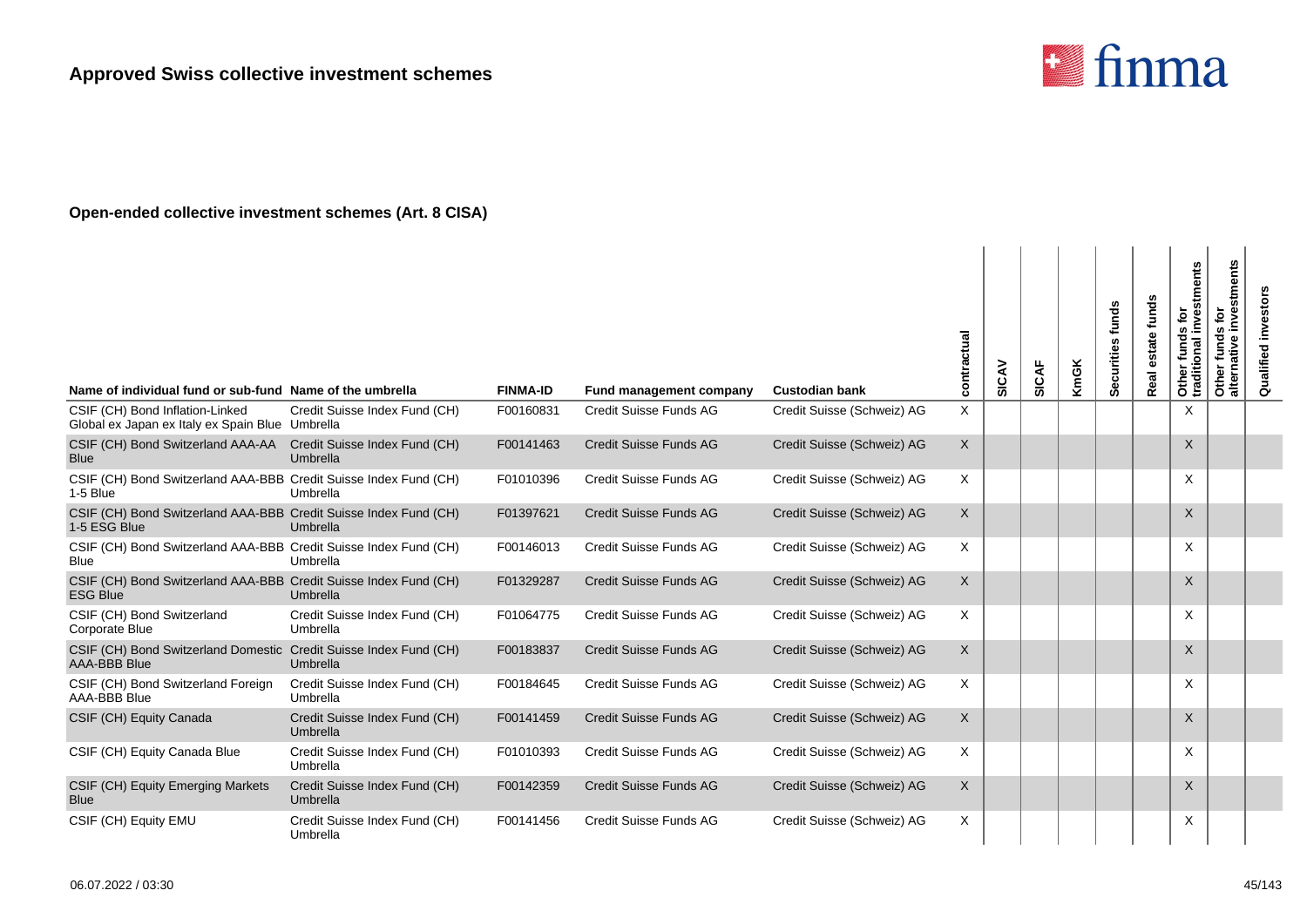

| Name of individual fund or sub-fund Name of the umbrella                            |                                           | <b>FINMA-ID</b> | Fund management company       | <b>Custodian bank</b>      | contractual | SICAV | <b>SICAF</b> | KmGK | Securities funds | funds<br>estate<br>Real | Other funds for<br>traditional investments | investments<br>funds for<br>$\boldsymbol{\omega}$<br>ativ<br>Other<br>altern | Qualified investors |
|-------------------------------------------------------------------------------------|-------------------------------------------|-----------------|-------------------------------|----------------------------|-------------|-------|--------------|------|------------------|-------------------------|--------------------------------------------|------------------------------------------------------------------------------|---------------------|
| CSIF (CH) Bond Inflation-Linked<br>Global ex Japan ex Italy ex Spain Blue Umbrella  | Credit Suisse Index Fund (CH)             | F00160831       | Credit Suisse Funds AG        | Credit Suisse (Schweiz) AG | $\times$    |       |              |      |                  |                         | X                                          |                                                                              |                     |
| CSIF (CH) Bond Switzerland AAA-AA<br><b>Blue</b>                                    | Credit Suisse Index Fund (CH)<br>Umbrella | F00141463       | <b>Credit Suisse Funds AG</b> | Credit Suisse (Schweiz) AG | $\sf X$     |       |              |      |                  |                         | X                                          |                                                                              |                     |
| CSIF (CH) Bond Switzerland AAA-BBB Credit Suisse Index Fund (CH)<br>1-5 Blue        | Umbrella                                  | F01010396       | Credit Suisse Funds AG        | Credit Suisse (Schweiz) AG | X           |       |              |      |                  |                         | X                                          |                                                                              |                     |
| CSIF (CH) Bond Switzerland AAA-BBB Credit Suisse Index Fund (CH)<br>1-5 ESG Blue    | Umbrella                                  | F01397621       | <b>Credit Suisse Funds AG</b> | Credit Suisse (Schweiz) AG | X           |       |              |      |                  |                         | $\times$                                   |                                                                              |                     |
| CSIF (CH) Bond Switzerland AAA-BBB Credit Suisse Index Fund (CH)<br>Blue            | Umbrella                                  | F00146013       | Credit Suisse Funds AG        | Credit Suisse (Schweiz) AG | X           |       |              |      |                  |                         | X                                          |                                                                              |                     |
| CSIF (CH) Bond Switzerland AAA-BBB Credit Suisse Index Fund (CH)<br><b>ESG Blue</b> | Umbrella                                  | F01329287       | <b>Credit Suisse Funds AG</b> | Credit Suisse (Schweiz) AG | X           |       |              |      |                  |                         | X                                          |                                                                              |                     |
| CSIF (CH) Bond Switzerland<br>Corporate Blue                                        | Credit Suisse Index Fund (CH)<br>Umbrella | F01064775       | Credit Suisse Funds AG        | Credit Suisse (Schweiz) AG | X           |       |              |      |                  |                         | X                                          |                                                                              |                     |
| CSIF (CH) Bond Switzerland Domestic Credit Suisse Index Fund (CH)<br>AAA-BBB Blue   | Umbrella                                  | F00183837       | <b>Credit Suisse Funds AG</b> | Credit Suisse (Schweiz) AG | X           |       |              |      |                  |                         | X                                          |                                                                              |                     |
| CSIF (CH) Bond Switzerland Foreign<br>AAA-BBB Blue                                  | Credit Suisse Index Fund (CH)<br>Umbrella | F00184645       | Credit Suisse Funds AG        | Credit Suisse (Schweiz) AG | X           |       |              |      |                  |                         | X                                          |                                                                              |                     |
| CSIF (CH) Equity Canada                                                             | Credit Suisse Index Fund (CH)<br>Umbrella | F00141459       | <b>Credit Suisse Funds AG</b> | Credit Suisse (Schweiz) AG | $\sf X$     |       |              |      |                  |                         | X                                          |                                                                              |                     |
| CSIF (CH) Equity Canada Blue                                                        | Credit Suisse Index Fund (CH)<br>Umbrella | F01010393       | Credit Suisse Funds AG        | Credit Suisse (Schweiz) AG | X           |       |              |      |                  |                         | X                                          |                                                                              |                     |
| CSIF (CH) Equity Emerging Markets<br><b>Blue</b>                                    | Credit Suisse Index Fund (CH)<br>Umbrella | F00142359       | <b>Credit Suisse Funds AG</b> | Credit Suisse (Schweiz) AG | X           |       |              |      |                  |                         | X                                          |                                                                              |                     |
| CSIF (CH) Equity EMU                                                                | Credit Suisse Index Fund (CH)<br>Umbrella | F00141456       | Credit Suisse Funds AG        | Credit Suisse (Schweiz) AG | X           |       |              |      |                  |                         | X                                          |                                                                              |                     |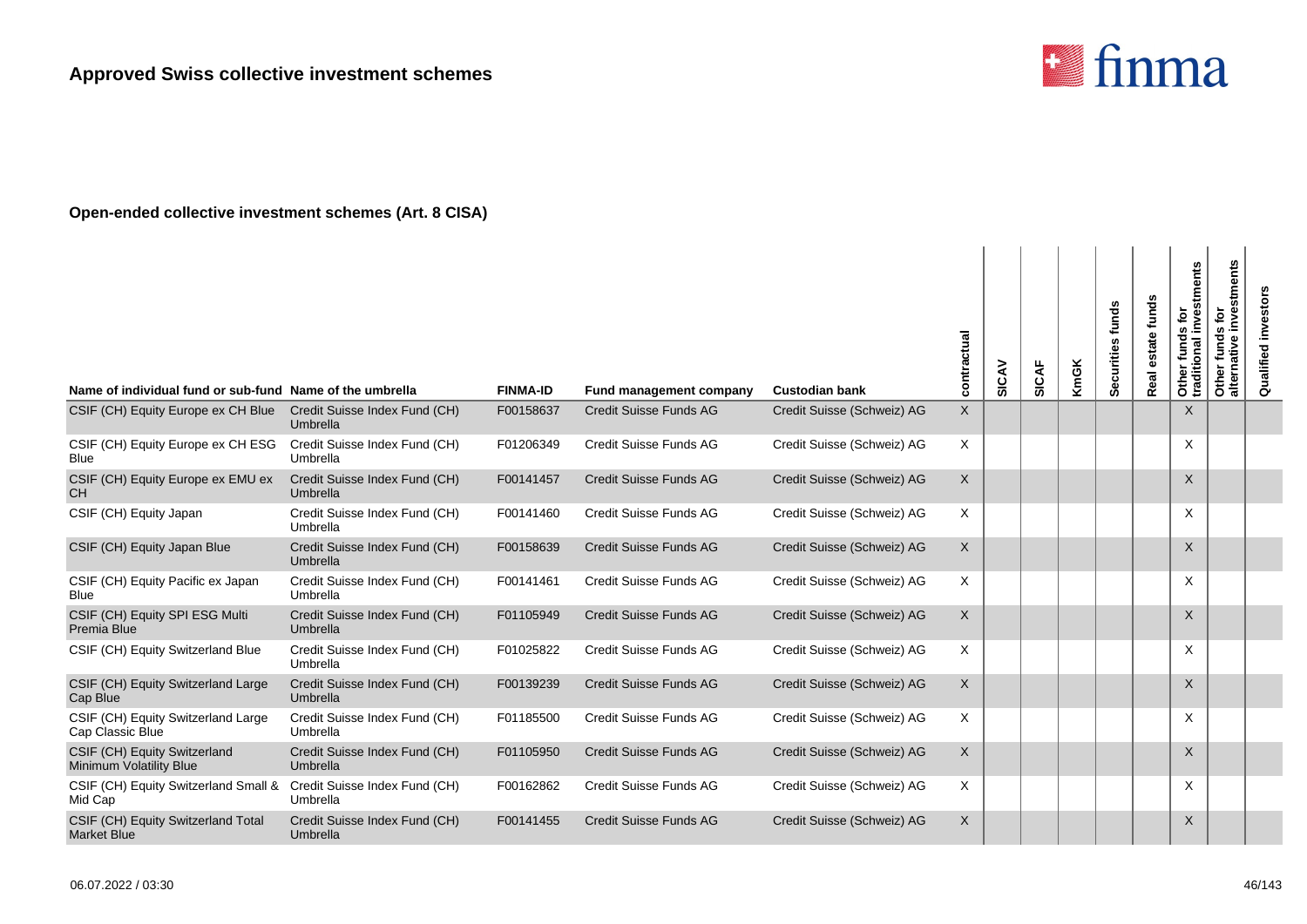

| Name of individual fund or sub-fund Name of the umbrella       |                                           | <b>FINMA-ID</b> | <b>Fund management company</b> | <b>Custodian bank</b>      | contractual  | SICAV | <b>SICAF</b> | <b>KmGK</b> | Securities funds | estate funds<br>Real | stments<br>ā<br>inve<br>$\omega$<br>Other funds<br>traditional | investments<br>Other funds for<br>alternative inves | investors<br>Qualified |
|----------------------------------------------------------------|-------------------------------------------|-----------------|--------------------------------|----------------------------|--------------|-------|--------------|-------------|------------------|----------------------|----------------------------------------------------------------|-----------------------------------------------------|------------------------|
| CSIF (CH) Equity Europe ex CH Blue                             | Credit Suisse Index Fund (CH)<br>Umbrella | F00158637       | Credit Suisse Funds AG         | Credit Suisse (Schweiz) AG | X.           |       |              |             |                  |                      | $\times$                                                       |                                                     |                        |
| CSIF (CH) Equity Europe ex CH ESG<br><b>Blue</b>               | Credit Suisse Index Fund (CH)<br>Umbrella | F01206349       | Credit Suisse Funds AG         | Credit Suisse (Schweiz) AG | X            |       |              |             |                  |                      | X                                                              |                                                     |                        |
| CSIF (CH) Equity Europe ex EMU ex<br><b>CH</b>                 | Credit Suisse Index Fund (CH)<br>Umbrella | F00141457       | Credit Suisse Funds AG         | Credit Suisse (Schweiz) AG | $\mathsf{X}$ |       |              |             |                  |                      | $\times$                                                       |                                                     |                        |
| CSIF (CH) Equity Japan                                         | Credit Suisse Index Fund (CH)<br>Umbrella | F00141460       | Credit Suisse Funds AG         | Credit Suisse (Schweiz) AG | X.           |       |              |             |                  |                      | $\times$                                                       |                                                     |                        |
| CSIF (CH) Equity Japan Blue                                    | Credit Suisse Index Fund (CH)<br>Umbrella | F00158639       | Credit Suisse Funds AG         | Credit Suisse (Schweiz) AG | X            |       |              |             |                  |                      | X                                                              |                                                     |                        |
| CSIF (CH) Equity Pacific ex Japan<br><b>Blue</b>               | Credit Suisse Index Fund (CH)<br>Umbrella | F00141461       | Credit Suisse Funds AG         | Credit Suisse (Schweiz) AG | X            |       |              |             |                  |                      | X                                                              |                                                     |                        |
| CSIF (CH) Equity SPI ESG Multi<br>Premia Blue                  | Credit Suisse Index Fund (CH)<br>Umbrella | F01105949       | Credit Suisse Funds AG         | Credit Suisse (Schweiz) AG | X            |       |              |             |                  |                      | $\times$                                                       |                                                     |                        |
| CSIF (CH) Equity Switzerland Blue                              | Credit Suisse Index Fund (CH)<br>Umbrella | F01025822       | Credit Suisse Funds AG         | Credit Suisse (Schweiz) AG | X.           |       |              |             |                  |                      | X                                                              |                                                     |                        |
| CSIF (CH) Equity Switzerland Large<br>Cap Blue                 | Credit Suisse Index Fund (CH)<br>Umbrella | F00139239       | Credit Suisse Funds AG         | Credit Suisse (Schweiz) AG | X            |       |              |             |                  |                      | $\times$                                                       |                                                     |                        |
| CSIF (CH) Equity Switzerland Large<br>Cap Classic Blue         | Credit Suisse Index Fund (CH)<br>Umbrella | F01185500       | Credit Suisse Funds AG         | Credit Suisse (Schweiz) AG | X.           |       |              |             |                  |                      | $\times$                                                       |                                                     |                        |
| CSIF (CH) Equity Switzerland<br><b>Minimum Volatility Blue</b> | Credit Suisse Index Fund (CH)<br>Umbrella | F01105950       | <b>Credit Suisse Funds AG</b>  | Credit Suisse (Schweiz) AG | X            |       |              |             |                  |                      | $\times$                                                       |                                                     |                        |
| CSIF (CH) Equity Switzerland Small &<br>Mid Cap                | Credit Suisse Index Fund (CH)<br>Umbrella | F00162862       | Credit Suisse Funds AG         | Credit Suisse (Schweiz) AG | X            |       |              |             |                  |                      | X                                                              |                                                     |                        |
| CSIF (CH) Equity Switzerland Total<br><b>Market Blue</b>       | Credit Suisse Index Fund (CH)<br>Umbrella | F00141455       | <b>Credit Suisse Funds AG</b>  | Credit Suisse (Schweiz) AG | X            |       |              |             |                  |                      | $\times$                                                       |                                                     |                        |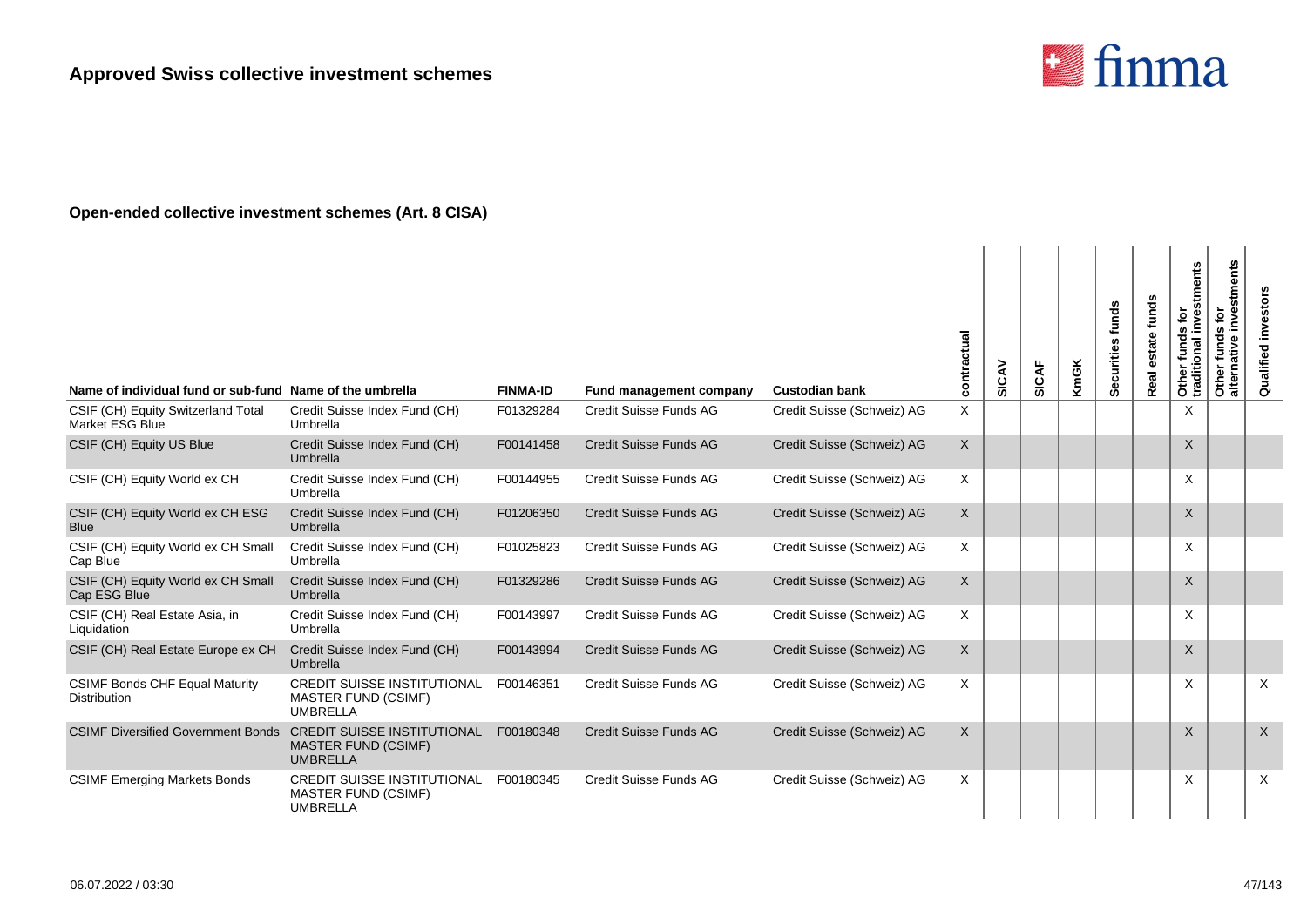

| Name of individual fund or sub-fund Name of the umbrella     |                                                                                     | <b>FINMA-ID</b> | Fund management company | <b>Custodian bank</b>      | contractual | SICAV | SICAF | <b>KmGK</b> | Securities funds | funds<br>estate<br>Real | Other funds for<br>traditional investments | stments<br>ë<br>inve<br>funds<br>ative<br>Other<br>alterna | Qualified investors       |
|--------------------------------------------------------------|-------------------------------------------------------------------------------------|-----------------|-------------------------|----------------------------|-------------|-------|-------|-------------|------------------|-------------------------|--------------------------------------------|------------------------------------------------------------|---------------------------|
| CSIF (CH) Equity Switzerland Total<br>Market ESG Blue        | Credit Suisse Index Fund (CH)<br>Umbrella                                           | F01329284       | Credit Suisse Funds AG  | Credit Suisse (Schweiz) AG | X           |       |       |             |                  |                         | X                                          |                                                            |                           |
| CSIF (CH) Equity US Blue                                     | Credit Suisse Index Fund (CH)<br>Umbrella                                           | F00141458       | Credit Suisse Funds AG  | Credit Suisse (Schweiz) AG | $\sf X$     |       |       |             |                  |                         | X                                          |                                                            |                           |
| CSIF (CH) Equity World ex CH                                 | Credit Suisse Index Fund (CH)<br>Umbrella                                           | F00144955       | Credit Suisse Funds AG  | Credit Suisse (Schweiz) AG | X           |       |       |             |                  |                         | X                                          |                                                            |                           |
| CSIF (CH) Equity World ex CH ESG<br><b>Blue</b>              | Credit Suisse Index Fund (CH)<br>Umbrella                                           | F01206350       | Credit Suisse Funds AG  | Credit Suisse (Schweiz) AG | $\sf X$     |       |       |             |                  |                         | $\times$                                   |                                                            |                           |
| CSIF (CH) Equity World ex CH Small<br>Cap Blue               | Credit Suisse Index Fund (CH)<br>Umbrella                                           | F01025823       | Credit Suisse Funds AG  | Credit Suisse (Schweiz) AG | X           |       |       |             |                  |                         | X                                          |                                                            |                           |
| CSIF (CH) Equity World ex CH Small<br>Cap ESG Blue           | Credit Suisse Index Fund (CH)<br>Umbrella                                           | F01329286       | Credit Suisse Funds AG  | Credit Suisse (Schweiz) AG | $\sf X$     |       |       |             |                  |                         | X                                          |                                                            |                           |
| CSIF (CH) Real Estate Asia, in<br>Liquidation                | Credit Suisse Index Fund (CH)<br>Umbrella                                           | F00143997       | Credit Suisse Funds AG  | Credit Suisse (Schweiz) AG | X           |       |       |             |                  |                         | X                                          |                                                            |                           |
| CSIF (CH) Real Estate Europe ex CH                           | Credit Suisse Index Fund (CH)<br>Umbrella                                           | F00143994       | Credit Suisse Funds AG  | Credit Suisse (Schweiz) AG | $\sf X$     |       |       |             |                  |                         | X                                          |                                                            |                           |
| <b>CSIMF Bonds CHF Equal Maturity</b><br><b>Distribution</b> | <b>CREDIT SUISSE INSTITUTIONAL</b><br><b>MASTER FUND (CSIMF)</b><br><b>UMBRELLA</b> | F00146351       | Credit Suisse Funds AG  | Credit Suisse (Schweiz) AG | X           |       |       |             |                  |                         | X                                          |                                                            | $\boldsymbol{\mathsf{X}}$ |
| <b>CSIMF Diversified Government Bonds</b>                    | <b>CREDIT SUISSE INSTITUTIONAL</b><br><b>MASTER FUND (CSIMF)</b><br><b>UMBRELLA</b> | F00180348       | Credit Suisse Funds AG  | Credit Suisse (Schweiz) AG | X           |       |       |             |                  |                         | X                                          |                                                            | $\sf X$                   |
| <b>CSIMF Emerging Markets Bonds</b>                          | <b>CREDIT SUISSE INSTITUTIONAL</b><br><b>MASTER FUND (CSIMF)</b><br><b>UMBRELLA</b> | F00180345       | Credit Suisse Funds AG  | Credit Suisse (Schweiz) AG | X           |       |       |             |                  |                         | X                                          |                                                            | $\times$                  |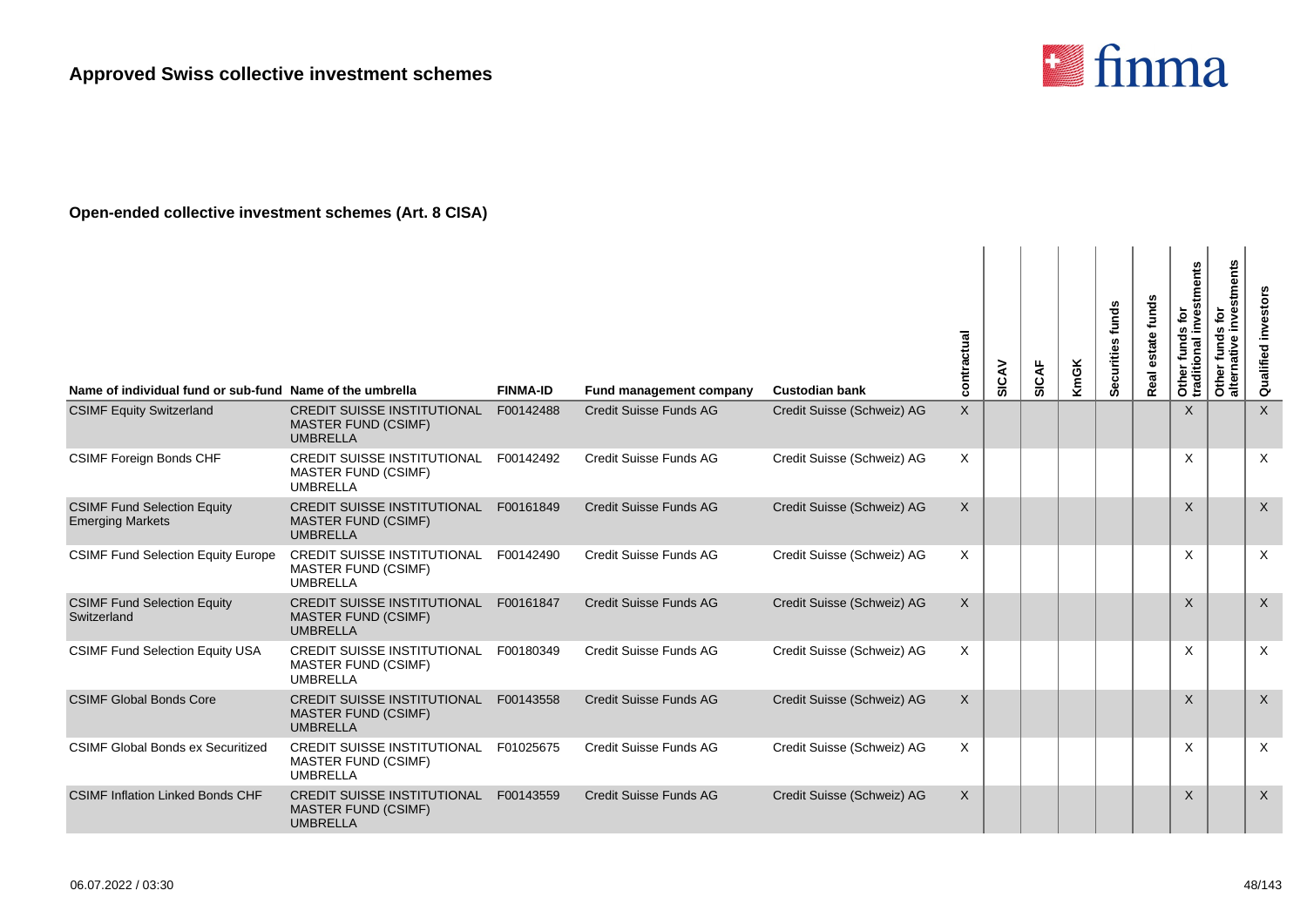

| Name of individual fund or sub-fund Name of the umbrella      |                                                                                     | <b>FINMA-ID</b> | Fund management company | <b>Custodian bank</b>      | contractual  | SICAV | <b>SICAF</b> | <b>KmGK</b> | Securities funds | funds<br>estate<br>Real | Other funds for<br>traditional investments | investments<br>funds for<br>alternative<br>Other | Qualified investors |
|---------------------------------------------------------------|-------------------------------------------------------------------------------------|-----------------|-------------------------|----------------------------|--------------|-------|--------------|-------------|------------------|-------------------------|--------------------------------------------|--------------------------------------------------|---------------------|
| <b>CSIMF Equity Switzerland</b>                               | <b>CREDIT SUISSE INSTITUTIONAL</b><br><b>MASTER FUND (CSIMF)</b><br><b>UMBRELLA</b> | F00142488       | Credit Suisse Funds AG  | Credit Suisse (Schweiz) AG | $\mathsf{X}$ |       |              |             |                  |                         | $\times$                                   |                                                  | $\times$            |
| <b>CSIMF Foreign Bonds CHF</b>                                | <b>CREDIT SUISSE INSTITUTIONAL</b><br><b>MASTER FUND (CSIMF)</b><br><b>UMBRELLA</b> | F00142492       | Credit Suisse Funds AG  | Credit Suisse (Schweiz) AG | X            |       |              |             |                  |                         | X                                          |                                                  | $\times$            |
| <b>CSIMF Fund Selection Equity</b><br><b>Emerging Markets</b> | <b>CREDIT SUISSE INSTITUTIONAL</b><br><b>MASTER FUND (CSIMF)</b><br><b>UMBRELLA</b> | F00161849       | Credit Suisse Funds AG  | Credit Suisse (Schweiz) AG | X            |       |              |             |                  |                         | X                                          |                                                  | $\times$            |
| <b>CSIMF Fund Selection Equity Europe</b>                     | <b>CREDIT SUISSE INSTITUTIONAL</b><br><b>MASTER FUND (CSIMF)</b><br><b>UMBRELLA</b> | F00142490       | Credit Suisse Funds AG  | Credit Suisse (Schweiz) AG | X            |       |              |             |                  |                         | X                                          |                                                  | $\times$            |
| <b>CSIMF Fund Selection Equity</b><br>Switzerland             | <b>CREDIT SUISSE INSTITUTIONAL</b><br><b>MASTER FUND (CSIMF)</b><br><b>UMBRELLA</b> | F00161847       | Credit Suisse Funds AG  | Credit Suisse (Schweiz) AG | $\times$     |       |              |             |                  |                         | X                                          |                                                  | $\times$            |
| <b>CSIMF Fund Selection Equity USA</b>                        | <b>CREDIT SUISSE INSTITUTIONAL</b><br><b>MASTER FUND (CSIMF)</b><br><b>UMBRELLA</b> | F00180349       | Credit Suisse Funds AG  | Credit Suisse (Schweiz) AG | X            |       |              |             |                  |                         | X                                          |                                                  | $\times$            |
| <b>CSIMF Global Bonds Core</b>                                | <b>CREDIT SUISSE INSTITUTIONAL</b><br><b>MASTER FUND (CSIMF)</b><br><b>UMBRELLA</b> | F00143558       | Credit Suisse Funds AG  | Credit Suisse (Schweiz) AG | $\times$     |       |              |             |                  |                         | X                                          |                                                  | $\times$            |
| <b>CSIMF Global Bonds ex Securitized</b>                      | <b>CREDIT SUISSE INSTITUTIONAL</b><br>MASTER FUND (CSIMF)<br><b>UMBRELLA</b>        | F01025675       | Credit Suisse Funds AG  | Credit Suisse (Schweiz) AG | X            |       |              |             |                  |                         | X                                          |                                                  | $\times$            |
| <b>CSIMF Inflation Linked Bonds CHF</b>                       | <b>CREDIT SUISSE INSTITUTIONAL</b><br><b>MASTER FUND (CSIMF)</b><br><b>UMBRELLA</b> | F00143559       | Credit Suisse Funds AG  | Credit Suisse (Schweiz) AG | $\times$     |       |              |             |                  |                         | X                                          |                                                  | $\sf X$             |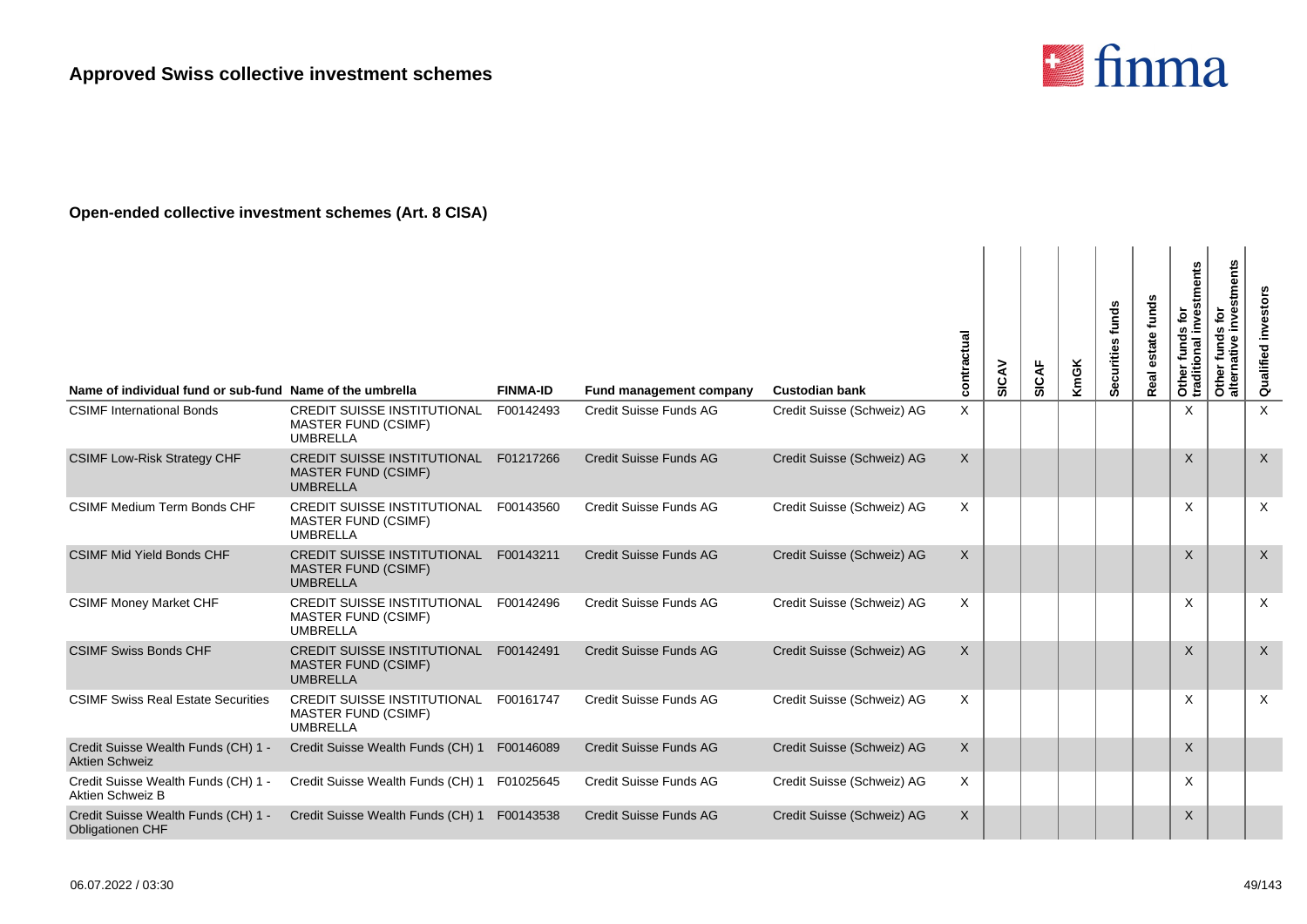

| Name of individual fund or sub-fund Name of the umbrella       |                                                                                     | <b>FINMA-ID</b> | <b>Fund management company</b> | <b>Custodian bank</b>      | contractual  | SICAV | SICAF | <b>KmGK</b> | Securities funds | estate funds<br>Real | Other funds for<br>traditional investments | investments<br>funds for<br>ative<br>Other<br>alterna | investors<br>Qualified |
|----------------------------------------------------------------|-------------------------------------------------------------------------------------|-----------------|--------------------------------|----------------------------|--------------|-------|-------|-------------|------------------|----------------------|--------------------------------------------|-------------------------------------------------------|------------------------|
| <b>CSIMF International Bonds</b>                               | <b>CREDIT SUISSE INSTITUTIONAL</b><br><b>MASTER FUND (CSIMF)</b><br><b>UMBRELLA</b> | F00142493       | Credit Suisse Funds AG         | Credit Suisse (Schweiz) AG | X            |       |       |             |                  |                      | X                                          |                                                       | X                      |
| <b>CSIMF Low-Risk Strategy CHF</b>                             | <b>CREDIT SUISSE INSTITUTIONAL</b><br><b>MASTER FUND (CSIMF)</b><br><b>UMBRELLA</b> | F01217266       | <b>Credit Suisse Funds AG</b>  | Credit Suisse (Schweiz) AG | $\times$     |       |       |             |                  |                      | $\mathsf{X}$                               |                                                       | $\times$               |
| <b>CSIMF Medium Term Bonds CHF</b>                             | <b>CREDIT SUISSE INSTITUTIONAL</b><br><b>MASTER FUND (CSIMF)</b><br><b>UMBRELLA</b> | F00143560       | Credit Suisse Funds AG         | Credit Suisse (Schweiz) AG | X            |       |       |             |                  |                      | $\times$                                   |                                                       | X                      |
| <b>CSIMF Mid Yield Bonds CHF</b>                               | <b>CREDIT SUISSE INSTITUTIONAL</b><br><b>MASTER FUND (CSIMF)</b><br><b>UMBRELLA</b> | F00143211       | Credit Suisse Funds AG         | Credit Suisse (Schweiz) AG | $\mathsf{X}$ |       |       |             |                  |                      | $\mathsf{X}$                               |                                                       | $\mathsf{X}$           |
| <b>CSIMF Money Market CHF</b>                                  | <b>CREDIT SUISSE INSTITUTIONAL</b><br><b>MASTER FUND (CSIMF)</b><br><b>UMBRELLA</b> | F00142496       | Credit Suisse Funds AG         | Credit Suisse (Schweiz) AG | X            |       |       |             |                  |                      | $\times$                                   |                                                       | X                      |
| <b>CSIMF Swiss Bonds CHF</b>                                   | CREDIT SUISSE INSTITUTIONAL<br><b>MASTER FUND (CSIMF)</b><br><b>UMBRELLA</b>        | F00142491       | <b>Credit Suisse Funds AG</b>  | Credit Suisse (Schweiz) AG | X            |       |       |             |                  |                      | $\times$                                   |                                                       | $\times$               |
| <b>CSIMF Swiss Real Estate Securities</b>                      | <b>CREDIT SUISSE INSTITUTIONAL</b><br><b>MASTER FUND (CSIMF)</b><br><b>UMBRELLA</b> | F00161747       | Credit Suisse Funds AG         | Credit Suisse (Schweiz) AG | X            |       |       |             |                  |                      | $\times$                                   |                                                       | X                      |
| Credit Suisse Wealth Funds (CH) 1 -<br><b>Aktien Schweiz</b>   | Credit Suisse Wealth Funds (CH) 1                                                   | F00146089       | <b>Credit Suisse Funds AG</b>  | Credit Suisse (Schweiz) AG | X            |       |       |             |                  |                      | $\mathsf{X}$                               |                                                       |                        |
| Credit Suisse Wealth Funds (CH) 1 -<br>Aktien Schweiz B        | Credit Suisse Wealth Funds (CH) 1                                                   | F01025645       | Credit Suisse Funds AG         | Credit Suisse (Schweiz) AG | X            |       |       |             |                  |                      | X                                          |                                                       |                        |
| Credit Suisse Wealth Funds (CH) 1 -<br><b>Obligationen CHF</b> | Credit Suisse Wealth Funds (CH) 1                                                   | F00143538       | Credit Suisse Funds AG         | Credit Suisse (Schweiz) AG | $\sf X$      |       |       |             |                  |                      | X                                          |                                                       |                        |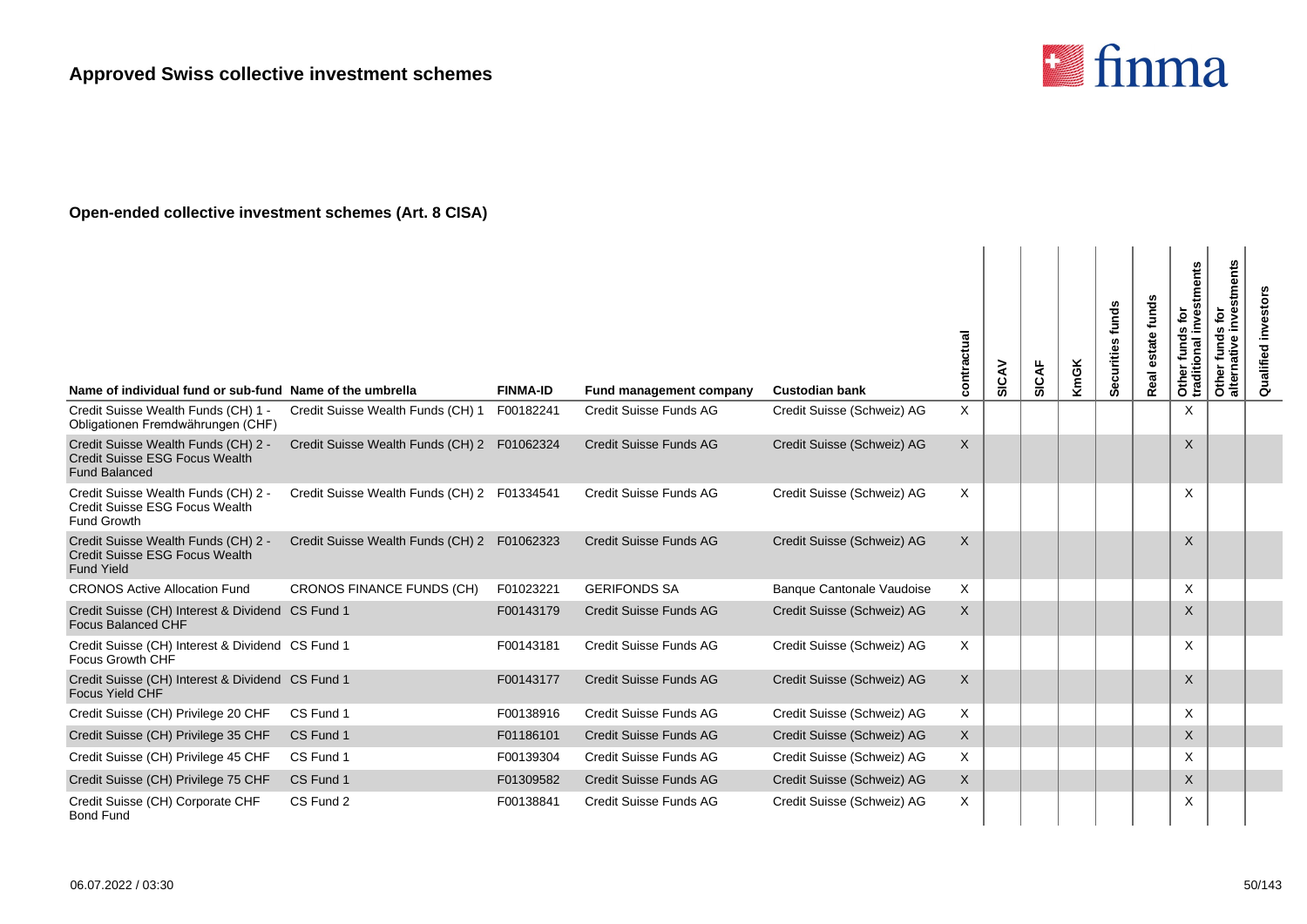

| Name of individual fund or sub-fund Name of the umbrella                                          |                                             | <b>FINMA-ID</b> | Fund management company       | <b>Custodian bank</b>      | contractual | SICAV | <b>SICAF</b> | KmGK | Securities funds | estate funds<br><b>Real</b> | ds for<br>  investments<br>Other funds<br>traditional i | Other funds for<br>alternative investments | investor<br>Qualified |
|---------------------------------------------------------------------------------------------------|---------------------------------------------|-----------------|-------------------------------|----------------------------|-------------|-------|--------------|------|------------------|-----------------------------|---------------------------------------------------------|--------------------------------------------|-----------------------|
| Credit Suisse Wealth Funds (CH) 1 -<br>Obligationen Fremdwährungen (CHF)                          | Credit Suisse Wealth Funds (CH) 1           | F00182241       | Credit Suisse Funds AG        | Credit Suisse (Schweiz) AG | X.          |       |              |      |                  |                             | X                                                       |                                            |                       |
| Credit Suisse Wealth Funds (CH) 2 -<br>Credit Suisse ESG Focus Wealth<br><b>Fund Balanced</b>     | Credit Suisse Wealth Funds (CH) 2 F01062324 |                 | Credit Suisse Funds AG        | Credit Suisse (Schweiz) AG | Χ           |       |              |      |                  |                             | $\times$                                                |                                            |                       |
| Credit Suisse Wealth Funds (CH) 2 -<br>Credit Suisse ESG Focus Wealth<br>Fund Growth              | Credit Suisse Wealth Funds (CH) 2 F01334541 |                 | Credit Suisse Funds AG        | Credit Suisse (Schweiz) AG | X           |       |              |      |                  |                             | X                                                       |                                            |                       |
| Credit Suisse Wealth Funds (CH) 2 -<br><b>Credit Suisse ESG Focus Wealth</b><br><b>Fund Yield</b> | Credit Suisse Wealth Funds (CH) 2 F01062323 |                 | Credit Suisse Funds AG        | Credit Suisse (Schweiz) AG | X           |       |              |      |                  |                             | $\times$                                                |                                            |                       |
| <b>CRONOS Active Allocation Fund</b>                                                              | CRONOS FINANCE FUNDS (CH)                   | F01023221       | <b>GERIFONDS SA</b>           | Banque Cantonale Vaudoise  | Χ           |       |              |      |                  |                             | $\times$                                                |                                            |                       |
| Credit Suisse (CH) Interest & Dividend CS Fund 1<br><b>Focus Balanced CHF</b>                     |                                             | F00143179       | <b>Credit Suisse Funds AG</b> | Credit Suisse (Schweiz) AG | X           |       |              |      |                  |                             | $\times$                                                |                                            |                       |
| Credit Suisse (CH) Interest & Dividend CS Fund 1<br>Focus Growth CHF                              |                                             | F00143181       | Credit Suisse Funds AG        | Credit Suisse (Schweiz) AG | X           |       |              |      |                  |                             | $\times$                                                |                                            |                       |
| Credit Suisse (CH) Interest & Dividend CS Fund 1<br><b>Focus Yield CHF</b>                        |                                             | F00143177       | Credit Suisse Funds AG        | Credit Suisse (Schweiz) AG | X           |       |              |      |                  |                             | X                                                       |                                            |                       |
| Credit Suisse (CH) Privilege 20 CHF                                                               | CS Fund 1                                   | F00138916       | Credit Suisse Funds AG        | Credit Suisse (Schweiz) AG | X           |       |              |      |                  |                             | $\times$                                                |                                            |                       |
| Credit Suisse (CH) Privilege 35 CHF                                                               | CS Fund 1                                   | F01186101       | <b>Credit Suisse Funds AG</b> | Credit Suisse (Schweiz) AG | X           |       |              |      |                  |                             | X                                                       |                                            |                       |
| Credit Suisse (CH) Privilege 45 CHF                                                               | CS Fund 1                                   | F00139304       | Credit Suisse Funds AG        | Credit Suisse (Schweiz) AG | X           |       |              |      |                  |                             | X                                                       |                                            |                       |
| Credit Suisse (CH) Privilege 75 CHF                                                               | CS Fund 1                                   | F01309582       | <b>Credit Suisse Funds AG</b> | Credit Suisse (Schweiz) AG | X           |       |              |      |                  |                             | X                                                       |                                            |                       |
| Credit Suisse (CH) Corporate CHF<br><b>Bond Fund</b>                                              | CS Fund 2                                   | F00138841       | Credit Suisse Funds AG        | Credit Suisse (Schweiz) AG | X           |       |              |      |                  |                             | X                                                       |                                            |                       |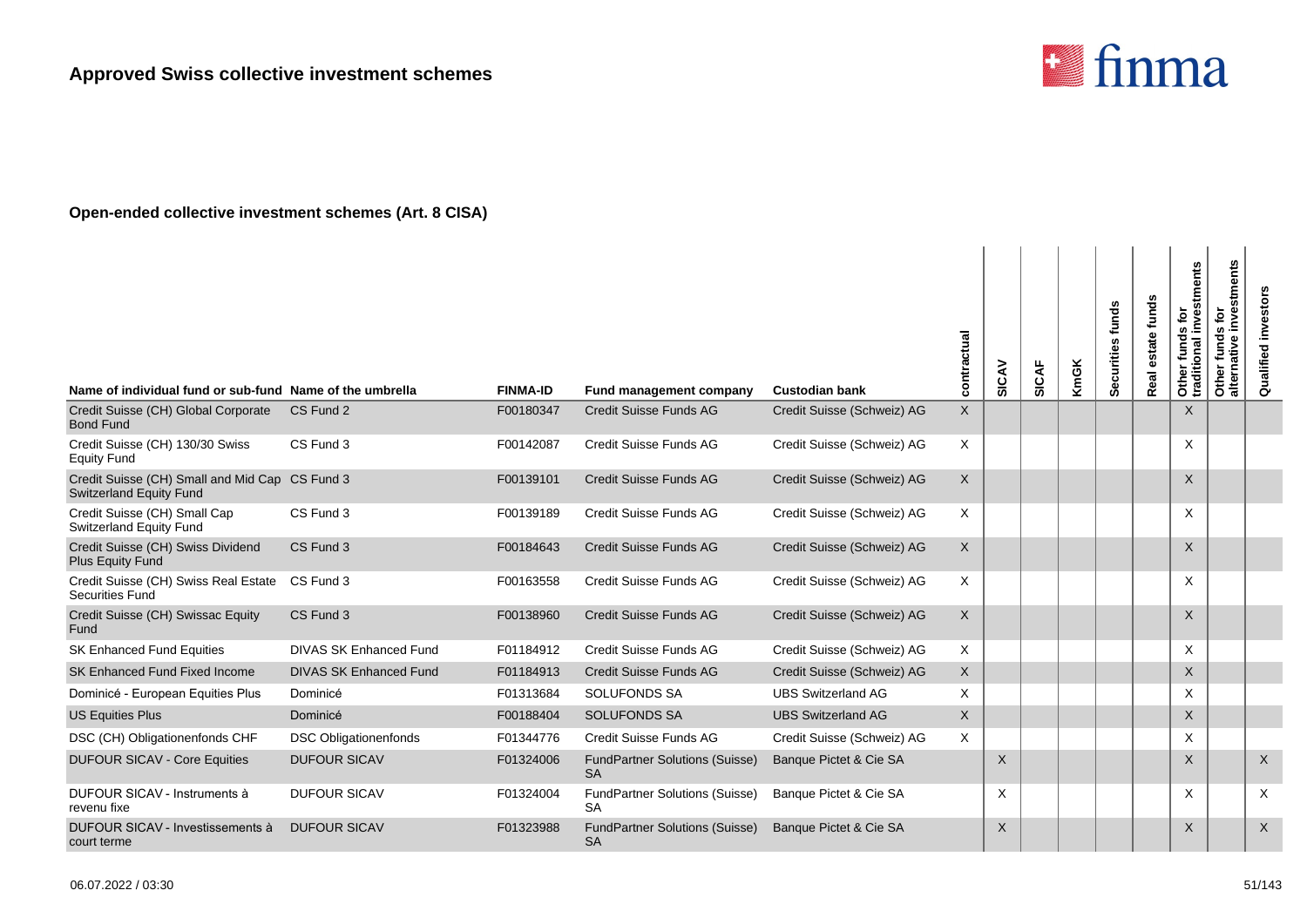

| Name of individual fund or sub-fund Name of the umbrella                         |                               | <b>FINMA-ID</b> | Fund management company                            | <b>Custodian bank</b>      | contractual  | SICAV       | <b>SICAF</b> | <b>KmGK</b> | Securities funds | estate funds<br>Real | Other funds for<br>traditional investments | stments<br>Other funds for<br>alternative inves | <b>Qualified investors</b> |
|----------------------------------------------------------------------------------|-------------------------------|-----------------|----------------------------------------------------|----------------------------|--------------|-------------|--------------|-------------|------------------|----------------------|--------------------------------------------|-------------------------------------------------|----------------------------|
| Credit Suisse (CH) Global Corporate<br><b>Bond Fund</b>                          | CS Fund 2                     | F00180347       | <b>Credit Suisse Funds AG</b>                      | Credit Suisse (Schweiz) AG | $\mathsf X$  |             |              |             |                  |                      | X                                          |                                                 |                            |
| Credit Suisse (CH) 130/30 Swiss<br><b>Equity Fund</b>                            | CS Fund 3                     | F00142087       | Credit Suisse Funds AG                             | Credit Suisse (Schweiz) AG | X            |             |              |             |                  |                      | X                                          |                                                 |                            |
| Credit Suisse (CH) Small and Mid Cap CS Fund 3<br><b>Switzerland Equity Fund</b> |                               | F00139101       | <b>Credit Suisse Funds AG</b>                      | Credit Suisse (Schweiz) AG | X            |             |              |             |                  |                      | X                                          |                                                 |                            |
| Credit Suisse (CH) Small Cap<br><b>Switzerland Equity Fund</b>                   | CS Fund 3                     | F00139189       | Credit Suisse Funds AG                             | Credit Suisse (Schweiz) AG | X            |             |              |             |                  |                      | X                                          |                                                 |                            |
| Credit Suisse (CH) Swiss Dividend<br><b>Plus Equity Fund</b>                     | CS Fund 3                     | F00184643       | <b>Credit Suisse Funds AG</b>                      | Credit Suisse (Schweiz) AG | X            |             |              |             |                  |                      | $\times$                                   |                                                 |                            |
| Credit Suisse (CH) Swiss Real Estate CS Fund 3<br><b>Securities Fund</b>         |                               | F00163558       | Credit Suisse Funds AG                             | Credit Suisse (Schweiz) AG | X            |             |              |             |                  |                      | X                                          |                                                 |                            |
| Credit Suisse (CH) Swissac Equity<br>Fund                                        | CS Fund 3                     | F00138960       | <b>Credit Suisse Funds AG</b>                      | Credit Suisse (Schweiz) AG | $\sf X$      |             |              |             |                  |                      | X                                          |                                                 |                            |
| SK Enhanced Fund Equities                                                        | <b>DIVAS SK Enhanced Fund</b> | F01184912       | Credit Suisse Funds AG                             | Credit Suisse (Schweiz) AG | X            |             |              |             |                  |                      | X                                          |                                                 |                            |
| <b>SK Enhanced Fund Fixed Income</b>                                             | <b>DIVAS SK Enhanced Fund</b> | F01184913       | Credit Suisse Funds AG                             | Credit Suisse (Schweiz) AG | $\sf X$      |             |              |             |                  |                      | $\mathsf{X}$                               |                                                 |                            |
| Dominicé - European Equities Plus                                                | Dominicé                      | F01313684       | <b>SOLUFONDS SA</b>                                | <b>UBS Switzerland AG</b>  | X            |             |              |             |                  |                      | X                                          |                                                 |                            |
| <b>US Equities Plus</b>                                                          | Dominicé                      | F00188404       | <b>SOLUFONDS SA</b>                                | <b>UBS Switzerland AG</b>  | $\mathsf{X}$ |             |              |             |                  |                      | X                                          |                                                 |                            |
| DSC (CH) Obligationenfonds CHF                                                   | <b>DSC Obligationenfonds</b>  | F01344776       | Credit Suisse Funds AG                             | Credit Suisse (Schweiz) AG | X            |             |              |             |                  |                      | X                                          |                                                 |                            |
| <b>DUFOUR SICAV - Core Equities</b>                                              | <b>DUFOUR SICAV</b>           | F01324006       | <b>FundPartner Solutions (Suisse)</b><br><b>SA</b> | Banque Pictet & Cie SA     |              | $\mathsf X$ |              |             |                  |                      | X                                          |                                                 | $\mathsf{X}$               |
| DUFOUR SICAV - Instruments à<br>revenu fixe                                      | <b>DUFOUR SICAV</b>           | F01324004       | <b>FundPartner Solutions (Suisse)</b><br><b>SA</b> | Banque Pictet & Cie SA     |              | X           |              |             |                  |                      | X                                          |                                                 | $\times$                   |
| DUFOUR SICAV - Investissements à<br>court terme                                  | <b>DUFOUR SICAV</b>           | F01323988       | <b>FundPartner Solutions (Suisse)</b><br><b>SA</b> | Banque Pictet & Cie SA     |              | X           |              |             |                  |                      | $\times$                                   |                                                 | $\times$                   |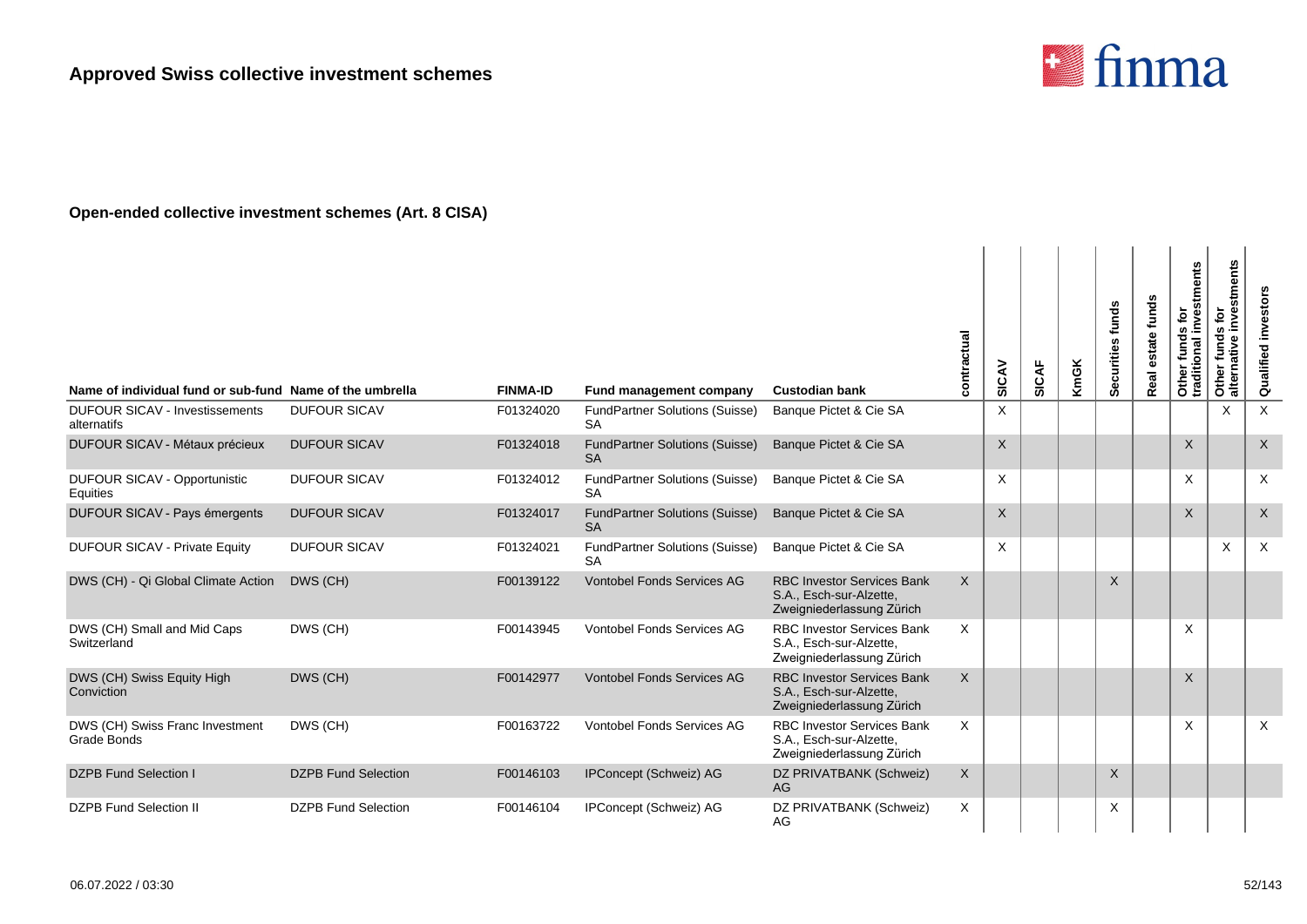

| Name of individual fund or sub-fund Name of the umbrella |                            | <b>FINMA-ID</b> | Fund management company                            | <b>Custodian bank</b>                                                                     | contractual  | SICAV    | SICAF | <b>KmGK</b> | Securities funds | funds<br>estate<br>Real | Other funds for<br>traditional investments | nvestments<br>$\mathbf{\tilde{e}}$<br>funds<br>native<br>Other<br>altern | investors<br>Qualified |
|----------------------------------------------------------|----------------------------|-----------------|----------------------------------------------------|-------------------------------------------------------------------------------------------|--------------|----------|-------|-------------|------------------|-------------------------|--------------------------------------------|--------------------------------------------------------------------------|------------------------|
| DUFOUR SICAV - Investissements<br>alternatifs            | <b>DUFOUR SICAV</b>        | F01324020       | <b>FundPartner Solutions (Suisse)</b><br><b>SA</b> | Banque Pictet & Cie SA                                                                    |              | X        |       |             |                  |                         |                                            | X                                                                        | $\times$               |
| DUFOUR SICAV - Métaux précieux                           | <b>DUFOUR SICAV</b>        | F01324018       | <b>FundPartner Solutions (Suisse)</b><br><b>SA</b> | Banque Pictet & Cie SA                                                                    |              | $\sf X$  |       |             |                  |                         | $\times$                                   |                                                                          | $\times$               |
| DUFOUR SICAV - Opportunistic<br>Equities                 | <b>DUFOUR SICAV</b>        | F01324012       | FundPartner Solutions (Suisse)<br><b>SA</b>        | Banque Pictet & Cie SA                                                                    |              | $\times$ |       |             |                  |                         | X                                          |                                                                          | X                      |
| DUFOUR SICAV - Pays émergents                            | <b>DUFOUR SICAV</b>        | F01324017       | <b>FundPartner Solutions (Suisse)</b><br><b>SA</b> | Banque Pictet & Cie SA                                                                    |              | $\sf X$  |       |             |                  |                         | X                                          |                                                                          | $\mathsf X$            |
| <b>DUFOUR SICAV - Private Equity</b>                     | <b>DUFOUR SICAV</b>        | F01324021       | <b>FundPartner Solutions (Suisse)</b><br><b>SA</b> | Banque Pictet & Cie SA                                                                    |              | $\times$ |       |             |                  |                         |                                            | X                                                                        | $\times$               |
| DWS (CH) - Qi Global Climate Action                      | DWS (CH)                   | F00139122       | <b>Vontobel Fonds Services AG</b>                  | <b>RBC Investor Services Bank</b><br>S.A., Esch-sur-Alzette,<br>Zweigniederlassung Zürich | $\mathsf{X}$ |          |       |             | $\mathsf{X}$     |                         |                                            |                                                                          |                        |
| DWS (CH) Small and Mid Caps<br>Switzerland               | DWS (CH)                   | F00143945       | <b>Vontobel Fonds Services AG</b>                  | <b>RBC Investor Services Bank</b><br>S.A., Esch-sur-Alzette,<br>Zweigniederlassung Zürich | $\times$     |          |       |             |                  |                         | X                                          |                                                                          |                        |
| DWS (CH) Swiss Equity High<br>Conviction                 | DWS (CH)                   | F00142977       | <b>Vontobel Fonds Services AG</b>                  | <b>RBC Investor Services Bank</b><br>S.A., Esch-sur-Alzette,<br>Zweigniederlassung Zürich | $\times$     |          |       |             |                  |                         | $\times$                                   |                                                                          |                        |
| DWS (CH) Swiss Franc Investment<br>Grade Bonds           | DWS (CH)                   | F00163722       | <b>Vontobel Fonds Services AG</b>                  | RBC Investor Services Bank<br>S.A., Esch-sur-Alzette,<br>Zweigniederlassung Zürich        | $\times$     |          |       |             |                  |                         | X                                          |                                                                          | $\times$               |
| <b>DZPB Fund Selection I</b>                             | <b>DZPB Fund Selection</b> | F00146103       | IPConcept (Schweiz) AG                             | DZ PRIVATBANK (Schweiz)<br>AG                                                             | $\times$     |          |       |             | $\mathsf{X}$     |                         |                                            |                                                                          |                        |
| <b>DZPB Fund Selection II</b>                            | <b>DZPB Fund Selection</b> | F00146104       | IPConcept (Schweiz) AG                             | DZ PRIVATBANK (Schweiz)<br>AG                                                             | $\times$     |          |       |             | X                |                         |                                            |                                                                          |                        |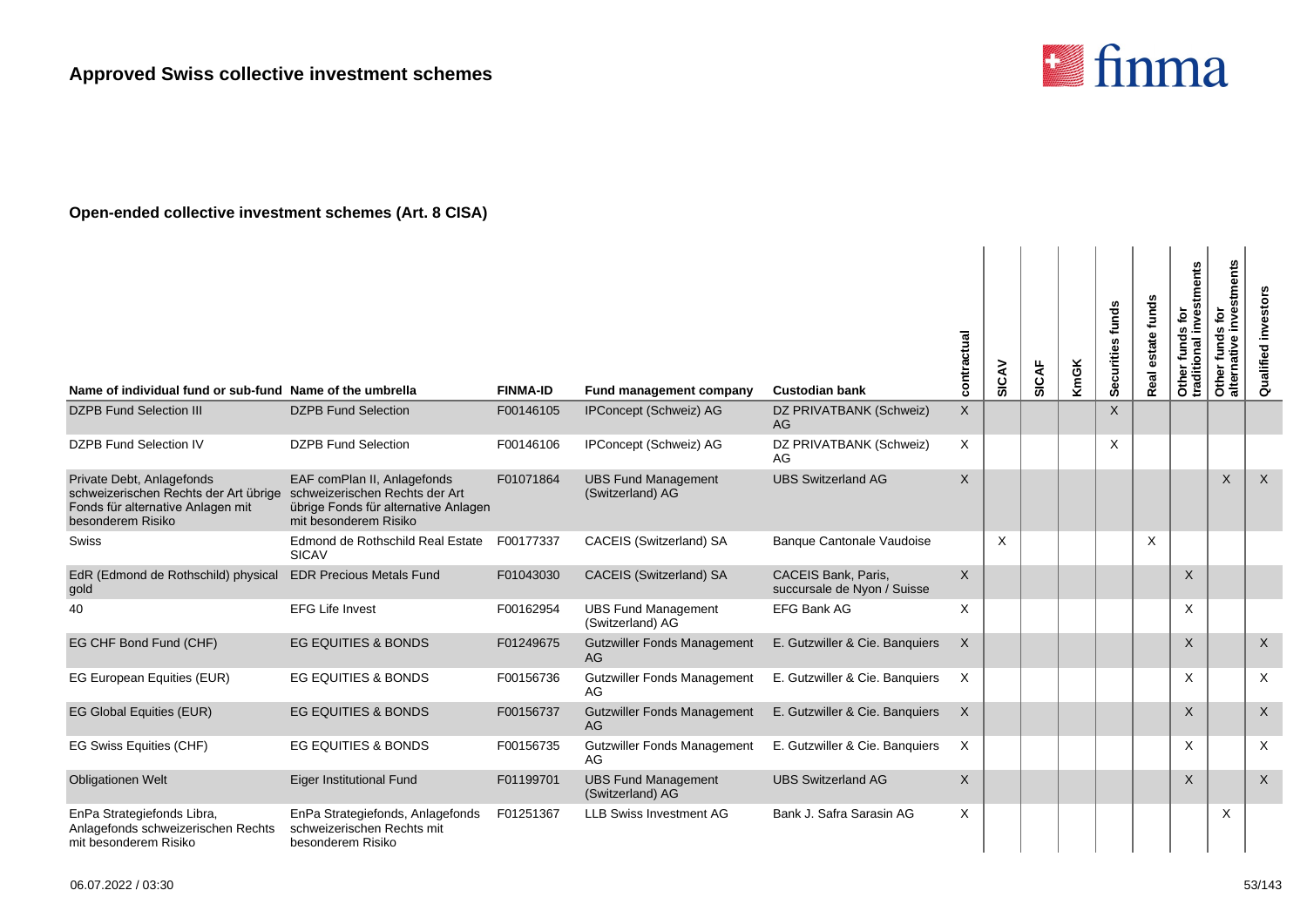

| Name of individual fund or sub-fund Name of the umbrella                                                                     |                                                                                                                                | <b>FINMA-ID</b> | Fund management company                        | <b>Custodian bank</b>                                     | contractual    | SICAV | SICAF | <b>KmGK</b> | Securities funds | funds<br>estate<br>Real | Other funds for<br>traditional investments | stments<br>tor<br>٥<br>Other funds f<br>alternative in | Qualified investors |
|------------------------------------------------------------------------------------------------------------------------------|--------------------------------------------------------------------------------------------------------------------------------|-----------------|------------------------------------------------|-----------------------------------------------------------|----------------|-------|-------|-------------|------------------|-------------------------|--------------------------------------------|--------------------------------------------------------|---------------------|
| <b>DZPB Fund Selection III</b>                                                                                               | <b>DZPB Fund Selection</b>                                                                                                     | F00146105       | IPConcept (Schweiz) AG                         | DZ PRIVATBANK (Schweiz)<br>AG                             | $\pmb{\times}$ |       |       |             | $\sf X$          |                         |                                            |                                                        |                     |
| <b>DZPB Fund Selection IV</b>                                                                                                | <b>DZPB Fund Selection</b>                                                                                                     | F00146106       | IPConcept (Schweiz) AG                         | DZ PRIVATBANK (Schweiz)<br>AG                             | X              |       |       |             | X                |                         |                                            |                                                        |                     |
| Private Debt, Anlagefonds<br>schweizerischen Rechts der Art übrige<br>Fonds für alternative Anlagen mit<br>besonderem Risiko | EAF comPlan II, Anlagefonds<br>schweizerischen Rechts der Art<br>übrige Fonds für alternative Anlagen<br>mit besonderem Risiko | F01071864       | <b>UBS Fund Management</b><br>(Switzerland) AG | <b>UBS Switzerland AG</b>                                 | $\mathsf{X}$   |       |       |             |                  |                         |                                            | $\times$                                               | $\times$            |
| <b>Swiss</b>                                                                                                                 | Edmond de Rothschild Real Estate<br><b>SICAV</b>                                                                               | F00177337       | CACEIS (Switzerland) SA                        | Banque Cantonale Vaudoise                                 |                | X     |       |             |                  | X                       |                                            |                                                        |                     |
| EdR (Edmond de Rothschild) physical<br>gold                                                                                  | <b>EDR Precious Metals Fund</b>                                                                                                | F01043030       | CACEIS (Switzerland) SA                        | <b>CACEIS Bank, Paris,</b><br>succursale de Nyon / Suisse | $\sf X$        |       |       |             |                  |                         | X                                          |                                                        |                     |
| 40                                                                                                                           | <b>EFG Life Invest</b>                                                                                                         | F00162954       | <b>UBS Fund Management</b><br>(Switzerland) AG | <b>EFG Bank AG</b>                                        | X              |       |       |             |                  |                         | X                                          |                                                        |                     |
| EG CHF Bond Fund (CHF)                                                                                                       | <b>EG EQUITIES &amp; BONDS</b>                                                                                                 | F01249675       | <b>Gutzwiller Fonds Management</b><br>AG       | E. Gutzwiller & Cie. Banquiers                            | $\times$       |       |       |             |                  |                         | $\times$                                   |                                                        | $\sf X$             |
| EG European Equities (EUR)                                                                                                   | EG EQUITIES & BONDS                                                                                                            | F00156736       | <b>Gutzwiller Fonds Management</b><br>AG       | E. Gutzwiller & Cie. Banquiers                            | $\times$       |       |       |             |                  |                         | X                                          |                                                        | $\times$            |
| EG Global Equities (EUR)                                                                                                     | <b>EG EQUITIES &amp; BONDS</b>                                                                                                 | F00156737       | <b>Gutzwiller Fonds Management</b><br>AG.      | E. Gutzwiller & Cie. Banquiers                            | $\times$       |       |       |             |                  |                         | X                                          |                                                        | $\sf X$             |
| EG Swiss Equities (CHF)                                                                                                      | <b>EG EQUITIES &amp; BONDS</b>                                                                                                 | F00156735       | <b>Gutzwiller Fonds Management</b><br>AG.      | E. Gutzwiller & Cie. Banquiers                            | $\times$       |       |       |             |                  |                         | X                                          |                                                        | $\times$            |
| <b>Obligationen Welt</b>                                                                                                     | Eiger Institutional Fund                                                                                                       | F01199701       | <b>UBS Fund Management</b><br>(Switzerland) AG | <b>UBS Switzerland AG</b>                                 | X              |       |       |             |                  |                         | $\times$                                   |                                                        | $\times$            |
| EnPa Strategiefonds Libra,<br>Anlagefonds schweizerischen Rechts<br>mit besonderem Risiko                                    | EnPa Strategiefonds, Anlagefonds<br>schweizerischen Rechts mit<br>besonderem Risiko                                            | F01251367       | <b>LLB Swiss Investment AG</b>                 | Bank J. Safra Sarasin AG                                  | X              |       |       |             |                  |                         |                                            | X                                                      |                     |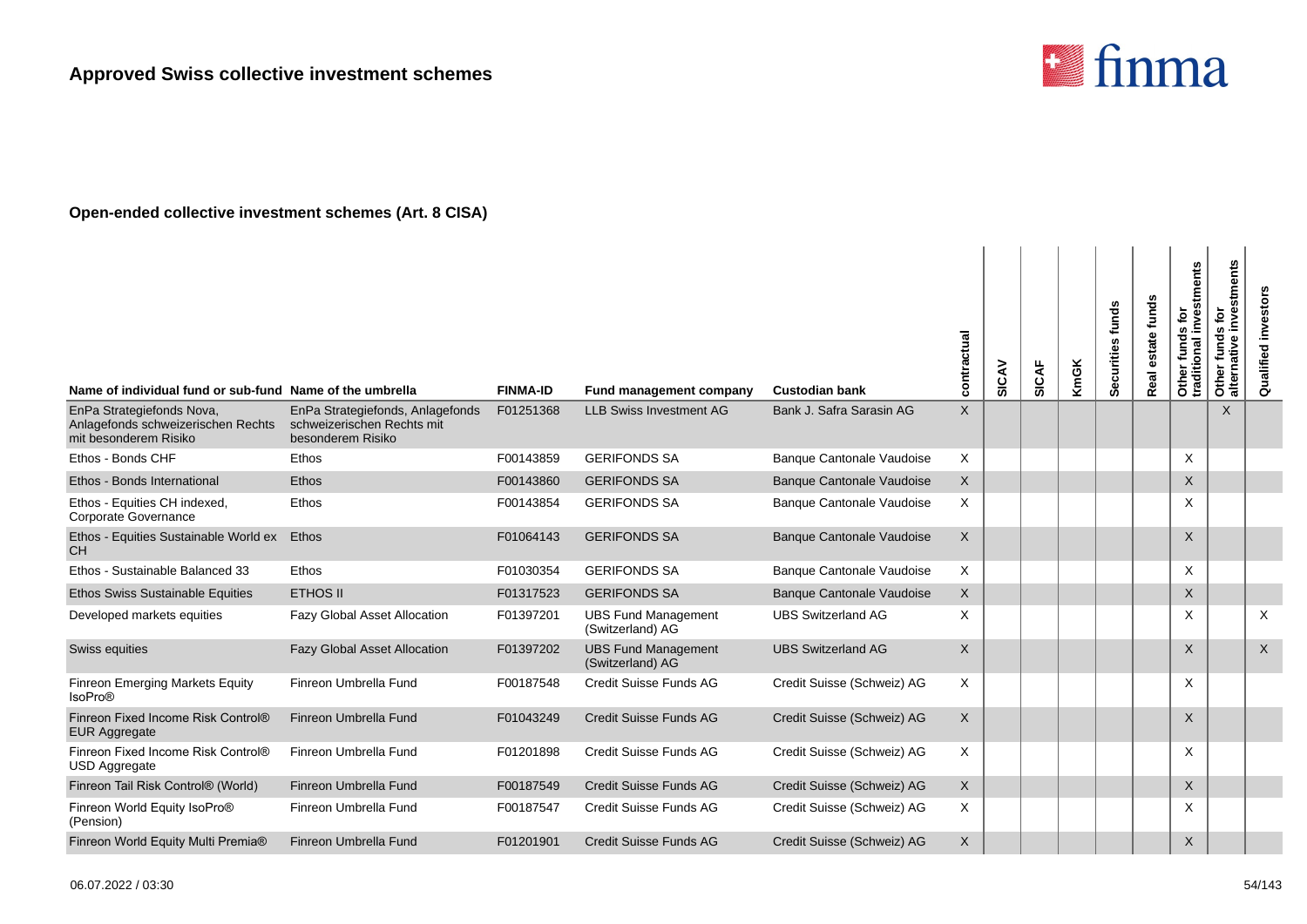

| Name of individual fund or sub-fund Name of the umbrella                                 |                                                                                     | <b>FINMA-ID</b> | Fund management company                        | <b>Custodian bank</b>            | contractual | SICAV | <b>SICAF</b> | <b>KmGK</b> | Securities funds | Real estate funds | <b>1s for</b><br>investments<br>Other funds<br>traditional i | Other funds for<br>alternative investments | investor<br>Qualified |
|------------------------------------------------------------------------------------------|-------------------------------------------------------------------------------------|-----------------|------------------------------------------------|----------------------------------|-------------|-------|--------------|-------------|------------------|-------------------|--------------------------------------------------------------|--------------------------------------------|-----------------------|
| EnPa Strategiefonds Nova,<br>Anlagefonds schweizerischen Rechts<br>mit besonderem Risiko | EnPa Strategiefonds, Anlagefonds<br>schweizerischen Rechts mit<br>besonderem Risiko | F01251368       | <b>LLB Swiss Investment AG</b>                 | Bank J. Safra Sarasin AG         | X           |       |              |             |                  |                   |                                                              | $\times$                                   |                       |
| Ethos - Bonds CHF                                                                        | Ethos                                                                               | F00143859       | <b>GERIFONDS SA</b>                            | <b>Banque Cantonale Vaudoise</b> | Χ           |       |              |             |                  |                   | $\times$                                                     |                                            |                       |
| Ethos - Bonds International                                                              | Ethos                                                                               | F00143860       | <b>GERIFONDS SA</b>                            | <b>Banque Cantonale Vaudoise</b> | X           |       |              |             |                  |                   | X                                                            |                                            |                       |
| Ethos - Equities CH indexed,<br>Corporate Governance                                     | Ethos                                                                               | F00143854       | <b>GERIFONDS SA</b>                            | <b>Banque Cantonale Vaudoise</b> | X           |       |              |             |                  |                   | X                                                            |                                            |                       |
| Ethos - Equities Sustainable World ex<br>CH.                                             | Ethos                                                                               | F01064143       | <b>GERIFONDS SA</b>                            | <b>Banque Cantonale Vaudoise</b> | X           |       |              |             |                  |                   | $\times$                                                     |                                            |                       |
| Ethos - Sustainable Balanced 33                                                          | Ethos                                                                               | F01030354       | <b>GERIFONDS SA</b>                            | Banque Cantonale Vaudoise        | X           |       |              |             |                  |                   | $\times$                                                     |                                            |                       |
| <b>Ethos Swiss Sustainable Equities</b>                                                  | <b>ETHOS II</b>                                                                     | F01317523       | <b>GERIFONDS SA</b>                            | <b>Banque Cantonale Vaudoise</b> | X           |       |              |             |                  |                   | X                                                            |                                            |                       |
| Developed markets equities                                                               | <b>Fazy Global Asset Allocation</b>                                                 | F01397201       | <b>UBS Fund Management</b><br>(Switzerland) AG | <b>UBS Switzerland AG</b>        | X           |       |              |             |                  |                   | X                                                            |                                            | X                     |
| Swiss equities                                                                           | Fazy Global Asset Allocation                                                        | F01397202       | <b>UBS Fund Management</b><br>(Switzerland) AG | <b>UBS Switzerland AG</b>        | X           |       |              |             |                  |                   | $\times$                                                     |                                            | X                     |
| Finreon Emerging Markets Equity<br><b>IsoPro®</b>                                        | Finreon Umbrella Fund                                                               | F00187548       | Credit Suisse Funds AG                         | Credit Suisse (Schweiz) AG       | X           |       |              |             |                  |                   | $\times$                                                     |                                            |                       |
| Finreon Fixed Income Risk Control®<br><b>EUR Aggregate</b>                               | Finreon Umbrella Fund                                                               | F01043249       | <b>Credit Suisse Funds AG</b>                  | Credit Suisse (Schweiz) AG       | X           |       |              |             |                  |                   | $\times$                                                     |                                            |                       |
| Finreon Fixed Income Risk Control®<br>USD Aggregate                                      | Finreon Umbrella Fund                                                               | F01201898       | Credit Suisse Funds AG                         | Credit Suisse (Schweiz) AG       | Χ           |       |              |             |                  |                   | X                                                            |                                            |                       |
| Finreon Tail Risk Control® (World)                                                       | Finreon Umbrella Fund                                                               | F00187549       | <b>Credit Suisse Funds AG</b>                  | Credit Suisse (Schweiz) AG       | X           |       |              |             |                  |                   | $\times$                                                     |                                            |                       |
| Finreon World Equity IsoPro®<br>(Pension)                                                | Finreon Umbrella Fund                                                               | F00187547       | Credit Suisse Funds AG                         | Credit Suisse (Schweiz) AG       | X           |       |              |             |                  |                   | X                                                            |                                            |                       |
| Finreon World Equity Multi Premia®                                                       | Finreon Umbrella Fund                                                               | F01201901       | Credit Suisse Funds AG                         | Credit Suisse (Schweiz) AG       | X           |       |              |             |                  |                   | X                                                            |                                            |                       |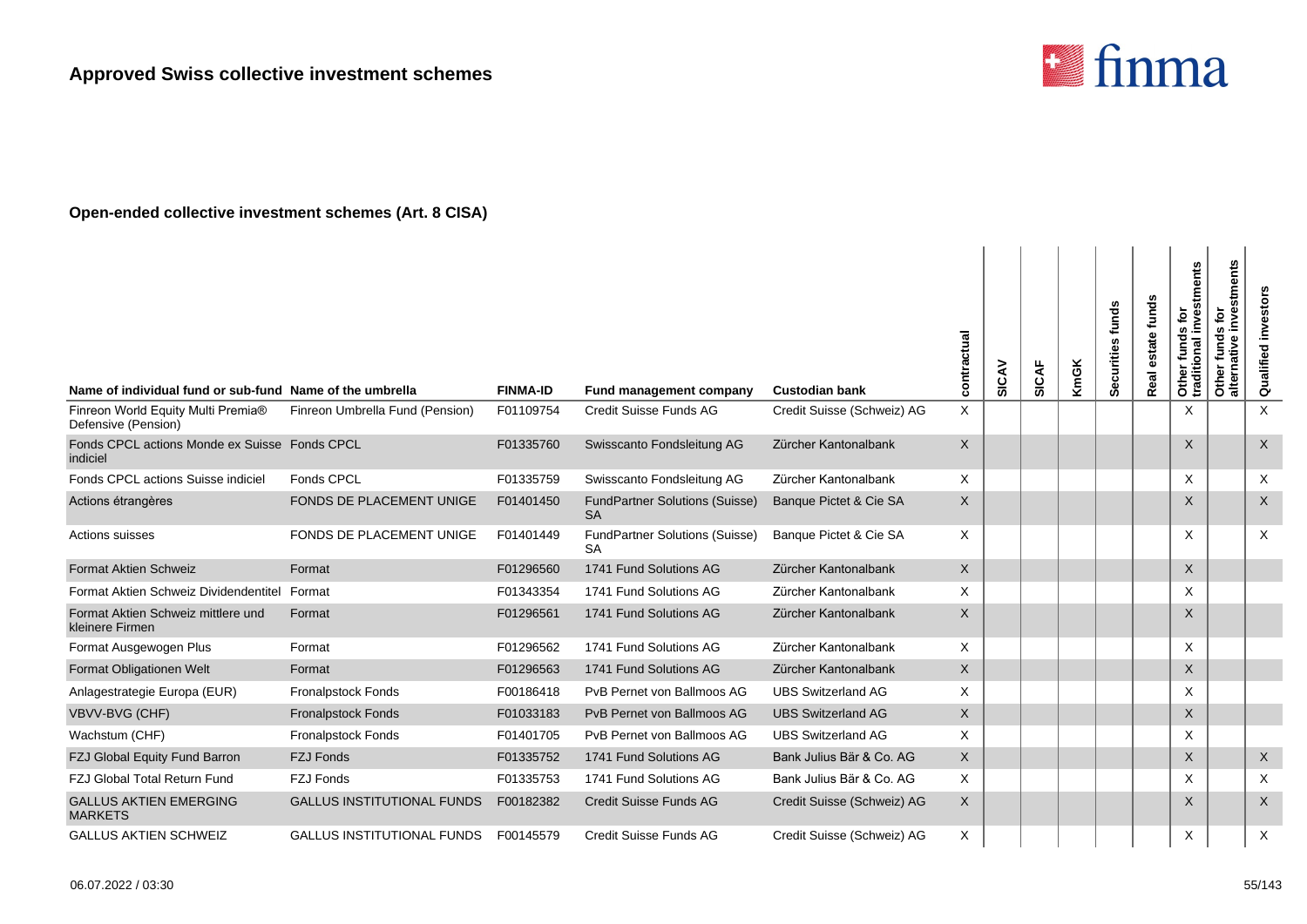

| Name of individual fund or sub-fund Name of the umbrella  |                                   | <b>FINMA-ID</b> | <b>Fund management company</b>                     | <b>Custodian bank</b>      | actual<br>contr | SICAV | SICAF | <b>KmGK</b> | Securities funds | funds<br>estate<br>Real | investments<br>흐<br>funds<br>Other funds<br>traditional i | stments<br>pve<br>ē<br>funds<br>ω<br>Other<br>alter | investor<br>Qualified |
|-----------------------------------------------------------|-----------------------------------|-----------------|----------------------------------------------------|----------------------------|-----------------|-------|-------|-------------|------------------|-------------------------|-----------------------------------------------------------|-----------------------------------------------------|-----------------------|
| Finreon World Equity Multi Premia®<br>Defensive (Pension) | Finreon Umbrella Fund (Pension)   | F01109754       | Credit Suisse Funds AG                             | Credit Suisse (Schweiz) AG | X               |       |       |             |                  |                         | X                                                         |                                                     | X                     |
| Fonds CPCL actions Monde ex Suisse Fonds CPCL<br>indiciel |                                   | F01335760       | Swisscanto Fondsleitung AG                         | Zürcher Kantonalbank       | $\times$        |       |       |             |                  |                         | X                                                         |                                                     | $\times$              |
| Fonds CPCL actions Suisse indiciel                        | Fonds CPCL                        | F01335759       | Swisscanto Fondsleitung AG                         | Zürcher Kantonalbank       | X               |       |       |             |                  |                         | X                                                         |                                                     | X                     |
| Actions étrangères                                        | FONDS DE PLACEMENT UNIGE          | F01401450       | <b>FundPartner Solutions (Suisse)</b><br><b>SA</b> | Banque Pictet & Cie SA     | $\times$        |       |       |             |                  |                         | X                                                         |                                                     | $\times$              |
| Actions suisses                                           | FONDS DE PLACEMENT UNIGE          | F01401449       | <b>FundPartner Solutions (Suisse)</b><br><b>SA</b> | Banque Pictet & Cie SA     | X               |       |       |             |                  |                         | X                                                         |                                                     | X                     |
| <b>Format Aktien Schweiz</b>                              | Format                            | F01296560       | 1741 Fund Solutions AG                             | Zürcher Kantonalbank       | $\mathsf{X}$    |       |       |             |                  |                         | X                                                         |                                                     |                       |
| Format Aktien Schweiz Dividendentitel Format              |                                   | F01343354       | 1741 Fund Solutions AG                             | Zürcher Kantonalbank       | X               |       |       |             |                  |                         | X                                                         |                                                     |                       |
| Format Aktien Schweiz mittlere und<br>kleinere Firmen     | Format                            | F01296561       | 1741 Fund Solutions AG                             | Zürcher Kantonalbank       | $\sf X$         |       |       |             |                  |                         | X                                                         |                                                     |                       |
| Format Ausgewogen Plus                                    | Format                            | F01296562       | 1741 Fund Solutions AG                             | Zürcher Kantonalbank       | $\times$        |       |       |             |                  |                         | X                                                         |                                                     |                       |
| Format Obligationen Welt                                  | Format                            | F01296563       | 1741 Fund Solutions AG                             | Zürcher Kantonalbank       | $\times$        |       |       |             |                  |                         | $\times$                                                  |                                                     |                       |
| Anlagestrategie Europa (EUR)                              | Fronalpstock Fonds                | F00186418       | PvB Pernet von Ballmoos AG                         | <b>UBS Switzerland AG</b>  | X               |       |       |             |                  |                         | X                                                         |                                                     |                       |
| VBVV-BVG (CHF)                                            | <b>Fronalpstock Fonds</b>         | F01033183       | PvB Pernet von Ballmoos AG                         | <b>UBS Switzerland AG</b>  | $\times$        |       |       |             |                  |                         | X                                                         |                                                     |                       |
| Wachstum (CHF)                                            | Fronalpstock Fonds                | F01401705       | PvB Pernet von Ballmoos AG                         | <b>UBS Switzerland AG</b>  | X               |       |       |             |                  |                         | X                                                         |                                                     |                       |
| FZJ Global Equity Fund Barron                             | <b>FZJ Fonds</b>                  | F01335752       | 1741 Fund Solutions AG                             | Bank Julius Bär & Co. AG   | $\times$        |       |       |             |                  |                         | $\times$                                                  |                                                     | $\mathsf{X}$          |
| FZJ Global Total Return Fund                              | <b>FZJ Fonds</b>                  | F01335753       | 1741 Fund Solutions AG                             | Bank Julius Bär & Co. AG   | X               |       |       |             |                  |                         | X                                                         |                                                     | X                     |
| <b>GALLUS AKTIEN EMERGING</b><br><b>MARKETS</b>           | <b>GALLUS INSTITUTIONAL FUNDS</b> | F00182382       | Credit Suisse Funds AG                             | Credit Suisse (Schweiz) AG | X               |       |       |             |                  |                         | X                                                         |                                                     | $\times$              |
| <b>GALLUS AKTIEN SCHWEIZ</b>                              | <b>GALLUS INSTITUTIONAL FUNDS</b> | F00145579       | Credit Suisse Funds AG                             | Credit Suisse (Schweiz) AG | Χ               |       |       |             |                  |                         | X                                                         |                                                     | X                     |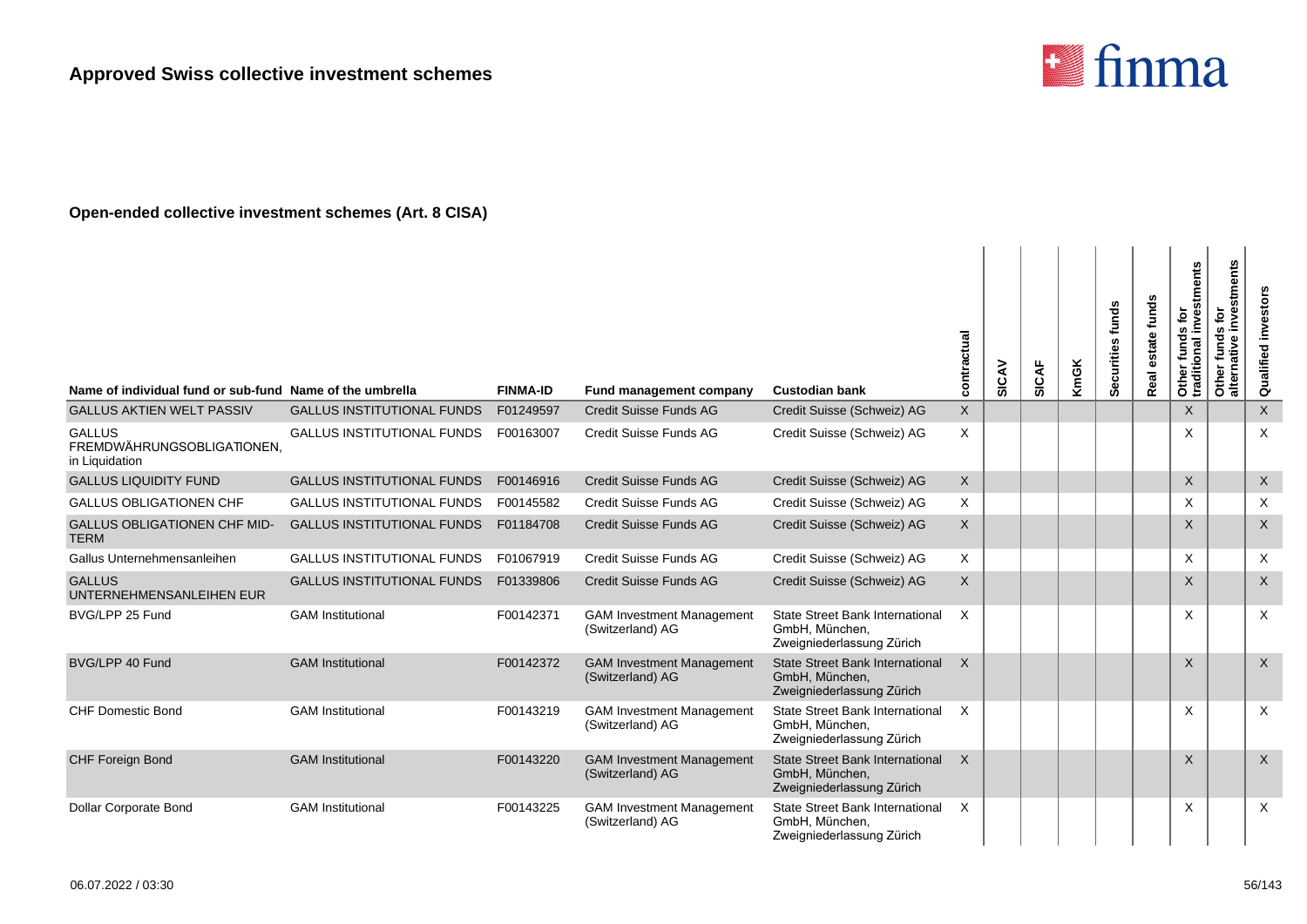

| Name of individual fund or sub-fund Name of the umbrella      |                                   | <b>FINMA-ID</b> | Fund management company                              | <b>Custodian bank</b>                                                                 | contractual  | SICAV | SICAF | <b>KmGK</b> | Securities funds | funds<br>estate<br>Real | investments<br>tōr<br>Other funds f<br>traditional inv | investments<br>è<br>funds<br>alternative<br>Other | Qualified investors |
|---------------------------------------------------------------|-----------------------------------|-----------------|------------------------------------------------------|---------------------------------------------------------------------------------------|--------------|-------|-------|-------------|------------------|-------------------------|--------------------------------------------------------|---------------------------------------------------|---------------------|
| <b>GALLUS AKTIEN WELT PASSIV</b>                              | <b>GALLUS INSTITUTIONAL FUNDS</b> | F01249597       | Credit Suisse Funds AG                               | Credit Suisse (Schweiz) AG                                                            | X            |       |       |             |                  |                         | X                                                      |                                                   | X                   |
| <b>GALLUS</b><br>FREMDWÄHRUNGSOBLIGATIONEN.<br>in Liquidation | <b>GALLUS INSTITUTIONAL FUNDS</b> | F00163007       | Credit Suisse Funds AG                               | Credit Suisse (Schweiz) AG                                                            | X            |       |       |             |                  |                         | X                                                      |                                                   | X                   |
| <b>GALLUS LIQUIDITY FUND</b>                                  | <b>GALLUS INSTITUTIONAL FUNDS</b> | F00146916       | Credit Suisse Funds AG                               | Credit Suisse (Schweiz) AG                                                            | X            |       |       |             |                  |                         | X                                                      |                                                   | X                   |
| <b>GALLUS OBLIGATIONEN CHF</b>                                | <b>GALLUS INSTITUTIONAL FUNDS</b> | F00145582       | Credit Suisse Funds AG                               | Credit Suisse (Schweiz) AG                                                            | X            |       |       |             |                  |                         | X                                                      |                                                   | X                   |
| <b>GALLUS OBLIGATIONEN CHF MID-</b><br><b>TERM</b>            | <b>GALLUS INSTITUTIONAL FUNDS</b> | F01184708       | Credit Suisse Funds AG                               | Credit Suisse (Schweiz) AG                                                            | $\mathsf{X}$ |       |       |             |                  |                         | X                                                      |                                                   | $\times$            |
| Gallus Unternehmensanleihen                                   | <b>GALLUS INSTITUTIONAL FUNDS</b> | F01067919       | Credit Suisse Funds AG                               | Credit Suisse (Schweiz) AG                                                            | X            |       |       |             |                  |                         | X                                                      |                                                   | $\times$            |
| <b>GALLUS</b><br>UNTERNEHMENSANLEIHEN EUR                     | <b>GALLUS INSTITUTIONAL FUNDS</b> | F01339806       | Credit Suisse Funds AG                               | Credit Suisse (Schweiz) AG                                                            | $\mathsf{X}$ |       |       |             |                  |                         | X                                                      |                                                   | $\times$            |
| BVG/LPP 25 Fund                                               | <b>GAM</b> Institutional          | F00142371       | <b>GAM Investment Management</b><br>(Switzerland) AG | <b>State Street Bank International</b><br>GmbH, München,<br>Zweigniederlassung Zürich | $\times$     |       |       |             |                  |                         | X                                                      |                                                   | $\times$            |
| BVG/LPP 40 Fund                                               | <b>GAM</b> Institutional          | F00142372       | <b>GAM Investment Management</b><br>(Switzerland) AG | <b>State Street Bank International</b><br>GmbH, München,<br>Zweigniederlassung Zürich | $\mathsf{x}$ |       |       |             |                  |                         | $\times$                                               |                                                   | $\sf X$             |
| <b>CHF Domestic Bond</b>                                      | <b>GAM</b> Institutional          | F00143219       | <b>GAM Investment Management</b><br>(Switzerland) AG | State Street Bank International<br>GmbH, München,<br>Zweigniederlassung Zürich        | X            |       |       |             |                  |                         | X                                                      |                                                   | $\times$            |
| <b>CHF Foreign Bond</b>                                       | <b>GAM</b> Institutional          | F00143220       | <b>GAM Investment Management</b><br>(Switzerland) AG | <b>State Street Bank International</b><br>GmbH, München,<br>Zweigniederlassung Zürich | $\mathsf{x}$ |       |       |             |                  |                         | X                                                      |                                                   | $\sf X$             |
| Dollar Corporate Bond                                         | <b>GAM</b> Institutional          | F00143225       | <b>GAM Investment Management</b><br>(Switzerland) AG | State Street Bank International<br>GmbH. München.<br>Zweigniederlassung Zürich        | X            |       |       |             |                  |                         | X                                                      |                                                   | $\times$            |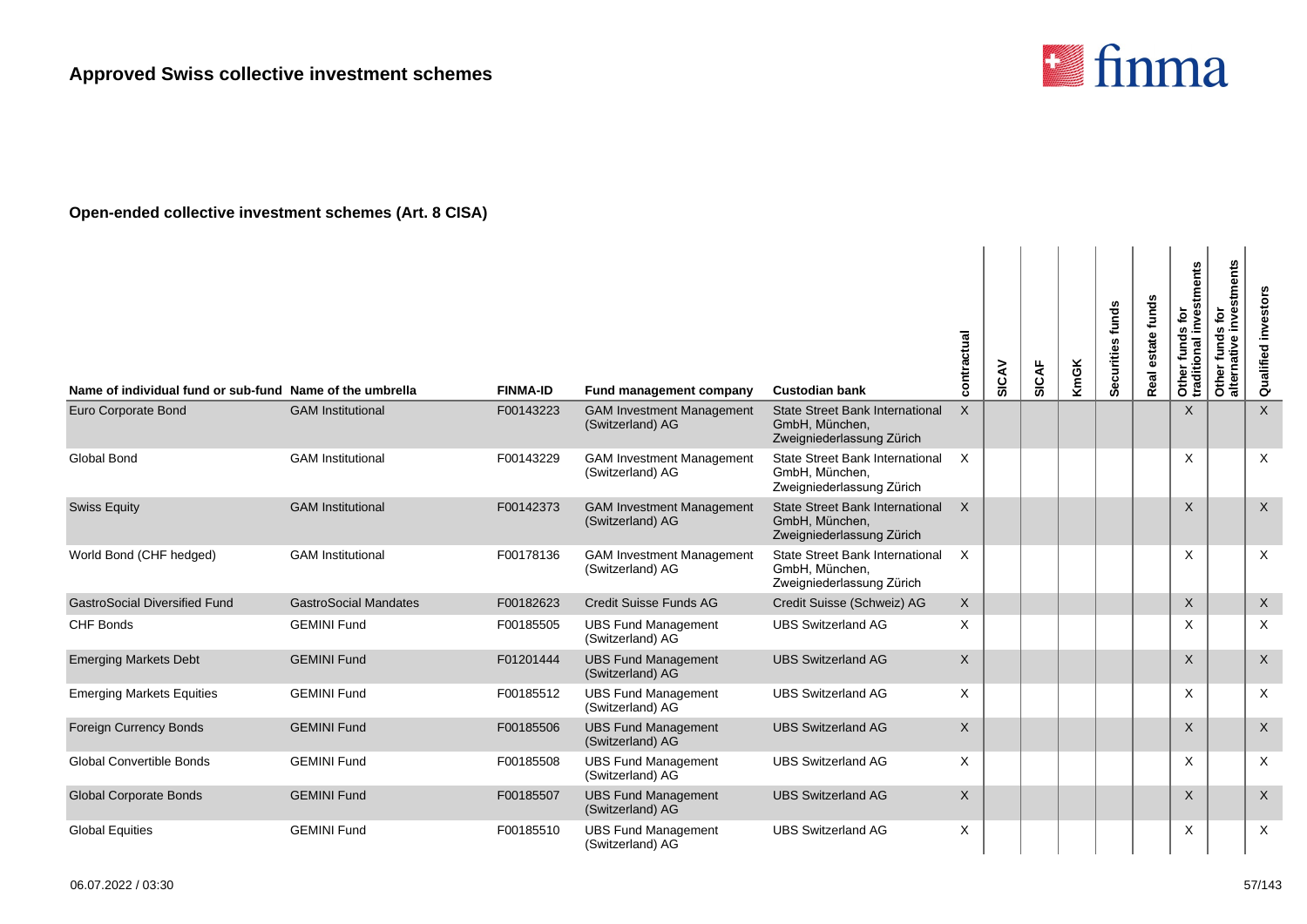

| Name of individual fund or sub-fund Name of the umbrella |                              | <b>FINMA-ID</b> | Fund management company                              | <b>Custodian bank</b>                                                                 | contractual  | SICAV | SICAF | <b>KmGK</b> | Securities funds | funds<br>estate<br>Real | Other funds for<br>traditional investments | estments<br>tor<br>funds<br>ω<br>ativ<br>Other<br>alterna | Qualified investors |
|----------------------------------------------------------|------------------------------|-----------------|------------------------------------------------------|---------------------------------------------------------------------------------------|--------------|-------|-------|-------------|------------------|-------------------------|--------------------------------------------|-----------------------------------------------------------|---------------------|
| Euro Corporate Bond                                      | <b>GAM</b> Institutional     | F00143223       | <b>GAM Investment Management</b><br>(Switzerland) AG | <b>State Street Bank International</b><br>GmbH, München,<br>Zweigniederlassung Zürich | X            |       |       |             |                  |                         | $\sf X$                                    |                                                           | $\sf X$             |
| <b>Global Bond</b>                                       | <b>GAM Institutional</b>     | F00143229       | <b>GAM Investment Management</b><br>(Switzerland) AG | <b>State Street Bank International</b><br>GmbH, München,<br>Zweigniederlassung Zürich | X            |       |       |             |                  |                         | X                                          |                                                           | $\times$            |
| <b>Swiss Equity</b>                                      | <b>GAM Institutional</b>     | F00142373       | <b>GAM Investment Management</b><br>(Switzerland) AG | <b>State Street Bank International</b><br>GmbH, München,<br>Zweigniederlassung Zürich | $\times$     |       |       |             |                  |                         | $\mathsf X$                                |                                                           | $\mathsf X$         |
| World Bond (CHF hedged)                                  | <b>GAM</b> Institutional     | F00178136       | <b>GAM Investment Management</b><br>(Switzerland) AG | <b>State Street Bank International</b><br>GmbH, München,<br>Zweigniederlassung Zürich | $\times$     |       |       |             |                  |                         | $\times$                                   |                                                           | $\times$            |
| <b>GastroSocial Diversified Fund</b>                     | <b>GastroSocial Mandates</b> | F00182623       | <b>Credit Suisse Funds AG</b>                        | Credit Suisse (Schweiz) AG                                                            | X            |       |       |             |                  |                         | $\times$                                   |                                                           | $\mathsf{X}$        |
| CHF Bonds                                                | <b>GEMINI Fund</b>           | F00185505       | <b>UBS Fund Management</b><br>(Switzerland) AG       | <b>UBS Switzerland AG</b>                                                             | X            |       |       |             |                  |                         | X                                          |                                                           | $\times$            |
| <b>Emerging Markets Debt</b>                             | <b>GEMINI Fund</b>           | F01201444       | <b>UBS Fund Management</b><br>(Switzerland) AG       | <b>UBS Switzerland AG</b>                                                             | $\mathsf{X}$ |       |       |             |                  |                         | X                                          |                                                           | $\mathsf X$         |
| <b>Emerging Markets Equities</b>                         | <b>GEMINI Fund</b>           | F00185512       | <b>UBS Fund Management</b><br>(Switzerland) AG       | <b>UBS Switzerland AG</b>                                                             | X            |       |       |             |                  |                         | X                                          |                                                           | $\times$            |
| Foreign Currency Bonds                                   | <b>GEMINI Fund</b>           | F00185506       | <b>UBS Fund Management</b><br>(Switzerland) AG       | <b>UBS Switzerland AG</b>                                                             | $\mathsf{X}$ |       |       |             |                  |                         | $\times$                                   |                                                           | $\sf X$             |
| <b>Global Convertible Bonds</b>                          | <b>GEMINI Fund</b>           | F00185508       | <b>UBS Fund Management</b><br>(Switzerland) AG       | <b>UBS Switzerland AG</b>                                                             | X            |       |       |             |                  |                         | X                                          |                                                           | $\times$            |
| <b>Global Corporate Bonds</b>                            | <b>GEMINI Fund</b>           | F00185507       | <b>UBS Fund Management</b><br>(Switzerland) AG       | <b>UBS Switzerland AG</b>                                                             | X            |       |       |             |                  |                         | X                                          |                                                           | $\times$            |
| <b>Global Equities</b>                                   | <b>GEMINI Fund</b>           | F00185510       | <b>UBS Fund Management</b><br>(Switzerland) AG       | <b>UBS Switzerland AG</b>                                                             | Χ            |       |       |             |                  |                         | X                                          |                                                           | X                   |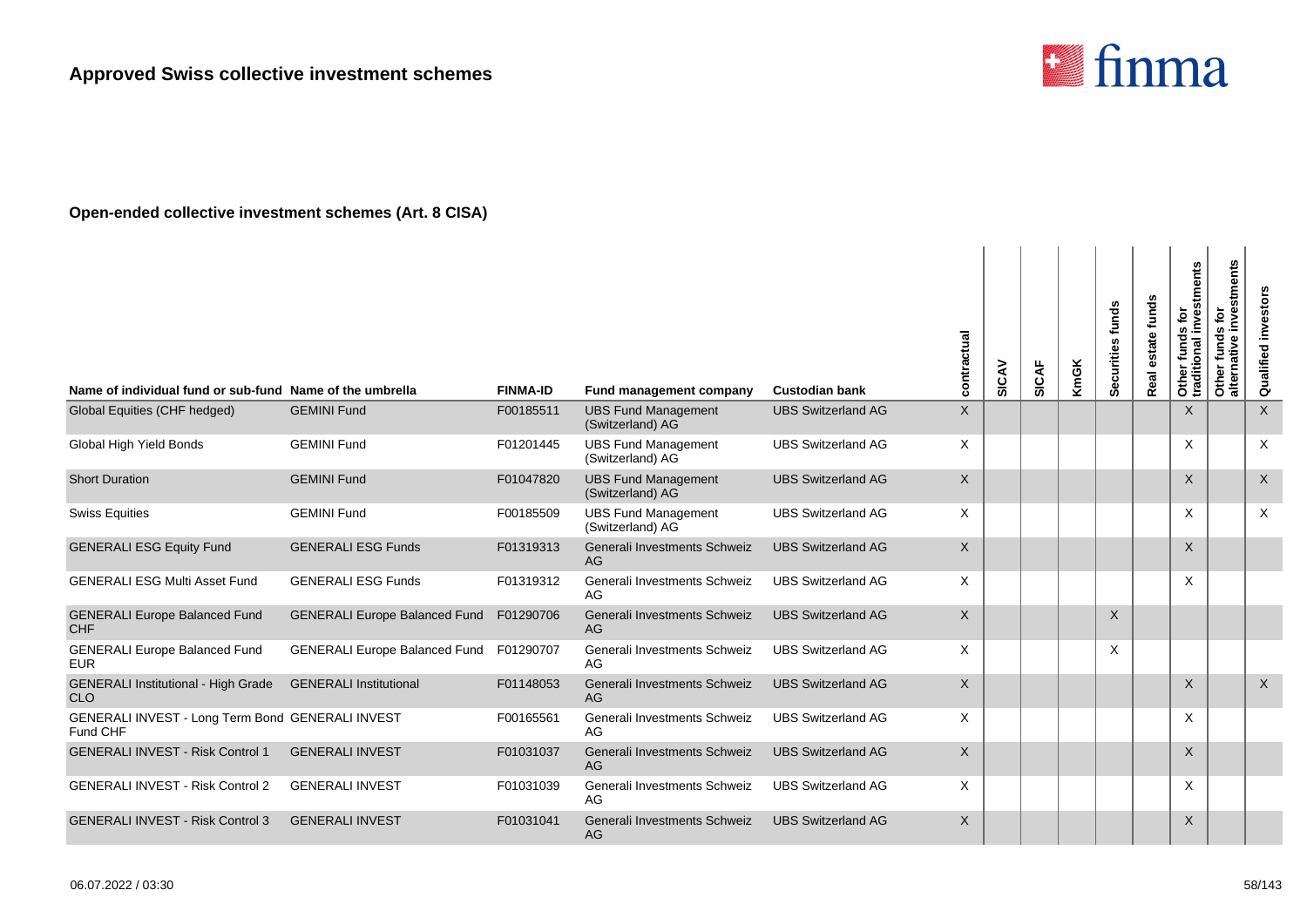

| Name of individual fund or sub-fund Name of the umbrella     |                                      | <b>FINMA-ID</b> | Fund management company                        | <b>Custodian bank</b>     | contractual  | SICAV | SICAF | <b>KmGK</b> | Securities funds | estate funds<br>Real | Other funds for<br>traditional investments | investments<br>Other funds for<br>alternative inves | Qualified investors |
|--------------------------------------------------------------|--------------------------------------|-----------------|------------------------------------------------|---------------------------|--------------|-------|-------|-------------|------------------|----------------------|--------------------------------------------|-----------------------------------------------------|---------------------|
| Global Equities (CHF hedged)                                 | <b>GEMINI Fund</b>                   | F00185511       | <b>UBS Fund Management</b><br>(Switzerland) AG | <b>UBS Switzerland AG</b> | $\mathsf{X}$ |       |       |             |                  |                      | $\sf X$                                    |                                                     | $\mathsf{X}$        |
| Global High Yield Bonds                                      | <b>GEMINI Fund</b>                   | F01201445       | <b>UBS Fund Management</b><br>(Switzerland) AG | <b>UBS Switzerland AG</b> | X            |       |       |             |                  |                      | X                                          |                                                     | $\times$            |
| <b>Short Duration</b>                                        | <b>GEMINI Fund</b>                   | F01047820       | <b>UBS Fund Management</b><br>(Switzerland) AG | <b>UBS Switzerland AG</b> | $\mathsf{X}$ |       |       |             |                  |                      | X                                          |                                                     | X                   |
| <b>Swiss Equities</b>                                        | <b>GEMINI Fund</b>                   | F00185509       | <b>UBS Fund Management</b><br>(Switzerland) AG | <b>UBS Switzerland AG</b> | X            |       |       |             |                  |                      | X                                          |                                                     | X                   |
| <b>GENERALI ESG Equity Fund</b>                              | <b>GENERALI ESG Funds</b>            | F01319313       | Generali Investments Schweiz<br>AG             | <b>UBS Switzerland AG</b> | $\mathsf{X}$ |       |       |             |                  |                      | $\times$                                   |                                                     |                     |
| <b>GENERALI ESG Multi Asset Fund</b>                         | <b>GENERALI ESG Funds</b>            | F01319312       | Generali Investments Schweiz<br>AG             | <b>UBS Switzerland AG</b> | X            |       |       |             |                  |                      | $\times$                                   |                                                     |                     |
| <b>GENERALI Europe Balanced Fund</b><br><b>CHF</b>           | <b>GENERALI Europe Balanced Fund</b> | F01290706       | Generali Investments Schweiz<br>AG             | <b>UBS Switzerland AG</b> | $\mathsf{X}$ |       |       |             | X                |                      |                                            |                                                     |                     |
| <b>GENERALI Europe Balanced Fund</b><br><b>EUR</b>           | <b>GENERALI Europe Balanced Fund</b> | F01290707       | Generali Investments Schweiz<br>AG             | <b>UBS Switzerland AG</b> | X            |       |       |             | X                |                      |                                            |                                                     |                     |
| <b>GENERALI Institutional - High Grade</b><br><b>CLO</b>     | <b>GENERALI Institutional</b>        | F01148053       | Generali Investments Schweiz<br>AG             | <b>UBS Switzerland AG</b> | $\mathsf X$  |       |       |             |                  |                      | $\times$                                   |                                                     | X                   |
| GENERALI INVEST - Long Term Bond GENERALI INVEST<br>Fund CHF |                                      | F00165561       | Generali Investments Schweiz<br>AG             | <b>UBS Switzerland AG</b> | X            |       |       |             |                  |                      | $\times$                                   |                                                     |                     |
| <b>GENERALI INVEST - Risk Control 1</b>                      | <b>GENERALI INVEST</b>               | F01031037       | Generali Investments Schweiz<br>AG             | <b>UBS Switzerland AG</b> | $\mathsf X$  |       |       |             |                  |                      | $\mathsf X$                                |                                                     |                     |
| <b>GENERALI INVEST - Risk Control 2</b>                      | <b>GENERALI INVEST</b>               | F01031039       | Generali Investments Schweiz<br>AG             | <b>UBS Switzerland AG</b> | X            |       |       |             |                  |                      | X                                          |                                                     |                     |
| <b>GENERALI INVEST - Risk Control 3</b>                      | <b>GENERALI INVEST</b>               | F01031041       | Generali Investments Schweiz<br>AG             | <b>UBS Switzerland AG</b> | X            |       |       |             |                  |                      | X                                          |                                                     |                     |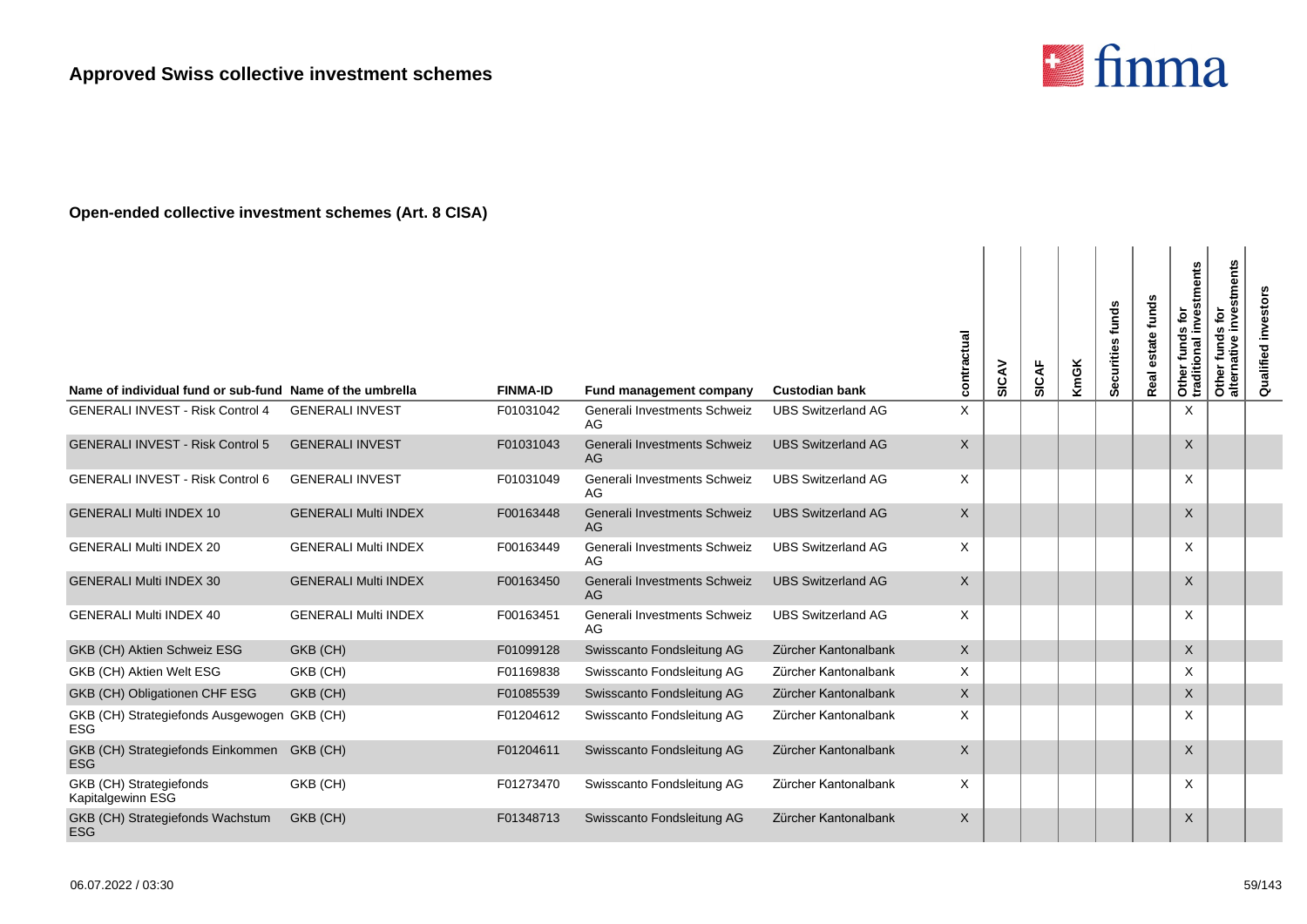

| Name of individual fund or sub-fund Name of the umbrella  |                             | <b>FINMA-ID</b> | Fund management company            | <b>Custodian bank</b>     | contractual  | SICAV | <b>SICAF</b> | KmGK | Securities funds | Real estate funds | Other funds for<br>traditional investments | Other funds for<br>alternative investments | investor<br>Qualified |
|-----------------------------------------------------------|-----------------------------|-----------------|------------------------------------|---------------------------|--------------|-------|--------------|------|------------------|-------------------|--------------------------------------------|--------------------------------------------|-----------------------|
| <b>GENERALI INVEST - Risk Control 4</b>                   | <b>GENERALI INVEST</b>      | F01031042       | Generali Investments Schweiz<br>AG | <b>UBS Switzerland AG</b> | X            |       |              |      |                  |                   | $\times$                                   |                                            |                       |
| <b>GENERALI INVEST - Risk Control 5</b>                   | <b>GENERALI INVEST</b>      | F01031043       | Generali Investments Schweiz<br>AG | <b>UBS Switzerland AG</b> | $\mathsf{X}$ |       |              |      |                  |                   | $\times$                                   |                                            |                       |
| <b>GENERALI INVEST - Risk Control 6</b>                   | <b>GENERALI INVEST</b>      | F01031049       | Generali Investments Schweiz<br>AG | <b>UBS Switzerland AG</b> | X            |       |              |      |                  |                   | $\times$                                   |                                            |                       |
| <b>GENERALI Multi INDEX 10</b>                            | <b>GENERALI Multi INDEX</b> | F00163448       | Generali Investments Schweiz<br>AG | <b>UBS Switzerland AG</b> | X            |       |              |      |                  |                   | X                                          |                                            |                       |
| <b>GENERALI Multi INDEX 20</b>                            | <b>GENERALI Multi INDEX</b> | F00163449       | Generali Investments Schweiz<br>AG | <b>UBS Switzerland AG</b> | X            |       |              |      |                  |                   | $\times$                                   |                                            |                       |
| <b>GENERALI Multi INDEX 30</b>                            | <b>GENERALI Multi INDEX</b> | F00163450       | Generali Investments Schweiz<br>AG | <b>UBS Switzerland AG</b> | $\mathsf{X}$ |       |              |      |                  |                   | $\times$                                   |                                            |                       |
| <b>GENERALI Multi INDEX 40</b>                            | <b>GENERALI Multi INDEX</b> | F00163451       | Generali Investments Schweiz<br>AG | <b>UBS Switzerland AG</b> | X            |       |              |      |                  |                   | $\times$                                   |                                            |                       |
| GKB (CH) Aktien Schweiz ESG                               | GKB (CH)                    | F01099128       | Swisscanto Fondsleitung AG         | Zürcher Kantonalbank      | $\mathsf{X}$ |       |              |      |                  |                   | $\times$                                   |                                            |                       |
| GKB (CH) Aktien Welt ESG                                  | GKB (CH)                    | F01169838       | Swisscanto Fondsleitung AG         | Zürcher Kantonalbank      | X            |       |              |      |                  |                   | X                                          |                                            |                       |
| GKB (CH) Obligationen CHF ESG                             | GKB (CH)                    | F01085539       | Swisscanto Fondsleitung AG         | Zürcher Kantonalbank      | X            |       |              |      |                  |                   | X                                          |                                            |                       |
| GKB (CH) Strategiefonds Ausgewogen GKB (CH)<br><b>ESG</b> |                             | F01204612       | Swisscanto Fondsleitung AG         | Zürcher Kantonalbank      | X            |       |              |      |                  |                   | $\times$                                   |                                            |                       |
| GKB (CH) Strategiefonds Einkommen GKB (CH)<br><b>ESG</b>  |                             | F01204611       | Swisscanto Fondsleitung AG         | Zürcher Kantonalbank      | $\mathsf{X}$ |       |              |      |                  |                   | $\mathsf{X}$                               |                                            |                       |
| GKB (CH) Strategiefonds<br>Kapitalgewinn ESG              | GKB (CH)                    | F01273470       | Swisscanto Fondsleitung AG         | Zürcher Kantonalbank      | X            |       |              |      |                  |                   | $\times$                                   |                                            |                       |
| GKB (CH) Strategiefonds Wachstum<br><b>ESG</b>            | GKB (CH)                    | F01348713       | Swisscanto Fondsleitung AG         | Zürcher Kantonalbank      | X            |       |              |      |                  |                   | X                                          |                                            |                       |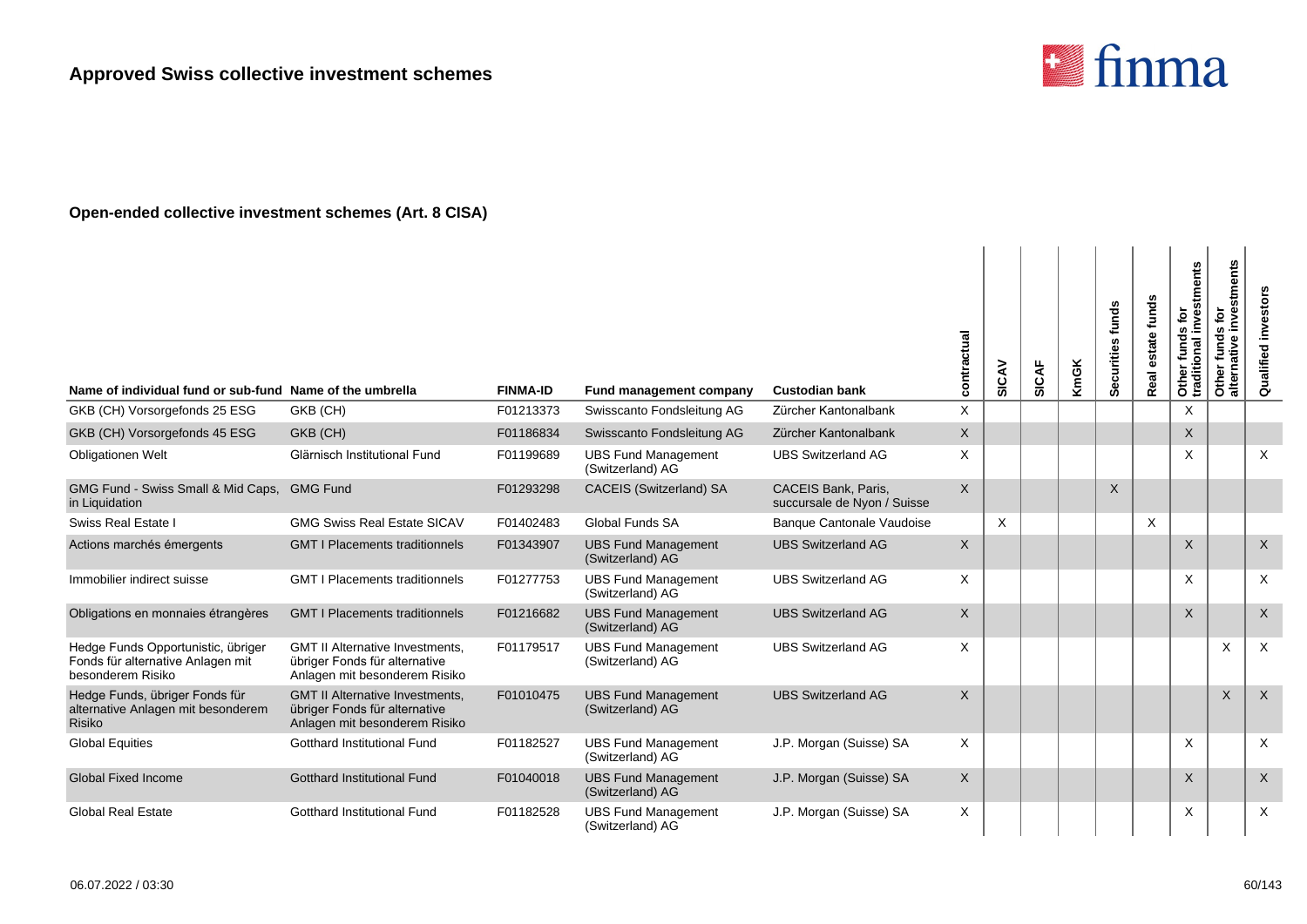

| Name of individual fund or sub-fund Name of the umbrella                                     |                                                                                                          | <b>FINMA-ID</b> | <b>Fund management company</b>                 | <b>Custodian bank</b>                                     | contractual  | SICAV    | SICAF | <b>KmGK</b> | Securities funds | funds<br>state<br>Real | Other funds for<br>traditional investments | stments<br>ð<br>۵<br><b>S</b><br>fund<br>ω<br>ã<br>Other<br>alterna | investors<br>Qualified |
|----------------------------------------------------------------------------------------------|----------------------------------------------------------------------------------------------------------|-----------------|------------------------------------------------|-----------------------------------------------------------|--------------|----------|-------|-------------|------------------|------------------------|--------------------------------------------|---------------------------------------------------------------------|------------------------|
| GKB (CH) Vorsorgefonds 25 ESG                                                                | GKB (CH)                                                                                                 | F01213373       | Swisscanto Fondsleitung AG                     | Zürcher Kantonalbank                                      | $\mathsf{X}$ |          |       |             |                  |                        | $\times$                                   |                                                                     |                        |
| GKB (CH) Vorsorgefonds 45 ESG                                                                | GKB (CH)                                                                                                 | F01186834       | Swisscanto Fondsleitung AG                     | Zürcher Kantonalbank                                      | $\mathsf{X}$ |          |       |             |                  |                        | X                                          |                                                                     |                        |
| <b>Obligationen Welt</b>                                                                     | Glärnisch Institutional Fund                                                                             | F01199689       | <b>UBS Fund Management</b><br>(Switzerland) AG | <b>UBS Switzerland AG</b>                                 | X            |          |       |             |                  |                        | X                                          |                                                                     | $\times$               |
| GMG Fund - Swiss Small & Mid Caps, GMG Fund<br>in Liquidation                                |                                                                                                          | F01293298       | <b>CACEIS (Switzerland) SA</b>                 | <b>CACEIS Bank, Paris.</b><br>succursale de Nyon / Suisse | $\sf X$      |          |       |             | $\times$         |                        |                                            |                                                                     |                        |
| <b>Swiss Real Estate I</b>                                                                   | <b>GMG Swiss Real Estate SICAV</b>                                                                       | F01402483       | Global Funds SA                                | <b>Banque Cantonale Vaudoise</b>                          |              | $\times$ |       |             |                  | X                      |                                            |                                                                     |                        |
| Actions marchés émergents                                                                    | <b>GMT I Placements traditionnels</b>                                                                    | F01343907       | <b>UBS Fund Management</b><br>(Switzerland) AG | <b>UBS Switzerland AG</b>                                 | $\times$     |          |       |             |                  |                        | $\mathsf{X}$                               |                                                                     | $\sf X$                |
| Immobilier indirect suisse                                                                   | <b>GMT I Placements traditionnels</b>                                                                    | F01277753       | <b>UBS Fund Management</b><br>(Switzerland) AG | <b>UBS Switzerland AG</b>                                 | X            |          |       |             |                  |                        | X                                          |                                                                     | $\times$               |
| Obligations en monnaies étrangères                                                           | <b>GMT I Placements traditionnels</b>                                                                    | F01216682       | <b>UBS Fund Management</b><br>(Switzerland) AG | <b>UBS Switzerland AG</b>                                 | X            |          |       |             |                  |                        | X                                          |                                                                     | $\sf X$                |
| Hedge Funds Opportunistic, übriger<br>Fonds für alternative Anlagen mit<br>besonderem Risiko | <b>GMT II Alternative Investments,</b><br>übriger Fonds für alternative<br>Anlagen mit besonderem Risiko | F01179517       | <b>UBS Fund Management</b><br>(Switzerland) AG | <b>UBS Switzerland AG</b>                                 | X            |          |       |             |                  |                        |                                            | X                                                                   | $\times$               |
| Hedge Funds, übriger Fonds für<br>alternative Anlagen mit besonderem<br><b>Risiko</b>        | <b>GMT II Alternative Investments,</b><br>übriger Fonds für alternative<br>Anlagen mit besonderem Risiko | F01010475       | <b>UBS Fund Management</b><br>(Switzerland) AG | <b>UBS Switzerland AG</b>                                 | $\sf X$      |          |       |             |                  |                        |                                            | X                                                                   | $\times$               |
| <b>Global Equities</b>                                                                       | <b>Gotthard Institutional Fund</b>                                                                       | F01182527       | <b>UBS Fund Management</b><br>(Switzerland) AG | J.P. Morgan (Suisse) SA                                   | $\times$     |          |       |             |                  |                        | X                                          |                                                                     | $\times$               |
| <b>Global Fixed Income</b>                                                                   | <b>Gotthard Institutional Fund</b>                                                                       | F01040018       | <b>UBS Fund Management</b><br>(Switzerland) AG | J.P. Morgan (Suisse) SA                                   | $\times$     |          |       |             |                  |                        | $\times$                                   |                                                                     | $\times$               |
| <b>Global Real Estate</b>                                                                    | <b>Gotthard Institutional Fund</b>                                                                       | F01182528       | <b>UBS Fund Management</b><br>(Switzerland) AG | J.P. Morgan (Suisse) SA                                   | X            |          |       |             |                  |                        | X                                          |                                                                     | $\times$               |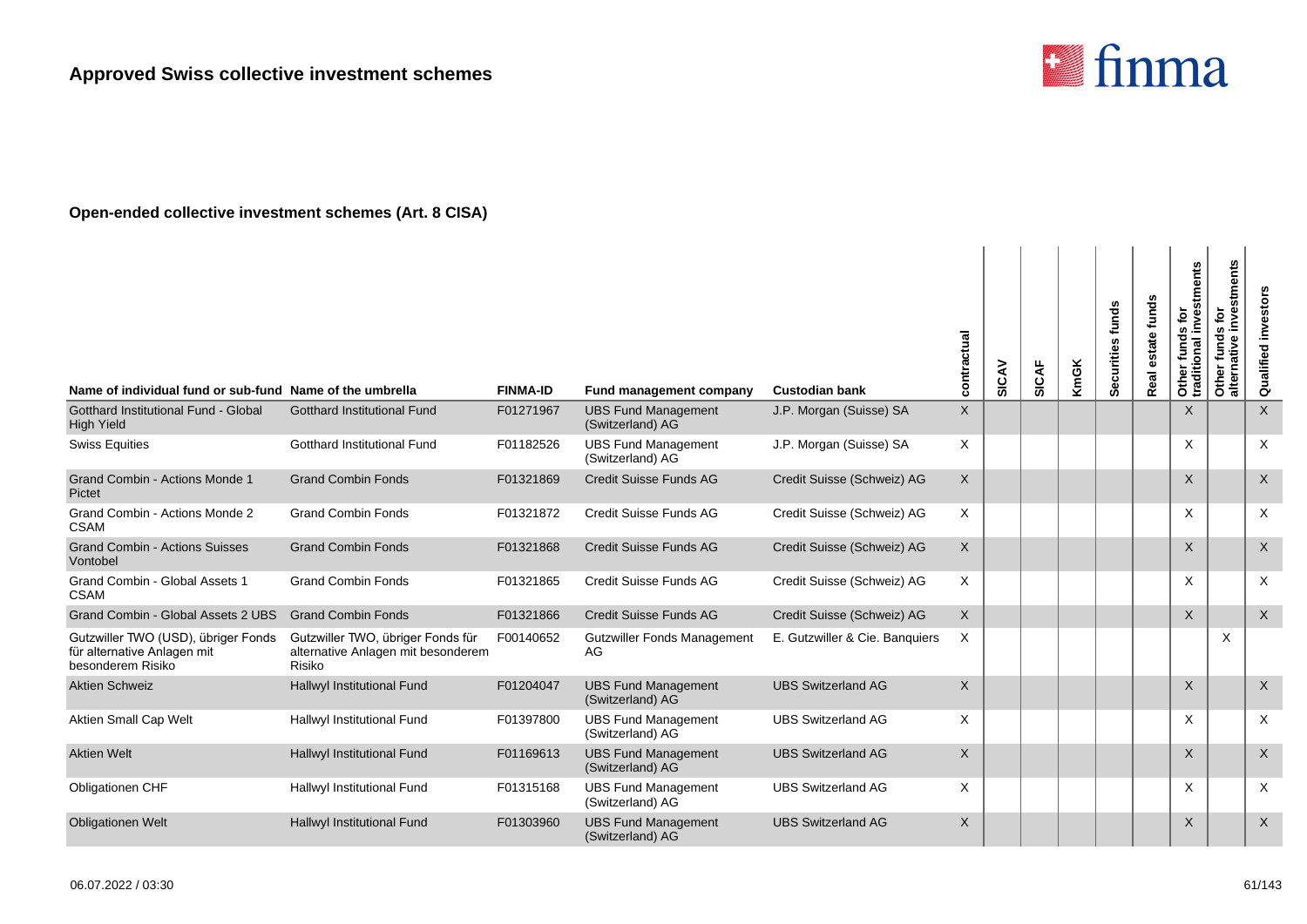

| Name of individual fund or sub-fund Name of the umbrella                                |                                                                                   | <b>FINMA-ID</b> | Fund management company                        | <b>Custodian bank</b>          | contractual  | SICAV | SICAF | <b>KmGK</b> | Securities funds | funds<br>estate<br>Real | Other funds for<br>traditional investments | stments<br>ē<br>Φ<br><b>SC</b><br>fund<br>ative<br>Other<br>alte | Qualified investors       |
|-----------------------------------------------------------------------------------------|-----------------------------------------------------------------------------------|-----------------|------------------------------------------------|--------------------------------|--------------|-------|-------|-------------|------------------|-------------------------|--------------------------------------------|------------------------------------------------------------------|---------------------------|
| <b>Gotthard Institutional Fund - Global</b><br><b>High Yield</b>                        | <b>Gotthard Institutional Fund</b>                                                | F01271967       | <b>UBS Fund Management</b><br>(Switzerland) AG | J.P. Morgan (Suisse) SA        | $\mathsf X$  |       |       |             |                  |                         | $\times$                                   |                                                                  | $\sf X$                   |
| <b>Swiss Equities</b>                                                                   | <b>Gotthard Institutional Fund</b>                                                | F01182526       | <b>UBS Fund Management</b><br>(Switzerland) AG | J.P. Morgan (Suisse) SA        | X            |       |       |             |                  |                         | X                                          |                                                                  | $\times$                  |
| Grand Combin - Actions Monde 1<br>Pictet                                                | <b>Grand Combin Fonds</b>                                                         | F01321869       | <b>Credit Suisse Funds AG</b>                  | Credit Suisse (Schweiz) AG     | $\mathsf{X}$ |       |       |             |                  |                         | $\times$                                   |                                                                  | $\times$                  |
| Grand Combin - Actions Monde 2<br><b>CSAM</b>                                           | <b>Grand Combin Fonds</b>                                                         | F01321872       | Credit Suisse Funds AG                         | Credit Suisse (Schweiz) AG     | $\times$     |       |       |             |                  |                         | X                                          |                                                                  | $\times$                  |
| <b>Grand Combin - Actions Suisses</b><br>Vontobel                                       | <b>Grand Combin Fonds</b>                                                         | F01321868       | <b>Credit Suisse Funds AG</b>                  | Credit Suisse (Schweiz) AG     | $\times$     |       |       |             |                  |                         | $\times$                                   |                                                                  | $\times$                  |
| Grand Combin - Global Assets 1<br><b>CSAM</b>                                           | <b>Grand Combin Fonds</b>                                                         | F01321865       | Credit Suisse Funds AG                         | Credit Suisse (Schweiz) AG     | $\times$     |       |       |             |                  |                         | X                                          |                                                                  | $\times$                  |
| Grand Combin - Global Assets 2 UBS                                                      | <b>Grand Combin Fonds</b>                                                         | F01321866       | <b>Credit Suisse Funds AG</b>                  | Credit Suisse (Schweiz) AG     | $\times$     |       |       |             |                  |                         | $\times$                                   |                                                                  | $\times$                  |
| Gutzwiller TWO (USD), übriger Fonds<br>für alternative Anlagen mit<br>besonderem Risiko | Gutzwiller TWO, übriger Fonds für<br>alternative Anlagen mit besonderem<br>Risiko | F00140652       | <b>Gutzwiller Fonds Management</b><br>AG       | E. Gutzwiller & Cie. Banquiers | $\times$     |       |       |             |                  |                         |                                            | X                                                                |                           |
| <b>Aktien Schweiz</b>                                                                   | Hallwyl Institutional Fund                                                        | F01204047       | <b>UBS Fund Management</b><br>(Switzerland) AG | <b>UBS Switzerland AG</b>      | $\times$     |       |       |             |                  |                         | $\times$                                   |                                                                  | $\sf X$                   |
| Aktien Small Cap Welt                                                                   | Hallwyl Institutional Fund                                                        | F01397800       | <b>UBS Fund Management</b><br>(Switzerland) AG | <b>UBS Switzerland AG</b>      | $\times$     |       |       |             |                  |                         | X                                          |                                                                  | $\times$                  |
| <b>Aktien Welt</b>                                                                      | Hallwyl Institutional Fund                                                        | F01169613       | <b>UBS Fund Management</b><br>(Switzerland) AG | <b>UBS Switzerland AG</b>      | $\mathsf{X}$ |       |       |             |                  |                         | $\times$                                   |                                                                  | $\boldsymbol{\mathsf{X}}$ |
| <b>Obligationen CHF</b>                                                                 | Hallwyl Institutional Fund                                                        | F01315168       | <b>UBS Fund Management</b><br>(Switzerland) AG | <b>UBS Switzerland AG</b>      | X            |       |       |             |                  |                         | X                                          |                                                                  | X                         |
| <b>Obligationen Welt</b>                                                                | Hallwyl Institutional Fund                                                        | F01303960       | <b>UBS Fund Management</b><br>(Switzerland) AG | <b>UBS Switzerland AG</b>      | $\mathsf X$  |       |       |             |                  |                         | $\times$                                   |                                                                  | $\boldsymbol{\mathsf{X}}$ |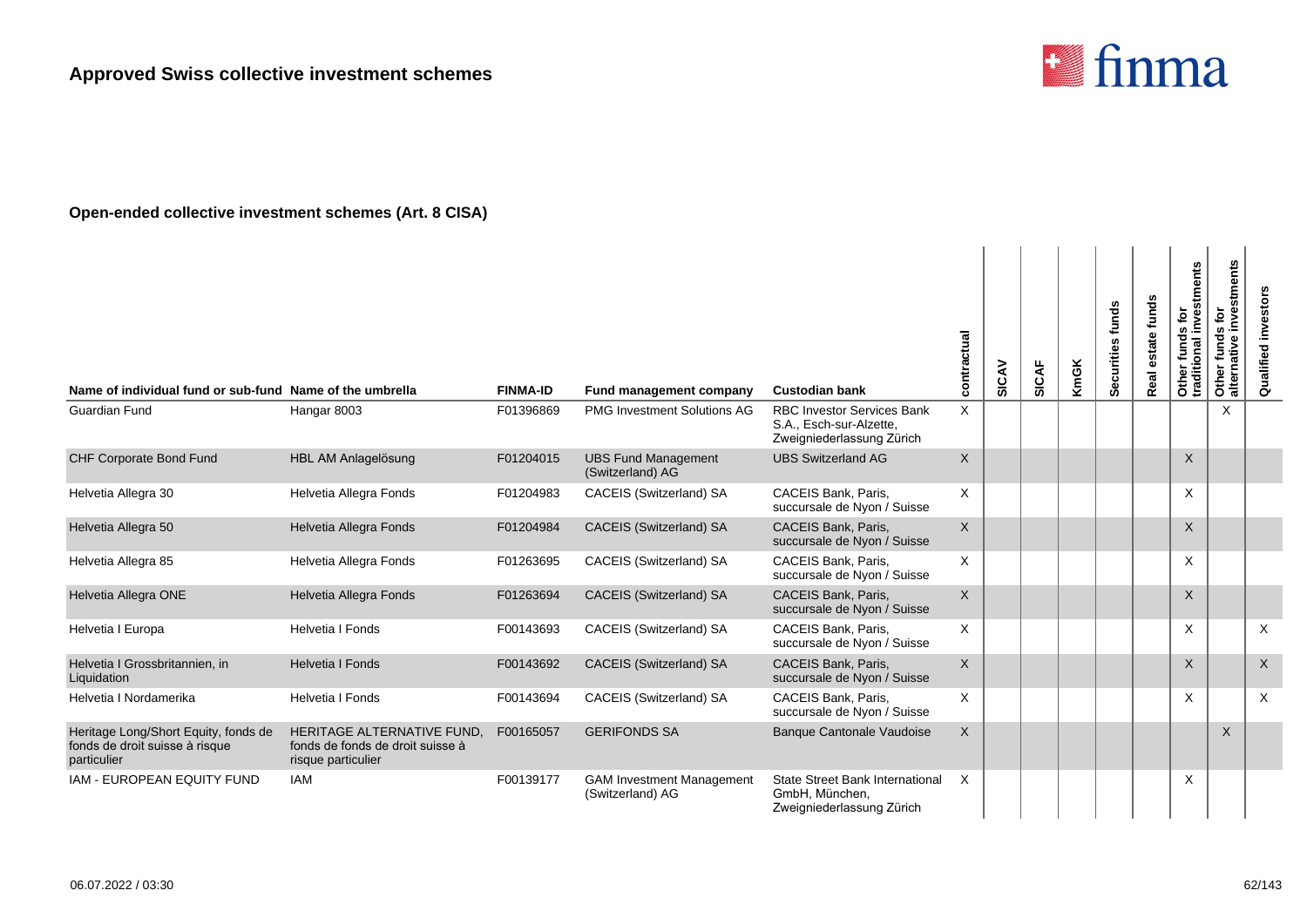

| Name of individual fund or sub-fund Name of the umbrella                              |                                                                                      | <b>FINMA-ID</b> | Fund management company                              | <b>Custodian bank</b>                                                                     | contractual  | SICAV | SICAF | <b>KmGK</b> | Securities funds | funds<br>estate <sup>:</sup><br>Real | stments<br>funds for<br>inve<br>Other funds<br>traditional i | estments<br>Other funds for<br>alternative inves | Qualified investors |
|---------------------------------------------------------------------------------------|--------------------------------------------------------------------------------------|-----------------|------------------------------------------------------|-------------------------------------------------------------------------------------------|--------------|-------|-------|-------------|------------------|--------------------------------------|--------------------------------------------------------------|--------------------------------------------------|---------------------|
| <b>Guardian Fund</b>                                                                  | Hangar 8003                                                                          | F01396869       | <b>PMG Investment Solutions AG</b>                   | <b>RBC Investor Services Bank</b><br>S.A., Esch-sur-Alzette,<br>Zweigniederlassung Zürich | X            |       |       |             |                  |                                      |                                                              | X                                                |                     |
| CHF Corporate Bond Fund                                                               | HBL AM Anlagelösung                                                                  | F01204015       | <b>UBS Fund Management</b><br>(Switzerland) AG       | <b>UBS Switzerland AG</b>                                                                 | $\sf X$      |       |       |             |                  |                                      | $\times$                                                     |                                                  |                     |
| Helvetia Allegra 30                                                                   | Helvetia Allegra Fonds                                                               | F01204983       | CACEIS (Switzerland) SA                              | CACEIS Bank, Paris,<br>succursale de Nyon / Suisse                                        | X            |       |       |             |                  |                                      | X                                                            |                                                  |                     |
| Helvetia Allegra 50                                                                   | Helvetia Allegra Fonds                                                               | F01204984       | <b>CACEIS (Switzerland) SA</b>                       | CACEIS Bank, Paris,<br>succursale de Nyon / Suisse                                        | $\sf X$      |       |       |             |                  |                                      | X                                                            |                                                  |                     |
| Helvetia Allegra 85                                                                   | Helvetia Allegra Fonds                                                               | F01263695       | CACEIS (Switzerland) SA                              | CACEIS Bank, Paris,<br>succursale de Nyon / Suisse                                        | $\times$     |       |       |             |                  |                                      | X                                                            |                                                  |                     |
| Helvetia Allegra ONE                                                                  | Helvetia Allegra Fonds                                                               | F01263694       | CACEIS (Switzerland) SA                              | CACEIS Bank, Paris,<br>succursale de Nyon / Suisse                                        | $\mathsf{X}$ |       |       |             |                  |                                      | X                                                            |                                                  |                     |
| Helvetia I Europa                                                                     | Helvetia I Fonds                                                                     | F00143693       | CACEIS (Switzerland) SA                              | <b>CACEIS Bank, Paris.</b><br>succursale de Nyon / Suisse                                 | X            |       |       |             |                  |                                      | X                                                            |                                                  | X                   |
| Helvetia I Grossbritannien, in<br>Liquidation                                         | <b>Helvetia I Fonds</b>                                                              | F00143692       | CACEIS (Switzerland) SA                              | CACEIS Bank, Paris,<br>succursale de Nyon / Suisse                                        | $\mathsf{X}$ |       |       |             |                  |                                      | X                                                            |                                                  | $\mathsf{X}$        |
| Helvetia I Nordamerika                                                                | Helvetia I Fonds                                                                     | F00143694       | CACEIS (Switzerland) SA                              | CACEIS Bank, Paris,<br>succursale de Nyon / Suisse                                        | X            |       |       |             |                  |                                      | X                                                            |                                                  | X                   |
| Heritage Long/Short Equity, fonds de<br>fonds de droit suisse à risque<br>particulier | HERITAGE ALTERNATIVE FUND.<br>fonds de fonds de droit suisse à<br>risque particulier | F00165057       | <b>GERIFONDS SA</b>                                  | <b>Banque Cantonale Vaudoise</b>                                                          | X            |       |       |             |                  |                                      |                                                              | X                                                |                     |
| <b>IAM - EUROPEAN EQUITY FUND</b>                                                     | <b>IAM</b>                                                                           | F00139177       | <b>GAM Investment Management</b><br>(Switzerland) AG | State Street Bank International<br>GmbH. München.<br>Zweigniederlassung Zürich            | X            |       |       |             |                  |                                      | X                                                            |                                                  |                     |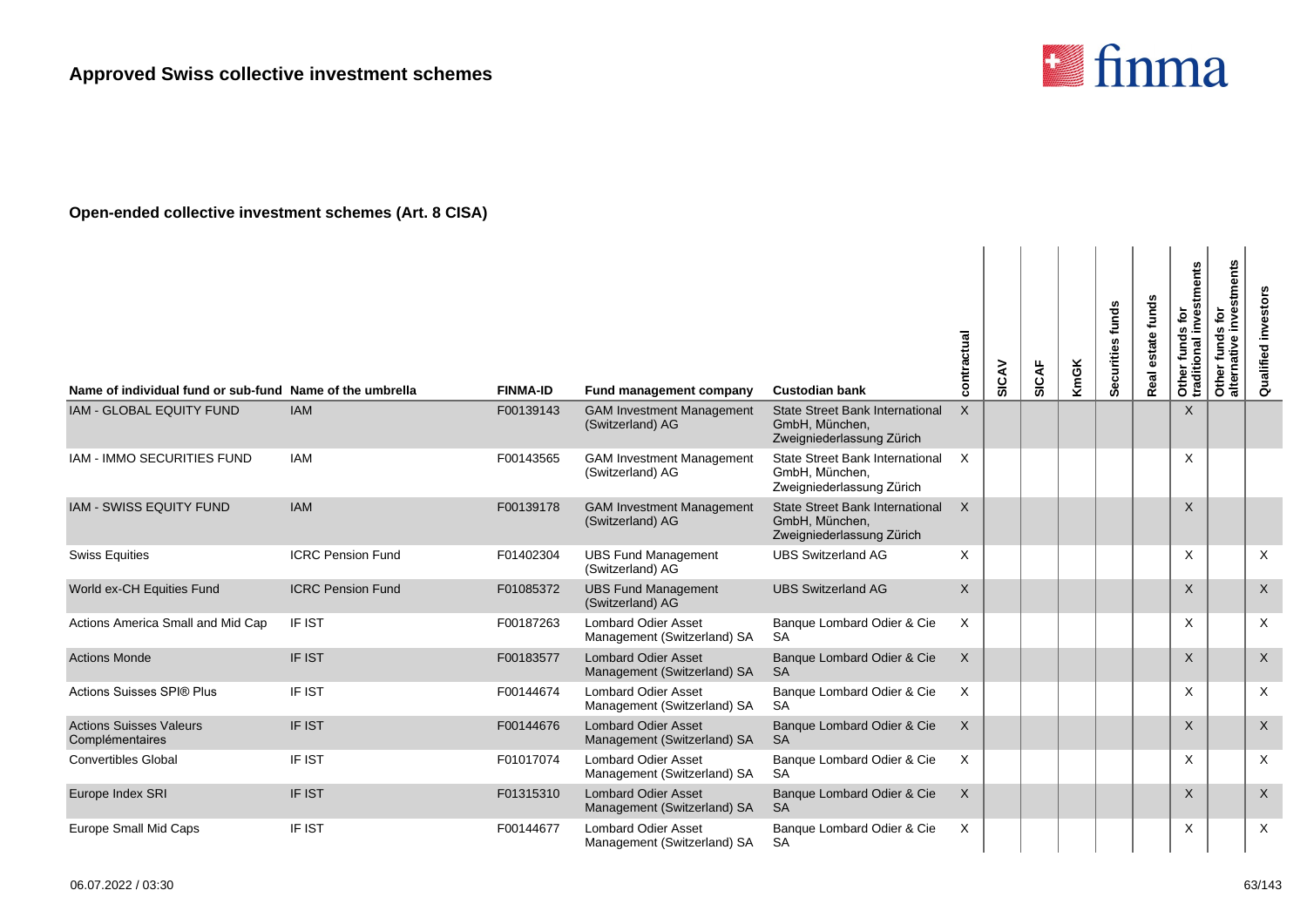

| Name of individual fund or sub-fund Name of the umbrella |                          | <b>FINMA-ID</b> | Fund management company                                   | <b>Custodian bank</b>                                                                 | contractual | SICAV | SICAF | <b>KmGK</b> | Securities funds | estate funds<br>Real | Other funds for<br>traditional investments | stments<br>$\mathbf{\tilde{e}}$<br>Other funds f<br>alternative in | Qualified investors |
|----------------------------------------------------------|--------------------------|-----------------|-----------------------------------------------------------|---------------------------------------------------------------------------------------|-------------|-------|-------|-------------|------------------|----------------------|--------------------------------------------|--------------------------------------------------------------------|---------------------|
| IAM - GLOBAL EQUITY FUND                                 | <b>IAM</b>               | F00139143       | <b>GAM Investment Management</b><br>(Switzerland) AG      | <b>State Street Bank International</b><br>GmbH, München,<br>Zweigniederlassung Zürich | $\times$    |       |       |             |                  |                      | $\sf X$                                    |                                                                    |                     |
| IAM - IMMO SECURITIES FUND                               | <b>IAM</b>               | F00143565       | <b>GAM Investment Management</b><br>(Switzerland) AG      | <b>State Street Bank International</b><br>GmbH, München,<br>Zweigniederlassung Zürich | X           |       |       |             |                  |                      | X                                          |                                                                    |                     |
| IAM - SWISS EQUITY FUND                                  | <b>IAM</b>               | F00139178       | <b>GAM Investment Management</b><br>(Switzerland) AG      | <b>State Street Bank International</b><br>GmbH, München,<br>Zweigniederlassung Zürich | $\times$    |       |       |             |                  |                      | $\mathsf{X}$                               |                                                                    |                     |
| <b>Swiss Equities</b>                                    | <b>ICRC Pension Fund</b> | F01402304       | <b>UBS Fund Management</b><br>(Switzerland) AG            | <b>UBS Switzerland AG</b>                                                             | X           |       |       |             |                  |                      | X                                          |                                                                    | $\times$            |
| World ex-CH Equities Fund                                | <b>ICRC Pension Fund</b> | F01085372       | <b>UBS Fund Management</b><br>(Switzerland) AG            | <b>UBS Switzerland AG</b>                                                             | $\sf X$     |       |       |             |                  |                      | $\sf X$                                    |                                                                    | $\mathsf X$         |
| Actions America Small and Mid Cap                        | IF IST                   | F00187263       | <b>Lombard Odier Asset</b><br>Management (Switzerland) SA | Banque Lombard Odier & Cie<br><b>SA</b>                                               | $\times$    |       |       |             |                  |                      | X                                          |                                                                    | $\times$            |
| <b>Actions Monde</b>                                     | IF IST                   | F00183577       | <b>Lombard Odier Asset</b><br>Management (Switzerland) SA | Banque Lombard Odier & Cie<br><b>SA</b>                                               | $\times$    |       |       |             |                  |                      | $\mathsf{X}$                               |                                                                    | $\times$            |
| <b>Actions Suisses SPI® Plus</b>                         | IF IST                   | F00144674       | <b>Lombard Odier Asset</b><br>Management (Switzerland) SA | Banque Lombard Odier & Cie<br><b>SA</b>                                               | X           |       |       |             |                  |                      | X                                          |                                                                    | $\times$            |
| <b>Actions Suisses Valeurs</b><br>Complémentaires        | IF IST                   | F00144676       | <b>Lombard Odier Asset</b><br>Management (Switzerland) SA | Banque Lombard Odier & Cie<br><b>SA</b>                                               | $\times$    |       |       |             |                  |                      | X                                          |                                                                    | $\mathsf X$         |
| <b>Convertibles Global</b>                               | IF IST                   | F01017074       | <b>Lombard Odier Asset</b><br>Management (Switzerland) SA | Banque Lombard Odier & Cie<br><b>SA</b>                                               | X           |       |       |             |                  |                      | X                                          |                                                                    | $\times$            |
| Europe Index SRI                                         | <b>IF IST</b>            | F01315310       | <b>Lombard Odier Asset</b><br>Management (Switzerland) SA | Banque Lombard Odier & Cie<br><b>SA</b>                                               | $\times$    |       |       |             |                  |                      | $\sf X$                                    |                                                                    | $\sf X$             |
| <b>Europe Small Mid Caps</b>                             | IF IST                   | F00144677       | <b>Lombard Odier Asset</b><br>Management (Switzerland) SA | Banque Lombard Odier & Cie<br><b>SA</b>                                               | Χ           |       |       |             |                  |                      | X                                          |                                                                    | X                   |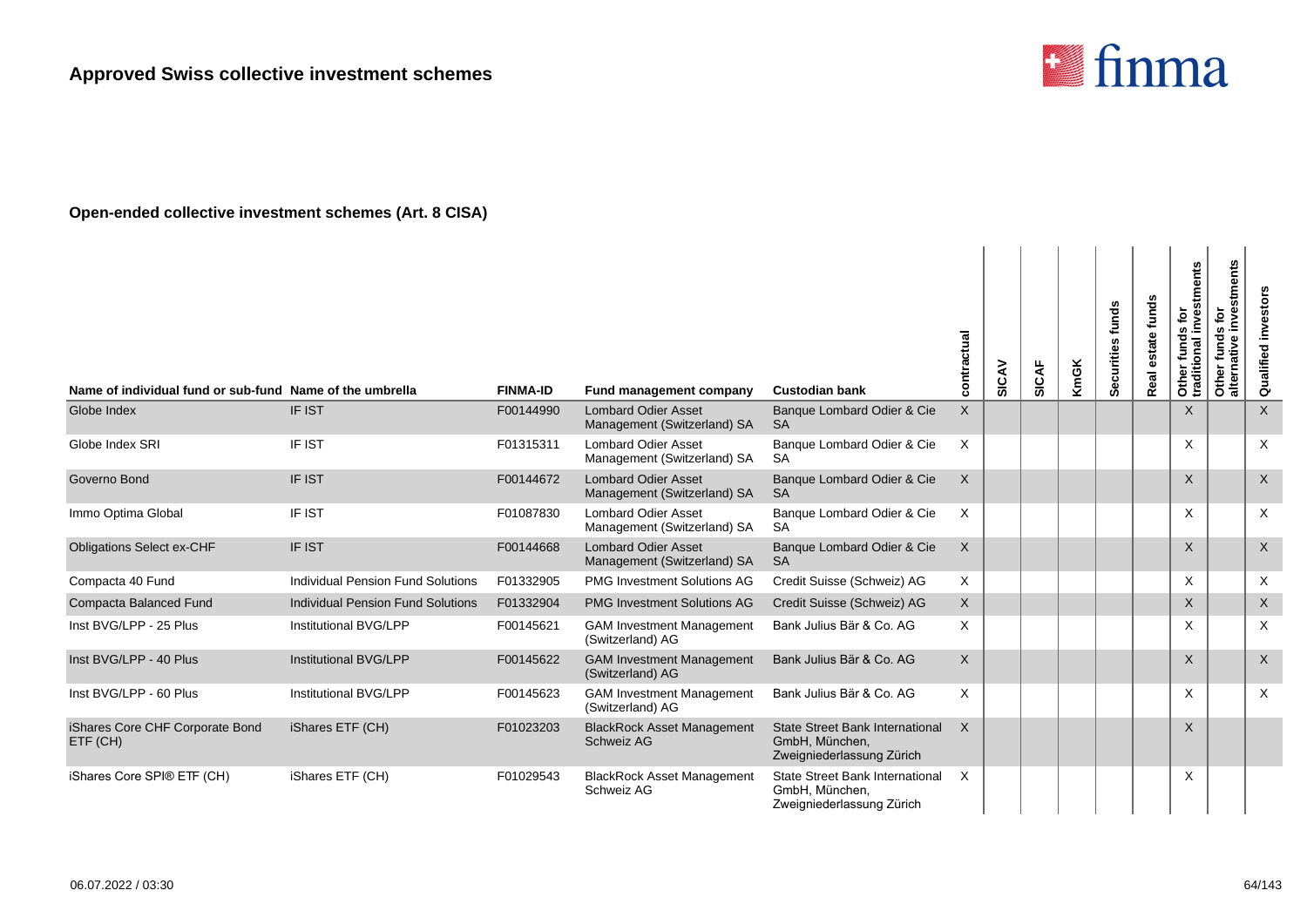

| Name of individual fund or sub-fund Name of the umbrella |                                          | <b>FINMA-ID</b> | Fund management company                                   | <b>Custodian bank</b>                                                                 | contractual | SICAV | <b>SICAF</b> | <b>KmGK</b> | Securities funds | funds<br>estate<br>Real | Other funds for<br>traditional investments | stments<br><b>jo</b><br>funds<br>ative<br>Other<br>alterna | Qualified investor        |
|----------------------------------------------------------|------------------------------------------|-----------------|-----------------------------------------------------------|---------------------------------------------------------------------------------------|-------------|-------|--------------|-------------|------------------|-------------------------|--------------------------------------------|------------------------------------------------------------|---------------------------|
| Globe Index                                              | <b>IF IST</b>                            | F00144990       | <b>Lombard Odier Asset</b><br>Management (Switzerland) SA | Banque Lombard Odier & Cie<br><b>SA</b>                                               | $\sf X$     |       |              |             |                  |                         | $\times$                                   |                                                            | $\times$                  |
| Globe Index SRI                                          | IF IST                                   | F01315311       | <b>Lombard Odier Asset</b><br>Management (Switzerland) SA | Banque Lombard Odier & Cie<br><b>SA</b>                                               | X           |       |              |             |                  |                         | X                                          |                                                            | $\times$                  |
| Governo Bond                                             | IF IST                                   | F00144672       | <b>Lombard Odier Asset</b><br>Management (Switzerland) SA | Banque Lombard Odier & Cie<br><b>SA</b>                                               | $\times$    |       |              |             |                  |                         | $\times$                                   |                                                            | $\boldsymbol{\mathsf{X}}$ |
| Immo Optima Global                                       | IF IST                                   | F01087830       | <b>Lombard Odier Asset</b><br>Management (Switzerland) SA | Banque Lombard Odier & Cie<br><b>SA</b>                                               | X           |       |              |             |                  |                         | X                                          |                                                            | $\times$                  |
| <b>Obligations Select ex-CHF</b>                         | IF IST                                   | F00144668       | <b>Lombard Odier Asset</b><br>Management (Switzerland) SA | Banque Lombard Odier & Cie<br><b>SA</b>                                               | $\times$    |       |              |             |                  |                         | $\times$                                   |                                                            | $\sf X$                   |
| Compacta 40 Fund                                         | <b>Individual Pension Fund Solutions</b> | F01332905       | <b>PMG Investment Solutions AG</b>                        | Credit Suisse (Schweiz) AG                                                            | X           |       |              |             |                  |                         | X                                          |                                                            | $\times$                  |
| Compacta Balanced Fund                                   | <b>Individual Pension Fund Solutions</b> | F01332904       | <b>PMG Investment Solutions AG</b>                        | Credit Suisse (Schweiz) AG                                                            | $\times$    |       |              |             |                  |                         | $\sf X$                                    |                                                            | $\times$                  |
| Inst BVG/LPP - 25 Plus                                   | Institutional BVG/LPP                    | F00145621       | <b>GAM Investment Management</b><br>(Switzerland) AG      | Bank Julius Bär & Co. AG                                                              | X           |       |              |             |                  |                         | X                                          |                                                            | $\times$                  |
| Inst BVG/LPP - 40 Plus                                   | Institutional BVG/LPP                    | F00145622       | <b>GAM Investment Management</b><br>(Switzerland) AG      | Bank Julius Bär & Co. AG                                                              | $\times$    |       |              |             |                  |                         | X                                          |                                                            | $\times$                  |
| Inst BVG/LPP - 60 Plus                                   | Institutional BVG/LPP                    | F00145623       | <b>GAM Investment Management</b><br>(Switzerland) AG      | Bank Julius Bär & Co. AG                                                              | X           |       |              |             |                  |                         | X                                          |                                                            | $\times$                  |
| iShares Core CHF Corporate Bond<br>ETF (CH)              | iShares ETF (CH)                         | F01023203       | <b>BlackRock Asset Management</b><br>Schweiz AG           | <b>State Street Bank International</b><br>GmbH, München,<br>Zweigniederlassung Zürich | $\times$    |       |              |             |                  |                         | X                                          |                                                            |                           |
| iShares Core SPI® ETF (CH)                               | iShares ETF (CH)                         | F01029543       | <b>BlackRock Asset Management</b><br>Schweiz AG           | <b>State Street Bank International</b><br>GmbH, München,<br>Zweigniederlassung Zürich | $\times$    |       |              |             |                  |                         | X                                          |                                                            |                           |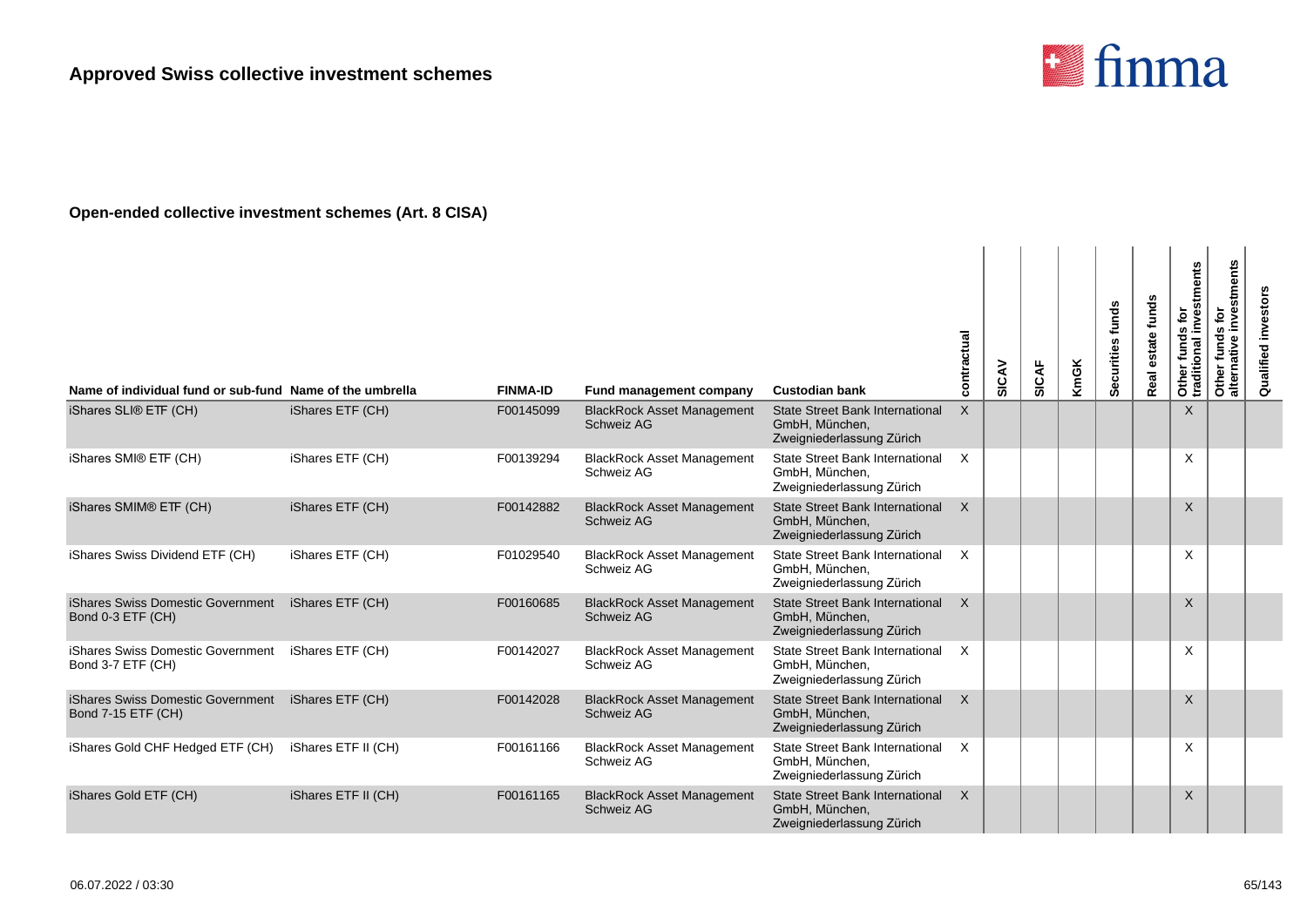

| Name of individual fund or sub-fund Name of the umbrella                        |                     | <b>FINMA-ID</b> | Fund management company                         | <b>Custodian bank</b>                                                                 | contractual | SICAV | <b>SICAF</b> | <b>KmGK</b> | Securities funds | estate funds<br>Real | Other funds for<br>traditional investments | investments<br>Other funds for<br>alternative inves | Qualified investors |
|---------------------------------------------------------------------------------|---------------------|-----------------|-------------------------------------------------|---------------------------------------------------------------------------------------|-------------|-------|--------------|-------------|------------------|----------------------|--------------------------------------------|-----------------------------------------------------|---------------------|
| iShares SLI® ETF (CH)                                                           | iShares ETF (CH)    | F00145099       | <b>BlackRock Asset Management</b><br>Schweiz AG | <b>State Street Bank International</b><br>GmbH, München,<br>Zweigniederlassung Zürich | X           |       |              |             |                  |                      | $\mathsf{X}$                               |                                                     |                     |
| iShares SMI® ETF (CH)                                                           | iShares ETF (CH)    | F00139294       | <b>BlackRock Asset Management</b><br>Schweiz AG | State Street Bank International<br>GmbH, München,<br>Zweigniederlassung Zürich        | X           |       |              |             |                  |                      | X                                          |                                                     |                     |
| iShares SMIM® ETF (CH)                                                          | iShares ETF (CH)    | F00142882       | <b>BlackRock Asset Management</b><br>Schweiz AG | State Street Bank International<br>GmbH, München,<br>Zweigniederlassung Zürich        | $\times$    |       |              |             |                  |                      | $\times$                                   |                                                     |                     |
| iShares Swiss Dividend ETF (CH)                                                 | iShares ETF (CH)    | F01029540       | <b>BlackRock Asset Management</b><br>Schweiz AG | State Street Bank International<br>GmbH. München.<br>Zweigniederlassung Zürich        | $\times$    |       |              |             |                  |                      | X                                          |                                                     |                     |
| iShares Swiss Domestic Government iShares ETF (CH)<br>Bond 0-3 ETF (CH)         |                     | F00160685       | <b>BlackRock Asset Management</b><br>Schweiz AG | <b>State Street Bank International</b><br>GmbH. München.<br>Zweigniederlassung Zürich | $\times$    |       |              |             |                  |                      | $\times$                                   |                                                     |                     |
| iShares Swiss Domestic Government iShares ETF (CH)<br>Bond 3-7 ETF (CH)         |                     | F00142027       | <b>BlackRock Asset Management</b><br>Schweiz AG | <b>State Street Bank International</b><br>GmbH, München,<br>Zweigniederlassung Zürich | $\times$    |       |              |             |                  |                      | X                                          |                                                     |                     |
| iShares Swiss Domestic Government iShares ETF (CH)<br><b>Bond 7-15 ETF (CH)</b> |                     | F00142028       | <b>BlackRock Asset Management</b><br>Schweiz AG | <b>State Street Bank International</b><br>GmbH, München,<br>Zweigniederlassung Zürich | $\times$    |       |              |             |                  |                      | $\mathsf{X}$                               |                                                     |                     |
| iShares Gold CHF Hedged ETF (CH)                                                | iShares ETF II (CH) | F00161166       | <b>BlackRock Asset Management</b><br>Schweiz AG | <b>State Street Bank International</b><br>GmbH, München,<br>Zweigniederlassung Zürich | $\times$    |       |              |             |                  |                      | X                                          |                                                     |                     |
| iShares Gold ETF (CH)                                                           | iShares ETF II (CH) | F00161165       | <b>BlackRock Asset Management</b><br>Schweiz AG | <b>State Street Bank International</b><br>GmbH, München,<br>Zweigniederlassung Zürich | $\times$    |       |              |             |                  |                      | $\times$                                   |                                                     |                     |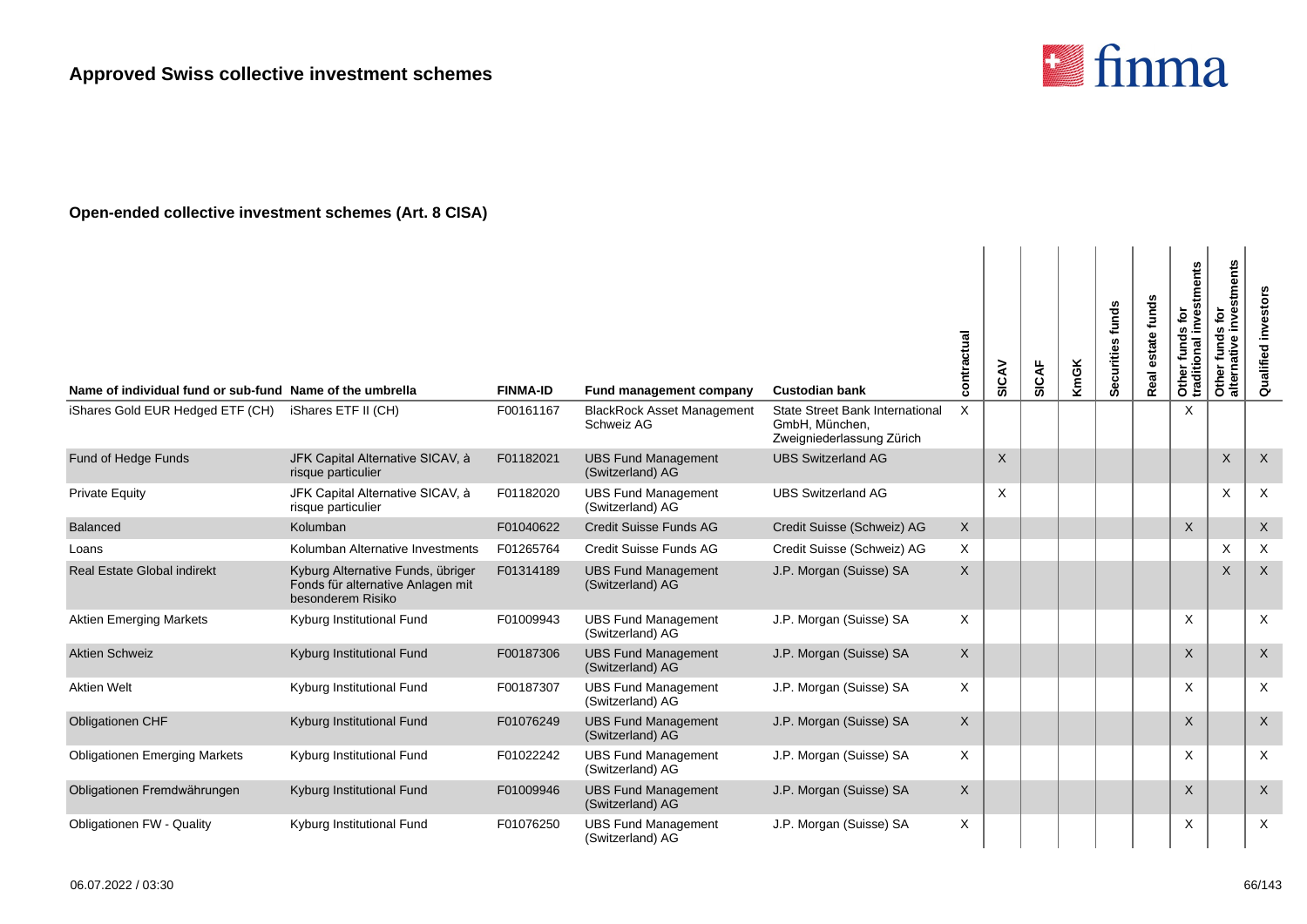

| Name of individual fund or sub-fund Name of the umbrella |                                                                                             | <b>FINMA-ID</b> | Fund management company                         | <b>Custodian bank</b>                                                                 | contractual | SICAV    | <b>SICAF</b> | <b>KmGK</b> | Securities funds | estate funds<br>Real | Other funds for<br>traditional investments | stments<br><b>jo</b><br>nve<br><b>SD</b><br>ative<br>fund<br>Other<br>alterna | investors<br>Qualified |
|----------------------------------------------------------|---------------------------------------------------------------------------------------------|-----------------|-------------------------------------------------|---------------------------------------------------------------------------------------|-------------|----------|--------------|-------------|------------------|----------------------|--------------------------------------------|-------------------------------------------------------------------------------|------------------------|
| iShares Gold EUR Hedged ETF (CH)                         | iShares ETF II (CH)                                                                         | F00161167       | <b>BlackRock Asset Management</b><br>Schweiz AG | <b>State Street Bank International</b><br>GmbH, München,<br>Zweigniederlassung Zürich | X           |          |              |             |                  |                      | X                                          |                                                                               |                        |
| Fund of Hedge Funds                                      | JFK Capital Alternative SICAV, à<br>risque particulier                                      | F01182021       | <b>UBS Fund Management</b><br>(Switzerland) AG  | <b>UBS Switzerland AG</b>                                                             |             | X        |              |             |                  |                      |                                            | X                                                                             | $\boldsymbol{X}$       |
| <b>Private Equity</b>                                    | JFK Capital Alternative SICAV, à<br>risque particulier                                      | F01182020       | <b>UBS Fund Management</b><br>(Switzerland) AG  | <b>UBS Switzerland AG</b>                                                             |             | $\times$ |              |             |                  |                      |                                            | $\times$                                                                      | X                      |
| <b>Balanced</b>                                          | Kolumban                                                                                    | F01040622       | Credit Suisse Funds AG                          | Credit Suisse (Schweiz) AG                                                            | $\times$    |          |              |             |                  |                      | $\times$                                   |                                                                               | $\mathsf X$            |
| Loans                                                    | Kolumban Alternative Investments                                                            | F01265764       | Credit Suisse Funds AG                          | Credit Suisse (Schweiz) AG                                                            | $\times$    |          |              |             |                  |                      |                                            | $\times$                                                                      | $\times$               |
| <b>Real Estate Global indirekt</b>                       | Kyburg Alternative Funds, übriger<br>Fonds für alternative Anlagen mit<br>besonderem Risiko | F01314189       | <b>UBS Fund Management</b><br>(Switzerland) AG  | J.P. Morgan (Suisse) SA                                                               | $\mathsf X$ |          |              |             |                  |                      |                                            | X                                                                             | $\boldsymbol{X}$       |
| <b>Aktien Emerging Markets</b>                           | Kyburg Institutional Fund                                                                   | F01009943       | <b>UBS Fund Management</b><br>(Switzerland) AG  | J.P. Morgan (Suisse) SA                                                               | $\times$    |          |              |             |                  |                      | X                                          |                                                                               | $\times$               |
| <b>Aktien Schweiz</b>                                    | Kyburg Institutional Fund                                                                   | F00187306       | <b>UBS Fund Management</b><br>(Switzerland) AG  | J.P. Morgan (Suisse) SA                                                               | $\times$    |          |              |             |                  |                      | X                                          |                                                                               | $\sf X$                |
| <b>Aktien Welt</b>                                       | Kyburg Institutional Fund                                                                   | F00187307       | <b>UBS Fund Management</b><br>(Switzerland) AG  | J.P. Morgan (Suisse) SA                                                               | $\times$    |          |              |             |                  |                      | X                                          |                                                                               | $\times$               |
| Obligationen CHF                                         | Kyburg Institutional Fund                                                                   | F01076249       | <b>UBS Fund Management</b><br>(Switzerland) AG  | J.P. Morgan (Suisse) SA                                                               | $\times$    |          |              |             |                  |                      | $\sf X$                                    |                                                                               | $\sf X$                |
| <b>Obligationen Emerging Markets</b>                     | Kyburg Institutional Fund                                                                   | F01022242       | <b>UBS Fund Management</b><br>(Switzerland) AG  | J.P. Morgan (Suisse) SA                                                               | $\times$    |          |              |             |                  |                      | X                                          |                                                                               | $\times$               |
| Obligationen Fremdwährungen                              | Kyburg Institutional Fund                                                                   | F01009946       | <b>UBS Fund Management</b><br>(Switzerland) AG  | J.P. Morgan (Suisse) SA                                                               | X           |          |              |             |                  |                      | $\sf X$                                    |                                                                               | $\sf X$                |
| <b>Obligationen FW - Quality</b>                         | Kyburg Institutional Fund                                                                   | F01076250       | <b>UBS Fund Management</b><br>(Switzerland) AG  | J.P. Morgan (Suisse) SA                                                               | X           |          |              |             |                  |                      | X                                          |                                                                               | $\times$               |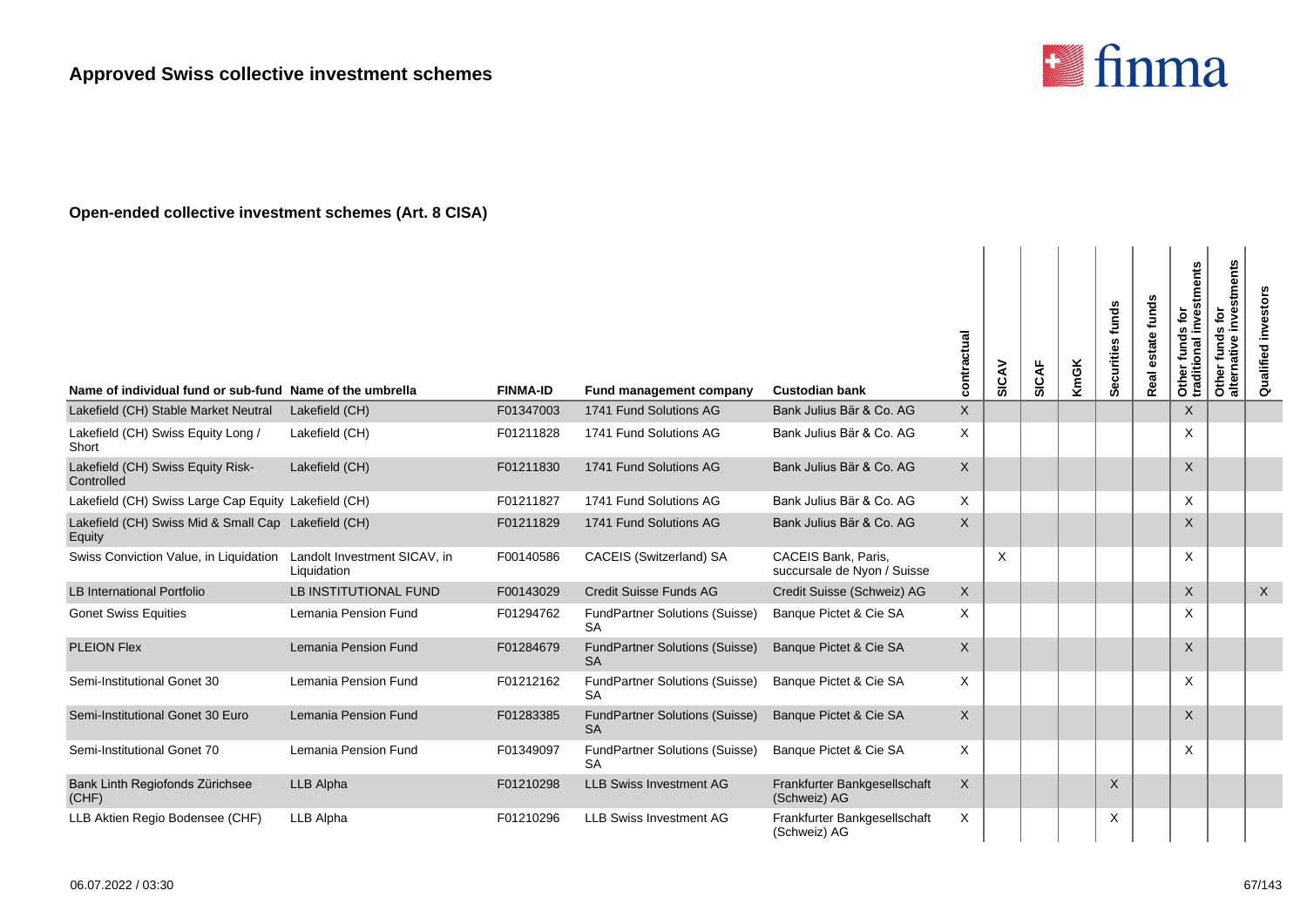

| Name of individual fund or sub-fund Name of the umbrella            |                       | <b>FINMA-ID</b> | Fund management company                            | <b>Custodian bank</b>                              | contractual  | SICAV | <b>SICAF</b> | KmGK | Securities funds | estate funds<br><b>Real</b> | investments<br>ē<br>Other funds<br>traditional i | Other funds for<br>alternative investments | investor<br>Qualified |
|---------------------------------------------------------------------|-----------------------|-----------------|----------------------------------------------------|----------------------------------------------------|--------------|-------|--------------|------|------------------|-----------------------------|--------------------------------------------------|--------------------------------------------|-----------------------|
| Lakefield (CH) Stable Market Neutral                                | Lakefield (CH)        | F01347003       | 1741 Fund Solutions AG                             | Bank Julius Bär & Co. AG                           | $\mathsf{X}$ |       |              |      |                  |                             | $\times$                                         |                                            |                       |
| Lakefield (CH) Swiss Equity Long /<br>Short                         | Lakefield (CH)        | F01211828       | 1741 Fund Solutions AG                             | Bank Julius Bär & Co. AG                           | X            |       |              |      |                  |                             | X                                                |                                            |                       |
| Lakefield (CH) Swiss Equity Risk-<br>Controlled                     | Lakefield (CH)        | F01211830       | 1741 Fund Solutions AG                             | Bank Julius Bär & Co. AG                           | X            |       |              |      |                  |                             | X                                                |                                            |                       |
| Lakefield (CH) Swiss Large Cap Equity Lakefield (CH)                |                       | F01211827       | 1741 Fund Solutions AG                             | Bank Julius Bär & Co. AG                           | X            |       |              |      |                  |                             | $\times$                                         |                                            |                       |
| Lakefield (CH) Swiss Mid & Small Cap Lakefield (CH)<br>Equity       |                       | F01211829       | 1741 Fund Solutions AG                             | Bank Julius Bär & Co. AG                           | X            |       |              |      |                  |                             | $\times$                                         |                                            |                       |
| Swiss Conviction Value, in Liquidation Landolt Investment SICAV, in | Liquidation           | F00140586       | CACEIS (Switzerland) SA                            | CACEIS Bank, Paris,<br>succursale de Nyon / Suisse |              | X     |              |      |                  |                             | X                                                |                                            |                       |
| <b>LB International Portfolio</b>                                   | LB INSTITUTIONAL FUND | F00143029       | Credit Suisse Funds AG                             | Credit Suisse (Schweiz) AG                         | X            |       |              |      |                  |                             | $\times$                                         |                                            | $\mathsf{X}$          |
| <b>Gonet Swiss Equities</b>                                         | Lemania Pension Fund  | F01294762       | <b>FundPartner Solutions (Suisse)</b><br><b>SA</b> | Banque Pictet & Cie SA                             | X.           |       |              |      |                  |                             | X                                                |                                            |                       |
| <b>PLEION Flex</b>                                                  | Lemania Pension Fund  | F01284679       | <b>FundPartner Solutions (Suisse)</b><br><b>SA</b> | Banque Pictet & Cie SA                             | X            |       |              |      |                  |                             | X                                                |                                            |                       |
| Semi-Institutional Gonet 30                                         | Lemania Pension Fund  | F01212162       | <b>FundPartner Solutions (Suisse)</b><br><b>SA</b> | Banque Pictet & Cie SA                             | X            |       |              |      |                  |                             | $\times$                                         |                                            |                       |
| Semi-Institutional Gonet 30 Euro                                    | Lemania Pension Fund  | F01283385       | <b>FundPartner Solutions (Suisse)</b><br><b>SA</b> | Banque Pictet & Cie SA                             | X            |       |              |      |                  |                             | $\times$                                         |                                            |                       |
| Semi-Institutional Gonet 70                                         | Lemania Pension Fund  | F01349097       | <b>FundPartner Solutions (Suisse)</b><br><b>SA</b> | Banque Pictet & Cie SA                             | X            |       |              |      |                  |                             | $\times$                                         |                                            |                       |
| Bank Linth Regiofonds Zürichsee<br>(CHF)                            | <b>LLB Alpha</b>      | F01210298       | <b>LLB Swiss Investment AG</b>                     | Frankfurter Bankgesellschaft<br>(Schweiz) AG       | X            |       |              |      | X                |                             |                                                  |                                            |                       |
| LLB Aktien Regio Bodensee (CHF)                                     | LLB Alpha             | F01210296       | <b>LLB Swiss Investment AG</b>                     | Frankfurter Bankgesellschaft<br>(Schweiz) AG       | Χ            |       |              |      | X                |                             |                                                  |                                            |                       |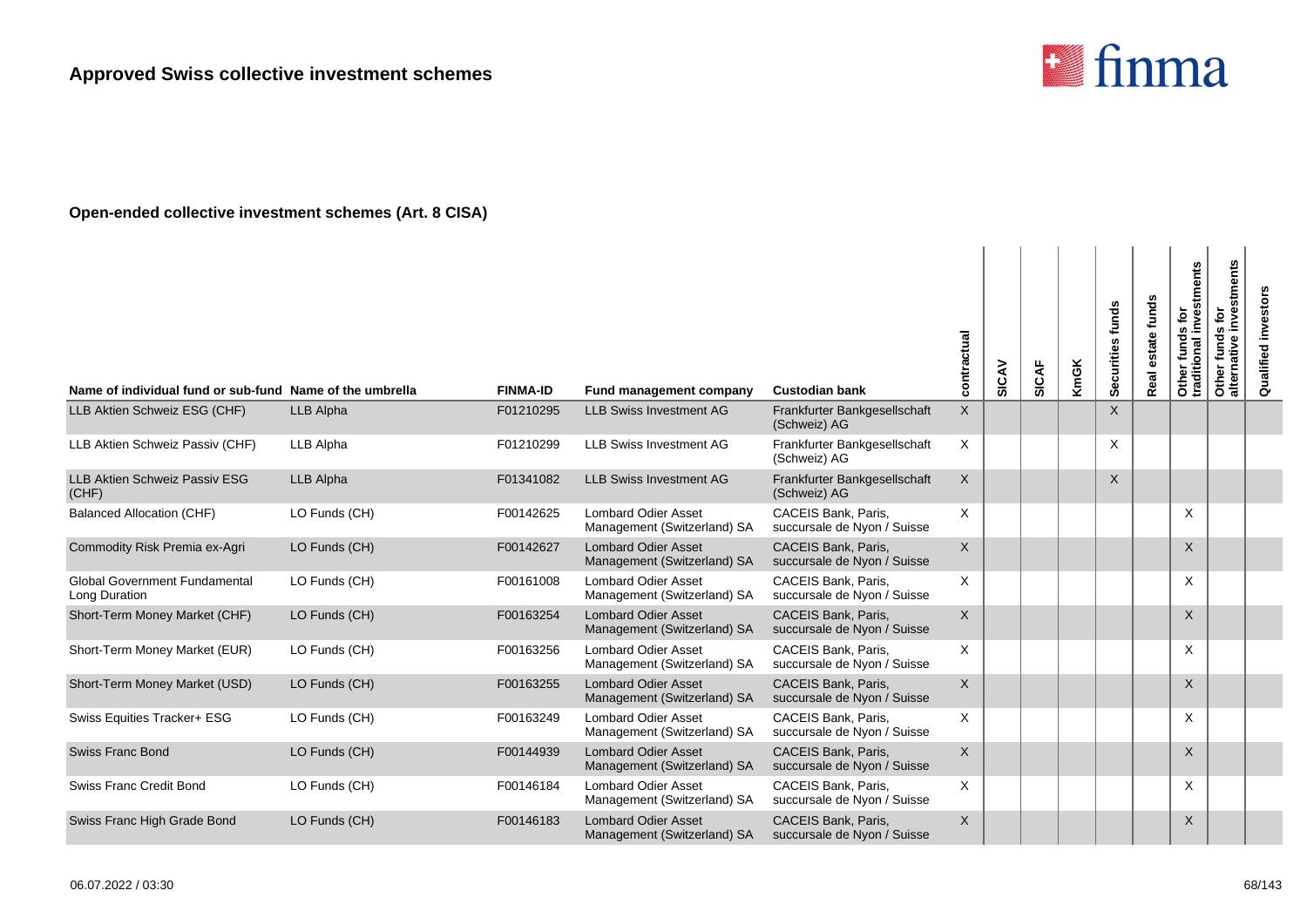

| Name of individual fund or sub-fund Name of the umbrella |                  | <b>FINMA-ID</b> | <b>Fund management company</b>                            | <b>Custodian bank</b>                                     | contractual  | SICAV | <b>SICAF</b> | <b>KmGK</b> | Securities funds | funds<br>state<br>Real | Other funds for<br>traditional investments | investments<br>Other funds for<br>alternative inves | investors<br>Qualified |
|----------------------------------------------------------|------------------|-----------------|-----------------------------------------------------------|-----------------------------------------------------------|--------------|-------|--------------|-------------|------------------|------------------------|--------------------------------------------|-----------------------------------------------------|------------------------|
| LLB Aktien Schweiz ESG (CHF)                             | LLB Alpha        | F01210295       | <b>LLB Swiss Investment AG</b>                            | Frankfurter Bankgesellschaft<br>(Schweiz) AG              | $\mathsf{X}$ |       |              |             | $\sf X$          |                        |                                            |                                                     |                        |
| LLB Aktien Schweiz Passiv (CHF)                          | LLB Alpha        | F01210299       | <b>LLB Swiss Investment AG</b>                            | Frankfurter Bankgesellschaft<br>(Schweiz) AG              | X            |       |              |             | X                |                        |                                            |                                                     |                        |
| LLB Aktien Schweiz Passiv ESG<br>(CHF)                   | <b>LLB Alpha</b> | F01341082       | <b>LLB Swiss Investment AG</b>                            | Frankfurter Bankgesellschaft<br>(Schweiz) AG              | X            |       |              |             | $\sf X$          |                        |                                            |                                                     |                        |
| <b>Balanced Allocation (CHF)</b>                         | LO Funds (CH)    | F00142625       | <b>Lombard Odier Asset</b><br>Management (Switzerland) SA | <b>CACEIS Bank, Paris.</b><br>succursale de Nyon / Suisse | X            |       |              |             |                  |                        | $\times$                                   |                                                     |                        |
| Commodity Risk Premia ex-Agri                            | LO Funds (CH)    | F00142627       | <b>Lombard Odier Asset</b><br>Management (Switzerland) SA | <b>CACEIS Bank, Paris.</b><br>succursale de Nyon / Suisse | X            |       |              |             |                  |                        | X                                          |                                                     |                        |
| <b>Global Government Fundamental</b><br>Long Duration    | LO Funds (CH)    | F00161008       | <b>Lombard Odier Asset</b><br>Management (Switzerland) SA | CACEIS Bank, Paris,<br>succursale de Nyon / Suisse        | X            |       |              |             |                  |                        | X                                          |                                                     |                        |
| Short-Term Money Market (CHF)                            | LO Funds (CH)    | F00163254       | <b>Lombard Odier Asset</b><br>Management (Switzerland) SA | <b>CACEIS Bank, Paris,</b><br>succursale de Nyon / Suisse | X            |       |              |             |                  |                        | X                                          |                                                     |                        |
| Short-Term Money Market (EUR)                            | LO Funds (CH)    | F00163256       | <b>Lombard Odier Asset</b><br>Management (Switzerland) SA | CACEIS Bank, Paris.<br>succursale de Nyon / Suisse        | X            |       |              |             |                  |                        | X                                          |                                                     |                        |
| Short-Term Money Market (USD)                            | LO Funds (CH)    | F00163255       | <b>Lombard Odier Asset</b><br>Management (Switzerland) SA | CACEIS Bank, Paris,<br>succursale de Nyon / Suisse        | X            |       |              |             |                  |                        | X                                          |                                                     |                        |
| Swiss Equities Tracker+ ESG                              | LO Funds (CH)    | F00163249       | <b>Lombard Odier Asset</b><br>Management (Switzerland) SA | CACEIS Bank, Paris,<br>succursale de Nyon / Suisse        | X            |       |              |             |                  |                        | X                                          |                                                     |                        |
| <b>Swiss Franc Bond</b>                                  | LO Funds (CH)    | F00144939       | <b>Lombard Odier Asset</b><br>Management (Switzerland) SA | CACEIS Bank, Paris,<br>succursale de Nyon / Suisse        | X            |       |              |             |                  |                        | X                                          |                                                     |                        |
| Swiss Franc Credit Bond                                  | LO Funds (CH)    | F00146184       | <b>Lombard Odier Asset</b><br>Management (Switzerland) SA | CACEIS Bank, Paris,<br>succursale de Nyon / Suisse        | X            |       |              |             |                  |                        | $\times$                                   |                                                     |                        |
| Swiss Franc High Grade Bond                              | LO Funds (CH)    | F00146183       | <b>Lombard Odier Asset</b><br>Management (Switzerland) SA | CACEIS Bank, Paris,<br>succursale de Nyon / Suisse        | X            |       |              |             |                  |                        | $\times$                                   |                                                     |                        |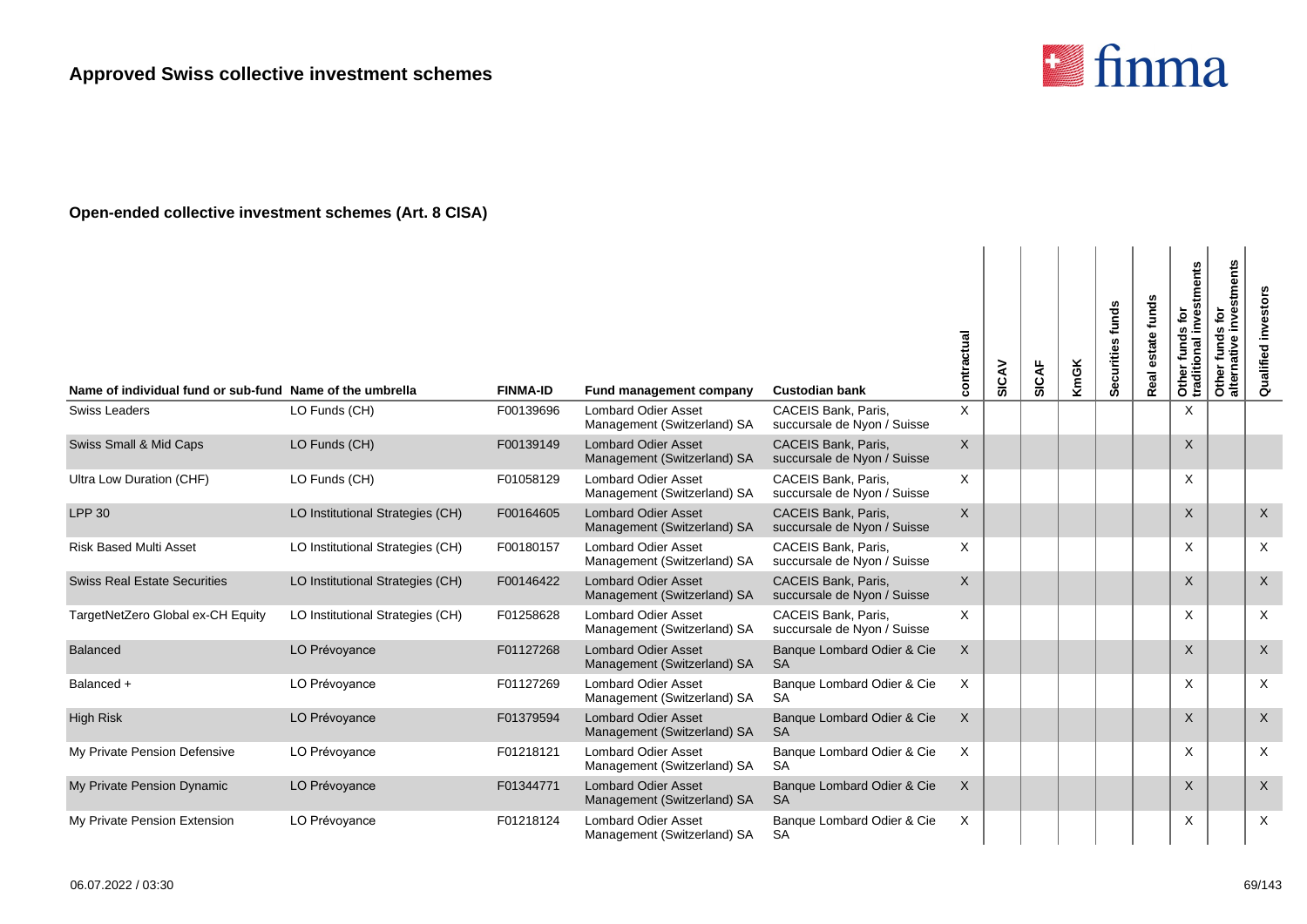

| Name of individual fund or sub-fund Name of the umbrella |                                  | <b>FINMA-ID</b> | <b>Fund management company</b>                            | <b>Custodian bank</b>                                     | contractual | SICAV | SICAF | <b>KmGK</b> | Securities funds | funds<br>ഉ<br>Real | Other funds for<br>traditional investments | stments<br>ē<br>n<br>fund<br>Other fune<br>alternative | Qualified investors |
|----------------------------------------------------------|----------------------------------|-----------------|-----------------------------------------------------------|-----------------------------------------------------------|-------------|-------|-------|-------------|------------------|--------------------|--------------------------------------------|--------------------------------------------------------|---------------------|
| <b>Swiss Leaders</b>                                     | LO Funds (CH)                    | F00139696       | <b>Lombard Odier Asset</b><br>Management (Switzerland) SA | <b>CACEIS Bank, Paris.</b><br>succursale de Nyon / Suisse | X           |       |       |             |                  |                    | X                                          |                                                        |                     |
| Swiss Small & Mid Caps                                   | LO Funds (CH)                    | F00139149       | <b>Lombard Odier Asset</b><br>Management (Switzerland) SA | CACEIS Bank, Paris,<br>succursale de Nyon / Suisse        | $\times$    |       |       |             |                  |                    | $\times$                                   |                                                        |                     |
| Ultra Low Duration (CHF)                                 | LO Funds (CH)                    | F01058129       | <b>Lombard Odier Asset</b><br>Management (Switzerland) SA | CACEIS Bank, Paris,<br>succursale de Nyon / Suisse        | X           |       |       |             |                  |                    | X                                          |                                                        |                     |
| <b>LPP 30</b>                                            | LO Institutional Strategies (CH) | F00164605       | <b>Lombard Odier Asset</b><br>Management (Switzerland) SA | CACEIS Bank, Paris,<br>succursale de Nyon / Suisse        | $\times$    |       |       |             |                  |                    | $\times$                                   |                                                        | $\times$            |
| <b>Risk Based Multi Asset</b>                            | LO Institutional Strategies (CH) | F00180157       | <b>Lombard Odier Asset</b><br>Management (Switzerland) SA | <b>CACEIS Bank, Paris.</b><br>succursale de Nyon / Suisse | X           |       |       |             |                  |                    | X                                          |                                                        | X                   |
| <b>Swiss Real Estate Securities</b>                      | LO Institutional Strategies (CH) | F00146422       | <b>Lombard Odier Asset</b><br>Management (Switzerland) SA | <b>CACEIS Bank, Paris.</b><br>succursale de Nyon / Suisse | $\times$    |       |       |             |                  |                    | X                                          |                                                        | $\times$            |
| TargetNetZero Global ex-CH Equity                        | LO Institutional Strategies (CH) | F01258628       | <b>Lombard Odier Asset</b><br>Management (Switzerland) SA | <b>CACEIS Bank, Paris.</b><br>succursale de Nyon / Suisse | X           |       |       |             |                  |                    | X                                          |                                                        | $\times$            |
| <b>Balanced</b>                                          | LO Prévoyance                    | F01127268       | <b>Lombard Odier Asset</b><br>Management (Switzerland) SA | Banque Lombard Odier & Cie<br><b>SA</b>                   | X           |       |       |             |                  |                    | X                                          |                                                        | $\times$            |
| Balanced +                                               | LO Prévoyance                    | F01127269       | <b>Lombard Odier Asset</b><br>Management (Switzerland) SA | Banque Lombard Odier & Cie<br><b>SA</b>                   | X           |       |       |             |                  |                    | X                                          |                                                        | X                   |
| <b>High Risk</b>                                         | LO Prévoyance                    | F01379594       | <b>Lombard Odier Asset</b><br>Management (Switzerland) SA | Banque Lombard Odier & Cie<br><b>SA</b>                   | $\times$    |       |       |             |                  |                    | $\times$                                   |                                                        | $\times$            |
| My Private Pension Defensive                             | LO Prévoyance                    | F01218121       | <b>Lombard Odier Asset</b><br>Management (Switzerland) SA | Banque Lombard Odier & Cie<br>SA                          | X           |       |       |             |                  |                    | X                                          |                                                        | $\times$            |
| My Private Pension Dynamic                               | LO Prévoyance                    | F01344771       | <b>Lombard Odier Asset</b><br>Management (Switzerland) SA | Banque Lombard Odier & Cie<br><b>SA</b>                   | $\times$    |       |       |             |                  |                    | X                                          |                                                        | $\times$            |
| My Private Pension Extension                             | LO Prévoyance                    | F01218124       | <b>Lombard Odier Asset</b><br>Management (Switzerland) SA | Banque Lombard Odier & Cie<br><b>SA</b>                   | X           |       |       |             |                  |                    | X                                          |                                                        | X                   |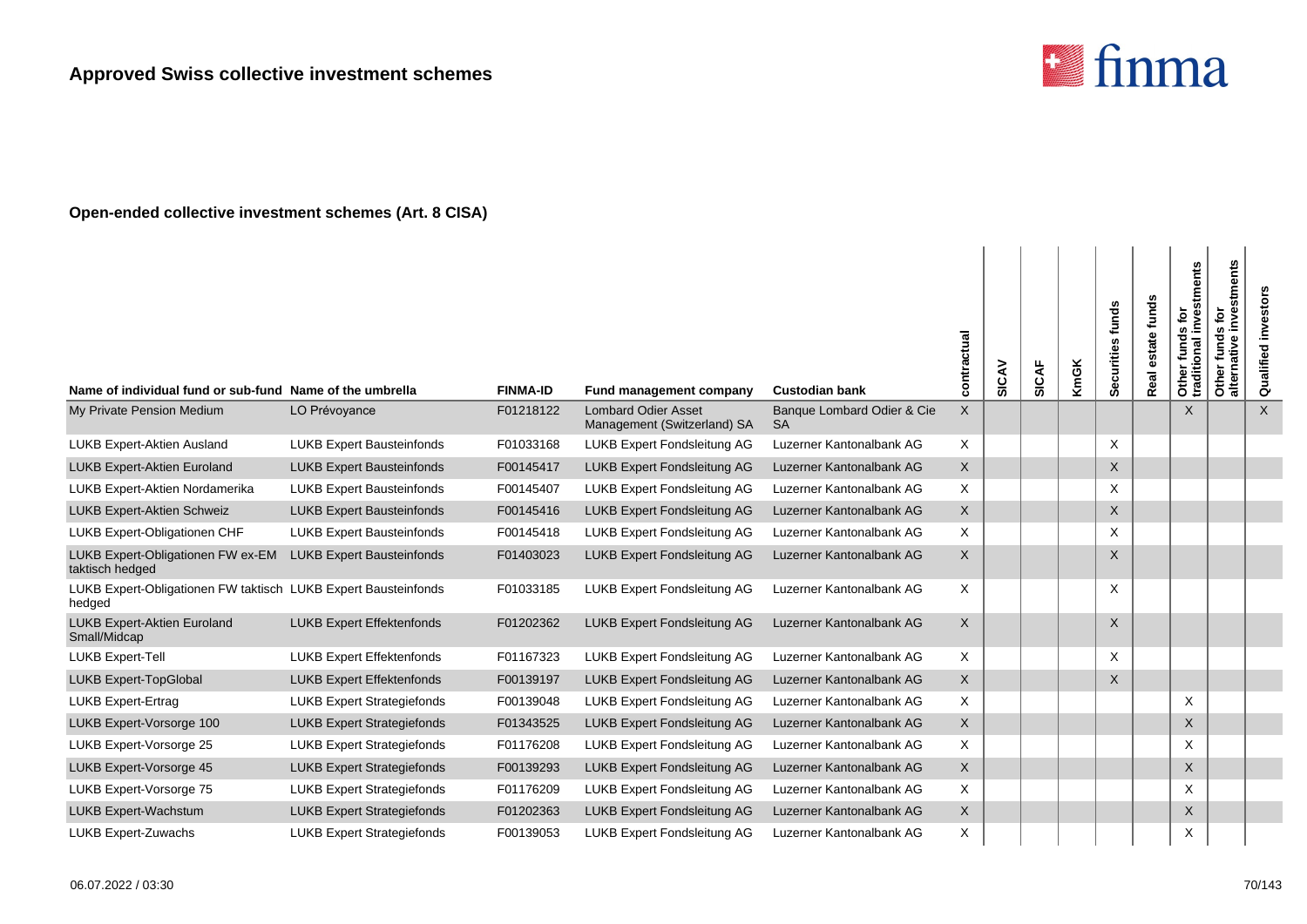

| Name of individual fund or sub-fund Name of the umbrella                 |                                   | <b>FINMA-ID</b> | <b>Fund management company</b>                            | <b>Custodian bank</b>                   | contractual  | SICAV | <b>SICAF</b> | <b>KmGK</b> | funds<br>Securities | estate funds<br>Real | Other funds for<br>traditional investments | stments<br><b>jo</b><br>inve<br>funds<br>ative<br>Other<br>alterna | investors<br>Qualified |
|--------------------------------------------------------------------------|-----------------------------------|-----------------|-----------------------------------------------------------|-----------------------------------------|--------------|-------|--------------|-------------|---------------------|----------------------|--------------------------------------------|--------------------------------------------------------------------|------------------------|
| My Private Pension Medium                                                | LO Prévoyance                     | F01218122       | <b>Lombard Odier Asset</b><br>Management (Switzerland) SA | Banque Lombard Odier & Cie<br><b>SA</b> | $\mathsf{X}$ |       |              |             |                     |                      | X                                          |                                                                    | $\times$               |
| <b>LUKB Expert-Aktien Ausland</b>                                        | <b>LUKB Expert Bausteinfonds</b>  | F01033168       | LUKB Expert Fondsleitung AG                               | Luzerner Kantonalbank AG                | X            |       |              |             | X                   |                      |                                            |                                                                    |                        |
| <b>LUKB Expert-Aktien Euroland</b>                                       | <b>LUKB Expert Bausteinfonds</b>  | F00145417       | <b>LUKB Expert Fondsleitung AG</b>                        | Luzerner Kantonalbank AG                | X            |       |              |             | X                   |                      |                                            |                                                                    |                        |
| LUKB Expert-Aktien Nordamerika                                           | <b>LUKB Expert Bausteinfonds</b>  | F00145407       | LUKB Expert Fondsleitung AG                               | Luzerner Kantonalbank AG                | X            |       |              |             | X                   |                      |                                            |                                                                    |                        |
| LUKB Expert-Aktien Schweiz                                               | <b>LUKB Expert Bausteinfonds</b>  | F00145416       | LUKB Expert Fondsleitung AG                               | Luzerner Kantonalbank AG                | X            |       |              |             | X                   |                      |                                            |                                                                    |                        |
| LUKB Expert-Obligationen CHF                                             | <b>LUKB Expert Bausteinfonds</b>  | F00145418       | LUKB Expert Fondsleitung AG                               | Luzerner Kantonalbank AG                | X            |       |              |             | X                   |                      |                                            |                                                                    |                        |
| LUKB Expert-Obligationen FW ex-EM<br>taktisch hedged                     | <b>LUKB Expert Bausteinfonds</b>  | F01403023       | LUKB Expert Fondsleitung AG                               | Luzerner Kantonalbank AG                | X            |       |              |             | X                   |                      |                                            |                                                                    |                        |
| LUKB Expert-Obligationen FW taktisch LUKB Expert Bausteinfonds<br>hedged |                                   | F01033185       | LUKB Expert Fondsleitung AG                               | Luzerner Kantonalbank AG                | X            |       |              |             | X                   |                      |                                            |                                                                    |                        |
| LUKB Expert-Aktien Euroland<br>Small/Midcap                              | LUKB Expert Effektenfonds         | F01202362       | LUKB Expert Fondsleitung AG                               | Luzerner Kantonalbank AG                | X            |       |              |             | X                   |                      |                                            |                                                                    |                        |
| LUKB Expert-Tell                                                         | <b>LUKB Expert Effektenfonds</b>  | F01167323       | LUKB Expert Fondsleitung AG                               | Luzerner Kantonalbank AG                | X            |       |              |             | X                   |                      |                                            |                                                                    |                        |
| <b>LUKB Expert-TopGlobal</b>                                             | <b>LUKB Expert Effektenfonds</b>  | F00139197       | LUKB Expert Fondsleitung AG                               | Luzerner Kantonalbank AG                | X            |       |              |             | X                   |                      |                                            |                                                                    |                        |
| <b>LUKB Expert-Ertrag</b>                                                | <b>LUKB Expert Strategiefonds</b> | F00139048       | LUKB Expert Fondsleitung AG                               | Luzerner Kantonalbank AG                | X            |       |              |             |                     |                      | X                                          |                                                                    |                        |
| LUKB Expert-Vorsorge 100                                                 | <b>LUKB Expert Strategiefonds</b> | F01343525       | <b>LUKB Expert Fondsleitung AG</b>                        | Luzerner Kantonalbank AG                | X            |       |              |             |                     |                      | X                                          |                                                                    |                        |
| LUKB Expert-Vorsorge 25                                                  | <b>LUKB Expert Strategiefonds</b> | F01176208       | LUKB Expert Fondsleitung AG                               | Luzerner Kantonalbank AG                | X            |       |              |             |                     |                      | X                                          |                                                                    |                        |
| LUKB Expert-Vorsorge 45                                                  | <b>LUKB Expert Strategiefonds</b> | F00139293       | LUKB Expert Fondsleitung AG                               | Luzerner Kantonalbank AG                | $\mathsf{X}$ |       |              |             |                     |                      | $\times$                                   |                                                                    |                        |
| LUKB Expert-Vorsorge 75                                                  | <b>LUKB Expert Strategiefonds</b> | F01176209       | LUKB Expert Fondsleitung AG                               | Luzerner Kantonalbank AG                | Χ            |       |              |             |                     |                      | X                                          |                                                                    |                        |
| LUKB Expert-Wachstum                                                     | <b>LUKB Expert Strategiefonds</b> | F01202363       | LUKB Expert Fondsleitung AG                               | Luzerner Kantonalbank AG                | X            |       |              |             |                     |                      | X                                          |                                                                    |                        |
| <b>LUKB Expert-Zuwachs</b>                                               | <b>LUKB Expert Strategiefonds</b> | F00139053       | LUKB Expert Fondsleitung AG                               | Luzerner Kantonalbank AG                | X            |       |              |             |                     |                      | X                                          |                                                                    |                        |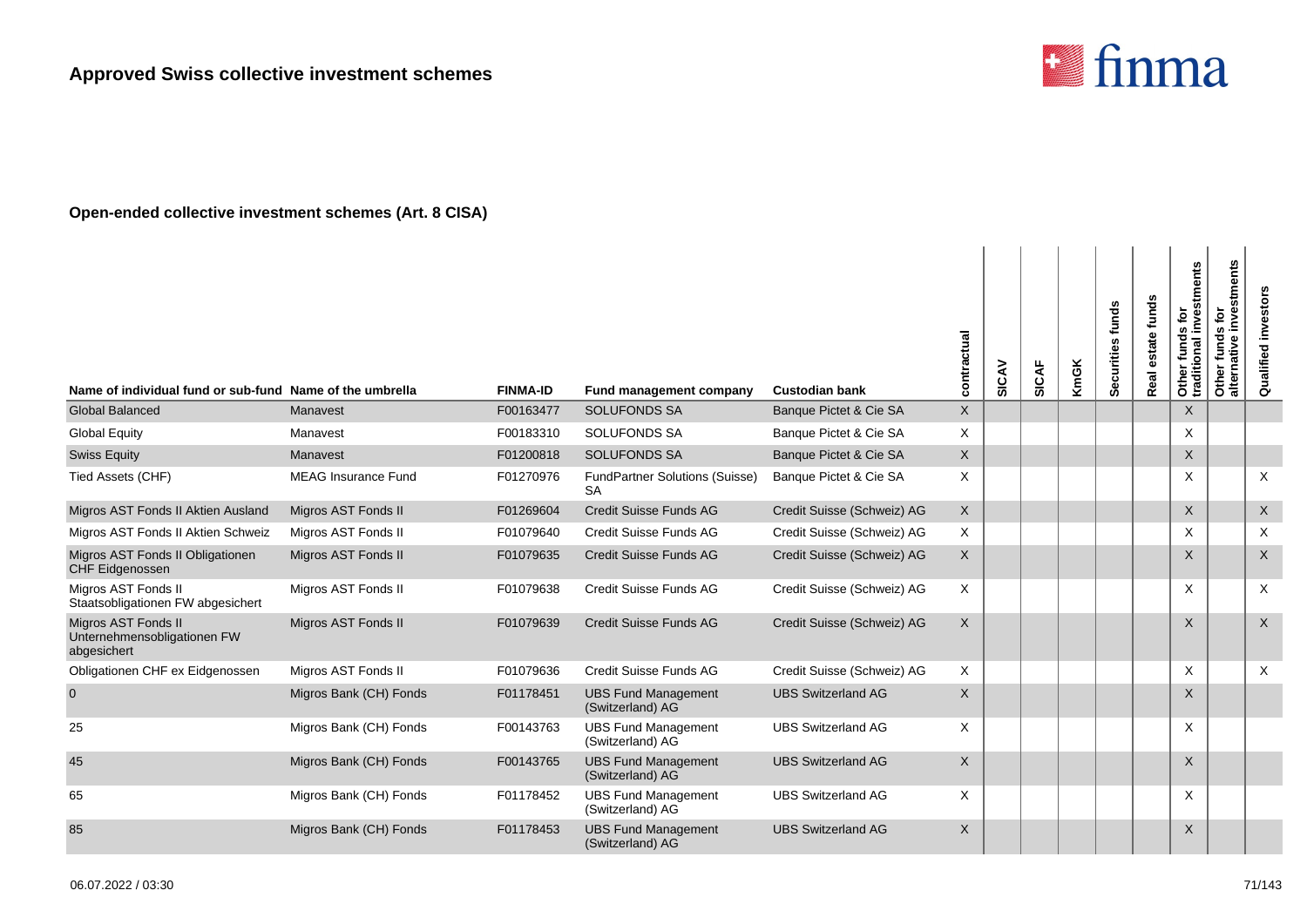

| Name of individual fund or sub-fund Name of the umbrella          |                            | <b>FINMA-ID</b> | Fund management company                            | <b>Custodian bank</b>      | contractual | SICAV | <b>SICAF</b> | <b>KmGK</b> | Securities funds | estate funds<br>Real | investments<br>$\tilde{\mathsf{p}}$<br>Other funds f<br>traditional inv | Other funds for<br>alternative investments | Qualified investors       |
|-------------------------------------------------------------------|----------------------------|-----------------|----------------------------------------------------|----------------------------|-------------|-------|--------------|-------------|------------------|----------------------|-------------------------------------------------------------------------|--------------------------------------------|---------------------------|
| <b>Global Balanced</b>                                            | Manavest                   | F00163477       | <b>SOLUFONDS SA</b>                                | Banque Pictet & Cie SA     | $\mathsf X$ |       |              |             |                  |                      | X                                                                       |                                            |                           |
| <b>Global Equity</b>                                              | Manavest                   | F00183310       | <b>SOLUFONDS SA</b>                                | Banque Pictet & Cie SA     | X           |       |              |             |                  |                      | X                                                                       |                                            |                           |
| <b>Swiss Equity</b>                                               | Manavest                   | F01200818       | <b>SOLUFONDS SA</b>                                | Banque Pictet & Cie SA     | X           |       |              |             |                  |                      | $\mathsf{X}$                                                            |                                            |                           |
| Tied Assets (CHF)                                                 | <b>MEAG Insurance Fund</b> | F01270976       | <b>FundPartner Solutions (Suisse)</b><br><b>SA</b> | Banque Pictet & Cie SA     | X           |       |              |             |                  |                      | X                                                                       |                                            | X                         |
| Migros AST Fonds II Aktien Ausland                                | Migros AST Fonds II        | F01269604       | <b>Credit Suisse Funds AG</b>                      | Credit Suisse (Schweiz) AG | X           |       |              |             |                  |                      | X                                                                       |                                            | $\mathsf{X}$              |
| Migros AST Fonds II Aktien Schweiz                                | Migros AST Fonds II        | F01079640       | Credit Suisse Funds AG                             | Credit Suisse (Schweiz) AG | X           |       |              |             |                  |                      | X                                                                       |                                            | X                         |
| Migros AST Fonds II Obligationen<br>CHF Eidgenossen               | Migros AST Fonds II        | F01079635       | <b>Credit Suisse Funds AG</b>                      | Credit Suisse (Schweiz) AG | $\times$    |       |              |             |                  |                      | X                                                                       |                                            | X                         |
| Migros AST Fonds II<br>Staatsobligationen FW abgesichert          | Migros AST Fonds II        | F01079638       | Credit Suisse Funds AG                             | Credit Suisse (Schweiz) AG | X           |       |              |             |                  |                      | X                                                                       |                                            | X                         |
| Migros AST Fonds II<br>Unternehmensobligationen FW<br>abgesichert | Migros AST Fonds II        | F01079639       | Credit Suisse Funds AG                             | Credit Suisse (Schweiz) AG | X           |       |              |             |                  |                      | X                                                                       |                                            | $\mathsf{X}$              |
| Obligationen CHF ex Eidgenossen                                   | Migros AST Fonds II        | F01079636       | Credit Suisse Funds AG                             | Credit Suisse (Schweiz) AG | X           |       |              |             |                  |                      | X                                                                       |                                            | $\boldsymbol{\mathsf{X}}$ |
| $\mathbf{0}$                                                      | Migros Bank (CH) Fonds     | F01178451       | <b>UBS Fund Management</b><br>(Switzerland) AG     | <b>UBS Switzerland AG</b>  | X           |       |              |             |                  |                      | $\times$                                                                |                                            |                           |
| 25                                                                | Migros Bank (CH) Fonds     | F00143763       | <b>UBS Fund Management</b><br>(Switzerland) AG     | <b>UBS Switzerland AG</b>  | X           |       |              |             |                  |                      | X                                                                       |                                            |                           |
| 45                                                                | Migros Bank (CH) Fonds     | F00143765       | <b>UBS Fund Management</b><br>(Switzerland) AG     | <b>UBS Switzerland AG</b>  | X           |       |              |             |                  |                      | X                                                                       |                                            |                           |
| 65                                                                | Migros Bank (CH) Fonds     | F01178452       | <b>UBS Fund Management</b><br>(Switzerland) AG     | <b>UBS Switzerland AG</b>  | X           |       |              |             |                  |                      | X                                                                       |                                            |                           |
| 85                                                                | Migros Bank (CH) Fonds     | F01178453       | <b>UBS Fund Management</b><br>(Switzerland) AG     | <b>UBS Switzerland AG</b>  | $\mathsf X$ |       |              |             |                  |                      | X                                                                       |                                            |                           |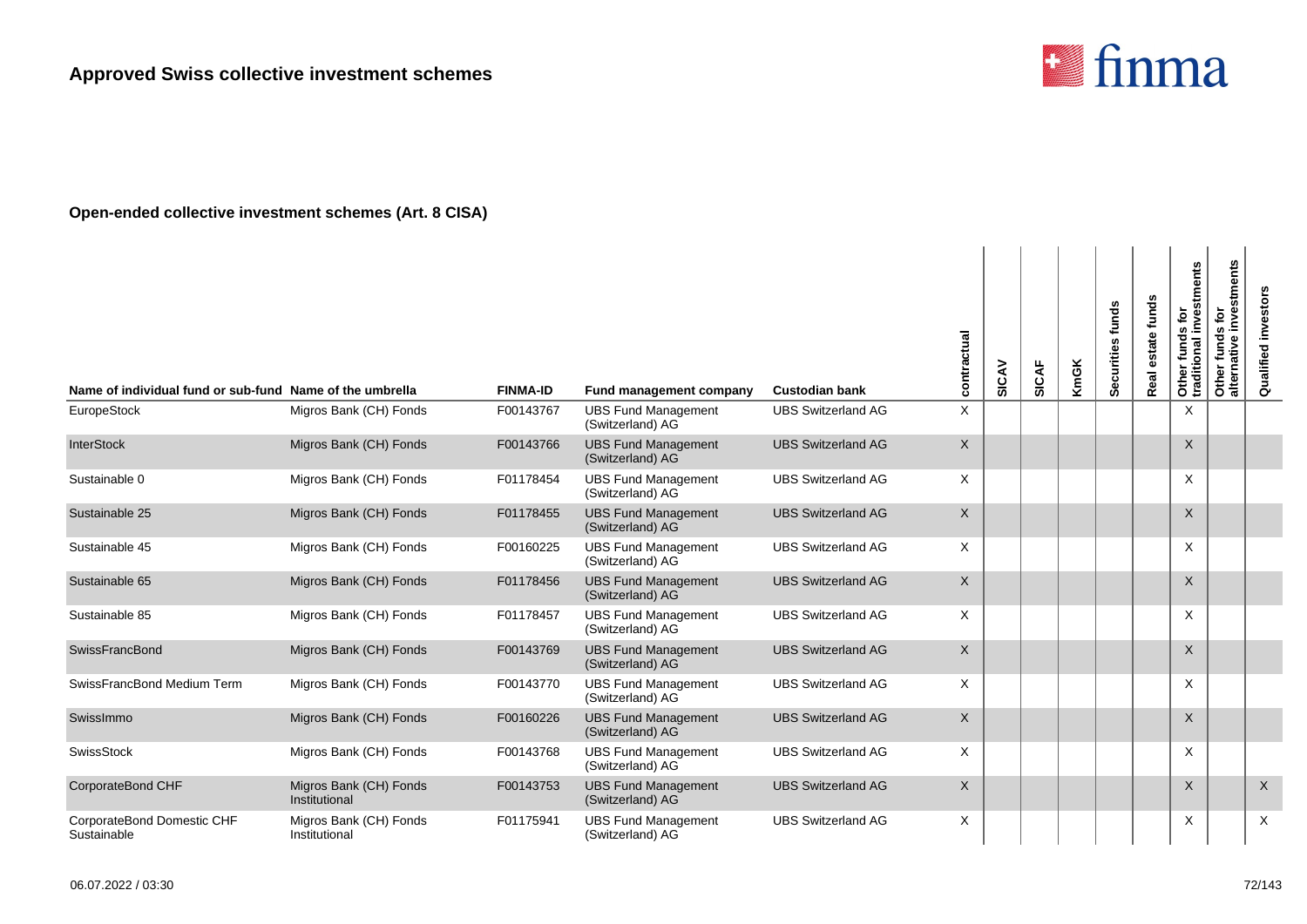

|                                                                         |                                         | <b>FINMA-ID</b> |                                                       |                                                    | contractual | SICAV | SICAF | <b>KmGK</b> | Securities funds | state funds<br>Real | Other funds for<br>traditional investments | stments<br>inve:<br>$\mathbf{\tilde{e}}$<br>funds<br>ative<br>Other<br>alterna | Qualified investors |
|-------------------------------------------------------------------------|-----------------------------------------|-----------------|-------------------------------------------------------|----------------------------------------------------|-------------|-------|-------|-------------|------------------|---------------------|--------------------------------------------|--------------------------------------------------------------------------------|---------------------|
| Name of individual fund or sub-fund Name of the umbrella<br>EuropeStock | Migros Bank (CH) Fonds                  | F00143767       | Fund management company<br><b>UBS Fund Management</b> | <b>Custodian bank</b><br><b>UBS Switzerland AG</b> | X           |       |       |             |                  |                     | $\times$                                   |                                                                                |                     |
|                                                                         |                                         |                 | (Switzerland) AG                                      |                                                    |             |       |       |             |                  |                     |                                            |                                                                                |                     |
| InterStock                                                              | Migros Bank (CH) Fonds                  | F00143766       | <b>UBS Fund Management</b><br>(Switzerland) AG        | <b>UBS Switzerland AG</b>                          | X           |       |       |             |                  |                     | X                                          |                                                                                |                     |
| Sustainable 0                                                           | Migros Bank (CH) Fonds                  | F01178454       | <b>UBS Fund Management</b><br>(Switzerland) AG        | <b>UBS Switzerland AG</b>                          | $\times$    |       |       |             |                  |                     | X                                          |                                                                                |                     |
| Sustainable 25                                                          | Migros Bank (CH) Fonds                  | F01178455       | <b>UBS Fund Management</b><br>(Switzerland) AG        | <b>UBS Switzerland AG</b>                          | X           |       |       |             |                  |                     | X                                          |                                                                                |                     |
| Sustainable 45                                                          | Migros Bank (CH) Fonds                  | F00160225       | <b>UBS Fund Management</b><br>(Switzerland) AG        | <b>UBS Switzerland AG</b>                          | X           |       |       |             |                  |                     | X                                          |                                                                                |                     |
| Sustainable 65                                                          | Migros Bank (CH) Fonds                  | F01178456       | <b>UBS Fund Management</b><br>(Switzerland) AG        | <b>UBS Switzerland AG</b>                          | X           |       |       |             |                  |                     | $\times$                                   |                                                                                |                     |
| Sustainable 85                                                          | Migros Bank (CH) Fonds                  | F01178457       | <b>UBS Fund Management</b><br>(Switzerland) AG        | <b>UBS Switzerland AG</b>                          | X           |       |       |             |                  |                     | X                                          |                                                                                |                     |
| SwissFrancBond                                                          | Migros Bank (CH) Fonds                  | F00143769       | <b>UBS Fund Management</b><br>(Switzerland) AG        | <b>UBS Switzerland AG</b>                          | $\sf X$     |       |       |             |                  |                     | $\times$                                   |                                                                                |                     |
| SwissFrancBond Medium Term                                              | Migros Bank (CH) Fonds                  | F00143770       | <b>UBS Fund Management</b><br>(Switzerland) AG        | <b>UBS Switzerland AG</b>                          | X           |       |       |             |                  |                     | X                                          |                                                                                |                     |
| SwissImmo                                                               | Migros Bank (CH) Fonds                  | F00160226       | <b>UBS Fund Management</b><br>(Switzerland) AG        | <b>UBS Switzerland AG</b>                          | X           |       |       |             |                  |                     | $\times$                                   |                                                                                |                     |
| SwissStock                                                              | Migros Bank (CH) Fonds                  | F00143768       | <b>UBS Fund Management</b><br>(Switzerland) AG        | <b>UBS Switzerland AG</b>                          | X           |       |       |             |                  |                     | X                                          |                                                                                |                     |
| CorporateBond CHF                                                       | Migros Bank (CH) Fonds<br>Institutional | F00143753       | <b>UBS Fund Management</b><br>(Switzerland) AG        | <b>UBS Switzerland AG</b>                          | X           |       |       |             |                  |                     | X                                          |                                                                                | $\boldsymbol{X}$    |
| CorporateBond Domestic CHF<br>Sustainable                               | Migros Bank (CH) Fonds<br>Institutional | F01175941       | <b>UBS Fund Management</b><br>(Switzerland) AG        | <b>UBS Switzerland AG</b>                          | X           |       |       |             |                  |                     | X                                          |                                                                                | X                   |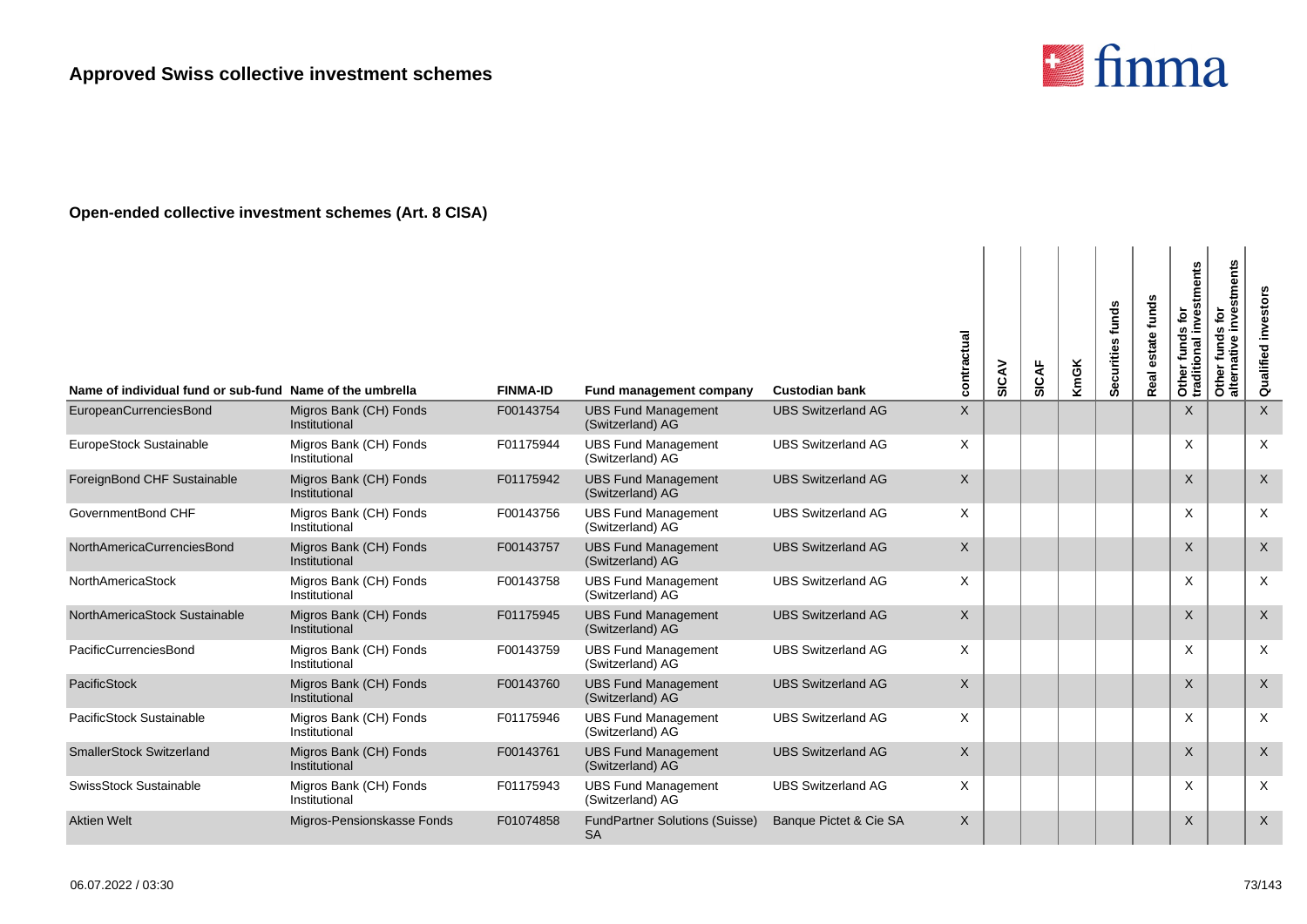

| Name of individual fund or sub-fund Name of the umbrella |                                         | <b>FINMA-ID</b> | Fund management company                            | <b>Custodian bank</b>     | contractual      | SICAV | SICAF | <b>KmGK</b> | Securities funds | funds<br>state<br>ω<br>Real | Other funds for<br>traditional investments | stments<br>tor<br>$\boldsymbol{a}$<br>fund<br>ω<br>Other<br>alterna | <b>Qualified investors</b> |
|----------------------------------------------------------|-----------------------------------------|-----------------|----------------------------------------------------|---------------------------|------------------|-------|-------|-------------|------------------|-----------------------------|--------------------------------------------|---------------------------------------------------------------------|----------------------------|
| EuropeanCurrenciesBond                                   | Migros Bank (CH) Fonds<br>Institutional | F00143754       | <b>UBS Fund Management</b><br>(Switzerland) AG     | <b>UBS Switzerland AG</b> | X                |       |       |             |                  |                             | $\times$                                   |                                                                     | $\times$                   |
| EuropeStock Sustainable                                  | Migros Bank (CH) Fonds<br>Institutional | F01175944       | <b>UBS Fund Management</b><br>(Switzerland) AG     | <b>UBS Switzerland AG</b> | $\times$         |       |       |             |                  |                             | X                                          |                                                                     | $\times$                   |
| ForeignBond CHF Sustainable                              | Migros Bank (CH) Fonds<br>Institutional | F01175942       | <b>UBS Fund Management</b><br>(Switzerland) AG     | <b>UBS Switzerland AG</b> | $\times$         |       |       |             |                  |                             | X                                          |                                                                     | $\times$                   |
| GovernmentBond CHF                                       | Migros Bank (CH) Fonds<br>Institutional | F00143756       | <b>UBS Fund Management</b><br>(Switzerland) AG     | <b>UBS Switzerland AG</b> | X                |       |       |             |                  |                             | X                                          |                                                                     | $\times$                   |
| NorthAmericaCurrenciesBond                               | Migros Bank (CH) Fonds<br>Institutional | F00143757       | <b>UBS Fund Management</b><br>(Switzerland) AG     | <b>UBS Switzerland AG</b> | $\mathsf{X}$     |       |       |             |                  |                             | $\times$                                   |                                                                     | $\times$                   |
| NorthAmericaStock                                        | Migros Bank (CH) Fonds<br>Institutional | F00143758       | <b>UBS Fund Management</b><br>(Switzerland) AG     | <b>UBS Switzerland AG</b> | X                |       |       |             |                  |                             | X                                          |                                                                     | $\times$                   |
| NorthAmericaStock Sustainable                            | Migros Bank (CH) Fonds<br>Institutional | F01175945       | <b>UBS Fund Management</b><br>(Switzerland) AG     | <b>UBS Switzerland AG</b> | $\boldsymbol{X}$ |       |       |             |                  |                             | X                                          |                                                                     | $\sf X$                    |
| PacificCurrenciesBond                                    | Migros Bank (CH) Fonds<br>Institutional | F00143759       | <b>UBS Fund Management</b><br>(Switzerland) AG     | <b>UBS Switzerland AG</b> | X                |       |       |             |                  |                             | X                                          |                                                                     | $\times$                   |
| PacificStock                                             | Migros Bank (CH) Fonds<br>Institutional | F00143760       | <b>UBS Fund Management</b><br>(Switzerland) AG     | <b>UBS Switzerland AG</b> | $\mathsf{X}$     |       |       |             |                  |                             | $\times$                                   |                                                                     | $\mathsf{X}$               |
| PacificStock Sustainable                                 | Migros Bank (CH) Fonds<br>Institutional | F01175946       | <b>UBS Fund Management</b><br>(Switzerland) AG     | <b>UBS Switzerland AG</b> | X                |       |       |             |                  |                             | X                                          |                                                                     | $\times$                   |
| <b>SmallerStock Switzerland</b>                          | Migros Bank (CH) Fonds<br>Institutional | F00143761       | <b>UBS Fund Management</b><br>(Switzerland) AG     | <b>UBS Switzerland AG</b> | $\boldsymbol{X}$ |       |       |             |                  |                             | $\boldsymbol{\mathsf{X}}$                  |                                                                     | $\mathsf{X}$               |
| SwissStock Sustainable                                   | Migros Bank (CH) Fonds<br>Institutional | F01175943       | <b>UBS Fund Management</b><br>(Switzerland) AG     | <b>UBS Switzerland AG</b> | X                |       |       |             |                  |                             | X                                          |                                                                     | $\times$                   |
| <b>Aktien Welt</b>                                       | Migros-Pensionskasse Fonds              | F01074858       | <b>FundPartner Solutions (Suisse)</b><br><b>SA</b> | Banque Pictet & Cie SA    | $\sf X$          |       |       |             |                  |                             | $\times$                                   |                                                                     | $\sf X$                    |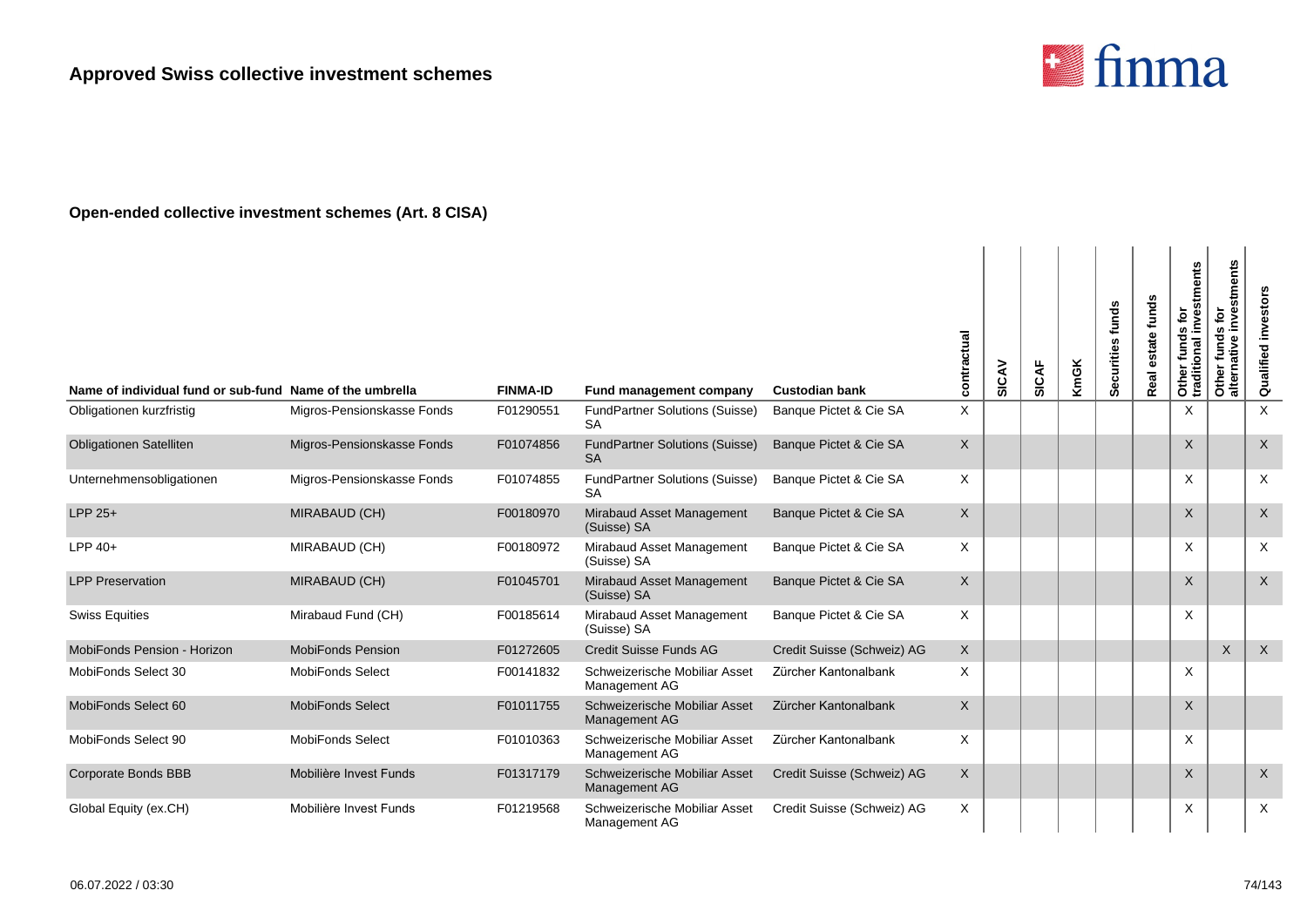

| Name of individual fund or sub-fund Name of the umbrella |                            | <b>FINMA-ID</b> | Fund management company                            | <b>Custodian bank</b>      | contractual  | SICAV | SICAF | <b>KmGK</b> | Securities funds | funds<br>estate<br>Real | traditional investments<br>funds for<br>Other | stments<br><b>jo</b><br>ω<br><b>S</b><br>fund<br>ω<br>alternativ<br>Other | Qualified investors       |
|----------------------------------------------------------|----------------------------|-----------------|----------------------------------------------------|----------------------------|--------------|-------|-------|-------------|------------------|-------------------------|-----------------------------------------------|---------------------------------------------------------------------------|---------------------------|
| Obligationen kurzfristig                                 | Migros-Pensionskasse Fonds | F01290551       | <b>FundPartner Solutions (Suisse)</b><br><b>SA</b> | Banque Pictet & Cie SA     | X.           |       |       |             |                  |                         | $\times$                                      |                                                                           | $\times$                  |
| Obligationen Satelliten                                  | Migros-Pensionskasse Fonds | F01074856       | <b>FundPartner Solutions (Suisse)</b><br><b>SA</b> | Banque Pictet & Cie SA     | $\mathsf{X}$ |       |       |             |                  |                         | $\sf X$                                       |                                                                           | $\times$                  |
| Unternehmensobligationen                                 | Migros-Pensionskasse Fonds | F01074855       | <b>FundPartner Solutions (Suisse)</b><br><b>SA</b> | Banque Pictet & Cie SA     | X            |       |       |             |                  |                         | X                                             |                                                                           | $\boldsymbol{\mathsf{X}}$ |
| $LPP$ 25+                                                | MIRABAUD (CH)              | F00180970       | Mirabaud Asset Management<br>(Suisse) SA           | Banque Pictet & Cie SA     | $\mathsf{X}$ |       |       |             |                  |                         | X                                             |                                                                           | $\times$                  |
| $LPP$ 40+                                                | MIRABAUD (CH)              | F00180972       | Mirabaud Asset Management<br>(Suisse) SA           | Banque Pictet & Cie SA     | X            |       |       |             |                  |                         | X                                             |                                                                           | $\times$                  |
| <b>LPP Preservation</b>                                  | MIRABAUD (CH)              | F01045701       | Mirabaud Asset Management<br>(Suisse) SA           | Banque Pictet & Cie SA     | $\mathsf X$  |       |       |             |                  |                         | $\times$                                      |                                                                           | $\sf X$                   |
| <b>Swiss Equities</b>                                    | Mirabaud Fund (CH)         | F00185614       | Mirabaud Asset Management<br>(Suisse) SA           | Banque Pictet & Cie SA     | X            |       |       |             |                  |                         | X                                             |                                                                           |                           |
| MobiFonds Pension - Horizon                              | <b>MobiFonds Pension</b>   | F01272605       | Credit Suisse Funds AG                             | Credit Suisse (Schweiz) AG | $\times$     |       |       |             |                  |                         |                                               | $\mathsf{X}$                                                              | $\times$                  |
| MobiFonds Select 30                                      | <b>MobiFonds Select</b>    | F00141832       | Schweizerische Mobiliar Asset<br>Management AG     | Zürcher Kantonalbank       | X            |       |       |             |                  |                         | X                                             |                                                                           |                           |
| MobiFonds Select 60                                      | <b>MobiFonds Select</b>    | F01011755       | Schweizerische Mobiliar Asset<br>Management AG     | Zürcher Kantonalbank       | $\sf X$      |       |       |             |                  |                         | $\times$                                      |                                                                           |                           |
| MobiFonds Select 90                                      | <b>MobiFonds Select</b>    | F01010363       | Schweizerische Mobiliar Asset<br>Management AG     | Zürcher Kantonalbank       | X            |       |       |             |                  |                         | X                                             |                                                                           |                           |
| Corporate Bonds BBB                                      | Mobilière Invest Funds     | F01317179       | Schweizerische Mobiliar Asset<br>Management AG     | Credit Suisse (Schweiz) AG | $\mathsf{X}$ |       |       |             |                  |                         | X                                             |                                                                           | $\sf X$                   |
| Global Equity (ex.CH)                                    | Mobilière Invest Funds     | F01219568       | Schweizerische Mobiliar Asset<br>Management AG     | Credit Suisse (Schweiz) AG | Χ            |       |       |             |                  |                         | X                                             |                                                                           | $\times$                  |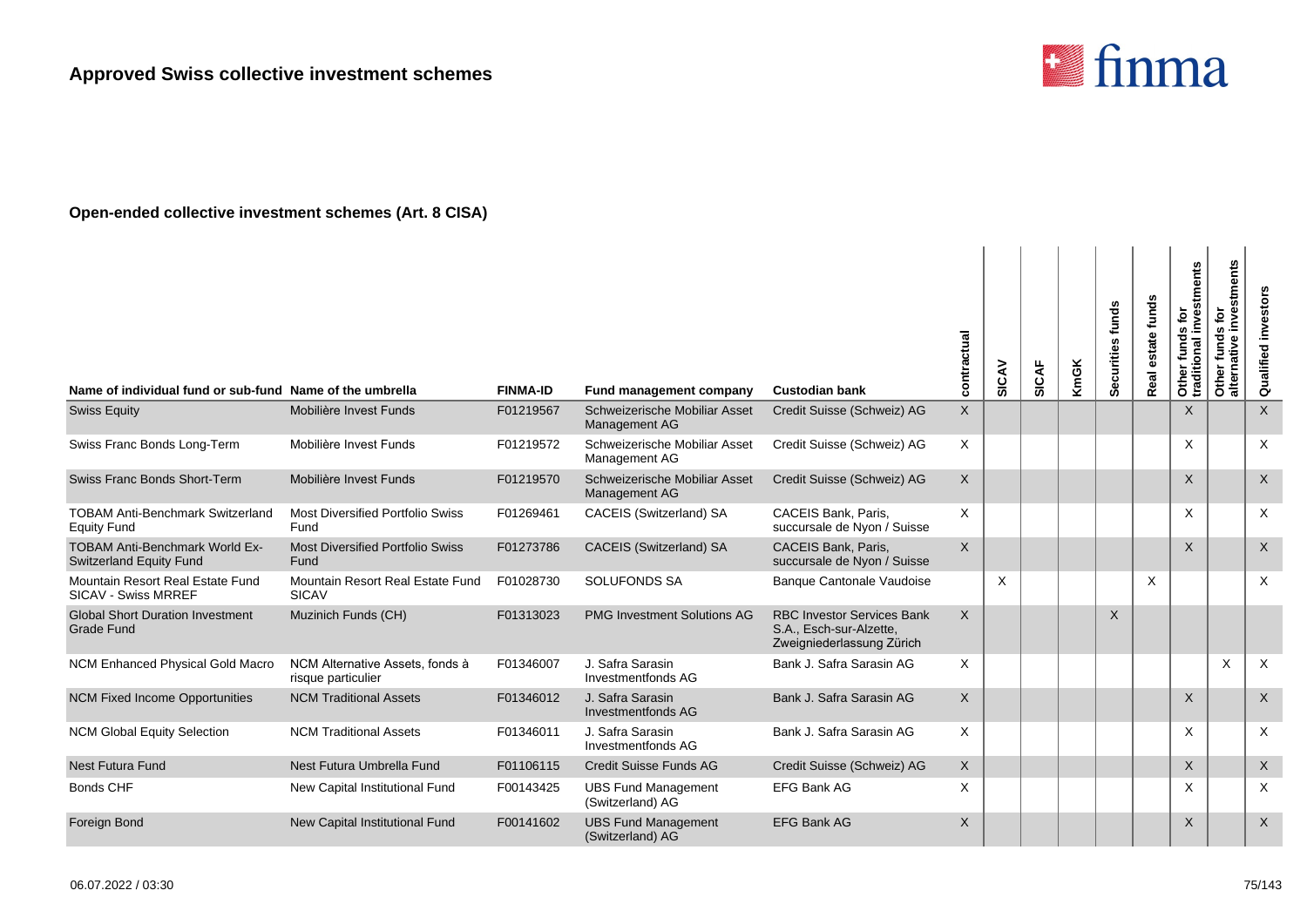

| Name of individual fund or sub-fund Name of the umbrella         |                                                       | <b>FINMA-ID</b> | Fund management company                        | <b>Custodian bank</b>                                                                     | contractual | SICAV | SICAF | <b>KmGK</b> | Securities funds | funds<br>state<br>Real | Other funds for<br>traditional investments | investments<br>ē<br>funds<br>alternative<br>Other | Qualified investors       |
|------------------------------------------------------------------|-------------------------------------------------------|-----------------|------------------------------------------------|-------------------------------------------------------------------------------------------|-------------|-------|-------|-------------|------------------|------------------------|--------------------------------------------|---------------------------------------------------|---------------------------|
| <b>Swiss Equity</b>                                              | Mobilière Invest Funds                                | F01219567       | Schweizerische Mobiliar Asset<br>Management AG | Credit Suisse (Schweiz) AG                                                                | X           |       |       |             |                  |                        | X                                          |                                                   | X                         |
| Swiss Franc Bonds Long-Term                                      | Mobilière Invest Funds                                | F01219572       | Schweizerische Mobiliar Asset<br>Management AG | Credit Suisse (Schweiz) AG                                                                | $\times$    |       |       |             |                  |                        | X                                          |                                                   | $\times$                  |
| Swiss Franc Bonds Short-Term                                     | Mobilière Invest Funds                                | F01219570       | Schweizerische Mobiliar Asset<br>Management AG | Credit Suisse (Schweiz) AG                                                                | X           |       |       |             |                  |                        | $\mathsf X$                                |                                                   | X                         |
| <b>TOBAM Anti-Benchmark Switzerland</b><br><b>Equity Fund</b>    | <b>Most Diversified Portfolio Swiss</b><br>Fund       | F01269461       | CACEIS (Switzerland) SA                        | CACEIS Bank, Paris.<br>succursale de Nyon / Suisse                                        | X.          |       |       |             |                  |                        | X                                          |                                                   | $\times$                  |
| <b>TOBAM Anti-Benchmark World Ex-</b><br>Switzerland Equity Fund | <b>Most Diversified Portfolio Swiss</b><br>Fund       | F01273786       | CACEIS (Switzerland) SA                        | <b>CACEIS Bank, Paris.</b><br>succursale de Nyon / Suisse                                 | X           |       |       |             |                  |                        | X                                          |                                                   | $\times$                  |
| Mountain Resort Real Estate Fund<br><b>SICAV - Swiss MRREF</b>   | Mountain Resort Real Estate Fund<br><b>SICAV</b>      | F01028730       | <b>SOLUFONDS SA</b>                            | <b>Banque Cantonale Vaudoise</b>                                                          |             | X     |       |             |                  | $\times$               |                                            |                                                   | X                         |
| <b>Global Short Duration Investment</b><br><b>Grade Fund</b>     | Muzinich Funds (CH)                                   | F01313023       | <b>PMG Investment Solutions AG</b>             | <b>RBC Investor Services Bank</b><br>S.A., Esch-sur-Alzette,<br>Zweigniederlassung Zürich | $\times$    |       |       |             | $\sf X$          |                        |                                            |                                                   |                           |
| NCM Enhanced Physical Gold Macro                                 | NCM Alternative Assets, fonds à<br>risque particulier | F01346007       | J. Safra Sarasin<br>Investmentfonds AG         | Bank J. Safra Sarasin AG                                                                  | X           |       |       |             |                  |                        |                                            | X                                                 | $\boldsymbol{\mathsf{X}}$ |
| <b>NCM Fixed Income Opportunities</b>                            | <b>NCM Traditional Assets</b>                         | F01346012       | J. Safra Sarasin<br>Investmentfonds AG         | Bank J. Safra Sarasin AG                                                                  | $\times$    |       |       |             |                  |                        | X                                          |                                                   | X                         |
| <b>NCM Global Equity Selection</b>                               | <b>NCM Traditional Assets</b>                         | F01346011       | J. Safra Sarasin<br>Investmentfonds AG         | Bank J. Safra Sarasin AG                                                                  | X           |       |       |             |                  |                        | X                                          |                                                   | $\times$                  |
| <b>Nest Futura Fund</b>                                          | Nest Futura Umbrella Fund                             | F01106115       | <b>Credit Suisse Funds AG</b>                  | Credit Suisse (Schweiz) AG                                                                | $\times$    |       |       |             |                  |                        | X                                          |                                                   | X                         |
| Bonds CHF                                                        | New Capital Institutional Fund                        | F00143425       | <b>UBS Fund Management</b><br>(Switzerland) AG | EFG Bank AG                                                                               | X           |       |       |             |                  |                        | X                                          |                                                   | X                         |
| Foreign Bond                                                     | New Capital Institutional Fund                        | F00141602       | <b>UBS Fund Management</b><br>(Switzerland) AG | <b>EFG Bank AG</b>                                                                        | X           |       |       |             |                  |                        | X                                          |                                                   | $\times$                  |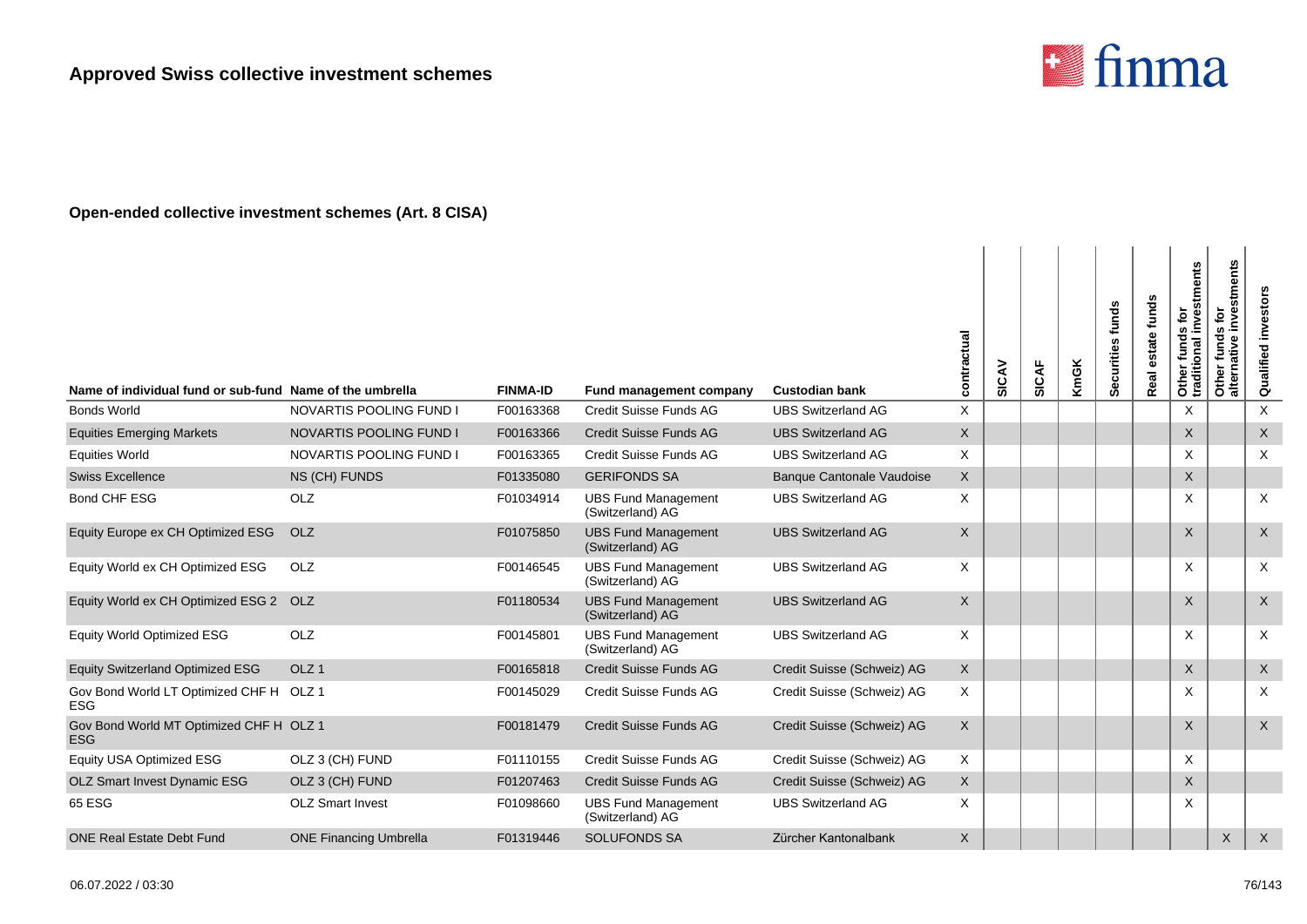

| Name of individual fund or sub-fund Name of the umbrella |                               | <b>FINMA-ID</b> | Fund management company                        | <b>Custodian bank</b>            | contractual  | SICAV | <b>SICAF</b> | <b>KmGK</b> | Securities funds | estate funds<br><b>Real</b> | Other funds for<br>traditional investments | investments<br>funds for<br>ative<br>Other<br>alterna | Qualified investors |
|----------------------------------------------------------|-------------------------------|-----------------|------------------------------------------------|----------------------------------|--------------|-------|--------------|-------------|------------------|-----------------------------|--------------------------------------------|-------------------------------------------------------|---------------------|
| <b>Bonds World</b>                                       | NOVARTIS POOLING FUND I       | F00163368       | Credit Suisse Funds AG                         | <b>UBS Switzerland AG</b>        | X            |       |              |             |                  |                             | X                                          |                                                       | X                   |
| <b>Equities Emerging Markets</b>                         | NOVARTIS POOLING FUND I       | F00163366       | <b>Credit Suisse Funds AG</b>                  | <b>UBS Switzerland AG</b>        | X            |       |              |             |                  |                             | X                                          |                                                       | X                   |
| <b>Equities World</b>                                    | NOVARTIS POOLING FUND I       | F00163365       | Credit Suisse Funds AG                         | <b>UBS Switzerland AG</b>        | X            |       |              |             |                  |                             | $\mathsf{X}$                               |                                                       | X                   |
| <b>Swiss Excellence</b>                                  | NS (CH) FUNDS                 | F01335080       | <b>GERIFONDS SA</b>                            | <b>Banque Cantonale Vaudoise</b> | $\mathsf{X}$ |       |              |             |                  |                             | X                                          |                                                       |                     |
| <b>Bond CHF ESG</b>                                      | OLZ                           | F01034914       | <b>UBS Fund Management</b><br>(Switzerland) AG | <b>UBS Switzerland AG</b>        | X            |       |              |             |                  |                             | $\times$                                   |                                                       | X                   |
| Equity Europe ex CH Optimized ESG                        | OLZ                           | F01075850       | <b>UBS Fund Management</b><br>(Switzerland) AG | <b>UBS Switzerland AG</b>        | $\mathsf{X}$ |       |              |             |                  |                             | X                                          |                                                       | $\mathsf{X}$        |
| Equity World ex CH Optimized ESG                         | OLZ                           | F00146545       | <b>UBS Fund Management</b><br>(Switzerland) AG | <b>UBS Switzerland AG</b>        | X            |       |              |             |                  |                             | X                                          |                                                       | X                   |
| Equity World ex CH Optimized ESG 2 OLZ                   |                               | F01180534       | <b>UBS Fund Management</b><br>(Switzerland) AG | <b>UBS Switzerland AG</b>        | $\mathsf{X}$ |       |              |             |                  |                             | X                                          |                                                       | $\mathsf{X}$        |
| <b>Equity World Optimized ESG</b>                        | OLZ                           | F00145801       | <b>UBS Fund Management</b><br>(Switzerland) AG | <b>UBS Switzerland AG</b>        | X            |       |              |             |                  |                             | X                                          |                                                       | X                   |
| <b>Equity Switzerland Optimized ESG</b>                  | OLZ <sub>1</sub>              | F00165818       | <b>Credit Suisse Funds AG</b>                  | Credit Suisse (Schweiz) AG       | X            |       |              |             |                  |                             | X                                          |                                                       | $\mathsf{X}$        |
| Gov Bond World LT Optimized CHF H OLZ 1<br><b>ESG</b>    |                               | F00145029       | Credit Suisse Funds AG                         | Credit Suisse (Schweiz) AG       | X            |       |              |             |                  |                             | X                                          |                                                       | X                   |
| Gov Bond World MT Optimized CHF H OLZ 1<br><b>ESG</b>    |                               | F00181479       | <b>Credit Suisse Funds AG</b>                  | Credit Suisse (Schweiz) AG       | $\mathsf X$  |       |              |             |                  |                             | $\mathsf X$                                |                                                       | $\mathsf{X}$        |
| Equity USA Optimized ESG                                 | OLZ 3 (CH) FUND               | F01110155       | Credit Suisse Funds AG                         | Credit Suisse (Schweiz) AG       | X            |       |              |             |                  |                             | X                                          |                                                       |                     |
| OLZ Smart Invest Dynamic ESG                             | OLZ 3 (CH) FUND               | F01207463       | <b>Credit Suisse Funds AG</b>                  | Credit Suisse (Schweiz) AG       | X            |       |              |             |                  |                             | X                                          |                                                       |                     |
| 65 ESG                                                   | <b>OLZ Smart Invest</b>       | F01098660       | <b>UBS Fund Management</b><br>(Switzerland) AG | <b>UBS Switzerland AG</b>        | X            |       |              |             |                  |                             | X                                          |                                                       |                     |
| <b>ONE Real Estate Debt Fund</b>                         | <b>ONE Financing Umbrella</b> | F01319446       | <b>SOLUFONDS SA</b>                            | Zürcher Kantonalbank             | $\times$     |       |              |             |                  |                             |                                            | X                                                     | $\mathsf{X}$        |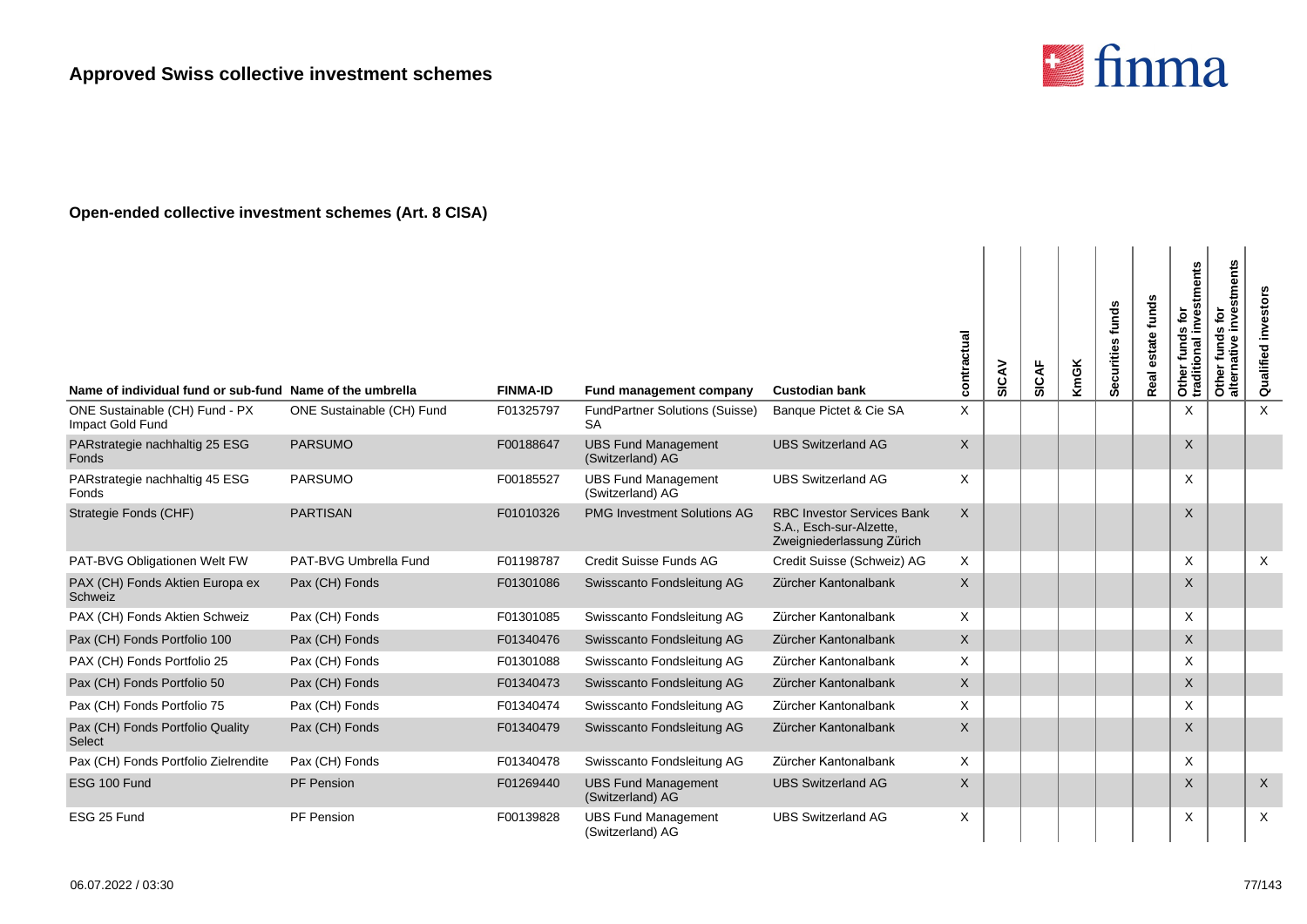

| Name of individual fund or sub-fund Name of the umbrella |                           | <b>FINMA-ID</b> | Fund management company                            | <b>Custodian bank</b>                                                                     | contractual  | SICAV | <b>SICAF</b> | <b>KmGK</b> | Securities funds | estate funds<br>Real | Other funds for<br>traditional investments | stments<br>tor<br>inve<br>Other funds<br>alternative | Qualified investors |
|----------------------------------------------------------|---------------------------|-----------------|----------------------------------------------------|-------------------------------------------------------------------------------------------|--------------|-------|--------------|-------------|------------------|----------------------|--------------------------------------------|------------------------------------------------------|---------------------|
| ONE Sustainable (CH) Fund - PX<br>Impact Gold Fund       | ONE Sustainable (CH) Fund | F01325797       | <b>FundPartner Solutions (Suisse)</b><br><b>SA</b> | Banque Pictet & Cie SA                                                                    | X            |       |              |             |                  |                      | X                                          |                                                      | $\times$            |
| PARstrategie nachhaltig 25 ESG<br>Fonds                  | <b>PARSUMO</b>            | F00188647       | <b>UBS Fund Management</b><br>(Switzerland) AG     | <b>UBS Switzerland AG</b>                                                                 | $\mathsf{X}$ |       |              |             |                  |                      | $\sf X$                                    |                                                      |                     |
| PARstrategie nachhaltig 45 ESG<br>Fonds                  | <b>PARSUMO</b>            | F00185527       | <b>UBS Fund Management</b><br>(Switzerland) AG     | <b>UBS Switzerland AG</b>                                                                 | X            |       |              |             |                  |                      | X                                          |                                                      |                     |
| Strategie Fonds (CHF)                                    | <b>PARTISAN</b>           | F01010326       | <b>PMG Investment Solutions AG</b>                 | <b>RBC Investor Services Bank</b><br>S.A., Esch-sur-Alzette,<br>Zweigniederlassung Zürich | $\mathsf{X}$ |       |              |             |                  |                      | $\times$                                   |                                                      |                     |
| PAT-BVG Obligationen Welt FW                             | PAT-BVG Umbrella Fund     | F01198787       | Credit Suisse Funds AG                             | Credit Suisse (Schweiz) AG                                                                | Χ            |       |              |             |                  |                      | X                                          |                                                      | X                   |
| PAX (CH) Fonds Aktien Europa ex<br>Schweiz               | Pax (CH) Fonds            | F01301086       | Swisscanto Fondsleitung AG                         | Zürcher Kantonalbank                                                                      | X            |       |              |             |                  |                      | $\times$                                   |                                                      |                     |
| PAX (CH) Fonds Aktien Schweiz                            | Pax (CH) Fonds            | F01301085       | Swisscanto Fondsleitung AG                         | Zürcher Kantonalbank                                                                      | X            |       |              |             |                  |                      | X                                          |                                                      |                     |
| Pax (CH) Fonds Portfolio 100                             | Pax (CH) Fonds            | F01340476       | Swisscanto Fondsleitung AG                         | Zürcher Kantonalbank                                                                      | $\mathsf{X}$ |       |              |             |                  |                      | $\mathsf{X}$                               |                                                      |                     |
| PAX (CH) Fonds Portfolio 25                              | Pax (CH) Fonds            | F01301088       | Swisscanto Fondsleitung AG                         | Zürcher Kantonalbank                                                                      | X            |       |              |             |                  |                      | X                                          |                                                      |                     |
| Pax (CH) Fonds Portfolio 50                              | Pax (CH) Fonds            | F01340473       | Swisscanto Fondsleitung AG                         | Zürcher Kantonalbank                                                                      | $\mathsf{X}$ |       |              |             |                  |                      | $\times$                                   |                                                      |                     |
| Pax (CH) Fonds Portfolio 75                              | Pax (CH) Fonds            | F01340474       | Swisscanto Fondsleitung AG                         | Zürcher Kantonalbank                                                                      | X            |       |              |             |                  |                      | X                                          |                                                      |                     |
| Pax (CH) Fonds Portfolio Quality<br>Select               | Pax (CH) Fonds            | F01340479       | Swisscanto Fondsleitung AG                         | Zürcher Kantonalbank                                                                      | $\mathsf{X}$ |       |              |             |                  |                      | $\sf X$                                    |                                                      |                     |
| Pax (CH) Fonds Portfolio Zielrendite                     | Pax (CH) Fonds            | F01340478       | Swisscanto Fondsleitung AG                         | Zürcher Kantonalbank                                                                      | X            |       |              |             |                  |                      | X                                          |                                                      |                     |
| ESG 100 Fund                                             | <b>PF Pension</b>         | F01269440       | <b>UBS Fund Management</b><br>(Switzerland) AG     | <b>UBS Switzerland AG</b>                                                                 | X            |       |              |             |                  |                      | X                                          |                                                      | X                   |
| ESG 25 Fund                                              | <b>PF Pension</b>         | F00139828       | <b>UBS Fund Management</b><br>(Switzerland) AG     | <b>UBS Switzerland AG</b>                                                                 | Χ            |       |              |             |                  |                      | X                                          |                                                      | X                   |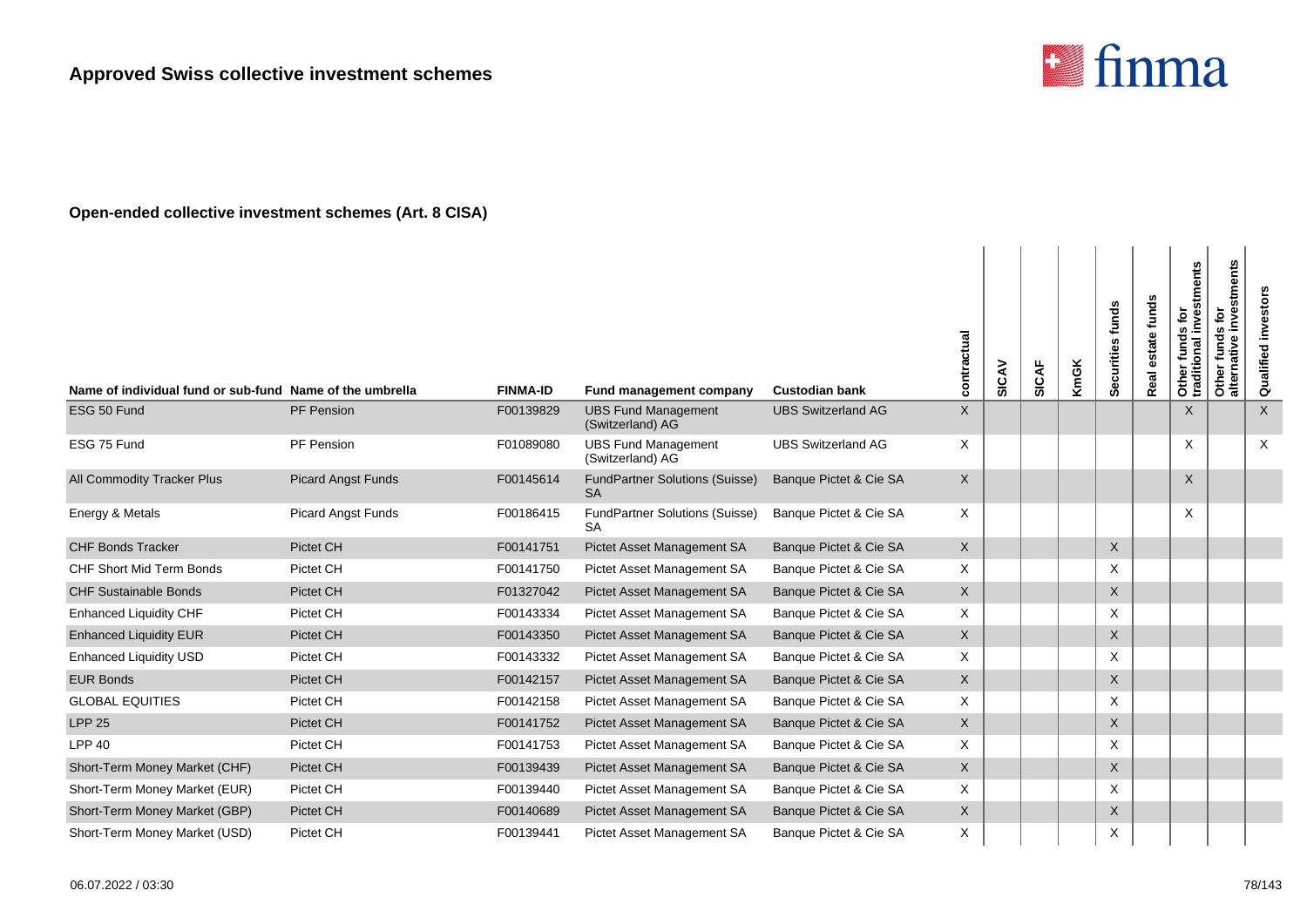

| Name of individual fund or sub-fund Name of the umbrella |                           | <b>FINMA-ID</b> | Fund management company                            | <b>Custodian bank</b>     | contractual  | SICAV | SICAF | KmGK | Securities funds | funds<br>state<br>Real | Other funds for<br>traditional investments | investments<br>funds for<br>mative<br>Other<br>alterna | investors<br>Qualified |
|----------------------------------------------------------|---------------------------|-----------------|----------------------------------------------------|---------------------------|--------------|-------|-------|------|------------------|------------------------|--------------------------------------------|--------------------------------------------------------|------------------------|
| ESG 50 Fund                                              | PF Pension                | F00139829       | <b>UBS Fund Management</b><br>(Switzerland) AG     | <b>UBS Switzerland AG</b> | X            |       |       |      |                  |                        | $\times$                                   |                                                        | $\times$               |
| ESG 75 Fund                                              | PF Pension                | F01089080       | <b>UBS Fund Management</b><br>(Switzerland) AG     | <b>UBS Switzerland AG</b> | $\times$     |       |       |      |                  |                        | X                                          |                                                        | $\times$               |
| All Commodity Tracker Plus                               | <b>Picard Angst Funds</b> | F00145614       | <b>FundPartner Solutions (Suisse)</b><br><b>SA</b> | Banque Pictet & Cie SA    | $\mathsf{X}$ |       |       |      |                  |                        | X                                          |                                                        |                        |
| Energy & Metals                                          | Picard Angst Funds        | F00186415       | <b>FundPartner Solutions (Suisse)</b><br><b>SA</b> | Banque Pictet & Cie SA    | $\times$     |       |       |      |                  |                        | X                                          |                                                        |                        |
| <b>CHF Bonds Tracker</b>                                 | Pictet CH                 | F00141751       | Pictet Asset Management SA                         | Banque Pictet & Cie SA    | $\mathsf{X}$ |       |       |      | X                |                        |                                            |                                                        |                        |
| <b>CHF Short Mid Term Bonds</b>                          | Pictet CH                 | F00141750       | Pictet Asset Management SA                         | Banque Pictet & Cie SA    | $\times$     |       |       |      | X                |                        |                                            |                                                        |                        |
| <b>CHF Sustainable Bonds</b>                             | Pictet CH                 | F01327042       | Pictet Asset Management SA                         | Banque Pictet & Cie SA    | $\times$     |       |       |      | X                |                        |                                            |                                                        |                        |
| <b>Enhanced Liquidity CHF</b>                            | Pictet CH                 | F00143334       | Pictet Asset Management SA                         | Banque Pictet & Cie SA    | X            |       |       |      | X                |                        |                                            |                                                        |                        |
| <b>Enhanced Liquidity EUR</b>                            | Pictet CH                 | F00143350       | Pictet Asset Management SA                         | Banque Pictet & Cie SA    | $\mathsf{X}$ |       |       |      | X                |                        |                                            |                                                        |                        |
| <b>Enhanced Liquidity USD</b>                            | Pictet CH                 | F00143332       | Pictet Asset Management SA                         | Banque Pictet & Cie SA    | $\times$     |       |       |      | X                |                        |                                            |                                                        |                        |
| <b>EUR Bonds</b>                                         | Pictet CH                 | F00142157       | Pictet Asset Management SA                         | Banque Pictet & Cie SA    | $\sf X$      |       |       |      | X                |                        |                                            |                                                        |                        |
| <b>GLOBAL EQUITIES</b>                                   | Pictet CH                 | F00142158       | Pictet Asset Management SA                         | Banque Pictet & Cie SA    | X            |       |       |      | Χ                |                        |                                            |                                                        |                        |
| <b>LPP 25</b>                                            | Pictet CH                 | F00141752       | Pictet Asset Management SA                         | Banque Pictet & Cie SA    | $\mathsf{X}$ |       |       |      | $\mathsf{X}$     |                        |                                            |                                                        |                        |
| <b>LPP 40</b>                                            | Pictet CH                 | F00141753       | Pictet Asset Management SA                         | Banque Pictet & Cie SA    | $\times$     |       |       |      | X                |                        |                                            |                                                        |                        |
| Short-Term Money Market (CHF)                            | Pictet CH                 | F00139439       | Pictet Asset Management SA                         | Banque Pictet & Cie SA    | $\times$     |       |       |      | $\times$         |                        |                                            |                                                        |                        |
| Short-Term Money Market (EUR)                            | Pictet CH                 | F00139440       | Pictet Asset Management SA                         | Banque Pictet & Cie SA    | X            |       |       |      | X                |                        |                                            |                                                        |                        |
| Short-Term Money Market (GBP)                            | Pictet CH                 | F00140689       | Pictet Asset Management SA                         | Banque Pictet & Cie SA    | $\mathsf{X}$ |       |       |      | X                |                        |                                            |                                                        |                        |
| Short-Term Money Market (USD)                            | Pictet CH                 | F00139441       | Pictet Asset Management SA                         | Banque Pictet & Cie SA    | X            |       |       |      | X                |                        |                                            |                                                        |                        |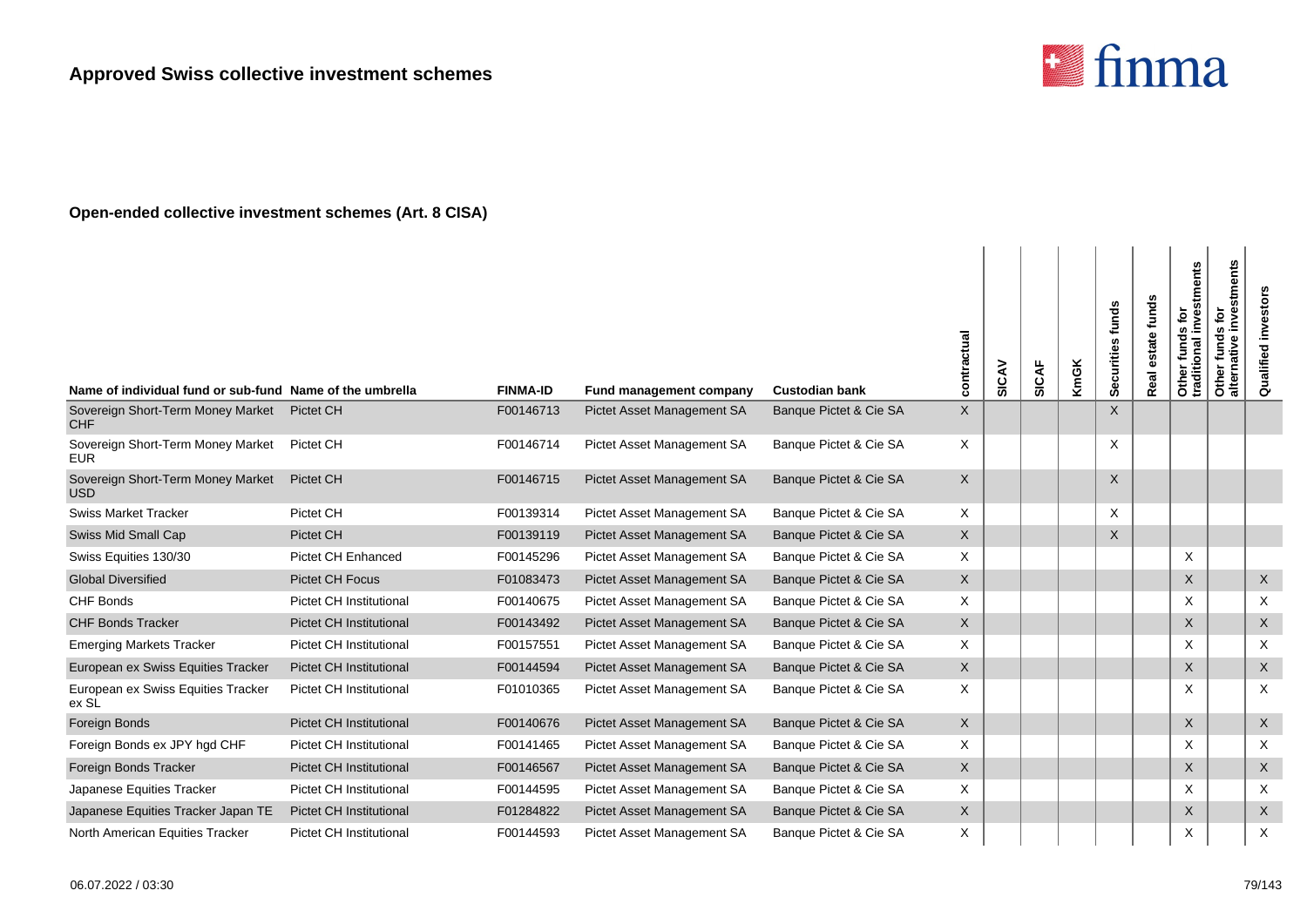

| Name of individual fund or sub-fund Name of the umbrella |                                | <b>FINMA-ID</b> | Fund management company    | <b>Custodian bank</b>  | contractual  | SICAV | <b>SICAF</b> | <b>KmGK</b> | Securities funds | funds<br>ate<br>Real | stments<br>funds for<br>Other funds for<br>traditional inves | investments<br>ē<br>S<br>Other funds<br>alternative | investors<br><b>Qualified</b> |
|----------------------------------------------------------|--------------------------------|-----------------|----------------------------|------------------------|--------------|-------|--------------|-------------|------------------|----------------------|--------------------------------------------------------------|-----------------------------------------------------|-------------------------------|
| Sovereign Short-Term Money Market<br><b>CHF</b>          | Pictet CH                      | F00146713       | Pictet Asset Management SA | Banque Pictet & Cie SA | X            |       |              |             | $\times$         |                      |                                                              |                                                     |                               |
| Sovereign Short-Term Money Market<br><b>EUR</b>          | Pictet CH                      | F00146714       | Pictet Asset Management SA | Banque Pictet & Cie SA | Χ            |       |              |             | X                |                      |                                                              |                                                     |                               |
| Sovereign Short-Term Money Market<br><b>USD</b>          | Pictet CH                      | F00146715       | Pictet Asset Management SA | Banque Pictet & Cie SA | X            |       |              |             | $\times$         |                      |                                                              |                                                     |                               |
| <b>Swiss Market Tracker</b>                              | Pictet CH                      | F00139314       | Pictet Asset Management SA | Banque Pictet & Cie SA | X            |       |              |             | X                |                      |                                                              |                                                     |                               |
| Swiss Mid Small Cap                                      | Pictet CH                      | F00139119       | Pictet Asset Management SA | Banque Pictet & Cie SA | X            |       |              |             | X                |                      |                                                              |                                                     |                               |
| Swiss Equities 130/30                                    | <b>Pictet CH Enhanced</b>      | F00145296       | Pictet Asset Management SA | Banque Pictet & Cie SA | X            |       |              |             |                  |                      | X                                                            |                                                     |                               |
| <b>Global Diversified</b>                                | <b>Pictet CH Focus</b>         | F01083473       | Pictet Asset Management SA | Banque Pictet & Cie SA | $\mathsf{X}$ |       |              |             |                  |                      | X                                                            |                                                     | $\times$                      |
| <b>CHF Bonds</b>                                         | Pictet CH Institutional        | F00140675       | Pictet Asset Management SA | Banque Pictet & Cie SA | X            |       |              |             |                  |                      | X                                                            |                                                     | X                             |
| <b>CHF Bonds Tracker</b>                                 | <b>Pictet CH Institutional</b> | F00143492       | Pictet Asset Management SA | Banque Pictet & Cie SA | X            |       |              |             |                  |                      | X                                                            |                                                     | X                             |
| <b>Emerging Markets Tracker</b>                          | Pictet CH Institutional        | F00157551       | Pictet Asset Management SA | Banque Pictet & Cie SA | X            |       |              |             |                  |                      | X                                                            |                                                     | X                             |
| European ex Swiss Equities Tracker                       | Pictet CH Institutional        | F00144594       | Pictet Asset Management SA | Banque Pictet & Cie SA | X            |       |              |             |                  |                      | X                                                            |                                                     | X                             |
| European ex Swiss Equities Tracker<br>ex SL              | Pictet CH Institutional        | F01010365       | Pictet Asset Management SA | Banque Pictet & Cie SA | X            |       |              |             |                  |                      | X                                                            |                                                     | X                             |
| Foreign Bonds                                            | Pictet CH Institutional        | F00140676       | Pictet Asset Management SA | Banque Pictet & Cie SA | X            |       |              |             |                  |                      | X                                                            |                                                     | X                             |
| Foreign Bonds ex JPY hgd CHF                             | Pictet CH Institutional        | F00141465       | Pictet Asset Management SA | Banque Pictet & Cie SA | X            |       |              |             |                  |                      | X                                                            |                                                     | X                             |
| Foreign Bonds Tracker                                    | Pictet CH Institutional        | F00146567       | Pictet Asset Management SA | Banque Pictet & Cie SA | $\times$     |       |              |             |                  |                      | X                                                            |                                                     | X                             |
| Japanese Equities Tracker                                | Pictet CH Institutional        | F00144595       | Pictet Asset Management SA | Banque Pictet & Cie SA | X            |       |              |             |                  |                      | X                                                            |                                                     | X                             |
| Japanese Equities Tracker Japan TE                       | Pictet CH Institutional        | F01284822       | Pictet Asset Management SA | Banque Pictet & Cie SA | X            |       |              |             |                  |                      | X                                                            |                                                     | X                             |
| North American Equities Tracker                          | Pictet CH Institutional        | F00144593       | Pictet Asset Management SA | Banque Pictet & Cie SA | X            |       |              |             |                  |                      | X                                                            |                                                     | X                             |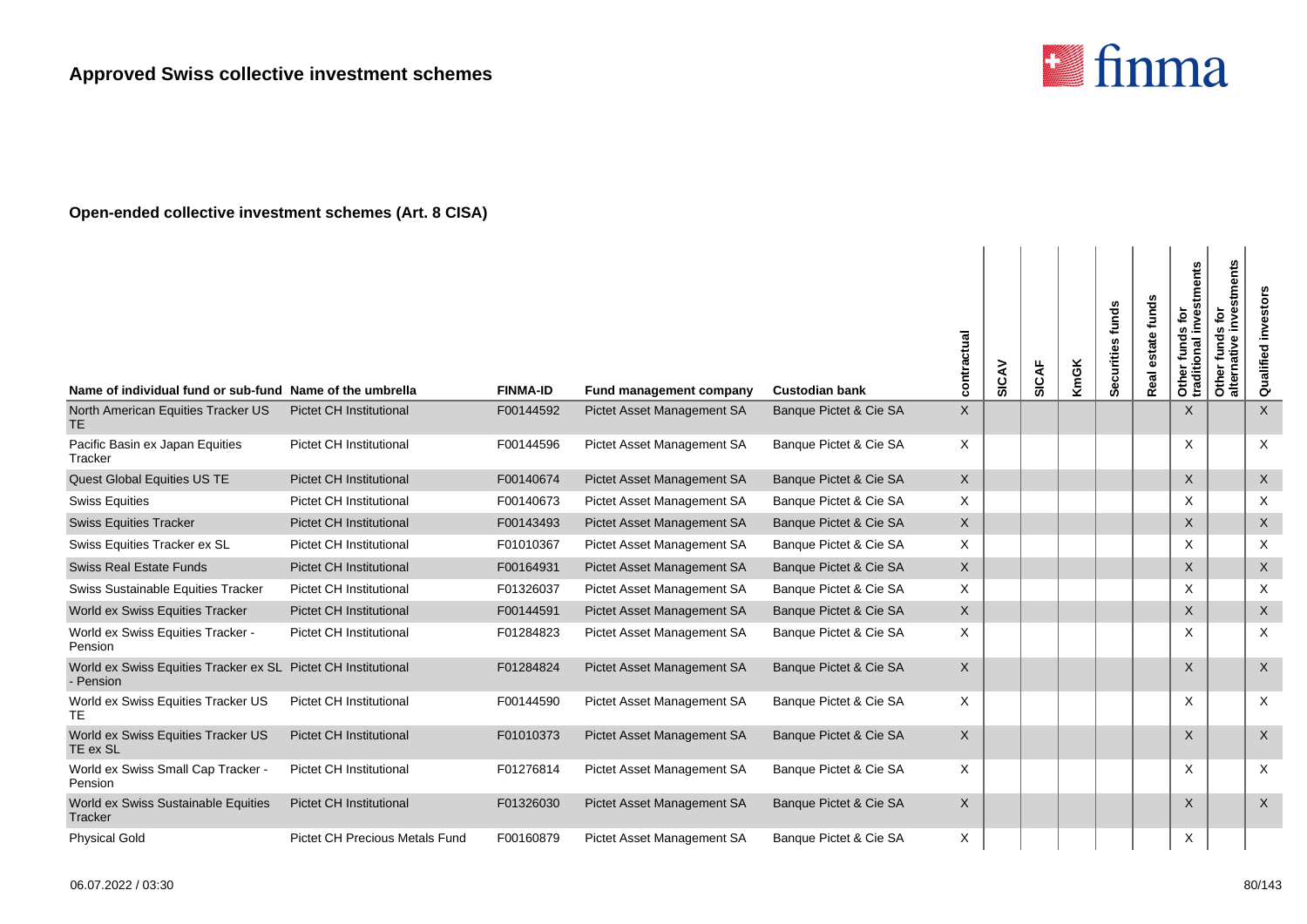

| Name of individual fund or sub-fund Name of the umbrella                   |                                       | <b>FINMA-ID</b> | Fund management company    | <b>Custodian bank</b>  | actual<br><b>contra</b> | SICAV | SICAF | <b>KmGK</b> | Securities funds | funds<br>state<br>Real | Other funds for<br>traditional investments | stments<br>ē<br>ω<br>U,<br>fund<br>ative<br>Other<br>alterna | investors<br>Qualified |
|----------------------------------------------------------------------------|---------------------------------------|-----------------|----------------------------|------------------------|-------------------------|-------|-------|-------------|------------------|------------------------|--------------------------------------------|--------------------------------------------------------------|------------------------|
| North American Equities Tracker US<br><b>TE</b>                            | Pictet CH Institutional               | F00144592       | Pictet Asset Management SA | Banque Pictet & Cie SA | X                       |       |       |             |                  |                        | X                                          |                                                              | $\sf X$                |
| Pacific Basin ex Japan Equities<br>Tracker                                 | Pictet CH Institutional               | F00144596       | Pictet Asset Management SA | Banque Pictet & Cie SA | $\times$                |       |       |             |                  |                        | X                                          |                                                              | $\times$               |
| Quest Global Equities US TE                                                | <b>Pictet CH Institutional</b>        | F00140674       | Pictet Asset Management SA | Banque Pictet & Cie SA | $\times$                |       |       |             |                  |                        | $\times$                                   |                                                              | $\sf X$                |
| <b>Swiss Equities</b>                                                      | Pictet CH Institutional               | F00140673       | Pictet Asset Management SA | Banque Pictet & Cie SA | X                       |       |       |             |                  |                        | X                                          |                                                              | $\times$               |
| <b>Swiss Equities Tracker</b>                                              | <b>Pictet CH Institutional</b>        | F00143493       | Pictet Asset Management SA | Banque Pictet & Cie SA | $\mathsf{X}$            |       |       |             |                  |                        | X                                          |                                                              | $\times$               |
| Swiss Equities Tracker ex SL                                               | Pictet CH Institutional               | F01010367       | Pictet Asset Management SA | Banque Pictet & Cie SA | $\times$                |       |       |             |                  |                        | X                                          |                                                              | X                      |
| <b>Swiss Real Estate Funds</b>                                             | <b>Pictet CH Institutional</b>        | F00164931       | Pictet Asset Management SA | Banque Pictet & Cie SA | $\times$                |       |       |             |                  |                        | $\times$                                   |                                                              | $\times$               |
| Swiss Sustainable Equities Tracker                                         | Pictet CH Institutional               | F01326037       | Pictet Asset Management SA | Banque Pictet & Cie SA | X                       |       |       |             |                  |                        | X                                          |                                                              | X                      |
| World ex Swiss Equities Tracker                                            | Pictet CH Institutional               | F00144591       | Pictet Asset Management SA | Banque Pictet & Cie SA | $\mathsf{X}$            |       |       |             |                  |                        | $\times$                                   |                                                              | $\times$               |
| World ex Swiss Equities Tracker -<br>Pension                               | Pictet CH Institutional               | F01284823       | Pictet Asset Management SA | Banque Pictet & Cie SA | $\times$                |       |       |             |                  |                        | X                                          |                                                              | $\times$               |
| World ex Swiss Equities Tracker ex SL Pictet CH Institutional<br>- Pension |                                       | F01284824       | Pictet Asset Management SA | Banque Pictet & Cie SA | $\mathsf{X}$            |       |       |             |                  |                        | $\times$                                   |                                                              | $\times$               |
| World ex Swiss Equities Tracker US<br><b>TE</b>                            | Pictet CH Institutional               | F00144590       | Pictet Asset Management SA | Banque Pictet & Cie SA | X                       |       |       |             |                  |                        | X                                          |                                                              | X                      |
| World ex Swiss Equities Tracker US<br>TE ex SL                             | Pictet CH Institutional               | F01010373       | Pictet Asset Management SA | Banque Pictet & Cie SA | $\sf X$                 |       |       |             |                  |                        | X                                          |                                                              | $\sf X$                |
| World ex Swiss Small Cap Tracker -<br>Pension                              | Pictet CH Institutional               | F01276814       | Pictet Asset Management SA | Banque Pictet & Cie SA | $\times$                |       |       |             |                  |                        | X                                          |                                                              | $\times$               |
| World ex Swiss Sustainable Equities<br>Tracker                             | <b>Pictet CH Institutional</b>        | F01326030       | Pictet Asset Management SA | Banque Pictet & Cie SA | $\mathsf{X}$            |       |       |             |                  |                        | X                                          |                                                              | $\mathsf{X}$           |
| <b>Physical Gold</b>                                                       | <b>Pictet CH Precious Metals Fund</b> | F00160879       | Pictet Asset Management SA | Banque Pictet & Cie SA | X                       |       |       |             |                  |                        | Χ                                          |                                                              |                        |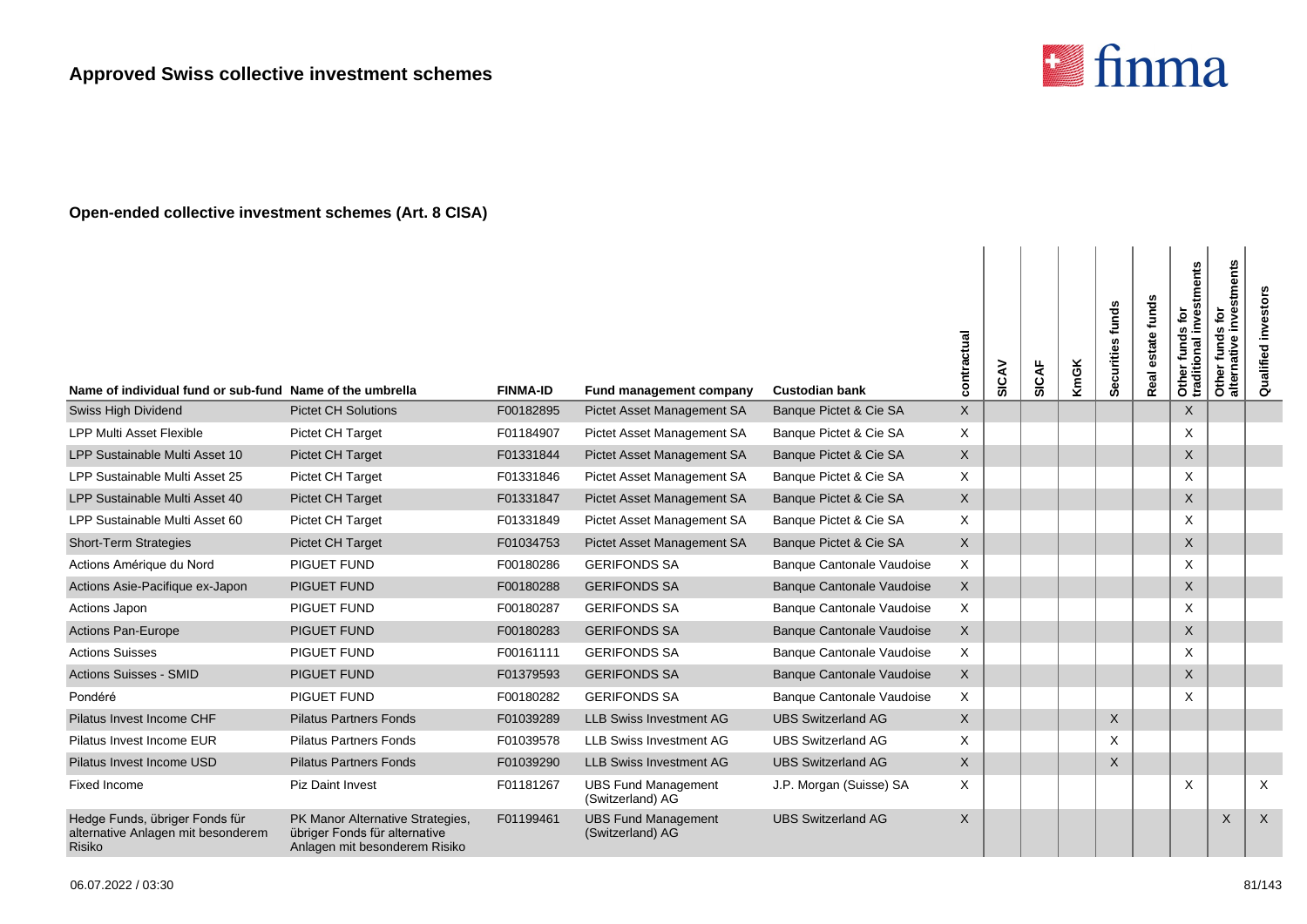

| Name of individual fund or sub-fund Name of the umbrella                       |                                                                                                    | <b>FINMA-ID</b> | Fund management company                        | <b>Custodian bank</b>            | contractual  | SICAV | <b>SICAF</b> | <b>KmGK</b> | Securities funds | funds<br>estate<br>Real | Other funds for<br>traditional investments | ents<br>stme<br><b>jo</b><br>ω<br><b>S</b><br>fund<br>$\mathbf{Q}$<br>rnativ<br>Other 1<br>alterna | investor<br>Qualified |
|--------------------------------------------------------------------------------|----------------------------------------------------------------------------------------------------|-----------------|------------------------------------------------|----------------------------------|--------------|-------|--------------|-------------|------------------|-------------------------|--------------------------------------------|----------------------------------------------------------------------------------------------------|-----------------------|
| Swiss High Dividend                                                            | <b>Pictet CH Solutions</b>                                                                         | F00182895       | Pictet Asset Management SA                     | Banque Pictet & Cie SA           | $\mathsf{X}$ |       |              |             |                  |                         | $\times$                                   |                                                                                                    |                       |
| <b>LPP Multi Asset Flexible</b>                                                | Pictet CH Target                                                                                   | F01184907       | Pictet Asset Management SA                     | Banque Pictet & Cie SA           | X            |       |              |             |                  |                         | X                                          |                                                                                                    |                       |
| LPP Sustainable Multi Asset 10                                                 | Pictet CH Target                                                                                   | F01331844       | Pictet Asset Management SA                     | Banque Pictet & Cie SA           | $\mathsf{X}$ |       |              |             |                  |                         | $\sf X$                                    |                                                                                                    |                       |
| LPP Sustainable Multi Asset 25                                                 | Pictet CH Target                                                                                   | F01331846       | Pictet Asset Management SA                     | Banque Pictet & Cie SA           | X            |       |              |             |                  |                         | X                                          |                                                                                                    |                       |
| LPP Sustainable Multi Asset 40                                                 | Pictet CH Target                                                                                   | F01331847       | Pictet Asset Management SA                     | Banque Pictet & Cie SA           | $\mathsf{X}$ |       |              |             |                  |                         | X                                          |                                                                                                    |                       |
| LPP Sustainable Multi Asset 60                                                 | Pictet CH Target                                                                                   | F01331849       | Pictet Asset Management SA                     | Banque Pictet & Cie SA           | X            |       |              |             |                  |                         | X                                          |                                                                                                    |                       |
| <b>Short-Term Strategies</b>                                                   | Pictet CH Target                                                                                   | F01034753       | Pictet Asset Management SA                     | Banque Pictet & Cie SA           | $\mathsf{X}$ |       |              |             |                  |                         | X                                          |                                                                                                    |                       |
| Actions Amérique du Nord                                                       | PIGUET FUND                                                                                        | F00180286       | <b>GERIFONDS SA</b>                            | <b>Banque Cantonale Vaudoise</b> | $\times$     |       |              |             |                  |                         | X                                          |                                                                                                    |                       |
| Actions Asie-Pacifique ex-Japon                                                | <b>PIGUET FUND</b>                                                                                 | F00180288       | <b>GERIFONDS SA</b>                            | <b>Banque Cantonale Vaudoise</b> | $\times$     |       |              |             |                  |                         | X                                          |                                                                                                    |                       |
| Actions Japon                                                                  | PIGUET FUND                                                                                        | F00180287       | <b>GERIFONDS SA</b>                            | <b>Banque Cantonale Vaudoise</b> | X            |       |              |             |                  |                         | X                                          |                                                                                                    |                       |
| <b>Actions Pan-Europe</b>                                                      | PIGUET FUND                                                                                        | F00180283       | <b>GERIFONDS SA</b>                            | <b>Banque Cantonale Vaudoise</b> | $\times$     |       |              |             |                  |                         | $\times$                                   |                                                                                                    |                       |
| <b>Actions Suisses</b>                                                         | PIGUET FUND                                                                                        | F00161111       | <b>GERIFONDS SA</b>                            | Banque Cantonale Vaudoise        | X            |       |              |             |                  |                         | X                                          |                                                                                                    |                       |
| <b>Actions Suisses - SMID</b>                                                  | PIGUET FUND                                                                                        | F01379593       | <b>GERIFONDS SA</b>                            | <b>Banque Cantonale Vaudoise</b> | X            |       |              |             |                  |                         | $\sf X$                                    |                                                                                                    |                       |
| Pondéré                                                                        | PIGUET FUND                                                                                        | F00180282       | <b>GERIFONDS SA</b>                            | <b>Banque Cantonale Vaudoise</b> | X            |       |              |             |                  |                         | X                                          |                                                                                                    |                       |
| Pilatus Invest Income CHF                                                      | <b>Pilatus Partners Fonds</b>                                                                      | F01039289       | <b>LLB Swiss Investment AG</b>                 | <b>UBS Switzerland AG</b>        | $\times$     |       |              |             | $\sf X$          |                         |                                            |                                                                                                    |                       |
| Pilatus Invest Income EUR                                                      | <b>Pilatus Partners Fonds</b>                                                                      | F01039578       | <b>LLB Swiss Investment AG</b>                 | <b>UBS Switzerland AG</b>        | X            |       |              |             | X                |                         |                                            |                                                                                                    |                       |
| Pilatus Invest Income USD                                                      | <b>Pilatus Partners Fonds</b>                                                                      | F01039290       | <b>LLB Swiss Investment AG</b>                 | <b>UBS Switzerland AG</b>        | $\mathsf{X}$ |       |              |             | $\mathsf{X}$     |                         |                                            |                                                                                                    |                       |
| <b>Fixed Income</b>                                                            | <b>Piz Daint Invest</b>                                                                            | F01181267       | <b>UBS Fund Management</b><br>(Switzerland) AG | J.P. Morgan (Suisse) SA          | X            |       |              |             |                  |                         | X                                          |                                                                                                    | $\times$              |
| Hedge Funds, übriger Fonds für<br>alternative Anlagen mit besonderem<br>Risiko | PK Manor Alternative Strategies,<br>übriger Fonds für alternative<br>Anlagen mit besonderem Risiko | F01199461       | <b>UBS Fund Management</b><br>(Switzerland) AG | <b>UBS Switzerland AG</b>        | X            |       |              |             |                  |                         |                                            | $\times$                                                                                           | $\times$              |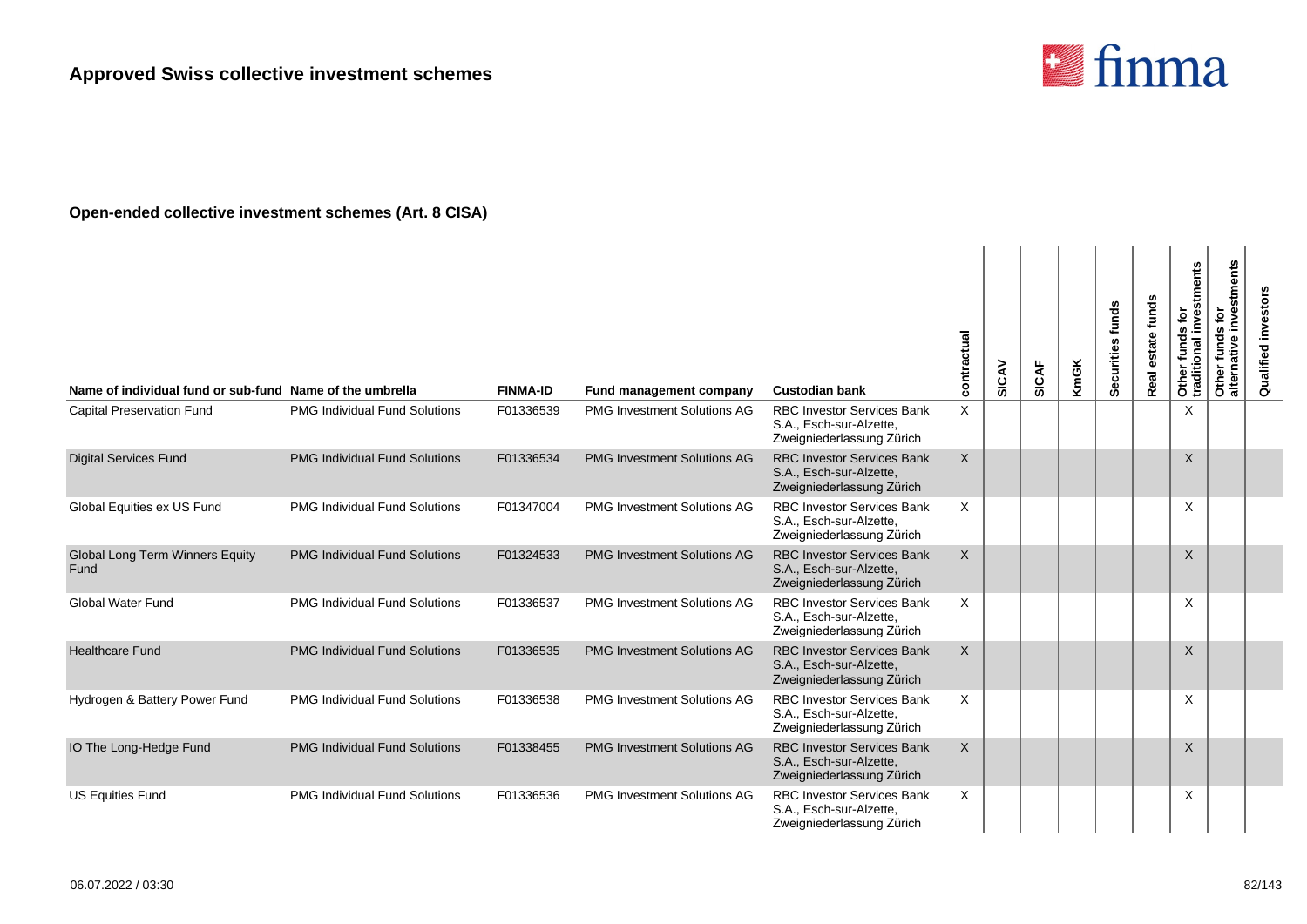

| Name of individual fund or sub-fund Name of the umbrella |                                      | <b>FINMA-ID</b> | Fund management company            | <b>Custodian bank</b>                                                                     | contractual | SICAV | <b>SICAF</b> | KmGK | Securities funds | estate funds<br>Real | stments<br>$\mathbf{\tilde{e}}$<br>inve<br><b>SD</b><br>Other funds<br>traditional i | Other funds for<br>alternative investments | investor<br>Qualified |
|----------------------------------------------------------|--------------------------------------|-----------------|------------------------------------|-------------------------------------------------------------------------------------------|-------------|-------|--------------|------|------------------|----------------------|--------------------------------------------------------------------------------------|--------------------------------------------|-----------------------|
| <b>Capital Preservation Fund</b>                         | <b>PMG Individual Fund Solutions</b> | F01336539       | <b>PMG Investment Solutions AG</b> | <b>RBC Investor Services Bank</b><br>S.A., Esch-sur-Alzette,<br>Zweigniederlassung Zürich | X           |       |              |      |                  |                      | X                                                                                    |                                            |                       |
| <b>Digital Services Fund</b>                             | <b>PMG Individual Fund Solutions</b> | F01336534       | <b>PMG Investment Solutions AG</b> | <b>RBC Investor Services Bank</b><br>S.A., Esch-sur-Alzette,<br>Zweigniederlassung Zürich | X           |       |              |      |                  |                      | $\times$                                                                             |                                            |                       |
| Global Equities ex US Fund                               | <b>PMG Individual Fund Solutions</b> | F01347004       | <b>PMG Investment Solutions AG</b> | <b>RBC Investor Services Bank</b><br>S.A., Esch-sur-Alzette,<br>Zweigniederlassung Zürich | X           |       |              |      |                  |                      | X                                                                                    |                                            |                       |
| Global Long Term Winners Equity<br>Fund                  | <b>PMG Individual Fund Solutions</b> | F01324533       | <b>PMG Investment Solutions AG</b> | <b>RBC Investor Services Bank</b><br>S.A., Esch-sur-Alzette,<br>Zweigniederlassung Zürich | X           |       |              |      |                  |                      | $\mathsf{X}$                                                                         |                                            |                       |
| <b>Global Water Fund</b>                                 | <b>PMG Individual Fund Solutions</b> | F01336537       | <b>PMG Investment Solutions AG</b> | <b>RBC Investor Services Bank</b><br>S.A., Esch-sur-Alzette,<br>Zweigniederlassung Zürich | X           |       |              |      |                  |                      | X                                                                                    |                                            |                       |
| <b>Healthcare Fund</b>                                   | <b>PMG Individual Fund Solutions</b> | F01336535       | <b>PMG Investment Solutions AG</b> | <b>RBC Investor Services Bank</b><br>S.A., Esch-sur-Alzette,<br>Zweigniederlassung Zürich | X           |       |              |      |                  |                      | $\times$                                                                             |                                            |                       |
| Hydrogen & Battery Power Fund                            | <b>PMG Individual Fund Solutions</b> | F01336538       | <b>PMG Investment Solutions AG</b> | <b>RBC Investor Services Bank</b><br>S.A., Esch-sur-Alzette,<br>Zweigniederlassung Zürich | X           |       |              |      |                  |                      | X                                                                                    |                                            |                       |
| IO The Long-Hedge Fund                                   | <b>PMG Individual Fund Solutions</b> | F01338455       | <b>PMG Investment Solutions AG</b> | <b>RBC Investor Services Bank</b><br>S.A., Esch-sur-Alzette,<br>Zweigniederlassung Zürich | X           |       |              |      |                  |                      | $\times$                                                                             |                                            |                       |
| <b>US Equities Fund</b>                                  | <b>PMG Individual Fund Solutions</b> | F01336536       | <b>PMG Investment Solutions AG</b> | <b>RBC Investor Services Bank</b><br>S.A., Esch-sur-Alzette,<br>Zweigniederlassung Zürich | X           |       |              |      |                  |                      | X                                                                                    |                                            |                       |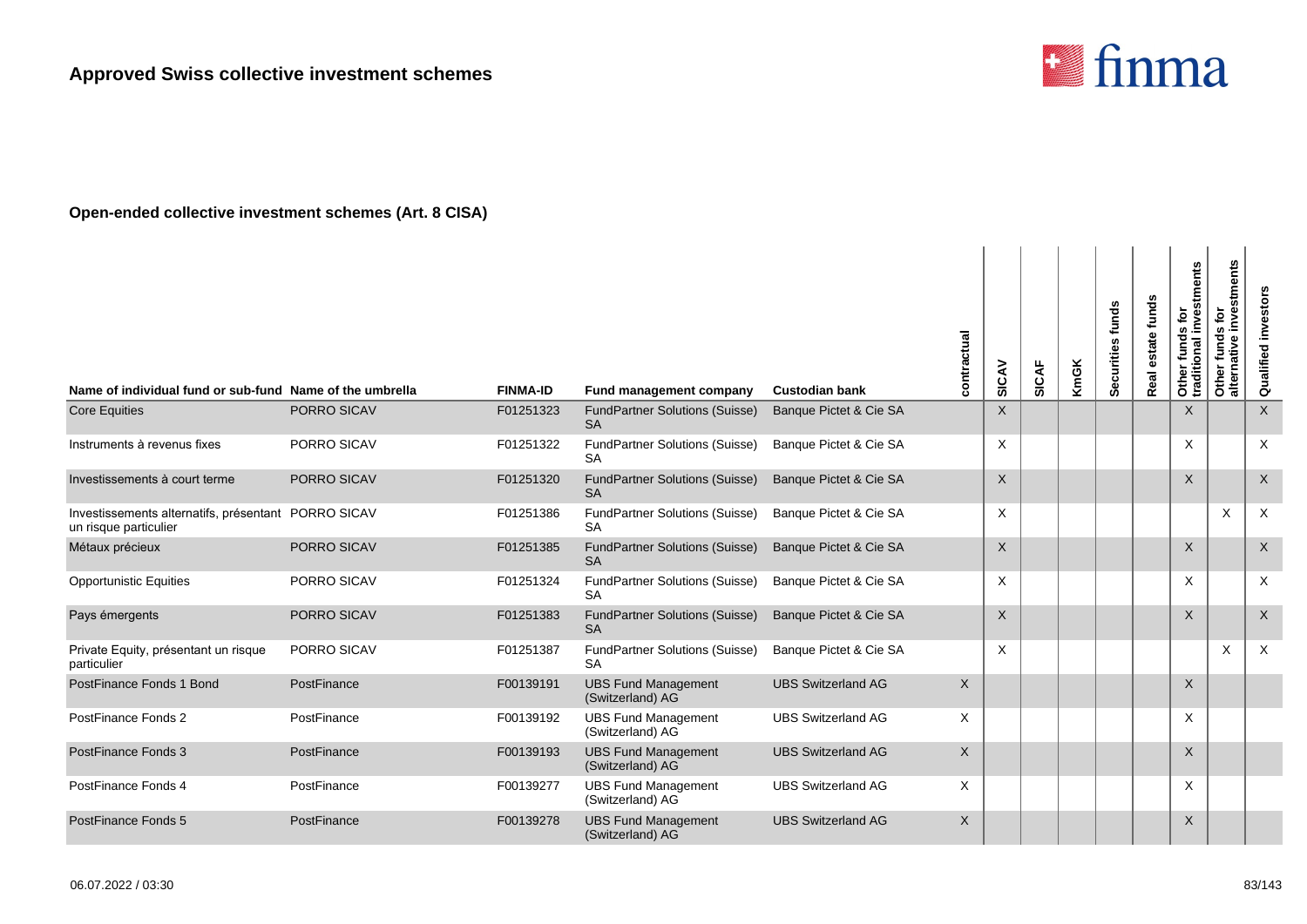

| Name of individual fund or sub-fund Name of the umbrella                     |             | <b>FINMA-ID</b> | Fund management company                            | <b>Custodian bank</b>     | contractual  | SICAV        | <b>SICAF</b> | <b>KmGK</b> | Securities funds | Real estate funds | Other funds for<br>traditional investments | investments<br>funds for<br>Other funds<br>alternative | investor<br>Qualified     |
|------------------------------------------------------------------------------|-------------|-----------------|----------------------------------------------------|---------------------------|--------------|--------------|--------------|-------------|------------------|-------------------|--------------------------------------------|--------------------------------------------------------|---------------------------|
| <b>Core Equities</b>                                                         | PORRO SICAV | F01251323       | <b>FundPartner Solutions (Suisse)</b><br><b>SA</b> | Banque Pictet & Cie SA    |              | X            |              |             |                  |                   | $\times$                                   |                                                        | $\mathsf{X}$              |
| Instruments à revenus fixes                                                  | PORRO SICAV | F01251322       | FundPartner Solutions (Suisse)<br><b>SA</b>        | Banque Pictet & Cie SA    |              | $\times$     |              |             |                  |                   | $\times$                                   |                                                        | $\times$                  |
| Investissements à court terme                                                | PORRO SICAV | F01251320       | <b>FundPartner Solutions (Suisse)</b><br><b>SA</b> | Banque Pictet & Cie SA    |              | $\mathsf X$  |              |             |                  |                   | $\times$                                   |                                                        | $\mathsf{X}$              |
| Investissements alternatifs, présentant PORRO SICAV<br>un risque particulier |             | F01251386       | <b>FundPartner Solutions (Suisse)</b><br><b>SA</b> | Banque Pictet & Cie SA    |              | $\times$     |              |             |                  |                   |                                            | X                                                      | $\boldsymbol{\mathsf{X}}$ |
| Métaux précieux                                                              | PORRO SICAV | F01251385       | <b>FundPartner Solutions (Suisse)</b><br><b>SA</b> | Banque Pictet & Cie SA    |              | $\mathsf{X}$ |              |             |                  |                   | $\sf X$                                    |                                                        | $\mathsf X$               |
| <b>Opportunistic Equities</b>                                                | PORRO SICAV | F01251324       | FundPartner Solutions (Suisse)<br><b>SA</b>        | Banque Pictet & Cie SA    |              | $\times$     |              |             |                  |                   | $\times$                                   |                                                        | $\times$                  |
| Pays émergents                                                               | PORRO SICAV | F01251383       | <b>FundPartner Solutions (Suisse)</b><br><b>SA</b> | Banque Pictet & Cie SA    |              | $\mathsf{X}$ |              |             |                  |                   | $\times$                                   |                                                        | $\mathsf X$               |
| Private Equity, présentant un risque<br>particulier                          | PORRO SICAV | F01251387       | <b>FundPartner Solutions (Suisse)</b><br><b>SA</b> | Banque Pictet & Cie SA    |              | $\mathsf{x}$ |              |             |                  |                   |                                            | $\times$                                               | $\times$                  |
| PostFinance Fonds 1 Bond                                                     | PostFinance | F00139191       | <b>UBS Fund Management</b><br>(Switzerland) AG     | <b>UBS Switzerland AG</b> | $\mathsf{X}$ |              |              |             |                  |                   | $\times$                                   |                                                        |                           |
| PostFinance Fonds 2                                                          | PostFinance | F00139192       | <b>UBS Fund Management</b><br>(Switzerland) AG     | <b>UBS Switzerland AG</b> | X            |              |              |             |                  |                   | $\times$                                   |                                                        |                           |
| PostFinance Fonds 3                                                          | PostFinance | F00139193       | <b>UBS Fund Management</b><br>(Switzerland) AG     | <b>UBS Switzerland AG</b> | X            |              |              |             |                  |                   | X                                          |                                                        |                           |
| PostFinance Fonds 4                                                          | PostFinance | F00139277       | <b>UBS Fund Management</b><br>(Switzerland) AG     | <b>UBS Switzerland AG</b> | X            |              |              |             |                  |                   | $\times$                                   |                                                        |                           |
| PostFinance Fonds 5                                                          | PostFinance | F00139278       | <b>UBS Fund Management</b><br>(Switzerland) AG     | <b>UBS Switzerland AG</b> | X            |              |              |             |                  |                   | X                                          |                                                        |                           |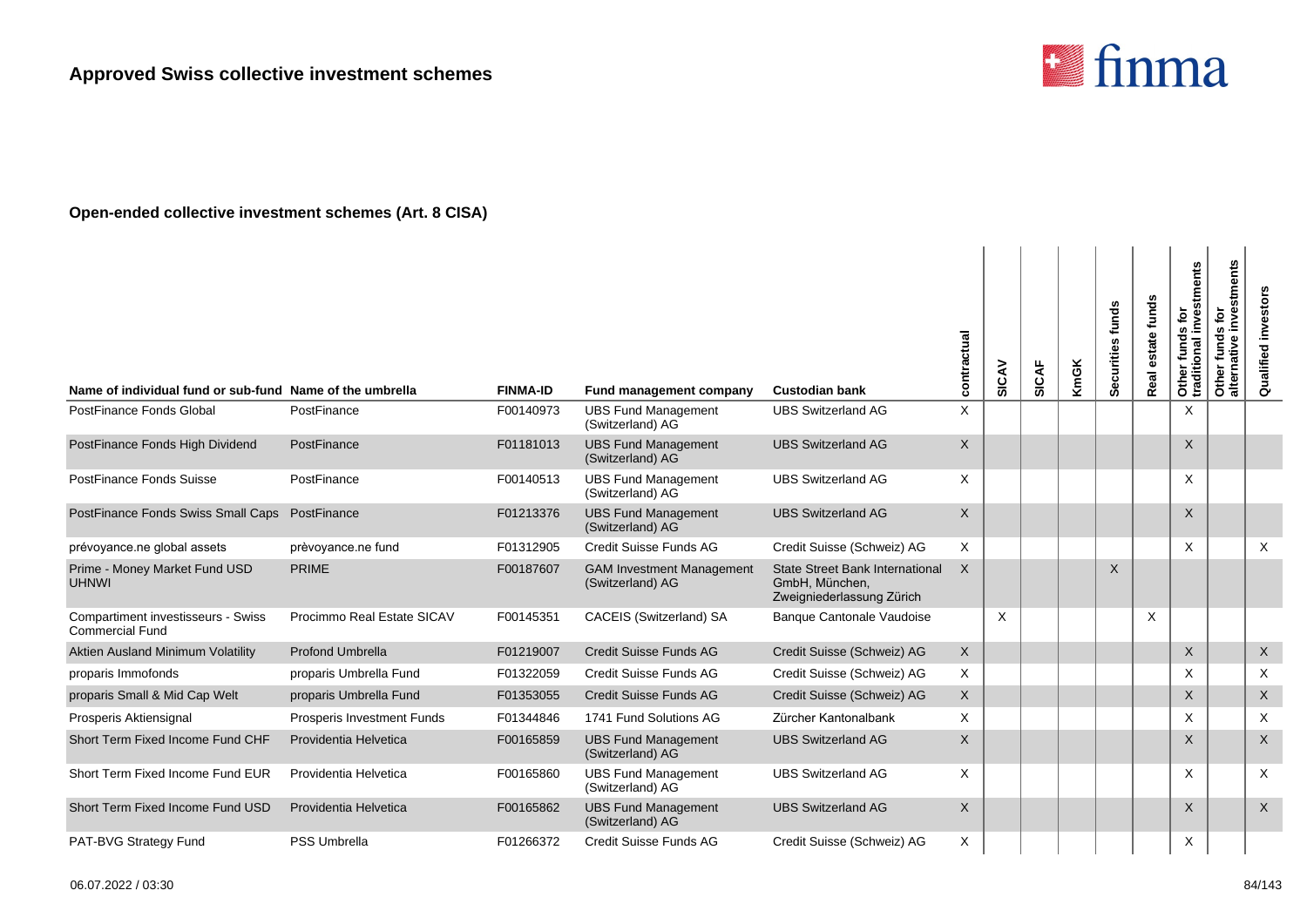

| Name of individual fund or sub-fund Name of the umbrella            |                            | <b>FINMA-ID</b> | Fund management company                              | <b>Custodian bank</b>                                                                 | contractual  | SICAV    | SICAF | <b>KmGK</b> | Securities funds | estate funds<br>Real | traditional investments<br>funds for<br>Other | nvestments<br>funds for<br>mative<br>Other 1<br>alterna | investors<br>Qualified    |
|---------------------------------------------------------------------|----------------------------|-----------------|------------------------------------------------------|---------------------------------------------------------------------------------------|--------------|----------|-------|-------------|------------------|----------------------|-----------------------------------------------|---------------------------------------------------------|---------------------------|
| <b>PostFinance Fonds Global</b>                                     | PostFinance                | F00140973       | <b>UBS Fund Management</b><br>(Switzerland) AG       | <b>UBS Switzerland AG</b>                                                             | X            |          |       |             |                  |                      | X                                             |                                                         |                           |
| PostFinance Fonds High Dividend                                     | PostFinance                | F01181013       | <b>UBS Fund Management</b><br>(Switzerland) AG       | <b>UBS Switzerland AG</b>                                                             | $\mathsf{X}$ |          |       |             |                  |                      | X                                             |                                                         |                           |
| PostFinance Fonds Suisse                                            | PostFinance                | F00140513       | <b>UBS Fund Management</b><br>(Switzerland) AG       | <b>UBS Switzerland AG</b>                                                             | $\times$     |          |       |             |                  |                      | X                                             |                                                         |                           |
| PostFinance Fonds Swiss Small Caps PostFinance                      |                            | F01213376       | <b>UBS Fund Management</b><br>(Switzerland) AG       | <b>UBS Switzerland AG</b>                                                             | $\mathsf{X}$ |          |       |             |                  |                      | $\mathsf{X}$                                  |                                                         |                           |
| prévoyance.ne global assets                                         | prèvoyance.ne fund         | F01312905       | Credit Suisse Funds AG                               | Credit Suisse (Schweiz) AG                                                            | $\times$     |          |       |             |                  |                      | X                                             |                                                         | $\boldsymbol{\mathsf{X}}$ |
| Prime - Money Market Fund USD<br><b>UHNWI</b>                       | <b>PRIME</b>               | F00187607       | <b>GAM Investment Management</b><br>(Switzerland) AG | <b>State Street Bank International</b><br>GmbH, München,<br>Zweigniederlassung Zürich | $\times$     |          |       |             | X                |                      |                                               |                                                         |                           |
| <b>Compartiment investisseurs - Swiss</b><br><b>Commercial Fund</b> | Procimmo Real Estate SICAV | F00145351       | CACEIS (Switzerland) SA                              | Banque Cantonale Vaudoise                                                             |              | $\times$ |       |             |                  | X                    |                                               |                                                         |                           |
| Aktien Ausland Minimum Volatility                                   | <b>Profond Umbrella</b>    | F01219007       | Credit Suisse Funds AG                               | Credit Suisse (Schweiz) AG                                                            | $\times$     |          |       |             |                  |                      | $\times$                                      |                                                         | $\mathsf{X}$              |
| proparis Immofonds                                                  | proparis Umbrella Fund     | F01322059       | Credit Suisse Funds AG                               | Credit Suisse (Schweiz) AG                                                            | X            |          |       |             |                  |                      | X                                             |                                                         | X                         |
| proparis Small & Mid Cap Welt                                       | proparis Umbrella Fund     | F01353055       | Credit Suisse Funds AG                               | Credit Suisse (Schweiz) AG                                                            | X            |          |       |             |                  |                      | X                                             |                                                         | $\sf X$                   |
| Prosperis Aktiensignal                                              | Prosperis Investment Funds | F01344846       | 1741 Fund Solutions AG                               | Zürcher Kantonalbank                                                                  | X            |          |       |             |                  |                      | X                                             |                                                         | $\times$                  |
| Short Term Fixed Income Fund CHF                                    | Providentia Helvetica      | F00165859       | <b>UBS Fund Management</b><br>(Switzerland) AG       | <b>UBS Switzerland AG</b>                                                             | $\sf X$      |          |       |             |                  |                      | X                                             |                                                         | $\times$                  |
| Short Term Fixed Income Fund EUR                                    | Providentia Helvetica      | F00165860       | <b>UBS Fund Management</b><br>(Switzerland) AG       | <b>UBS Switzerland AG</b>                                                             | $\times$     |          |       |             |                  |                      | X                                             |                                                         | $\times$                  |
| Short Term Fixed Income Fund USD                                    | Providentia Helvetica      | F00165862       | <b>UBS Fund Management</b><br>(Switzerland) AG       | <b>UBS Switzerland AG</b>                                                             | $\sf X$      |          |       |             |                  |                      | $\mathsf{X}$                                  |                                                         | $\times$                  |
| PAT-BVG Strategy Fund                                               | <b>PSS Umbrella</b>        | F01266372       | Credit Suisse Funds AG                               | Credit Suisse (Schweiz) AG                                                            | X            |          |       |             |                  |                      | X                                             |                                                         |                           |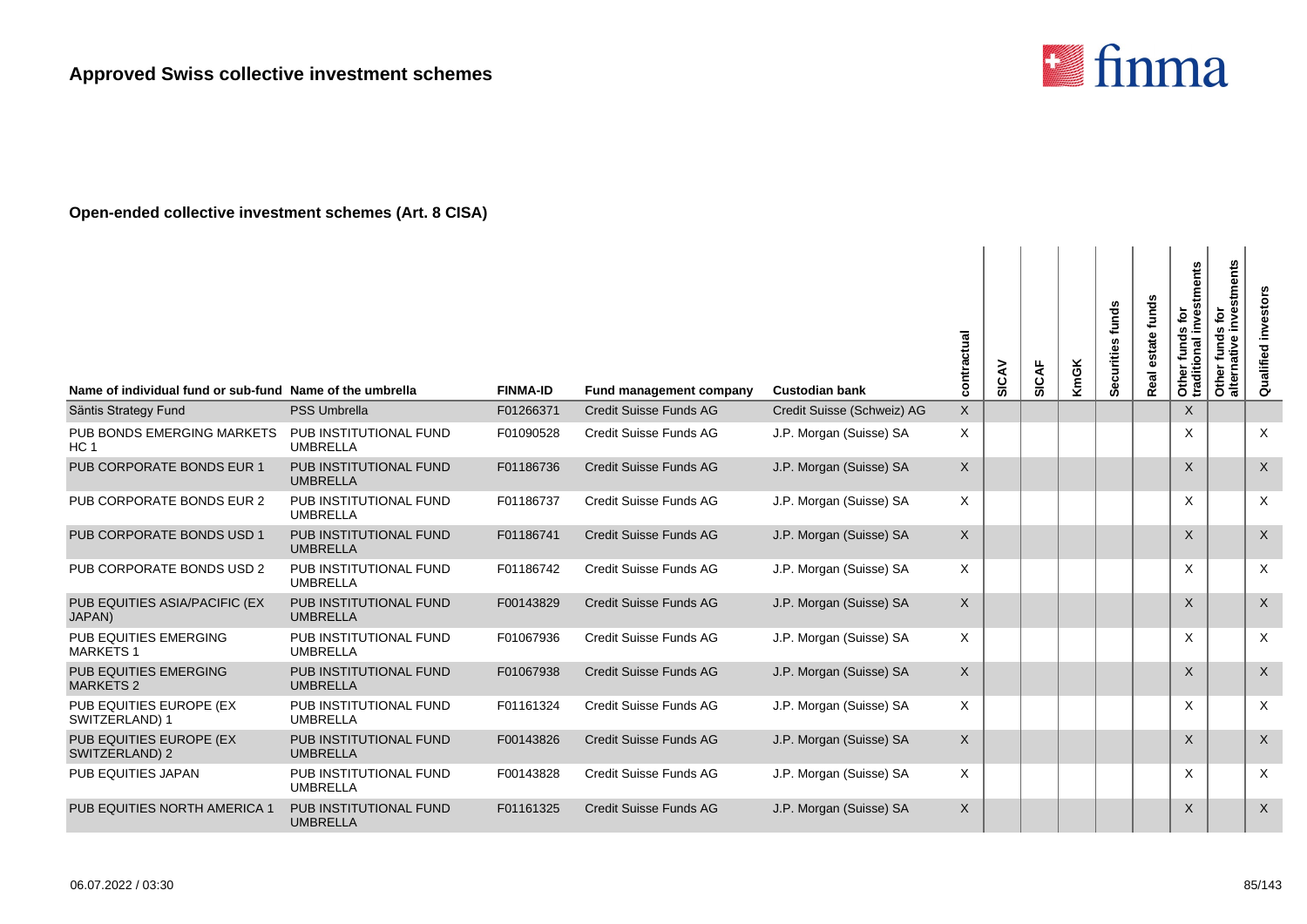

| Name of individual fund or sub-fund Name of the umbrella |                                           | <b>FINMA-ID</b> | <b>Fund management company</b> | <b>Custodian bank</b>      | contractual  | SICAV | SICAF | <b>KmGK</b> | Securities funds | funds<br>late<br>Real | stments<br>ē<br>Other funds for<br>traditional inve | investments<br>흐<br>U)<br>Other funds<br>alternative | investors<br><b>Qualified</b> |
|----------------------------------------------------------|-------------------------------------------|-----------------|--------------------------------|----------------------------|--------------|-------|-------|-------------|------------------|-----------------------|-----------------------------------------------------|------------------------------------------------------|-------------------------------|
| Säntis Strategy Fund                                     | <b>PSS Umbrella</b>                       | F01266371       | Credit Suisse Funds AG         | Credit Suisse (Schweiz) AG | $\mathsf{X}$ |       |       |             |                  |                       | X                                                   |                                                      |                               |
| PUB BONDS EMERGING MARKETS<br>HC <sub>1</sub>            | PUB INSTITUTIONAL FUND<br><b>UMBRELLA</b> | F01090528       | Credit Suisse Funds AG         | J.P. Morgan (Suisse) SA    | X            |       |       |             |                  |                       | X                                                   |                                                      | X                             |
| PUB CORPORATE BONDS EUR 1                                | PUB INSTITUTIONAL FUND<br><b>UMBRELLA</b> | F01186736       | Credit Suisse Funds AG         | J.P. Morgan (Suisse) SA    | $\mathsf{X}$ |       |       |             |                  |                       | X                                                   |                                                      | $\sf X$                       |
| PUB CORPORATE BONDS EUR 2                                | PUB INSTITUTIONAL FUND<br><b>UMBRELLA</b> | F01186737       | Credit Suisse Funds AG         | J.P. Morgan (Suisse) SA    | X            |       |       |             |                  |                       | X                                                   |                                                      | $\times$                      |
| PUB CORPORATE BONDS USD 1                                | PUB INSTITUTIONAL FUND<br><b>UMBRELLA</b> | F01186741       | Credit Suisse Funds AG         | J.P. Morgan (Suisse) SA    | $\mathsf{X}$ |       |       |             |                  |                       | X                                                   |                                                      | $\times$                      |
| PUB CORPORATE BONDS USD 2                                | PUB INSTITUTIONAL FUND<br><b>UMBRELLA</b> | F01186742       | Credit Suisse Funds AG         | J.P. Morgan (Suisse) SA    | X            |       |       |             |                  |                       | X                                                   |                                                      | $\times$                      |
| PUB EQUITIES ASIA/PACIFIC (EX<br>JAPAN)                  | PUB INSTITUTIONAL FUND<br><b>UMBRELLA</b> | F00143829       | Credit Suisse Funds AG         | J.P. Morgan (Suisse) SA    | $\mathsf{X}$ |       |       |             |                  |                       | X                                                   |                                                      | $\times$                      |
| PUB EQUITIES EMERGING<br><b>MARKETS 1</b>                | PUB INSTITUTIONAL FUND<br><b>UMBRELLA</b> | F01067936       | Credit Suisse Funds AG         | J.P. Morgan (Suisse) SA    | X            |       |       |             |                  |                       | X                                                   |                                                      | X                             |
| <b>PUB EQUITIES EMERGING</b><br><b>MARKETS 2</b>         | PUB INSTITUTIONAL FUND<br><b>UMBRELLA</b> | F01067938       | Credit Suisse Funds AG         | J.P. Morgan (Suisse) SA    | X            |       |       |             |                  |                       | X                                                   |                                                      | $\sf X$                       |
| PUB EQUITIES EUROPE (EX<br>SWITZERLAND) 1                | PUB INSTITUTIONAL FUND<br><b>UMBRELLA</b> | F01161324       | Credit Suisse Funds AG         | J.P. Morgan (Suisse) SA    | X            |       |       |             |                  |                       | X                                                   |                                                      | X                             |
| PUB EQUITIES EUROPE (EX<br>SWITZERLAND) 2                | PUB INSTITUTIONAL FUND<br><b>UMBRELLA</b> | F00143826       | Credit Suisse Funds AG         | J.P. Morgan (Suisse) SA    | $\mathsf{X}$ |       |       |             |                  |                       | X                                                   |                                                      | $\times$                      |
| PUB EQUITIES JAPAN                                       | PUB INSTITUTIONAL FUND<br><b>UMBRELLA</b> | F00143828       | Credit Suisse Funds AG         | J.P. Morgan (Suisse) SA    | Χ            |       |       |             |                  |                       | X                                                   |                                                      | X                             |
| PUB EQUITIES NORTH AMERICA 1                             | PUB INSTITUTIONAL FUND<br><b>UMBRELLA</b> | F01161325       | Credit Suisse Funds AG         | J.P. Morgan (Suisse) SA    | $\mathsf{X}$ |       |       |             |                  |                       | X                                                   |                                                      | $\times$                      |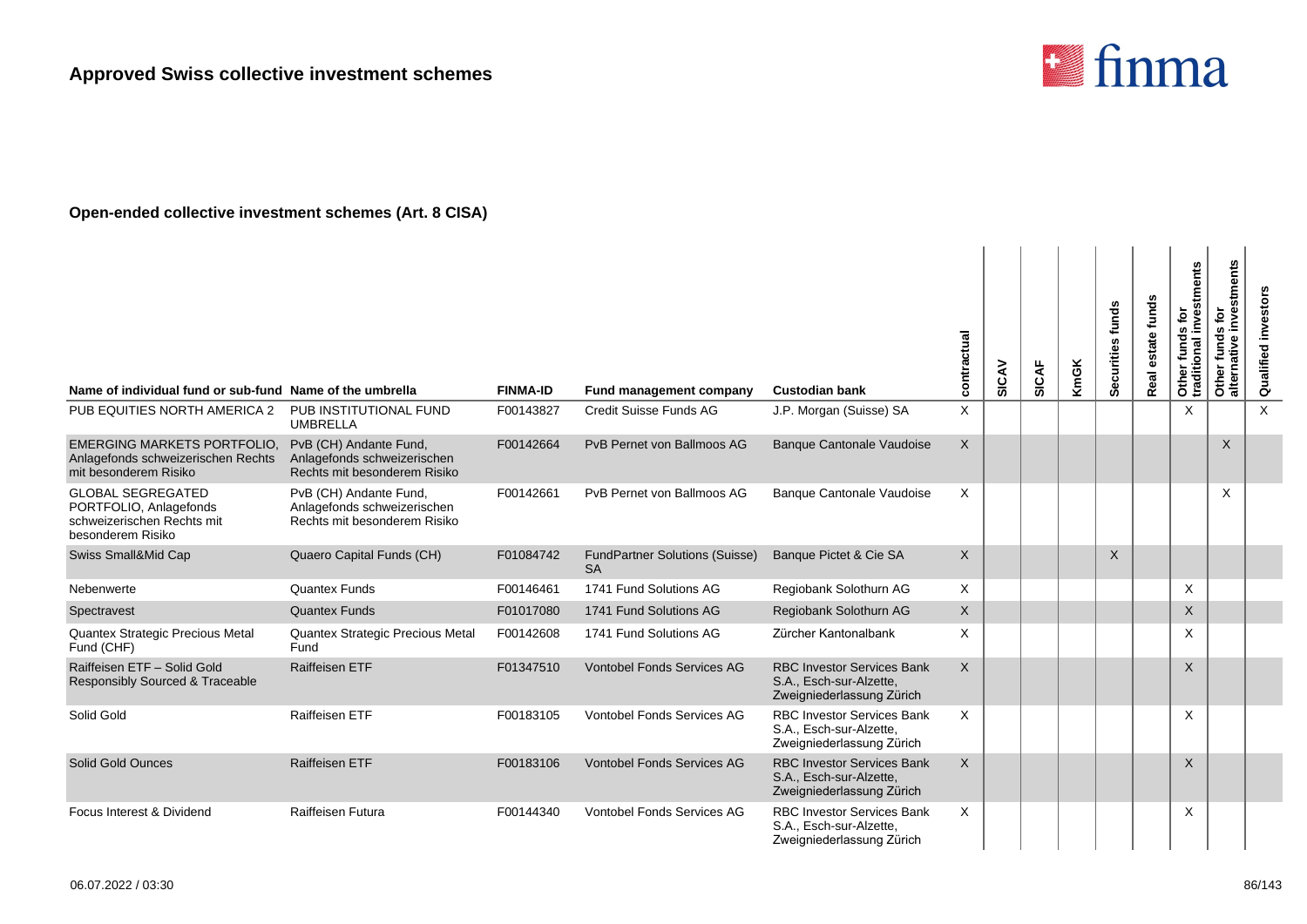

| Name of individual fund or sub-fund Name of the umbrella                                              |                                                                                       | <b>FINMA-ID</b> | Fund management company                            | <b>Custodian bank</b>                                                                     | contractual  | SICAV | SICAF | KmGK | Securities funds | Real estate funds | Other funds for<br>traditional investments | Other funds for<br>alternative investments | investors<br>Qualified |
|-------------------------------------------------------------------------------------------------------|---------------------------------------------------------------------------------------|-----------------|----------------------------------------------------|-------------------------------------------------------------------------------------------|--------------|-------|-------|------|------------------|-------------------|--------------------------------------------|--------------------------------------------|------------------------|
| PUB EQUITIES NORTH AMERICA 2                                                                          | PUB INSTITUTIONAL FUND<br><b>UMBRELLA</b>                                             | F00143827       | Credit Suisse Funds AG                             | J.P. Morgan (Suisse) SA                                                                   | X            |       |       |      |                  |                   | $\times$                                   |                                            | $\times$               |
| <b>EMERGING MARKETS PORTFOLIO.</b><br>Anlagefonds schweizerischen Rechts<br>mit besonderem Risiko     | PvB (CH) Andante Fund,<br>Anlagefonds schweizerischen<br>Rechts mit besonderem Risiko | F00142664       | PvB Pernet von Ballmoos AG                         | <b>Banque Cantonale Vaudoise</b>                                                          | $\mathsf{X}$ |       |       |      |                  |                   |                                            | $\times$                                   |                        |
| <b>GLOBAL SEGREGATED</b><br>PORTFOLIO, Anlagefonds<br>schweizerischen Rechts mit<br>besonderem Risiko | PvB (CH) Andante Fund,<br>Anlagefonds schweizerischen<br>Rechts mit besonderem Risiko | F00142661       | PvB Pernet von Ballmoos AG                         | Banque Cantonale Vaudoise                                                                 | Χ            |       |       |      |                  |                   |                                            | X                                          |                        |
| Swiss Small&Mid Cap                                                                                   | Quaero Capital Funds (CH)                                                             | F01084742       | <b>FundPartner Solutions (Suisse)</b><br><b>SA</b> | Banque Pictet & Cie SA                                                                    | X            |       |       |      | X                |                   |                                            |                                            |                        |
| Nebenwerte                                                                                            | Quantex Funds                                                                         | F00146461       | 1741 Fund Solutions AG                             | Regiobank Solothurn AG                                                                    | X            |       |       |      |                  |                   | X                                          |                                            |                        |
| Spectravest                                                                                           | <b>Quantex Funds</b>                                                                  | F01017080       | 1741 Fund Solutions AG                             | Regiobank Solothurn AG                                                                    | X            |       |       |      |                  |                   | $\times$                                   |                                            |                        |
| Quantex Strategic Precious Metal<br>Fund (CHF)                                                        | Quantex Strategic Precious Metal<br>Fund                                              | F00142608       | 1741 Fund Solutions AG                             | Zürcher Kantonalbank                                                                      | X            |       |       |      |                  |                   | X                                          |                                            |                        |
| Raiffeisen ETF - Solid Gold<br>Responsibly Sourced & Traceable                                        | Raiffeisen ETF                                                                        | F01347510       | <b>Vontobel Fonds Services AG</b>                  | <b>RBC Investor Services Bank</b><br>S.A., Esch-sur-Alzette,<br>Zweigniederlassung Zürich | X.           |       |       |      |                  |                   | X                                          |                                            |                        |
| Solid Gold                                                                                            | Raiffeisen ETF                                                                        | F00183105       | Vontobel Fonds Services AG                         | <b>RBC Investor Services Bank</b><br>S.A., Esch-sur-Alzette,<br>Zweigniederlassung Zürich | X            |       |       |      |                  |                   | X                                          |                                            |                        |
| <b>Solid Gold Ounces</b>                                                                              | Raiffeisen ETF                                                                        | F00183106       | <b>Vontobel Fonds Services AG</b>                  | <b>RBC Investor Services Bank</b><br>S.A., Esch-sur-Alzette,<br>Zweigniederlassung Zürich | X            |       |       |      |                  |                   | $\times$                                   |                                            |                        |
| Focus Interest & Dividend                                                                             | Raiffeisen Futura                                                                     | F00144340       | Vontobel Fonds Services AG                         | <b>RBC Investor Services Bank</b><br>S.A., Esch-sur-Alzette,<br>Zweigniederlassung Zürich | X            |       |       |      |                  |                   | X                                          |                                            |                        |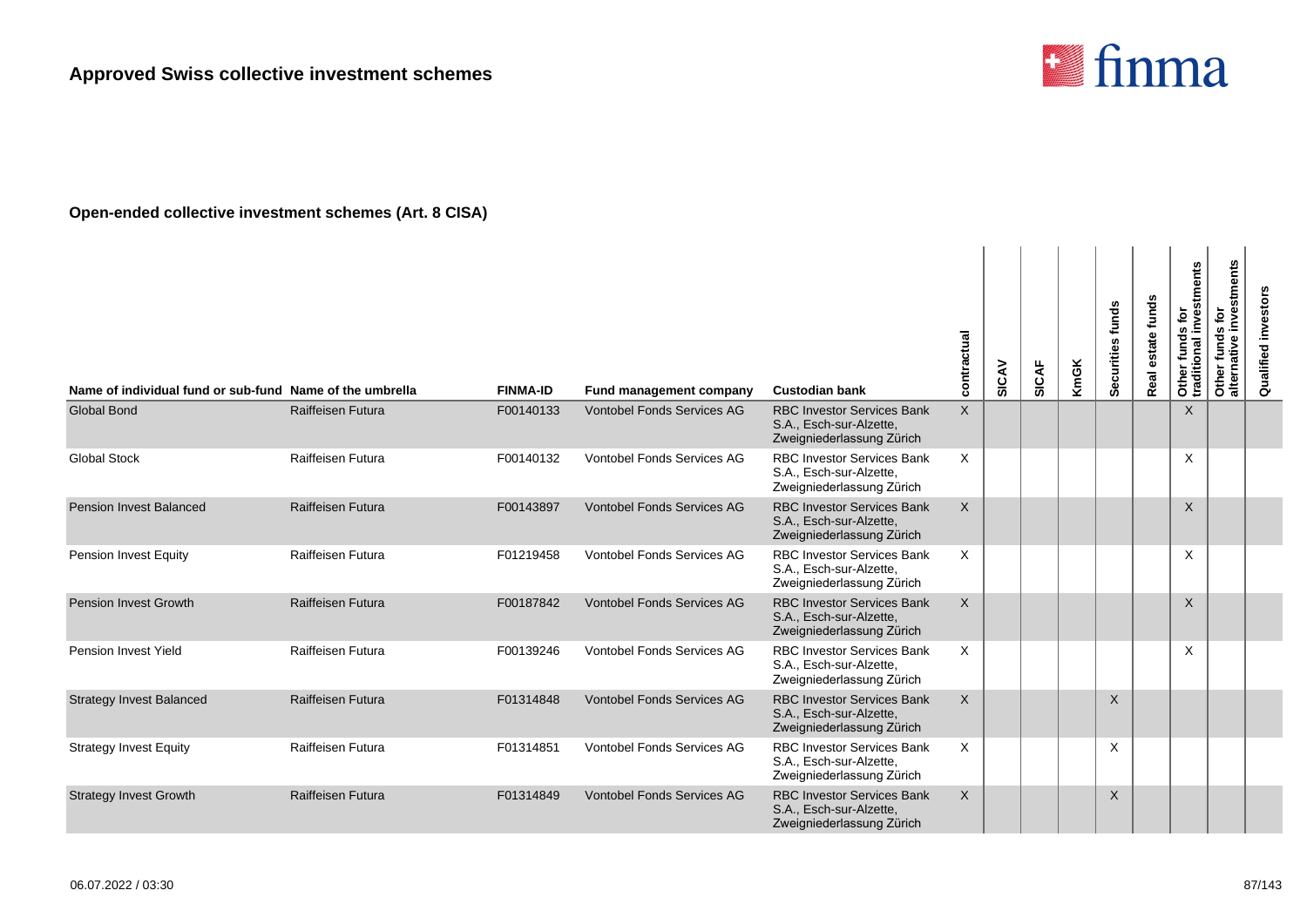

| Name of individual fund or sub-fund Name of the umbrella |                          | <b>FINMA-ID</b> | <b>Fund management company</b>    | <b>Custodian bank</b>                                                                     | contractual  | SICAV | SICAF | <b>KmGK</b> | Securities funds | estate funds<br><b>Real</b> | Other funds for<br>traditional investments | investments<br>Other funds for<br>alternative inves | Qualified investors |
|----------------------------------------------------------|--------------------------|-----------------|-----------------------------------|-------------------------------------------------------------------------------------------|--------------|-------|-------|-------------|------------------|-----------------------------|--------------------------------------------|-----------------------------------------------------|---------------------|
| <b>Global Bond</b>                                       | <b>Raiffeisen Futura</b> | F00140133       | <b>Vontobel Fonds Services AG</b> | <b>RBC Investor Services Bank</b><br>S.A., Esch-sur-Alzette,<br>Zweigniederlassung Zürich | $\mathsf{X}$ |       |       |             |                  |                             | $\mathsf{X}$                               |                                                     |                     |
| <b>Global Stock</b>                                      | Raiffeisen Futura        | F00140132       | <b>Vontobel Fonds Services AG</b> | <b>RBC Investor Services Bank</b><br>S.A., Esch-sur-Alzette,<br>Zweigniederlassung Zürich | $\times$     |       |       |             |                  |                             | X                                          |                                                     |                     |
| <b>Pension Invest Balanced</b>                           | Raiffeisen Futura        | F00143897       | <b>Vontobel Fonds Services AG</b> | <b>RBC Investor Services Bank</b><br>S.A., Esch-sur-Alzette,<br>Zweigniederlassung Zürich | $\times$     |       |       |             |                  |                             | $\times$                                   |                                                     |                     |
| <b>Pension Invest Equity</b>                             | Raiffeisen Futura        | F01219458       | Vontobel Fonds Services AG        | <b>RBC Investor Services Bank</b><br>S.A., Esch-sur-Alzette,<br>Zweigniederlassung Zürich | $\times$     |       |       |             |                  |                             | X                                          |                                                     |                     |
| <b>Pension Invest Growth</b>                             | Raiffeisen Futura        | F00187842       | <b>Vontobel Fonds Services AG</b> | <b>RBC Investor Services Bank</b><br>S.A., Esch-sur-Alzette,<br>Zweigniederlassung Zürich | X            |       |       |             |                  |                             | $\times$                                   |                                                     |                     |
| Pension Invest Yield                                     | Raiffeisen Futura        | F00139246       | Vontobel Fonds Services AG        | <b>RBC Investor Services Bank</b><br>S.A., Esch-sur-Alzette,<br>Zweigniederlassung Zürich | X            |       |       |             |                  |                             | X                                          |                                                     |                     |
| <b>Strategy Invest Balanced</b>                          | Raiffeisen Futura        | F01314848       | <b>Vontobel Fonds Services AG</b> | <b>RBC Investor Services Bank</b><br>S.A., Esch-sur-Alzette,<br>Zweigniederlassung Zürich | $\times$     |       |       |             | $\times$         |                             |                                            |                                                     |                     |
| <b>Strategy Invest Equity</b>                            | Raiffeisen Futura        | F01314851       | <b>Vontobel Fonds Services AG</b> | <b>RBC Investor Services Bank</b><br>S.A., Esch-sur-Alzette,<br>Zweigniederlassung Zürich | $\times$     |       |       |             | X                |                             |                                            |                                                     |                     |
| <b>Strategy Invest Growth</b>                            | Raiffeisen Futura        | F01314849       | <b>Vontobel Fonds Services AG</b> | <b>RBC Investor Services Bank</b><br>S.A., Esch-sur-Alzette,<br>Zweigniederlassung Zürich | $\times$     |       |       |             | $\times$         |                             |                                            |                                                     |                     |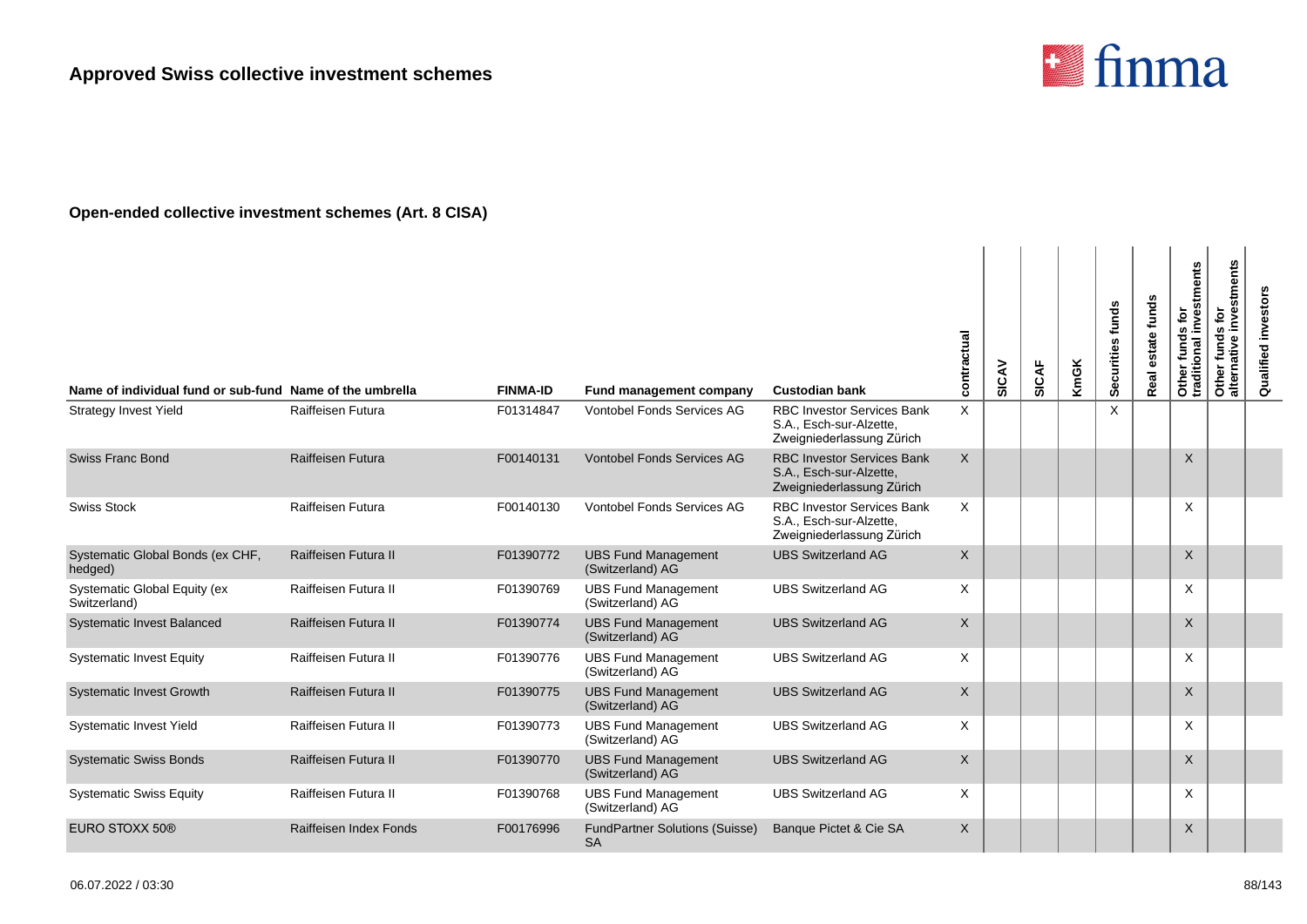

| Name of individual fund or sub-fund Name of the umbrella |                        | <b>FINMA-ID</b> | Fund management company                            | <b>Custodian bank</b>                                                                     | contractual  | SICAV | <b>SICAF</b> | <b>KmGK</b> | Securities funds | Real estate funds | stments<br>ē<br>inve<br>w<br>Other funds<br>traditional i | investments<br>Other funds for<br>alternative | investors<br>Qualified |
|----------------------------------------------------------|------------------------|-----------------|----------------------------------------------------|-------------------------------------------------------------------------------------------|--------------|-------|--------------|-------------|------------------|-------------------|-----------------------------------------------------------|-----------------------------------------------|------------------------|
| <b>Strategy Invest Yield</b>                             | Raiffeisen Futura      | F01314847       | <b>Vontobel Fonds Services AG</b>                  | <b>RBC Investor Services Bank</b><br>S.A., Esch-sur-Alzette,<br>Zweigniederlassung Zürich | X            |       |              |             | X                |                   |                                                           |                                               |                        |
| <b>Swiss Franc Bond</b>                                  | Raiffeisen Futura      | F00140131       | <b>Vontobel Fonds Services AG</b>                  | <b>RBC Investor Services Bank</b><br>S.A., Esch-sur-Alzette,<br>Zweigniederlassung Zürich | $\mathsf{X}$ |       |              |             |                  |                   | $\times$                                                  |                                               |                        |
| <b>Swiss Stock</b>                                       | Raiffeisen Futura      | F00140130       | <b>Vontobel Fonds Services AG</b>                  | <b>RBC Investor Services Bank</b><br>S.A., Esch-sur-Alzette,<br>Zweigniederlassung Zürich | X            |       |              |             |                  |                   | X                                                         |                                               |                        |
| Systematic Global Bonds (ex CHF,<br>hedged)              | Raiffeisen Futura II   | F01390772       | <b>UBS Fund Management</b><br>(Switzerland) AG     | <b>UBS Switzerland AG</b>                                                                 | $\sf X$      |       |              |             |                  |                   | X                                                         |                                               |                        |
| Systematic Global Equity (ex<br>Switzerland)             | Raiffeisen Futura II   | F01390769       | <b>UBS Fund Management</b><br>(Switzerland) AG     | <b>UBS Switzerland AG</b>                                                                 | X            |       |              |             |                  |                   | X                                                         |                                               |                        |
| <b>Systematic Invest Balanced</b>                        | Raiffeisen Futura II   | F01390774       | <b>UBS Fund Management</b><br>(Switzerland) AG     | <b>UBS Switzerland AG</b>                                                                 | $\sf X$      |       |              |             |                  |                   | X                                                         |                                               |                        |
| <b>Systematic Invest Equity</b>                          | Raiffeisen Futura II   | F01390776       | <b>UBS Fund Management</b><br>(Switzerland) AG     | <b>UBS Switzerland AG</b>                                                                 | X            |       |              |             |                  |                   | X                                                         |                                               |                        |
| <b>Systematic Invest Growth</b>                          | Raiffeisen Futura II   | F01390775       | <b>UBS Fund Management</b><br>(Switzerland) AG     | <b>UBS Switzerland AG</b>                                                                 | $\mathsf{X}$ |       |              |             |                  |                   | X                                                         |                                               |                        |
| <b>Systematic Invest Yield</b>                           | Raiffeisen Futura II   | F01390773       | <b>UBS Fund Management</b><br>(Switzerland) AG     | <b>UBS Switzerland AG</b>                                                                 | X            |       |              |             |                  |                   | X                                                         |                                               |                        |
| <b>Systematic Swiss Bonds</b>                            | Raiffeisen Futura II   | F01390770       | <b>UBS Fund Management</b><br>(Switzerland) AG     | <b>UBS Switzerland AG</b>                                                                 | $\sf X$      |       |              |             |                  |                   | X                                                         |                                               |                        |
| <b>Systematic Swiss Equity</b>                           | Raiffeisen Futura II   | F01390768       | <b>UBS Fund Management</b><br>(Switzerland) AG     | <b>UBS Switzerland AG</b>                                                                 | X            |       |              |             |                  |                   | X                                                         |                                               |                        |
| EURO STOXX 50®                                           | Raiffeisen Index Fonds | F00176996       | <b>FundPartner Solutions (Suisse)</b><br><b>SA</b> | Banque Pictet & Cie SA                                                                    | X            |       |              |             |                  |                   | X                                                         |                                               |                        |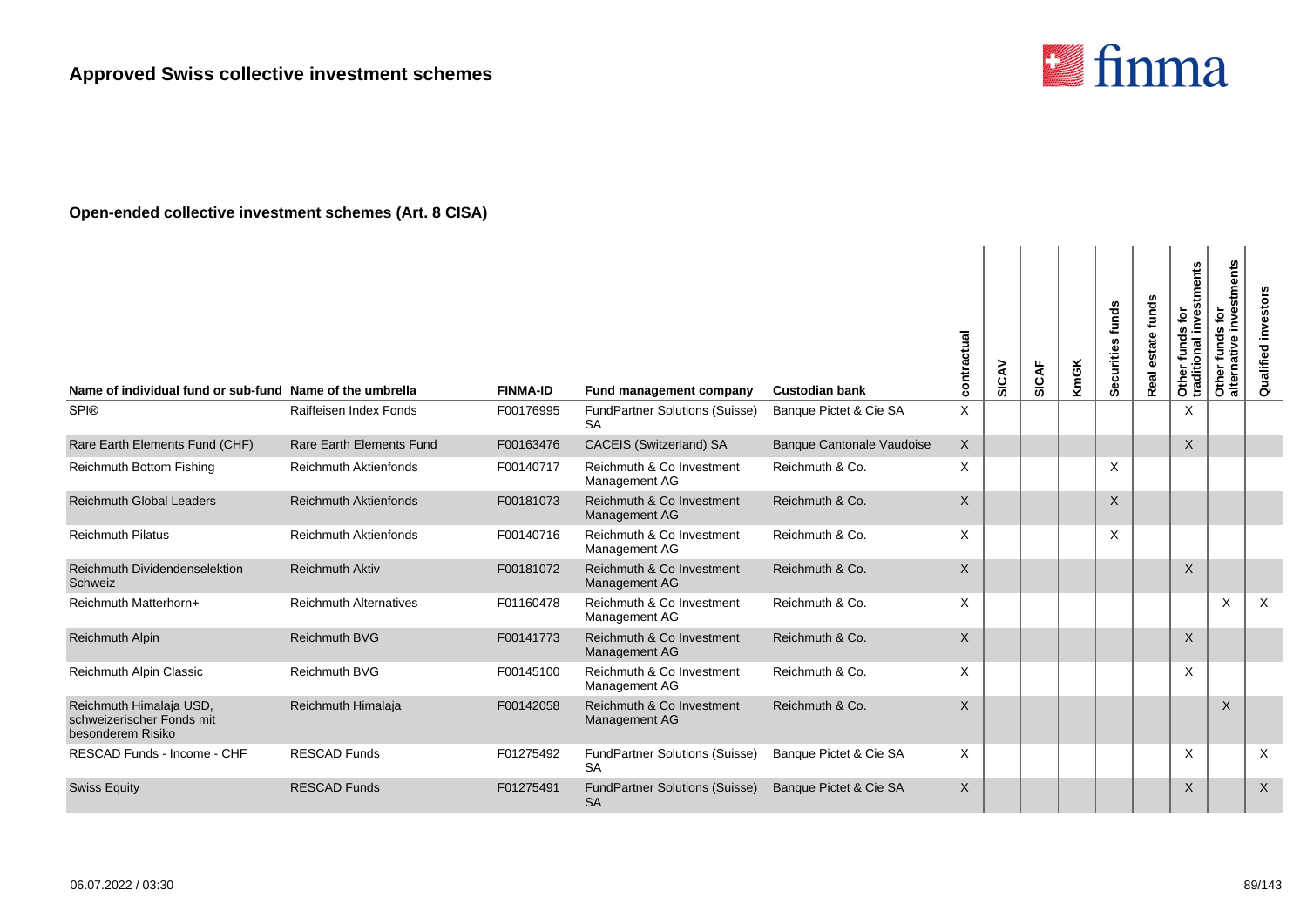

| Name of individual fund or sub-fund Name of the umbrella                  |                                 | <b>FINMA-ID</b> | Fund management company                            | <b>Custodian bank</b>            | contractual  | SICAV | SICAF | KmGK | Securities funds | funds<br>estate<br>Real | Other funds for<br>traditional investments | stments<br>funds for<br>inve<br>Other funds<br>alternative | Qualified investors |
|---------------------------------------------------------------------------|---------------------------------|-----------------|----------------------------------------------------|----------------------------------|--------------|-------|-------|------|------------------|-------------------------|--------------------------------------------|------------------------------------------------------------|---------------------|
| <b>SPI®</b>                                                               | Raiffeisen Index Fonds          | F00176995       | <b>FundPartner Solutions (Suisse)</b><br><b>SA</b> | Banque Pictet & Cie SA           | X            |       |       |      |                  |                         | $\times$                                   |                                                            |                     |
| Rare Earth Elements Fund (CHF)                                            | <b>Rare Earth Elements Fund</b> | F00163476       | CACEIS (Switzerland) SA                            | <b>Banque Cantonale Vaudoise</b> | $\times$     |       |       |      |                  |                         | $\times$                                   |                                                            |                     |
| Reichmuth Bottom Fishing                                                  | <b>Reichmuth Aktienfonds</b>    | F00140717       | Reichmuth & Co Investment<br>Management AG         | Reichmuth & Co.                  | X            |       |       |      | X                |                         |                                            |                                                            |                     |
| <b>Reichmuth Global Leaders</b>                                           | <b>Reichmuth Aktienfonds</b>    | F00181073       | Reichmuth & Co Investment<br>Management AG         | Reichmuth & Co.                  | $\sf X$      |       |       |      | $\sf X$          |                         |                                            |                                                            |                     |
| <b>Reichmuth Pilatus</b>                                                  | <b>Reichmuth Aktienfonds</b>    | F00140716       | Reichmuth & Co Investment<br>Management AG         | Reichmuth & Co.                  | X            |       |       |      | X                |                         |                                            |                                                            |                     |
| Reichmuth Dividendenselektion<br>Schweiz                                  | <b>Reichmuth Aktiv</b>          | F00181072       | Reichmuth & Co Investment<br>Management AG         | Reichmuth & Co.                  | $\mathsf{X}$ |       |       |      |                  |                         | $\times$                                   |                                                            |                     |
| Reichmuth Matterhorn+                                                     | <b>Reichmuth Alternatives</b>   | F01160478       | Reichmuth & Co Investment<br>Management AG         | Reichmuth & Co.                  | $\times$     |       |       |      |                  |                         |                                            | X                                                          | $\times$            |
| <b>Reichmuth Alpin</b>                                                    | <b>Reichmuth BVG</b>            | F00141773       | Reichmuth & Co Investment<br>Management AG         | Reichmuth & Co.                  | $\mathsf{X}$ |       |       |      |                  |                         | $\times$                                   |                                                            |                     |
| Reichmuth Alpin Classic                                                   | <b>Reichmuth BVG</b>            | F00145100       | Reichmuth & Co Investment<br>Management AG         | Reichmuth & Co.                  | $\times$     |       |       |      |                  |                         | X                                          |                                                            |                     |
| Reichmuth Himalaja USD,<br>schweizerischer Fonds mit<br>besonderem Risiko | Reichmuth Himalaja              | F00142058       | Reichmuth & Co Investment<br>Management AG         | Reichmuth & Co.                  | $\mathsf{X}$ |       |       |      |                  |                         |                                            | $\times$                                                   |                     |
| RESCAD Funds - Income - CHF                                               | <b>RESCAD Funds</b>             | F01275492       | <b>FundPartner Solutions (Suisse)</b><br><b>SA</b> | Banque Pictet & Cie SA           | $\times$     |       |       |      |                  |                         | X                                          |                                                            | $\times$            |
| <b>Swiss Equity</b>                                                       | <b>RESCAD Funds</b>             | F01275491       | <b>FundPartner Solutions (Suisse)</b><br><b>SA</b> | Banque Pictet & Cie SA           | $\mathsf{X}$ |       |       |      |                  |                         | X                                          |                                                            | $\times$            |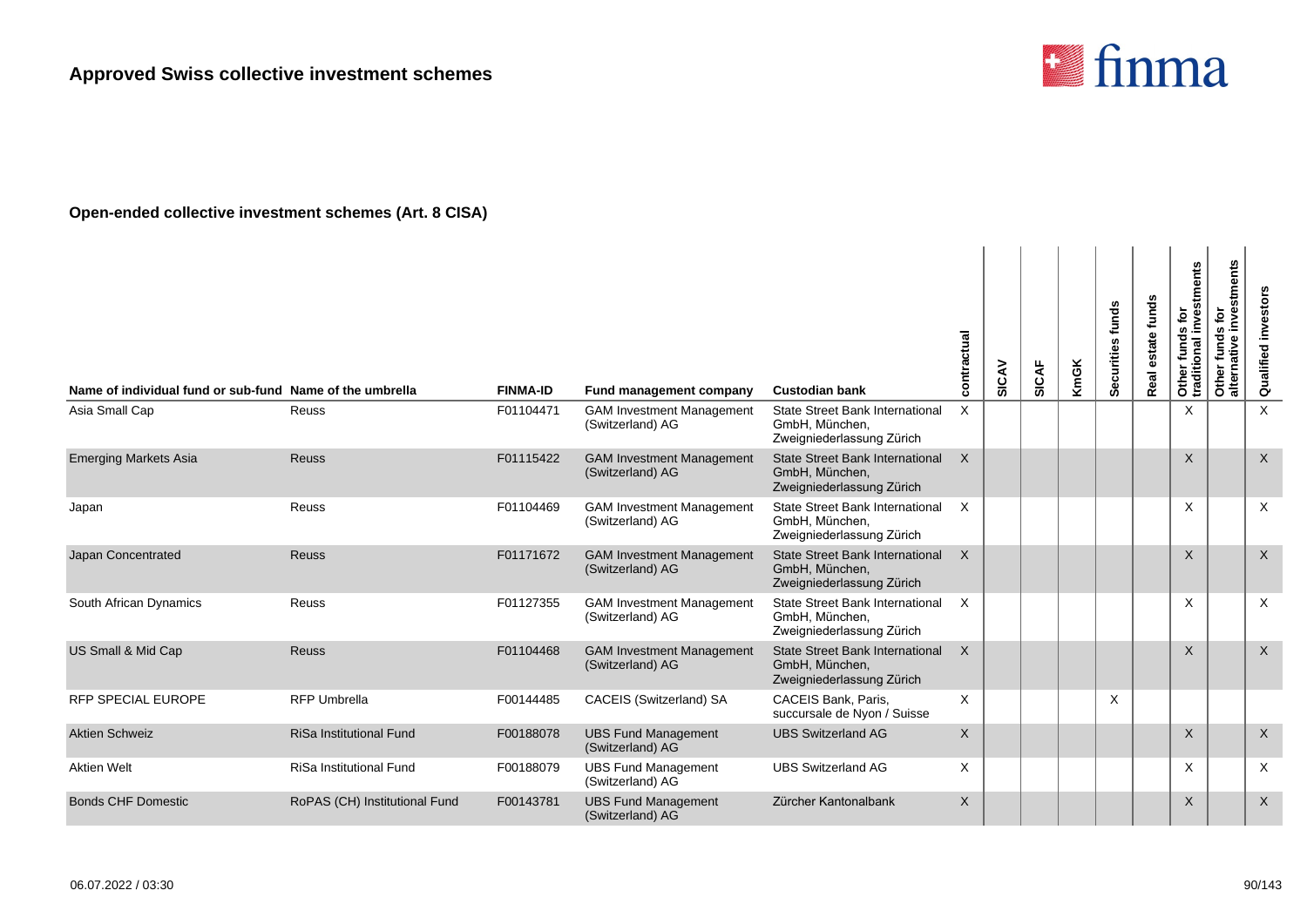

| Name of individual fund or sub-fund Name of the umbrella |                                | <b>FINMA-ID</b> | Fund management company                              | <b>Custodian bank</b>                                                                 | contractual | SICAV | SICAF | <b>KmGK</b> | Securities funds | funds<br>estate<br>Real | Other funds for<br>traditional investments | nvestments<br>$\mathbf{\tilde{e}}$<br><b>SC</b><br>fund<br>$rac{5}{10}$<br>Other<br>alterna | investors<br>Qualified |
|----------------------------------------------------------|--------------------------------|-----------------|------------------------------------------------------|---------------------------------------------------------------------------------------|-------------|-------|-------|-------------|------------------|-------------------------|--------------------------------------------|---------------------------------------------------------------------------------------------|------------------------|
| Asia Small Cap                                           | Reuss                          | F01104471       | <b>GAM Investment Management</b><br>(Switzerland) AG | <b>State Street Bank International</b><br>GmbH, München,<br>Zweigniederlassung Zürich | X           |       |       |             |                  |                         | X                                          |                                                                                             | $\times$               |
| <b>Emerging Markets Asia</b>                             | <b>Reuss</b>                   | F01115422       | <b>GAM Investment Management</b><br>(Switzerland) AG | <b>State Street Bank International</b><br>GmbH, München,<br>Zweigniederlassung Zürich | $\times$    |       |       |             |                  |                         | $\sf X$                                    |                                                                                             | $\sf X$                |
| Japan                                                    | Reuss                          | F01104469       | <b>GAM Investment Management</b><br>(Switzerland) AG | State Street Bank International<br>GmbH, München,<br>Zweigniederlassung Zürich        | $\times$    |       |       |             |                  |                         | X                                          |                                                                                             | $\times$               |
| Japan Concentrated                                       | Reuss                          | F01171672       | <b>GAM Investment Management</b><br>(Switzerland) AG | State Street Bank International<br>GmbH, München,<br>Zweigniederlassung Zürich        | $\times$    |       |       |             |                  |                         | $\mathsf{X}$                               |                                                                                             | $\times$               |
| South African Dynamics                                   | Reuss                          | F01127355       | <b>GAM Investment Management</b><br>(Switzerland) AG | State Street Bank International<br>GmbH, München,<br>Zweigniederlassung Zürich        | $\times$    |       |       |             |                  |                         | X                                          |                                                                                             | $\times$               |
| US Small & Mid Cap                                       | Reuss                          | F01104468       | <b>GAM Investment Management</b><br>(Switzerland) AG | <b>State Street Bank International</b><br>GmbH, München,<br>Zweigniederlassung Zürich | $\times$    |       |       |             |                  |                         | $\sf X$                                    |                                                                                             | $\mathsf X$            |
| <b>RFP SPECIAL EUROPE</b>                                | <b>RFP Umbrella</b>            | F00144485       | CACEIS (Switzerland) SA                              | CACEIS Bank, Paris,<br>succursale de Nyon / Suisse                                    | X           |       |       |             | X                |                         |                                            |                                                                                             |                        |
| <b>Aktien Schweiz</b>                                    | <b>RiSa Institutional Fund</b> | F00188078       | <b>UBS Fund Management</b><br>(Switzerland) AG       | <b>UBS Switzerland AG</b>                                                             | $\sf X$     |       |       |             |                  |                         | X                                          |                                                                                             | $\sf X$                |
| <b>Aktien Welt</b>                                       | RiSa Institutional Fund        | F00188079       | <b>UBS Fund Management</b><br>(Switzerland) AG       | <b>UBS Switzerland AG</b>                                                             | X           |       |       |             |                  |                         | X                                          |                                                                                             | X                      |
| <b>Bonds CHF Domestic</b>                                | RoPAS (CH) Institutional Fund  | F00143781       | <b>UBS Fund Management</b><br>(Switzerland) AG       | Zürcher Kantonalbank                                                                  | X           |       |       |             |                  |                         | X                                          |                                                                                             | $\times$               |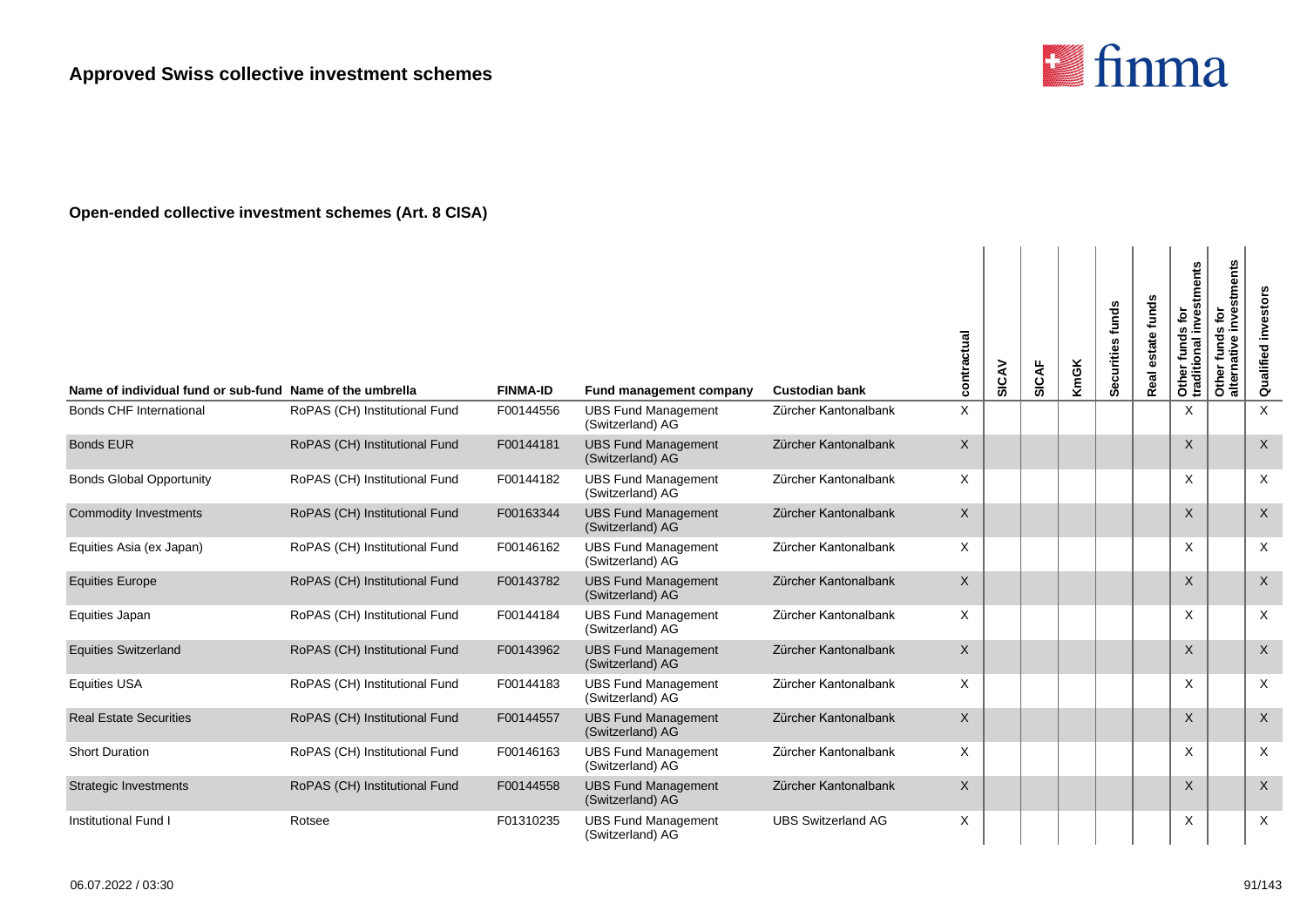

| Name of individual fund or sub-fund Name of the umbrella |                               | <b>FINMA-ID</b> | Fund management company                        | <b>Custodian bank</b>     | contractual  | SICAV | <b>SICAF</b> | <b>KmGK</b> | Securities funds | funds<br>estate<br>Real | Other funds for<br>traditional investments | stments<br>ć<br>$\boldsymbol{a}$<br>funds<br>ω<br>ati⊻<br>Other 1<br>alterna | <b>Qualified investors</b> |
|----------------------------------------------------------|-------------------------------|-----------------|------------------------------------------------|---------------------------|--------------|-------|--------------|-------------|------------------|-------------------------|--------------------------------------------|------------------------------------------------------------------------------|----------------------------|
| <b>Bonds CHF International</b>                           | RoPAS (CH) Institutional Fund | F00144556       | <b>UBS Fund Management</b><br>(Switzerland) AG | Zürcher Kantonalbank      | X            |       |              |             |                  |                         | X                                          |                                                                              | $\mathsf{x}$               |
| <b>Bonds EUR</b>                                         | RoPAS (CH) Institutional Fund | F00144181       | <b>UBS Fund Management</b><br>(Switzerland) AG | Zürcher Kantonalbank      | $\mathsf X$  |       |              |             |                  |                         | X                                          |                                                                              | $\sf X$                    |
| <b>Bonds Global Opportunity</b>                          | RoPAS (CH) Institutional Fund | F00144182       | <b>UBS Fund Management</b><br>(Switzerland) AG | Zürcher Kantonalbank      | X            |       |              |             |                  |                         | X                                          |                                                                              | $\times$                   |
| <b>Commodity Investments</b>                             | RoPAS (CH) Institutional Fund | F00163344       | <b>UBS Fund Management</b><br>(Switzerland) AG | Zürcher Kantonalbank      | $\times$     |       |              |             |                  |                         | X                                          |                                                                              | $\times$                   |
| Equities Asia (ex Japan)                                 | RoPAS (CH) Institutional Fund | F00146162       | <b>UBS Fund Management</b><br>(Switzerland) AG | Zürcher Kantonalbank      | X            |       |              |             |                  |                         | X                                          |                                                                              | $\times$                   |
| <b>Equities Europe</b>                                   | RoPAS (CH) Institutional Fund | F00143782       | <b>UBS Fund Management</b><br>(Switzerland) AG | Zürcher Kantonalbank      | $\mathsf X$  |       |              |             |                  |                         | $\times$                                   |                                                                              | $\boldsymbol{\mathsf{X}}$  |
| Equities Japan                                           | RoPAS (CH) Institutional Fund | F00144184       | <b>UBS Fund Management</b><br>(Switzerland) AG | Zürcher Kantonalbank      | X            |       |              |             |                  |                         | X                                          |                                                                              | $\boldsymbol{\mathsf{X}}$  |
| <b>Equities Switzerland</b>                              | RoPAS (CH) Institutional Fund | F00143962       | <b>UBS Fund Management</b><br>(Switzerland) AG | Zürcher Kantonalbank      | $\sf X$      |       |              |             |                  |                         | X                                          |                                                                              | $\times$                   |
| <b>Equities USA</b>                                      | RoPAS (CH) Institutional Fund | F00144183       | <b>UBS Fund Management</b><br>(Switzerland) AG | Zürcher Kantonalbank      | X            |       |              |             |                  |                         | X                                          |                                                                              | $\times$                   |
| <b>Real Estate Securities</b>                            | RoPAS (CH) Institutional Fund | F00144557       | <b>UBS Fund Management</b><br>(Switzerland) AG | Zürcher Kantonalbank      | $\times$     |       |              |             |                  |                         | $\mathsf{X}$                               |                                                                              | $\mathsf{X}$               |
| <b>Short Duration</b>                                    | RoPAS (CH) Institutional Fund | F00146163       | <b>UBS Fund Management</b><br>(Switzerland) AG | Zürcher Kantonalbank      | X            |       |              |             |                  |                         | X                                          |                                                                              | $\times$                   |
| <b>Strategic Investments</b>                             | RoPAS (CH) Institutional Fund | F00144558       | <b>UBS Fund Management</b><br>(Switzerland) AG | Zürcher Kantonalbank      | $\mathsf{X}$ |       |              |             |                  |                         | X                                          |                                                                              | $\mathsf X$                |
| <b>Institutional Fund I</b>                              | Rotsee                        | F01310235       | <b>UBS Fund Management</b><br>(Switzerland) AG | <b>UBS Switzerland AG</b> | X            |       |              |             |                  |                         | X                                          |                                                                              | $\times$                   |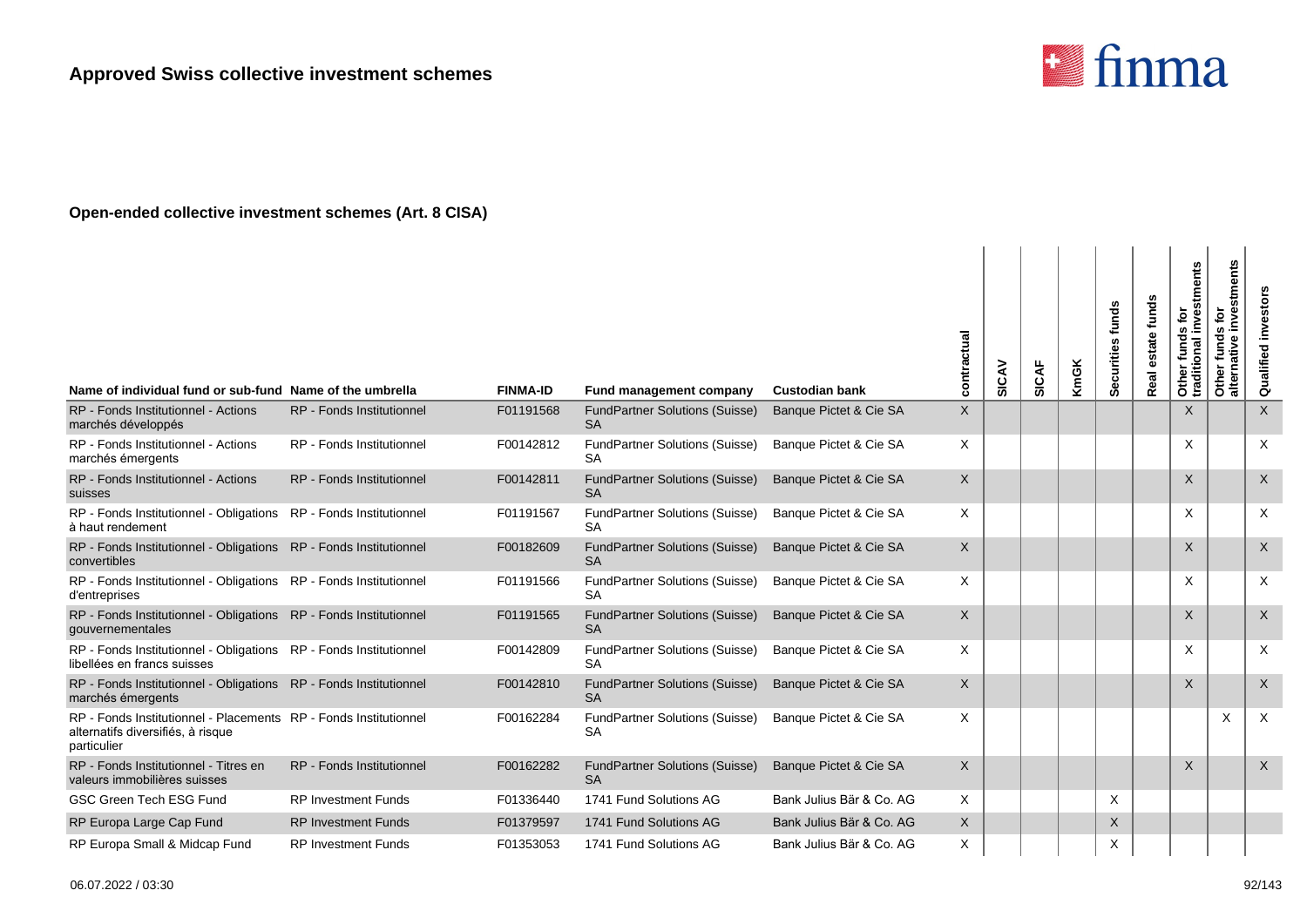

| Name of individual fund or sub-fund Name of the umbrella                                                             |                                  | <b>FINMA-ID</b> | Fund management company                            | <b>Custodian bank</b>    | contractual  | SICAV | SICAF | KmGK | Securities funds | funds<br>estate<br>Real | Other funds for<br>traditional investments | investments<br>funds for<br>Other funds<br>alternative | Qualified investors |
|----------------------------------------------------------------------------------------------------------------------|----------------------------------|-----------------|----------------------------------------------------|--------------------------|--------------|-------|-------|------|------------------|-------------------------|--------------------------------------------|--------------------------------------------------------|---------------------|
| RP - Fonds Institutionnel - Actions<br>marchés développés                                                            | <b>RP</b> - Fonds Institutionnel | F01191568       | <b>FundPartner Solutions (Suisse)</b><br><b>SA</b> | Banque Pictet & Cie SA   | $\mathsf{X}$ |       |       |      |                  |                         | $\sf X$                                    |                                                        | $\times$            |
| RP - Fonds Institutionnel - Actions<br>marchés émergents                                                             | <b>RP</b> - Fonds Institutionnel | F00142812       | FundPartner Solutions (Suisse)<br><b>SA</b>        | Banque Pictet & Cie SA   | $\times$     |       |       |      |                  |                         | X                                          |                                                        | $\times$            |
| RP - Fonds Institutionnel - Actions<br>suisses                                                                       | <b>RP</b> - Fonds Institutionnel | F00142811       | <b>FundPartner Solutions (Suisse)</b><br><b>SA</b> | Banque Pictet & Cie SA   | $\mathsf{X}$ |       |       |      |                  |                         | X                                          |                                                        | $\times$            |
| RP - Fonds Institutionnel - Obligations RP - Fonds Institutionnel<br>à haut rendement                                |                                  | F01191567       | FundPartner Solutions (Suisse)<br><b>SA</b>        | Banque Pictet & Cie SA   | $\times$     |       |       |      |                  |                         | X                                          |                                                        | X                   |
| RP - Fonds Institutionnel - Obligations RP - Fonds Institutionnel<br>convertibles                                    |                                  | F00182609       | <b>FundPartner Solutions (Suisse)</b><br><b>SA</b> | Banque Pictet & Cie SA   | $\mathsf{X}$ |       |       |      |                  |                         | X                                          |                                                        | $\mathsf{X}$        |
| RP - Fonds Institutionnel - Obligations RP - Fonds Institutionnel<br>d'entreprises                                   |                                  | F01191566       | <b>FundPartner Solutions (Suisse)</b><br><b>SA</b> | Banque Pictet & Cie SA   | $\times$     |       |       |      |                  |                         | X                                          |                                                        | $\times$            |
| RP - Fonds Institutionnel - Obligations RP - Fonds Institutionnel<br>gouvernementales                                |                                  | F01191565       | <b>FundPartner Solutions (Suisse)</b><br><b>SA</b> | Banque Pictet & Cie SA   | $\mathsf{X}$ |       |       |      |                  |                         | X                                          |                                                        | $\mathsf{X}$        |
| RP - Fonds Institutionnel - Obligations RP - Fonds Institutionnel<br>libellées en francs suisses                     |                                  | F00142809       | <b>FundPartner Solutions (Suisse)</b><br><b>SA</b> | Banque Pictet & Cie SA   | $\times$     |       |       |      |                  |                         | X                                          |                                                        | $\times$            |
| RP - Fonds Institutionnel - Obligations RP - Fonds Institutionnel<br>marchés émergents                               |                                  | F00142810       | <b>FundPartner Solutions (Suisse)</b><br><b>SA</b> | Banque Pictet & Cie SA   | $\mathsf{X}$ |       |       |      |                  |                         | $\mathsf{X}$                               |                                                        | $\times$            |
| RP - Fonds Institutionnel - Placements RP - Fonds Institutionnel<br>alternatifs diversifiés, à risque<br>particulier |                                  | F00162284       | FundPartner Solutions (Suisse)<br><b>SA</b>        | Banque Pictet & Cie SA   | X            |       |       |      |                  |                         |                                            | X                                                      | X                   |
| RP - Fonds Institutionnel - Titres en<br>valeurs immobilières suisses                                                | RP - Fonds Institutionnel        | F00162282       | <b>FundPartner Solutions (Suisse)</b><br><b>SA</b> | Banque Pictet & Cie SA   | $\mathsf{X}$ |       |       |      |                  |                         | $\sf X$                                    |                                                        | $\mathsf{X}$        |
| <b>GSC Green Tech ESG Fund</b>                                                                                       | <b>RP Investment Funds</b>       | F01336440       | 1741 Fund Solutions AG                             | Bank Julius Bär & Co. AG | $\times$     |       |       |      | X                |                         |                                            |                                                        |                     |
| RP Europa Large Cap Fund                                                                                             | <b>RP Investment Funds</b>       | F01379597       | 1741 Fund Solutions AG                             | Bank Julius Bär & Co. AG | $\times$     |       |       |      | X                |                         |                                            |                                                        |                     |
| RP Europa Small & Midcap Fund                                                                                        | <b>RP Investment Funds</b>       | F01353053       | 1741 Fund Solutions AG                             | Bank Julius Bär & Co. AG | X            |       |       |      | X                |                         |                                            |                                                        |                     |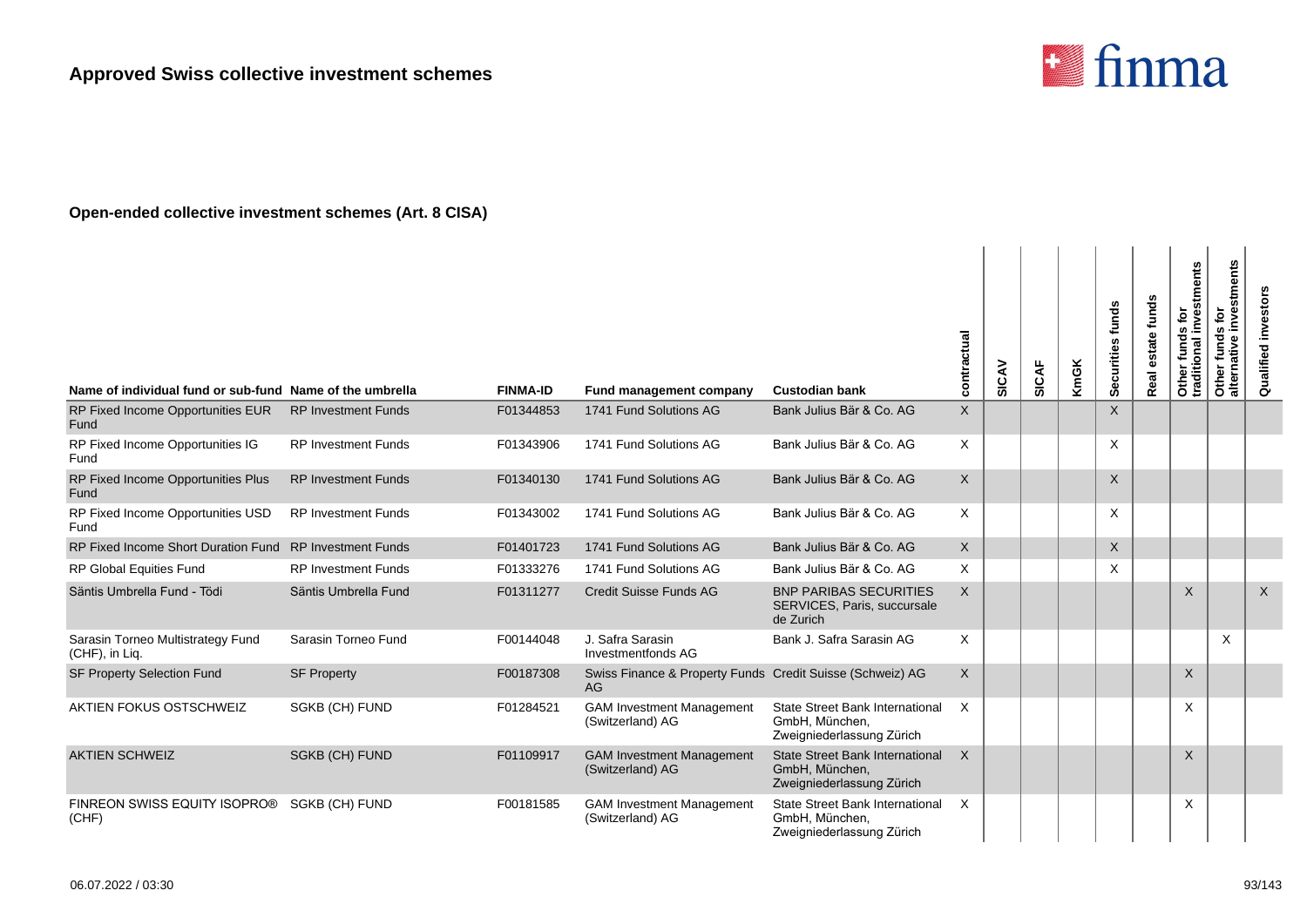

| Name of individual fund or sub-fund Name of the umbrella |                            | <b>FINMA-ID</b> | Fund management company                                          | <b>Custodian bank</b>                                                                 | contractual  | SICAV | <b>SICAF</b> | <b>KmGK</b> | Securities funds | estate funds<br>Real | Other funds for<br>traditional investments | ents<br>stm<br><b>jo</b><br><b>S</b><br>fund<br>ativ<br>Other<br>alterna | Qualified investors |
|----------------------------------------------------------|----------------------------|-----------------|------------------------------------------------------------------|---------------------------------------------------------------------------------------|--------------|-------|--------------|-------------|------------------|----------------------|--------------------------------------------|--------------------------------------------------------------------------|---------------------|
| RP Fixed Income Opportunities EUR<br>Fund                | <b>RP Investment Funds</b> | F01344853       | 1741 Fund Solutions AG                                           | Bank Julius Bär & Co. AG                                                              | $\mathsf{X}$ |       |              |             | X                |                      |                                            |                                                                          |                     |
| RP Fixed Income Opportunities IG<br>Fund                 | <b>RP Investment Funds</b> | F01343906       | 1741 Fund Solutions AG                                           | Bank Julius Bär & Co. AG                                                              | $\times$     |       |              |             | X                |                      |                                            |                                                                          |                     |
| RP Fixed Income Opportunities Plus<br>Fund               | <b>RP Investment Funds</b> | F01340130       | 1741 Fund Solutions AG                                           | Bank Julius Bär & Co. AG                                                              | $\times$     |       |              |             | $\mathsf X$      |                      |                                            |                                                                          |                     |
| RP Fixed Income Opportunities USD<br>Fund                | <b>RP Investment Funds</b> | F01343002       | 1741 Fund Solutions AG                                           | Bank Julius Bär & Co. AG                                                              | $\times$     |       |              |             | X                |                      |                                            |                                                                          |                     |
| RP Fixed Income Short Duration Fund RP Investment Funds  |                            | F01401723       | 1741 Fund Solutions AG                                           | Bank Julius Bär & Co. AG                                                              | $\times$     |       |              |             | X                |                      |                                            |                                                                          |                     |
| <b>RP Global Equities Fund</b>                           | <b>RP Investment Funds</b> | F01333276       | 1741 Fund Solutions AG                                           | Bank Julius Bär & Co. AG                                                              | $\times$     |       |              |             | X                |                      |                                            |                                                                          |                     |
| Säntis Umbrella Fund - Tödi                              | Säntis Umbrella Fund       | F01311277       | Credit Suisse Funds AG                                           | <b>BNP PARIBAS SECURITIES</b><br>SERVICES, Paris, succursale<br>de Zurich             | $\times$     |       |              |             |                  |                      | $\sf X$                                    |                                                                          | $\sf X$             |
| Sarasin Torneo Multistrategy Fund<br>(CHF), in Lig.      | Sarasin Torneo Fund        | F00144048       | J. Safra Sarasin<br>Investmentfonds AG                           | Bank J. Safra Sarasin AG                                                              | $\times$     |       |              |             |                  |                      |                                            | $\times$                                                                 |                     |
| <b>SF Property Selection Fund</b>                        | <b>SF Property</b>         | F00187308       | Swiss Finance & Property Funds Credit Suisse (Schweiz) AG<br>AG. |                                                                                       | $\times$     |       |              |             |                  |                      | X                                          |                                                                          |                     |
| AKTIEN FOKUS OSTSCHWEIZ                                  | SGKB (CH) FUND             | F01284521       | <b>GAM Investment Management</b><br>(Switzerland) AG             | State Street Bank International<br>GmbH, München,<br>Zweigniederlassung Zürich        | $\times$     |       |              |             |                  |                      | X                                          |                                                                          |                     |
| <b>AKTIEN SCHWEIZ</b>                                    | SGKB (CH) FUND             | F01109917       | <b>GAM Investment Management</b><br>(Switzerland) AG             | State Street Bank International<br>GmbH, München,<br>Zweigniederlassung Zürich        | $\times$     |       |              |             |                  |                      | $\times$                                   |                                                                          |                     |
| FINREON SWISS EQUITY ISOPRO®<br>(CHF)                    | SGKB (CH) FUND             | F00181585       | <b>GAM Investment Management</b><br>(Switzerland) AG             | <b>State Street Bank International</b><br>GmbH, München,<br>Zweigniederlassung Zürich | $\times$     |       |              |             |                  |                      | X                                          |                                                                          |                     |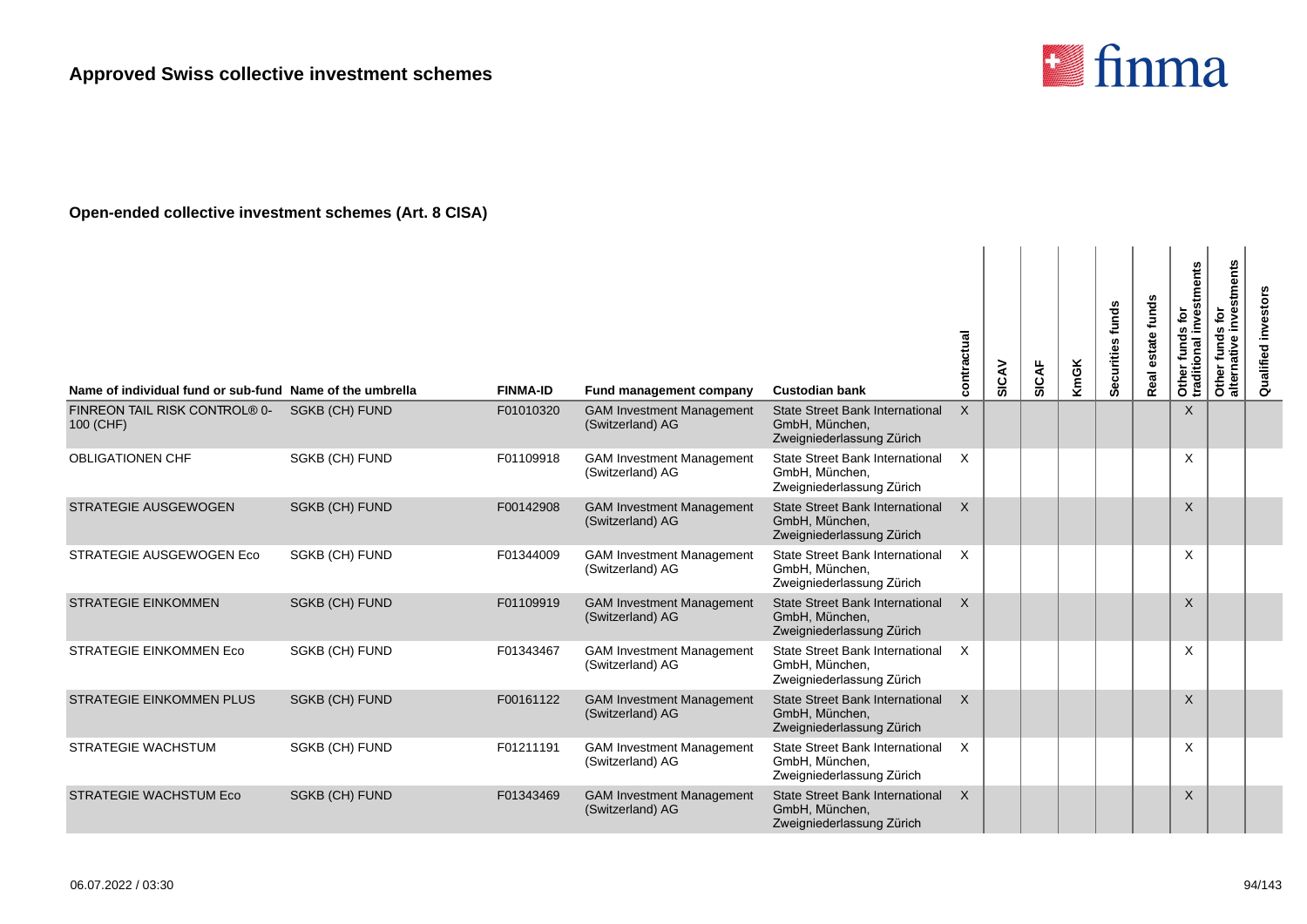

| Name of individual fund or sub-fund Name of the umbrella |                       | <b>FINMA-ID</b> | Fund management company                              | <b>Custodian bank</b>                                                                 | contractual | SICAV | <b>SICAF</b> | <b>KmGK</b> | Securities funds | estate funds<br><b>Real</b> | Other funds for<br>traditional investments | investments<br>Other funds for<br>alternative inves | Qualified investors |
|----------------------------------------------------------|-----------------------|-----------------|------------------------------------------------------|---------------------------------------------------------------------------------------|-------------|-------|--------------|-------------|------------------|-----------------------------|--------------------------------------------|-----------------------------------------------------|---------------------|
| FINREON TAIL RISK CONTROL® 0-<br>100 (CHF)               | <b>SGKB (CH) FUND</b> | F01010320       | <b>GAM Investment Management</b><br>(Switzerland) AG | <b>State Street Bank International</b><br>GmbH, München,<br>Zweigniederlassung Zürich | X           |       |              |             |                  |                             | $\times$                                   |                                                     |                     |
| <b>OBLIGATIONEN CHF</b>                                  | <b>SGKB (CH) FUND</b> | F01109918       | <b>GAM Investment Management</b><br>(Switzerland) AG | <b>State Street Bank International</b><br>GmbH, München,<br>Zweigniederlassung Zürich | $\times$    |       |              |             |                  |                             | X                                          |                                                     |                     |
| <b>STRATEGIE AUSGEWOGEN</b>                              | <b>SGKB (CH) FUND</b> | F00142908       | <b>GAM Investment Management</b><br>(Switzerland) AG | <b>State Street Bank International</b><br>GmbH, München,<br>Zweigniederlassung Zürich | $\times$    |       |              |             |                  |                             | $\times$                                   |                                                     |                     |
| STRATEGIE AUSGEWOGEN Eco                                 | <b>SGKB (CH) FUND</b> | F01344009       | <b>GAM Investment Management</b><br>(Switzerland) AG | State Street Bank International<br>GmbH, München,<br>Zweigniederlassung Zürich        | $\times$    |       |              |             |                  |                             | $\times$                                   |                                                     |                     |
| <b>STRATEGIE EINKOMMEN</b>                               | <b>SGKB (CH) FUND</b> | F01109919       | <b>GAM Investment Management</b><br>(Switzerland) AG | State Street Bank International<br>GmbH, München,<br>Zweigniederlassung Zürich        | $\times$    |       |              |             |                  |                             | $\times$                                   |                                                     |                     |
| <b>STRATEGIE EINKOMMEN Eco</b>                           | <b>SGKB (CH) FUND</b> | F01343467       | <b>GAM Investment Management</b><br>(Switzerland) AG | <b>State Street Bank International</b><br>GmbH, München,<br>Zweigniederlassung Zürich | $\times$    |       |              |             |                  |                             | X                                          |                                                     |                     |
| <b>STRATEGIE EINKOMMEN PLUS</b>                          | <b>SGKB (CH) FUND</b> | F00161122       | <b>GAM Investment Management</b><br>(Switzerland) AG | State Street Bank International<br>GmbH, München,<br>Zweigniederlassung Zürich        | $\times$    |       |              |             |                  |                             | $\mathsf{X}$                               |                                                     |                     |
| <b>STRATEGIE WACHSTUM</b>                                | SGKB (CH) FUND        | F01211191       | <b>GAM Investment Management</b><br>(Switzerland) AG | State Street Bank International<br>GmbH, München,<br>Zweigniederlassung Zürich        | $\times$    |       |              |             |                  |                             | X                                          |                                                     |                     |
| <b>STRATEGIE WACHSTUM Eco</b>                            | <b>SGKB (CH) FUND</b> | F01343469       | <b>GAM Investment Management</b><br>(Switzerland) AG | <b>State Street Bank International</b><br>GmbH, München,<br>Zweigniederlassung Zürich | $\times$    |       |              |             |                  |                             | $\times$                                   |                                                     |                     |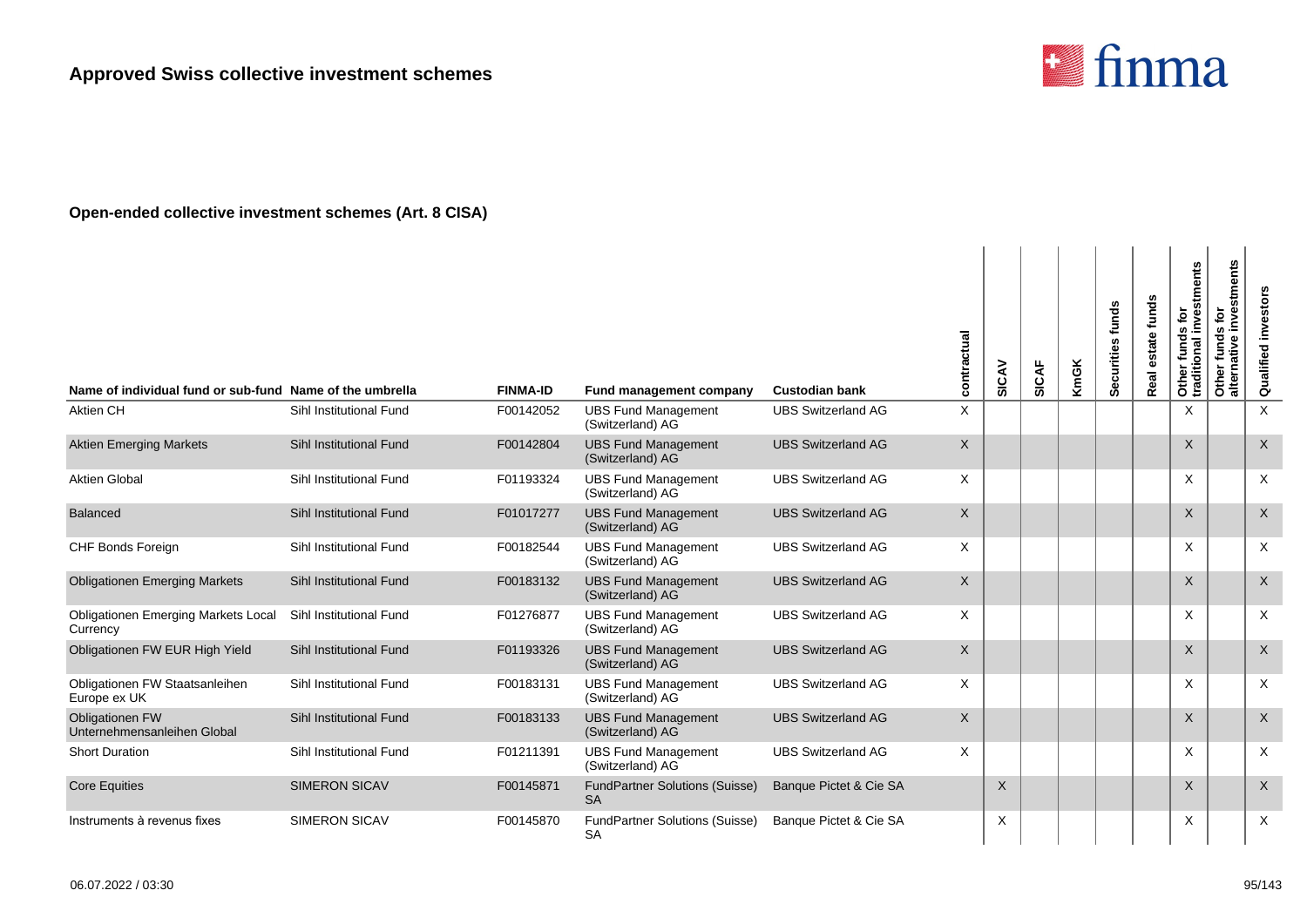

| Name of individual fund or sub-fund Name of the umbrella |                         | <b>FINMA-ID</b> | Fund management company                            | <b>Custodian bank</b>     | contractual      | SICAV    | SICAF | <b>KmGK</b> | Securities funds | funds<br>state<br>Ö<br>Real | Other funds for<br>traditional investments | stments<br>$\mathbf{\tilde{e}}$<br>ë<br>≥<br>funds<br>ω<br>āti<br>Other<br>alterna | Qualified investors       |
|----------------------------------------------------------|-------------------------|-----------------|----------------------------------------------------|---------------------------|------------------|----------|-------|-------------|------------------|-----------------------------|--------------------------------------------|------------------------------------------------------------------------------------|---------------------------|
| <b>Aktien CH</b>                                         | Sihl Institutional Fund | F00142052       | <b>UBS Fund Management</b><br>(Switzerland) AG     | <b>UBS Switzerland AG</b> | X                |          |       |             |                  |                             | X                                          |                                                                                    | $\times$                  |
| <b>Aktien Emerging Markets</b>                           | Sihl Institutional Fund | F00142804       | <b>UBS Fund Management</b><br>(Switzerland) AG     | <b>UBS Switzerland AG</b> | $\mathsf{X}$     |          |       |             |                  |                             | $\sf X$                                    |                                                                                    | $\sf X$                   |
| <b>Aktien Global</b>                                     | Sihl Institutional Fund | F01193324       | <b>UBS Fund Management</b><br>(Switzerland) AG     | <b>UBS Switzerland AG</b> | X                |          |       |             |                  |                             | X                                          |                                                                                    | $\times$                  |
| <b>Balanced</b>                                          | Sihl Institutional Fund | F01017277       | <b>UBS Fund Management</b><br>(Switzerland) AG     | <b>UBS Switzerland AG</b> | $\sf X$          |          |       |             |                  |                             | $\sf X$                                    |                                                                                    | $\times$                  |
| CHF Bonds Foreign                                        | Sihl Institutional Fund | F00182544       | <b>UBS Fund Management</b><br>(Switzerland) AG     | <b>UBS Switzerland AG</b> | Χ                |          |       |             |                  |                             | X                                          |                                                                                    | $\times$                  |
| <b>Obligationen Emerging Markets</b>                     | Sihl Institutional Fund | F00183132       | <b>UBS Fund Management</b><br>(Switzerland) AG     | <b>UBS Switzerland AG</b> | $\boldsymbol{X}$ |          |       |             |                  |                             | X                                          |                                                                                    | $\times$                  |
| <b>Obligationen Emerging Markets Local</b><br>Currency   | Sihl Institutional Fund | F01276877       | <b>UBS Fund Management</b><br>(Switzerland) AG     | <b>UBS Switzerland AG</b> | Χ                |          |       |             |                  |                             | X                                          |                                                                                    | $\times$                  |
| Obligationen FW EUR High Yield                           | Sihl Institutional Fund | F01193326       | <b>UBS Fund Management</b><br>(Switzerland) AG     | <b>UBS Switzerland AG</b> | $\mathsf{X}$     |          |       |             |                  |                             | $\sf X$                                    |                                                                                    | $\sf X$                   |
| Obligationen FW Staatsanleihen<br>Europe ex UK           | Sihl Institutional Fund | F00183131       | <b>UBS Fund Management</b><br>(Switzerland) AG     | <b>UBS Switzerland AG</b> | $\times$         |          |       |             |                  |                             | X                                          |                                                                                    | $\times$                  |
| Obligationen FW<br>Unternehmensanleihen Global           | Sihl Institutional Fund | F00183133       | <b>UBS Fund Management</b><br>(Switzerland) AG     | <b>UBS Switzerland AG</b> | $\sf X$          |          |       |             |                  |                             | $\times$                                   |                                                                                    | $\boldsymbol{\mathsf{X}}$ |
| <b>Short Duration</b>                                    | Sihl Institutional Fund | F01211391       | <b>UBS Fund Management</b><br>(Switzerland) AG     | <b>UBS Switzerland AG</b> | $\times$         |          |       |             |                  |                             | X                                          |                                                                                    | $\times$                  |
| <b>Core Equities</b>                                     | <b>SIMERON SICAV</b>    | F00145871       | <b>FundPartner Solutions (Suisse)</b><br><b>SA</b> | Banque Pictet & Cie SA    |                  | $\times$ |       |             |                  |                             | X                                          |                                                                                    | $\sf X$                   |
| Instruments à revenus fixes                              | <b>SIMERON SICAV</b>    | F00145870       | <b>FundPartner Solutions (Suisse)</b><br><b>SA</b> | Banque Pictet & Cie SA    |                  | X        |       |             |                  |                             | X                                          |                                                                                    | $\times$                  |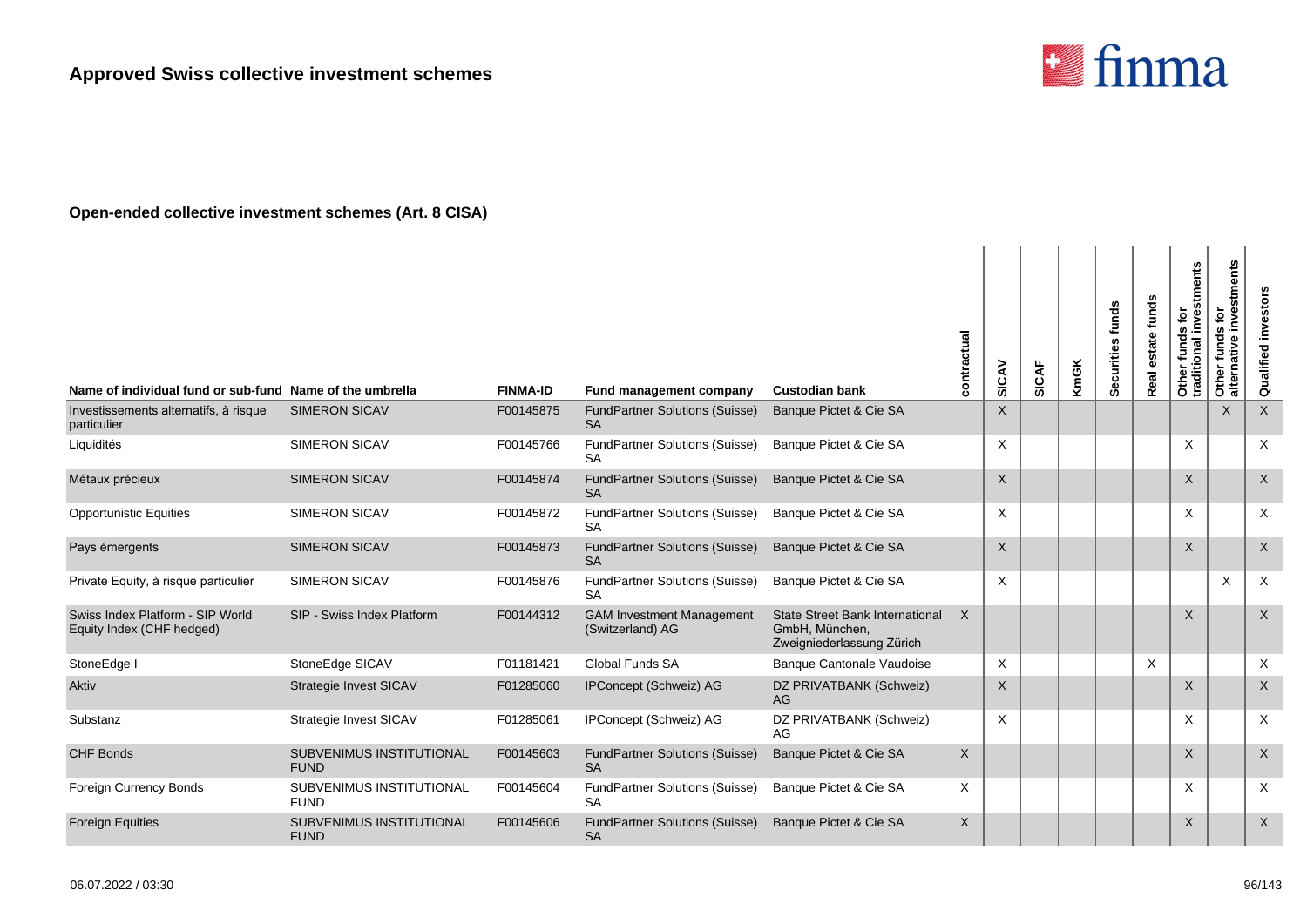

| Name of individual fund or sub-fund Name of the umbrella      |                                         | <b>FINMA-ID</b> | Fund management company                              | <b>Custodian bank</b>                                                                 | contractual | SICAV    | SICAF | <b>KmGK</b> | Securities funds | funds<br>estate<br>Real | Other funds for<br>traditional investments | stments<br>inve<br>ē<br><b>S</b><br>$\mathbf{v}$<br>fund<br>Other<br>alterna | Qualified investors       |
|---------------------------------------------------------------|-----------------------------------------|-----------------|------------------------------------------------------|---------------------------------------------------------------------------------------|-------------|----------|-------|-------------|------------------|-------------------------|--------------------------------------------|------------------------------------------------------------------------------|---------------------------|
| Investissements alternatifs, à risque<br>particulier          | <b>SIMERON SICAV</b>                    | F00145875       | <b>FundPartner Solutions (Suisse)</b><br><b>SA</b>   | Banque Pictet & Cie SA                                                                |             | $\times$ |       |             |                  |                         |                                            | $\times$                                                                     | $\boldsymbol{\mathsf{X}}$ |
| Liquidités                                                    | <b>SIMERON SICAV</b>                    | F00145766       | FundPartner Solutions (Suisse)<br><b>SA</b>          | Banque Pictet & Cie SA                                                                |             | $\times$ |       |             |                  |                         | $\times$                                   |                                                                              | $\times$                  |
| Métaux précieux                                               | <b>SIMERON SICAV</b>                    | F00145874       | <b>FundPartner Solutions (Suisse)</b><br><b>SA</b>   | Banque Pictet & Cie SA                                                                |             | $\times$ |       |             |                  |                         | X                                          |                                                                              | $\boldsymbol{\mathsf{X}}$ |
| <b>Opportunistic Equities</b>                                 | <b>SIMERON SICAV</b>                    | F00145872       | <b>FundPartner Solutions (Suisse)</b><br><b>SA</b>   | Banque Pictet & Cie SA                                                                |             | $\times$ |       |             |                  |                         | X                                          |                                                                              | $\times$                  |
| Pays émergents                                                | <b>SIMERON SICAV</b>                    | F00145873       | <b>FundPartner Solutions (Suisse)</b><br><b>SA</b>   | Banque Pictet & Cie SA                                                                |             | $\times$ |       |             |                  |                         | X                                          |                                                                              | $\times$                  |
| Private Equity, à risque particulier                          | <b>SIMERON SICAV</b>                    | F00145876       | FundPartner Solutions (Suisse)<br><b>SA</b>          | Banque Pictet & Cie SA                                                                |             | $\times$ |       |             |                  |                         |                                            | X                                                                            | $\times$                  |
| Swiss Index Platform - SIP World<br>Equity Index (CHF hedged) | SIP - Swiss Index Platform              | F00144312       | <b>GAM Investment Management</b><br>(Switzerland) AG | <b>State Street Bank International</b><br>GmbH, München,<br>Zweigniederlassung Zürich | $\times$    |          |       |             |                  |                         | $\sf X$                                    |                                                                              | $\boldsymbol{\mathsf{X}}$ |
| StoneEdge I                                                   | StoneEdge SICAV                         | F01181421       | Global Funds SA                                      | Banque Cantonale Vaudoise                                                             |             | $\times$ |       |             |                  | X                       |                                            |                                                                              | $\times$                  |
| Aktiv                                                         | Strategie Invest SICAV                  | F01285060       | <b>IPConcept (Schweiz) AG</b>                        | DZ PRIVATBANK (Schweiz)<br>AG.                                                        |             | $\times$ |       |             |                  |                         | X                                          |                                                                              | $\boldsymbol{X}$          |
| Substanz                                                      | Strategie Invest SICAV                  | F01285061       | IPConcept (Schweiz) AG                               | DZ PRIVATBANK (Schweiz)<br>AG                                                         |             | $\times$ |       |             |                  |                         | X                                          |                                                                              | X                         |
| <b>CHF Bonds</b>                                              | SUBVENIMUS INSTITUTIONAL<br><b>FUND</b> | F00145603       | <b>FundPartner Solutions (Suisse)</b><br><b>SA</b>   | Banque Pictet & Cie SA                                                                | X           |          |       |             |                  |                         | X                                          |                                                                              | $\boldsymbol{\mathsf{X}}$ |
| <b>Foreign Currency Bonds</b>                                 | SUBVENIMUS INSTITUTIONAL<br><b>FUND</b> | F00145604       | <b>FundPartner Solutions (Suisse)</b><br><b>SA</b>   | Banque Pictet & Cie SA                                                                | Χ           |          |       |             |                  |                         | X                                          |                                                                              | X                         |
| <b>Foreign Equities</b>                                       | SUBVENIMUS INSTITUTIONAL<br><b>FUND</b> | F00145606       | <b>FundPartner Solutions (Suisse)</b><br><b>SA</b>   | Banque Pictet & Cie SA                                                                | X           |          |       |             |                  |                         | X                                          |                                                                              | $\boldsymbol{X}$          |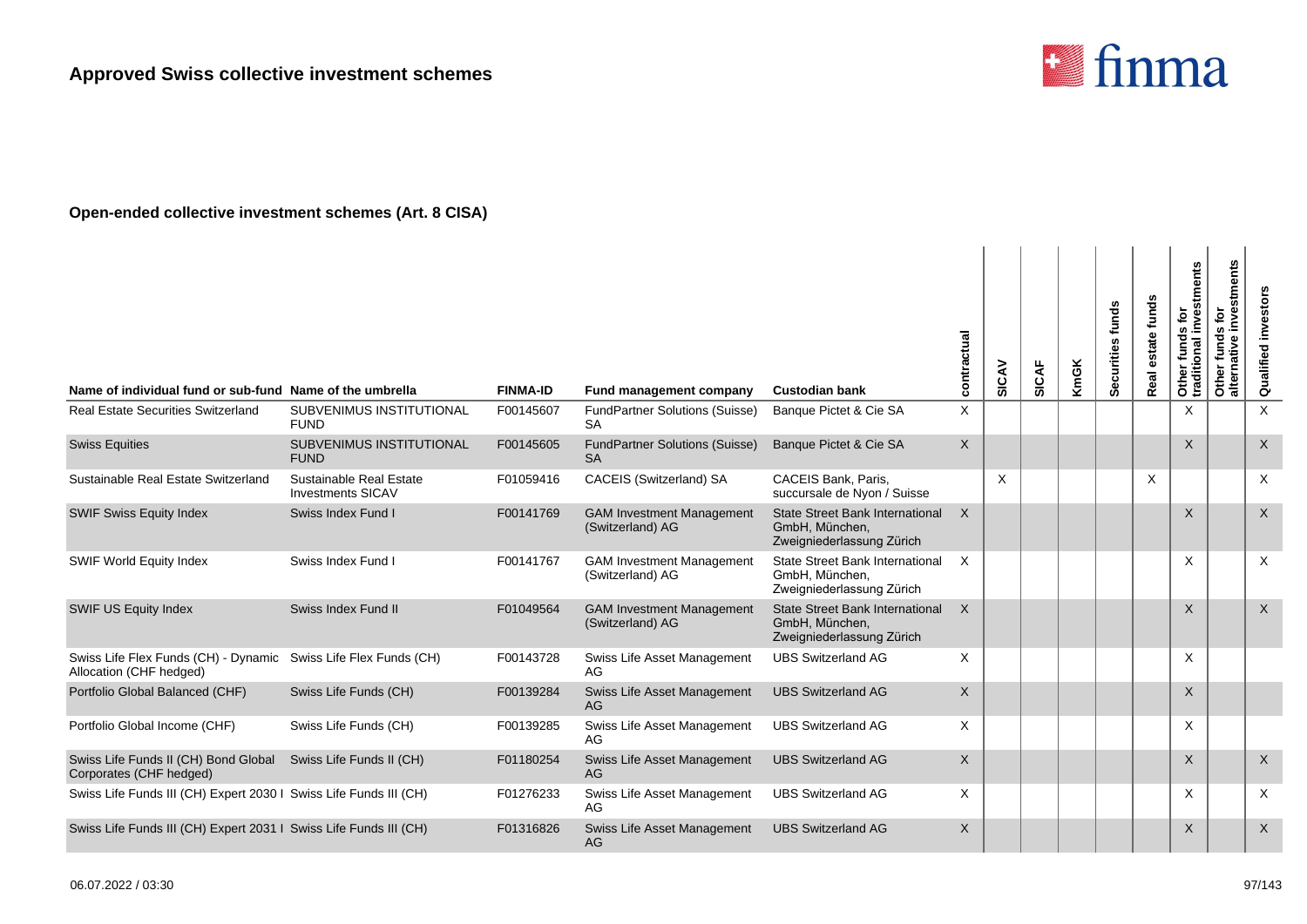

| Name of individual fund or sub-fund Name of the umbrella                                   |                                                     | <b>FINMA-ID</b> | Fund management company                              | <b>Custodian bank</b>                                                                 | contractual  | SICAV    | SICAF | <b>KmGK</b> | Securities funds | state funds<br>Real | Other funds for<br>traditional investments | nvestments<br>funds for<br>Other funds<br>alternative | Qualified investors |
|--------------------------------------------------------------------------------------------|-----------------------------------------------------|-----------------|------------------------------------------------------|---------------------------------------------------------------------------------------|--------------|----------|-------|-------------|------------------|---------------------|--------------------------------------------|-------------------------------------------------------|---------------------|
| <b>Real Estate Securities Switzerland</b>                                                  | SUBVENIMUS INSTITUTIONAL<br><b>FUND</b>             | F00145607       | <b>FundPartner Solutions (Suisse)</b><br><b>SA</b>   | Banque Pictet & Cie SA                                                                | X            |          |       |             |                  |                     | X                                          |                                                       | X                   |
| <b>Swiss Equities</b>                                                                      | <b>SUBVENIMUS INSTITUTIONAL</b><br><b>FUND</b>      | F00145605       | <b>FundPartner Solutions (Suisse)</b><br><b>SA</b>   | Banque Pictet & Cie SA                                                                | $\mathsf{X}$ |          |       |             |                  |                     | $\mathsf X$                                |                                                       | $\mathsf X$         |
| Sustainable Real Estate Switzerland                                                        | Sustainable Real Estate<br><b>Investments SICAV</b> | F01059416       | CACEIS (Switzerland) SA                              | CACEIS Bank, Paris,<br>succursale de Nyon / Suisse                                    |              | $\times$ |       |             |                  | X                   |                                            |                                                       | $\times$            |
| <b>SWIF Swiss Equity Index</b>                                                             | Swiss Index Fund I                                  | F00141769       | <b>GAM Investment Management</b><br>(Switzerland) AG | <b>State Street Bank International</b><br>GmbH, München,<br>Zweigniederlassung Zürich | $\times$     |          |       |             |                  |                     | X                                          |                                                       | $\times$            |
| SWIF World Equity Index                                                                    | Swiss Index Fund I                                  | F00141767       | <b>GAM Investment Management</b><br>(Switzerland) AG | <b>State Street Bank International</b><br>GmbH, München,<br>Zweigniederlassung Zürich | $\times$     |          |       |             |                  |                     | X                                          |                                                       | $\times$            |
| SWIF US Equity Index                                                                       | Swiss Index Fund II                                 | F01049564       | <b>GAM Investment Management</b><br>(Switzerland) AG | <b>State Street Bank International</b><br>GmbH, München,<br>Zweigniederlassung Zürich | $\times$     |          |       |             |                  |                     | X                                          |                                                       | $\times$            |
| Swiss Life Flex Funds (CH) - Dynamic Swiss Life Flex Funds (CH)<br>Allocation (CHF hedged) |                                                     | F00143728       | Swiss Life Asset Management<br>AG.                   | <b>UBS Switzerland AG</b>                                                             | $\times$     |          |       |             |                  |                     | X                                          |                                                       |                     |
| Portfolio Global Balanced (CHF)                                                            | Swiss Life Funds (CH)                               | F00139284       | Swiss Life Asset Management<br>AG                    | <b>UBS Switzerland AG</b>                                                             | $\mathsf{X}$ |          |       |             |                  |                     | X                                          |                                                       |                     |
| Portfolio Global Income (CHF)                                                              | Swiss Life Funds (CH)                               | F00139285       | Swiss Life Asset Management<br>AG                    | <b>UBS Switzerland AG</b>                                                             | $\times$     |          |       |             |                  |                     | X                                          |                                                       |                     |
| Swiss Life Funds II (CH) Bond Global<br>Corporates (CHF hedged)                            | Swiss Life Funds II (CH)                            | F01180254       | Swiss Life Asset Management<br>AG                    | <b>UBS Switzerland AG</b>                                                             | $\mathsf{X}$ |          |       |             |                  |                     | $\sf X$                                    |                                                       | $\mathsf X$         |
| Swiss Life Funds III (CH) Expert 2030   Swiss Life Funds III (CH)                          |                                                     | F01276233       | Swiss Life Asset Management<br>AG                    | <b>UBS Switzerland AG</b>                                                             | $\times$     |          |       |             |                  |                     | X                                          |                                                       | $\times$            |
| Swiss Life Funds III (CH) Expert 2031 I Swiss Life Funds III (CH)                          |                                                     | F01316826       | Swiss Life Asset Management<br>AG                    | <b>UBS Switzerland AG</b>                                                             | $\mathsf{X}$ |          |       |             |                  |                     | X                                          |                                                       | $\times$            |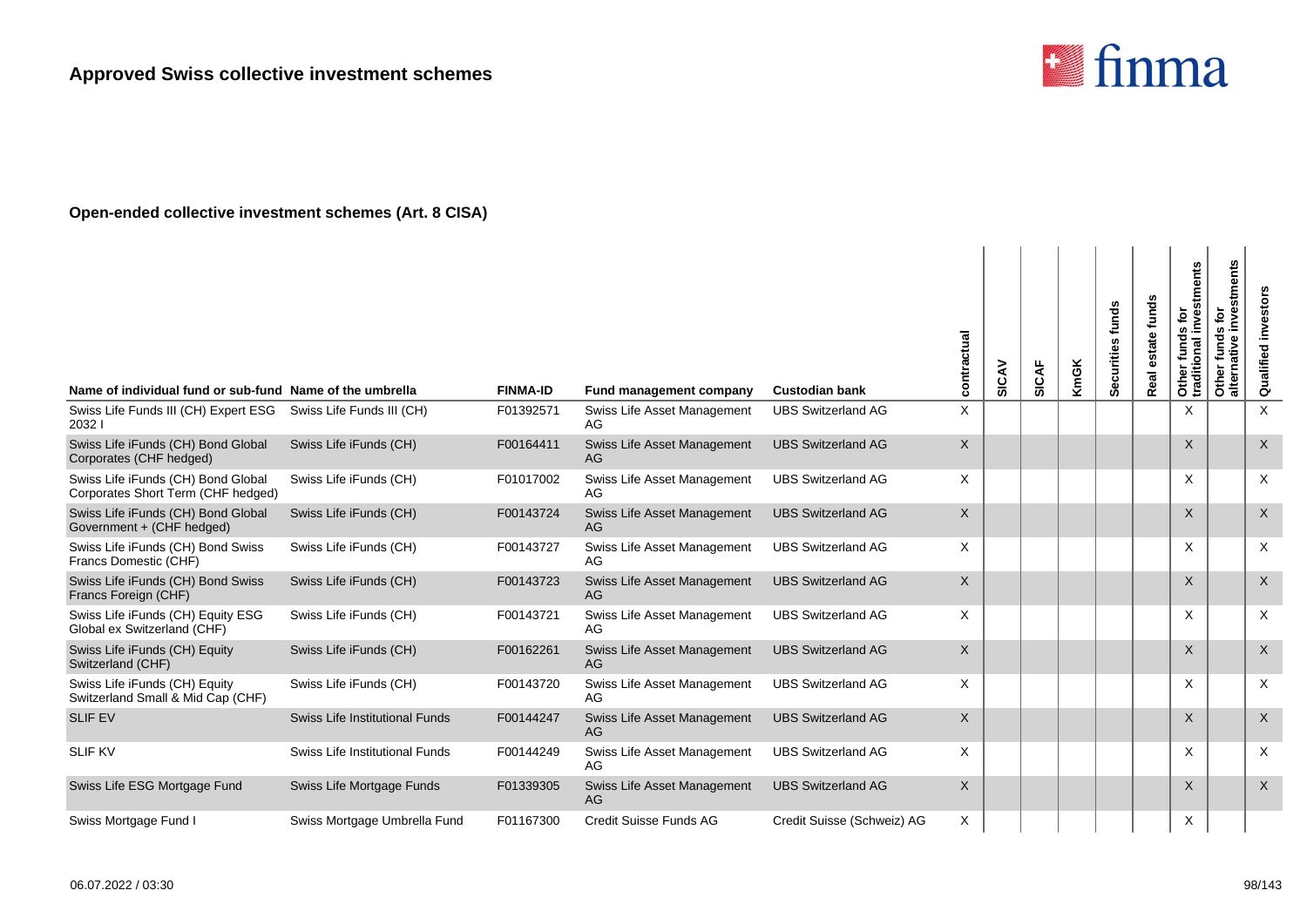

| Name of individual fund or sub-fund Name of the umbrella                 |                                | <b>FINMA-ID</b> | Fund management company           | <b>Custodian bank</b>      | actual<br><b>contra</b> | SICAV | SICAF | <b>KmGK</b> | Securities funds | funds<br>ate<br>Real | traditional investments<br>funds for<br>Other | stments<br>ē<br>funds<br>nati<br>Other<br>alte | investors<br>Qualified |
|--------------------------------------------------------------------------|--------------------------------|-----------------|-----------------------------------|----------------------------|-------------------------|-------|-------|-------------|------------------|----------------------|-----------------------------------------------|------------------------------------------------|------------------------|
| Swiss Life Funds III (CH) Expert ESG<br>20321                            | Swiss Life Funds III (CH)      | F01392571       | Swiss Life Asset Management<br>AG | <b>UBS Switzerland AG</b>  | X                       |       |       |             |                  |                      | X                                             |                                                | $\times$               |
| Swiss Life iFunds (CH) Bond Global<br>Corporates (CHF hedged)            | Swiss Life iFunds (CH)         | F00164411       | Swiss Life Asset Management<br>AG | <b>UBS Switzerland AG</b>  | $\mathsf{X}$            |       |       |             |                  |                      | $\mathsf{X}$                                  |                                                | $\sf X$                |
| Swiss Life iFunds (CH) Bond Global<br>Corporates Short Term (CHF hedged) | Swiss Life iFunds (CH)         | F01017002       | Swiss Life Asset Management<br>AG | <b>UBS Switzerland AG</b>  | $\times$                |       |       |             |                  |                      | X                                             |                                                | $\times$               |
| Swiss Life iFunds (CH) Bond Global<br>Government + (CHF hedged)          | Swiss Life iFunds (CH)         | F00143724       | Swiss Life Asset Management<br>AG | <b>UBS Switzerland AG</b>  | X                       |       |       |             |                  |                      | X                                             |                                                | $\sf X$                |
| Swiss Life iFunds (CH) Bond Swiss<br>Francs Domestic (CHF)               | Swiss Life iFunds (CH)         | F00143727       | Swiss Life Asset Management<br>AG | <b>UBS Switzerland AG</b>  | $\times$                |       |       |             |                  |                      | X                                             |                                                | $\times$               |
| Swiss Life iFunds (CH) Bond Swiss<br>Francs Foreign (CHF)                | Swiss Life iFunds (CH)         | F00143723       | Swiss Life Asset Management<br>AG | <b>UBS Switzerland AG</b>  | $\times$                |       |       |             |                  |                      | $\times$                                      |                                                | $\times$               |
| Swiss Life iFunds (CH) Equity ESG<br>Global ex Switzerland (CHF)         | Swiss Life iFunds (CH)         | F00143721       | Swiss Life Asset Management<br>AG | <b>UBS Switzerland AG</b>  | $\times$                |       |       |             |                  |                      | X                                             |                                                | $\times$               |
| Swiss Life iFunds (CH) Equity<br>Switzerland (CHF)                       | Swiss Life iFunds (CH)         | F00162261       | Swiss Life Asset Management<br>AG | <b>UBS Switzerland AG</b>  | $\mathsf{X}$            |       |       |             |                  |                      | $\mathsf{X}$                                  |                                                | $\times$               |
| Swiss Life iFunds (CH) Equity<br>Switzerland Small & Mid Cap (CHF)       | Swiss Life iFunds (CH)         | F00143720       | Swiss Life Asset Management<br>AG | <b>UBS Switzerland AG</b>  | $\times$                |       |       |             |                  |                      | X                                             |                                                | $\times$               |
| <b>SLIF EV</b>                                                           | Swiss Life Institutional Funds | F00144247       | Swiss Life Asset Management<br>AG | <b>UBS Switzerland AG</b>  | $\mathsf{X}$            |       |       |             |                  |                      | X                                             |                                                | $\times$               |
| <b>SLIF KV</b>                                                           | Swiss Life Institutional Funds | F00144249       | Swiss Life Asset Management<br>AG | <b>UBS Switzerland AG</b>  | $\times$                |       |       |             |                  |                      | X                                             |                                                | $\times$               |
| Swiss Life ESG Mortgage Fund                                             | Swiss Life Mortgage Funds      | F01339305       | Swiss Life Asset Management<br>AG | <b>UBS Switzerland AG</b>  | X                       |       |       |             |                  |                      | $\times$                                      |                                                | $\times$               |
| Swiss Mortgage Fund I                                                    | Swiss Mortgage Umbrella Fund   | F01167300       | Credit Suisse Funds AG            | Credit Suisse (Schweiz) AG | X                       |       |       |             |                  |                      | X                                             |                                                |                        |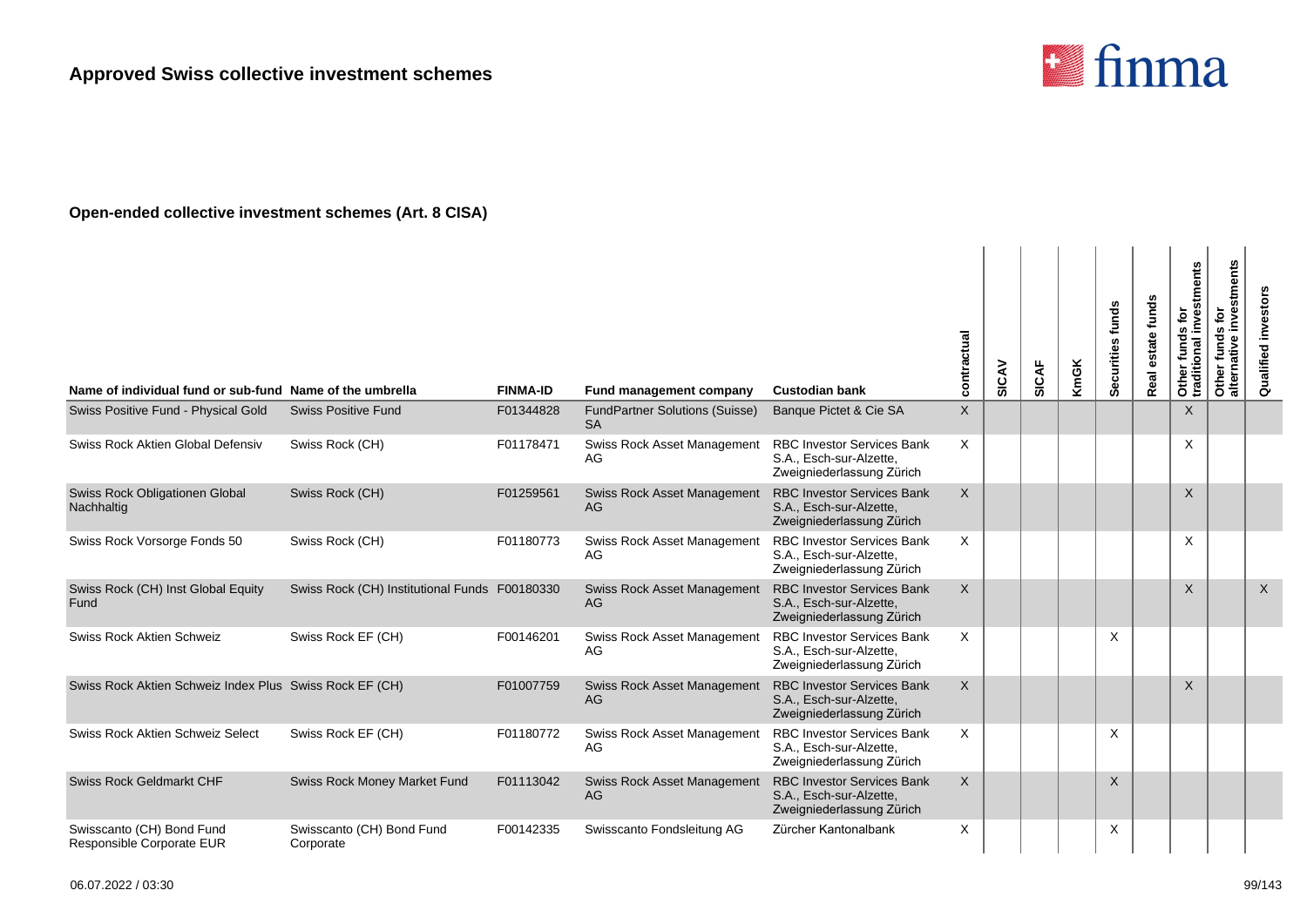

| Name of individual fund or sub-fund Name of the umbrella |                                               | <b>FINMA-ID</b> | Fund management company                            | <b>Custodian bank</b>                                                                     | contractual  | SICAV | <b>SICAF</b> | KmGK | Securities funds | Real estate funds | Other funds for<br>traditional investments | Other funds for<br>alternative investments | Qualified investors |
|----------------------------------------------------------|-----------------------------------------------|-----------------|----------------------------------------------------|-------------------------------------------------------------------------------------------|--------------|-------|--------------|------|------------------|-------------------|--------------------------------------------|--------------------------------------------|---------------------|
| Swiss Positive Fund - Physical Gold                      | <b>Swiss Positive Fund</b>                    | F01344828       | <b>FundPartner Solutions (Suisse)</b><br><b>SA</b> | Banque Pictet & Cie SA                                                                    | $\mathsf{X}$ |       |              |      |                  |                   | $\mathsf{X}$                               |                                            |                     |
| Swiss Rock Aktien Global Defensiv                        | Swiss Rock (CH)                               | F01178471       | <b>Swiss Rock Asset Management</b><br>AG           | <b>RBC Investor Services Bank</b><br>S.A., Esch-sur-Alzette.<br>Zweigniederlassung Zürich | X            |       |              |      |                  |                   | X                                          |                                            |                     |
| Swiss Rock Obligationen Global<br>Nachhaltig             | Swiss Rock (CH)                               | F01259561       | <b>Swiss Rock Asset Management</b><br>AG           | <b>RBC Investor Services Bank</b><br>S.A., Esch-sur-Alzette,<br>Zweigniederlassung Zürich | X            |       |              |      |                  |                   | $\times$                                   |                                            |                     |
| Swiss Rock Vorsorge Fonds 50                             | Swiss Rock (CH)                               | F01180773       | Swiss Rock Asset Management<br>AG                  | <b>RBC Investor Services Bank</b><br>S.A., Esch-sur-Alzette,<br>Zweigniederlassung Zürich | X            |       |              |      |                  |                   | X                                          |                                            |                     |
| Swiss Rock (CH) Inst Global Equity<br>Fund               | Swiss Rock (CH) Institutional Funds F00180330 |                 | <b>Swiss Rock Asset Management</b><br>AG           | <b>RBC Investor Services Bank</b><br>S.A., Esch-sur-Alzette,<br>Zweigniederlassung Zürich | X            |       |              |      |                  |                   | $\times$                                   |                                            | $\sf X$             |
| Swiss Rock Aktien Schweiz                                | Swiss Rock EF (CH)                            | F00146201       | Swiss Rock Asset Management<br>AG                  | <b>RBC Investor Services Bank</b><br>S.A., Esch-sur-Alzette,<br>Zweigniederlassung Zürich | Χ            |       |              |      | X                |                   |                                            |                                            |                     |
| Swiss Rock Aktien Schweiz Index Plus Swiss Rock EF (CH)  |                                               | F01007759       | Swiss Rock Asset Management<br>AG                  | <b>RBC Investor Services Bank</b><br>S.A., Esch-sur-Alzette,<br>Zweigniederlassung Zürich | X            |       |              |      |                  |                   | $\times$                                   |                                            |                     |
| Swiss Rock Aktien Schweiz Select                         | Swiss Rock EF (CH)                            | F01180772       | <b>Swiss Rock Asset Management</b><br>AG           | <b>RBC Investor Services Bank</b><br>S.A., Esch-sur-Alzette,<br>Zweigniederlassung Zürich | X            |       |              |      | X                |                   |                                            |                                            |                     |
| <b>Swiss Rock Geldmarkt CHF</b>                          | Swiss Rock Money Market Fund                  | F01113042       | <b>Swiss Rock Asset Management</b><br>AG.          | <b>RBC Investor Services Bank</b><br>S.A., Esch-sur-Alzette,<br>Zweigniederlassung Zürich | X            |       |              |      | X                |                   |                                            |                                            |                     |
| Swisscanto (CH) Bond Fund<br>Responsible Corporate EUR   | Swisscanto (CH) Bond Fund<br>Corporate        | F00142335       | Swisscanto Fondsleitung AG                         | Zürcher Kantonalbank                                                                      | Χ            |       |              |      | X                |                   |                                            |                                            |                     |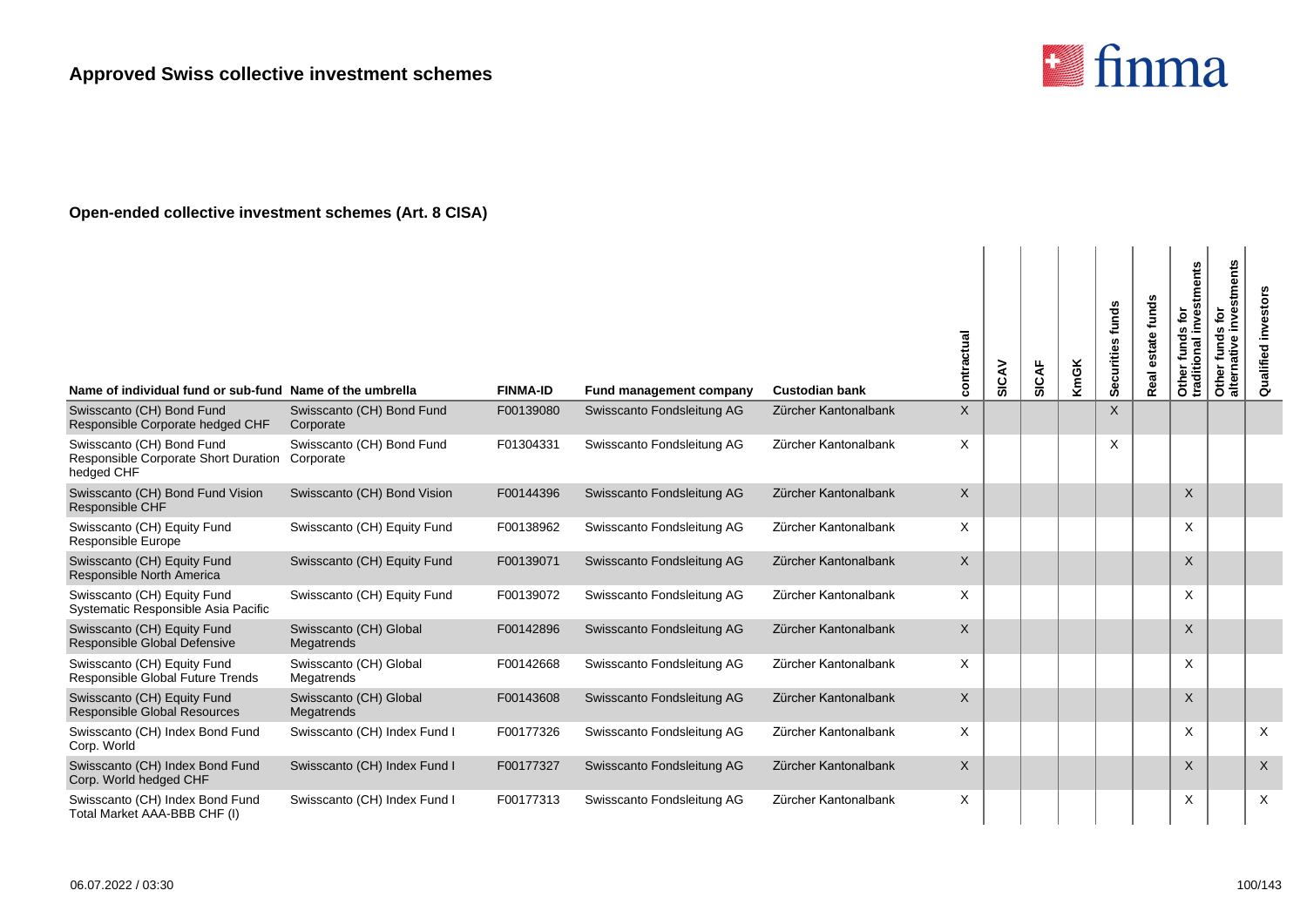

| Name of individual fund or sub-fund Name of the umbrella                                  |                                        | <b>FINMA-ID</b> | <b>Fund management company</b> | <b>Custodian bank</b> | actual<br><b>contra</b> | SICAV | <b>SICAF</b> | <b>KmGK</b> | Securities funds | funds<br>estate<br>Real | Other funds for<br>traditional investments | stments<br>ē<br>funds<br>native<br>Other<br>alterna | Qualified investors |
|-------------------------------------------------------------------------------------------|----------------------------------------|-----------------|--------------------------------|-----------------------|-------------------------|-------|--------------|-------------|------------------|-------------------------|--------------------------------------------|-----------------------------------------------------|---------------------|
| Swisscanto (CH) Bond Fund<br>Responsible Corporate hedged CHF                             | Swisscanto (CH) Bond Fund<br>Corporate | F00139080       | Swisscanto Fondsleitung AG     | Zürcher Kantonalbank  | X                       |       |              |             | X                |                         |                                            |                                                     |                     |
| Swisscanto (CH) Bond Fund<br>Responsible Corporate Short Duration Corporate<br>hedged CHF | Swisscanto (CH) Bond Fund              | F01304331       | Swisscanto Fondsleitung AG     | Zürcher Kantonalbank  | X                       |       |              |             | X                |                         |                                            |                                                     |                     |
| Swisscanto (CH) Bond Fund Vision<br>Responsible CHF                                       | Swisscanto (CH) Bond Vision            | F00144396       | Swisscanto Fondsleitung AG     | Zürcher Kantonalbank  | $\times$                |       |              |             |                  |                         | X                                          |                                                     |                     |
| Swisscanto (CH) Equity Fund<br>Responsible Europe                                         | Swisscanto (CH) Equity Fund            | F00138962       | Swisscanto Fondsleitung AG     | Zürcher Kantonalbank  | $\times$                |       |              |             |                  |                         | X                                          |                                                     |                     |
| Swisscanto (CH) Equity Fund<br>Responsible North America                                  | Swisscanto (CH) Equity Fund            | F00139071       | Swisscanto Fondsleitung AG     | Zürcher Kantonalbank  | $\sf X$                 |       |              |             |                  |                         | X                                          |                                                     |                     |
| Swisscanto (CH) Equity Fund<br>Systematic Responsible Asia Pacific                        | Swisscanto (CH) Equity Fund            | F00139072       | Swisscanto Fondsleitung AG     | Zürcher Kantonalbank  | X                       |       |              |             |                  |                         | X                                          |                                                     |                     |
| Swisscanto (CH) Equity Fund<br>Responsible Global Defensive                               | Swisscanto (CH) Global<br>Megatrends   | F00142896       | Swisscanto Fondsleitung AG     | Zürcher Kantonalbank  | $\times$                |       |              |             |                  |                         | $\times$                                   |                                                     |                     |
| Swisscanto (CH) Equity Fund<br>Responsible Global Future Trends                           | Swisscanto (CH) Global<br>Megatrends   | F00142668       | Swisscanto Fondsleitung AG     | Zürcher Kantonalbank  | X                       |       |              |             |                  |                         | X                                          |                                                     |                     |
| Swisscanto (CH) Equity Fund<br>Responsible Global Resources                               | Swisscanto (CH) Global<br>Megatrends   | F00143608       | Swisscanto Fondsleitung AG     | Zürcher Kantonalbank  | $\sf X$                 |       |              |             |                  |                         | $\times$                                   |                                                     |                     |
| Swisscanto (CH) Index Bond Fund<br>Corp. World                                            | Swisscanto (CH) Index Fund I           | F00177326       | Swisscanto Fondsleitung AG     | Zürcher Kantonalbank  | $\times$                |       |              |             |                  |                         | X                                          |                                                     | $\times$            |
| Swisscanto (CH) Index Bond Fund<br>Corp. World hedged CHF                                 | Swisscanto (CH) Index Fund I           | F00177327       | Swisscanto Fondsleitung AG     | Zürcher Kantonalbank  | $\times$                |       |              |             |                  |                         | X                                          |                                                     | $\sf X$             |
| Swisscanto (CH) Index Bond Fund<br>Total Market AAA-BBB CHF (I)                           | Swisscanto (CH) Index Fund I           | F00177313       | Swisscanto Fondsleitung AG     | Zürcher Kantonalbank  | Χ                       |       |              |             |                  |                         | X                                          |                                                     | $\times$            |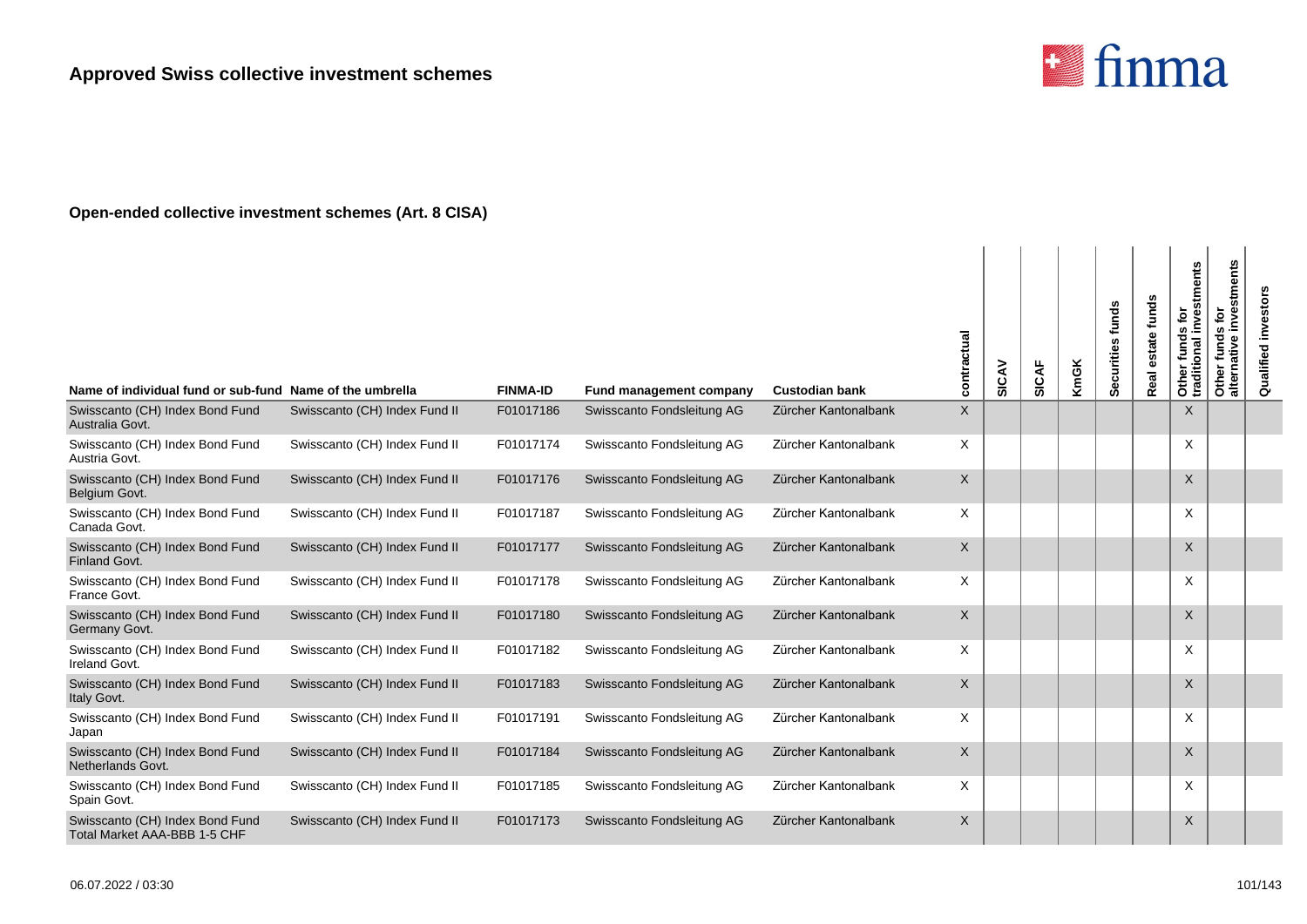

|                                                                 |                               |                 |                            |                       | contractual | SICAV | <b>SICAF</b> | <b>KmGK</b> | Securities funds | estate funds<br>Real | investments<br>$\mathbf{\tilde{e}}$<br>w<br>Other funds<br>traditional | investments<br>Other funds for<br>alternative inves | investor<br>lalified |
|-----------------------------------------------------------------|-------------------------------|-----------------|----------------------------|-----------------------|-------------|-------|--------------|-------------|------------------|----------------------|------------------------------------------------------------------------|-----------------------------------------------------|----------------------|
| Name of individual fund or sub-fund Name of the umbrella        |                               | <b>FINMA-ID</b> | Fund management company    | <b>Custodian bank</b> |             |       |              |             |                  |                      |                                                                        |                                                     | ā                    |
| Swisscanto (CH) Index Bond Fund<br>Australia Govt.              | Swisscanto (CH) Index Fund II | F01017186       | Swisscanto Fondsleitung AG | Zürcher Kantonalbank  | X           |       |              |             |                  |                      | $\times$                                                               |                                                     |                      |
| Swisscanto (CH) Index Bond Fund<br>Austria Govt.                | Swisscanto (CH) Index Fund II | F01017174       | Swisscanto Fondsleitung AG | Zürcher Kantonalbank  | X           |       |              |             |                  |                      | X                                                                      |                                                     |                      |
| Swisscanto (CH) Index Bond Fund<br>Belgium Govt.                | Swisscanto (CH) Index Fund II | F01017176       | Swisscanto Fondsleitung AG | Zürcher Kantonalbank  | X           |       |              |             |                  |                      | $\sf X$                                                                |                                                     |                      |
| Swisscanto (CH) Index Bond Fund<br>Canada Govt.                 | Swisscanto (CH) Index Fund II | F01017187       | Swisscanto Fondsleitung AG | Zürcher Kantonalbank  | X           |       |              |             |                  |                      | X                                                                      |                                                     |                      |
| Swisscanto (CH) Index Bond Fund<br>Finland Govt.                | Swisscanto (CH) Index Fund II | F01017177       | Swisscanto Fondsleitung AG | Zürcher Kantonalbank  | X           |       |              |             |                  |                      | $\times$                                                               |                                                     |                      |
| Swisscanto (CH) Index Bond Fund<br>France Govt.                 | Swisscanto (CH) Index Fund II | F01017178       | Swisscanto Fondsleitung AG | Zürcher Kantonalbank  | X           |       |              |             |                  |                      | X                                                                      |                                                     |                      |
| Swisscanto (CH) Index Bond Fund<br>Germany Govt.                | Swisscanto (CH) Index Fund II | F01017180       | Swisscanto Fondsleitung AG | Zürcher Kantonalbank  | X           |       |              |             |                  |                      | $\times$                                                               |                                                     |                      |
| Swisscanto (CH) Index Bond Fund<br>Ireland Govt.                | Swisscanto (CH) Index Fund II | F01017182       | Swisscanto Fondsleitung AG | Zürcher Kantonalbank  | X           |       |              |             |                  |                      | X                                                                      |                                                     |                      |
| Swisscanto (CH) Index Bond Fund<br>Italy Govt.                  | Swisscanto (CH) Index Fund II | F01017183       | Swisscanto Fondsleitung AG | Zürcher Kantonalbank  | X           |       |              |             |                  |                      | $\times$                                                               |                                                     |                      |
| Swisscanto (CH) Index Bond Fund<br>Japan                        | Swisscanto (CH) Index Fund II | F01017191       | Swisscanto Fondsleitung AG | Zürcher Kantonalbank  | X           |       |              |             |                  |                      | X                                                                      |                                                     |                      |
| Swisscanto (CH) Index Bond Fund<br>Netherlands Govt.            | Swisscanto (CH) Index Fund II | F01017184       | Swisscanto Fondsleitung AG | Zürcher Kantonalbank  | X           |       |              |             |                  |                      | $\times$                                                               |                                                     |                      |
| Swisscanto (CH) Index Bond Fund<br>Spain Govt.                  | Swisscanto (CH) Index Fund II | F01017185       | Swisscanto Fondsleitung AG | Zürcher Kantonalbank  | X           |       |              |             |                  |                      | X                                                                      |                                                     |                      |
| Swisscanto (CH) Index Bond Fund<br>Total Market AAA-BBB 1-5 CHF | Swisscanto (CH) Index Fund II | F01017173       | Swisscanto Fondsleitung AG | Zürcher Kantonalbank  | X           |       |              |             |                  |                      | X                                                                      |                                                     |                      |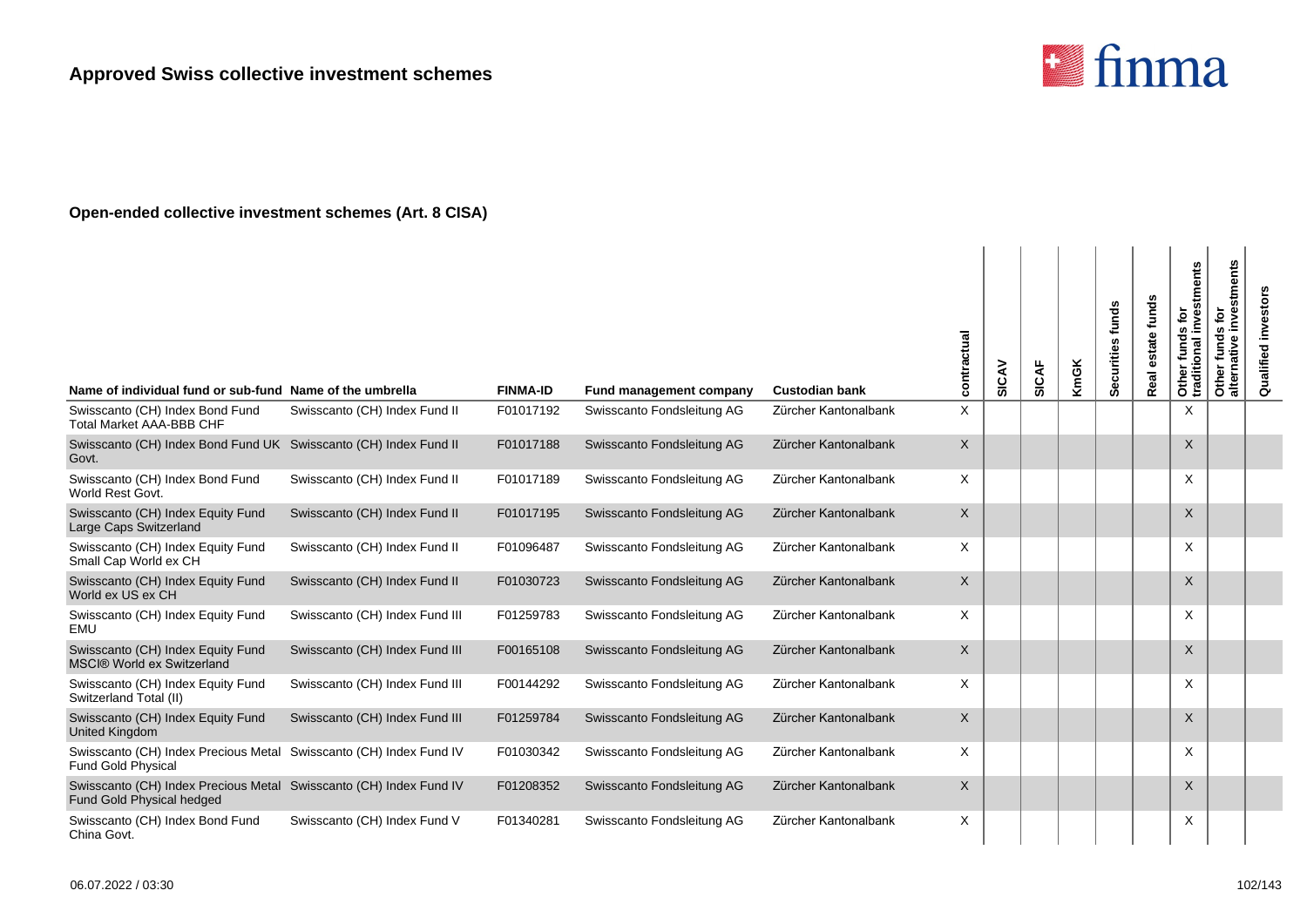

| Name of individual fund or sub-fund Name of the umbrella                                        |                                | <b>FINMA-ID</b> | Fund management company    | <b>Custodian bank</b> | contractual | SICAV | SICAF | KmGK | Securities funds | estate funds<br>Real | stments<br>ē<br>inve<br><b>SC</b><br>Other funds<br>traditional i | investments<br>tor<br>Other funds f<br>alternative in | investors<br>Qualified |
|-------------------------------------------------------------------------------------------------|--------------------------------|-----------------|----------------------------|-----------------------|-------------|-------|-------|------|------------------|----------------------|-------------------------------------------------------------------|-------------------------------------------------------|------------------------|
| Swisscanto (CH) Index Bond Fund<br><b>Total Market AAA-BBB CHF</b>                              | Swisscanto (CH) Index Fund II  | F01017192       | Swisscanto Fondsleitung AG | Zürcher Kantonalbank  | X           |       |       |      |                  |                      | X                                                                 |                                                       |                        |
| Swisscanto (CH) Index Bond Fund UK Swisscanto (CH) Index Fund II<br>Govt.                       |                                | F01017188       | Swisscanto Fondsleitung AG | Zürcher Kantonalbank  | X           |       |       |      |                  |                      | $\times$                                                          |                                                       |                        |
| Swisscanto (CH) Index Bond Fund<br>World Rest Govt.                                             | Swisscanto (CH) Index Fund II  | F01017189       | Swisscanto Fondsleitung AG | Zürcher Kantonalbank  | X           |       |       |      |                  |                      | X                                                                 |                                                       |                        |
| Swisscanto (CH) Index Equity Fund<br>Large Caps Switzerland                                     | Swisscanto (CH) Index Fund II  | F01017195       | Swisscanto Fondsleitung AG | Zürcher Kantonalbank  | X           |       |       |      |                  |                      | $\times$                                                          |                                                       |                        |
| Swisscanto (CH) Index Equity Fund<br>Small Cap World ex CH                                      | Swisscanto (CH) Index Fund II  | F01096487       | Swisscanto Fondsleitung AG | Zürcher Kantonalbank  | X           |       |       |      |                  |                      | X                                                                 |                                                       |                        |
| Swisscanto (CH) Index Equity Fund<br>World ex US ex CH                                          | Swisscanto (CH) Index Fund II  | F01030723       | Swisscanto Fondsleitung AG | Zürcher Kantonalbank  | X           |       |       |      |                  |                      | $\times$                                                          |                                                       |                        |
| Swisscanto (CH) Index Equity Fund<br><b>EMU</b>                                                 | Swisscanto (CH) Index Fund III | F01259783       | Swisscanto Fondsleitung AG | Zürcher Kantonalbank  | X           |       |       |      |                  |                      | X                                                                 |                                                       |                        |
| Swisscanto (CH) Index Equity Fund<br><b>MSCI® World ex Switzerland</b>                          | Swisscanto (CH) Index Fund III | F00165108       | Swisscanto Fondsleitung AG | Zürcher Kantonalbank  | X           |       |       |      |                  |                      | $\times$                                                          |                                                       |                        |
| Swisscanto (CH) Index Equity Fund<br>Switzerland Total (II)                                     | Swisscanto (CH) Index Fund III | F00144292       | Swisscanto Fondsleitung AG | Zürcher Kantonalbank  | X           |       |       |      |                  |                      | X                                                                 |                                                       |                        |
| Swisscanto (CH) Index Equity Fund<br><b>United Kingdom</b>                                      | Swisscanto (CH) Index Fund III | F01259784       | Swisscanto Fondsleitung AG | Zürcher Kantonalbank  | X           |       |       |      |                  |                      | $\times$                                                          |                                                       |                        |
| Swisscanto (CH) Index Precious Metal Swisscanto (CH) Index Fund IV<br><b>Fund Gold Physical</b> |                                | F01030342       | Swisscanto Fondsleitung AG | Zürcher Kantonalbank  | X           |       |       |      |                  |                      | X                                                                 |                                                       |                        |
| Swisscanto (CH) Index Precious Metal Swisscanto (CH) Index Fund IV<br>Fund Gold Physical hedged |                                | F01208352       | Swisscanto Fondsleitung AG | Zürcher Kantonalbank  | X           |       |       |      |                  |                      | $\times$                                                          |                                                       |                        |
| Swisscanto (CH) Index Bond Fund<br>China Govt.                                                  | Swisscanto (CH) Index Fund V   | F01340281       | Swisscanto Fondsleitung AG | Zürcher Kantonalbank  | X           |       |       |      |                  |                      | X                                                                 |                                                       |                        |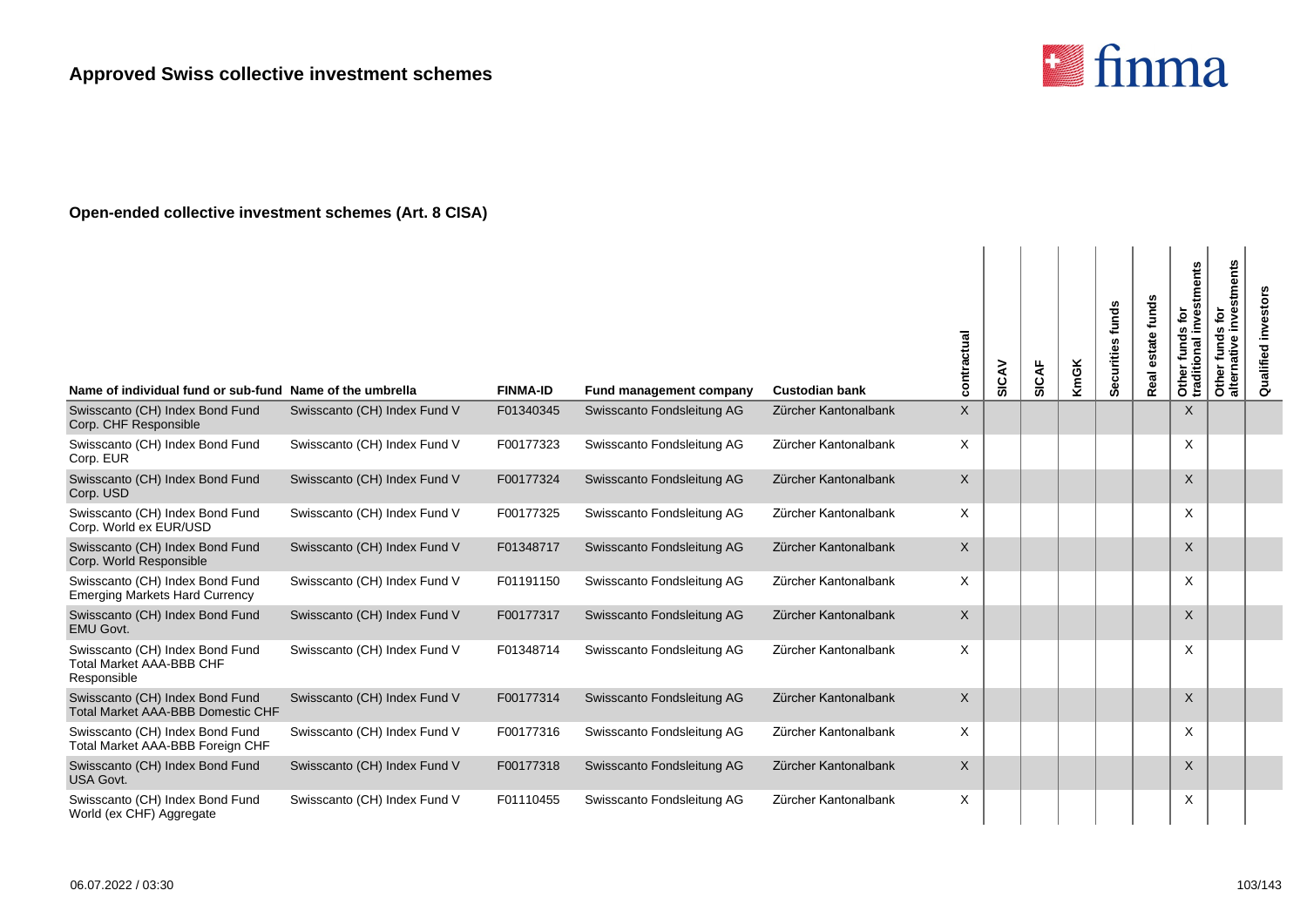

| Name of individual fund or sub-fund Name of the umbrella                          |                              | <b>FINMA-ID</b> | Fund management company    | <b>Custodian bank</b> | contractual  | SICAV | <b>SICAF</b> | <b>KmGK</b> | funds<br>Securities | estate funds<br>Real | Other funds for<br>traditional investments | stments<br>funds for<br>inve<br>Other funds<br>alternative | Qualified investors |
|-----------------------------------------------------------------------------------|------------------------------|-----------------|----------------------------|-----------------------|--------------|-------|--------------|-------------|---------------------|----------------------|--------------------------------------------|------------------------------------------------------------|---------------------|
| Swisscanto (CH) Index Bond Fund<br>Corp. CHF Responsible                          | Swisscanto (CH) Index Fund V | F01340345       | Swisscanto Fondsleitung AG | Zürcher Kantonalbank  | $\mathsf{X}$ |       |              |             |                     |                      | X                                          |                                                            |                     |
| Swisscanto (CH) Index Bond Fund<br>Corp. EUR                                      | Swisscanto (CH) Index Fund V | F00177323       | Swisscanto Fondsleitung AG | Zürcher Kantonalbank  | X            |       |              |             |                     |                      | X                                          |                                                            |                     |
| Swisscanto (CH) Index Bond Fund<br>Corp. USD                                      | Swisscanto (CH) Index Fund V | F00177324       | Swisscanto Fondsleitung AG | Zürcher Kantonalbank  | $\mathsf X$  |       |              |             |                     |                      | $\sf X$                                    |                                                            |                     |
| Swisscanto (CH) Index Bond Fund<br>Corp. World ex EUR/USD                         | Swisscanto (CH) Index Fund V | F00177325       | Swisscanto Fondsleitung AG | Zürcher Kantonalbank  | X            |       |              |             |                     |                      | X                                          |                                                            |                     |
| Swisscanto (CH) Index Bond Fund<br>Corp. World Responsible                        | Swisscanto (CH) Index Fund V | F01348717       | Swisscanto Fondsleitung AG | Zürcher Kantonalbank  | $\mathsf X$  |       |              |             |                     |                      | $\times$                                   |                                                            |                     |
| Swisscanto (CH) Index Bond Fund<br><b>Emerging Markets Hard Currency</b>          | Swisscanto (CH) Index Fund V | F01191150       | Swisscanto Fondsleitung AG | Zürcher Kantonalbank  | X            |       |              |             |                     |                      | X                                          |                                                            |                     |
| Swisscanto (CH) Index Bond Fund<br><b>EMU Govt.</b>                               | Swisscanto (CH) Index Fund V | F00177317       | Swisscanto Fondsleitung AG | Zürcher Kantonalbank  | X            |       |              |             |                     |                      | $\sf X$                                    |                                                            |                     |
| Swisscanto (CH) Index Bond Fund<br><b>Total Market AAA-BBB CHF</b><br>Responsible | Swisscanto (CH) Index Fund V | F01348714       | Swisscanto Fondsleitung AG | Zürcher Kantonalbank  | X            |       |              |             |                     |                      | X                                          |                                                            |                     |
| Swisscanto (CH) Index Bond Fund<br><b>Total Market AAA-BBB Domestic CHF</b>       | Swisscanto (CH) Index Fund V | F00177314       | Swisscanto Fondsleitung AG | Zürcher Kantonalbank  | $\times$     |       |              |             |                     |                      | $\times$                                   |                                                            |                     |
| Swisscanto (CH) Index Bond Fund<br>Total Market AAA-BBB Foreign CHF               | Swisscanto (CH) Index Fund V | F00177316       | Swisscanto Fondsleitung AG | Zürcher Kantonalbank  | X            |       |              |             |                     |                      | X                                          |                                                            |                     |
| Swisscanto (CH) Index Bond Fund<br><b>USA Govt.</b>                               | Swisscanto (CH) Index Fund V | F00177318       | Swisscanto Fondsleitung AG | Zürcher Kantonalbank  | $\mathsf{X}$ |       |              |             |                     |                      | X                                          |                                                            |                     |
| Swisscanto (CH) Index Bond Fund<br>World (ex CHF) Aggregate                       | Swisscanto (CH) Index Fund V | F01110455       | Swisscanto Fondsleitung AG | Zürcher Kantonalbank  | X            |       |              |             |                     |                      | X                                          |                                                            |                     |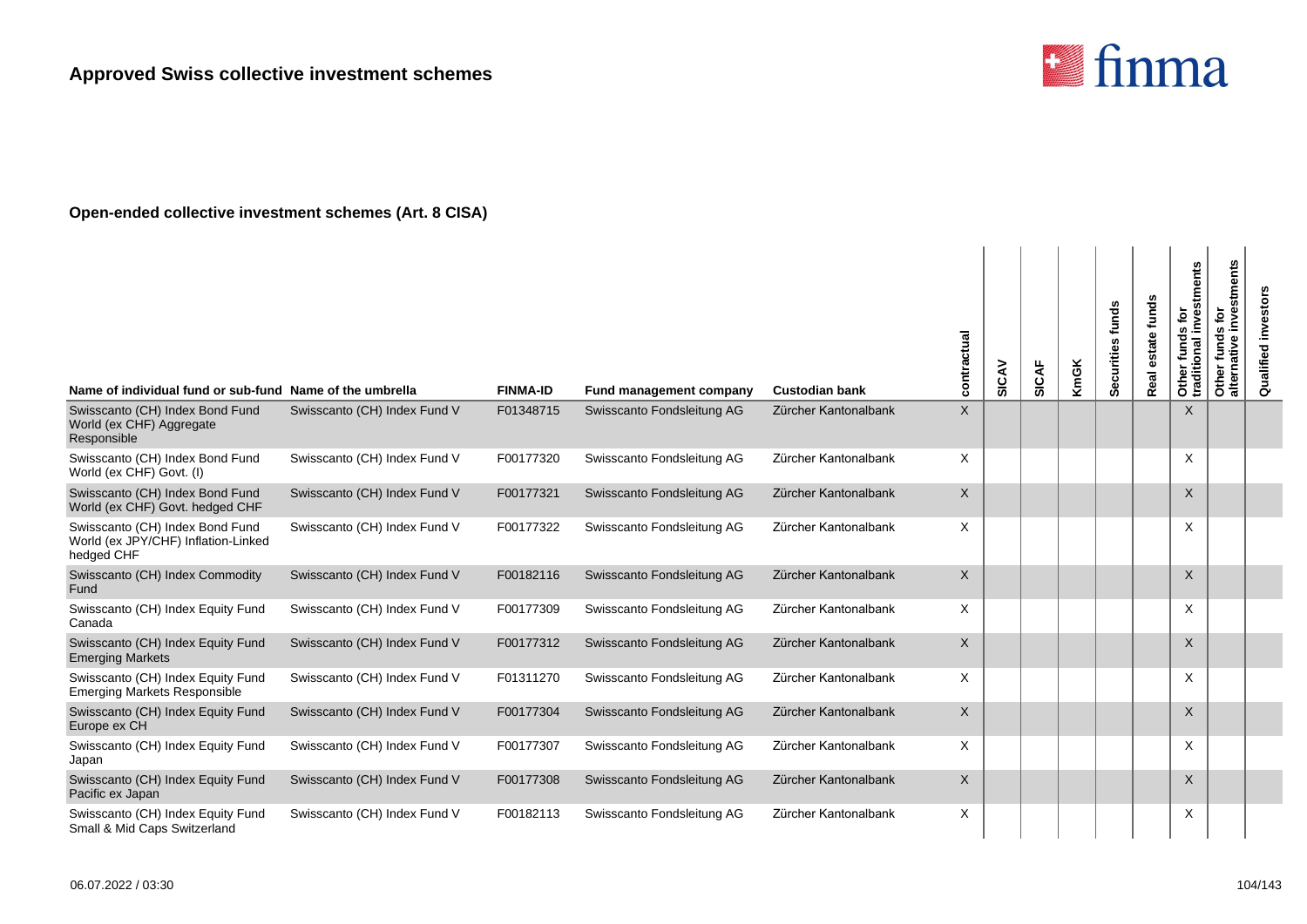

| Name of individual fund or sub-fund Name of the umbrella                             |                              | <b>FINMA-ID</b> | Fund management company    | <b>Custodian bank</b> | contractual | SICAV | <b>SICAF</b> | <b>KmGK</b> | funds<br>Securities | funds<br>state<br>Real | investments<br>흐<br>s<br>fund<br>Other funds<br>traditional i | investments<br>$\tilde{\mathbf{e}}$<br>funds<br>$\boldsymbol{\omega}$<br>ā<br>Other<br>alterna | investors<br>Qualified |
|--------------------------------------------------------------------------------------|------------------------------|-----------------|----------------------------|-----------------------|-------------|-------|--------------|-------------|---------------------|------------------------|---------------------------------------------------------------|------------------------------------------------------------------------------------------------|------------------------|
| Swisscanto (CH) Index Bond Fund<br>World (ex CHF) Aggregate<br>Responsible           | Swisscanto (CH) Index Fund V | F01348715       | Swisscanto Fondsleitung AG | Zürcher Kantonalbank  | $\mathsf X$ |       |              |             |                     |                        | $\times$                                                      |                                                                                                |                        |
| Swisscanto (CH) Index Bond Fund<br>World (ex CHF) Govt. (I)                          | Swisscanto (CH) Index Fund V | F00177320       | Swisscanto Fondsleitung AG | Zürcher Kantonalbank  | X           |       |              |             |                     |                        | X                                                             |                                                                                                |                        |
| Swisscanto (CH) Index Bond Fund<br>World (ex CHF) Govt. hedged CHF                   | Swisscanto (CH) Index Fund V | F00177321       | Swisscanto Fondsleitung AG | Zürcher Kantonalbank  | $\times$    |       |              |             |                     |                        | $\times$                                                      |                                                                                                |                        |
| Swisscanto (CH) Index Bond Fund<br>World (ex JPY/CHF) Inflation-Linked<br>hedged CHF | Swisscanto (CH) Index Fund V | F00177322       | Swisscanto Fondsleitung AG | Zürcher Kantonalbank  | X           |       |              |             |                     |                        | X                                                             |                                                                                                |                        |
| Swisscanto (CH) Index Commodity<br>Fund                                              | Swisscanto (CH) Index Fund V | F00182116       | Swisscanto Fondsleitung AG | Zürcher Kantonalbank  | X           |       |              |             |                     |                        | X                                                             |                                                                                                |                        |
| Swisscanto (CH) Index Equity Fund<br>Canada                                          | Swisscanto (CH) Index Fund V | F00177309       | Swisscanto Fondsleitung AG | Zürcher Kantonalbank  | X           |       |              |             |                     |                        | X                                                             |                                                                                                |                        |
| Swisscanto (CH) Index Equity Fund<br><b>Emerging Markets</b>                         | Swisscanto (CH) Index Fund V | F00177312       | Swisscanto Fondsleitung AG | Zürcher Kantonalbank  | X           |       |              |             |                     |                        | $\times$                                                      |                                                                                                |                        |
| Swisscanto (CH) Index Equity Fund<br><b>Emerging Markets Responsible</b>             | Swisscanto (CH) Index Fund V | F01311270       | Swisscanto Fondsleitung AG | Zürcher Kantonalbank  | X           |       |              |             |                     |                        | X                                                             |                                                                                                |                        |
| Swisscanto (CH) Index Equity Fund<br>Europe ex CH                                    | Swisscanto (CH) Index Fund V | F00177304       | Swisscanto Fondsleitung AG | Zürcher Kantonalbank  | X           |       |              |             |                     |                        | X                                                             |                                                                                                |                        |
| Swisscanto (CH) Index Equity Fund<br>Japan                                           | Swisscanto (CH) Index Fund V | F00177307       | Swisscanto Fondsleitung AG | Zürcher Kantonalbank  | X           |       |              |             |                     |                        | X                                                             |                                                                                                |                        |
| Swisscanto (CH) Index Equity Fund<br>Pacific ex Japan                                | Swisscanto (CH) Index Fund V | F00177308       | Swisscanto Fondsleitung AG | Zürcher Kantonalbank  | X           |       |              |             |                     |                        | $\times$                                                      |                                                                                                |                        |
| Swisscanto (CH) Index Equity Fund<br>Small & Mid Caps Switzerland                    | Swisscanto (CH) Index Fund V | F00182113       | Swisscanto Fondsleitung AG | Zürcher Kantonalbank  | X           |       |              |             |                     |                        | X                                                             |                                                                                                |                        |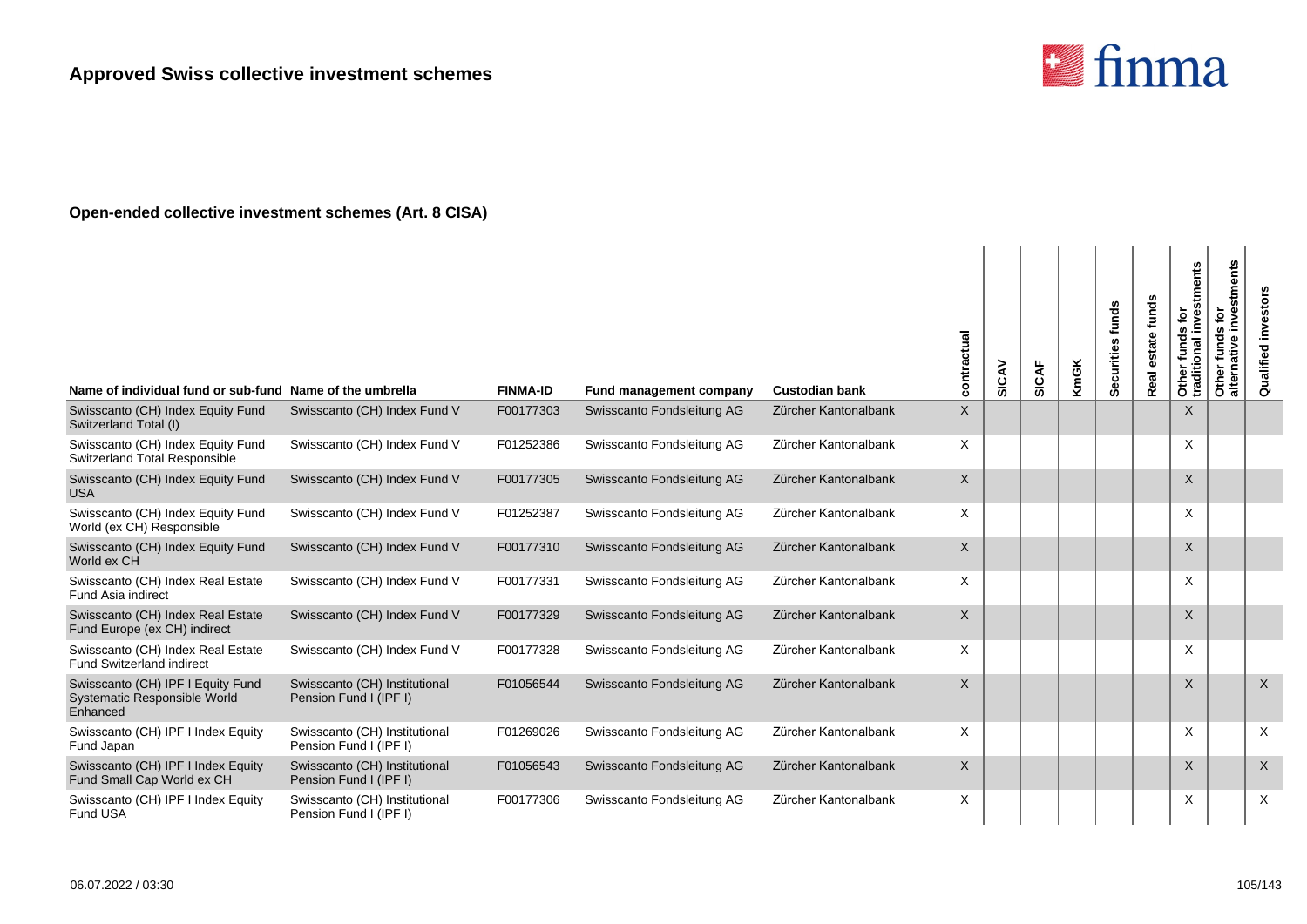

| Name of individual fund or sub-fund Name of the umbrella                      |                                                         | <b>FINMA-ID</b> | Fund management company    | <b>Custodian bank</b> | contractual | SICAV | SICAF | <b>KmGK</b> | Securities funds | funds<br>Real | Other funds for<br>traditional investments | ents<br>ë<br><b>S</b><br>fund<br>ω<br>native<br>Other<br>alterna | Qualified investors |
|-------------------------------------------------------------------------------|---------------------------------------------------------|-----------------|----------------------------|-----------------------|-------------|-------|-------|-------------|------------------|---------------|--------------------------------------------|------------------------------------------------------------------|---------------------|
| Swisscanto (CH) Index Equity Fund<br>Switzerland Total (I)                    | Swisscanto (CH) Index Fund V                            | F00177303       | Swisscanto Fondsleitung AG | Zürcher Kantonalbank  | X           |       |       |             |                  |               | $\times$                                   |                                                                  |                     |
| Swisscanto (CH) Index Equity Fund<br>Switzerland Total Responsible            | Swisscanto (CH) Index Fund V                            | F01252386       | Swisscanto Fondsleitung AG | Zürcher Kantonalbank  | X           |       |       |             |                  |               | X                                          |                                                                  |                     |
| Swisscanto (CH) Index Equity Fund<br><b>USA</b>                               | Swisscanto (CH) Index Fund V                            | F00177305       | Swisscanto Fondsleitung AG | Zürcher Kantonalbank  | $\sf X$     |       |       |             |                  |               | $\times$                                   |                                                                  |                     |
| Swisscanto (CH) Index Equity Fund<br>World (ex CH) Responsible                | Swisscanto (CH) Index Fund V                            | F01252387       | Swisscanto Fondsleitung AG | Zürcher Kantonalbank  | X           |       |       |             |                  |               | X                                          |                                                                  |                     |
| Swisscanto (CH) Index Equity Fund<br>World ex CH                              | Swisscanto (CH) Index Fund V                            | F00177310       | Swisscanto Fondsleitung AG | Zürcher Kantonalbank  | X           |       |       |             |                  |               | $\times$                                   |                                                                  |                     |
| Swisscanto (CH) Index Real Estate<br><b>Fund Asia indirect</b>                | Swisscanto (CH) Index Fund V                            | F00177331       | Swisscanto Fondsleitung AG | Zürcher Kantonalbank  | Χ           |       |       |             |                  |               | X                                          |                                                                  |                     |
| Swisscanto (CH) Index Real Estate<br>Fund Europe (ex CH) indirect             | Swisscanto (CH) Index Fund V                            | F00177329       | Swisscanto Fondsleitung AG | Zürcher Kantonalbank  | $\times$    |       |       |             |                  |               | $\times$                                   |                                                                  |                     |
| Swisscanto (CH) Index Real Estate<br><b>Fund Switzerland indirect</b>         | Swisscanto (CH) Index Fund V                            | F00177328       | Swisscanto Fondsleitung AG | Zürcher Kantonalbank  | X           |       |       |             |                  |               | X                                          |                                                                  |                     |
| Swisscanto (CH) IPF I Equity Fund<br>Systematic Responsible World<br>Enhanced | Swisscanto (CH) Institutional<br>Pension Fund I (IPF I) | F01056544       | Swisscanto Fondsleitung AG | Zürcher Kantonalbank  | $\times$    |       |       |             |                  |               | X                                          |                                                                  | $\sf X$             |
| Swisscanto (CH) IPF I Index Equity<br>Fund Japan                              | Swisscanto (CH) Institutional<br>Pension Fund I (IPF I) | F01269026       | Swisscanto Fondsleitung AG | Zürcher Kantonalbank  | X           |       |       |             |                  |               | X                                          |                                                                  | $\times$            |
| Swisscanto (CH) IPF I Index Equity<br>Fund Small Cap World ex CH              | Swisscanto (CH) Institutional<br>Pension Fund I (IPF I) | F01056543       | Swisscanto Fondsleitung AG | Zürcher Kantonalbank  | $\times$    |       |       |             |                  |               | $\mathsf{X}$                               |                                                                  | $\mathsf{X}$        |
| Swisscanto (CH) IPF I Index Equity<br>Fund USA                                | Swisscanto (CH) Institutional<br>Pension Fund I (IPF I) | F00177306       | Swisscanto Fondsleitung AG | Zürcher Kantonalbank  | X           |       |       |             |                  |               | X                                          |                                                                  | $\times$            |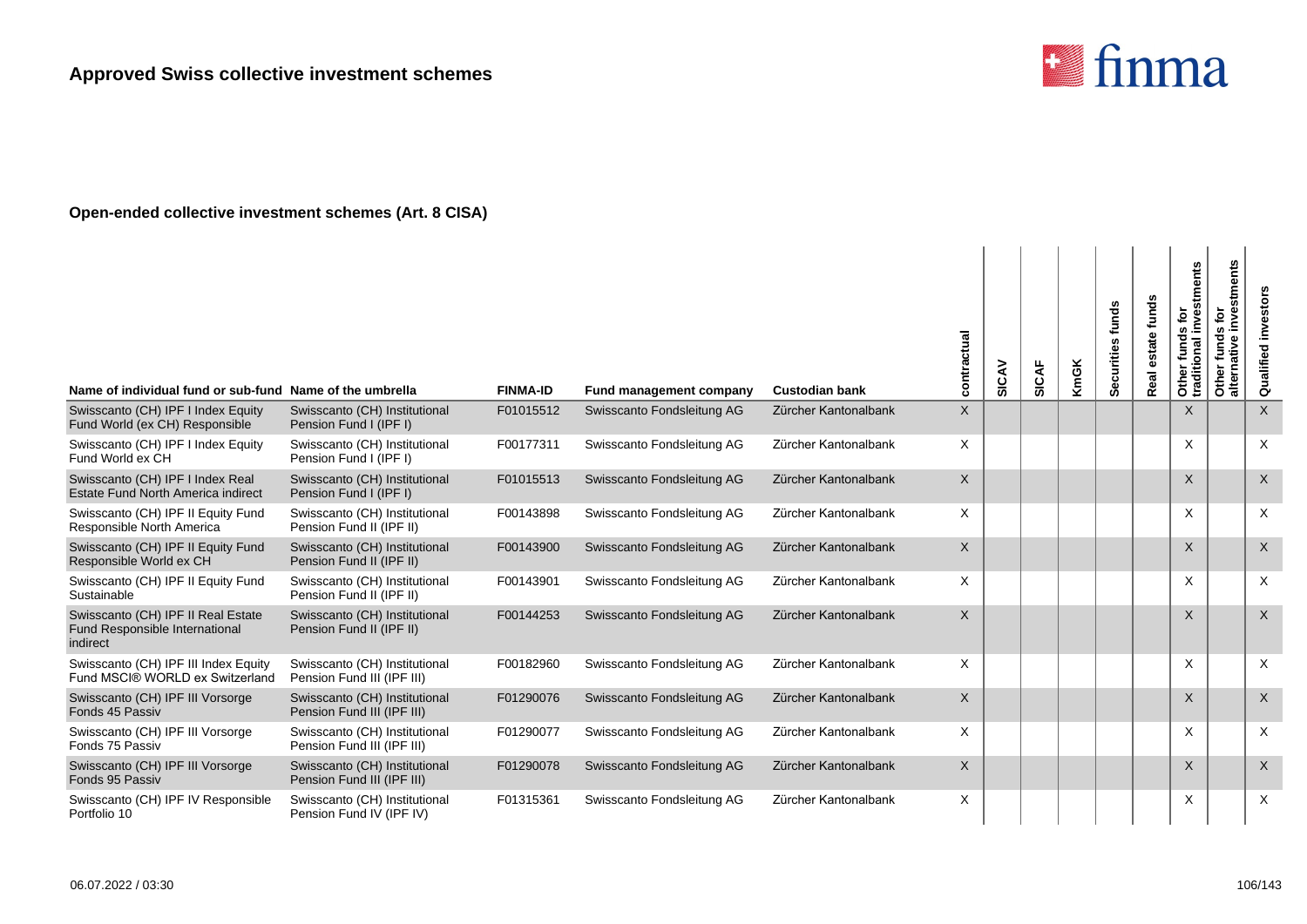

| Name of individual fund or sub-fund Name of the umbrella                         |                                                             | <b>FINMA-ID</b> | <b>Fund management company</b> | <b>Custodian bank</b> | contractual  | SICAV | <b>SICAF</b> | <b>KmGK</b> | funds<br>Securities | funds<br>estate<br>Real | stments<br>è<br>jnve<br>funds<br>Other funds<br>traditional i | investments<br>흐<br>s,<br>alternative<br>fund<br>Other | investors<br>Qualified |
|----------------------------------------------------------------------------------|-------------------------------------------------------------|-----------------|--------------------------------|-----------------------|--------------|-------|--------------|-------------|---------------------|-------------------------|---------------------------------------------------------------|--------------------------------------------------------|------------------------|
| Swisscanto (CH) IPF I Index Equity<br>Fund World (ex CH) Responsible             | Swisscanto (CH) Institutional<br>Pension Fund I (IPF I)     | F01015512       | Swisscanto Fondsleitung AG     | Zürcher Kantonalbank  | X            |       |              |             |                     |                         | $\times$                                                      |                                                        | $\sf X$                |
| Swisscanto (CH) IPF I Index Equity<br>Fund World ex CH                           | Swisscanto (CH) Institutional<br>Pension Fund I (IPF I)     | F00177311       | Swisscanto Fondsleitung AG     | Zürcher Kantonalbank  | X            |       |              |             |                     |                         | X                                                             |                                                        | $\times$               |
| Swisscanto (CH) IPF I Index Real<br><b>Estate Fund North America indirect</b>    | Swisscanto (CH) Institutional<br>Pension Fund I (IPF I)     | F01015513       | Swisscanto Fondsleitung AG     | Zürcher Kantonalbank  | $\mathsf{X}$ |       |              |             |                     |                         | $\times$                                                      |                                                        | $\times$               |
| Swisscanto (CH) IPF II Equity Fund<br>Responsible North America                  | Swisscanto (CH) Institutional<br>Pension Fund II (IPF II)   | F00143898       | Swisscanto Fondsleitung AG     | Zürcher Kantonalbank  | X            |       |              |             |                     |                         | X                                                             |                                                        | $\times$               |
| Swisscanto (CH) IPF II Equity Fund<br>Responsible World ex CH                    | Swisscanto (CH) Institutional<br>Pension Fund II (IPF II)   | F00143900       | Swisscanto Fondsleitung AG     | Zürcher Kantonalbank  | $\mathsf{X}$ |       |              |             |                     |                         | $\times$                                                      |                                                        | $\sf X$                |
| Swisscanto (CH) IPF II Equity Fund<br>Sustainable                                | Swisscanto (CH) Institutional<br>Pension Fund II (IPF II)   | F00143901       | Swisscanto Fondsleitung AG     | Zürcher Kantonalbank  | X            |       |              |             |                     |                         | X                                                             |                                                        | $\times$               |
| Swisscanto (CH) IPF II Real Estate<br>Fund Responsible International<br>indirect | Swisscanto (CH) Institutional<br>Pension Fund II (IPF II)   | F00144253       | Swisscanto Fondsleitung AG     | Zürcher Kantonalbank  | $\mathsf{X}$ |       |              |             |                     |                         | $\times$                                                      |                                                        | $\times$               |
| Swisscanto (CH) IPF III Index Equity<br>Fund MSCI® WORLD ex Switzerland          | Swisscanto (CH) Institutional<br>Pension Fund III (IPF III) | F00182960       | Swisscanto Fondsleitung AG     | Zürcher Kantonalbank  | X            |       |              |             |                     |                         | X                                                             |                                                        | $\times$               |
| Swisscanto (CH) IPF III Vorsorge<br>Fonds 45 Passiv                              | Swisscanto (CH) Institutional<br>Pension Fund III (IPF III) | F01290076       | Swisscanto Fondsleitung AG     | Zürcher Kantonalbank  | $\mathsf{X}$ |       |              |             |                     |                         | $\times$                                                      |                                                        | $\times$               |
| Swisscanto (CH) IPF III Vorsorge<br>Fonds 75 Passiv                              | Swisscanto (CH) Institutional<br>Pension Fund III (IPF III) | F01290077       | Swisscanto Fondsleitung AG     | Zürcher Kantonalbank  | X            |       |              |             |                     |                         | X                                                             |                                                        | $\times$               |
| Swisscanto (CH) IPF III Vorsorge<br>Fonds 95 Passiv                              | Swisscanto (CH) Institutional<br>Pension Fund III (IPF III) | F01290078       | Swisscanto Fondsleitung AG     | Zürcher Kantonalbank  | X            |       |              |             |                     |                         | X                                                             |                                                        | $\sf X$                |
| Swisscanto (CH) IPF IV Responsible<br>Portfolio 10                               | Swisscanto (CH) Institutional<br>Pension Fund IV (IPF IV)   | F01315361       | Swisscanto Fondsleitung AG     | Zürcher Kantonalbank  | X            |       |              |             |                     |                         | X                                                             |                                                        | $\times$               |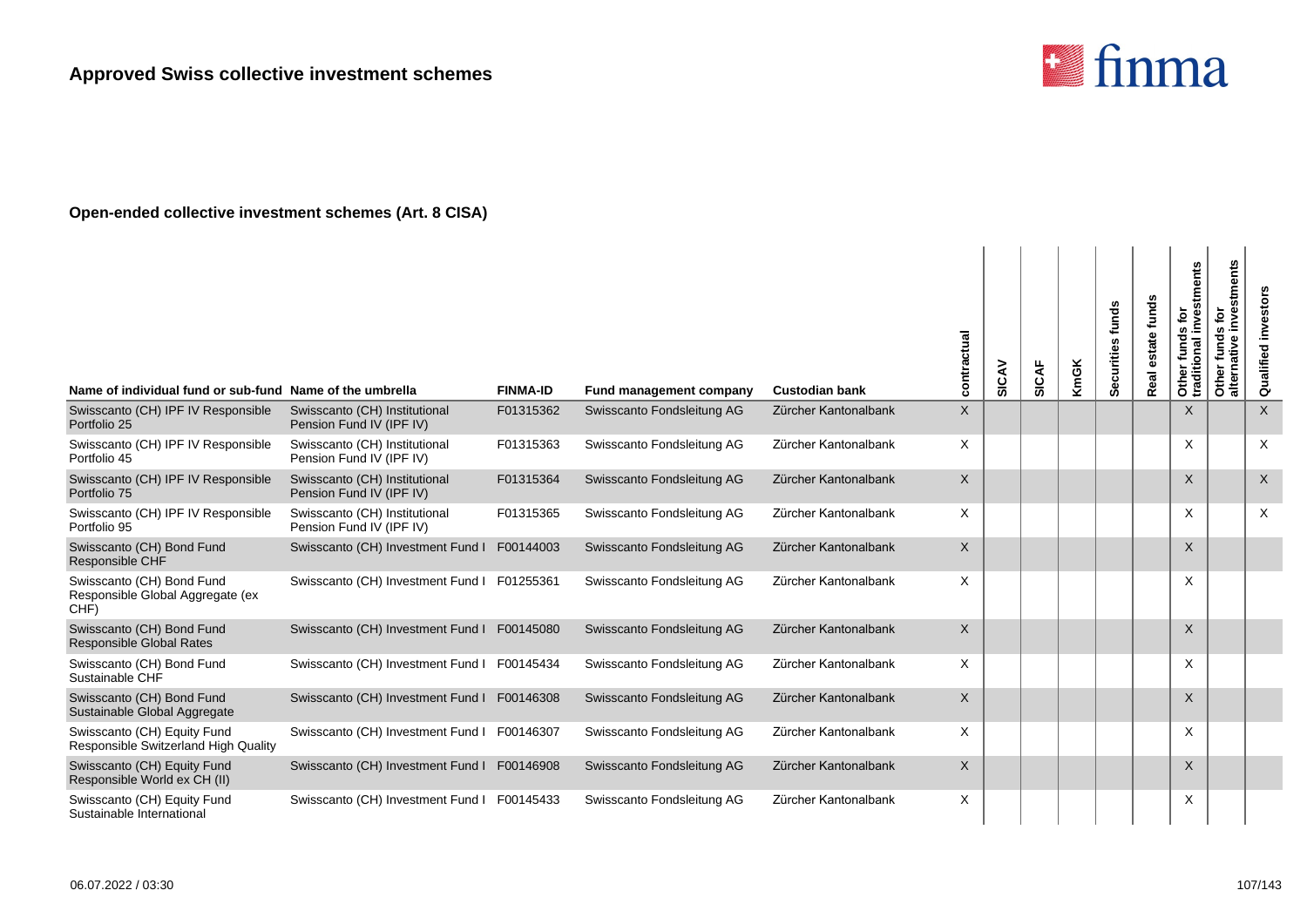

| Name of individual fund or sub-fund Name of the umbrella              |                                                           | <b>FINMA-ID</b> | Fund management company    | <b>Custodian bank</b> | contractual | SICAV | <b>SICAF</b> | <b>KmGK</b> | funds<br>Securities | funds<br>estate<br>Real | Other funds for<br>traditional investments | stments<br>funds for<br>Φ<br>Š<br>ative<br>Other<br>alterna | investors<br>Qualified |
|-----------------------------------------------------------------------|-----------------------------------------------------------|-----------------|----------------------------|-----------------------|-------------|-------|--------------|-------------|---------------------|-------------------------|--------------------------------------------|-------------------------------------------------------------|------------------------|
| Swisscanto (CH) IPF IV Responsible<br>Portfolio 25                    | Swisscanto (CH) Institutional<br>Pension Fund IV (IPF IV) | F01315362       | Swisscanto Fondsleitung AG | Zürcher Kantonalbank  | X           |       |              |             |                     |                         | $\times$                                   |                                                             | $\times$               |
| Swisscanto (CH) IPF IV Responsible<br>Portfolio 45                    | Swisscanto (CH) Institutional<br>Pension Fund IV (IPF IV) | F01315363       | Swisscanto Fondsleitung AG | Zürcher Kantonalbank  | X           |       |              |             |                     |                         | X                                          |                                                             | X                      |
| Swisscanto (CH) IPF IV Responsible<br>Portfolio 75                    | Swisscanto (CH) Institutional<br>Pension Fund IV (IPF IV) | F01315364       | Swisscanto Fondsleitung AG | Zürcher Kantonalbank  | $\mathsf X$ |       |              |             |                     |                         | $\times$                                   |                                                             | $\mathsf{X}$           |
| Swisscanto (CH) IPF IV Responsible<br>Portfolio 95                    | Swisscanto (CH) Institutional<br>Pension Fund IV (IPF IV) | F01315365       | Swisscanto Fondsleitung AG | Zürcher Kantonalbank  | X           |       |              |             |                     |                         | X                                          |                                                             | X                      |
| Swisscanto (CH) Bond Fund<br>Responsible CHF                          | Swisscanto (CH) Investment Fund I                         | F00144003       | Swisscanto Fondsleitung AG | Zürcher Kantonalbank  | X           |       |              |             |                     |                         | X                                          |                                                             |                        |
| Swisscanto (CH) Bond Fund<br>Responsible Global Aggregate (ex<br>CHF) | Swisscanto (CH) Investment Fund I F01255361               |                 | Swisscanto Fondsleitung AG | Zürcher Kantonalbank  | X           |       |              |             |                     |                         | X                                          |                                                             |                        |
| Swisscanto (CH) Bond Fund<br><b>Responsible Global Rates</b>          | Swisscanto (CH) Investment Fund I F00145080               |                 | Swisscanto Fondsleitung AG | Zürcher Kantonalbank  | X           |       |              |             |                     |                         | $\times$                                   |                                                             |                        |
| Swisscanto (CH) Bond Fund<br>Sustainable CHF                          | Swisscanto (CH) Investment Fund I F00145434               |                 | Swisscanto Fondsleitung AG | Zürcher Kantonalbank  | X           |       |              |             |                     |                         | X                                          |                                                             |                        |
| Swisscanto (CH) Bond Fund<br>Sustainable Global Aggregate             | Swisscanto (CH) Investment Fund I F00146308               |                 | Swisscanto Fondsleitung AG | Zürcher Kantonalbank  | X           |       |              |             |                     |                         | $\times$                                   |                                                             |                        |
| Swisscanto (CH) Equity Fund<br>Responsible Switzerland High Quality   | Swisscanto (CH) Investment Fund I F00146307               |                 | Swisscanto Fondsleitung AG | Zürcher Kantonalbank  | X           |       |              |             |                     |                         | X                                          |                                                             |                        |
| Swisscanto (CH) Equity Fund<br>Responsible World ex CH (II)           | Swisscanto (CH) Investment Fund I F00146908               |                 | Swisscanto Fondsleitung AG | Zürcher Kantonalbank  | X           |       |              |             |                     |                         | $\times$                                   |                                                             |                        |
| Swisscanto (CH) Equity Fund<br>Sustainable International              | Swisscanto (CH) Investment Fund I F00145433               |                 | Swisscanto Fondsleitung AG | Zürcher Kantonalbank  | X           |       |              |             |                     |                         | X                                          |                                                             |                        |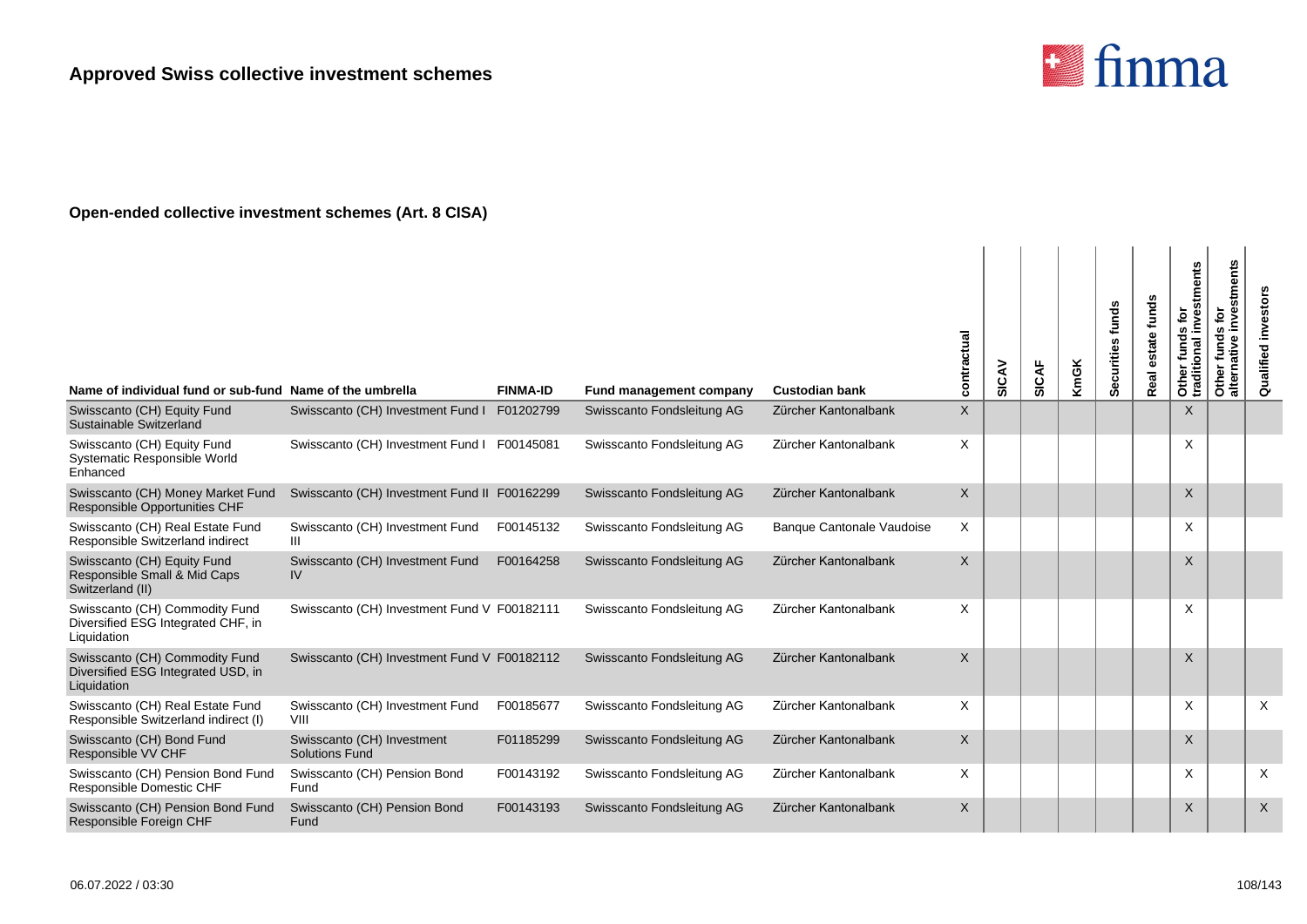

| Name of individual fund or sub-fund Name of the umbrella                            |                                                     | <b>FINMA-ID</b> | <b>Fund management company</b> | <b>Custodian bank</b>     | contractual | SICAV | SICAF | KmGK | Securities funds | funds<br>estate<br>Real | Other funds for<br>traditional investments | nvestments<br>$\mathbf{\underline{\ddot{o}}}$<br>funds<br>Other funds<br>alternative | investor<br>Qualified |
|-------------------------------------------------------------------------------------|-----------------------------------------------------|-----------------|--------------------------------|---------------------------|-------------|-------|-------|------|------------------|-------------------------|--------------------------------------------|--------------------------------------------------------------------------------------|-----------------------|
| Swisscanto (CH) Equity Fund<br>Sustainable Switzerland                              | Swisscanto (CH) Investment Fund I                   | F01202799       | Swisscanto Fondsleitung AG     | Zürcher Kantonalbank      | X           |       |       |      |                  |                         | $\times$                                   |                                                                                      |                       |
| Swisscanto (CH) Equity Fund<br>Systematic Responsible World<br>Enhanced             | Swisscanto (CH) Investment Fund I F00145081         |                 | Swisscanto Fondsleitung AG     | Zürcher Kantonalbank      | $\times$    |       |       |      |                  |                         | X                                          |                                                                                      |                       |
| Swisscanto (CH) Money Market Fund<br>Responsible Opportunities CHF                  | Swisscanto (CH) Investment Fund II F00162299        |                 | Swisscanto Fondsleitung AG     | Zürcher Kantonalbank      | $\sf X$     |       |       |      |                  |                         | $\sf X$                                    |                                                                                      |                       |
| Swisscanto (CH) Real Estate Fund<br>Responsible Switzerland indirect                | Swisscanto (CH) Investment Fund<br>Ш                | F00145132       | Swisscanto Fondsleitung AG     | Banque Cantonale Vaudoise | $\times$    |       |       |      |                  |                         | X                                          |                                                                                      |                       |
| Swisscanto (CH) Equity Fund<br>Responsible Small & Mid Caps<br>Switzerland (II)     | Swisscanto (CH) Investment Fund<br>IV               | F00164258       | Swisscanto Fondsleitung AG     | Zürcher Kantonalbank      | $\sf X$     |       |       |      |                  |                         | X                                          |                                                                                      |                       |
| Swisscanto (CH) Commodity Fund<br>Diversified ESG Integrated CHF, in<br>Liquidation | Swisscanto (CH) Investment Fund V F00182111         |                 | Swisscanto Fondsleitung AG     | Zürcher Kantonalbank      | $\times$    |       |       |      |                  |                         | X                                          |                                                                                      |                       |
| Swisscanto (CH) Commodity Fund<br>Diversified ESG Integrated USD, in<br>Liquidation | Swisscanto (CH) Investment Fund V F00182112         |                 | Swisscanto Fondsleitung AG     | Zürcher Kantonalbank      | $\sf X$     |       |       |      |                  |                         | X                                          |                                                                                      |                       |
| Swisscanto (CH) Real Estate Fund<br>Responsible Switzerland indirect (I)            | Swisscanto (CH) Investment Fund<br>VIII             | F00185677       | Swisscanto Fondsleitung AG     | Zürcher Kantonalbank      | $\times$    |       |       |      |                  |                         | X                                          |                                                                                      | $\times$              |
| Swisscanto (CH) Bond Fund<br>Responsible VV CHF                                     | Swisscanto (CH) Investment<br><b>Solutions Fund</b> | F01185299       | Swisscanto Fondsleitung AG     | Zürcher Kantonalbank      | $\sf X$     |       |       |      |                  |                         | $\sf X$                                    |                                                                                      |                       |
| Swisscanto (CH) Pension Bond Fund<br>Responsible Domestic CHF                       | Swisscanto (CH) Pension Bond<br>Fund                | F00143192       | Swisscanto Fondsleitung AG     | Zürcher Kantonalbank      | $\times$    |       |       |      |                  |                         | X                                          |                                                                                      | $\times$              |
| Swisscanto (CH) Pension Bond Fund<br>Responsible Foreign CHF                        | Swisscanto (CH) Pension Bond<br>Fund                | F00143193       | Swisscanto Fondsleitung AG     | Zürcher Kantonalbank      | $\times$    |       |       |      |                  |                         | X                                          |                                                                                      | $\times$              |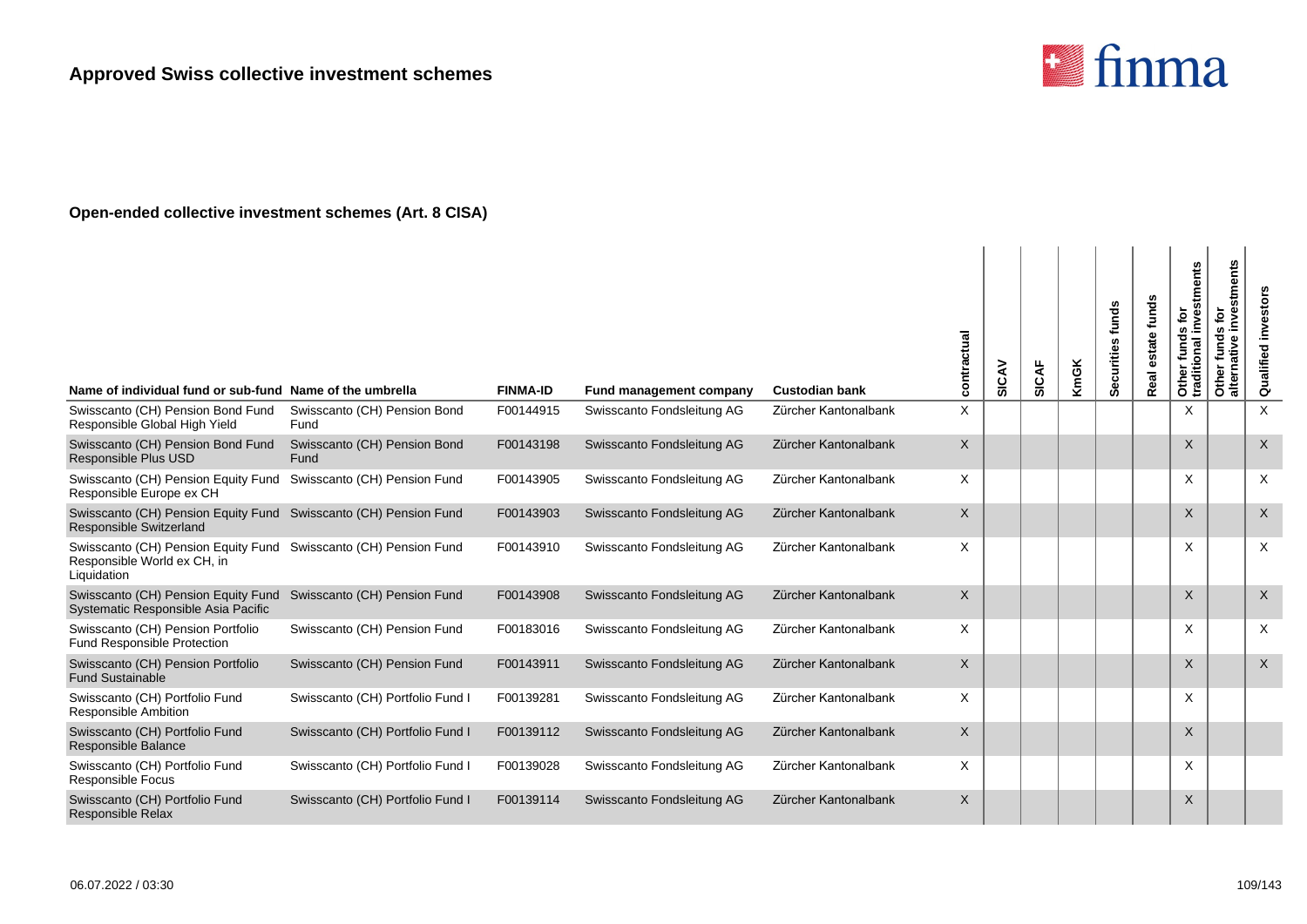

| Name of individual fund or sub-fund Name of the umbrella                                                       |                                      | <b>FINMA-ID</b> | Fund management company    | <b>Custodian bank</b> | contractual | SICAV | SICAF | <b>KmGK</b> | Securities funds | funds<br>estate<br>Real | stments<br>ē<br>inve<br>s<br>fund<br>Other funds<br>traditional i | estments<br>Other funds for<br>alternative inves | Qualified investors |
|----------------------------------------------------------------------------------------------------------------|--------------------------------------|-----------------|----------------------------|-----------------------|-------------|-------|-------|-------------|------------------|-------------------------|-------------------------------------------------------------------|--------------------------------------------------|---------------------|
| Swisscanto (CH) Pension Bond Fund<br>Responsible Global High Yield                                             | Swisscanto (CH) Pension Bond<br>Fund | F00144915       | Swisscanto Fondsleitung AG | Zürcher Kantonalbank  | X           |       |       |             |                  |                         | X                                                                 |                                                  | X                   |
| Swisscanto (CH) Pension Bond Fund<br>Responsible Plus USD                                                      | Swisscanto (CH) Pension Bond<br>Fund | F00143198       | Swisscanto Fondsleitung AG | Zürcher Kantonalbank  | X           |       |       |             |                  |                         | X                                                                 |                                                  | $\mathsf X$         |
| Swisscanto (CH) Pension Equity Fund Swisscanto (CH) Pension Fund<br>Responsible Europe ex CH                   |                                      | F00143905       | Swisscanto Fondsleitung AG | Zürcher Kantonalbank  | X           |       |       |             |                  |                         | X                                                                 |                                                  | X                   |
| Swisscanto (CH) Pension Equity Fund Swisscanto (CH) Pension Fund<br><b>Responsible Switzerland</b>             |                                      | F00143903       | Swisscanto Fondsleitung AG | Zürcher Kantonalbank  | X           |       |       |             |                  |                         | X                                                                 |                                                  | X                   |
| Swisscanto (CH) Pension Equity Fund Swisscanto (CH) Pension Fund<br>Responsible World ex CH, in<br>Liquidation |                                      | F00143910       | Swisscanto Fondsleitung AG | Zürcher Kantonalbank  | X           |       |       |             |                  |                         | X                                                                 |                                                  | $\times$            |
| Swisscanto (CH) Pension Equity Fund<br>Systematic Responsible Asia Pacific                                     | Swisscanto (CH) Pension Fund         | F00143908       | Swisscanto Fondsleitung AG | Zürcher Kantonalbank  | X           |       |       |             |                  |                         | $\times$                                                          |                                                  | $\mathsf X$         |
| Swisscanto (CH) Pension Portfolio<br><b>Fund Responsible Protection</b>                                        | Swisscanto (CH) Pension Fund         | F00183016       | Swisscanto Fondsleitung AG | Zürcher Kantonalbank  | X           |       |       |             |                  |                         | X                                                                 |                                                  | X                   |
| Swisscanto (CH) Pension Portfolio<br><b>Fund Sustainable</b>                                                   | Swisscanto (CH) Pension Fund         | F00143911       | Swisscanto Fondsleitung AG | Zürcher Kantonalbank  | X           |       |       |             |                  |                         | X                                                                 |                                                  | $\mathsf{X}$        |
| Swisscanto (CH) Portfolio Fund<br><b>Responsible Ambition</b>                                                  | Swisscanto (CH) Portfolio Fund I     | F00139281       | Swisscanto Fondsleitung AG | Zürcher Kantonalbank  | X           |       |       |             |                  |                         | X                                                                 |                                                  |                     |
| Swisscanto (CH) Portfolio Fund<br>Responsible Balance                                                          | Swisscanto (CH) Portfolio Fund I     | F00139112       | Swisscanto Fondsleitung AG | Zürcher Kantonalbank  | X           |       |       |             |                  |                         | $\times$                                                          |                                                  |                     |
| Swisscanto (CH) Portfolio Fund<br><b>Responsible Focus</b>                                                     | Swisscanto (CH) Portfolio Fund I     | F00139028       | Swisscanto Fondsleitung AG | Zürcher Kantonalbank  | X           |       |       |             |                  |                         | X                                                                 |                                                  |                     |
| Swisscanto (CH) Portfolio Fund<br>Responsible Relax                                                            | Swisscanto (CH) Portfolio Fund I     | F00139114       | Swisscanto Fondsleitung AG | Zürcher Kantonalbank  | X           |       |       |             |                  |                         | $\times$                                                          |                                                  |                     |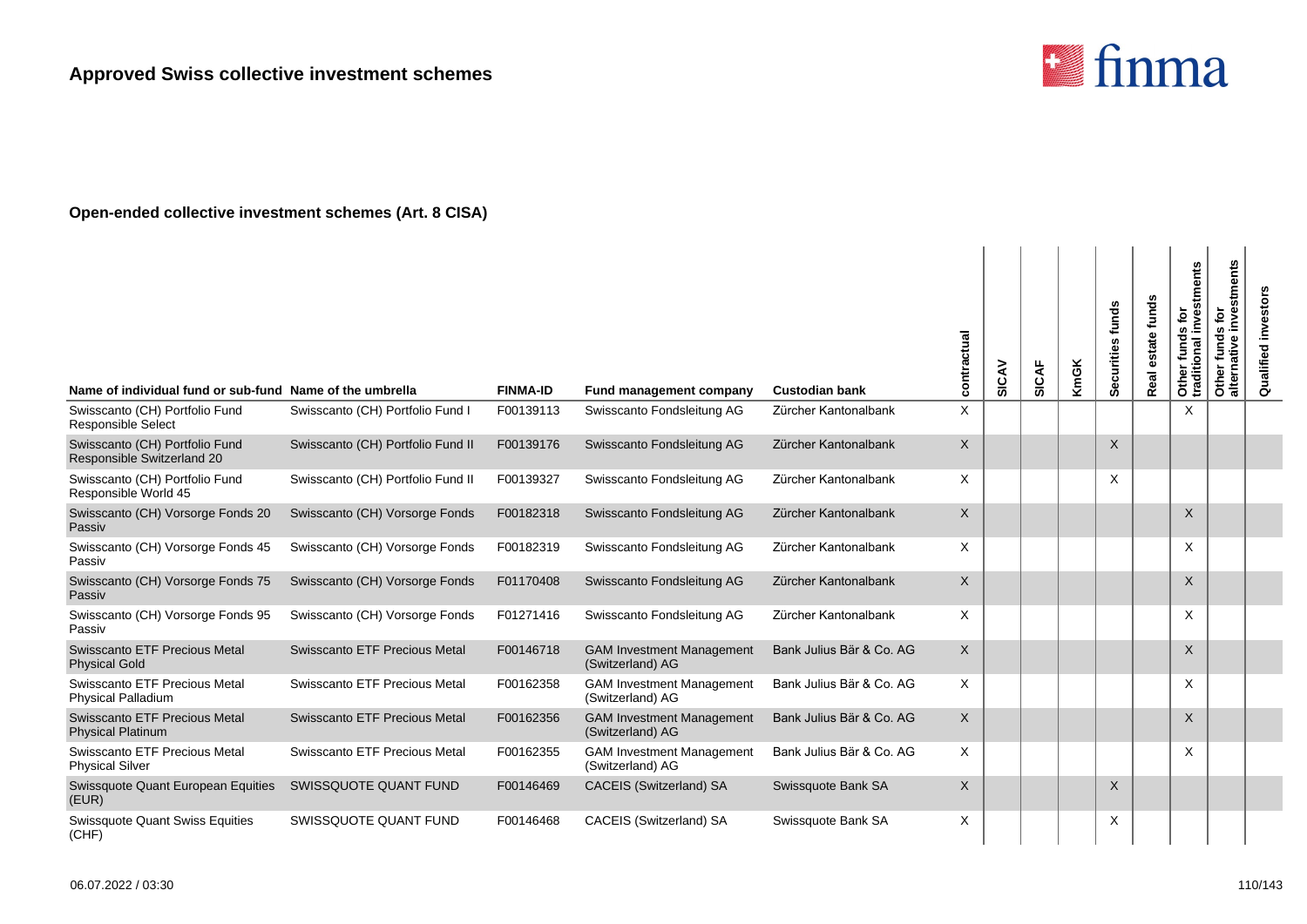

| Name of individual fund or sub-fund Name of the umbrella     |                                   | <b>FINMA-ID</b> | Fund management company                              | <b>Custodian bank</b>    | contractual | SICAV | <b>SICAF</b> | <b>KmGK</b> | Securities funds | estate funds<br>Real | stments<br>ē<br>inve<br><b>SC</b><br>Other funds<br>traditional i | investments<br>ġ<br>Other funds f<br>alternative in | investors<br>Qualified |
|--------------------------------------------------------------|-----------------------------------|-----------------|------------------------------------------------------|--------------------------|-------------|-------|--------------|-------------|------------------|----------------------|-------------------------------------------------------------------|-----------------------------------------------------|------------------------|
| Swisscanto (CH) Portfolio Fund<br><b>Responsible Select</b>  | Swisscanto (CH) Portfolio Fund I  | F00139113       | Swisscanto Fondsleitung AG                           | Zürcher Kantonalbank     | X           |       |              |             |                  |                      | X                                                                 |                                                     |                        |
| Swisscanto (CH) Portfolio Fund<br>Responsible Switzerland 20 | Swisscanto (CH) Portfolio Fund II | F00139176       | Swisscanto Fondsleitung AG                           | Zürcher Kantonalbank     | X           |       |              |             | X                |                      |                                                                   |                                                     |                        |
| Swisscanto (CH) Portfolio Fund<br>Responsible World 45       | Swisscanto (CH) Portfolio Fund II | F00139327       | Swisscanto Fondsleitung AG                           | Zürcher Kantonalbank     | X           |       |              |             | X                |                      |                                                                   |                                                     |                        |
| Swisscanto (CH) Vorsorge Fonds 20<br>Passiv                  | Swisscanto (CH) Vorsorge Fonds    | F00182318       | Swisscanto Fondsleitung AG                           | Zürcher Kantonalbank     | X           |       |              |             |                  |                      | $\times$                                                          |                                                     |                        |
| Swisscanto (CH) Vorsorge Fonds 45<br>Passiv                  | Swisscanto (CH) Vorsorge Fonds    | F00182319       | Swisscanto Fondsleitung AG                           | Zürcher Kantonalbank     | X           |       |              |             |                  |                      | X                                                                 |                                                     |                        |
| Swisscanto (CH) Vorsorge Fonds 75<br>Passiv                  | Swisscanto (CH) Vorsorge Fonds    | F01170408       | Swisscanto Fondsleitung AG                           | Zürcher Kantonalbank     | X           |       |              |             |                  |                      | $\times$                                                          |                                                     |                        |
| Swisscanto (CH) Vorsorge Fonds 95<br>Passiv                  | Swisscanto (CH) Vorsorge Fonds    | F01271416       | Swisscanto Fondsleitung AG                           | Zürcher Kantonalbank     | X           |       |              |             |                  |                      | X                                                                 |                                                     |                        |
| Swisscanto ETF Precious Metal<br><b>Physical Gold</b>        | Swisscanto ETF Precious Metal     | F00146718       | <b>GAM Investment Management</b><br>(Switzerland) AG | Bank Julius Bär & Co. AG | X           |       |              |             |                  |                      | $\times$                                                          |                                                     |                        |
| Swisscanto ETF Precious Metal<br><b>Physical Palladium</b>   | Swisscanto ETF Precious Metal     | F00162358       | <b>GAM Investment Management</b><br>(Switzerland) AG | Bank Julius Bär & Co. AG | X           |       |              |             |                  |                      | X                                                                 |                                                     |                        |
| Swisscanto ETF Precious Metal<br><b>Physical Platinum</b>    | Swisscanto ETF Precious Metal     | F00162356       | <b>GAM Investment Management</b><br>(Switzerland) AG | Bank Julius Bär & Co. AG | X           |       |              |             |                  |                      | X                                                                 |                                                     |                        |
| Swisscanto ETF Precious Metal<br><b>Physical Silver</b>      | Swisscanto ETF Precious Metal     | F00162355       | <b>GAM Investment Management</b><br>(Switzerland) AG | Bank Julius Bär & Co. AG | X           |       |              |             |                  |                      | X                                                                 |                                                     |                        |
| Swissquote Quant European Equities<br>(EUR)                  | SWISSQUOTE QUANT FUND             | F00146469       | CACEIS (Switzerland) SA                              | Swissquote Bank SA       | X           |       |              |             | $\sf X$          |                      |                                                                   |                                                     |                        |
| <b>Swissquote Quant Swiss Equities</b><br>(CHF)              | SWISSQUOTE QUANT FUND             | F00146468       | CACEIS (Switzerland) SA                              | Swissquote Bank SA       | X           |       |              |             | X                |                      |                                                                   |                                                     |                        |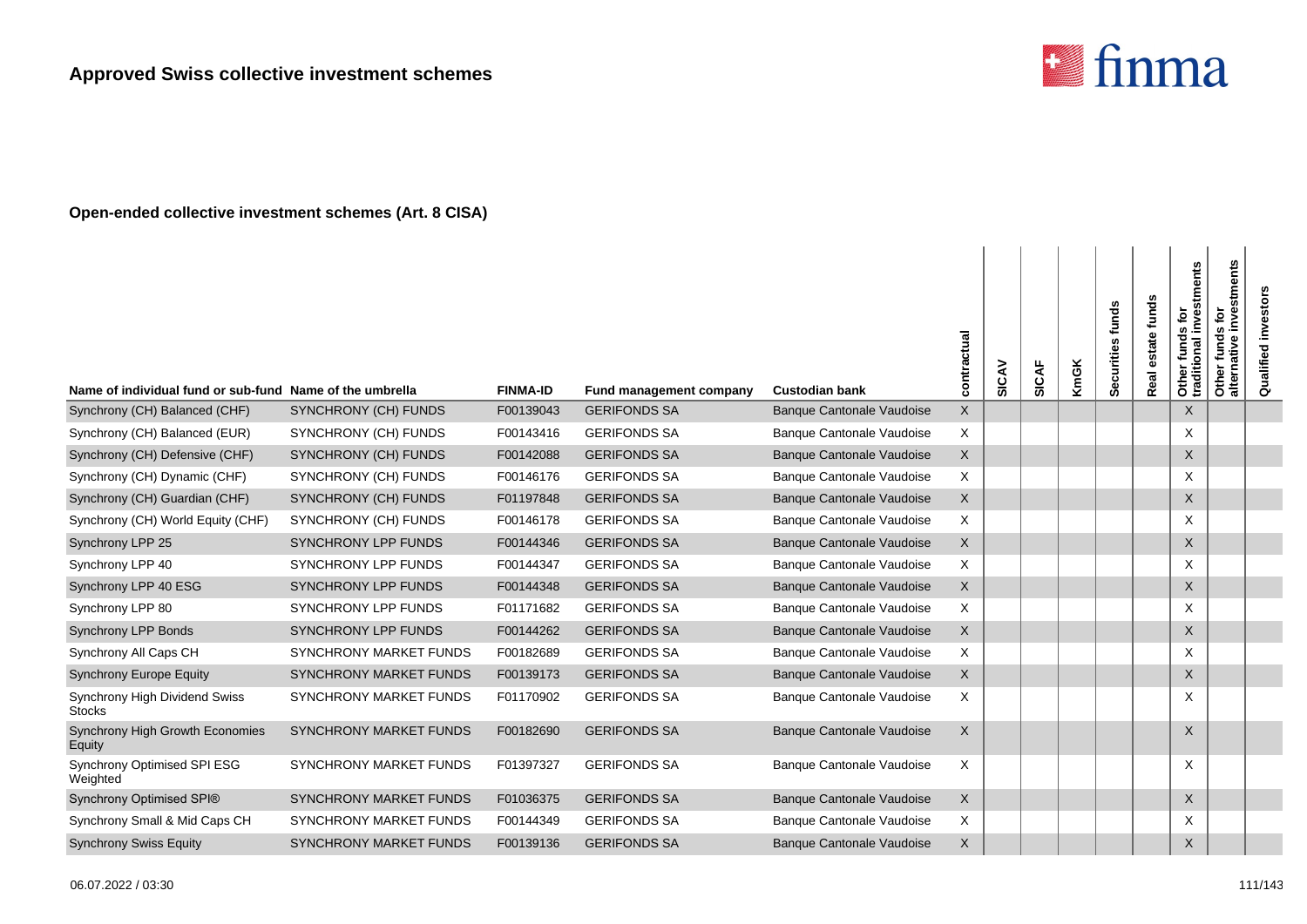

| Name of individual fund or sub-fund Name of the umbrella |                               | <b>FINMA-ID</b> | <b>Fund management company</b> | <b>Custodian bank</b>            | actual<br>contr | SICAV | <b>SICAF</b> | <b>KmGK</b> | Securities funds | estate funds<br>Real | Other funds for<br>traditional investments | estments<br>$\tilde{\mathbf{p}}$<br>S<br>fund<br>$\omega$<br>हि<br>Other<br>alterna | investors<br>Qualified |
|----------------------------------------------------------|-------------------------------|-----------------|--------------------------------|----------------------------------|-----------------|-------|--------------|-------------|------------------|----------------------|--------------------------------------------|-------------------------------------------------------------------------------------|------------------------|
| Synchrony (CH) Balanced (CHF)                            | SYNCHRONY (CH) FUNDS          | F00139043       | <b>GERIFONDS SA</b>            | <b>Banque Cantonale Vaudoise</b> | $\mathsf{X}$    |       |              |             |                  |                      | $\times$                                   |                                                                                     |                        |
| Synchrony (CH) Balanced (EUR)                            | SYNCHRONY (CH) FUNDS          | F00143416       | <b>GERIFONDS SA</b>            | Banque Cantonale Vaudoise        | X               |       |              |             |                  |                      | X                                          |                                                                                     |                        |
| Synchrony (CH) Defensive (CHF)                           | SYNCHRONY (CH) FUNDS          | F00142088       | <b>GERIFONDS SA</b>            | <b>Banque Cantonale Vaudoise</b> | $\mathsf{X}$    |       |              |             |                  |                      | $\times$                                   |                                                                                     |                        |
| Synchrony (CH) Dynamic (CHF)                             | SYNCHRONY (CH) FUNDS          | F00146176       | <b>GERIFONDS SA</b>            | Banque Cantonale Vaudoise        | X               |       |              |             |                  |                      | X                                          |                                                                                     |                        |
| Synchrony (CH) Guardian (CHF)                            | SYNCHRONY (CH) FUNDS          | F01197848       | <b>GERIFONDS SA</b>            | <b>Banque Cantonale Vaudoise</b> | $\times$        |       |              |             |                  |                      | X                                          |                                                                                     |                        |
| Synchrony (CH) World Equity (CHF)                        | SYNCHRONY (CH) FUNDS          | F00146178       | <b>GERIFONDS SA</b>            | <b>Banque Cantonale Vaudoise</b> | $\times$        |       |              |             |                  |                      | X                                          |                                                                                     |                        |
| Synchrony LPP 25                                         | <b>SYNCHRONY LPP FUNDS</b>    | F00144346       | <b>GERIFONDS SA</b>            | <b>Banque Cantonale Vaudoise</b> | $\times$        |       |              |             |                  |                      | X                                          |                                                                                     |                        |
| Synchrony LPP 40                                         | SYNCHRONY LPP FUNDS           | F00144347       | <b>GERIFONDS SA</b>            | <b>Banque Cantonale Vaudoise</b> | X               |       |              |             |                  |                      | X                                          |                                                                                     |                        |
| Synchrony LPP 40 ESG                                     | <b>SYNCHRONY LPP FUNDS</b>    | F00144348       | <b>GERIFONDS SA</b>            | <b>Banque Cantonale Vaudoise</b> | $\times$        |       |              |             |                  |                      | $\times$                                   |                                                                                     |                        |
| Synchrony LPP 80                                         | SYNCHRONY LPP FUNDS           | F01171682       | <b>GERIFONDS SA</b>            | <b>Banque Cantonale Vaudoise</b> | X               |       |              |             |                  |                      | X                                          |                                                                                     |                        |
| <b>Synchrony LPP Bonds</b>                               | SYNCHRONY LPP FUNDS           | F00144262       | <b>GERIFONDS SA</b>            | <b>Banque Cantonale Vaudoise</b> | $\times$        |       |              |             |                  |                      | $\times$                                   |                                                                                     |                        |
| Synchrony All Caps CH                                    | SYNCHRONY MARKET FUNDS        | F00182689       | <b>GERIFONDS SA</b>            | Banque Cantonale Vaudoise        | X               |       |              |             |                  |                      | X                                          |                                                                                     |                        |
| <b>Synchrony Europe Equity</b>                           | SYNCHRONY MARKET FUNDS        | F00139173       | <b>GERIFONDS SA</b>            | <b>Banque Cantonale Vaudoise</b> | $\mathsf{X}$    |       |              |             |                  |                      | X                                          |                                                                                     |                        |
| Synchrony High Dividend Swiss<br><b>Stocks</b>           | SYNCHRONY MARKET FUNDS        | F01170902       | <b>GERIFONDS SA</b>            | Banque Cantonale Vaudoise        | X               |       |              |             |                  |                      | X                                          |                                                                                     |                        |
| Synchrony High Growth Economies<br>Equity                | <b>SYNCHRONY MARKET FUNDS</b> | F00182690       | <b>GERIFONDS SA</b>            | <b>Banque Cantonale Vaudoise</b> | $\mathsf{X}$    |       |              |             |                  |                      | X                                          |                                                                                     |                        |
| Synchrony Optimised SPI ESG<br>Weighted                  | SYNCHRONY MARKET FUNDS        | F01397327       | <b>GERIFONDS SA</b>            | Banque Cantonale Vaudoise        | X               |       |              |             |                  |                      | X                                          |                                                                                     |                        |
| Synchrony Optimised SPI®                                 | <b>SYNCHRONY MARKET FUNDS</b> | F01036375       | <b>GERIFONDS SA</b>            | <b>Banque Cantonale Vaudoise</b> | $\times$        |       |              |             |                  |                      | $\times$                                   |                                                                                     |                        |
| Synchrony Small & Mid Caps CH                            | <b>SYNCHRONY MARKET FUNDS</b> | F00144349       | <b>GERIFONDS SA</b>            | Banque Cantonale Vaudoise        | $\times$        |       |              |             |                  |                      | X                                          |                                                                                     |                        |
| <b>Synchrony Swiss Equity</b>                            | <b>SYNCHRONY MARKET FUNDS</b> | F00139136       | <b>GERIFONDS SA</b>            | <b>Banque Cantonale Vaudoise</b> | X               |       |              |             |                  |                      | X                                          |                                                                                     |                        |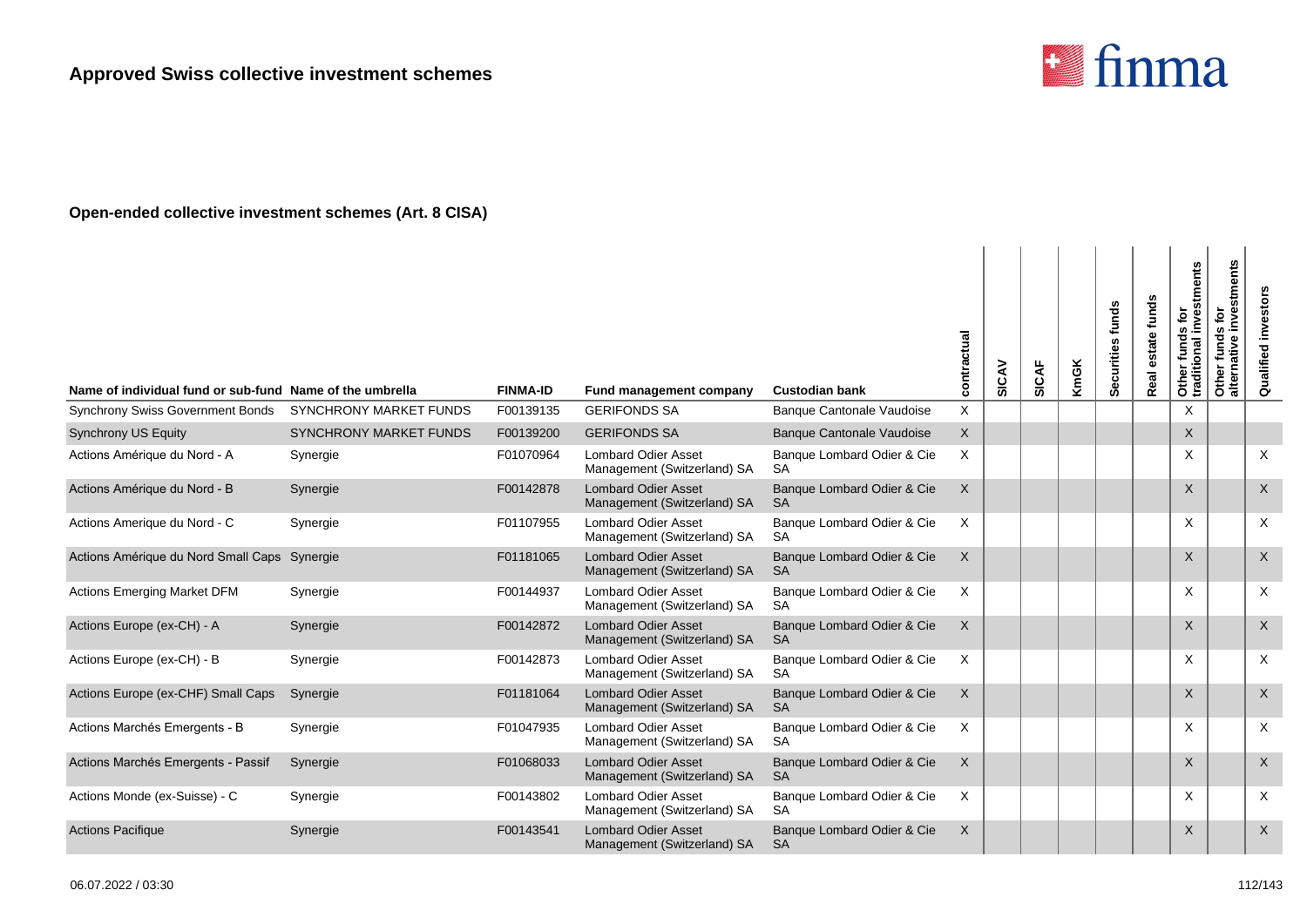

| Name of individual fund or sub-fund Name of the umbrella |                               | <b>FINMA-ID</b> | Fund management company                                   | <b>Custodian bank</b>                   | contractual      | SICAV | SICAF | <b>KmGK</b> | Securities funds | funds<br>late<br>Real | Other funds for<br>traditional investments | ents<br>\$tm<br><b>jo</b><br>ഗ<br>fund<br>Other<br>alterna | Qualified investor |
|----------------------------------------------------------|-------------------------------|-----------------|-----------------------------------------------------------|-----------------------------------------|------------------|-------|-------|-------------|------------------|-----------------------|--------------------------------------------|------------------------------------------------------------|--------------------|
| <b>Synchrony Swiss Government Bonds</b>                  | <b>SYNCHRONY MARKET FUNDS</b> | F00139135       | <b>GERIFONDS SA</b>                                       | Banque Cantonale Vaudoise               | X                |       |       |             |                  |                       | X                                          |                                                            |                    |
| <b>Synchrony US Equity</b>                               | SYNCHRONY MARKET FUNDS        | F00139200       | <b>GERIFONDS SA</b>                                       | <b>Banque Cantonale Vaudoise</b>        | $\times$         |       |       |             |                  |                       | X                                          |                                                            |                    |
| Actions Amérique du Nord - A                             | Synergie                      | F01070964       | <b>Lombard Odier Asset</b><br>Management (Switzerland) SA | Banque Lombard Odier & Cie<br><b>SA</b> | X                |       |       |             |                  |                       | X                                          |                                                            | $\times$           |
| Actions Amérique du Nord - B                             | Synergie                      | F00142878       | <b>Lombard Odier Asset</b><br>Management (Switzerland) SA | Banque Lombard Odier & Cie<br><b>SA</b> | $\times$         |       |       |             |                  |                       | X                                          |                                                            | $\sf X$            |
| Actions Amerique du Nord - C                             | Synergie                      | F01107955       | <b>Lombard Odier Asset</b><br>Management (Switzerland) SA | Banque Lombard Odier & Cie<br><b>SA</b> | $\times$         |       |       |             |                  |                       | X                                          |                                                            | $\times$           |
| Actions Amérique du Nord Small Caps Synergie             |                               | F01181065       | <b>Lombard Odier Asset</b><br>Management (Switzerland) SA | Banque Lombard Odier & Cie<br>SA        | $\times$         |       |       |             |                  |                       | $\times$                                   |                                                            | $\times$           |
| <b>Actions Emerging Market DFM</b>                       | Synergie                      | F00144937       | <b>Lombard Odier Asset</b><br>Management (Switzerland) SA | Banque Lombard Odier & Cie<br><b>SA</b> | $\times$         |       |       |             |                  |                       | X                                          |                                                            | $\times$           |
| Actions Europe (ex-CH) - A                               | Synergie                      | F00142872       | <b>Lombard Odier Asset</b><br>Management (Switzerland) SA | Banque Lombard Odier & Cie<br><b>SA</b> | $\times$         |       |       |             |                  |                       | X                                          |                                                            | $\times$           |
| Actions Europe (ex-CH) - B                               | Synergie                      | F00142873       | <b>Lombard Odier Asset</b><br>Management (Switzerland) SA | Banque Lombard Odier & Cie<br><b>SA</b> | $\times$         |       |       |             |                  |                       | X                                          |                                                            | $\times$           |
| Actions Europe (ex-CHF) Small Caps                       | Synergie                      | F01181064       | <b>Lombard Odier Asset</b><br>Management (Switzerland) SA | Banque Lombard Odier & Cie<br><b>SA</b> | $\times$         |       |       |             |                  |                       | $\times$                                   |                                                            | $\times$           |
| Actions Marchés Emergents - B                            | Synergie                      | F01047935       | <b>Lombard Odier Asset</b><br>Management (Switzerland) SA | Banque Lombard Odier & Cie<br>SA        | $\times$         |       |       |             |                  |                       | X                                          |                                                            | $\times$           |
| Actions Marchés Emergents - Passif                       | Synergie                      | F01068033       | <b>Lombard Odier Asset</b><br>Management (Switzerland) SA | Banque Lombard Odier & Cie<br>SA        | $\sf X$          |       |       |             |                  |                       | X                                          |                                                            | $\sf X$            |
| Actions Monde (ex-Suisse) - C                            | Synergie                      | F00143802       | <b>Lombard Odier Asset</b><br>Management (Switzerland) SA | Banque Lombard Odier & Cie<br><b>SA</b> | X                |       |       |             |                  |                       | X                                          |                                                            | $\times$           |
| <b>Actions Pacifique</b>                                 | Synergie                      | F00143541       | <b>Lombard Odier Asset</b><br>Management (Switzerland) SA | Banque Lombard Odier & Cie<br><b>SA</b> | $\boldsymbol{X}$ |       |       |             |                  |                       | X                                          |                                                            | $\sf X$            |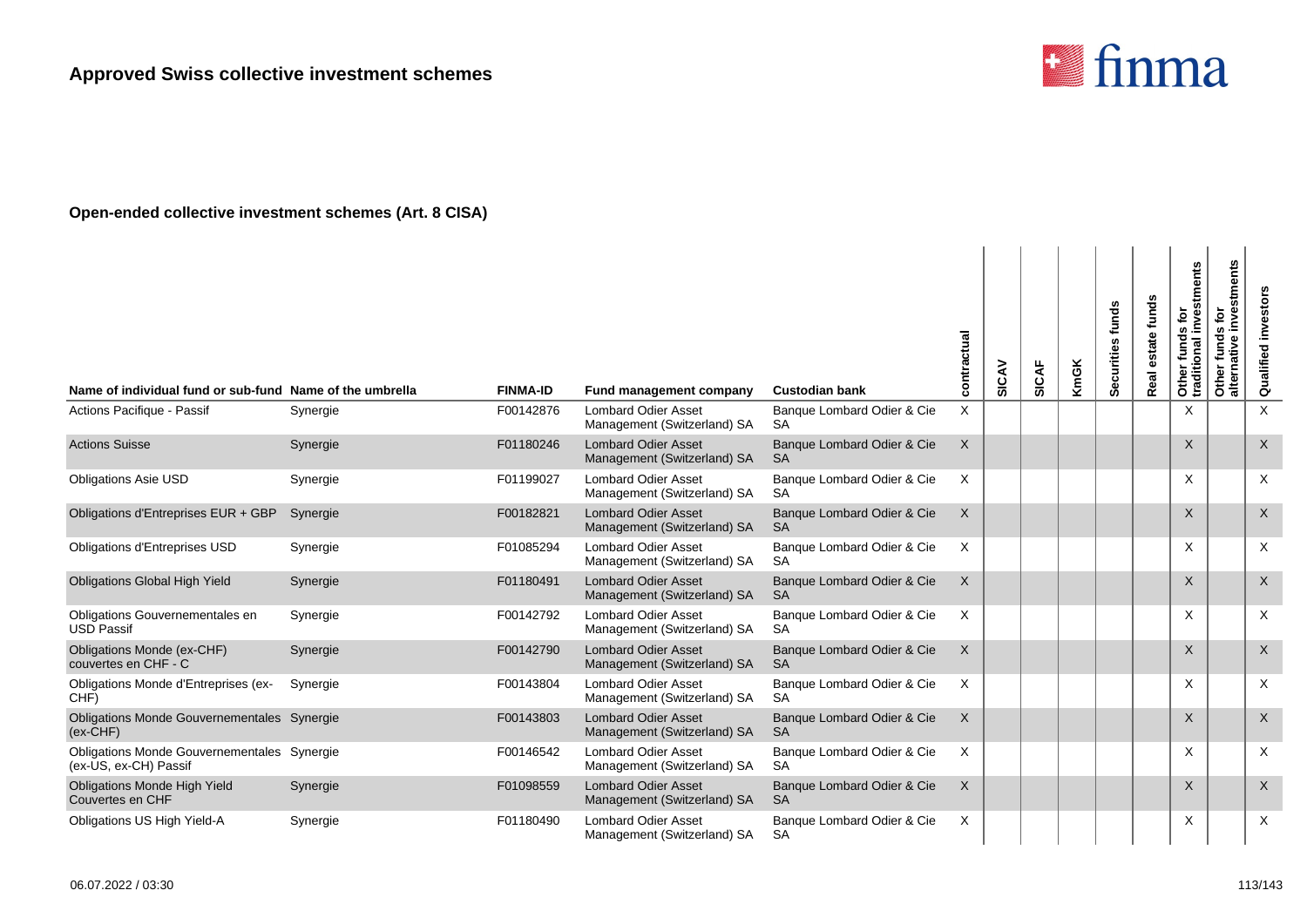

| Name of individual fund or sub-fund Name of the umbrella                    |          | <b>FINMA-ID</b> | Fund management company                                   | <b>Custodian bank</b>                   | contractual | SICAV | <b>SICAF</b> | <b>KmGK</b> | Securities funds | funds<br>state<br>Real | Other funds for<br>traditional investments | investments<br>ē<br>w<br>fund<br>alternative<br>Other | Qualified investors |
|-----------------------------------------------------------------------------|----------|-----------------|-----------------------------------------------------------|-----------------------------------------|-------------|-------|--------------|-------------|------------------|------------------------|--------------------------------------------|-------------------------------------------------------|---------------------|
| Actions Pacifique - Passif                                                  | Synergie | F00142876       | <b>Lombard Odier Asset</b><br>Management (Switzerland) SA | Banque Lombard Odier & Cie<br>SA        | X           |       |              |             |                  |                        | X                                          |                                                       | X                   |
| <b>Actions Suisse</b>                                                       | Synergie | F01180246       | <b>Lombard Odier Asset</b><br>Management (Switzerland) SA | Banque Lombard Odier & Cie<br><b>SA</b> | $\times$    |       |              |             |                  |                        | X                                          |                                                       | $\mathsf{X}$        |
| <b>Obligations Asie USD</b>                                                 | Synergie | F01199027       | <b>Lombard Odier Asset</b><br>Management (Switzerland) SA | Banque Lombard Odier & Cie<br><b>SA</b> | X           |       |              |             |                  |                        | X                                          |                                                       | $\times$            |
| Obligations d'Entreprises EUR + GBP                                         | Synergie | F00182821       | <b>Lombard Odier Asset</b><br>Management (Switzerland) SA | Banque Lombard Odier & Cie<br><b>SA</b> | $\times$    |       |              |             |                  |                        | X                                          |                                                       | $\times$            |
| Obligations d'Entreprises USD                                               | Synergie | F01085294       | <b>Lombard Odier Asset</b><br>Management (Switzerland) SA | Banque Lombard Odier & Cie<br><b>SA</b> | X           |       |              |             |                  |                        | X                                          |                                                       | X                   |
| <b>Obligations Global High Yield</b>                                        | Synergie | F01180491       | <b>Lombard Odier Asset</b><br>Management (Switzerland) SA | Banque Lombard Odier & Cie<br><b>SA</b> | $\sf X$     |       |              |             |                  |                        | X                                          |                                                       | $\times$            |
| Obligations Gouvernementales en<br><b>USD Passif</b>                        | Synergie | F00142792       | <b>Lombard Odier Asset</b><br>Management (Switzerland) SA | Banque Lombard Odier & Cie<br><b>SA</b> | X           |       |              |             |                  |                        | X                                          |                                                       | X                   |
| Obligations Monde (ex-CHF)<br>couvertes en CHF - C                          | Synergie | F00142790       | <b>Lombard Odier Asset</b><br>Management (Switzerland) SA | Banque Lombard Odier & Cie<br><b>SA</b> | $\times$    |       |              |             |                  |                        | X                                          |                                                       | $\times$            |
| Obligations Monde d'Entreprises (ex-<br>CHF)                                | Synergie | F00143804       | <b>Lombard Odier Asset</b><br>Management (Switzerland) SA | Banque Lombard Odier & Cie<br><b>SA</b> | X           |       |              |             |                  |                        | X                                          |                                                       | X                   |
| <b>Obligations Monde Gouvernementales Synergie</b><br>$(ex-CHF)$            |          | F00143803       | <b>Lombard Odier Asset</b><br>Management (Switzerland) SA | Banque Lombard Odier & Cie<br><b>SA</b> | $\times$    |       |              |             |                  |                        | X                                          |                                                       | X                   |
| <b>Obligations Monde Gouvernementales Synergie</b><br>(ex-US, ex-CH) Passif |          | F00146542       | <b>Lombard Odier Asset</b><br>Management (Switzerland) SA | Banque Lombard Odier & Cie<br><b>SA</b> | X           |       |              |             |                  |                        | X                                          |                                                       | $\times$            |
| <b>Obligations Monde High Yield</b><br>Couvertes en CHF                     | Synergie | F01098559       | <b>Lombard Odier Asset</b><br>Management (Switzerland) SA | Banque Lombard Odier & Cie<br><b>SA</b> | $\times$    |       |              |             |                  |                        | $\times$                                   |                                                       | $\times$            |
| Obligations US High Yield-A                                                 | Synergie | F01180490       | <b>Lombard Odier Asset</b><br>Management (Switzerland) SA | Banque Lombard Odier & Cie<br><b>SA</b> | Χ           |       |              |             |                  |                        | X                                          |                                                       | X                   |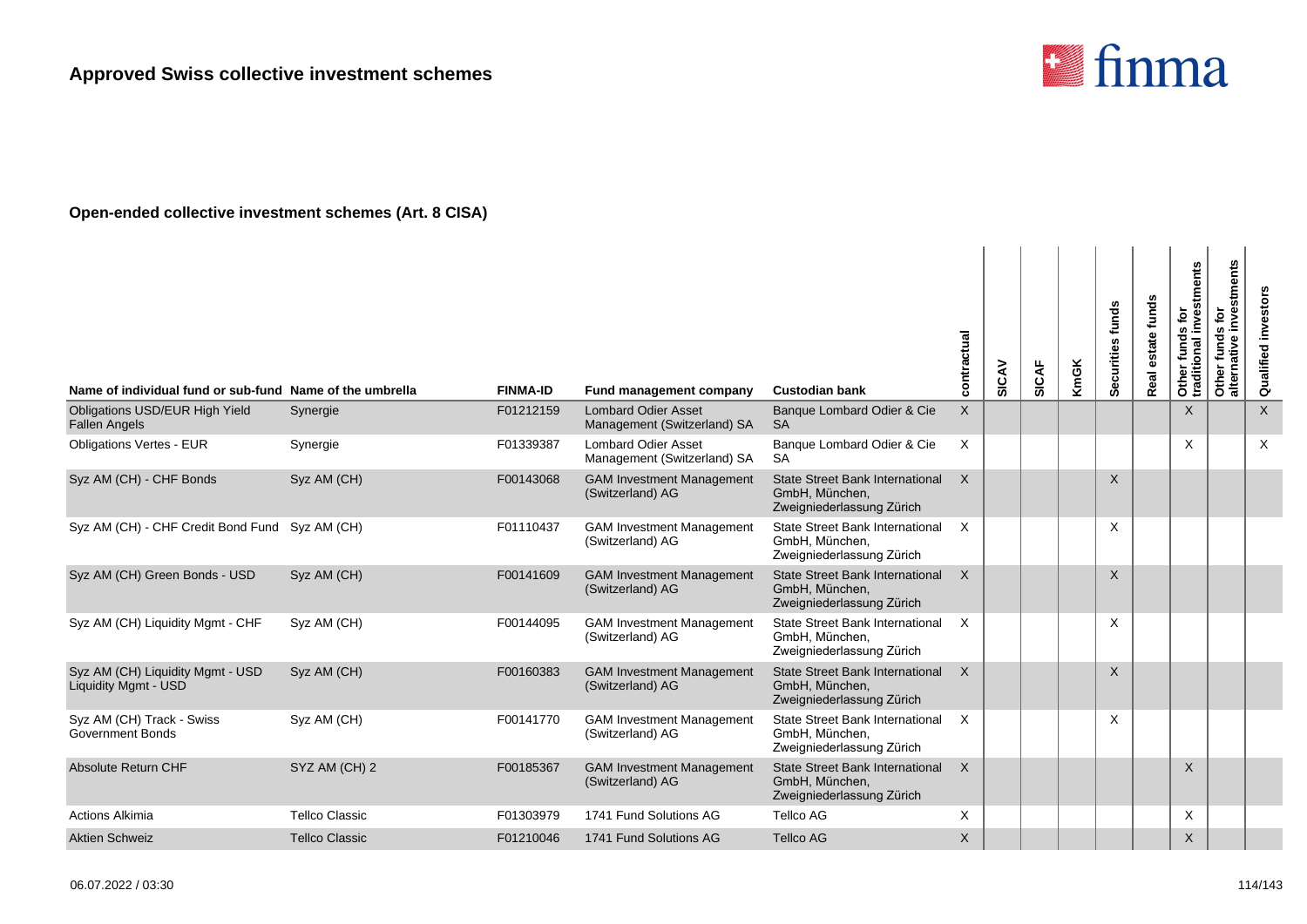

| Name of individual fund or sub-fund Name of the umbrella        |                       | <b>FINMA-ID</b> | Fund management company                                   | <b>Custodian bank</b>                                                                 | contractual  | SICAV | <b>SICAF</b> | KmGK | Securities funds | Real estate funds | Other funds for<br>traditional investments | investments<br>Other funds for<br>alternative inves | investor<br>Qualified |
|-----------------------------------------------------------------|-----------------------|-----------------|-----------------------------------------------------------|---------------------------------------------------------------------------------------|--------------|-------|--------------|------|------------------|-------------------|--------------------------------------------|-----------------------------------------------------|-----------------------|
| Obligations USD/EUR High Yield<br><b>Fallen Angels</b>          | Synergie              | F01212159       | <b>Lombard Odier Asset</b><br>Management (Switzerland) SA | Banque Lombard Odier & Cie<br><b>SA</b>                                               | $\mathsf{X}$ |       |              |      |                  |                   | $\times$                                   |                                                     | $\mathsf{X}$          |
| <b>Obligations Vertes - EUR</b>                                 | Synergie              | F01339387       | <b>Lombard Odier Asset</b><br>Management (Switzerland) SA | Banque Lombard Odier & Cie<br><b>SA</b>                                               | X            |       |              |      |                  |                   | $\times$                                   |                                                     | $\times$              |
| Syz AM (CH) - CHF Bonds                                         | Syz AM (CH)           | F00143068       | <b>GAM Investment Management</b><br>(Switzerland) AG      | <b>State Street Bank International</b><br>GmbH. München.<br>Zweigniederlassung Zürich | $\times$     |       |              |      | $\times$         |                   |                                            |                                                     |                       |
| Syz AM (CH) - CHF Credit Bond Fund Syz AM (CH)                  |                       | F01110437       | <b>GAM Investment Management</b><br>(Switzerland) AG      | State Street Bank International<br>GmbH. München.<br>Zweigniederlassung Zürich        | X            |       |              |      | X                |                   |                                            |                                                     |                       |
| Syz AM (CH) Green Bonds - USD                                   | Syz AM (CH)           | F00141609       | <b>GAM Investment Management</b><br>(Switzerland) AG      | <b>State Street Bank International</b><br>GmbH, München,<br>Zweigniederlassung Zürich | X            |       |              |      | X                |                   |                                            |                                                     |                       |
| Syz AM (CH) Liquidity Mgmt - CHF                                | Syz AM (CH)           | F00144095       | <b>GAM Investment Management</b><br>(Switzerland) AG      | <b>State Street Bank International</b><br>GmbH. München.<br>Zweigniederlassung Zürich | $\times$     |       |              |      | X                |                   |                                            |                                                     |                       |
| Syz AM (CH) Liquidity Mgmt - USD<br><b>Liquidity Mgmt - USD</b> | Syz AM (CH)           | F00160383       | <b>GAM Investment Management</b><br>(Switzerland) AG      | <b>State Street Bank International</b><br>GmbH, München,<br>Zweigniederlassung Zürich | $\times$     |       |              |      | $\times$         |                   |                                            |                                                     |                       |
| Syz AM (CH) Track - Swiss<br><b>Government Bonds</b>            | Syz AM (CH)           | F00141770       | <b>GAM Investment Management</b><br>(Switzerland) AG      | <b>State Street Bank International</b><br>GmbH, München,<br>Zweigniederlassung Zürich | $\times$     |       |              |      | X                |                   |                                            |                                                     |                       |
| Absolute Return CHF                                             | SYZ AM (CH) 2         | F00185367       | <b>GAM Investment Management</b><br>(Switzerland) AG      | <b>State Street Bank International</b><br>GmbH, München,<br>Zweigniederlassung Zürich | X            |       |              |      |                  |                   | X                                          |                                                     |                       |
| <b>Actions Alkimia</b>                                          | <b>Tellco Classic</b> | F01303979       | 1741 Fund Solutions AG                                    | Tellco AG                                                                             | х            |       |              |      |                  |                   | X                                          |                                                     |                       |
| <b>Aktien Schweiz</b>                                           | <b>Tellco Classic</b> | F01210046       | 1741 Fund Solutions AG                                    | Tellco AG                                                                             | X            |       |              |      |                  |                   | $\times$                                   |                                                     |                       |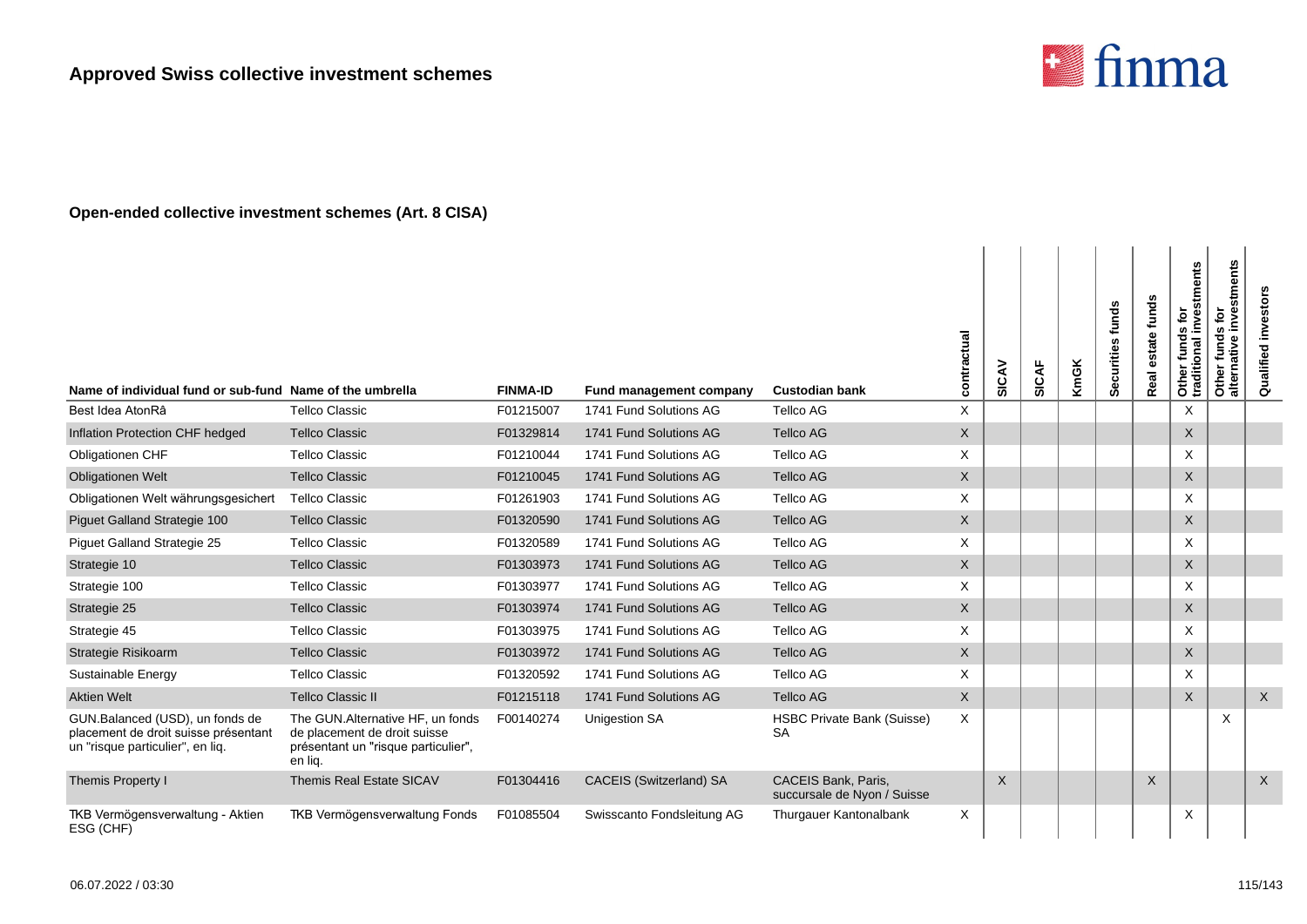

| Name of individual fund or sub-fund Name of the umbrella                                                    |                                                                                                                     | <b>FINMA-ID</b> | Fund management company    | <b>Custodian bank</b>                              | contractual  | SICAV        | <b>SICAF</b> | KmGK | funds<br><b>Securities</b> | funds<br>estate<br>Real | investments<br>흐<br>n,<br>Other funds<br>traditional i | stments<br>tor<br>inve<br>funds<br>$\boldsymbol{\omega}$<br>ati⊳<br>Other 1<br>alterna | investors<br>Qualified |
|-------------------------------------------------------------------------------------------------------------|---------------------------------------------------------------------------------------------------------------------|-----------------|----------------------------|----------------------------------------------------|--------------|--------------|--------------|------|----------------------------|-------------------------|--------------------------------------------------------|----------------------------------------------------------------------------------------|------------------------|
| Best Idea AtonRâ                                                                                            | <b>Tellco Classic</b>                                                                                               | F01215007       | 1741 Fund Solutions AG     | Tellco AG                                          | X            |              |              |      |                            |                         | X                                                      |                                                                                        |                        |
| Inflation Protection CHF hedged                                                                             | <b>Tellco Classic</b>                                                                                               | F01329814       | 1741 Fund Solutions AG     | <b>Tellco AG</b>                                   | X            |              |              |      |                            |                         | X                                                      |                                                                                        |                        |
| <b>Obligationen CHF</b>                                                                                     | <b>Tellco Classic</b>                                                                                               | F01210044       | 1741 Fund Solutions AG     | Tellco AG                                          | X            |              |              |      |                            |                         | X                                                      |                                                                                        |                        |
| <b>Obligationen Welt</b>                                                                                    | <b>Tellco Classic</b>                                                                                               | F01210045       | 1741 Fund Solutions AG     | <b>Tellco AG</b>                                   | $\mathsf X$  |              |              |      |                            |                         | X                                                      |                                                                                        |                        |
| Obligationen Welt währungsgesichert                                                                         | Tellco Classic                                                                                                      | F01261903       | 1741 Fund Solutions AG     | Tellco AG                                          | X            |              |              |      |                            |                         | X                                                      |                                                                                        |                        |
| Piguet Galland Strategie 100                                                                                | <b>Tellco Classic</b>                                                                                               | F01320590       | 1741 Fund Solutions AG     | <b>Tellco AG</b>                                   | X            |              |              |      |                            |                         | X                                                      |                                                                                        |                        |
| Piguet Galland Strategie 25                                                                                 | <b>Tellco Classic</b>                                                                                               | F01320589       | 1741 Fund Solutions AG     | Tellco AG                                          | X            |              |              |      |                            |                         | X                                                      |                                                                                        |                        |
| Strategie 10                                                                                                | <b>Tellco Classic</b>                                                                                               | F01303973       | 1741 Fund Solutions AG     | <b>Tellco AG</b>                                   | X            |              |              |      |                            |                         | X                                                      |                                                                                        |                        |
| Strategie 100                                                                                               | <b>Tellco Classic</b>                                                                                               | F01303977       | 1741 Fund Solutions AG     | Tellco AG                                          | X            |              |              |      |                            |                         | X                                                      |                                                                                        |                        |
| Strategie 25                                                                                                | <b>Tellco Classic</b>                                                                                               | F01303974       | 1741 Fund Solutions AG     | <b>Tellco AG</b>                                   | $\mathsf{X}$ |              |              |      |                            |                         | X                                                      |                                                                                        |                        |
| Strategie 45                                                                                                | <b>Tellco Classic</b>                                                                                               | F01303975       | 1741 Fund Solutions AG     | Tellco AG                                          | X            |              |              |      |                            |                         | X                                                      |                                                                                        |                        |
| Strategie Risikoarm                                                                                         | <b>Tellco Classic</b>                                                                                               | F01303972       | 1741 Fund Solutions AG     | <b>Tellco AG</b>                                   | $\mathsf X$  |              |              |      |                            |                         | X                                                      |                                                                                        |                        |
| Sustainable Energy                                                                                          | <b>Tellco Classic</b>                                                                                               | F01320592       | 1741 Fund Solutions AG     | Tellco AG                                          | X            |              |              |      |                            |                         | $\times$                                               |                                                                                        |                        |
| <b>Aktien Welt</b>                                                                                          | <b>Tellco Classic II</b>                                                                                            | F01215118       | 1741 Fund Solutions AG     | <b>Tellco AG</b>                                   | X            |              |              |      |                            |                         | X                                                      |                                                                                        | $\mathsf{X}$           |
| GUN.Balanced (USD), un fonds de<br>placement de droit suisse présentant<br>un "risque particulier", en lig. | The GUN. Alternative HF, un fonds<br>de placement de droit suisse<br>présentant un "risque particulier",<br>en liq. | F00140274       | <b>Unigestion SA</b>       | <b>HSBC Private Bank (Suisse)</b><br><b>SA</b>     | X            |              |              |      |                            |                         |                                                        | X                                                                                      |                        |
| Themis Property I                                                                                           | Themis Real Estate SICAV                                                                                            | F01304416       | CACEIS (Switzerland) SA    | CACEIS Bank, Paris,<br>succursale de Nyon / Suisse |              | $\mathsf{X}$ |              |      |                            | $\times$                |                                                        |                                                                                        | $\mathsf{X}$           |
| TKB Vermögensverwaltung - Aktien<br>ESG (CHF)                                                               | TKB Vermögensverwaltung Fonds                                                                                       | F01085504       | Swisscanto Fondsleitung AG | Thurgauer Kantonalbank                             | Χ            |              |              |      |                            |                         | X                                                      |                                                                                        |                        |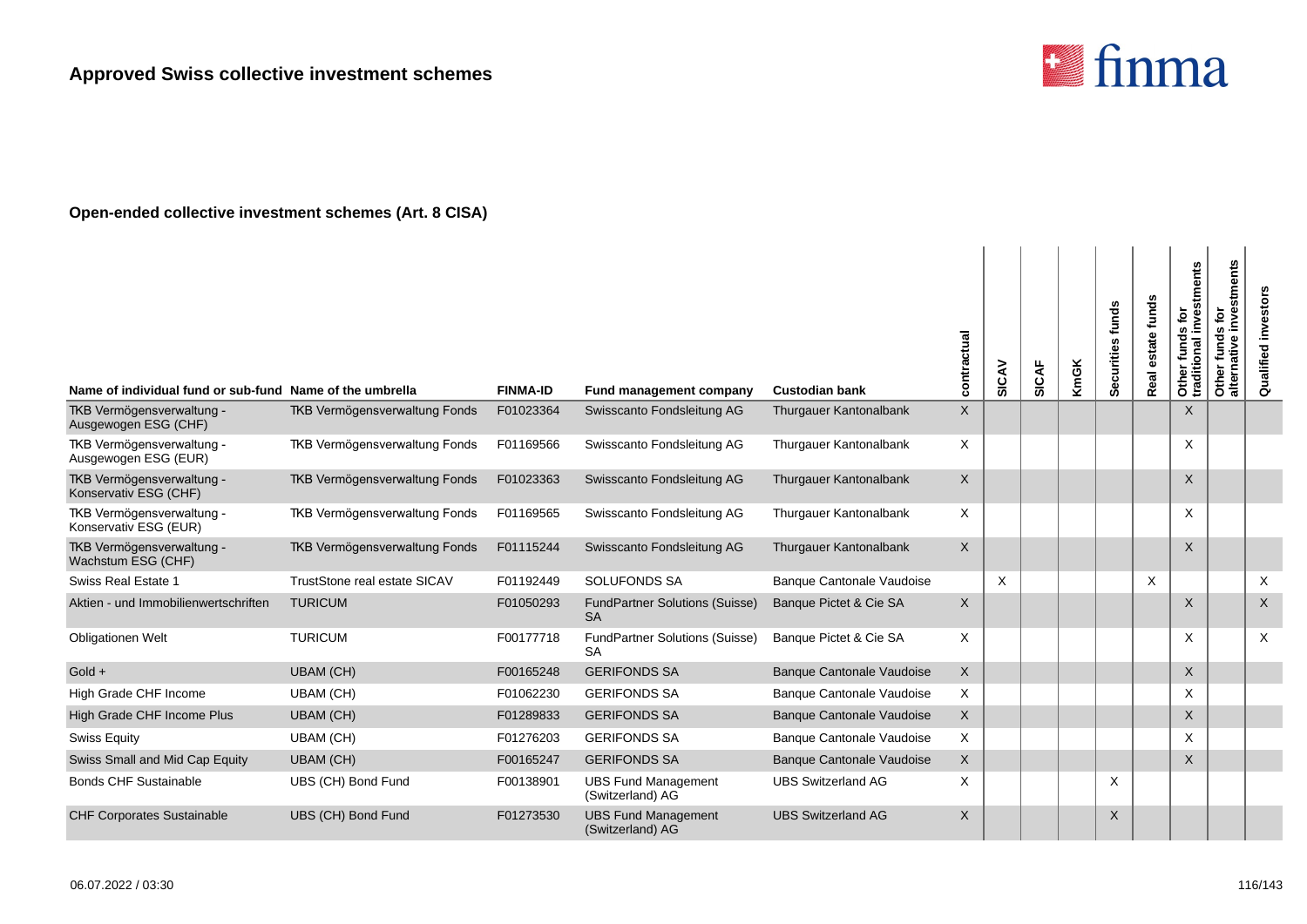

| Name of individual fund or sub-fund Name of the umbrella |                               | <b>FINMA-ID</b> | Fund management company                            | <b>Custodian bank</b>            | contractual  | SICAV | <b>SICAF</b> | KmGK | Securities funds | estate funds<br>Real | stments<br>흐<br>inve<br><b>SC</b><br>Other funds<br>traditional i | investments<br>Other funds for<br>alternative inves | investors<br>Qualified    |
|----------------------------------------------------------|-------------------------------|-----------------|----------------------------------------------------|----------------------------------|--------------|-------|--------------|------|------------------|----------------------|-------------------------------------------------------------------|-----------------------------------------------------|---------------------------|
| TKB Vermögensverwaltung -                                | TKB Vermögensverwaltung Fonds | F01023364       | Swisscanto Fondsleitung AG                         | Thurgauer Kantonalbank           | X            |       |              |      |                  |                      | $\times$                                                          |                                                     |                           |
| Ausgewogen ESG (CHF)                                     |                               |                 |                                                    |                                  |              |       |              |      |                  |                      |                                                                   |                                                     |                           |
| TKB Vermögensverwaltung -<br>Ausgewogen ESG (EUR)        | TKB Vermögensverwaltung Fonds | F01169566       | Swisscanto Fondsleitung AG                         | Thurgauer Kantonalbank           | X            |       |              |      |                  |                      | X                                                                 |                                                     |                           |
| TKB Vermögensverwaltung -<br>Konservativ ESG (CHF)       | TKB Vermögensverwaltung Fonds | F01023363       | Swisscanto Fondsleitung AG                         | Thurgauer Kantonalbank           | X            |       |              |      |                  |                      | $\times$                                                          |                                                     |                           |
| TKB Vermögensverwaltung -<br>Konservativ ESG (EUR)       | TKB Vermögensverwaltung Fonds | F01169565       | Swisscanto Fondsleitung AG                         | Thurgauer Kantonalbank           | X            |       |              |      |                  |                      | $\times$                                                          |                                                     |                           |
| TKB Vermögensverwaltung -<br>Wachstum ESG (CHF)          | TKB Vermögensverwaltung Fonds | F01115244       | Swisscanto Fondsleitung AG                         | Thurgauer Kantonalbank           | X            |       |              |      |                  |                      | X                                                                 |                                                     |                           |
| Swiss Real Estate 1                                      | TrustStone real estate SICAV  | F01192449       | <b>SOLUFONDS SA</b>                                | <b>Banque Cantonale Vaudoise</b> |              | X     |              |      |                  | $\times$             |                                                                   |                                                     | X                         |
| Aktien - und Immobilienwertschriften                     | <b>TURICUM</b>                | F01050293       | <b>FundPartner Solutions (Suisse)</b><br><b>SA</b> | Banque Pictet & Cie SA           | X            |       |              |      |                  |                      | $\sf X$                                                           |                                                     | $\mathsf{X}$              |
| <b>Obligationen Welt</b>                                 | <b>TURICUM</b>                | F00177718       | <b>FundPartner Solutions (Suisse)</b><br><b>SA</b> | Banque Pictet & Cie SA           | X            |       |              |      |                  |                      | X                                                                 |                                                     | $\boldsymbol{\mathsf{X}}$ |
| $Gold +$                                                 | <b>UBAM (CH)</b>              | F00165248       | <b>GERIFONDS SA</b>                                | <b>Banque Cantonale Vaudoise</b> | $\mathsf{X}$ |       |              |      |                  |                      | X                                                                 |                                                     |                           |
| High Grade CHF Income                                    | UBAM (CH)                     | F01062230       | <b>GERIFONDS SA</b>                                | <b>Banque Cantonale Vaudoise</b> | X            |       |              |      |                  |                      | X                                                                 |                                                     |                           |
| High Grade CHF Income Plus                               | <b>UBAM (CH)</b>              | F01289833       | <b>GERIFONDS SA</b>                                | <b>Banque Cantonale Vaudoise</b> | X            |       |              |      |                  |                      | $\times$                                                          |                                                     |                           |
| <b>Swiss Equity</b>                                      | UBAM (CH)                     | F01276203       | <b>GERIFONDS SA</b>                                | <b>Banque Cantonale Vaudoise</b> | X            |       |              |      |                  |                      | X                                                                 |                                                     |                           |
| Swiss Small and Mid Cap Equity                           | <b>UBAM (CH)</b>              | F00165247       | <b>GERIFONDS SA</b>                                | <b>Banque Cantonale Vaudoise</b> | X            |       |              |      |                  |                      | $\times$                                                          |                                                     |                           |
| <b>Bonds CHF Sustainable</b>                             | UBS (CH) Bond Fund            | F00138901       | <b>UBS Fund Management</b><br>(Switzerland) AG     | <b>UBS Switzerland AG</b>        | X            |       |              |      | X                |                      |                                                                   |                                                     |                           |
| <b>CHF Corporates Sustainable</b>                        | UBS (CH) Bond Fund            | F01273530       | <b>UBS Fund Management</b><br>(Switzerland) AG     | <b>UBS Switzerland AG</b>        | X            |       |              |      | X                |                      |                                                                   |                                                     |                           |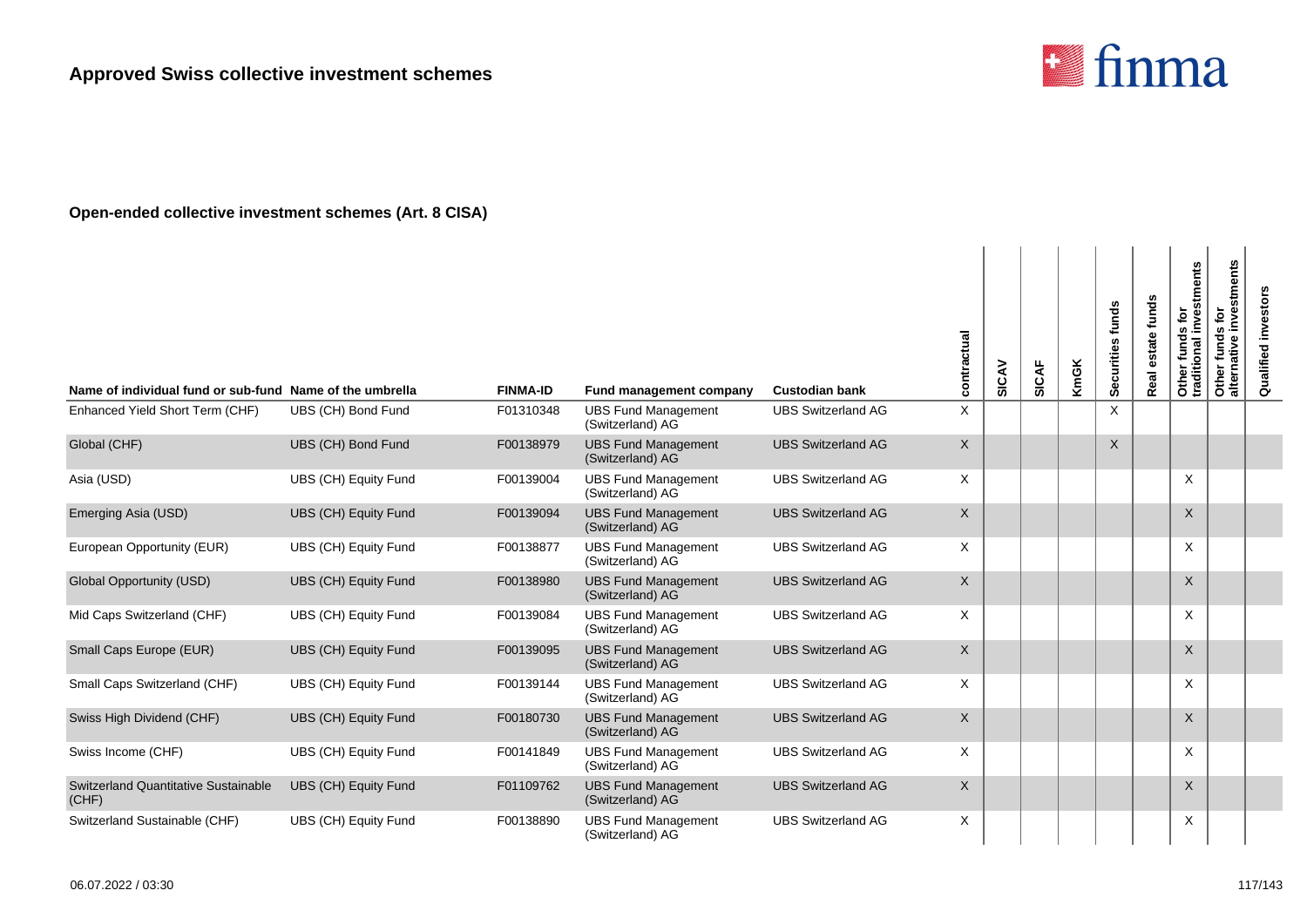

| Name of individual fund or sub-fund Name of the umbrella |                      | <b>FINMA-ID</b> | Fund management company                        | <b>Custodian bank</b>     | contractual  | SICAV | <b>SICAF</b> | <b>KmGK</b> | Securities funds | estate funds<br>Real | investments<br>ē<br><b>SC</b><br>Other funds<br>traditional i | investments<br>Other funds for<br>alternative inves | investors<br>Qualified |
|----------------------------------------------------------|----------------------|-----------------|------------------------------------------------|---------------------------|--------------|-------|--------------|-------------|------------------|----------------------|---------------------------------------------------------------|-----------------------------------------------------|------------------------|
| Enhanced Yield Short Term (CHF)                          | UBS (CH) Bond Fund   | F01310348       | <b>UBS Fund Management</b><br>(Switzerland) AG | <b>UBS Switzerland AG</b> | X            |       |              |             | $\times$         |                      |                                                               |                                                     |                        |
| Global (CHF)                                             | UBS (CH) Bond Fund   | F00138979       | <b>UBS Fund Management</b><br>(Switzerland) AG | <b>UBS Switzerland AG</b> | X            |       |              |             | $\times$         |                      |                                                               |                                                     |                        |
| Asia (USD)                                               | UBS (CH) Equity Fund | F00139004       | <b>UBS Fund Management</b><br>(Switzerland) AG | <b>UBS Switzerland AG</b> | X            |       |              |             |                  |                      | X                                                             |                                                     |                        |
| Emerging Asia (USD)                                      | UBS (CH) Equity Fund | F00139094       | <b>UBS Fund Management</b><br>(Switzerland) AG | <b>UBS Switzerland AG</b> | X            |       |              |             |                  |                      | $\mathsf{X}$                                                  |                                                     |                        |
| European Opportunity (EUR)                               | UBS (CH) Equity Fund | F00138877       | <b>UBS Fund Management</b><br>(Switzerland) AG | <b>UBS Switzerland AG</b> | X            |       |              |             |                  |                      | X                                                             |                                                     |                        |
| Global Opportunity (USD)                                 | UBS (CH) Equity Fund | F00138980       | <b>UBS Fund Management</b><br>(Switzerland) AG | <b>UBS Switzerland AG</b> | $\mathsf{X}$ |       |              |             |                  |                      | $\times$                                                      |                                                     |                        |
| Mid Caps Switzerland (CHF)                               | UBS (CH) Equity Fund | F00139084       | <b>UBS Fund Management</b><br>(Switzerland) AG | <b>UBS Switzerland AG</b> | X            |       |              |             |                  |                      | X                                                             |                                                     |                        |
| Small Caps Europe (EUR)                                  | UBS (CH) Equity Fund | F00139095       | <b>UBS Fund Management</b><br>(Switzerland) AG | <b>UBS Switzerland AG</b> | X            |       |              |             |                  |                      | $\times$                                                      |                                                     |                        |
| Small Caps Switzerland (CHF)                             | UBS (CH) Equity Fund | F00139144       | <b>UBS Fund Management</b><br>(Switzerland) AG | <b>UBS Switzerland AG</b> | X            |       |              |             |                  |                      | X                                                             |                                                     |                        |
| Swiss High Dividend (CHF)                                | UBS (CH) Equity Fund | F00180730       | <b>UBS Fund Management</b><br>(Switzerland) AG | <b>UBS Switzerland AG</b> | X            |       |              |             |                  |                      | X                                                             |                                                     |                        |
| Swiss Income (CHF)                                       | UBS (CH) Equity Fund | F00141849       | <b>UBS Fund Management</b><br>(Switzerland) AG | <b>UBS Switzerland AG</b> | X            |       |              |             |                  |                      | X                                                             |                                                     |                        |
| Switzerland Quantitative Sustainable<br>(CHF)            | UBS (CH) Equity Fund | F01109762       | <b>UBS Fund Management</b><br>(Switzerland) AG | <b>UBS Switzerland AG</b> | X            |       |              |             |                  |                      | $\times$                                                      |                                                     |                        |
| Switzerland Sustainable (CHF)                            | UBS (CH) Equity Fund | F00138890       | <b>UBS Fund Management</b><br>(Switzerland) AG | <b>UBS Switzerland AG</b> | X            |       |              |             |                  |                      | X                                                             |                                                     |                        |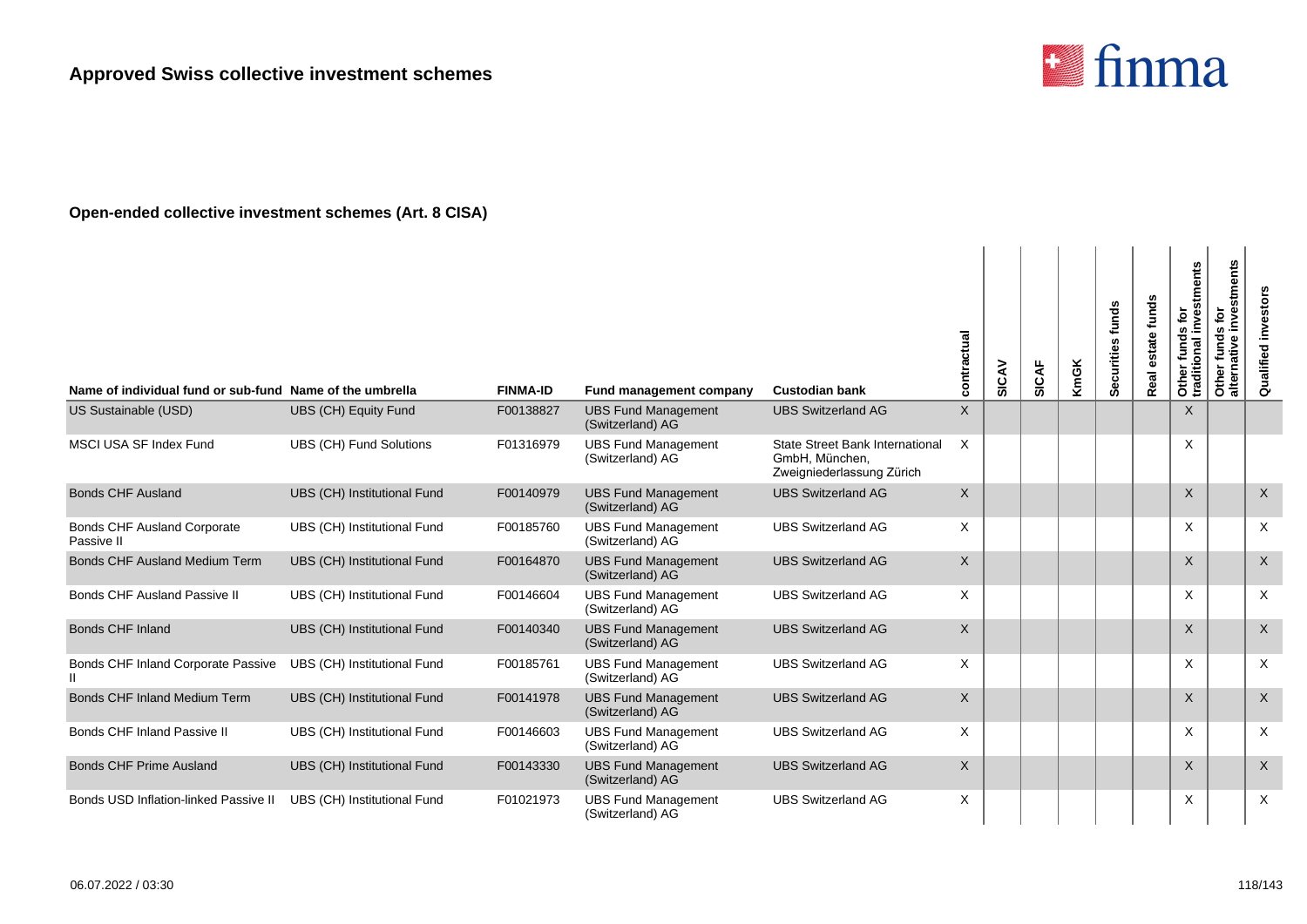

| Name of individual fund or sub-fund Name of the umbrella |                             | <b>FINMA-ID</b> | <b>Fund management company</b>                 | <b>Custodian bank</b>                                                                 | contractual | SICAV | SICAF | <b>KmGK</b> | Securities funds | funds<br>estate<br>Real | Other funds for<br>traditional investments | stments<br><b>jo</b><br>ω<br><b>S</b><br>fund<br>Other<br>alterna | Qualified investors       |
|----------------------------------------------------------|-----------------------------|-----------------|------------------------------------------------|---------------------------------------------------------------------------------------|-------------|-------|-------|-------------|------------------|-------------------------|--------------------------------------------|-------------------------------------------------------------------|---------------------------|
| US Sustainable (USD)                                     | UBS (CH) Equity Fund        | F00138827       | <b>UBS Fund Management</b><br>(Switzerland) AG | <b>UBS Switzerland AG</b>                                                             | X           |       |       |             |                  |                         | $\mathsf X$                                |                                                                   |                           |
| <b>MSCI USA SF Index Fund</b>                            | UBS (CH) Fund Solutions     | F01316979       | <b>UBS Fund Management</b><br>(Switzerland) AG | <b>State Street Bank International</b><br>GmbH, München,<br>Zweigniederlassung Zürich | $\times$    |       |       |             |                  |                         | X                                          |                                                                   |                           |
| <b>Bonds CHF Ausland</b>                                 | UBS (CH) Institutional Fund | F00140979       | <b>UBS Fund Management</b><br>(Switzerland) AG | <b>UBS Switzerland AG</b>                                                             | $\sf X$     |       |       |             |                  |                         | $\times$                                   |                                                                   | $\sf X$                   |
| <b>Bonds CHF Ausland Corporate</b><br>Passive II         | UBS (CH) Institutional Fund | F00185760       | <b>UBS Fund Management</b><br>(Switzerland) AG | <b>UBS Switzerland AG</b>                                                             | X           |       |       |             |                  |                         | X                                          |                                                                   | $\times$                  |
| <b>Bonds CHF Ausland Medium Term</b>                     | UBS (CH) Institutional Fund | F00164870       | <b>UBS Fund Management</b><br>(Switzerland) AG | <b>UBS Switzerland AG</b>                                                             | $\sf X$     |       |       |             |                  |                         | $\times$                                   |                                                                   | $\boldsymbol{\mathsf{X}}$ |
| <b>Bonds CHF Ausland Passive II</b>                      | UBS (CH) Institutional Fund | F00146604       | <b>UBS Fund Management</b><br>(Switzerland) AG | <b>UBS Switzerland AG</b>                                                             | X           |       |       |             |                  |                         | X                                          |                                                                   | $\times$                  |
| <b>Bonds CHF Inland</b>                                  | UBS (CH) Institutional Fund | F00140340       | <b>UBS Fund Management</b><br>(Switzerland) AG | <b>UBS Switzerland AG</b>                                                             | $\sf X$     |       |       |             |                  |                         | $\times$                                   |                                                                   | $\sf X$                   |
| Bonds CHF Inland Corporate Passive                       | UBS (CH) Institutional Fund | F00185761       | <b>UBS Fund Management</b><br>(Switzerland) AG | <b>UBS Switzerland AG</b>                                                             | X           |       |       |             |                  |                         | X                                          |                                                                   | $\times$                  |
| <b>Bonds CHF Inland Medium Term</b>                      | UBS (CH) Institutional Fund | F00141978       | <b>UBS Fund Management</b><br>(Switzerland) AG | <b>UBS Switzerland AG</b>                                                             | $\sf X$     |       |       |             |                  |                         | X                                          |                                                                   | $\sf X$                   |
| Bonds CHF Inland Passive II                              | UBS (CH) Institutional Fund | F00146603       | <b>UBS Fund Management</b><br>(Switzerland) AG | <b>UBS Switzerland AG</b>                                                             | X           |       |       |             |                  |                         | X                                          |                                                                   | $\times$                  |
| <b>Bonds CHF Prime Ausland</b>                           | UBS (CH) Institutional Fund | F00143330       | <b>UBS Fund Management</b><br>(Switzerland) AG | <b>UBS Switzerland AG</b>                                                             | X           |       |       |             |                  |                         | X                                          |                                                                   | $\times$                  |
| Bonds USD Inflation-linked Passive I                     | UBS (CH) Institutional Fund | F01021973       | <b>UBS Fund Management</b><br>(Switzerland) AG | <b>UBS Switzerland AG</b>                                                             | X           |       |       |             |                  |                         | X                                          |                                                                   | $\times$                  |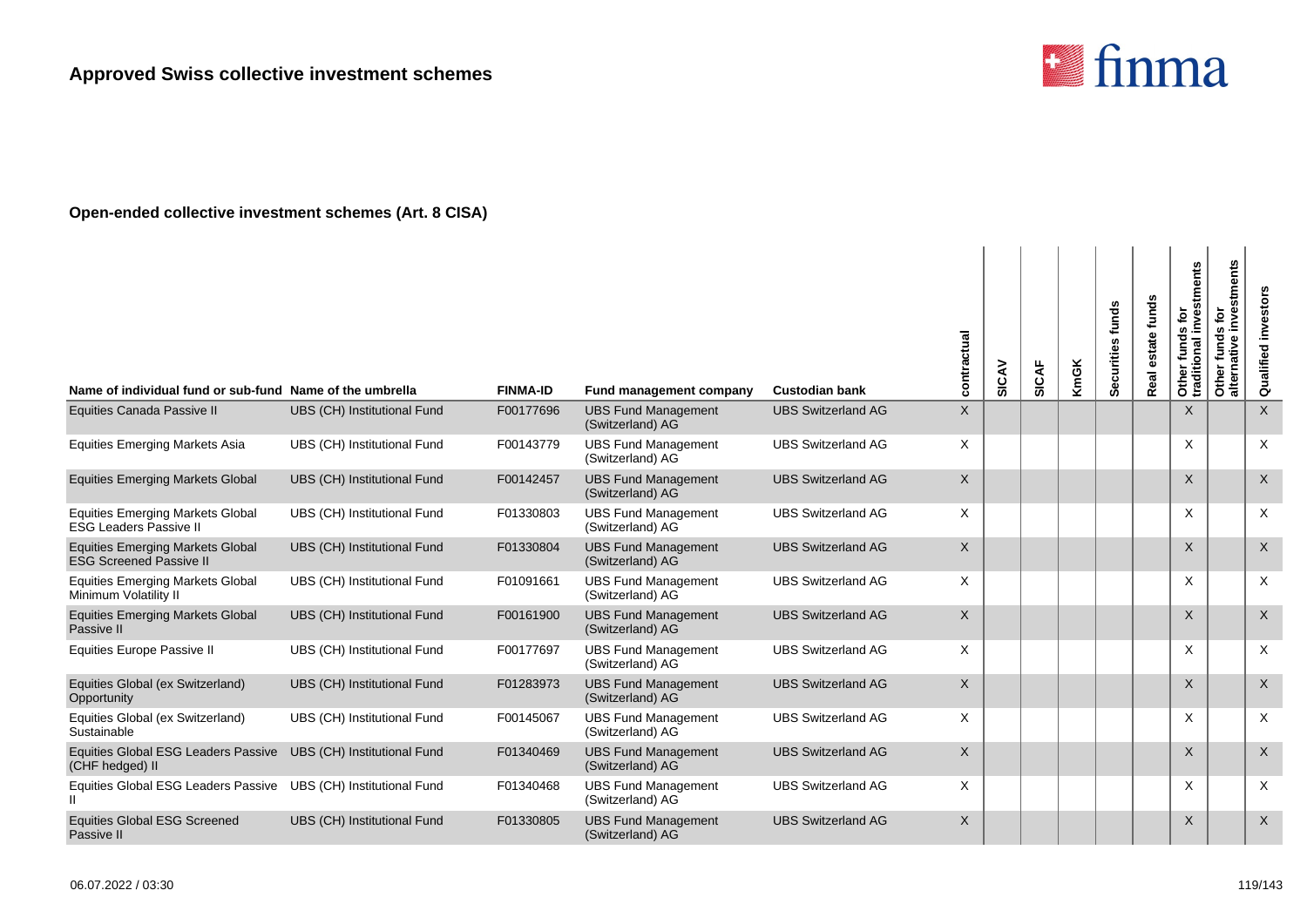

| Name of individual fund or sub-fund Name of the umbrella                  |                             | <b>FINMA-ID</b> | <b>Fund management company</b>                 | <b>Custodian bank</b>     | contractual | SICAV | SICAF | <b>KmGK</b> | Securities funds | state funds<br>Real | Other funds for<br>traditional investments | stments<br>ğ<br>ഗ<br>fund<br>Œ<br>Other<br>alterna | Qualified investors |
|---------------------------------------------------------------------------|-----------------------------|-----------------|------------------------------------------------|---------------------------|-------------|-------|-------|-------------|------------------|---------------------|--------------------------------------------|----------------------------------------------------|---------------------|
| <b>Equities Canada Passive II</b>                                         | UBS (CH) Institutional Fund | F00177696       | <b>UBS Fund Management</b><br>(Switzerland) AG | <b>UBS Switzerland AG</b> | X           |       |       |             |                  |                     | $\times$                                   |                                                    | $\sf X$             |
| <b>Equities Emerging Markets Asia</b>                                     | UBS (CH) Institutional Fund | F00143779       | <b>UBS Fund Management</b><br>(Switzerland) AG | <b>UBS Switzerland AG</b> | X           |       |       |             |                  |                     | X                                          |                                                    | $\times$            |
| <b>Equities Emerging Markets Global</b>                                   | UBS (CH) Institutional Fund | F00142457       | <b>UBS Fund Management</b><br>(Switzerland) AG | <b>UBS Switzerland AG</b> | $\times$    |       |       |             |                  |                     | $\times$                                   |                                                    | $\times$            |
| <b>Equities Emerging Markets Global</b><br><b>ESG Leaders Passive II</b>  | UBS (CH) Institutional Fund | F01330803       | <b>UBS Fund Management</b><br>(Switzerland) AG | <b>UBS Switzerland AG</b> | $\times$    |       |       |             |                  |                     | X                                          |                                                    | $\times$            |
| <b>Equities Emerging Markets Global</b><br><b>ESG Screened Passive II</b> | UBS (CH) Institutional Fund | F01330804       | <b>UBS Fund Management</b><br>(Switzerland) AG | <b>UBS Switzerland AG</b> | X           |       |       |             |                  |                     | $\times$                                   |                                                    | $\times$            |
| <b>Equities Emerging Markets Global</b><br>Minimum Volatility II          | UBS (CH) Institutional Fund | F01091661       | <b>UBS Fund Management</b><br>(Switzerland) AG | <b>UBS Switzerland AG</b> | X           |       |       |             |                  |                     | X                                          |                                                    | $\times$            |
| <b>Equities Emerging Markets Global</b><br>Passive II                     | UBS (CH) Institutional Fund | F00161900       | <b>UBS Fund Management</b><br>(Switzerland) AG | <b>UBS Switzerland AG</b> | X           |       |       |             |                  |                     | X                                          |                                                    | $\sf X$             |
| <b>Equities Europe Passive II</b>                                         | UBS (CH) Institutional Fund | F00177697       | <b>UBS Fund Management</b><br>(Switzerland) AG | <b>UBS Switzerland AG</b> | X           |       |       |             |                  |                     | X                                          |                                                    | $\times$            |
| Equities Global (ex Switzerland)<br>Opportunity                           | UBS (CH) Institutional Fund | F01283973       | <b>UBS Fund Management</b><br>(Switzerland) AG | <b>UBS Switzerland AG</b> | $\sf X$     |       |       |             |                  |                     | $\times$                                   |                                                    | $\sf X$             |
| Equities Global (ex Switzerland)<br>Sustainable                           | UBS (CH) Institutional Fund | F00145067       | <b>UBS Fund Management</b><br>(Switzerland) AG | <b>UBS Switzerland AG</b> | $\times$    |       |       |             |                  |                     | X                                          |                                                    | $\times$            |
| Equities Global ESG Leaders Passive<br>(CHF hedged) II                    | UBS (CH) Institutional Fund | F01340469       | <b>UBS Fund Management</b><br>(Switzerland) AG | <b>UBS Switzerland AG</b> | X           |       |       |             |                  |                     | $\boldsymbol{\mathsf{X}}$                  |                                                    | $\mathsf{X}$        |
| Equities Global ESG Leaders Passive UBS (CH) Institutional Fund           |                             | F01340468       | <b>UBS Fund Management</b><br>(Switzerland) AG | <b>UBS Switzerland AG</b> | $\times$    |       |       |             |                  |                     | X                                          |                                                    | $\times$            |
| <b>Equities Global ESG Screened</b><br>Passive II                         | UBS (CH) Institutional Fund | F01330805       | <b>UBS Fund Management</b><br>(Switzerland) AG | <b>UBS Switzerland AG</b> | $\times$    |       |       |             |                  |                     | $\times$                                   |                                                    | $\sf X$             |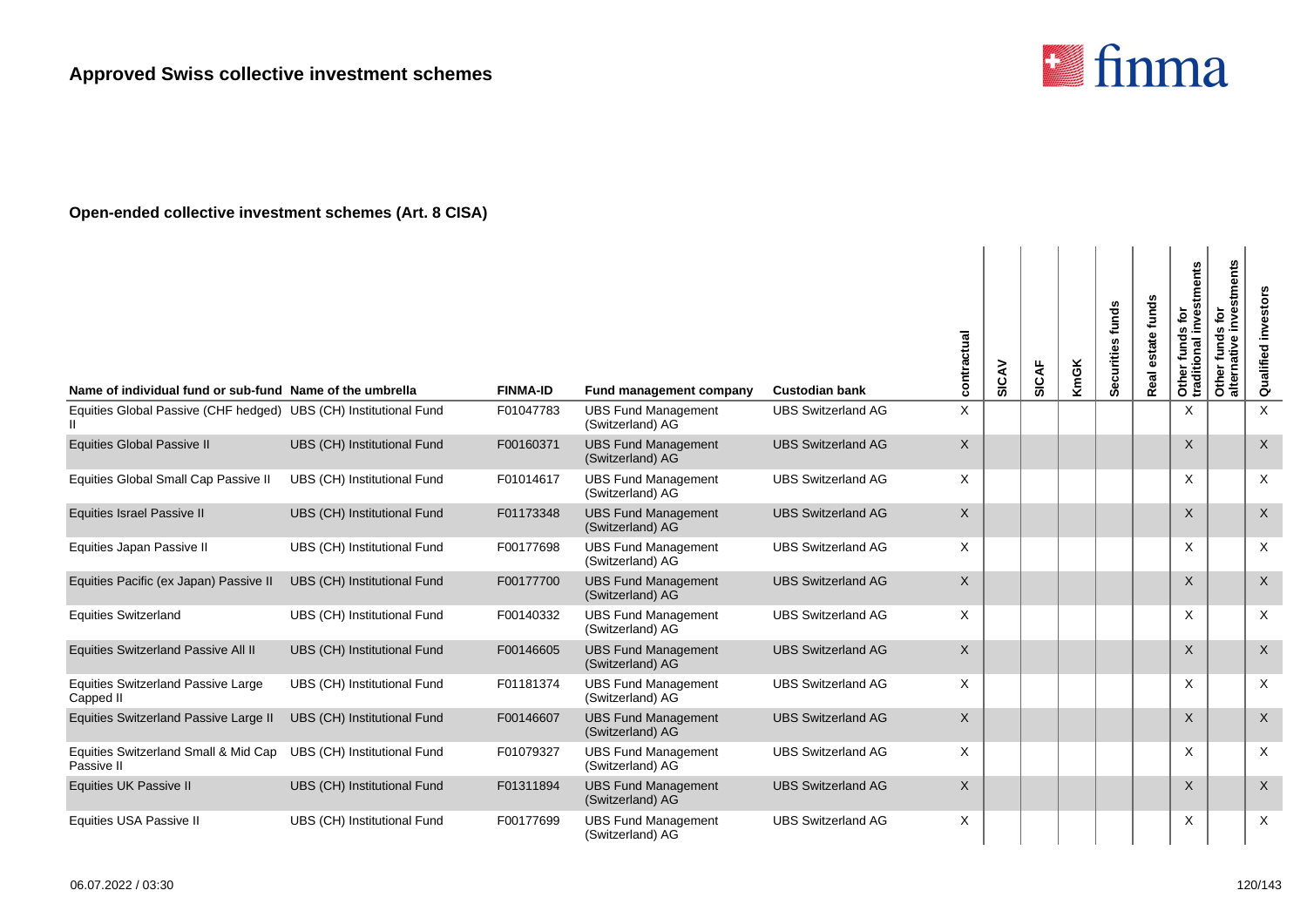

| Name of individual fund or sub-fund Name of the umbrella         |                             | <b>FINMA-ID</b> | Fund management company                                            | <b>Custodian bank</b>     | contractual  | SICAV | SICAF | <b>KmGK</b> | Securities funds | funds<br>state<br>Real | Other funds for<br>traditional investments | stments<br>ē<br>ëvαi<br>S<br>Other funds<br>alternative | Qualified investors |
|------------------------------------------------------------------|-----------------------------|-----------------|--------------------------------------------------------------------|---------------------------|--------------|-------|-------|-------------|------------------|------------------------|--------------------------------------------|---------------------------------------------------------|---------------------|
| Equities Global Passive (CHF hedged) UBS (CH) Institutional Fund |                             | F01047783       | <b>UBS Fund Management</b>                                         | <b>UBS Switzerland AG</b> | X            |       |       |             |                  |                        | X                                          |                                                         | X                   |
| <b>Equities Global Passive II</b>                                | UBS (CH) Institutional Fund | F00160371       | (Switzerland) AG<br><b>UBS Fund Management</b><br>(Switzerland) AG | <b>UBS Switzerland AG</b> | $\mathsf{X}$ |       |       |             |                  |                        | X                                          |                                                         | $\times$            |
| Equities Global Small Cap Passive II                             | UBS (CH) Institutional Fund | F01014617       | <b>UBS Fund Management</b><br>(Switzerland) AG                     | <b>UBS Switzerland AG</b> | X            |       |       |             |                  |                        | X                                          |                                                         | X                   |
| <b>Equities Israel Passive II</b>                                | UBS (CH) Institutional Fund | F01173348       | <b>UBS Fund Management</b><br>(Switzerland) AG                     | <b>UBS Switzerland AG</b> | X            |       |       |             |                  |                        | X                                          |                                                         | $\times$            |
| Equities Japan Passive II                                        | UBS (CH) Institutional Fund | F00177698       | <b>UBS Fund Management</b><br>(Switzerland) AG                     | <b>UBS Switzerland AG</b> | X            |       |       |             |                  |                        | X                                          |                                                         | X                   |
| Equities Pacific (ex Japan) Passive II                           | UBS (CH) Institutional Fund | F00177700       | <b>UBS Fund Management</b><br>(Switzerland) AG                     | <b>UBS Switzerland AG</b> | $\mathsf{X}$ |       |       |             |                  |                        | X                                          |                                                         | $\times$            |
| <b>Equities Switzerland</b>                                      | UBS (CH) Institutional Fund | F00140332       | <b>UBS Fund Management</b><br>(Switzerland) AG                     | <b>UBS Switzerland AG</b> | Χ            |       |       |             |                  |                        | X                                          |                                                         | X                   |
| Equities Switzerland Passive All II                              | UBS (CH) Institutional Fund | F00146605       | <b>UBS Fund Management</b><br>(Switzerland) AG                     | <b>UBS Switzerland AG</b> | X            |       |       |             |                  |                        | X                                          |                                                         | $\times$            |
| <b>Equities Switzerland Passive Large</b><br>Capped II           | UBS (CH) Institutional Fund | F01181374       | <b>UBS Fund Management</b><br>(Switzerland) AG                     | <b>UBS Switzerland AG</b> | X            |       |       |             |                  |                        | X                                          |                                                         | X                   |
| Equities Switzerland Passive Large II                            | UBS (CH) Institutional Fund | F00146607       | <b>UBS Fund Management</b><br>(Switzerland) AG                     | <b>UBS Switzerland AG</b> | $\mathsf{X}$ |       |       |             |                  |                        | X                                          |                                                         | $\times$            |
| Equities Switzerland Small & Mid Cap<br>Passive II               | UBS (CH) Institutional Fund | F01079327       | <b>UBS Fund Management</b><br>(Switzerland) AG                     | <b>UBS Switzerland AG</b> | X            |       |       |             |                  |                        | X                                          |                                                         | X                   |
| Equities UK Passive II                                           | UBS (CH) Institutional Fund | F01311894       | <b>UBS Fund Management</b><br>(Switzerland) AG                     | <b>UBS Switzerland AG</b> | $\mathsf{X}$ |       |       |             |                  |                        | $\times$                                   |                                                         | $\times$            |
| Equities USA Passive II                                          | UBS (CH) Institutional Fund | F00177699       | <b>UBS Fund Management</b><br>(Switzerland) AG                     | <b>UBS Switzerland AG</b> | Χ            |       |       |             |                  |                        | X                                          |                                                         | X                   |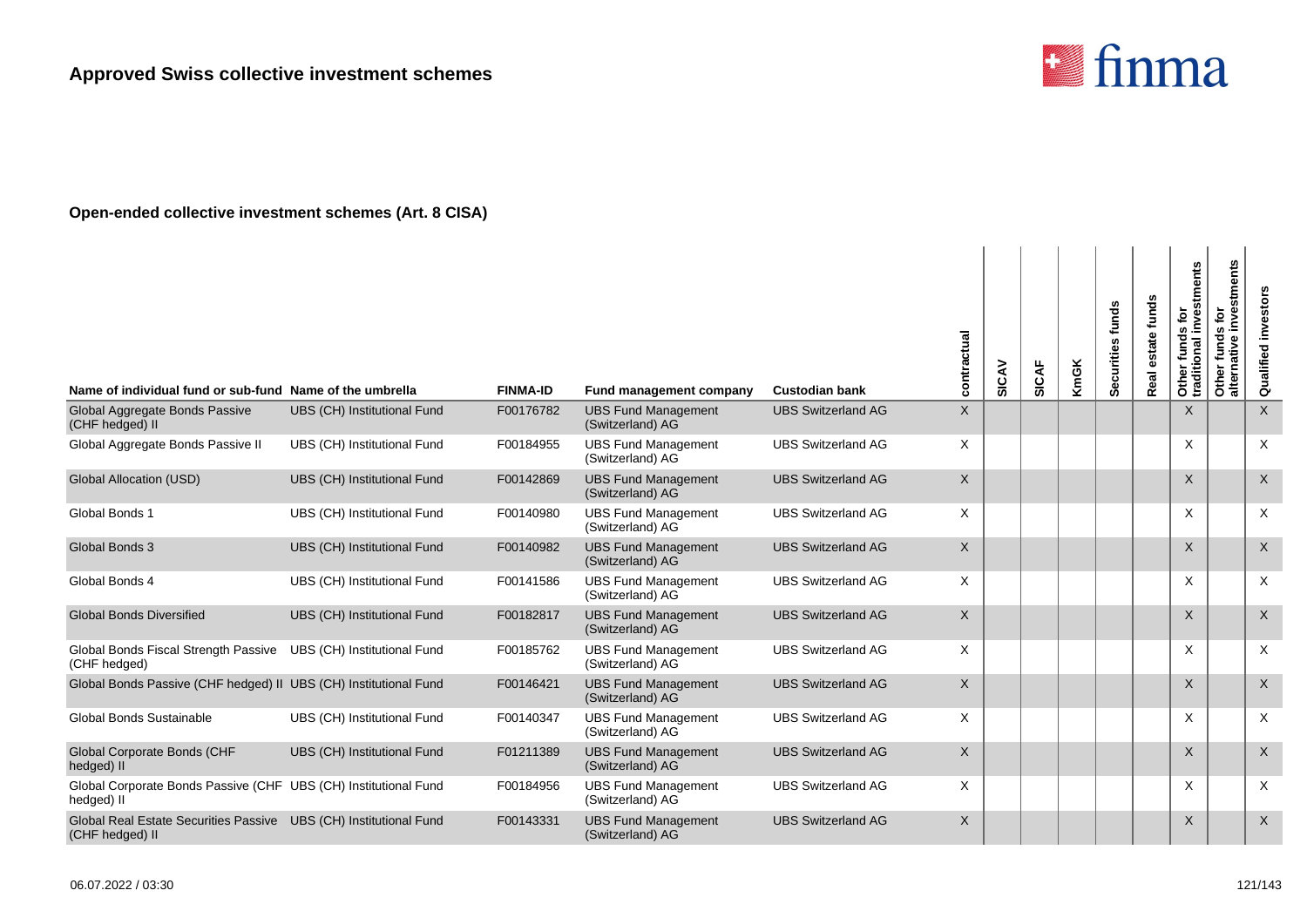

| Name of individual fund or sub-fund Name of the umbrella                      |                             | <b>FINMA-ID</b> | Fund management company                        | <b>Custodian bank</b>     | contractual | SICAV | SICAF | <b>KmGK</b> | Securities funds | funds<br>state<br>Real | Other funds for<br>traditional investments | stments<br>$\mathbf{\underline{\ddot{o}}}$<br><b>S</b><br>funds<br>ω<br>ativ<br>Other<br>alterna | <b>Qualified investors</b> |
|-------------------------------------------------------------------------------|-----------------------------|-----------------|------------------------------------------------|---------------------------|-------------|-------|-------|-------------|------------------|------------------------|--------------------------------------------|--------------------------------------------------------------------------------------------------|----------------------------|
| Global Aggregate Bonds Passive<br>(CHF hedged) II                             | UBS (CH) Institutional Fund | F00176782       | <b>UBS Fund Management</b><br>(Switzerland) AG | <b>UBS Switzerland AG</b> | X           |       |       |             |                  |                        | $\times$                                   |                                                                                                  | $\times$                   |
| Global Aggregate Bonds Passive II                                             | UBS (CH) Institutional Fund | F00184955       | <b>UBS Fund Management</b><br>(Switzerland) AG | <b>UBS Switzerland AG</b> | X           |       |       |             |                  |                        | $\times$                                   |                                                                                                  | $\times$                   |
| <b>Global Allocation (USD)</b>                                                | UBS (CH) Institutional Fund | F00142869       | <b>UBS Fund Management</b><br>(Switzerland) AG | <b>UBS Switzerland AG</b> | $\times$    |       |       |             |                  |                        | X                                          |                                                                                                  | $\times$                   |
| Global Bonds 1                                                                | UBS (CH) Institutional Fund | F00140980       | <b>UBS Fund Management</b><br>(Switzerland) AG | <b>UBS Switzerland AG</b> | X           |       |       |             |                  |                        | X                                          |                                                                                                  | $\times$                   |
| Global Bonds 3                                                                | UBS (CH) Institutional Fund | F00140982       | <b>UBS Fund Management</b><br>(Switzerland) AG | <b>UBS Switzerland AG</b> | $\mathsf X$ |       |       |             |                  |                        | $\sf X$                                    |                                                                                                  | $\times$                   |
| Global Bonds 4                                                                | UBS (CH) Institutional Fund | F00141586       | <b>UBS Fund Management</b><br>(Switzerland) AG | <b>UBS Switzerland AG</b> | X           |       |       |             |                  |                        | X                                          |                                                                                                  | $\times$                   |
| <b>Global Bonds Diversified</b>                                               | UBS (CH) Institutional Fund | F00182817       | <b>UBS Fund Management</b><br>(Switzerland) AG | <b>UBS Switzerland AG</b> | X           |       |       |             |                  |                        | X                                          |                                                                                                  | $\boldsymbol{\mathsf{X}}$  |
| Global Bonds Fiscal Strength Passive<br>(CHF hedged)                          | UBS (CH) Institutional Fund | F00185762       | <b>UBS Fund Management</b><br>(Switzerland) AG | <b>UBS Switzerland AG</b> | X           |       |       |             |                  |                        | X                                          |                                                                                                  | $\times$                   |
| Global Bonds Passive (CHF hedged) II UBS (CH) Institutional Fund              |                             | F00146421       | <b>UBS Fund Management</b><br>(Switzerland) AG | <b>UBS Switzerland AG</b> | $\sf X$     |       |       |             |                  |                        | $\times$                                   |                                                                                                  | $\boldsymbol{\mathsf{X}}$  |
| Global Bonds Sustainable                                                      | UBS (CH) Institutional Fund | F00140347       | <b>UBS Fund Management</b><br>(Switzerland) AG | <b>UBS Switzerland AG</b> | $\times$    |       |       |             |                  |                        | X                                          |                                                                                                  | $\times$                   |
| Global Corporate Bonds (CHF<br>hedged) II                                     | UBS (CH) Institutional Fund | F01211389       | <b>UBS Fund Management</b><br>(Switzerland) AG | <b>UBS Switzerland AG</b> | $\mathsf X$ |       |       |             |                  |                        | $\mathsf X$                                |                                                                                                  | $\boldsymbol{\mathsf{X}}$  |
| Global Corporate Bonds Passive (CHF UBS (CH) Institutional Fund<br>hedged) II |                             | F00184956       | <b>UBS Fund Management</b><br>(Switzerland) AG | <b>UBS Switzerland AG</b> | $\times$    |       |       |             |                  |                        | X                                          |                                                                                                  | $\times$                   |
| <b>Global Real Estate Securities Passive</b><br>(CHF hedged) II               | UBS (CH) Institutional Fund | F00143331       | <b>UBS Fund Management</b><br>(Switzerland) AG | <b>UBS Switzerland AG</b> | $\sf X$     |       |       |             |                  |                        | $\times$                                   |                                                                                                  | $\sf X$                    |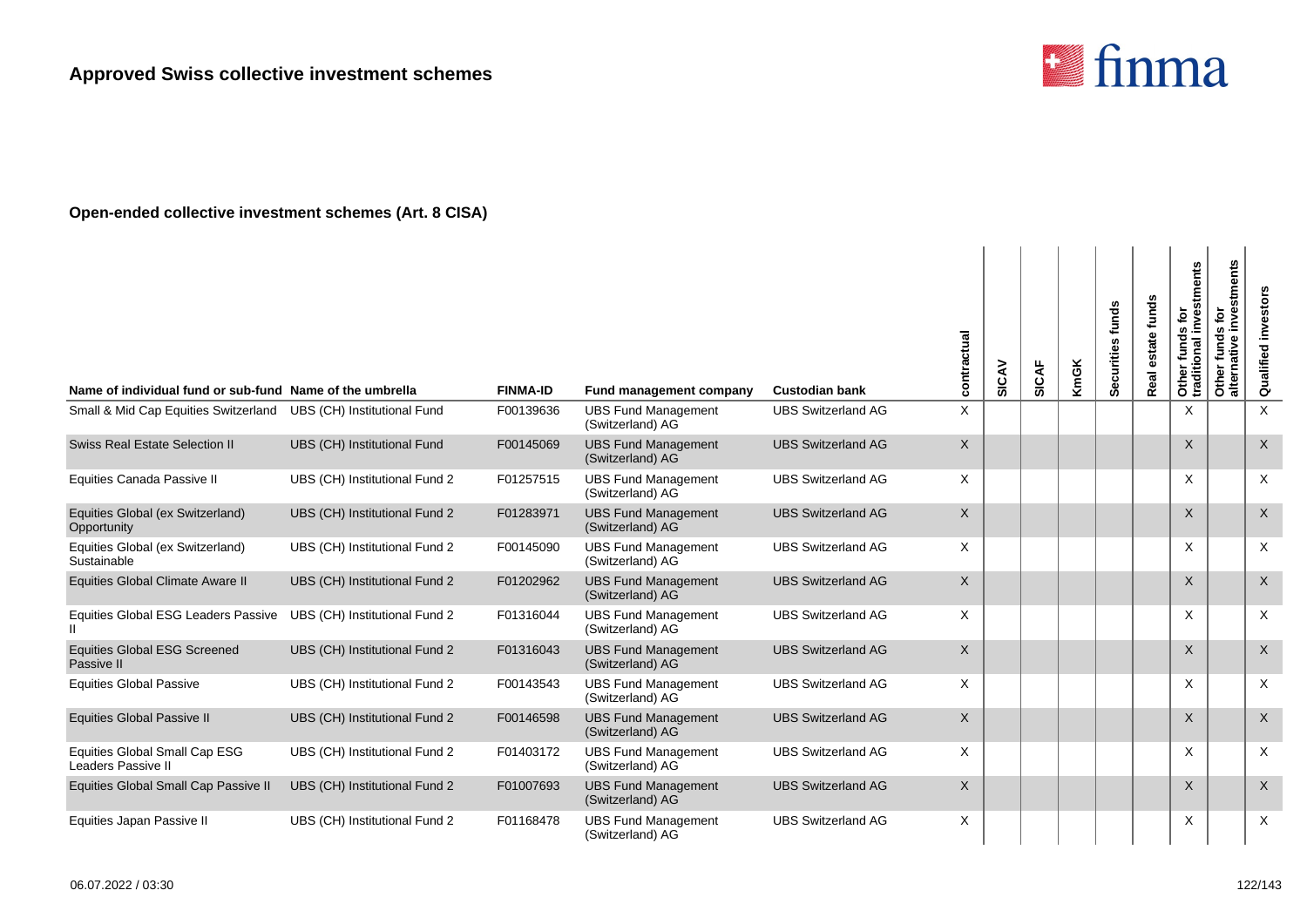

| Name of individual fund or sub-fund Name of the umbrella |                               | <b>FINMA-ID</b> | Fund management company                        | <b>Custodian bank</b>     | contractual  | SICAV | SICAF | <b>KmGK</b> | Securities funds | funds<br>state<br>Real | Other funds for<br>traditional investments | investments<br>ē<br>w<br>fund<br>alternative<br>Other | Qualified investors |
|----------------------------------------------------------|-------------------------------|-----------------|------------------------------------------------|---------------------------|--------------|-------|-------|-------------|------------------|------------------------|--------------------------------------------|-------------------------------------------------------|---------------------|
| Small & Mid Cap Equities Switzerland                     | UBS (CH) Institutional Fund   | F00139636       | <b>UBS Fund Management</b><br>(Switzerland) AG | <b>UBS Switzerland AG</b> | X            |       |       |             |                  |                        | X                                          |                                                       | X                   |
| <b>Swiss Real Estate Selection II</b>                    | UBS (CH) Institutional Fund   | F00145069       | <b>UBS Fund Management</b><br>(Switzerland) AG | <b>UBS Switzerland AG</b> | $\mathsf{X}$ |       |       |             |                  |                        | X                                          |                                                       | $\times$            |
| Equities Canada Passive II                               | UBS (CH) Institutional Fund 2 | F01257515       | <b>UBS Fund Management</b><br>(Switzerland) AG | <b>UBS Switzerland AG</b> | X            |       |       |             |                  |                        | X                                          |                                                       | $\times$            |
| Equities Global (ex Switzerland)<br>Opportunity          | UBS (CH) Institutional Fund 2 | F01283971       | <b>UBS Fund Management</b><br>(Switzerland) AG | <b>UBS Switzerland AG</b> | X            |       |       |             |                  |                        | X                                          |                                                       | $\times$            |
| Equities Global (ex Switzerland)<br>Sustainable          | UBS (CH) Institutional Fund 2 | F00145090       | <b>UBS Fund Management</b><br>(Switzerland) AG | <b>UBS Switzerland AG</b> | X            |       |       |             |                  |                        | X                                          |                                                       | X                   |
| Equities Global Climate Aware II                         | UBS (CH) Institutional Fund 2 | F01202962       | <b>UBS Fund Management</b><br>(Switzerland) AG | <b>UBS Switzerland AG</b> | $\times$     |       |       |             |                  |                        | X                                          |                                                       | $\times$            |
| Equities Global ESG Leaders Passive                      | UBS (CH) Institutional Fund 2 | F01316044       | <b>UBS Fund Management</b><br>(Switzerland) AG | <b>UBS Switzerland AG</b> | X            |       |       |             |                  |                        | X                                          |                                                       | X                   |
| <b>Equities Global ESG Screened</b><br>Passive II        | UBS (CH) Institutional Fund 2 | F01316043       | <b>UBS Fund Management</b><br>(Switzerland) AG | <b>UBS Switzerland AG</b> | $\mathsf{X}$ |       |       |             |                  |                        | X                                          |                                                       | $\times$            |
| <b>Equities Global Passive</b>                           | UBS (CH) Institutional Fund 2 | F00143543       | <b>UBS Fund Management</b><br>(Switzerland) AG | <b>UBS Switzerland AG</b> | X            |       |       |             |                  |                        | X                                          |                                                       | X                   |
| <b>Equities Global Passive II</b>                        | UBS (CH) Institutional Fund 2 | F00146598       | <b>UBS Fund Management</b><br>(Switzerland) AG | <b>UBS Switzerland AG</b> | X            |       |       |             |                  |                        | X                                          |                                                       | X                   |
| Equities Global Small Cap ESG<br>Leaders Passive II      | UBS (CH) Institutional Fund 2 | F01403172       | <b>UBS Fund Management</b><br>(Switzerland) AG | <b>UBS Switzerland AG</b> | Χ            |       |       |             |                  |                        | X                                          |                                                       | $\times$            |
| Equities Global Small Cap Passive II                     | UBS (CH) Institutional Fund 2 | F01007693       | <b>UBS Fund Management</b><br>(Switzerland) AG | <b>UBS Switzerland AG</b> | X            |       |       |             |                  |                        | $\times$                                   |                                                       | $\times$            |
| Equities Japan Passive II                                | UBS (CH) Institutional Fund 2 | F01168478       | <b>UBS Fund Management</b><br>(Switzerland) AG | <b>UBS Switzerland AG</b> | Χ            |       |       |             |                  |                        | X                                          |                                                       | X                   |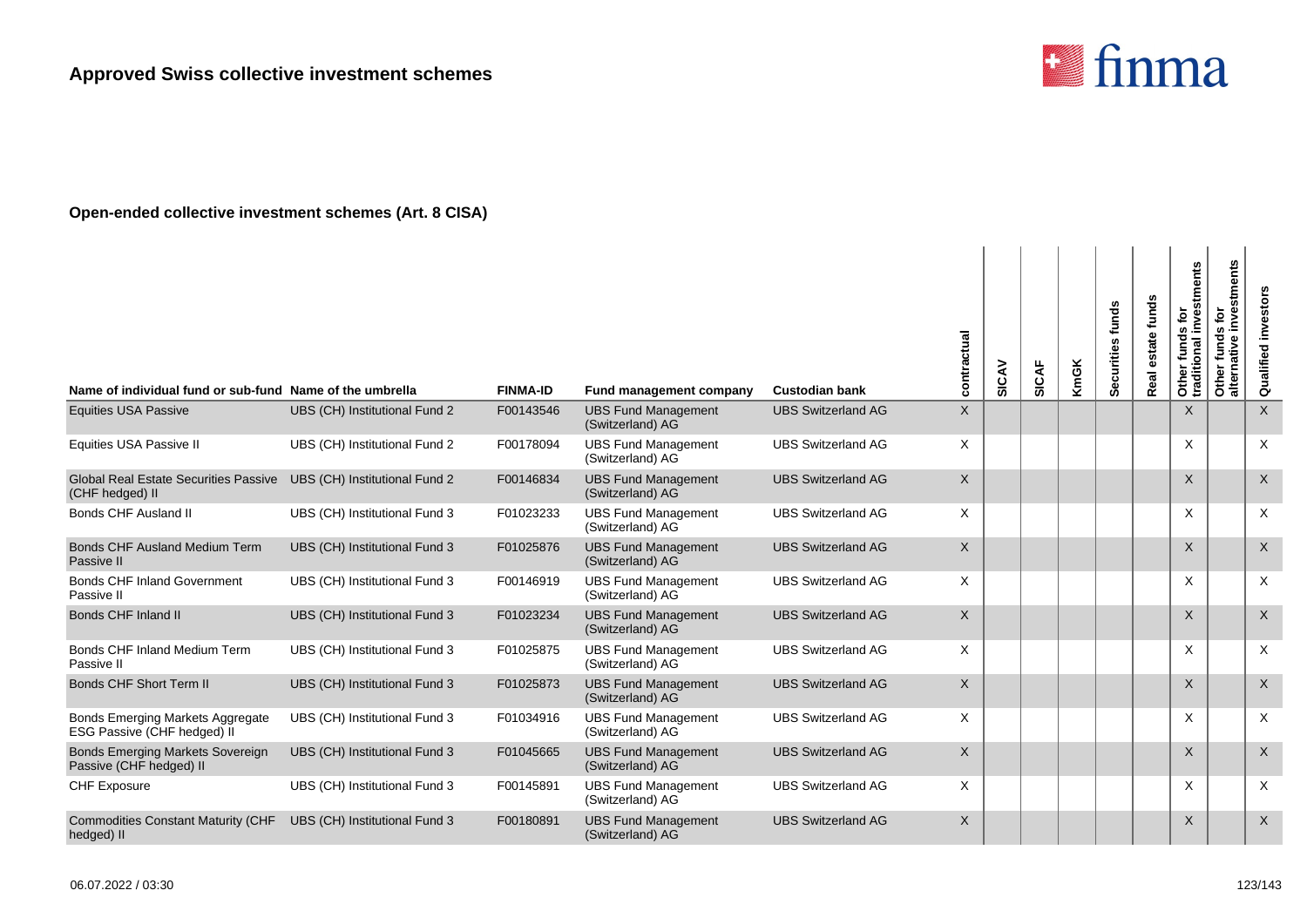

| Name of individual fund or sub-fund Name of the umbrella           |                               | <b>FINMA-ID</b> | Fund management company                        | <b>Custodian bank</b>     | contractual | SICAV | SICAF | <b>KmGK</b> | Securities funds | funds<br>state<br>Real | Other funds for<br>traditional investments | stments<br><b>jo</b><br>$\boldsymbol{a}$<br>funds<br>ω<br>Other<br>alterna | <b>Qualified investors</b> |
|--------------------------------------------------------------------|-------------------------------|-----------------|------------------------------------------------|---------------------------|-------------|-------|-------|-------------|------------------|------------------------|--------------------------------------------|----------------------------------------------------------------------------|----------------------------|
| <b>Equities USA Passive</b>                                        | UBS (CH) Institutional Fund 2 | F00143546       | <b>UBS Fund Management</b><br>(Switzerland) AG | <b>UBS Switzerland AG</b> | X           |       |       |             |                  |                        | $\times$                                   |                                                                            | $\times$                   |
| Equities USA Passive II                                            | UBS (CH) Institutional Fund 2 | F00178094       | <b>UBS Fund Management</b><br>(Switzerland) AG | <b>UBS Switzerland AG</b> | X           |       |       |             |                  |                        | $\times$                                   |                                                                            | $\times$                   |
| <b>Global Real Estate Securities Passive</b><br>(CHF hedged) II    | UBS (CH) Institutional Fund 2 | F00146834       | <b>UBS Fund Management</b><br>(Switzerland) AG | <b>UBS Switzerland AG</b> | $\times$    |       |       |             |                  |                        | $\times$                                   |                                                                            | $\times$                   |
| Bonds CHF Ausland II                                               | UBS (CH) Institutional Fund 3 | F01023233       | <b>UBS Fund Management</b><br>(Switzerland) AG | <b>UBS Switzerland AG</b> | X           |       |       |             |                  |                        | X                                          |                                                                            | $\times$                   |
| Bonds CHF Ausland Medium Term<br>Passive II                        | UBS (CH) Institutional Fund 3 | F01025876       | <b>UBS Fund Management</b><br>(Switzerland) AG | <b>UBS Switzerland AG</b> | X           |       |       |             |                  |                        | $\mathsf{X}$                               |                                                                            | $\times$                   |
| <b>Bonds CHF Inland Government</b><br>Passive II                   | UBS (CH) Institutional Fund 3 | F00146919       | <b>UBS Fund Management</b><br>(Switzerland) AG | <b>UBS Switzerland AG</b> | X           |       |       |             |                  |                        | X                                          |                                                                            | $\times$                   |
| Bonds CHF Inland II                                                | UBS (CH) Institutional Fund 3 | F01023234       | <b>UBS Fund Management</b><br>(Switzerland) AG | <b>UBS Switzerland AG</b> | X           |       |       |             |                  |                        | X                                          |                                                                            | $\sf X$                    |
| Bonds CHF Inland Medium Term<br>Passive II                         | UBS (CH) Institutional Fund 3 | F01025875       | <b>UBS Fund Management</b><br>(Switzerland) AG | <b>UBS Switzerland AG</b> | X           |       |       |             |                  |                        | X                                          |                                                                            | $\times$                   |
| Bonds CHF Short Term II                                            | UBS (CH) Institutional Fund 3 | F01025873       | <b>UBS Fund Management</b><br>(Switzerland) AG | <b>UBS Switzerland AG</b> | $\sf X$     |       |       |             |                  |                        | $\times$                                   |                                                                            | $\mathsf{X}$               |
| Bonds Emerging Markets Aggregate<br>ESG Passive (CHF hedged) II    | UBS (CH) Institutional Fund 3 | F01034916       | <b>UBS Fund Management</b><br>(Switzerland) AG | <b>UBS Switzerland AG</b> | $\times$    |       |       |             |                  |                        | X                                          |                                                                            | $\times$                   |
| <b>Bonds Emerging Markets Sovereign</b><br>Passive (CHF hedged) II | UBS (CH) Institutional Fund 3 | F01045665       | <b>UBS Fund Management</b><br>(Switzerland) AG | <b>UBS Switzerland AG</b> | $\mathsf X$ |       |       |             |                  |                        | $\mathsf X$                                |                                                                            | $\mathsf{X}$               |
| <b>CHF Exposure</b>                                                | UBS (CH) Institutional Fund 3 | F00145891       | <b>UBS Fund Management</b><br>(Switzerland) AG | <b>UBS Switzerland AG</b> | $\times$    |       |       |             |                  |                        | X                                          |                                                                            | $\times$                   |
| <b>Commodities Constant Maturity (CHF</b><br>hedged) II            | UBS (CH) Institutional Fund 3 | F00180891       | <b>UBS Fund Management</b><br>(Switzerland) AG | <b>UBS Switzerland AG</b> | $\sf X$     |       |       |             |                  |                        | $\times$                                   |                                                                            | $\sf X$                    |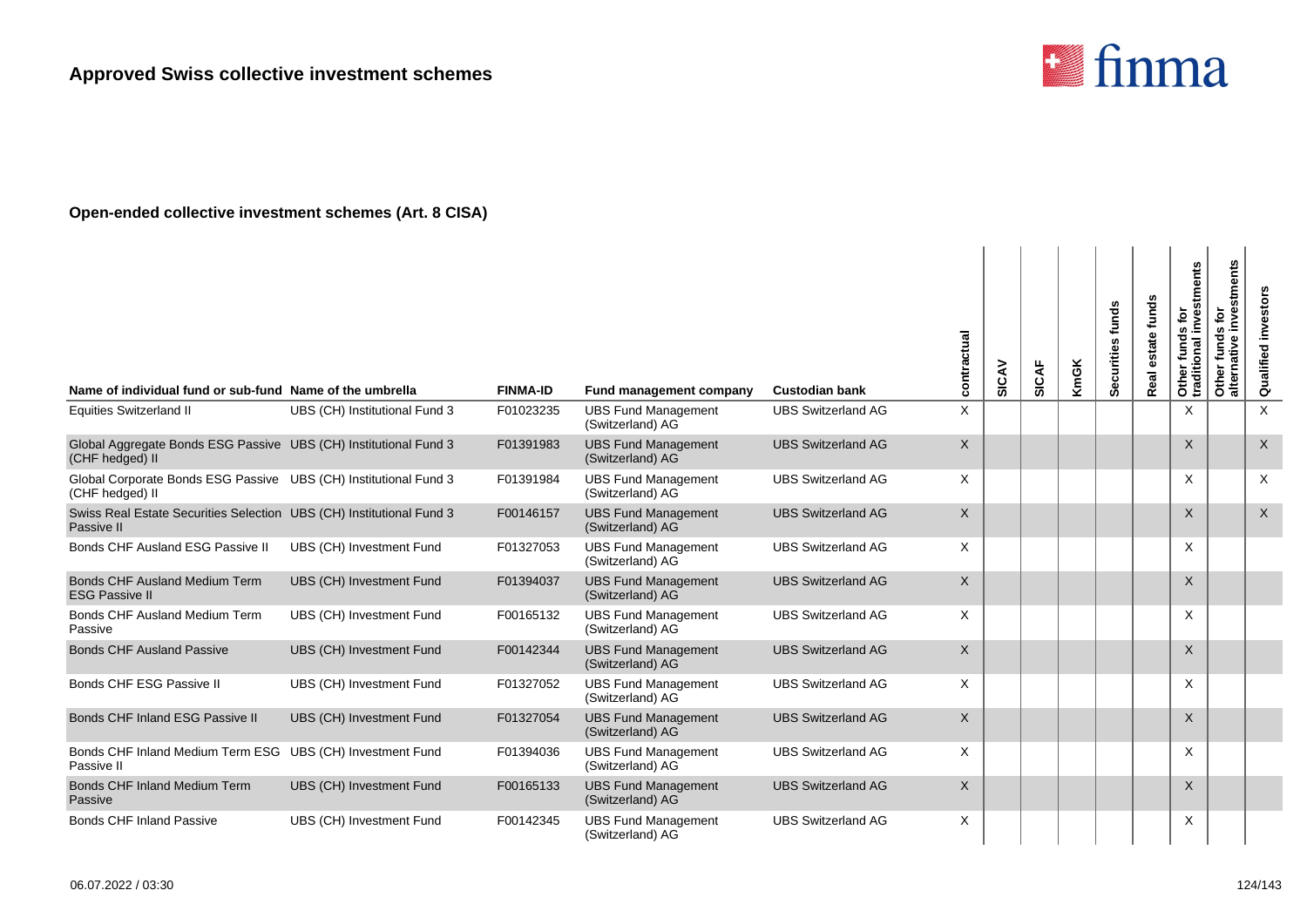

| Name of individual fund or sub-fund Name of the umbrella                            |                               | <b>FINMA-ID</b> | <b>Fund management company</b>                 | <b>Custodian bank</b>     | contractual | SICAV | <b>SICAF</b> | <b>KmGK</b> | Securities funds | estate funds<br>Real | investments<br>ē<br>funds<br>Other funds<br>traditional i | investments<br>Other funds for<br>alternative inves | Qualified investors |
|-------------------------------------------------------------------------------------|-------------------------------|-----------------|------------------------------------------------|---------------------------|-------------|-------|--------------|-------------|------------------|----------------------|-----------------------------------------------------------|-----------------------------------------------------|---------------------|
| <b>Equities Switzerland II</b>                                                      | UBS (CH) Institutional Fund 3 | F01023235       | <b>UBS Fund Management</b><br>(Switzerland) AG | <b>UBS Switzerland AG</b> | X           |       |              |             |                  |                      | X                                                         |                                                     | X                   |
| Global Aggregate Bonds ESG Passive UBS (CH) Institutional Fund 3<br>(CHF hedged) II |                               | F01391983       | <b>UBS Fund Management</b><br>(Switzerland) AG | <b>UBS Switzerland AG</b> | X           |       |              |             |                  |                      | $\times$                                                  |                                                     | $\mathsf X$         |
| Global Corporate Bonds ESG Passive UBS (CH) Institutional Fund 3<br>(CHF hedged) II |                               | F01391984       | <b>UBS Fund Management</b><br>(Switzerland) AG | <b>UBS Switzerland AG</b> | X           |       |              |             |                  |                      | X                                                         |                                                     | X                   |
| Swiss Real Estate Securities Selection UBS (CH) Institutional Fund 3<br>Passive II  |                               | F00146157       | <b>UBS Fund Management</b><br>(Switzerland) AG | <b>UBS Switzerland AG</b> | X           |       |              |             |                  |                      | $\times$                                                  |                                                     | $\mathsf{X}$        |
| Bonds CHF Ausland ESG Passive II                                                    | UBS (CH) Investment Fund      | F01327053       | <b>UBS Fund Management</b><br>(Switzerland) AG | <b>UBS Switzerland AG</b> | X           |       |              |             |                  |                      | X                                                         |                                                     |                     |
| Bonds CHF Ausland Medium Term<br><b>ESG Passive II</b>                              | UBS (CH) Investment Fund      | F01394037       | <b>UBS Fund Management</b><br>(Switzerland) AG | <b>UBS Switzerland AG</b> | X           |       |              |             |                  |                      | $\sf X$                                                   |                                                     |                     |
| Bonds CHF Ausland Medium Term<br>Passive                                            | UBS (CH) Investment Fund      | F00165132       | <b>UBS Fund Management</b><br>(Switzerland) AG | <b>UBS Switzerland AG</b> | X           |       |              |             |                  |                      | X                                                         |                                                     |                     |
| <b>Bonds CHF Ausland Passive</b>                                                    | UBS (CH) Investment Fund      | F00142344       | <b>UBS Fund Management</b><br>(Switzerland) AG | <b>UBS Switzerland AG</b> | X           |       |              |             |                  |                      | X                                                         |                                                     |                     |
| Bonds CHF ESG Passive II                                                            | UBS (CH) Investment Fund      | F01327052       | <b>UBS Fund Management</b><br>(Switzerland) AG | <b>UBS Switzerland AG</b> | X           |       |              |             |                  |                      | X                                                         |                                                     |                     |
| Bonds CHF Inland ESG Passive II                                                     | UBS (CH) Investment Fund      | F01327054       | <b>UBS Fund Management</b><br>(Switzerland) AG | <b>UBS Switzerland AG</b> | $\times$    |       |              |             |                  |                      | X                                                         |                                                     |                     |
| Bonds CHF Inland Medium Term ESG UBS (CH) Investment Fund<br>Passive II             |                               | F01394036       | <b>UBS Fund Management</b><br>(Switzerland) AG | <b>UBS Switzerland AG</b> | X           |       |              |             |                  |                      | X                                                         |                                                     |                     |
| Bonds CHF Inland Medium Term<br>Passive                                             | UBS (CH) Investment Fund      | F00165133       | <b>UBS Fund Management</b><br>(Switzerland) AG | <b>UBS Switzerland AG</b> | X           |       |              |             |                  |                      | $\times$                                                  |                                                     |                     |
| <b>Bonds CHF Inland Passive</b>                                                     | UBS (CH) Investment Fund      | F00142345       | <b>UBS Fund Management</b><br>(Switzerland) AG | <b>UBS Switzerland AG</b> | X           |       |              |             |                  |                      | Χ                                                         |                                                     |                     |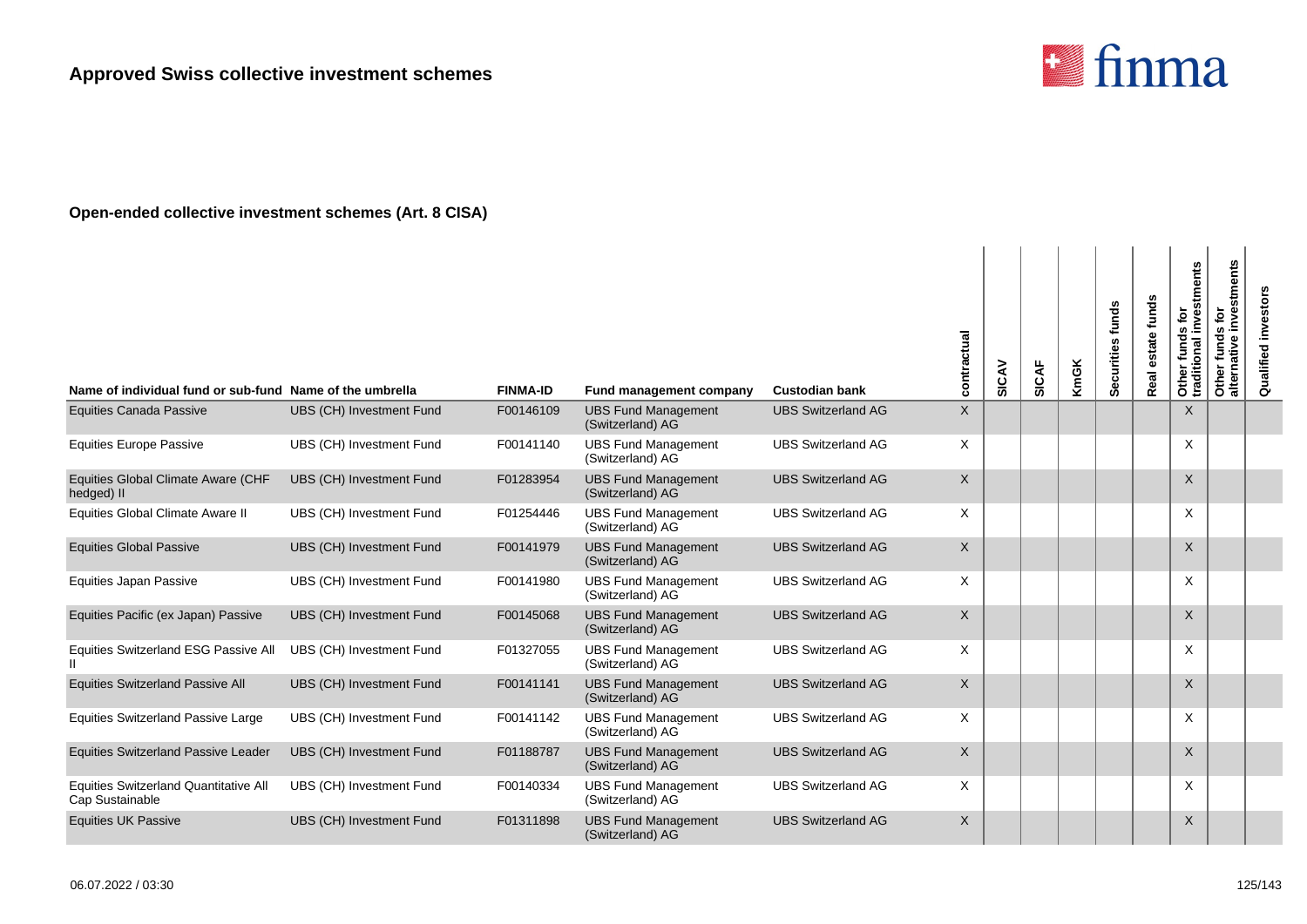

| Name of individual fund or sub-fund Name of the umbrella        |                          | <b>FINMA-ID</b> | Fund management company                        | <b>Custodian bank</b>     | contractual | SICAV | <b>SICAF</b> | <b>KmGK</b> | Securities funds | Real estate funds | ds for<br>linvestments<br>Other funds<br>traditional | Other funds for<br>alternative investments | investors<br>Qualified |
|-----------------------------------------------------------------|--------------------------|-----------------|------------------------------------------------|---------------------------|-------------|-------|--------------|-------------|------------------|-------------------|------------------------------------------------------|--------------------------------------------|------------------------|
| <b>Equities Canada Passive</b>                                  | UBS (CH) Investment Fund | F00146109       | <b>UBS Fund Management</b><br>(Switzerland) AG | <b>UBS Switzerland AG</b> | X           |       |              |             |                  |                   | $\times$                                             |                                            |                        |
| <b>Equities Europe Passive</b>                                  | UBS (CH) Investment Fund | F00141140       | <b>UBS Fund Management</b><br>(Switzerland) AG | <b>UBS Switzerland AG</b> | X           |       |              |             |                  |                   | $\times$                                             |                                            |                        |
| Equities Global Climate Aware (CHF<br>hedged) II                | UBS (CH) Investment Fund | F01283954       | <b>UBS Fund Management</b><br>(Switzerland) AG | <b>UBS Switzerland AG</b> | X           |       |              |             |                  |                   | $\times$                                             |                                            |                        |
| Equities Global Climate Aware II                                | UBS (CH) Investment Fund | F01254446       | <b>UBS Fund Management</b><br>(Switzerland) AG | <b>UBS Switzerland AG</b> | X           |       |              |             |                  |                   | $\times$                                             |                                            |                        |
| <b>Equities Global Passive</b>                                  | UBS (CH) Investment Fund | F00141979       | <b>UBS Fund Management</b><br>(Switzerland) AG | <b>UBS Switzerland AG</b> | X           |       |              |             |                  |                   | X                                                    |                                            |                        |
| <b>Equities Japan Passive</b>                                   | UBS (CH) Investment Fund | F00141980       | <b>UBS Fund Management</b><br>(Switzerland) AG | <b>UBS Switzerland AG</b> | X.          |       |              |             |                  |                   | X                                                    |                                            |                        |
| Equities Pacific (ex Japan) Passive                             | UBS (CH) Investment Fund | F00145068       | <b>UBS Fund Management</b><br>(Switzerland) AG | <b>UBS Switzerland AG</b> | X           |       |              |             |                  |                   | X                                                    |                                            |                        |
| Equities Switzerland ESG Passive All                            | UBS (CH) Investment Fund | F01327055       | <b>UBS Fund Management</b><br>(Switzerland) AG | <b>UBS Switzerland AG</b> | X.          |       |              |             |                  |                   | X                                                    |                                            |                        |
| <b>Equities Switzerland Passive All</b>                         | UBS (CH) Investment Fund | F00141141       | <b>UBS Fund Management</b><br>(Switzerland) AG | <b>UBS Switzerland AG</b> | X           |       |              |             |                  |                   | $\times$                                             |                                            |                        |
| <b>Equities Switzerland Passive Large</b>                       | UBS (CH) Investment Fund | F00141142       | <b>UBS Fund Management</b><br>(Switzerland) AG | <b>UBS Switzerland AG</b> | X.          |       |              |             |                  |                   | $\times$                                             |                                            |                        |
| Equities Switzerland Passive Leader                             | UBS (CH) Investment Fund | F01188787       | <b>UBS Fund Management</b><br>(Switzerland) AG | <b>UBS Switzerland AG</b> | X           |       |              |             |                  |                   | $\times$                                             |                                            |                        |
| <b>Equities Switzerland Quantitative All</b><br>Cap Sustainable | UBS (CH) Investment Fund | F00140334       | <b>UBS Fund Management</b><br>(Switzerland) AG | <b>UBS Switzerland AG</b> | X.          |       |              |             |                  |                   | $\times$                                             |                                            |                        |
| <b>Equities UK Passive</b>                                      | UBS (CH) Investment Fund | F01311898       | <b>UBS Fund Management</b><br>(Switzerland) AG | <b>UBS Switzerland AG</b> | X.          |       |              |             |                  |                   | X                                                    |                                            |                        |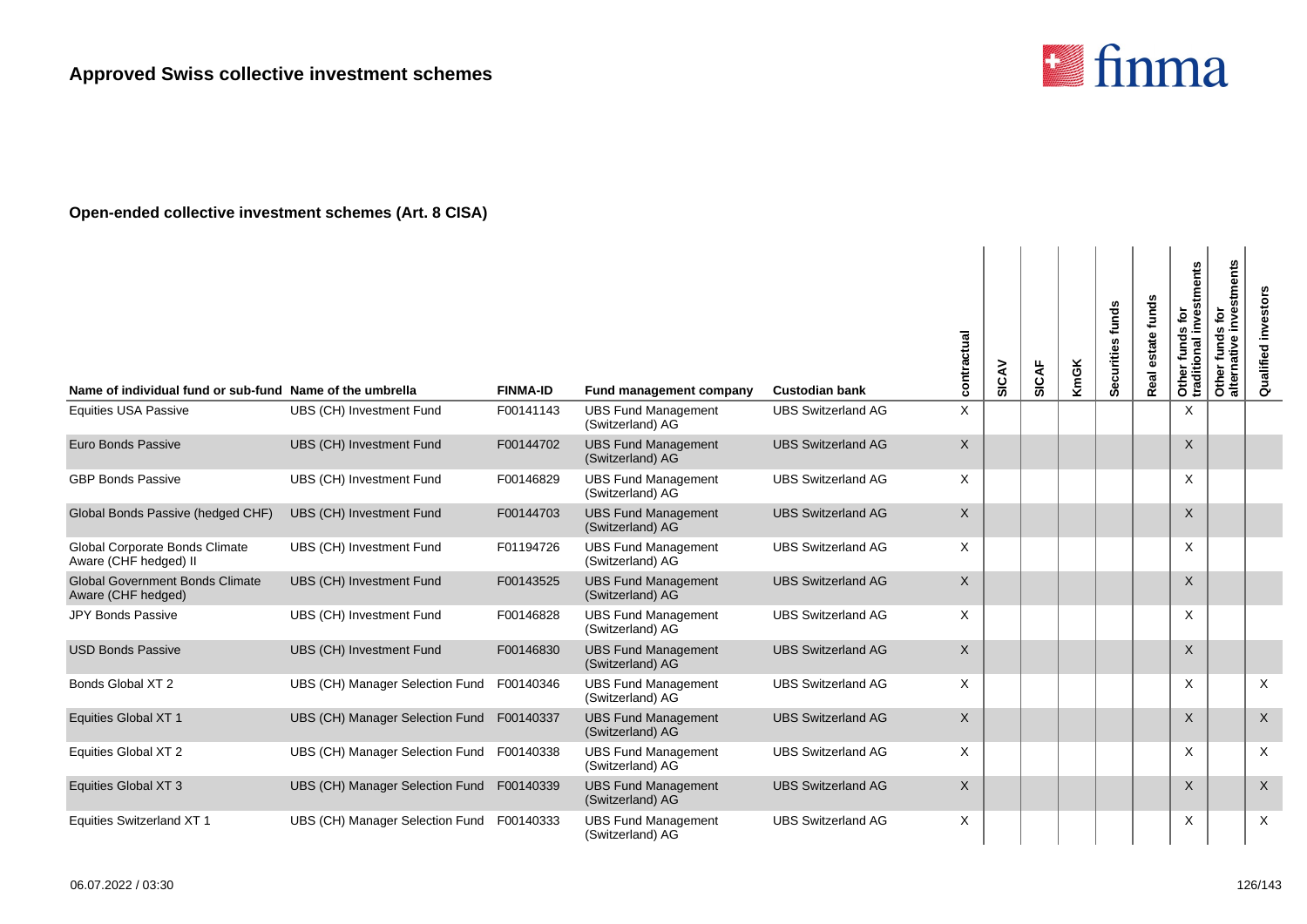

| Name of individual fund or sub-fund Name of the umbrella     |                                           | <b>FINMA-ID</b> | Fund management company                        | <b>Custodian bank</b>     | contractual  | SICAV | <b>SICAF</b> | KmGK | Securities funds | estate funds<br>Real | Other funds for<br>traditional investments | nvestments<br>funds for<br>$\omega$<br>Other func<br>alternative | Qualified investors |
|--------------------------------------------------------------|-------------------------------------------|-----------------|------------------------------------------------|---------------------------|--------------|-------|--------------|------|------------------|----------------------|--------------------------------------------|------------------------------------------------------------------|---------------------|
| <b>Equities USA Passive</b>                                  | UBS (CH) Investment Fund                  | F00141143       | <b>UBS Fund Management</b><br>(Switzerland) AG | <b>UBS Switzerland AG</b> | X            |       |              |      |                  |                      | $\times$                                   |                                                                  |                     |
| Euro Bonds Passive                                           | UBS (CH) Investment Fund                  | F00144702       | <b>UBS Fund Management</b><br>(Switzerland) AG | <b>UBS Switzerland AG</b> | $\mathsf{X}$ |       |              |      |                  |                      | X                                          |                                                                  |                     |
| <b>GBP Bonds Passive</b>                                     | UBS (CH) Investment Fund                  | F00146829       | <b>UBS Fund Management</b><br>(Switzerland) AG | <b>UBS Switzerland AG</b> | $\times$     |       |              |      |                  |                      | X                                          |                                                                  |                     |
| Global Bonds Passive (hedged CHF)                            | UBS (CH) Investment Fund                  | F00144703       | <b>UBS Fund Management</b><br>(Switzerland) AG | <b>UBS Switzerland AG</b> | $\times$     |       |              |      |                  |                      | X                                          |                                                                  |                     |
| Global Corporate Bonds Climate<br>Aware (CHF hedged) II      | UBS (CH) Investment Fund                  | F01194726       | <b>UBS Fund Management</b><br>(Switzerland) AG | <b>UBS Switzerland AG</b> | $\times$     |       |              |      |                  |                      | X                                          |                                                                  |                     |
| <b>Global Government Bonds Climate</b><br>Aware (CHF hedged) | UBS (CH) Investment Fund                  | F00143525       | <b>UBS Fund Management</b><br>(Switzerland) AG | <b>UBS Switzerland AG</b> | $\mathsf{X}$ |       |              |      |                  |                      | $\sf X$                                    |                                                                  |                     |
| <b>JPY Bonds Passive</b>                                     | UBS (CH) Investment Fund                  | F00146828       | <b>UBS Fund Management</b><br>(Switzerland) AG | <b>UBS Switzerland AG</b> | X            |       |              |      |                  |                      | X                                          |                                                                  |                     |
| <b>USD Bonds Passive</b>                                     | UBS (CH) Investment Fund                  | F00146830       | <b>UBS Fund Management</b><br>(Switzerland) AG | <b>UBS Switzerland AG</b> | $\mathsf{X}$ |       |              |      |                  |                      | X                                          |                                                                  |                     |
| Bonds Global XT 2                                            | UBS (CH) Manager Selection Fund           | F00140346       | <b>UBS Fund Management</b><br>(Switzerland) AG | <b>UBS Switzerland AG</b> | $\times$     |       |              |      |                  |                      | X                                          |                                                                  | $\times$            |
| Equities Global XT 1                                         | UBS (CH) Manager Selection Fund           | F00140337       | <b>UBS Fund Management</b><br>(Switzerland) AG | <b>UBS Switzerland AG</b> | $\sf X$      |       |              |      |                  |                      | X                                          |                                                                  | $\times$            |
| Equities Global XT 2                                         | UBS (CH) Manager Selection Fund           | F00140338       | <b>UBS Fund Management</b><br>(Switzerland) AG | <b>UBS Switzerland AG</b> | $\times$     |       |              |      |                  |                      | X                                          |                                                                  | $\times$            |
| Equities Global XT 3                                         | UBS (CH) Manager Selection Fund F00140339 |                 | <b>UBS Fund Management</b><br>(Switzerland) AG | <b>UBS Switzerland AG</b> | $\mathsf{X}$ |       |              |      |                  |                      | X                                          |                                                                  | $\mathsf X$         |
| <b>Equities Switzerland XT 1</b>                             | UBS (CH) Manager Selection Fund           | F00140333       | <b>UBS Fund Management</b><br>(Switzerland) AG | <b>UBS Switzerland AG</b> | X            |       |              |      |                  |                      | X                                          |                                                                  | $\times$            |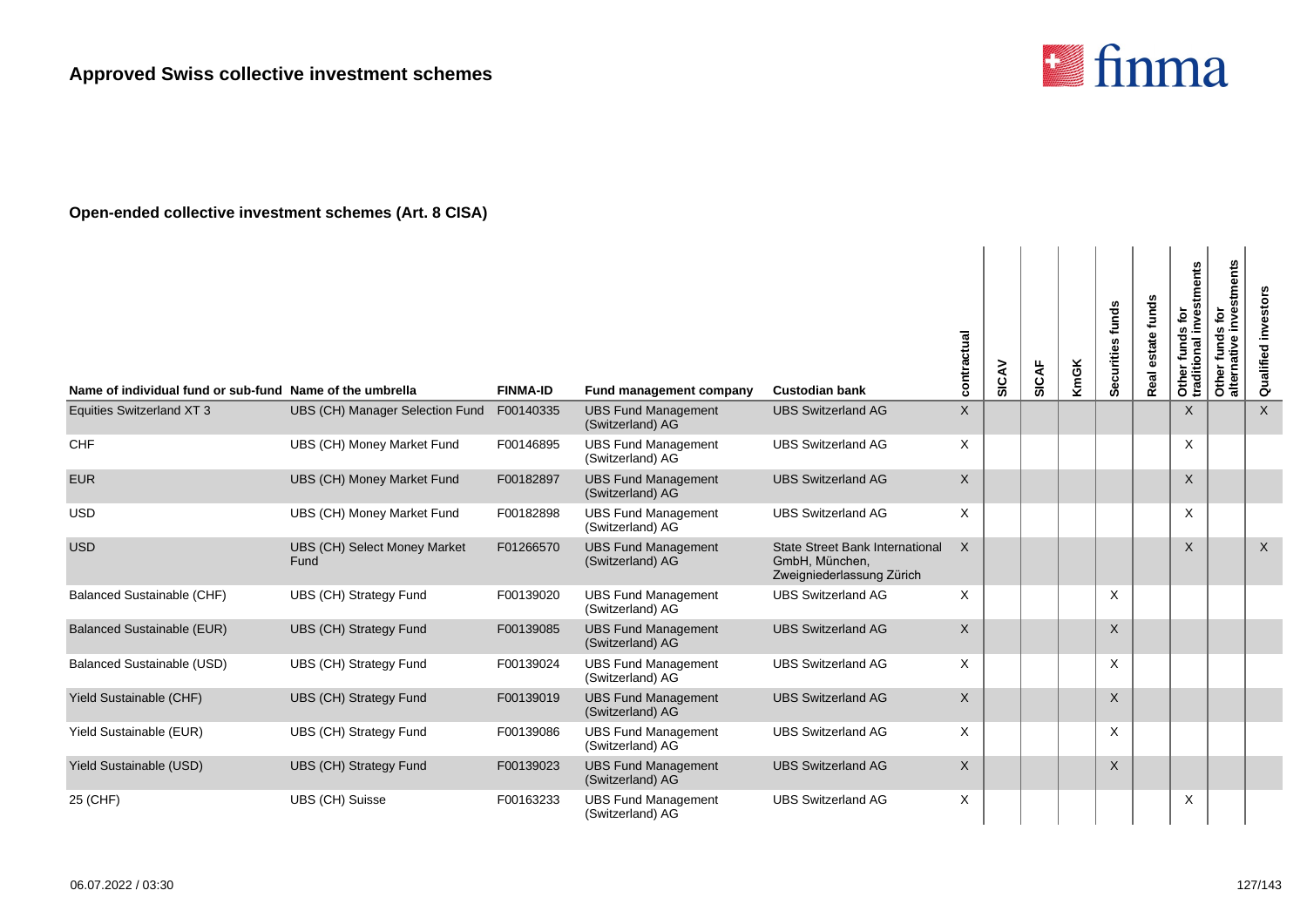

| Name of individual fund or sub-fund Name of the umbrella |                                      | <b>FINMA-ID</b> | Fund management company                        | <b>Custodian bank</b>                                                                 | contractual  | SICAV | <b>SICAF</b> | KmGK | Securities funds | estate funds<br>Real | Other funds for<br>traditional investments | stments<br>funds for<br>inve<br>Other funds<br>alternative i | Qualified investors |
|----------------------------------------------------------|--------------------------------------|-----------------|------------------------------------------------|---------------------------------------------------------------------------------------|--------------|-------|--------------|------|------------------|----------------------|--------------------------------------------|--------------------------------------------------------------|---------------------|
| <b>Equities Switzerland XT 3</b>                         | UBS (CH) Manager Selection Fund      | F00140335       | <b>UBS Fund Management</b><br>(Switzerland) AG | <b>UBS Switzerland AG</b>                                                             | $\mathsf{X}$ |       |              |      |                  |                      | $\mathsf{X}$                               |                                                              | $\mathsf{X}$        |
| <b>CHF</b>                                               | UBS (CH) Money Market Fund           | F00146895       | <b>UBS Fund Management</b><br>(Switzerland) AG | <b>UBS Switzerland AG</b>                                                             | X            |       |              |      |                  |                      | X                                          |                                                              |                     |
| <b>EUR</b>                                               | UBS (CH) Money Market Fund           | F00182897       | <b>UBS Fund Management</b><br>(Switzerland) AG | <b>UBS Switzerland AG</b>                                                             | $\mathsf{X}$ |       |              |      |                  |                      | X                                          |                                                              |                     |
| <b>USD</b>                                               | UBS (CH) Money Market Fund           | F00182898       | <b>UBS Fund Management</b><br>(Switzerland) AG | <b>UBS Switzerland AG</b>                                                             | X            |       |              |      |                  |                      | X                                          |                                                              |                     |
| <b>USD</b>                                               | UBS (CH) Select Money Market<br>Fund | F01266570       | <b>UBS Fund Management</b><br>(Switzerland) AG | <b>State Street Bank International</b><br>GmbH, München,<br>Zweigniederlassung Zürich | $\times$     |       |              |      |                  |                      | X                                          |                                                              | X                   |
| Balanced Sustainable (CHF)                               | UBS (CH) Strategy Fund               | F00139020       | <b>UBS Fund Management</b><br>(Switzerland) AG | <b>UBS Switzerland AG</b>                                                             | $\times$     |       |              |      | X                |                      |                                            |                                                              |                     |
| <b>Balanced Sustainable (EUR)</b>                        | UBS (CH) Strategy Fund               | F00139085       | <b>UBS Fund Management</b><br>(Switzerland) AG | <b>UBS Switzerland AG</b>                                                             | $\mathsf{X}$ |       |              |      | $\times$         |                      |                                            |                                                              |                     |
| Balanced Sustainable (USD)                               | UBS (CH) Strategy Fund               | F00139024       | <b>UBS Fund Management</b><br>(Switzerland) AG | <b>UBS Switzerland AG</b>                                                             | $\times$     |       |              |      | X                |                      |                                            |                                                              |                     |
| Yield Sustainable (CHF)                                  | UBS (CH) Strategy Fund               | F00139019       | <b>UBS Fund Management</b><br>(Switzerland) AG | <b>UBS Switzerland AG</b>                                                             | $\mathsf{X}$ |       |              |      | $\times$         |                      |                                            |                                                              |                     |
| Yield Sustainable (EUR)                                  | UBS (CH) Strategy Fund               | F00139086       | <b>UBS Fund Management</b><br>(Switzerland) AG | <b>UBS Switzerland AG</b>                                                             | X            |       |              |      | X                |                      |                                            |                                                              |                     |
| Yield Sustainable (USD)                                  | UBS (CH) Strategy Fund               | F00139023       | <b>UBS Fund Management</b><br>(Switzerland) AG | <b>UBS Switzerland AG</b>                                                             | $\mathsf{X}$ |       |              |      | $\mathsf X$      |                      |                                            |                                                              |                     |
| 25 (CHF)                                                 | UBS (CH) Suisse                      | F00163233       | <b>UBS Fund Management</b><br>(Switzerland) AG | <b>UBS Switzerland AG</b>                                                             | X            |       |              |      |                  |                      | X                                          |                                                              |                     |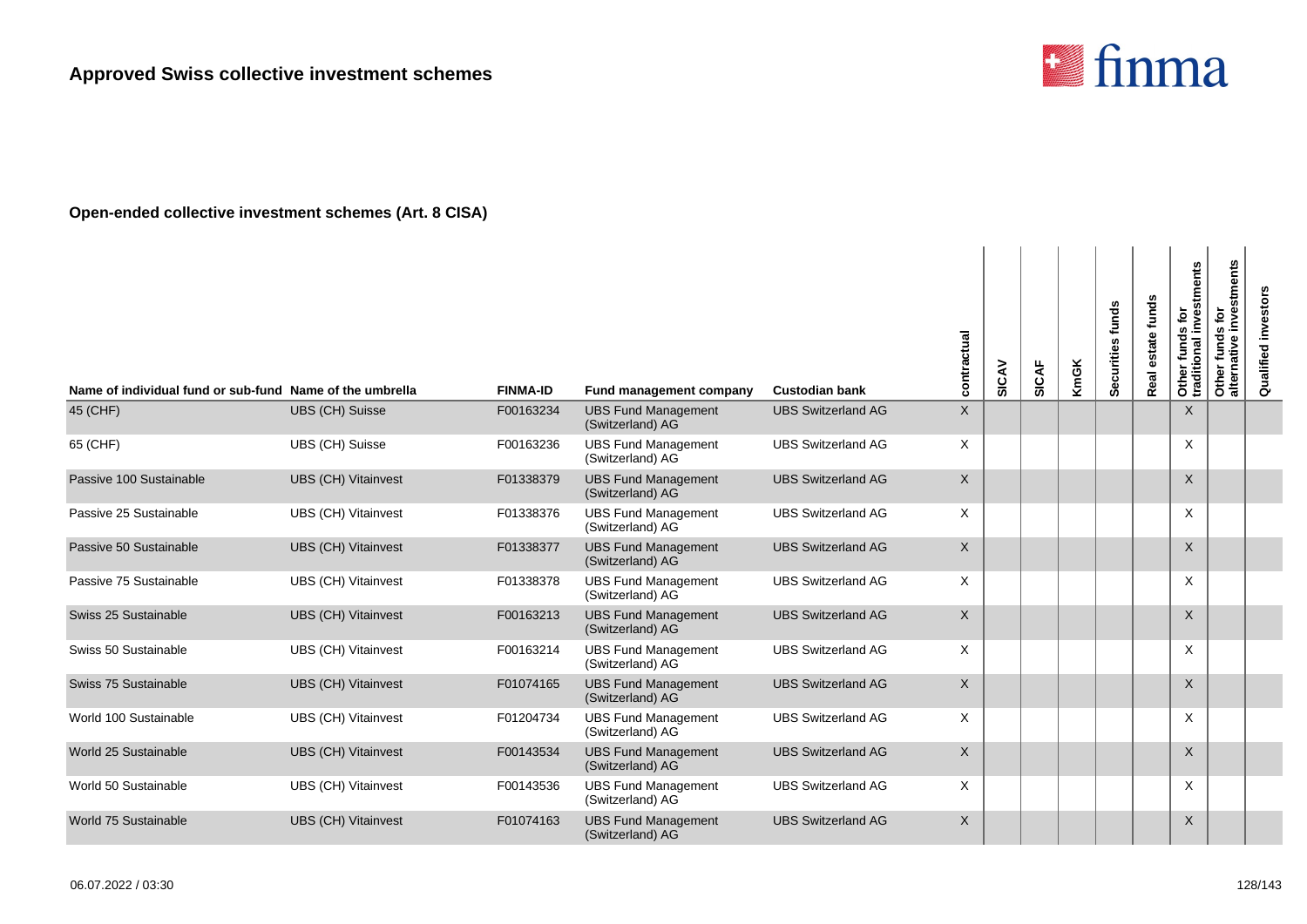

| Name of individual fund or sub-fund Name of the umbrella |                            | <b>FINMA-ID</b> | <b>Fund management company</b>                 | <b>Custodian bank</b>     | contractual | SICAV | <b>SICAF</b> | KmGK | Securities funds | Real estate funds | <b>1s for</b><br>linvestments<br>Other funds<br>traditional i | Other funds for<br>alternative investments | Qualified investors |
|----------------------------------------------------------|----------------------------|-----------------|------------------------------------------------|---------------------------|-------------|-------|--------------|------|------------------|-------------------|---------------------------------------------------------------|--------------------------------------------|---------------------|
| 45 (CHF)                                                 | <b>UBS (CH) Suisse</b>     | F00163234       | <b>UBS Fund Management</b><br>(Switzerland) AG | <b>UBS Switzerland AG</b> | X           |       |              |      |                  |                   | $\sf X$                                                       |                                            |                     |
| 65 (CHF)                                                 | UBS (CH) Suisse            | F00163236       | <b>UBS Fund Management</b><br>(Switzerland) AG | <b>UBS Switzerland AG</b> | X           |       |              |      |                  |                   | $\times$                                                      |                                            |                     |
| Passive 100 Sustainable                                  | <b>UBS (CH) Vitainvest</b> | F01338379       | <b>UBS Fund Management</b><br>(Switzerland) AG | <b>UBS Switzerland AG</b> | X           |       |              |      |                  |                   | $\mathsf{X}$                                                  |                                            |                     |
| Passive 25 Sustainable                                   | <b>UBS (CH) Vitainvest</b> | F01338376       | <b>UBS Fund Management</b><br>(Switzerland) AG | <b>UBS Switzerland AG</b> | X           |       |              |      |                  |                   | $\times$                                                      |                                            |                     |
| Passive 50 Sustainable                                   | <b>UBS (CH) Vitainvest</b> | F01338377       | <b>UBS Fund Management</b><br>(Switzerland) AG | <b>UBS Switzerland AG</b> | X           |       |              |      |                  |                   | $\times$                                                      |                                            |                     |
| Passive 75 Sustainable                                   | <b>UBS (CH) Vitainvest</b> | F01338378       | <b>UBS Fund Management</b><br>(Switzerland) AG | <b>UBS Switzerland AG</b> | X           |       |              |      |                  |                   | $\times$                                                      |                                            |                     |
| Swiss 25 Sustainable                                     | <b>UBS (CH) Vitainvest</b> | F00163213       | <b>UBS Fund Management</b><br>(Switzerland) AG | <b>UBS Switzerland AG</b> | X           |       |              |      |                  |                   | $\times$                                                      |                                            |                     |
| Swiss 50 Sustainable                                     | <b>UBS (CH) Vitainvest</b> | F00163214       | <b>UBS Fund Management</b><br>(Switzerland) AG | <b>UBS Switzerland AG</b> | X           |       |              |      |                  |                   | $\times$                                                      |                                            |                     |
| Swiss 75 Sustainable                                     | <b>UBS (CH) Vitainvest</b> | F01074165       | <b>UBS Fund Management</b><br>(Switzerland) AG | <b>UBS Switzerland AG</b> | X           |       |              |      |                  |                   | $\times$                                                      |                                            |                     |
| World 100 Sustainable                                    | <b>UBS (CH) Vitainvest</b> | F01204734       | <b>UBS Fund Management</b><br>(Switzerland) AG | <b>UBS Switzerland AG</b> | X           |       |              |      |                  |                   | $\times$                                                      |                                            |                     |
| World 25 Sustainable                                     | <b>UBS (CH) Vitainvest</b> | F00143534       | <b>UBS Fund Management</b><br>(Switzerland) AG | <b>UBS Switzerland AG</b> | $\mathsf X$ |       |              |      |                  |                   | $\boldsymbol{\mathsf{X}}$                                     |                                            |                     |
| World 50 Sustainable                                     | <b>UBS (CH) Vitainvest</b> | F00143536       | <b>UBS Fund Management</b><br>(Switzerland) AG | <b>UBS Switzerland AG</b> | X           |       |              |      |                  |                   | $\times$                                                      |                                            |                     |
| World 75 Sustainable                                     | <b>UBS (CH) Vitainvest</b> | F01074163       | <b>UBS Fund Management</b><br>(Switzerland) AG | <b>UBS Switzerland AG</b> | X           |       |              |      |                  |                   | $\times$                                                      |                                            |                     |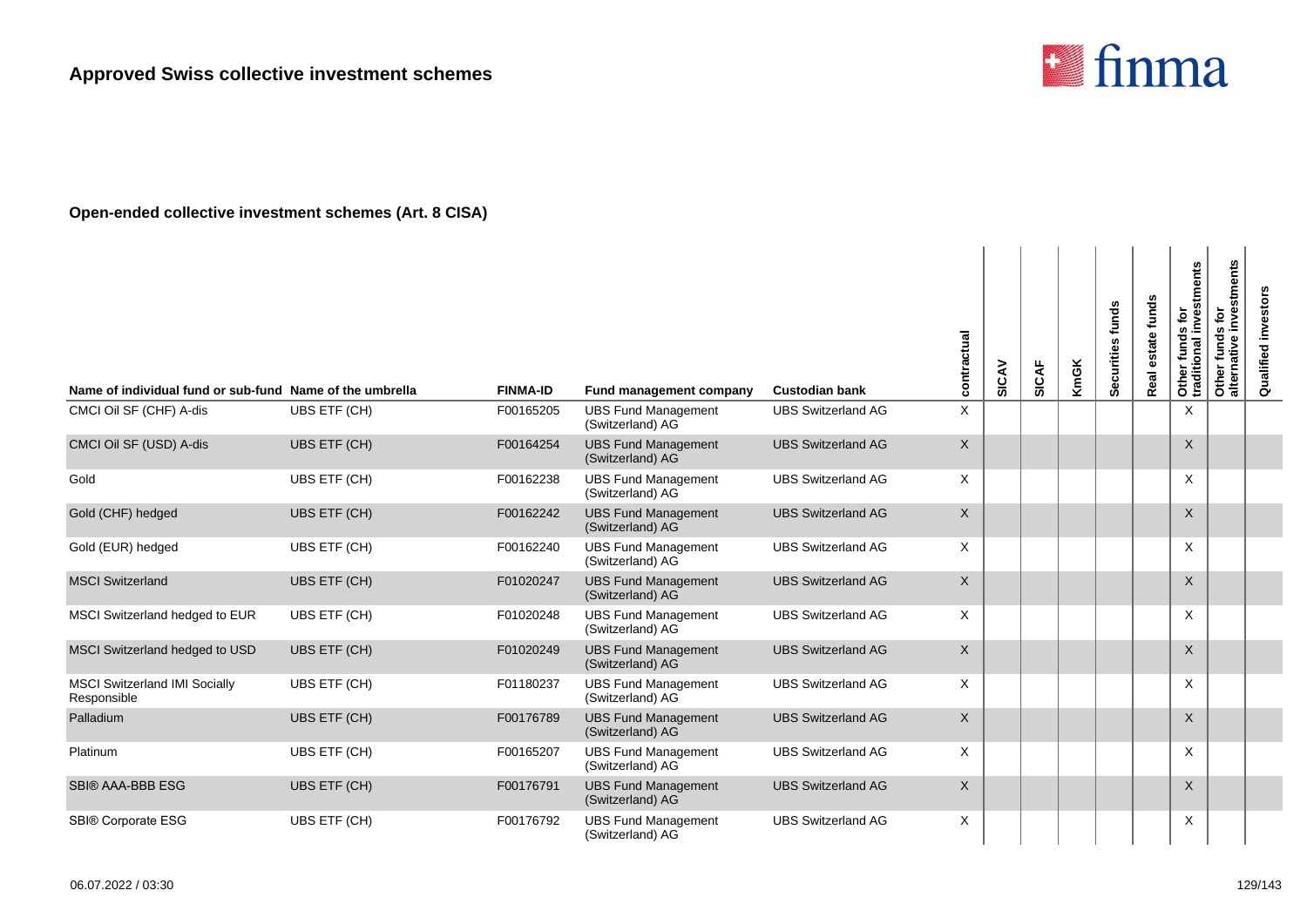

| Name of individual fund or sub-fund Name of the umbrella |                     | <b>FINMA-ID</b> | Fund management company                        | <b>Custodian bank</b>     | contractual | SICAV | SICAF | <b>KmGK</b> | Securities funds | estate funds<br>Real | ds for<br>I investments<br>Other funds<br>traditional i | investments<br>Other funds for<br>alternative inves | investors<br>Qualified i |
|----------------------------------------------------------|---------------------|-----------------|------------------------------------------------|---------------------------|-------------|-------|-------|-------------|------------------|----------------------|---------------------------------------------------------|-----------------------------------------------------|--------------------------|
| CMCI Oil SF (CHF) A-dis                                  | UBS ETF (CH)        | F00165205       | <b>UBS Fund Management</b><br>(Switzerland) AG | <b>UBS Switzerland AG</b> | X           |       |       |             |                  |                      | $\times$                                                |                                                     |                          |
| CMCI Oil SF (USD) A-dis                                  | UBS ETF (CH)        | F00164254       | <b>UBS Fund Management</b><br>(Switzerland) AG | <b>UBS Switzerland AG</b> | X           |       |       |             |                  |                      | $\sf X$                                                 |                                                     |                          |
| Gold                                                     | UBS ETF (CH)        | F00162238       | <b>UBS Fund Management</b><br>(Switzerland) AG | <b>UBS Switzerland AG</b> | X           |       |       |             |                  |                      | X                                                       |                                                     |                          |
| Gold (CHF) hedged                                        | <b>UBS ETF (CH)</b> | F00162242       | <b>UBS Fund Management</b><br>(Switzerland) AG | <b>UBS Switzerland AG</b> | X           |       |       |             |                  |                      | $\times$                                                |                                                     |                          |
| Gold (EUR) hedged                                        | UBS ETF (CH)        | F00162240       | <b>UBS Fund Management</b><br>(Switzerland) AG | <b>UBS Switzerland AG</b> | X           |       |       |             |                  |                      | $\times$                                                |                                                     |                          |
| <b>MSCI Switzerland</b>                                  | UBS ETF (CH)        | F01020247       | <b>UBS Fund Management</b><br>(Switzerland) AG | <b>UBS Switzerland AG</b> | X           |       |       |             |                  |                      | $\times$                                                |                                                     |                          |
| MSCI Switzerland hedged to EUR                           | <b>UBS ETF (CH)</b> | F01020248       | <b>UBS Fund Management</b><br>(Switzerland) AG | <b>UBS Switzerland AG</b> | X           |       |       |             |                  |                      | X                                                       |                                                     |                          |
| MSCI Switzerland hedged to USD                           | <b>UBS ETF (CH)</b> | F01020249       | <b>UBS Fund Management</b><br>(Switzerland) AG | <b>UBS Switzerland AG</b> | X           |       |       |             |                  |                      | X                                                       |                                                     |                          |
| <b>MSCI Switzerland IMI Socially</b><br>Responsible      | UBS ETF (CH)        | F01180237       | <b>UBS Fund Management</b><br>(Switzerland) AG | <b>UBS Switzerland AG</b> | X           |       |       |             |                  |                      | X                                                       |                                                     |                          |
| Palladium                                                | <b>UBS ETF (CH)</b> | F00176789       | <b>UBS Fund Management</b><br>(Switzerland) AG | <b>UBS Switzerland AG</b> | X           |       |       |             |                  |                      | $\times$                                                |                                                     |                          |
| Platinum                                                 | <b>UBS ETF (CH)</b> | F00165207       | <b>UBS Fund Management</b><br>(Switzerland) AG | <b>UBS Switzerland AG</b> | X           |       |       |             |                  |                      | $\times$                                                |                                                     |                          |
| <b>SBI® AAA-BBB ESG</b>                                  | <b>UBS ETF (CH)</b> | F00176791       | <b>UBS Fund Management</b><br>(Switzerland) AG | <b>UBS Switzerland AG</b> | X           |       |       |             |                  |                      | X                                                       |                                                     |                          |
| SBI® Corporate ESG                                       | UBS ETF (CH)        | F00176792       | <b>UBS Fund Management</b><br>(Switzerland) AG | <b>UBS Switzerland AG</b> | X           |       |       |             |                  |                      | X                                                       |                                                     |                          |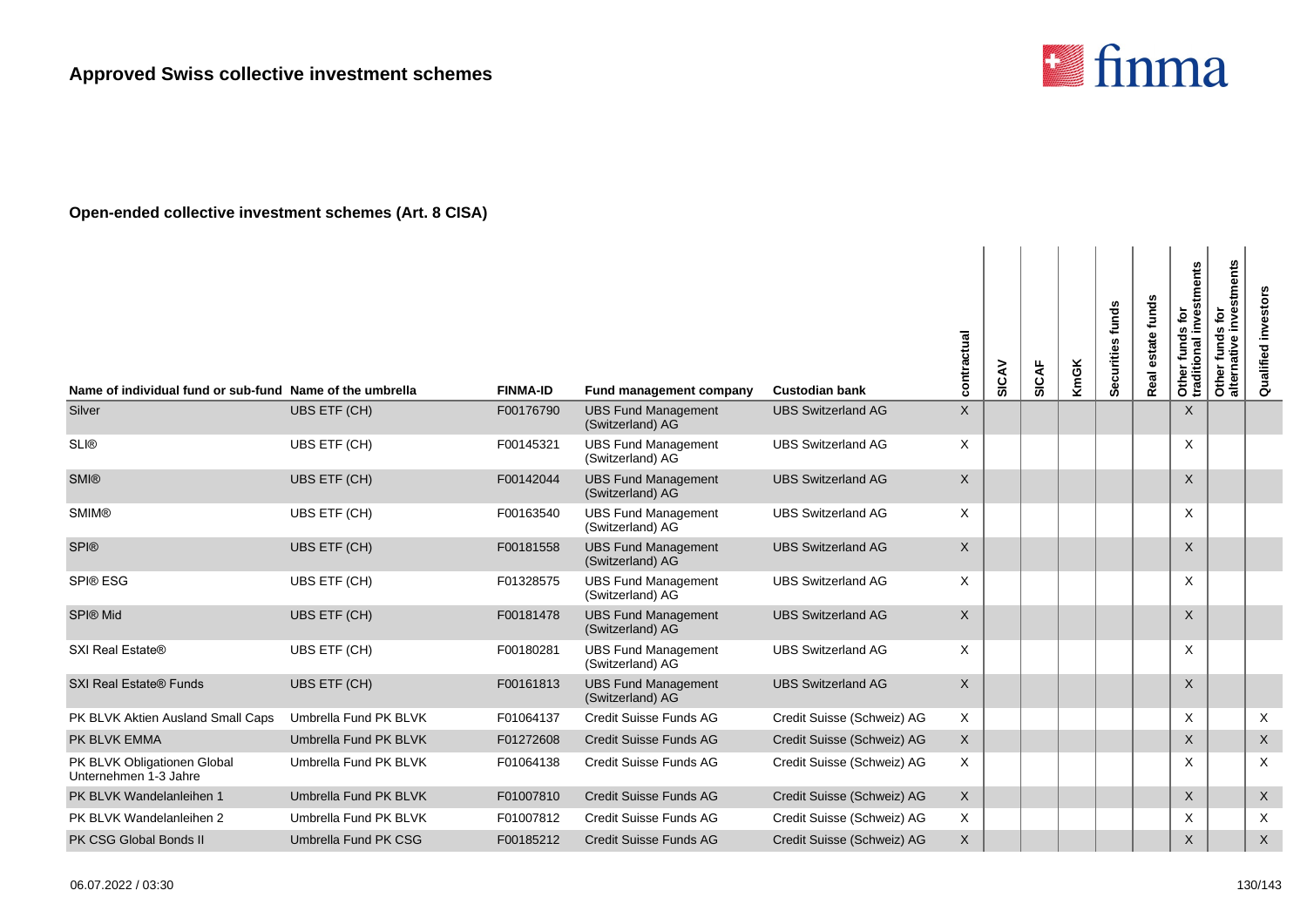

| Name of individual fund or sub-fund Name of the umbrella |                       | <b>FINMA-ID</b> | <b>Fund management company</b>                 | <b>Custodian bank</b>      | contractual  | SICAV | SICAF | <b>KmGK</b> | Securities funds | estate funds<br>Real | Other funds for<br>traditional investments | investments<br>funds for<br>Other funds<br>alternative | Qualified investors |
|----------------------------------------------------------|-----------------------|-----------------|------------------------------------------------|----------------------------|--------------|-------|-------|-------------|------------------|----------------------|--------------------------------------------|--------------------------------------------------------|---------------------|
| Silver                                                   | <b>UBS ETF (CH)</b>   | F00176790       | <b>UBS Fund Management</b><br>(Switzerland) AG | <b>UBS Switzerland AG</b>  | $\mathsf{X}$ |       |       |             |                  |                      | X                                          |                                                        |                     |
| <b>SLI®</b>                                              | <b>UBS ETF (CH)</b>   | F00145321       | <b>UBS Fund Management</b><br>(Switzerland) AG | <b>UBS Switzerland AG</b>  | X            |       |       |             |                  |                      | X                                          |                                                        |                     |
| <b>SMI®</b>                                              | UBS ETF (CH)          | F00142044       | <b>UBS Fund Management</b><br>(Switzerland) AG | <b>UBS Switzerland AG</b>  | X            |       |       |             |                  |                      | $\mathsf{X}$                               |                                                        |                     |
| <b>SMIM®</b>                                             | UBS ETF (CH)          | F00163540       | <b>UBS Fund Management</b><br>(Switzerland) AG | <b>UBS Switzerland AG</b>  | X            |       |       |             |                  |                      | X                                          |                                                        |                     |
| <b>SPI®</b>                                              | UBS ETF (CH)          | F00181558       | <b>UBS Fund Management</b><br>(Switzerland) AG | <b>UBS Switzerland AG</b>  | $\mathsf{X}$ |       |       |             |                  |                      | $\sf X$                                    |                                                        |                     |
| <b>SPI®ESG</b>                                           | <b>UBS ETF (CH)</b>   | F01328575       | <b>UBS Fund Management</b><br>(Switzerland) AG | <b>UBS Switzerland AG</b>  | X            |       |       |             |                  |                      | X                                          |                                                        |                     |
| <b>SPI® Mid</b>                                          | <b>UBS ETF (CH)</b>   | F00181478       | <b>UBS Fund Management</b><br>(Switzerland) AG | <b>UBS Switzerland AG</b>  | $\mathsf{X}$ |       |       |             |                  |                      | $\sf X$                                    |                                                        |                     |
| <b>SXI Real Estate®</b>                                  | <b>UBS ETF (CH)</b>   | F00180281       | <b>UBS Fund Management</b><br>(Switzerland) AG | <b>UBS Switzerland AG</b>  | X            |       |       |             |                  |                      | $\times$                                   |                                                        |                     |
| <b>SXI Real Estate® Funds</b>                            | UBS ETF (CH)          | F00161813       | <b>UBS Fund Management</b><br>(Switzerland) AG | <b>UBS Switzerland AG</b>  | $\mathsf X$  |       |       |             |                  |                      | $\mathsf X$                                |                                                        |                     |
| PK BLVK Aktien Ausland Small Caps                        | Umbrella Fund PK BLVK | F01064137       | Credit Suisse Funds AG                         | Credit Suisse (Schweiz) AG | $\times$     |       |       |             |                  |                      | X                                          |                                                        | $\times$            |
| PK BLVK EMMA                                             | Umbrella Fund PK BLVK | F01272608       | <b>Credit Suisse Funds AG</b>                  | Credit Suisse (Schweiz) AG | X            |       |       |             |                  |                      | $\mathsf{X}$                               |                                                        | $\mathsf{X}$        |
| PK BLVK Obligationen Global<br>Unternehmen 1-3 Jahre     | Umbrella Fund PK BLVK | F01064138       | Credit Suisse Funds AG                         | Credit Suisse (Schweiz) AG | $\times$     |       |       |             |                  |                      | X                                          |                                                        | X                   |
| PK BLVK Wandelanleihen 1                                 | Umbrella Fund PK BLVK | F01007810       | <b>Credit Suisse Funds AG</b>                  | Credit Suisse (Schweiz) AG | X            |       |       |             |                  |                      | X                                          |                                                        | $\mathsf X$         |
| PK BLVK Wandelanleihen 2                                 | Umbrella Fund PK BLVK | F01007812       | Credit Suisse Funds AG                         | Credit Suisse (Schweiz) AG | X            |       |       |             |                  |                      | X                                          |                                                        | $\times$            |
| PK CSG Global Bonds II                                   | Umbrella Fund PK CSG  | F00185212       | <b>Credit Suisse Funds AG</b>                  | Credit Suisse (Schweiz) AG | X            |       |       |             |                  |                      | $\times$                                   |                                                        | X                   |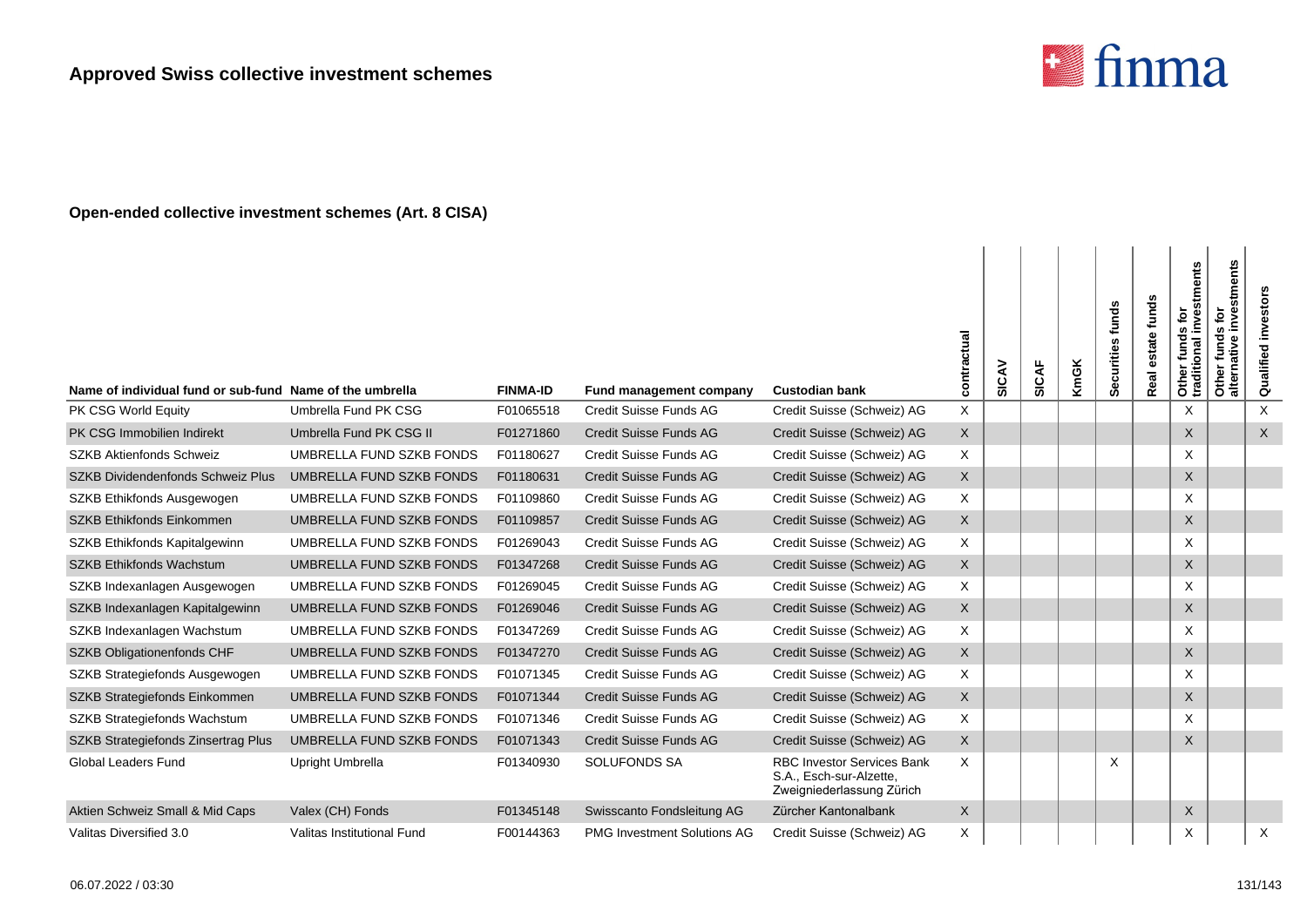

| Name of individual fund or sub-fund Name of the umbrella |                            | <b>FINMA-ID</b> | Fund management company            | <b>Custodian bank</b>                                                                     | contractual  | SICAV | SICAF | <b>KmGK</b> | Securities funds | estate funds<br>Real | stments<br>ē<br>inve<br>U)<br>Other funds<br>traditional i | investments<br>Other funds for<br>ative<br>alterna | Qualified investors |
|----------------------------------------------------------|----------------------------|-----------------|------------------------------------|-------------------------------------------------------------------------------------------|--------------|-------|-------|-------------|------------------|----------------------|------------------------------------------------------------|----------------------------------------------------|---------------------|
| PK CSG World Equity                                      | Umbrella Fund PK CSG       | F01065518       | Credit Suisse Funds AG             | Credit Suisse (Schweiz) AG                                                                | X            |       |       |             |                  |                      | X                                                          |                                                    | X                   |
| PK CSG Immobilien Indirekt                               | Umbrella Fund PK CSG II    | F01271860       | <b>Credit Suisse Funds AG</b>      | Credit Suisse (Schweiz) AG                                                                | X            |       |       |             |                  |                      | X                                                          |                                                    | $\mathsf{X}$        |
| <b>SZKB Aktienfonds Schweiz</b>                          | UMBRELLA FUND SZKB FONDS   | F01180627       | Credit Suisse Funds AG             | Credit Suisse (Schweiz) AG                                                                | X            |       |       |             |                  |                      | X                                                          |                                                    |                     |
| <b>SZKB Dividendenfonds Schweiz Plus</b>                 | UMBRELLA FUND SZKB FONDS   | F01180631       | <b>Credit Suisse Funds AG</b>      | Credit Suisse (Schweiz) AG                                                                | $\mathsf{X}$ |       |       |             |                  |                      | X                                                          |                                                    |                     |
| SZKB Ethikfonds Ausgewogen                               | UMBRELLA FUND SZKB FONDS   | F01109860       | Credit Suisse Funds AG             | Credit Suisse (Schweiz) AG                                                                | X            |       |       |             |                  |                      | X                                                          |                                                    |                     |
| <b>SZKB Ethikfonds Einkommen</b>                         | UMBRELLA FUND SZKB FONDS   | F01109857       | <b>Credit Suisse Funds AG</b>      | Credit Suisse (Schweiz) AG                                                                | X            |       |       |             |                  |                      | X                                                          |                                                    |                     |
| SZKB Ethikfonds Kapitalgewinn                            | UMBRELLA FUND SZKB FONDS   | F01269043       | Credit Suisse Funds AG             | Credit Suisse (Schweiz) AG                                                                | X            |       |       |             |                  |                      | X                                                          |                                                    |                     |
| <b>SZKB Ethikfonds Wachstum</b>                          | UMBRELLA FUND SZKB FONDS   | F01347268       | <b>Credit Suisse Funds AG</b>      | Credit Suisse (Schweiz) AG                                                                | $\mathsf{X}$ |       |       |             |                  |                      | X                                                          |                                                    |                     |
| SZKB Indexanlagen Ausgewogen                             | UMBRELLA FUND SZKB FONDS   | F01269045       | Credit Suisse Funds AG             | Credit Suisse (Schweiz) AG                                                                | X            |       |       |             |                  |                      | X                                                          |                                                    |                     |
| SZKB Indexanlagen Kapitalgewinn                          | UMBRELLA FUND SZKB FONDS   | F01269046       | <b>Credit Suisse Funds AG</b>      | Credit Suisse (Schweiz) AG                                                                | X            |       |       |             |                  |                      | $\mathsf{X}$                                               |                                                    |                     |
| SZKB Indexanlagen Wachstum                               | UMBRELLA FUND SZKB FONDS   | F01347269       | Credit Suisse Funds AG             | Credit Suisse (Schweiz) AG                                                                | X            |       |       |             |                  |                      | X                                                          |                                                    |                     |
| SZKB Obligationenfonds CHF                               | UMBRELLA FUND SZKB FONDS   | F01347270       | <b>Credit Suisse Funds AG</b>      | Credit Suisse (Schweiz) AG                                                                | $\mathsf{X}$ |       |       |             |                  |                      | X                                                          |                                                    |                     |
| SZKB Strategiefonds Ausgewogen                           | UMBRELLA FUND SZKB FONDS   | F01071345       | Credit Suisse Funds AG             | Credit Suisse (Schweiz) AG                                                                | X            |       |       |             |                  |                      | X                                                          |                                                    |                     |
| SZKB Strategiefonds Einkommen                            | UMBRELLA FUND SZKB FONDS   | F01071344       | <b>Credit Suisse Funds AG</b>      | Credit Suisse (Schweiz) AG                                                                | X            |       |       |             |                  |                      | $\sf X$                                                    |                                                    |                     |
| SZKB Strategiefonds Wachstum                             | UMBRELLA FUND SZKB FONDS   | F01071346       | Credit Suisse Funds AG             | Credit Suisse (Schweiz) AG                                                                | X            |       |       |             |                  |                      | X                                                          |                                                    |                     |
| SZKB Strategiefonds Zinsertrag Plus                      | UMBRELLA FUND SZKB FONDS   | F01071343       | <b>Credit Suisse Funds AG</b>      | Credit Suisse (Schweiz) AG                                                                | $\mathsf{X}$ |       |       |             |                  |                      | X                                                          |                                                    |                     |
| <b>Global Leaders Fund</b>                               | Upright Umbrella           | F01340930       | <b>SOLUFONDS SA</b>                | <b>RBC Investor Services Bank</b><br>S.A., Esch-sur-Alzette,<br>Zweigniederlassung Zürich | X            |       |       |             | Х                |                      |                                                            |                                                    |                     |
| Aktien Schweiz Small & Mid Caps                          | Valex (CH) Fonds           | F01345148       | Swisscanto Fondsleitung AG         | Zürcher Kantonalbank                                                                      | $\mathsf{X}$ |       |       |             |                  |                      | X                                                          |                                                    |                     |
| Valitas Diversified 3.0                                  | Valitas Institutional Fund | F00144363       | <b>PMG Investment Solutions AG</b> | Credit Suisse (Schweiz) AG                                                                | X            |       |       |             |                  |                      | X                                                          |                                                    | X                   |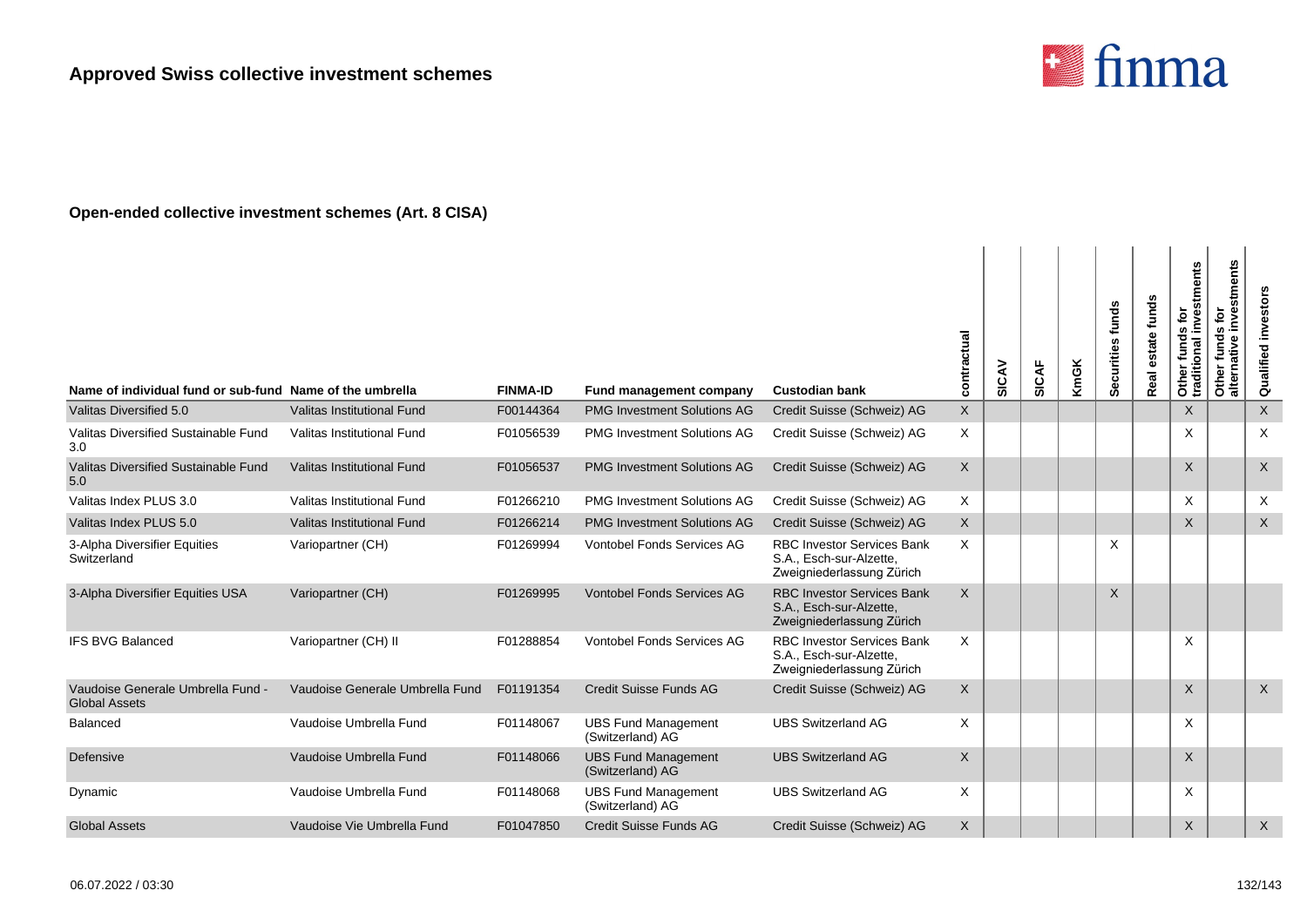

| Name of individual fund or sub-fund Name of the umbrella  |                                 | <b>FINMA-ID</b> | Fund management company                        | <b>Custodian bank</b>                                                                     | contractual  | SICAV | SICAF | <b>KmGK</b> | Securities funds | funds<br>estate<br>Real | stments<br>Other funds for<br>traditional inves | investments<br>$\tilde{\mathbf{e}}$<br>funds<br>Φ<br>ativ<br>Other 1<br>alterna | investors<br>Qualified |
|-----------------------------------------------------------|---------------------------------|-----------------|------------------------------------------------|-------------------------------------------------------------------------------------------|--------------|-------|-------|-------------|------------------|-------------------------|-------------------------------------------------|---------------------------------------------------------------------------------|------------------------|
| Valitas Diversified 5.0                                   | Valitas Institutional Fund      | F00144364       | <b>PMG Investment Solutions AG</b>             | Credit Suisse (Schweiz) AG                                                                | $\mathsf{X}$ |       |       |             |                  |                         | $\mathsf{X}$                                    |                                                                                 | $\mathsf{X}$           |
| Valitas Diversified Sustainable Fund<br>3.0               | Valitas Institutional Fund      | F01056539       | <b>PMG Investment Solutions AG</b>             | Credit Suisse (Schweiz) AG                                                                | X            |       |       |             |                  |                         | X                                               |                                                                                 | X                      |
| Valitas Diversified Sustainable Fund<br>5.0               | Valitas Institutional Fund      | F01056537       | <b>PMG Investment Solutions AG</b>             | Credit Suisse (Schweiz) AG                                                                | $\mathsf{X}$ |       |       |             |                  |                         | X                                               |                                                                                 | $\times$               |
| Valitas Index PLUS 3.0                                    | Valitas Institutional Fund      | F01266210       | <b>PMG Investment Solutions AG</b>             | Credit Suisse (Schweiz) AG                                                                | X            |       |       |             |                  |                         | X                                               |                                                                                 | X                      |
| Valitas Index PLUS 5.0                                    | Valitas Institutional Fund      | F01266214       | <b>PMG Investment Solutions AG</b>             | Credit Suisse (Schweiz) AG                                                                | $\mathsf{X}$ |       |       |             |                  |                         | X                                               |                                                                                 | $\mathsf X$            |
| 3-Alpha Diversifier Equities<br>Switzerland               | Variopartner (CH)               | F01269994       | <b>Vontobel Fonds Services AG</b>              | <b>RBC Investor Services Bank</b><br>S.A., Esch-sur-Alzette,<br>Zweigniederlassung Zürich | X            |       |       |             | X                |                         |                                                 |                                                                                 |                        |
| 3-Alpha Diversifier Equities USA                          | Variopartner (CH)               | F01269995       | <b>Vontobel Fonds Services AG</b>              | <b>RBC Investor Services Bank</b><br>S.A., Esch-sur-Alzette,<br>Zweigniederlassung Zürich | $\mathsf{X}$ |       |       |             | $\times$         |                         |                                                 |                                                                                 |                        |
| <b>IFS BVG Balanced</b>                                   | Variopartner (CH) II            | F01288854       | Vontobel Fonds Services AG                     | <b>RBC Investor Services Bank</b><br>S.A., Esch-sur-Alzette,<br>Zweigniederlassung Zürich | X            |       |       |             |                  |                         | X                                               |                                                                                 |                        |
| Vaudoise Generale Umbrella Fund -<br><b>Global Assets</b> | Vaudoise Generale Umbrella Fund | F01191354       | <b>Credit Suisse Funds AG</b>                  | Credit Suisse (Schweiz) AG                                                                | X            |       |       |             |                  |                         | X                                               |                                                                                 | $\mathsf{X}$           |
| Balanced                                                  | Vaudoise Umbrella Fund          | F01148067       | <b>UBS Fund Management</b><br>(Switzerland) AG | <b>UBS Switzerland AG</b>                                                                 | X            |       |       |             |                  |                         | X                                               |                                                                                 |                        |
| Defensive                                                 | Vaudoise Umbrella Fund          | F01148066       | <b>UBS Fund Management</b><br>(Switzerland) AG | <b>UBS Switzerland AG</b>                                                                 | $\mathsf{X}$ |       |       |             |                  |                         | X                                               |                                                                                 |                        |
| Dynamic                                                   | Vaudoise Umbrella Fund          | F01148068       | <b>UBS Fund Management</b><br>(Switzerland) AG | <b>UBS Switzerland AG</b>                                                                 | X            |       |       |             |                  |                         | X                                               |                                                                                 |                        |
| <b>Global Assets</b>                                      | Vaudoise Vie Umbrella Fund      | F01047850       | <b>Credit Suisse Funds AG</b>                  | Credit Suisse (Schweiz) AG                                                                | $\times$     |       |       |             |                  |                         | $\sf X$                                         |                                                                                 | $\mathsf{X}$           |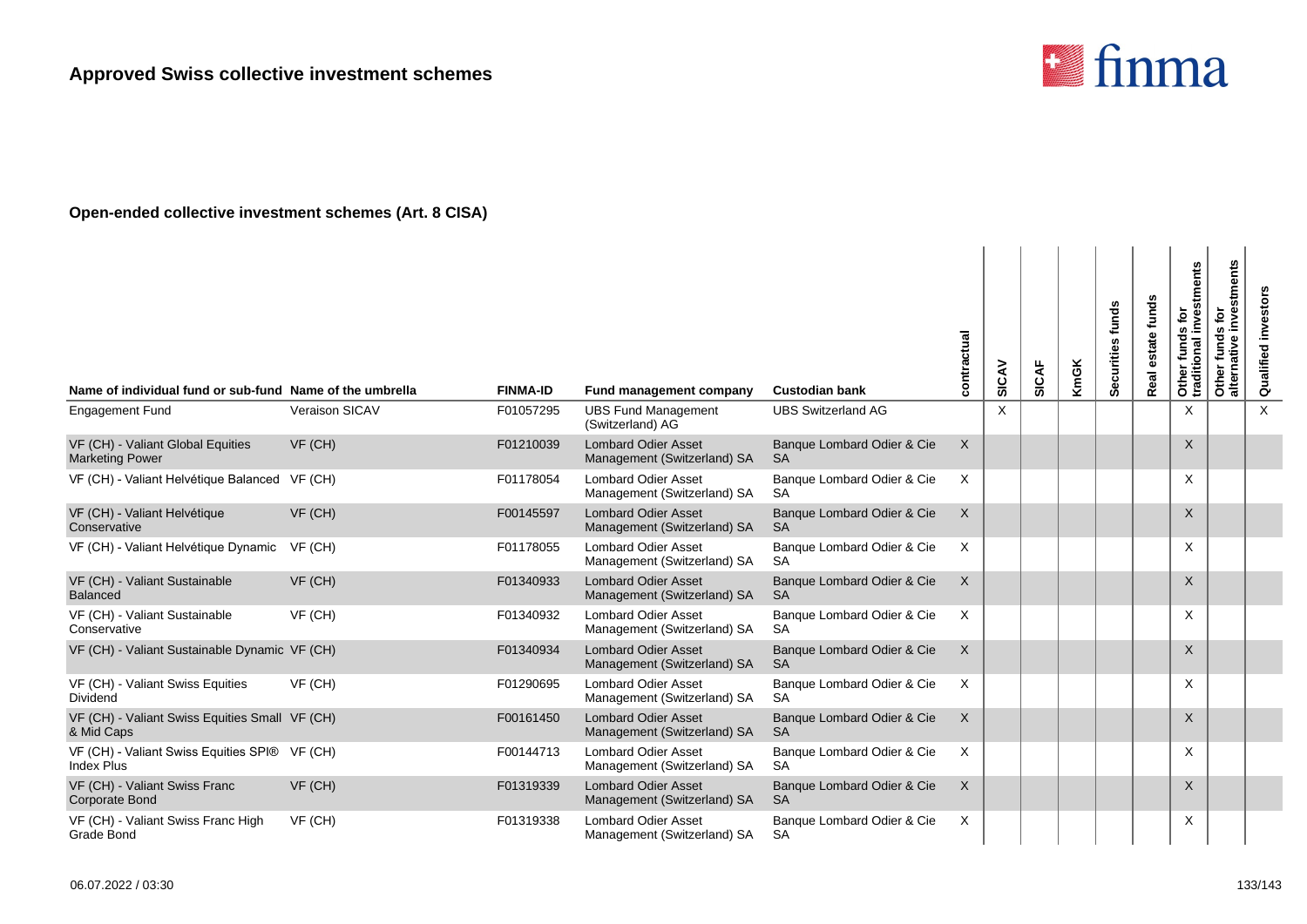

| Name of individual fund or sub-fund Name of the umbrella           |                | <b>FINMA-ID</b> | Fund management company                                   | <b>Custodian bank</b>                   | contractual | SICAV | <b>SICAF</b> | <b>KmGK</b> | Securities funds | funds<br>estate<br>Real | investments<br>흐<br><b>SC</b><br>Other funds<br>traditional i | investments<br>Other funds for<br>alternative inves | investors<br>Qualified |
|--------------------------------------------------------------------|----------------|-----------------|-----------------------------------------------------------|-----------------------------------------|-------------|-------|--------------|-------------|------------------|-------------------------|---------------------------------------------------------------|-----------------------------------------------------|------------------------|
| <b>Engagement Fund</b>                                             | Veraison SICAV | F01057295       | <b>UBS Fund Management</b><br>(Switzerland) AG            | <b>UBS Switzerland AG</b>               |             | X     |              |             |                  |                         | X                                                             |                                                     | $\times$               |
| VF (CH) - Valiant Global Equities<br><b>Marketing Power</b>        | VF (CH)        | F01210039       | <b>Lombard Odier Asset</b><br>Management (Switzerland) SA | Banque Lombard Odier & Cie<br><b>SA</b> | X           |       |              |             |                  |                         | $\times$                                                      |                                                     |                        |
| VF (CH) - Valiant Helvétique Balanced VF (CH)                      |                | F01178054       | Lombard Odier Asset<br>Management (Switzerland) SA        | Banque Lombard Odier & Cie<br><b>SA</b> | X           |       |              |             |                  |                         | X                                                             |                                                     |                        |
| VF (CH) - Valiant Helvétique<br>Conservative                       | VF (CH)        | F00145597       | <b>Lombard Odier Asset</b><br>Management (Switzerland) SA | Banque Lombard Odier & Cie<br><b>SA</b> | X           |       |              |             |                  |                         | $\times$                                                      |                                                     |                        |
| VF (CH) - Valiant Helvétique Dynamic                               | VF (CH)        | F01178055       | <b>Lombard Odier Asset</b><br>Management (Switzerland) SA | Banque Lombard Odier & Cie<br><b>SA</b> | X           |       |              |             |                  |                         | X                                                             |                                                     |                        |
| VF (CH) - Valiant Sustainable<br><b>Balanced</b>                   | VF (CH)        | F01340933       | <b>Lombard Odier Asset</b><br>Management (Switzerland) SA | Banque Lombard Odier & Cie<br><b>SA</b> | X           |       |              |             |                  |                         | $\times$                                                      |                                                     |                        |
| VF (CH) - Valiant Sustainable<br>Conservative                      | VF (CH)        | F01340932       | <b>Lombard Odier Asset</b><br>Management (Switzerland) SA | Banque Lombard Odier & Cie<br><b>SA</b> | X           |       |              |             |                  |                         | X                                                             |                                                     |                        |
| VF (CH) - Valiant Sustainable Dynamic VF (CH)                      |                | F01340934       | <b>Lombard Odier Asset</b><br>Management (Switzerland) SA | Banque Lombard Odier & Cie<br><b>SA</b> | X           |       |              |             |                  |                         | X                                                             |                                                     |                        |
| VF (CH) - Valiant Swiss Equities<br>Dividend                       | VF (CH)        | F01290695       | <b>Lombard Odier Asset</b><br>Management (Switzerland) SA | Banque Lombard Odier & Cie<br><b>SA</b> | X           |       |              |             |                  |                         | X                                                             |                                                     |                        |
| VF (CH) - Valiant Swiss Equities Small VF (CH)<br>& Mid Caps       |                | F00161450       | <b>Lombard Odier Asset</b><br>Management (Switzerland) SA | Banque Lombard Odier & Cie<br><b>SA</b> | X           |       |              |             |                  |                         | $\times$                                                      |                                                     |                        |
| VF (CH) - Valiant Swiss Equities SPI® VF (CH)<br><b>Index Plus</b> |                | F00144713       | <b>Lombard Odier Asset</b><br>Management (Switzerland) SA | Banque Lombard Odier & Cie<br><b>SA</b> | X           |       |              |             |                  |                         | X                                                             |                                                     |                        |
| VF (CH) - Valiant Swiss Franc<br><b>Corporate Bond</b>             | VF (CH)        | F01319339       | <b>Lombard Odier Asset</b><br>Management (Switzerland) SA | Banque Lombard Odier & Cie<br><b>SA</b> | X           |       |              |             |                  |                         | X                                                             |                                                     |                        |
| VF (CH) - Valiant Swiss Franc High<br>Grade Bond                   | VF (CH)        | F01319338       | <b>Lombard Odier Asset</b><br>Management (Switzerland) SA | Banque Lombard Odier & Cie<br><b>SA</b> | Х           |       |              |             |                  |                         | X                                                             |                                                     |                        |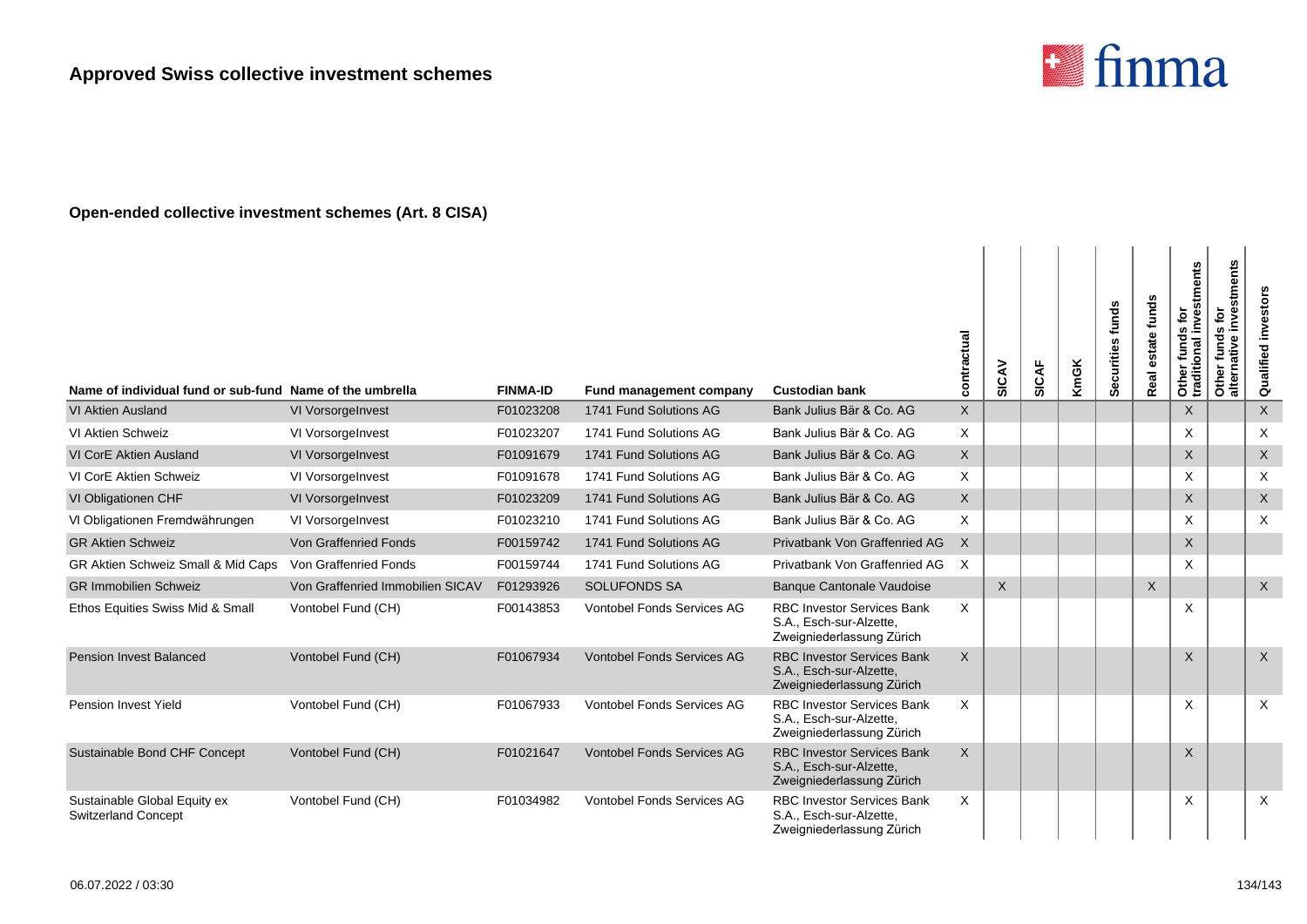

| Name of individual fund or sub-fund Name of the umbrella   |                                  | <b>FINMA-ID</b> | Fund management company           | <b>Custodian bank</b>                                                                     | contractual  | SICAV    | SICAF | <b>KmGK</b> | Securities funds | funds<br>Real | Other funds for<br>traditional investments | investments<br>ē<br>funds<br>ative<br>Other<br>alterna | Qualified investors |
|------------------------------------------------------------|----------------------------------|-----------------|-----------------------------------|-------------------------------------------------------------------------------------------|--------------|----------|-------|-------------|------------------|---------------|--------------------------------------------|--------------------------------------------------------|---------------------|
| <b>VI Aktien Ausland</b>                                   | VI VorsorgeInvest                | F01023208       | 1741 Fund Solutions AG            | Bank Julius Bär & Co. AG                                                                  | $\mathsf{X}$ |          |       |             |                  |               | $\mathsf{X}$                               |                                                        | $\mathsf{X}$        |
| VI Aktien Schweiz                                          | VI VorsorgeInvest                | F01023207       | 1741 Fund Solutions AG            | Bank Julius Bär & Co. AG                                                                  | X            |          |       |             |                  |               | X                                          |                                                        | X                   |
| VI CorE Aktien Ausland                                     | VI Vorsorgelnvest                | F01091679       | 1741 Fund Solutions AG            | Bank Julius Bär & Co. AG                                                                  | $\mathsf{X}$ |          |       |             |                  |               | X                                          |                                                        | X                   |
| VI CorE Aktien Schweiz                                     | VI VorsorgeInvest                | F01091678       | 1741 Fund Solutions AG            | Bank Julius Bär & Co. AG                                                                  | X            |          |       |             |                  |               | X                                          |                                                        | $\times$            |
| VI Obligationen CHF                                        | VI VorsorgeInvest                | F01023209       | 1741 Fund Solutions AG            | Bank Julius Bär & Co. AG                                                                  | $\times$     |          |       |             |                  |               | X                                          |                                                        | X                   |
| VI Obligationen Fremdwährungen                             | VI VorsorgeInvest                | F01023210       | 1741 Fund Solutions AG            | Bank Julius Bär & Co. AG                                                                  | X            |          |       |             |                  |               | X                                          |                                                        | X                   |
| <b>GR Aktien Schweiz</b>                                   | Von Graffenried Fonds            | F00159742       | 1741 Fund Solutions AG            | <b>Privatbank Von Graffenried AG</b>                                                      | $\times$     |          |       |             |                  |               | X                                          |                                                        |                     |
| GR Aktien Schweiz Small & Mid Caps                         | Von Graffenried Fonds            | F00159744       | 1741 Fund Solutions AG            | Privatbank Von Graffenried AG                                                             | $\times$     |          |       |             |                  |               | X                                          |                                                        |                     |
| <b>GR Immobilien Schweiz</b>                               | Von Graffenried Immobilien SICAV | F01293926       | <b>SOLUFONDS SA</b>               | <b>Banque Cantonale Vaudoise</b>                                                          |              | $\times$ |       |             |                  | $\sf X$       |                                            |                                                        | $\mathsf{X}$        |
| Ethos Equities Swiss Mid & Small                           | Vontobel Fund (CH)               | F00143853       | <b>Vontobel Fonds Services AG</b> | <b>RBC Investor Services Bank</b><br>S.A., Esch-sur-Alzette,<br>Zweigniederlassung Zürich | X            |          |       |             |                  |               | X                                          |                                                        |                     |
| <b>Pension Invest Balanced</b>                             | Vontobel Fund (CH)               | F01067934       | <b>Vontobel Fonds Services AG</b> | <b>RBC Investor Services Bank</b><br>S.A., Esch-sur-Alzette,<br>Zweigniederlassung Zürich | $\times$     |          |       |             |                  |               | X                                          |                                                        | $\mathsf{X}$        |
| <b>Pension Invest Yield</b>                                | Vontobel Fund (CH)               | F01067933       | Vontobel Fonds Services AG        | <b>RBC Investor Services Bank</b><br>S.A., Esch-sur-Alzette,<br>Zweigniederlassung Zürich | X            |          |       |             |                  |               | X                                          |                                                        | $\times$            |
| Sustainable Bond CHF Concept                               | Vontobel Fund (CH)               | F01021647       | <b>Vontobel Fonds Services AG</b> | <b>RBC Investor Services Bank</b><br>S.A., Esch-sur-Alzette,<br>Zweigniederlassung Zürich | $\times$     |          |       |             |                  |               | X                                          |                                                        |                     |
| Sustainable Global Equity ex<br><b>Switzerland Concept</b> | Vontobel Fund (CH)               | F01034982       | Vontobel Fonds Services AG        | <b>RBC Investor Services Bank</b><br>S.A., Esch-sur-Alzette,<br>Zweigniederlassung Zürich | X            |          |       |             |                  |               | X                                          |                                                        | $\times$            |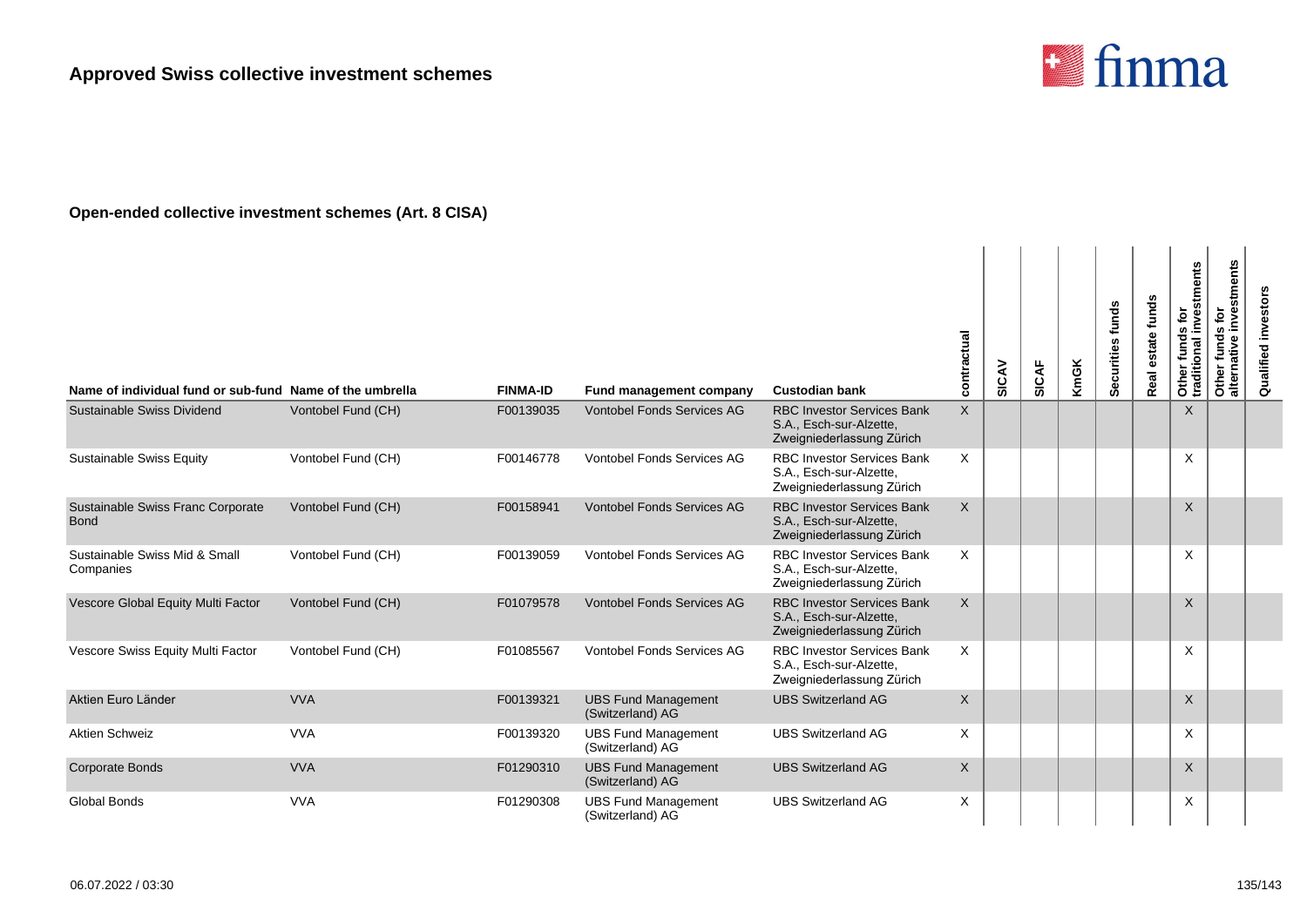

| Name of individual fund or sub-fund Name of the umbrella |                    | <b>FINMA-ID</b> | Fund management company                        | <b>Custodian bank</b>                                                                     | contractual  | SICAV | <b>SICAF</b> | <b>KmGK</b> | Securities funds | funds<br>estate<br><b>Real</b> | Other funds for<br>traditional investments | investments<br>Other funds for<br>alternative inves | Qualified investors |
|----------------------------------------------------------|--------------------|-----------------|------------------------------------------------|-------------------------------------------------------------------------------------------|--------------|-------|--------------|-------------|------------------|--------------------------------|--------------------------------------------|-----------------------------------------------------|---------------------|
| Sustainable Swiss Dividend                               | Vontobel Fund (CH) | F00139035       | <b>Vontobel Fonds Services AG</b>              | <b>RBC Investor Services Bank</b><br>S.A., Esch-sur-Alzette,<br>Zweigniederlassung Zürich | X            |       |              |             |                  |                                | X                                          |                                                     |                     |
| Sustainable Swiss Equity                                 | Vontobel Fund (CH) | F00146778       | <b>Vontobel Fonds Services AG</b>              | <b>RBC Investor Services Bank</b><br>S.A., Esch-sur-Alzette,<br>Zweigniederlassung Zürich | X            |       |              |             |                  |                                | X                                          |                                                     |                     |
| Sustainable Swiss Franc Corporate<br><b>Bond</b>         | Vontobel Fund (CH) | F00158941       | <b>Vontobel Fonds Services AG</b>              | <b>RBC Investor Services Bank</b><br>S.A., Esch-sur-Alzette,<br>Zweigniederlassung Zürich | $\mathsf{X}$ |       |              |             |                  |                                | $\sf X$                                    |                                                     |                     |
| Sustainable Swiss Mid & Small<br>Companies               | Vontobel Fund (CH) | F00139059       | <b>Vontobel Fonds Services AG</b>              | <b>RBC Investor Services Bank</b><br>S.A., Esch-sur-Alzette,<br>Zweigniederlassung Zürich | X            |       |              |             |                  |                                | X                                          |                                                     |                     |
| Vescore Global Equity Multi Factor                       | Vontobel Fund (CH) | F01079578       | <b>Vontobel Fonds Services AG</b>              | <b>RBC Investor Services Bank</b><br>S.A., Esch-sur-Alzette,<br>Zweigniederlassung Zürich | $\mathsf{X}$ |       |              |             |                  |                                | $\times$                                   |                                                     |                     |
| Vescore Swiss Equity Multi Factor                        | Vontobel Fund (CH) | F01085567       | <b>Vontobel Fonds Services AG</b>              | <b>RBC Investor Services Bank</b><br>S.A., Esch-sur-Alzette,<br>Zweigniederlassung Zürich | X            |       |              |             |                  |                                | X                                          |                                                     |                     |
| Aktien Euro Länder                                       | <b>VVA</b>         | F00139321       | <b>UBS Fund Management</b><br>(Switzerland) AG | <b>UBS Switzerland AG</b>                                                                 | $\sf X$      |       |              |             |                  |                                | X                                          |                                                     |                     |
| Aktien Schweiz                                           | <b>VVA</b>         | F00139320       | <b>UBS Fund Management</b><br>(Switzerland) AG | <b>UBS Switzerland AG</b>                                                                 | X            |       |              |             |                  |                                | X                                          |                                                     |                     |
| <b>Corporate Bonds</b>                                   | <b>VVA</b>         | F01290310       | <b>UBS Fund Management</b><br>(Switzerland) AG | <b>UBS Switzerland AG</b>                                                                 | $\mathsf{X}$ |       |              |             |                  |                                | X                                          |                                                     |                     |
| <b>Global Bonds</b>                                      | <b>VVA</b>         | F01290308       | <b>UBS Fund Management</b><br>(Switzerland) AG | <b>UBS Switzerland AG</b>                                                                 | X            |       |              |             |                  |                                | X                                          |                                                     |                     |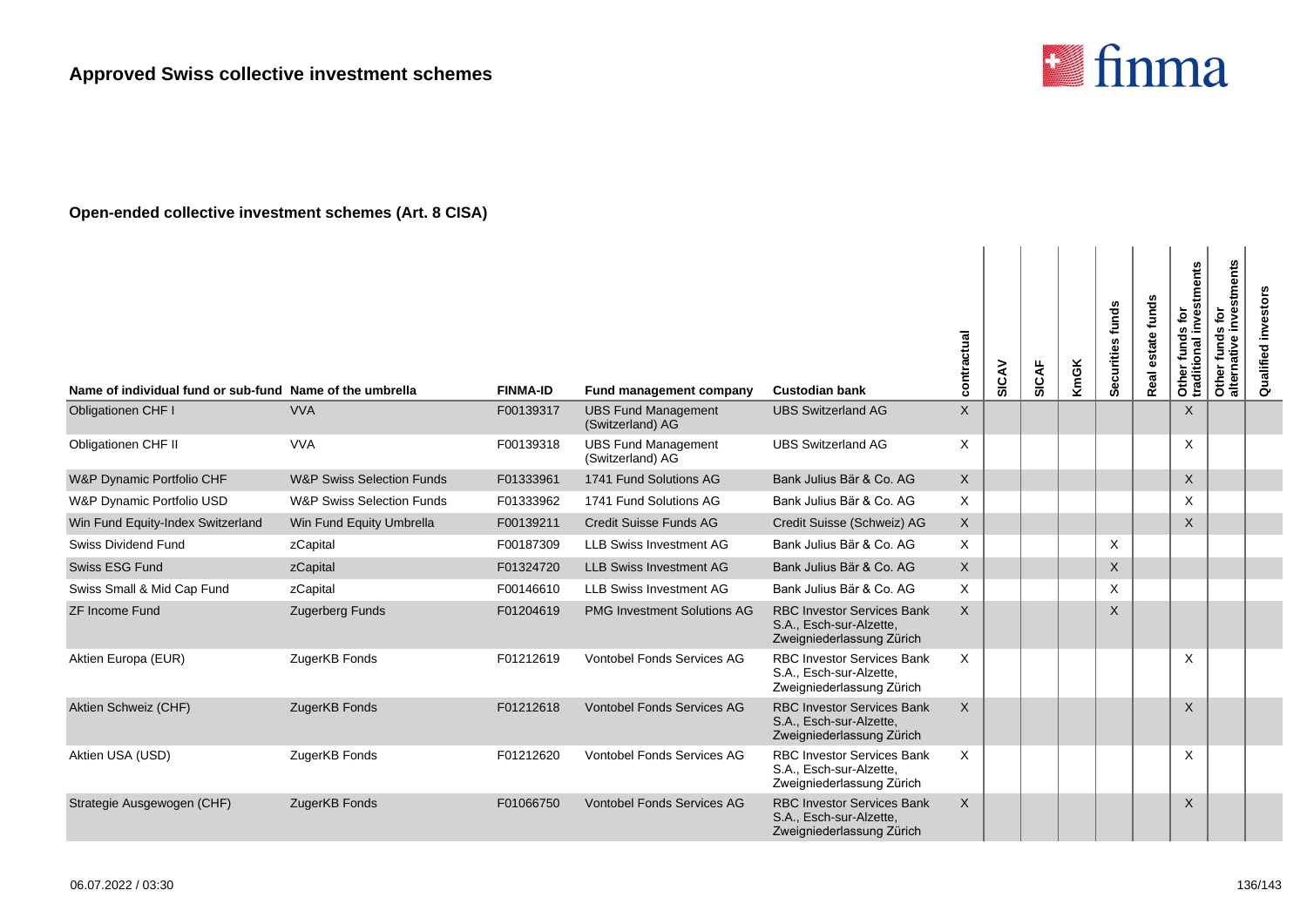

| Name of individual fund or sub-fund Name of the umbrella |                                      | <b>FINMA-ID</b> | Fund management company                        | <b>Custodian bank</b>                                                                     | contractual  | SICAV | <b>SICAF</b> | <b>KmGK</b> | Securities funds | estate funds<br>Real | Other funds for<br>traditional investments | investments<br>Other funds for<br>alternative inves | Qualified investors |
|----------------------------------------------------------|--------------------------------------|-----------------|------------------------------------------------|-------------------------------------------------------------------------------------------|--------------|-------|--------------|-------------|------------------|----------------------|--------------------------------------------|-----------------------------------------------------|---------------------|
| Obligationen CHF I                                       | <b>VVA</b>                           | F00139317       | <b>UBS Fund Management</b><br>(Switzerland) AG | <b>UBS Switzerland AG</b>                                                                 | $\mathsf{X}$ |       |              |             |                  |                      | $\sf X$                                    |                                                     |                     |
| Obligationen CHF II                                      | <b>VVA</b>                           | F00139318       | <b>UBS Fund Management</b><br>(Switzerland) AG | <b>UBS Switzerland AG</b>                                                                 | $\times$     |       |              |             |                  |                      | X                                          |                                                     |                     |
| W&P Dynamic Portfolio CHF                                | <b>W&amp;P Swiss Selection Funds</b> | F01333961       | 1741 Fund Solutions AG                         | Bank Julius Bär & Co. AG                                                                  | X            |       |              |             |                  |                      | X                                          |                                                     |                     |
| W&P Dynamic Portfolio USD                                | <b>W&amp;P Swiss Selection Funds</b> | F01333962       | 1741 Fund Solutions AG                         | Bank Julius Bär & Co. AG                                                                  | X            |       |              |             |                  |                      | X                                          |                                                     |                     |
| Win Fund Equity-Index Switzerland                        | Win Fund Equity Umbrella             | F00139211       | Credit Suisse Funds AG                         | Credit Suisse (Schweiz) AG                                                                | $\times$     |       |              |             |                  |                      | $\mathsf{X}$                               |                                                     |                     |
| Swiss Dividend Fund                                      | zCapital                             | F00187309       | <b>LLB Swiss Investment AG</b>                 | Bank Julius Bär & Co. AG                                                                  | $\times$     |       |              |             | X                |                      |                                            |                                                     |                     |
| Swiss ESG Fund                                           | zCapital                             | F01324720       | <b>LLB Swiss Investment AG</b>                 | Bank Julius Bär & Co. AG                                                                  | $\times$     |       |              |             | X                |                      |                                            |                                                     |                     |
| Swiss Small & Mid Cap Fund                               | zCapital                             | F00146610       | <b>LLB Swiss Investment AG</b>                 | Bank Julius Bär & Co. AG                                                                  | X            |       |              |             | X                |                      |                                            |                                                     |                     |
| <b>ZF Income Fund</b>                                    | Zugerberg Funds                      | F01204619       | <b>PMG Investment Solutions AG</b>             | <b>RBC Investor Services Bank</b><br>S.A., Esch-sur-Alzette,<br>Zweigniederlassung Zürich | $\mathsf{x}$ |       |              |             | $\times$         |                      |                                            |                                                     |                     |
| Aktien Europa (EUR)                                      | ZugerKB Fonds                        | F01212619       | <b>Vontobel Fonds Services AG</b>              | <b>RBC Investor Services Bank</b><br>S.A., Esch-sur-Alzette,<br>Zweigniederlassung Zürich | $\times$     |       |              |             |                  |                      | X                                          |                                                     |                     |
| Aktien Schweiz (CHF)                                     | ZugerKB Fonds                        | F01212618       | <b>Vontobel Fonds Services AG</b>              | <b>RBC Investor Services Bank</b><br>S.A., Esch-sur-Alzette,<br>Zweigniederlassung Zürich | $\times$     |       |              |             |                  |                      | $\times$                                   |                                                     |                     |
| Aktien USA (USD)                                         | ZugerKB Fonds                        | F01212620       | Vontobel Fonds Services AG                     | <b>RBC Investor Services Bank</b><br>S.A., Esch-sur-Alzette,<br>Zweigniederlassung Zürich | $\times$     |       |              |             |                  |                      | X                                          |                                                     |                     |
| Strategie Ausgewogen (CHF)                               | ZugerKB Fonds                        | F01066750       | <b>Vontobel Fonds Services AG</b>              | <b>RBC Investor Services Bank</b><br>S.A., Esch-sur-Alzette,<br>Zweigniederlassung Zürich | $\times$     |       |              |             |                  |                      | $\times$                                   |                                                     |                     |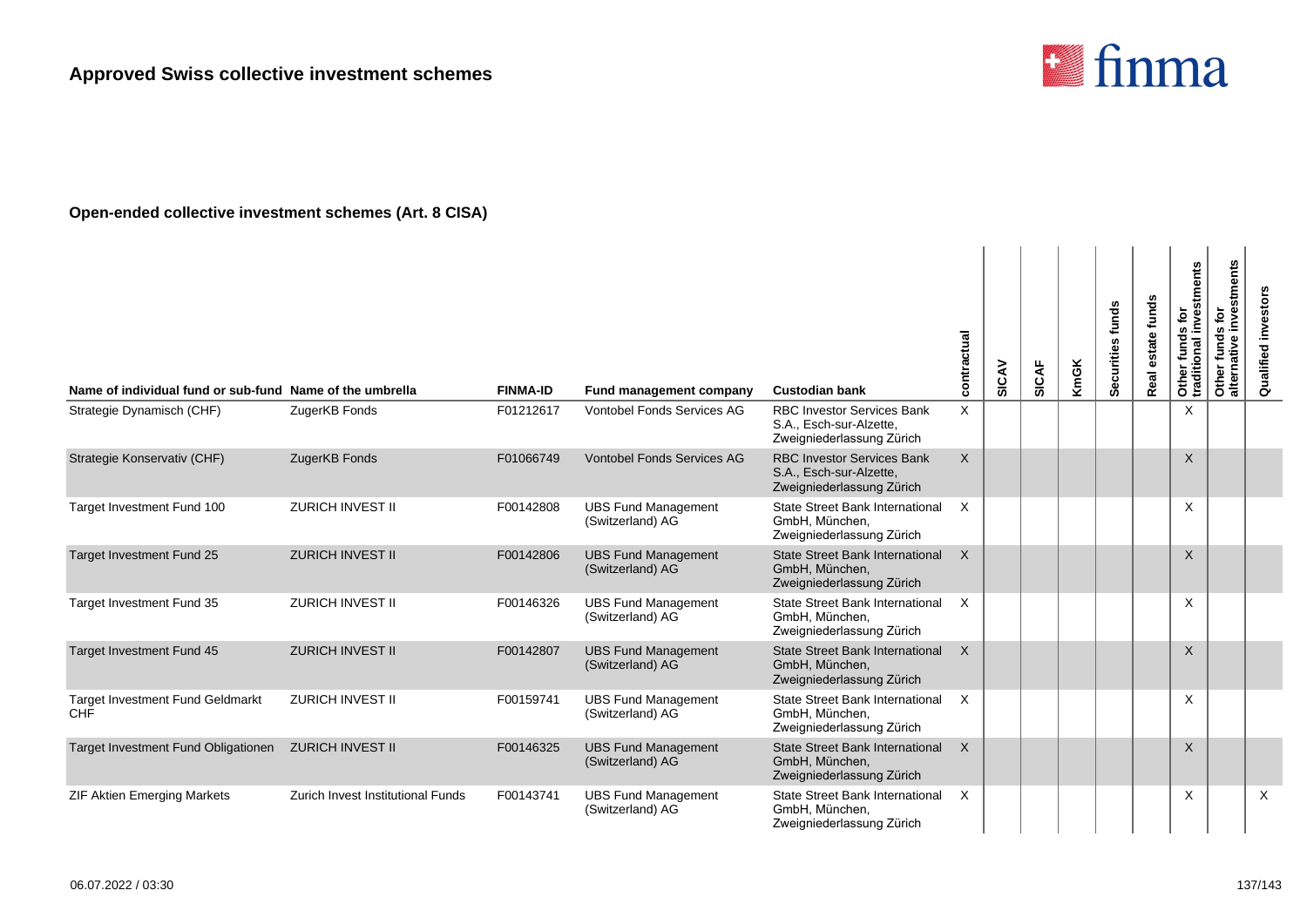

| Name of individual fund or sub-fund Name of the umbrella |                                   | <b>FINMA-ID</b> | Fund management company                        | <b>Custodian bank</b>                                                                     | contractual  | SICAV | <b>SICAF</b> | <b>KmGK</b> | Securities funds | estate funds<br>Real | Other funds for<br>traditional investments | investments<br>$\mathbf{\tilde{e}}$<br>Other funds f<br>alternative in | investors<br>Qualified |
|----------------------------------------------------------|-----------------------------------|-----------------|------------------------------------------------|-------------------------------------------------------------------------------------------|--------------|-------|--------------|-------------|------------------|----------------------|--------------------------------------------|------------------------------------------------------------------------|------------------------|
| Strategie Dynamisch (CHF)                                | ZugerKB Fonds                     | F01212617       | <b>Vontobel Fonds Services AG</b>              | <b>RBC Investor Services Bank</b><br>S.A., Esch-sur-Alzette,<br>Zweigniederlassung Zürich | $\mathsf{X}$ |       |              |             |                  |                      | X                                          |                                                                        |                        |
| Strategie Konservativ (CHF)                              | ZugerKB Fonds                     | F01066749       | <b>Vontobel Fonds Services AG</b>              | <b>RBC Investor Services Bank</b><br>S.A., Esch-sur-Alzette,<br>Zweigniederlassung Zürich | $\mathsf{X}$ |       |              |             |                  |                      | X                                          |                                                                        |                        |
| Target Investment Fund 100                               | <b>ZURICH INVEST II</b>           | F00142808       | <b>UBS Fund Management</b><br>(Switzerland) AG | <b>State Street Bank International</b><br>GmbH. München.<br>Zweigniederlassung Zürich     | X            |       |              |             |                  |                      | X                                          |                                                                        |                        |
| <b>Target Investment Fund 25</b>                         | <b>ZURICH INVEST II</b>           | F00142806       | <b>UBS Fund Management</b><br>(Switzerland) AG | <b>State Street Bank International</b><br>GmbH. München.<br>Zweigniederlassung Zürich     | $\times$     |       |              |             |                  |                      | X                                          |                                                                        |                        |
| Target Investment Fund 35                                | <b>ZURICH INVEST II</b>           | F00146326       | <b>UBS Fund Management</b><br>(Switzerland) AG | <b>State Street Bank International</b><br>GmbH, München,<br>Zweigniederlassung Zürich     | X            |       |              |             |                  |                      | X                                          |                                                                        |                        |
| Target Investment Fund 45                                | <b>ZURICH INVEST II</b>           | F00142807       | <b>UBS Fund Management</b><br>(Switzerland) AG | <b>State Street Bank International</b><br>GmbH, München,<br>Zweigniederlassung Zürich     | $\times$     |       |              |             |                  |                      | X                                          |                                                                        |                        |
| <b>Target Investment Fund Geldmarkt</b><br>CHF           | <b>ZURICH INVEST II</b>           | F00159741       | <b>UBS Fund Management</b><br>(Switzerland) AG | <b>State Street Bank International</b><br>GmbH, München,<br>Zweigniederlassung Zürich     | $\times$     |       |              |             |                  |                      | X                                          |                                                                        |                        |
| Target Investment Fund Obligationen                      | <b>ZURICH INVEST II</b>           | F00146325       | <b>UBS Fund Management</b><br>(Switzerland) AG | <b>State Street Bank International</b><br>GmbH, München,<br>Zweigniederlassung Zürich     | $\times$     |       |              |             |                  |                      | X                                          |                                                                        |                        |
| <b>ZIF Aktien Emerging Markets</b>                       | Zurich Invest Institutional Funds | F00143741       | <b>UBS Fund Management</b><br>(Switzerland) AG | State Street Bank International<br>GmbH, München,<br>Zweigniederlassung Zürich            | $\times$     |       |              |             |                  |                      | X                                          |                                                                        | X                      |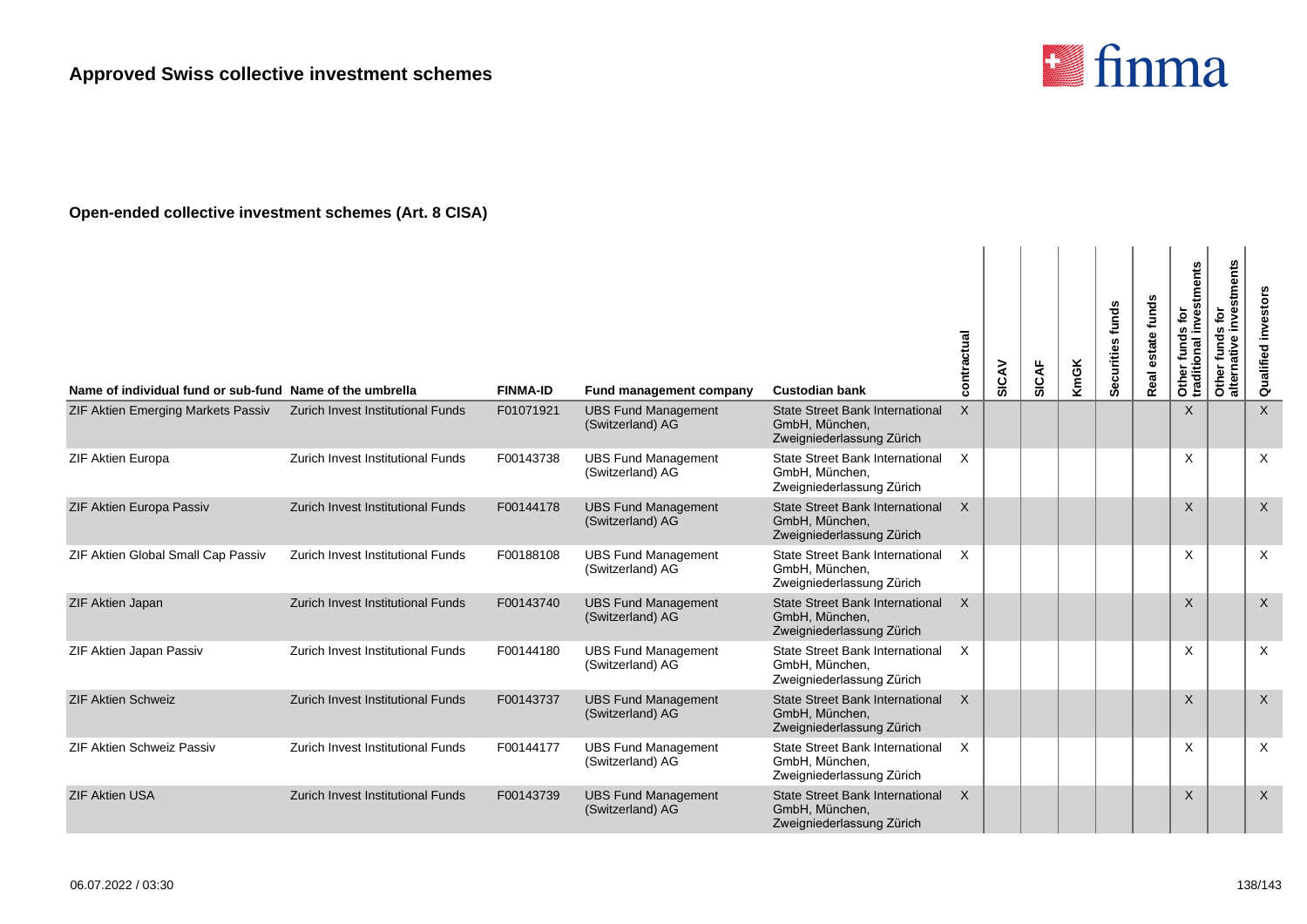

| Name of individual fund or sub-fund Name of the umbrella |                                          | <b>FINMA-ID</b> | <b>Fund management company</b>                 | <b>Custodian bank</b>                                                                 | contractual | SICAV | SICAF | <b>KmGK</b> | Securities funds | funds<br>estate<br>Real | Other funds for<br>traditional investments | investments<br>ē<br>funds<br>Other funds<br>alternative i | Qualified investors |
|----------------------------------------------------------|------------------------------------------|-----------------|------------------------------------------------|---------------------------------------------------------------------------------------|-------------|-------|-------|-------------|------------------|-------------------------|--------------------------------------------|-----------------------------------------------------------|---------------------|
| <b>ZIF Aktien Emerging Markets Passiv</b>                | <b>Zurich Invest Institutional Funds</b> | F01071921       | <b>UBS Fund Management</b><br>(Switzerland) AG | <b>State Street Bank International</b><br>GmbH, München,<br>Zweigniederlassung Zürich | X           |       |       |             |                  |                         | $\times$                                   |                                                           | X                   |
| ZIF Aktien Europa                                        | <b>Zurich Invest Institutional Funds</b> | F00143738       | <b>UBS Fund Management</b><br>(Switzerland) AG | <b>State Street Bank International</b><br>GmbH, München,<br>Zweigniederlassung Zürich | X           |       |       |             |                  |                         | X                                          |                                                           | $\times$            |
| ZIF Aktien Europa Passiv                                 | <b>Zurich Invest Institutional Funds</b> | F00144178       | <b>UBS Fund Management</b><br>(Switzerland) AG | <b>State Street Bank International</b><br>GmbH, München,<br>Zweigniederlassung Zürich | $\times$    |       |       |             |                  |                         | $\mathsf X$                                |                                                           | $\sf X$             |
| ZIF Aktien Global Small Cap Passiv                       | Zurich Invest Institutional Funds        | F00188108       | <b>UBS Fund Management</b><br>(Switzerland) AG | <b>State Street Bank International</b><br>GmbH, München,<br>Zweigniederlassung Zürich | X           |       |       |             |                  |                         | X                                          |                                                           | X                   |
| <b>ZIF Aktien Japan</b>                                  | <b>Zurich Invest Institutional Funds</b> | F00143740       | <b>UBS Fund Management</b><br>(Switzerland) AG | <b>State Street Bank International</b><br>GmbH, München,<br>Zweigniederlassung Zürich | $\times$    |       |       |             |                  |                         | X                                          |                                                           | $\mathsf{X}$        |
| ZIF Aktien Japan Passiv                                  | Zurich Invest Institutional Funds        | F00144180       | <b>UBS Fund Management</b><br>(Switzerland) AG | <b>State Street Bank International</b><br>GmbH, München,<br>Zweigniederlassung Zürich | X           |       |       |             |                  |                         | X                                          |                                                           | $\times$            |
| <b>ZIF Aktien Schweiz</b>                                | <b>Zurich Invest Institutional Funds</b> | F00143737       | <b>UBS Fund Management</b><br>(Switzerland) AG | <b>State Street Bank International</b><br>GmbH, München,<br>Zweigniederlassung Zürich | $\times$    |       |       |             |                  |                         | X                                          |                                                           | X                   |
| <b>ZIF Aktien Schweiz Passiv</b>                         | Zurich Invest Institutional Funds        | F00144177       | <b>UBS Fund Management</b><br>(Switzerland) AG | <b>State Street Bank International</b><br>GmbH, München,<br>Zweigniederlassung Zürich | X           |       |       |             |                  |                         | X                                          |                                                           | $\times$            |
| <b>ZIF Aktien USA</b>                                    | <b>Zurich Invest Institutional Funds</b> | F00143739       | <b>UBS Fund Management</b><br>(Switzerland) AG | <b>State Street Bank International</b><br>GmbH, München,<br>Zweigniederlassung Zürich | X           |       |       |             |                  |                         | X                                          |                                                           | $\times$            |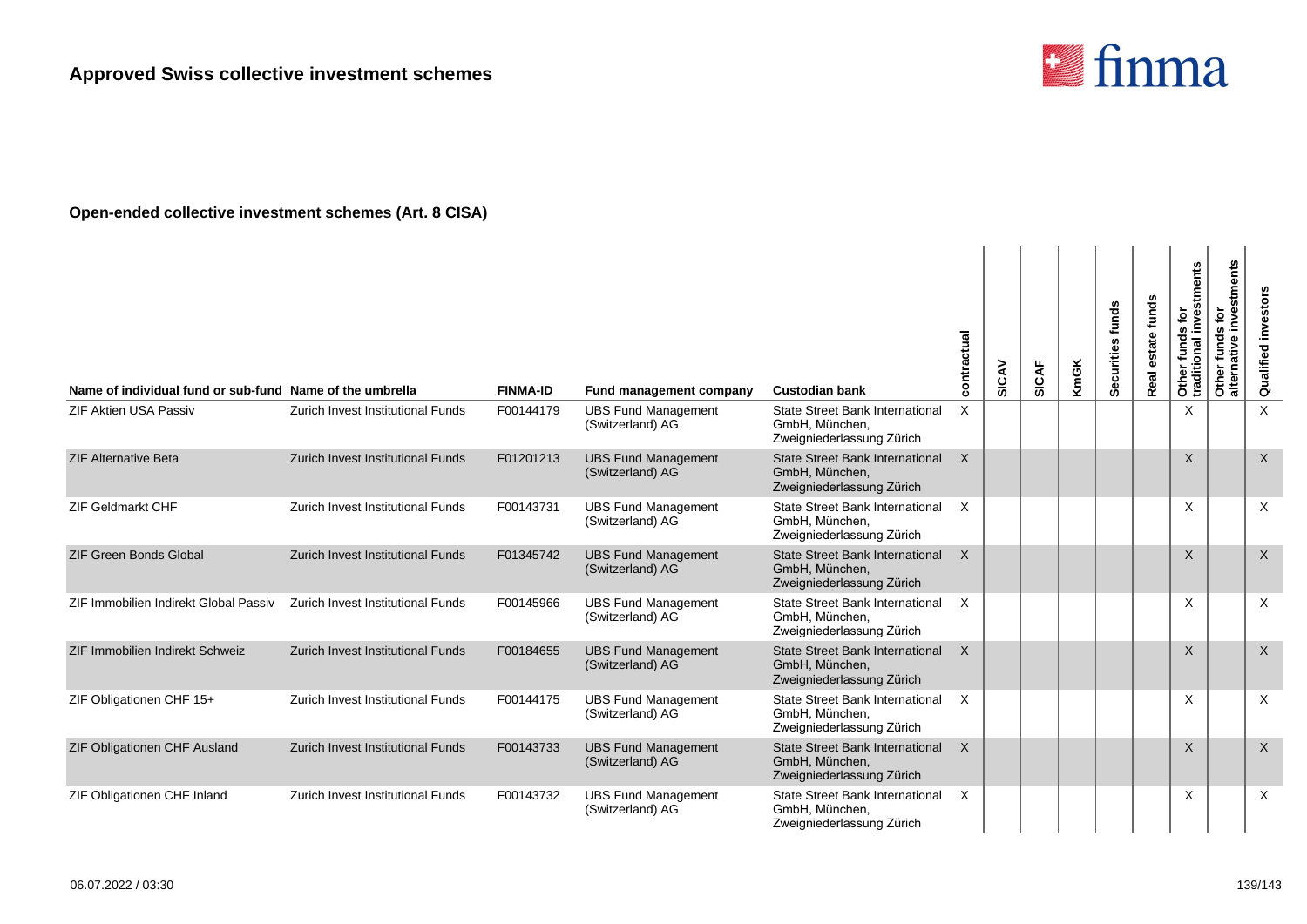

| Name of individual fund or sub-fund Name of the umbrella |                                          | <b>FINMA-ID</b> | Fund management company                        | <b>Custodian bank</b>                                                                 | contractual  | SICAV | <b>SICAF</b> | KmGK | Securities funds | estate funds<br>Real | Other funds for<br>traditional investments | nvestments<br>$\mathbf{\tilde{e}}$<br><b>SD</b><br>$\omega$<br>fund<br>ativ<br>Other<br>alterna | investors<br>Qualified |
|----------------------------------------------------------|------------------------------------------|-----------------|------------------------------------------------|---------------------------------------------------------------------------------------|--------------|-------|--------------|------|------------------|----------------------|--------------------------------------------|-------------------------------------------------------------------------------------------------|------------------------|
| <b>ZIF Aktien USA Passiv</b>                             | Zurich Invest Institutional Funds        | F00144179       | <b>UBS Fund Management</b><br>(Switzerland) AG | <b>State Street Bank International</b><br>GmbH. München.<br>Zweigniederlassung Zürich | $\mathsf{X}$ |       |              |      |                  |                      | X                                          |                                                                                                 | $\mathsf{x}$           |
| <b>ZIF Alternative Beta</b>                              | Zurich Invest Institutional Funds        | F01201213       | <b>UBS Fund Management</b><br>(Switzerland) AG | <b>State Street Bank International</b><br>GmbH, München,<br>Zweigniederlassung Zürich | $\times$     |       |              |      |                  |                      | $\sf X$                                    |                                                                                                 | $\sf X$                |
| <b>ZIF Geldmarkt CHF</b>                                 | <b>Zurich Invest Institutional Funds</b> | F00143731       | <b>UBS Fund Management</b><br>(Switzerland) AG | State Street Bank International<br>GmbH. München.<br>Zweigniederlassung Zürich        | X            |       |              |      |                  |                      | X                                          |                                                                                                 | $\times$               |
| <b>ZIF Green Bonds Global</b>                            | <b>Zurich Invest Institutional Funds</b> | F01345742       | <b>UBS Fund Management</b><br>(Switzerland) AG | <b>State Street Bank International</b><br>GmbH. München.<br>Zweigniederlassung Zürich | $\times$     |       |              |      |                  |                      | X                                          |                                                                                                 | $\times$               |
| ZIF Immobilien Indirekt Global Passiv                    | <b>Zurich Invest Institutional Funds</b> | F00145966       | <b>UBS Fund Management</b><br>(Switzerland) AG | <b>State Street Bank International</b><br>GmbH, München,<br>Zweigniederlassung Zürich | X            |       |              |      |                  |                      | X                                          |                                                                                                 | $\times$               |
| ZIF Immobilien Indirekt Schweiz                          | Zurich Invest Institutional Funds        | F00184655       | <b>UBS Fund Management</b><br>(Switzerland) AG | State Street Bank International<br>GmbH, München,<br>Zweigniederlassung Zürich        | $\times$     |       |              |      |                  |                      | X                                          |                                                                                                 | $\times$               |
| ZIF Obligationen CHF 15+                                 | Zurich Invest Institutional Funds        | F00144175       | <b>UBS Fund Management</b><br>(Switzerland) AG | <b>State Street Bank International</b><br>GmbH, München,<br>Zweigniederlassung Zürich | $\times$     |       |              |      |                  |                      | X                                          |                                                                                                 | $\times$               |
| ZIF Obligationen CHF Ausland                             | <b>Zurich Invest Institutional Funds</b> | F00143733       | <b>UBS Fund Management</b><br>(Switzerland) AG | <b>State Street Bank International</b><br>GmbH, München,<br>Zweigniederlassung Zürich | $\times$     |       |              |      |                  |                      | X                                          |                                                                                                 | $\times$               |
| ZIF Obligationen CHF Inland                              | Zurich Invest Institutional Funds        | F00143732       | <b>UBS Fund Management</b><br>(Switzerland) AG | State Street Bank International<br>GmbH, München,<br>Zweigniederlassung Zürich        | $\times$     |       |              |      |                  |                      | X                                          |                                                                                                 | $\times$               |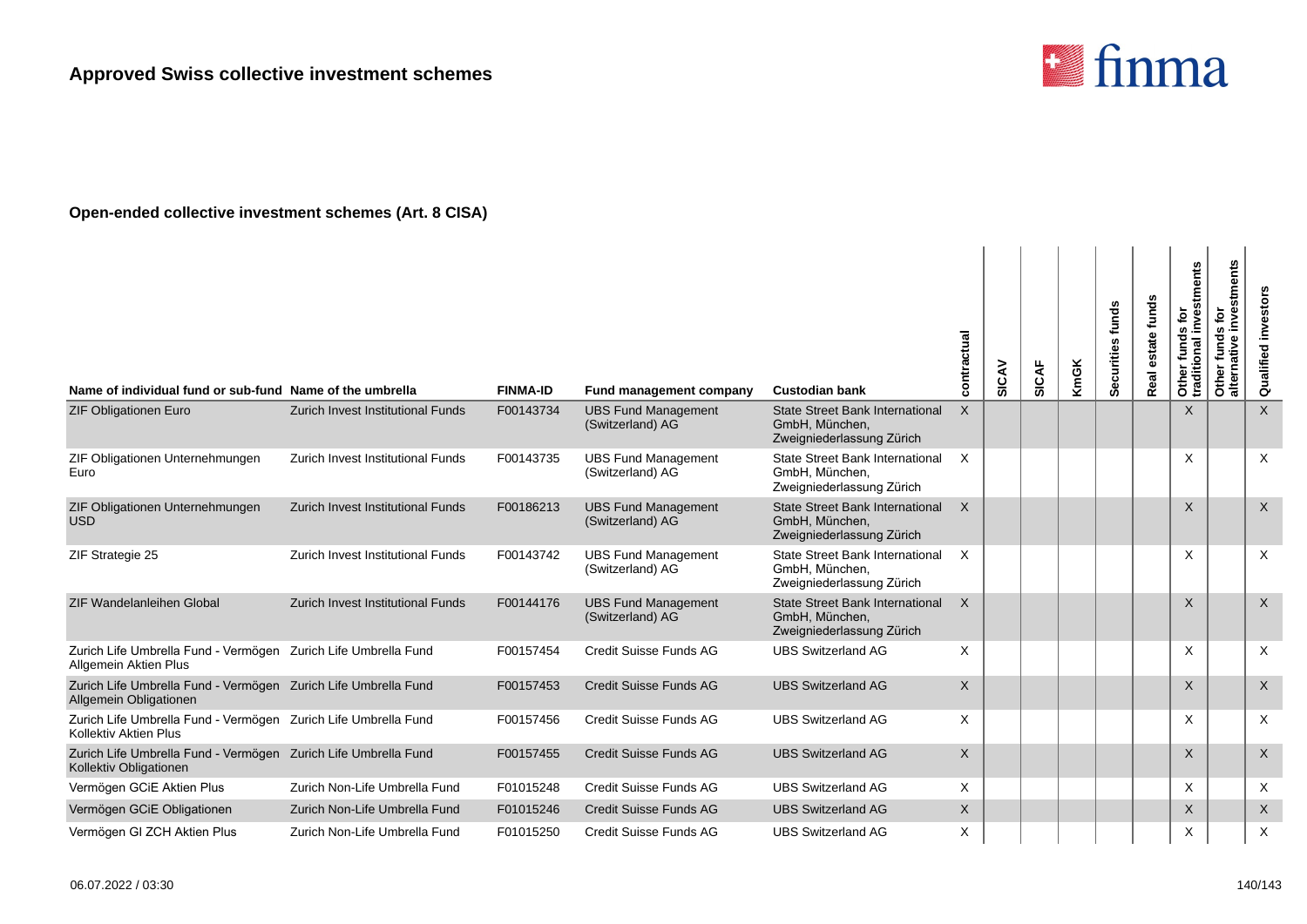

| Name of individual fund or sub-fund Name of the umbrella                                 |                                          | <b>FINMA-ID</b> | <b>Fund management company</b>                 | <b>Custodian bank</b>                                                                 | contractual  | SICAV | SICAF | KmGK | Securities funds | funds<br>late<br>Real | Other funds for<br>traditional investments | stments<br>ω<br>ē<br><b>S</b><br>fund<br>Other<br>alterna | investors<br>Qualified |
|------------------------------------------------------------------------------------------|------------------------------------------|-----------------|------------------------------------------------|---------------------------------------------------------------------------------------|--------------|-------|-------|------|------------------|-----------------------|--------------------------------------------|-----------------------------------------------------------|------------------------|
| <b>ZIF Obligationen Euro</b>                                                             | Zurich Invest Institutional Funds        | F00143734       | <b>UBS Fund Management</b><br>(Switzerland) AG | <b>State Street Bank International</b><br>GmbH, München,<br>Zweigniederlassung Zürich | $\sf X$      |       |       |      |                  |                       | $\sf X$                                    |                                                           | $\times$               |
| ZIF Obligationen Unternehmungen<br>Euro                                                  | Zurich Invest Institutional Funds        | F00143735       | <b>UBS Fund Management</b><br>(Switzerland) AG | <b>State Street Bank International</b><br>GmbH, München,<br>Zweigniederlassung Zürich | $\times$     |       |       |      |                  |                       | X                                          |                                                           | $\times$               |
| ZIF Obligationen Unternehmungen<br><b>USD</b>                                            | <b>Zurich Invest Institutional Funds</b> | F00186213       | <b>UBS Fund Management</b><br>(Switzerland) AG | <b>State Street Bank International</b><br>GmbH, München,<br>Zweigniederlassung Zürich | $\times$     |       |       |      |                  |                       | $\times$                                   |                                                           | $\times$               |
| ZIF Strategie 25                                                                         | Zurich Invest Institutional Funds        | F00143742       | <b>UBS Fund Management</b><br>(Switzerland) AG | <b>State Street Bank International</b><br>GmbH, München,<br>Zweigniederlassung Zürich | $\times$     |       |       |      |                  |                       | X                                          |                                                           | $\times$               |
| <b>ZIF Wandelanleihen Global</b>                                                         | <b>Zurich Invest Institutional Funds</b> | F00144176       | <b>UBS Fund Management</b><br>(Switzerland) AG | <b>State Street Bank International</b><br>GmbH, München,<br>Zweigniederlassung Zürich | $\times$     |       |       |      |                  |                       | $\times$                                   |                                                           | $\sf X$                |
| Zurich Life Umbrella Fund - Vermögen Zurich Life Umbrella Fund<br>Allgemein Aktien Plus  |                                          | F00157454       | Credit Suisse Funds AG                         | <b>UBS Switzerland AG</b>                                                             | X            |       |       |      |                  |                       | X                                          |                                                           | $\times$               |
| Zurich Life Umbrella Fund - Vermögen Zurich Life Umbrella Fund<br>Allgemein Obligationen |                                          | F00157453       | Credit Suisse Funds AG                         | <b>UBS Switzerland AG</b>                                                             | $\sf X$      |       |       |      |                  |                       | $\times$                                   |                                                           | $\sf X$                |
| Zurich Life Umbrella Fund - Vermögen Zurich Life Umbrella Fund<br>Kollektiv Aktien Plus  |                                          | F00157456       | Credit Suisse Funds AG                         | <b>UBS Switzerland AG</b>                                                             | X            |       |       |      |                  |                       | X                                          |                                                           | $\times$               |
| Zurich Life Umbrella Fund - Vermögen Zurich Life Umbrella Fund<br>Kollektiv Obligationen |                                          | F00157455       | Credit Suisse Funds AG                         | <b>UBS Switzerland AG</b>                                                             | $\mathsf{X}$ |       |       |      |                  |                       | $\times$                                   |                                                           | $\times$               |
| Vermögen GCiE Aktien Plus                                                                | Zurich Non-Life Umbrella Fund            | F01015248       | Credit Suisse Funds AG                         | <b>UBS Switzerland AG</b>                                                             | X            |       |       |      |                  |                       | X                                          |                                                           | $\times$               |
| Vermögen GCiE Obligationen                                                               | Zurich Non-Life Umbrella Fund            | F01015246       | <b>Credit Suisse Funds AG</b>                  | <b>UBS Switzerland AG</b>                                                             | X            |       |       |      |                  |                       | X                                          |                                                           | $\boldsymbol{X}$       |
| Vermögen GI ZCH Aktien Plus                                                              | Zurich Non-Life Umbrella Fund            | F01015250       | Credit Suisse Funds AG                         | <b>UBS Switzerland AG</b>                                                             | X            |       |       |      |                  |                       | X                                          |                                                           | X                      |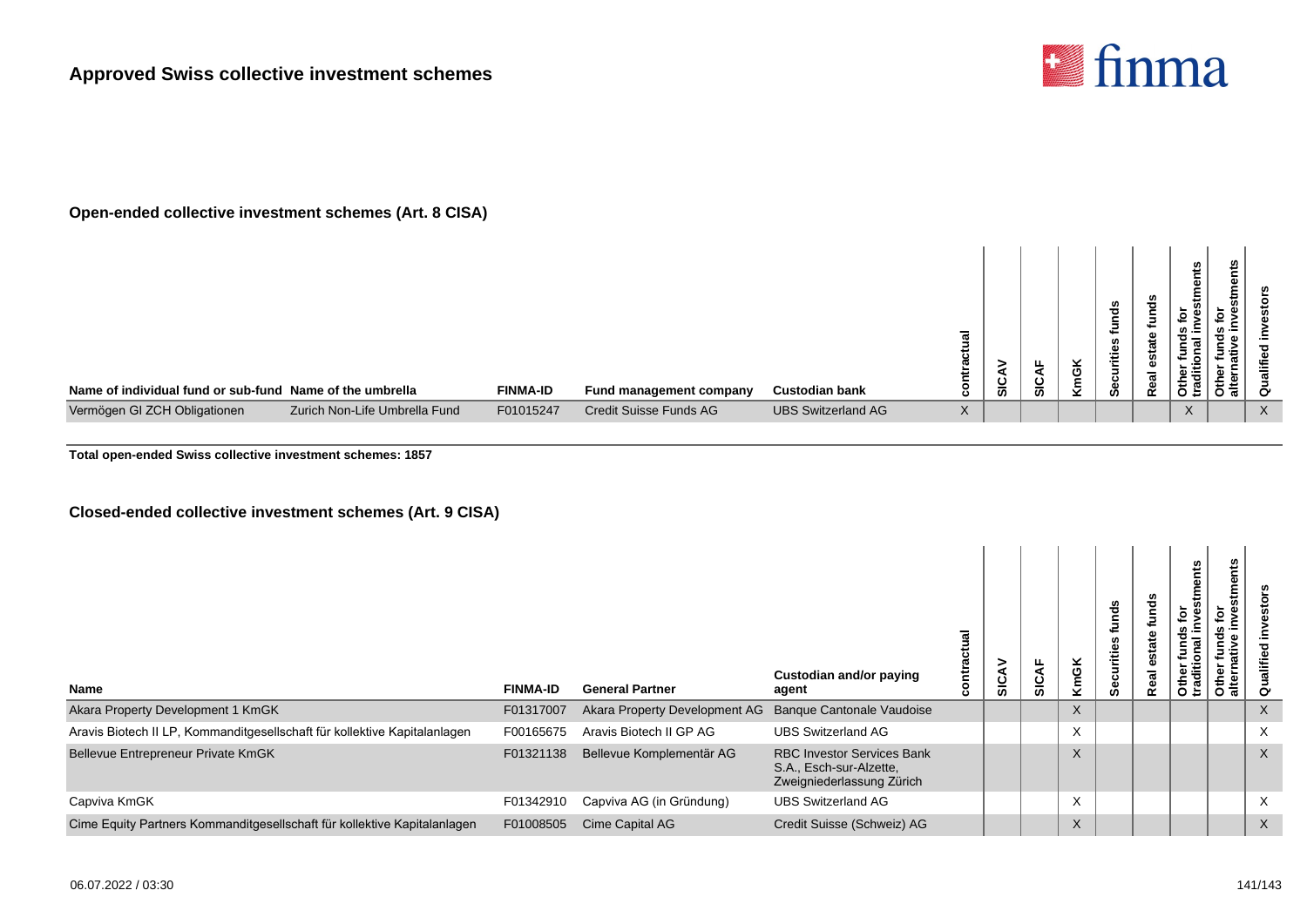

| Name of individual fund or sub-fund Name of the umbrella | <b>FINMA-ID</b>                            | <b>Fund management company</b> | <b>Custodian bank</b>     | ಕ<br>è | ⋧<br>SIC, | <b>SIC</b> | <b>KmGK</b> | ಕೆ<br>Ě<br>itie<br>$\overline{5}$<br>ဒီ်ိဳ | ಕೆ<br>ீ<br>᠊ᢐ<br>'n<br>Φ<br>ಸ<br>٥<br>œ | nts<br>Φ<br>ε<br>o ± | చి<br>ω<br>Ě<br><b>in</b><br>ക<br>-23<br>ੱ ਕ | ø        |
|----------------------------------------------------------|--------------------------------------------|--------------------------------|---------------------------|--------|-----------|------------|-------------|--------------------------------------------|-----------------------------------------|----------------------|----------------------------------------------|----------|
| Vermögen GI ZCH Obligationen                             | Zurich Non-Life Umbrella Fund<br>F01015247 | Credit Suisse Funds AG         | <b>UBS Switzerland AG</b> | X      |           |            |             |                                            |                                         | $\Lambda$            |                                              | $\times$ |

**Total open-ended Swiss collective investment schemes: 1857**

| <b>Name</b>                                                               | <b>FINMA-ID</b> | <b>General Partner</b>        | Custodian and/or paying<br>agent                                                          | ontra<br>Õ | ₹<br>မ္တ | <b>SICAF</b> | <b>KmGK</b> | ಕೆ<br>₽<br>urities<br>Sec | funds<br>state<br>ω<br>Real | చి<br>ω<br>흐<br>$\frac{1}{2}$ | nts<br>G)<br>stm<br>ğ<br>₽<br>œ<br>Ste<br>alte | $\sigma$ |
|---------------------------------------------------------------------------|-----------------|-------------------------------|-------------------------------------------------------------------------------------------|------------|----------|--------------|-------------|---------------------------|-----------------------------|-------------------------------|------------------------------------------------|----------|
| Akara Property Development 1 KmGK                                         | F01317007       | Akara Property Development AG | <b>Banque Cantonale Vaudoise</b>                                                          |            |          |              | X           |                           |                             |                               |                                                | $\times$ |
| Aravis Biotech II LP, Kommanditgesellschaft für kollektive Kapitalanlagen | F00165675       | Aravis Biotech II GP AG       | <b>UBS Switzerland AG</b>                                                                 |            |          |              | X           |                           |                             |                               |                                                | $\times$ |
| Bellevue Entrepreneur Private KmGK                                        | F01321138       | Bellevue Komplementär AG      | <b>RBC Investor Services Bank</b><br>S.A., Esch-sur-Alzette,<br>Zweigniederlassung Zürich |            |          |              | X           |                           |                             |                               |                                                | $\times$ |
| Capviva KmGK                                                              | F01342910       | Capviva AG (in Gründung)      | <b>UBS Switzerland AG</b>                                                                 |            |          |              | X           |                           |                             |                               |                                                | $\times$ |
| Cime Equity Partners Kommanditgesellschaft für kollektive Kapitalanlagen  | F01008505       | Cime Capital AG               | Credit Suisse (Schweiz) AG                                                                |            |          |              | X           |                           |                             |                               |                                                | X        |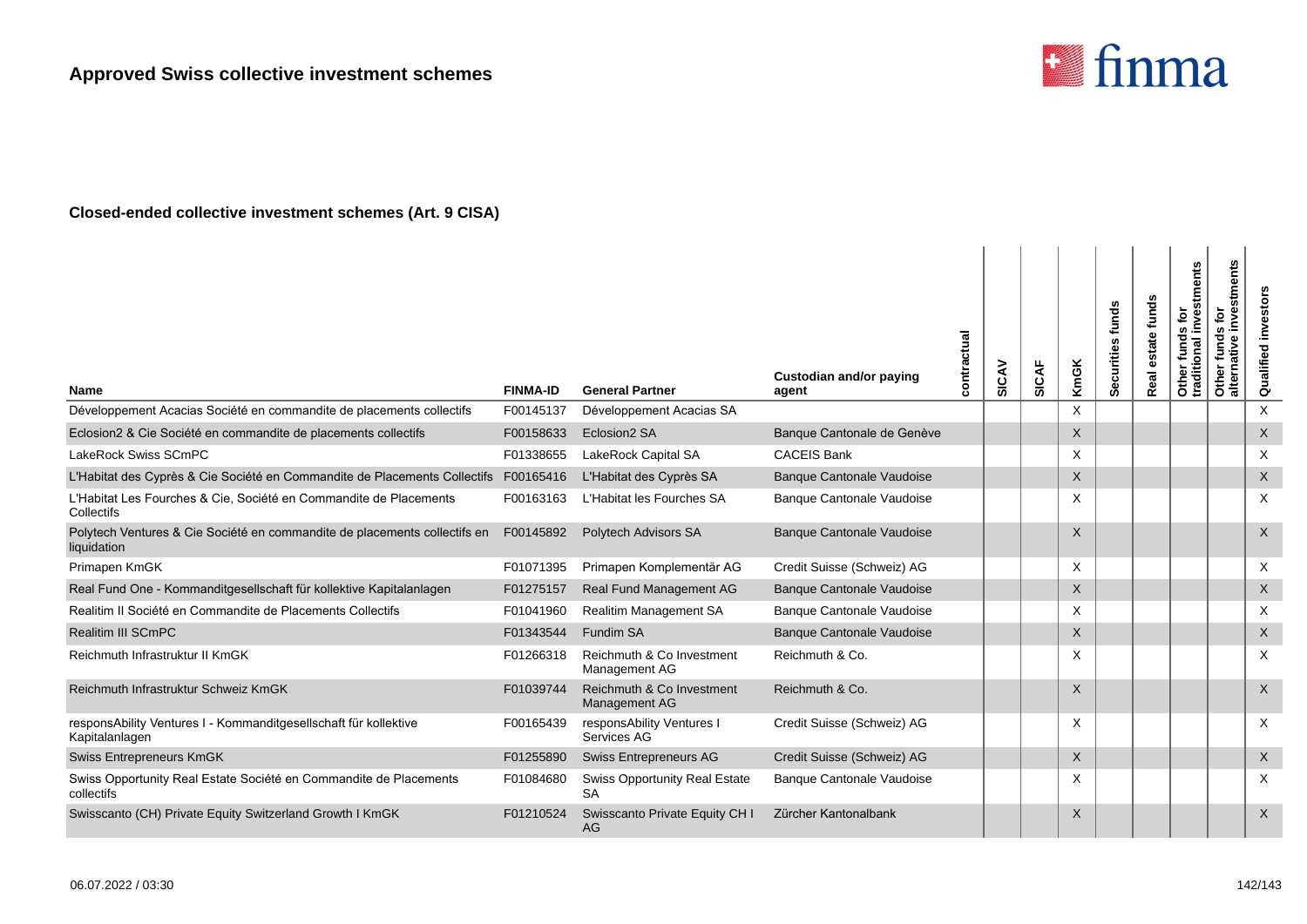

| <b>Name</b>                                                                                        | <b>FINMA-ID</b> | <b>General Partner</b>                            | Custodian and/or paying<br>agent | contractual | SICAV | SICAF | <b>KmGK</b> | Securities funds | estate funds<br>Real | Other funds for<br>traditional investments | investments<br>ē<br>s,<br>Other funds<br>alternative i | investor<br>Qualified |
|----------------------------------------------------------------------------------------------------|-----------------|---------------------------------------------------|----------------------------------|-------------|-------|-------|-------------|------------------|----------------------|--------------------------------------------|--------------------------------------------------------|-----------------------|
| Développement Acacias Société en commandite de placements collectifs                               | F00145137       | Développement Acacias SA                          |                                  |             |       |       | X           |                  |                      |                                            |                                                        | X                     |
| Eclosion2 & Cie Société en commandite de placements collectifs                                     | F00158633       | Eclosion <sub>2</sub> SA                          | Banque Cantonale de Genève       |             |       |       | $\times$    |                  |                      |                                            |                                                        | X                     |
| LakeRock Swiss SCmPC                                                                               | F01338655       | LakeRock Capital SA                               | <b>CACEIS Bank</b>               |             |       |       | X           |                  |                      |                                            |                                                        | X                     |
| L'Habitat des Cyprès & Cie Société en Commandite de Placements Collectifs F00165416                |                 | L'Habitat des Cyprès SA                           | <b>Banque Cantonale Vaudoise</b> |             |       |       | $\times$    |                  |                      |                                            |                                                        | $\times$              |
| L'Habitat Les Fourches & Cie, Société en Commandite de Placements<br>Collectifs                    | F00163163       | L'Habitat les Fourches SA                         | Banque Cantonale Vaudoise        |             |       |       | X           |                  |                      |                                            |                                                        | $\times$              |
| Polytech Ventures & Cie Société en commandite de placements collectifs en F00145892<br>liquidation |                 | Polytech Advisors SA                              | <b>Banque Cantonale Vaudoise</b> |             |       |       | X           |                  |                      |                                            |                                                        | $\times$              |
| Primapen KmGK                                                                                      | F01071395       | Primapen Komplementär AG                          | Credit Suisse (Schweiz) AG       |             |       |       | X           |                  |                      |                                            |                                                        | X                     |
| Real Fund One - Kommanditgesellschaft für kollektive Kapitalanlagen                                | F01275157       | Real Fund Management AG                           | <b>Banque Cantonale Vaudoise</b> |             |       |       | X           |                  |                      |                                            |                                                        | $\times$              |
| Realitim II Société en Commandite de Placements Collectifs                                         | F01041960       | <b>Realitim Management SA</b>                     | Banque Cantonale Vaudoise        |             |       |       | $\times$    |                  |                      |                                            |                                                        | $\times$              |
| Realitim III SCmPC                                                                                 | F01343544       | Fundim SA                                         | <b>Banque Cantonale Vaudoise</b> |             |       |       | X           |                  |                      |                                            |                                                        | $\sf X$               |
| Reichmuth Infrastruktur II KmGK                                                                    | F01266318       | Reichmuth & Co Investment<br>Management AG        | Reichmuth & Co.                  |             |       |       | X           |                  |                      |                                            |                                                        | $\times$              |
| Reichmuth Infrastruktur Schweiz KmGK                                                               | F01039744       | Reichmuth & Co Investment<br>Management AG        | Reichmuth & Co.                  |             |       |       | X           |                  |                      |                                            |                                                        | $\sf X$               |
| responsAbility Ventures I - Kommanditgesellschaft für kollektive<br>Kapitalanlagen                 | F00165439       | responsAbility Ventures I<br>Services AG          | Credit Suisse (Schweiz) AG       |             |       |       | X           |                  |                      |                                            |                                                        | $\times$              |
| <b>Swiss Entrepreneurs KmGK</b>                                                                    | F01255890       | <b>Swiss Entrepreneurs AG</b>                     | Credit Suisse (Schweiz) AG       |             |       |       | X           |                  |                      |                                            |                                                        | $\sf X$               |
| Swiss Opportunity Real Estate Société en Commandite de Placements<br>collectifs                    | F01084680       | <b>Swiss Opportunity Real Estate</b><br><b>SA</b> | Banque Cantonale Vaudoise        |             |       |       | X           |                  |                      |                                            |                                                        | X                     |
| Swisscanto (CH) Private Equity Switzerland Growth I KmGK                                           | F01210524       | Swisscanto Private Equity CH I<br>AG              | Zürcher Kantonalbank             |             |       |       | $\times$    |                  |                      |                                            |                                                        | $\times$              |